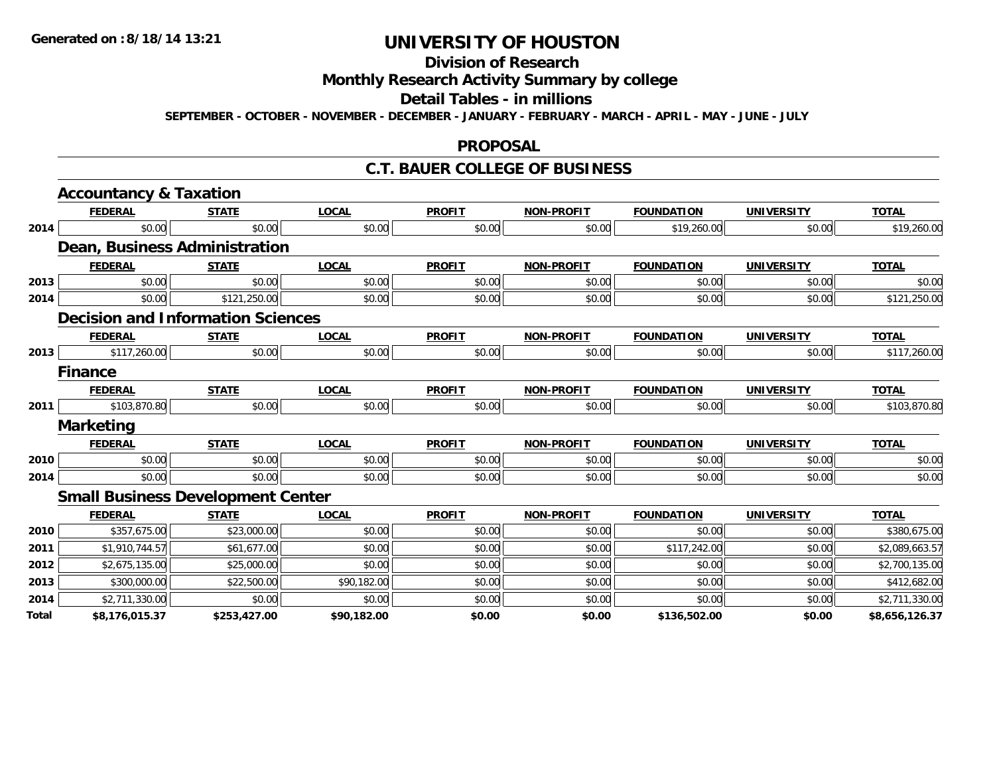# **Division of Research**

**Monthly Research Activity Summary by college**

#### **Detail Tables - in millions**

**SEPTEMBER - OCTOBER - NOVEMBER - DECEMBER - JANUARY - FEBRUARY - MARCH - APRIL - MAY - JUNE - JULY**

### **PROPOSAL**

### **C.T. BAUER COLLEGE OF BUSINESS**

|       | <b>Accountancy &amp; Taxation</b>        |              |              |               |                   |                   |                   |                |
|-------|------------------------------------------|--------------|--------------|---------------|-------------------|-------------------|-------------------|----------------|
|       | <b>FEDERAL</b>                           | <b>STATE</b> | <b>LOCAL</b> | <b>PROFIT</b> | <b>NON-PROFIT</b> | <b>FOUNDATION</b> | <b>UNIVERSITY</b> | <b>TOTAL</b>   |
| 2014  | \$0.00                                   | \$0.00       | \$0.00       | \$0.00        | \$0.00            | \$19,260.00       | \$0.00            | \$19,260.00    |
|       | Dean, Business Administration            |              |              |               |                   |                   |                   |                |
|       | <b>FEDERAL</b>                           | <b>STATE</b> | <b>LOCAL</b> | <b>PROFIT</b> | <b>NON-PROFIT</b> | <b>FOUNDATION</b> | <b>UNIVERSITY</b> | <b>TOTAL</b>   |
| 2013  | \$0.00                                   | \$0.00       | \$0.00       | \$0.00        | \$0.00            | \$0.00            | \$0.00            | \$0.00         |
| 2014  | \$0.00                                   | \$121,250.00 | \$0.00       | \$0.00        | \$0.00            | \$0.00            | \$0.00            | \$121,250.00   |
|       | <b>Decision and Information Sciences</b> |              |              |               |                   |                   |                   |                |
|       | <b>FEDERAL</b>                           | <b>STATE</b> | <b>LOCAL</b> | <b>PROFIT</b> | <b>NON-PROFIT</b> | <b>FOUNDATION</b> | <b>UNIVERSITY</b> | <b>TOTAL</b>   |
| 2013  | \$117,260.00                             | \$0.00       | \$0.00       | \$0.00        | \$0.00            | \$0.00            | \$0.00            | \$117,260.00   |
|       | <b>Finance</b>                           |              |              |               |                   |                   |                   |                |
|       | <b>FEDERAL</b>                           | <b>STATE</b> | <b>LOCAL</b> | <b>PROFIT</b> | <b>NON-PROFIT</b> | <b>FOUNDATION</b> | <b>UNIVERSITY</b> | <b>TOTAL</b>   |
| 2011  | \$103,870.80                             | \$0.00       | \$0.00       | \$0.00        | \$0.00            | \$0.00            | \$0.00            | \$103,870.80   |
|       | <b>Marketing</b>                         |              |              |               |                   |                   |                   |                |
|       | <b>FEDERAL</b>                           | <b>STATE</b> | <b>LOCAL</b> | <b>PROFIT</b> | <b>NON-PROFIT</b> | <b>FOUNDATION</b> | <b>UNIVERSITY</b> | <b>TOTAL</b>   |
| 2010  | \$0.00                                   | \$0.00       | \$0.00       | \$0.00        | \$0.00            | \$0.00            | \$0.00            | \$0.00         |
| 2014  | \$0.00                                   | \$0.00       | \$0.00       | \$0.00        | \$0.00            | \$0.00            | \$0.00            | \$0.00         |
|       | <b>Small Business Development Center</b> |              |              |               |                   |                   |                   |                |
|       | <b>FEDERAL</b>                           | <b>STATE</b> | <b>LOCAL</b> | <b>PROFIT</b> | <b>NON-PROFIT</b> | <b>FOUNDATION</b> | <b>UNIVERSITY</b> | <b>TOTAL</b>   |
| 2010  | \$357,675.00                             | \$23,000.00  | \$0.00       | \$0.00        | \$0.00            | \$0.00            | \$0.00            | \$380,675.00   |
| 2011  | \$1,910,744.57                           | \$61,677.00  | \$0.00       | \$0.00        | \$0.00            | \$117,242.00      | \$0.00            | \$2,089,663.57 |
| 2012  | \$2,675,135.00                           | \$25,000.00  | \$0.00       | \$0.00        | \$0.00            | \$0.00            | \$0.00            | \$2,700,135.00 |
| 2013  | \$300,000.00                             | \$22,500.00  | \$90,182.00  | \$0.00        | \$0.00            | \$0.00            | \$0.00            | \$412,682.00   |
| 2014  | \$2,711,330.00                           | \$0.00       | \$0.00       | \$0.00        | \$0.00            | \$0.00            | \$0.00            | \$2,711,330.00 |
| Total | \$8,176,015.37                           | \$253,427.00 | \$90,182.00  | \$0.00        | \$0.00            | \$136,502.00      | \$0.00            | \$8,656,126.37 |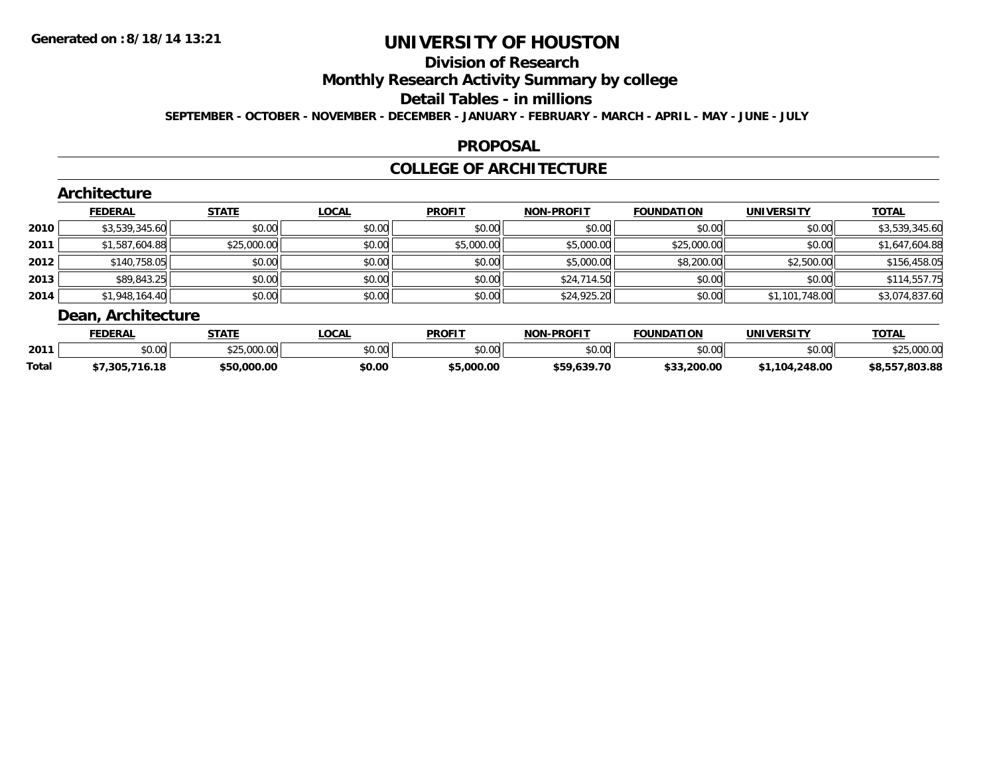# **Division of Research**

**Monthly Research Activity Summary by college**

**Detail Tables - in millions**

**SEPTEMBER - OCTOBER - NOVEMBER - DECEMBER - JANUARY - FEBRUARY - MARCH - APRIL - MAY - JUNE - JULY**

### **PROPOSAL**

### **COLLEGE OF ARCHITECTURE**

|        | <b>FEDERAL</b> | <b>STATE</b> | <b>LOCAL</b> | <b>PROFIT</b> | <b>NON-PROFIT</b> | <b>FOUNDATION</b> | <b>UNIVERSITY</b> | <b>TOTAL</b>   |
|--------|----------------|--------------|--------------|---------------|-------------------|-------------------|-------------------|----------------|
| ا 2010 | \$3,539,345.60 | \$0.00       | \$0.00       | \$0.00        | \$0.00            | \$0.00            | \$0.00            | \$3,539,345.60 |
| 2011   | \$1,587,604.88 | \$25,000.00  | \$0.00       | \$5,000.00    | \$5,000.00        | \$25,000.00       | \$0.00            | \$1,647,604.88 |
| 2012   | \$140,758.05   | \$0.00       | \$0.00       | \$0.00        | \$5,000.00        | \$8,200.00        | \$2,500.00        | \$156,458.05   |
| 2013   | \$89,843.25    | \$0.00       | \$0.00       | \$0.00        | \$24,714.50       | \$0.00            | \$0.00            | \$114,557.75   |
| ا 2014 | \$1,948,164.40 | \$0.00       | \$0.00       | \$0.00        | \$24,925.20       | \$0.00            | \$1,101,748.00    | \$3,074,837.60 |

|              | <b>FEDERAL</b> | C T A T C      | <b>OCAL</b>    | <b>PROFIT</b>  | <b>LPROFIT</b><br>NON | <b>FOUNDATION</b> | IINIIVEDCITV      | <b>TOTAL</b>       |
|--------------|----------------|----------------|----------------|----------------|-----------------------|-------------------|-------------------|--------------------|
| 2011         | ሶስ ሰሰ<br>JU.UU | 000<br>.uu.uu  | ሶስ ሰሰ<br>טע.טע | ტი იი<br>JU.UU | \$0.00                | ሶስ ሰሰ<br>ww.v     | ቀስ ሰስ<br>JU.UU    |                    |
| <b>Total</b> | 16.18<br>.305  | 05 t<br>000.00 | \$0.00         | 000.00.د       | \$59.639.70           | .200.00<br>። ውጣጥ  | 104.248.00<br>104 | 0.803.88<br>\$8,55 |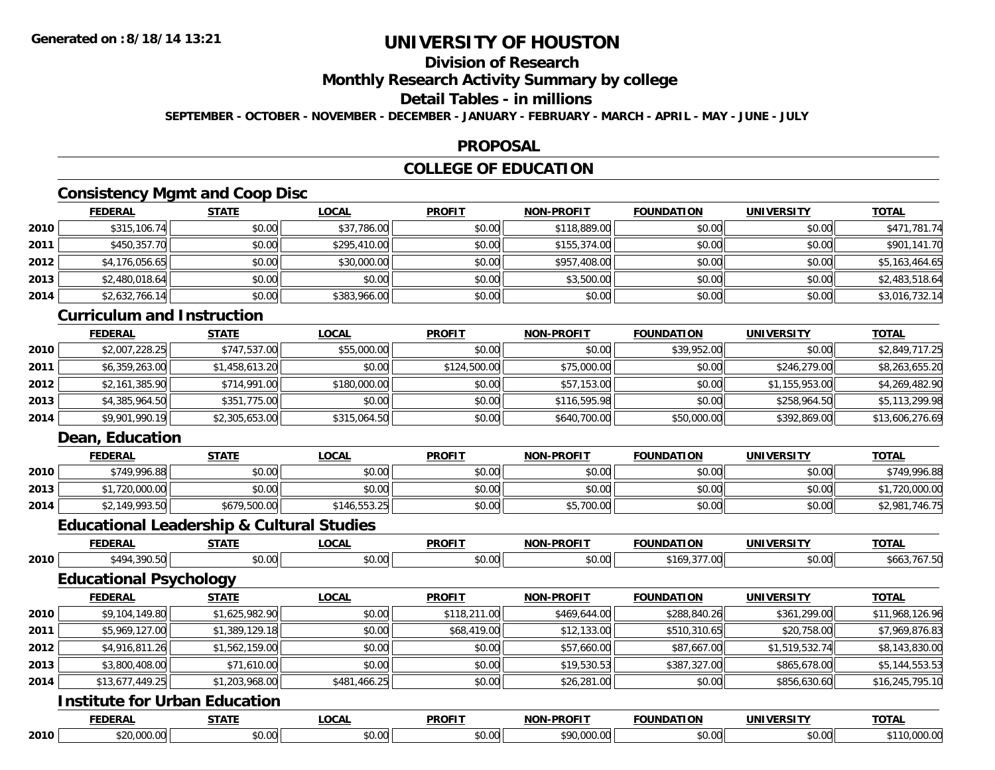# **Division of Research**

**Monthly Research Activity Summary by college**

### **Detail Tables - in millions**

**SEPTEMBER - OCTOBER - NOVEMBER - DECEMBER - JANUARY - FEBRUARY - MARCH - APRIL - MAY - JUNE - JULY**

### **PROPOSAL**

## **COLLEGE OF EDUCATION**

## **Consistency Mgmt and Coop Disc**

|      | <b>FEDERAL</b> | <b>STATE</b> | <u>LOCAL</u> | <b>PROFIT</b> | <b>NON-PROFIT</b> | <b>FOUNDATION</b> | <b>UNIVERSITY</b> | <b>TOTAL</b>   |
|------|----------------|--------------|--------------|---------------|-------------------|-------------------|-------------------|----------------|
| 2010 | \$315,106.74   | \$0.00       | \$37,786.00  | \$0.00        | \$118,889.00      | \$0.00            | \$0.00            | \$471,781.74   |
| 2011 | \$450,357.70   | \$0.00       | \$295,410.00 | \$0.00        | \$155,374.00      | \$0.00            | \$0.00            | \$901,141.70   |
| 2012 | \$4,176,056.65 | \$0.00       | \$30,000.00  | \$0.00        | \$957,408.00      | \$0.00            | \$0.00            | \$5,163,464.65 |
| 2013 | \$2,480,018.64 | \$0.00       | \$0.00       | \$0.00        | \$3,500.00        | \$0.00            | \$0.00            | \$2,483,518.64 |
| 2014 | \$2,632,766.14 | \$0.00       | \$383,966.00 | \$0.00        | \$0.00            | \$0.00            | \$0.00            | \$3,016,732.14 |

### **Curriculum and Instruction**

|      | <b>FEDERAL</b> | <u>STATE</u>   | <u>LOCAL</u> | <b>PROFIT</b> | <b>NON-PROFIT</b> | <b>FOUNDATION</b> | <b>UNIVERSITY</b> | <b>TOTAL</b>    |
|------|----------------|----------------|--------------|---------------|-------------------|-------------------|-------------------|-----------------|
| 2010 | \$2,007,228.25 | \$747,537.00   | \$55,000.00  | \$0.00        | \$0.00            | \$39,952.00       | \$0.00            | \$2,849,717.25  |
| 2011 | \$6,359,263.00 | \$1,458,613.20 | \$0.00       | \$124,500.00  | \$75,000.00       | \$0.00            | \$246,279.00      | \$8,263,655.20  |
| 2012 | \$2,161,385.90 | \$714,991.00   | \$180,000.00 | \$0.00        | \$57,153.00       | \$0.00            | \$1,155,953.00    | \$4,269,482.90  |
| 2013 | \$4,385,964.50 | \$351,775.00   | \$0.00       | \$0.00        | \$116,595.98      | \$0.00            | \$258,964.50      | \$5,113,299.98  |
| 2014 | \$9,901,990.19 | \$2,305,653.00 | \$315,064.50 | \$0.00        | \$640,700.00      | \$50,000.00       | \$392,869.00      | \$13,606,276.69 |

### **Dean, Education**

|      | <b>FEDERAL</b>                         | <b>STATE</b>   | <b>LOCAL</b>             | <b>PROFIT</b> | <b>NON-PROFIT</b> | <b>FOUNDATION</b> | UNIVERSITY | <b>TOTAL</b>        |
|------|----------------------------------------|----------------|--------------------------|---------------|-------------------|-------------------|------------|---------------------|
| 2010 | \$749,996.88                           | en nn<br>JU.UU | $\circ$ $\circ$<br>DU.UU | \$0.00        | \$0.00            | \$0.00            | \$0.00     | \$749,996.88        |
| 2013 | 20,000.00                              | en nn<br>JU.UU | \$0.00                   | \$0.00        | \$0.00            | \$0.00            | \$0.00     | .720.000.00         |
| 2014 | <sup></sup> *2.149.993.50    <br>79.99 | \$679,500.00   | \$146,553.25             | \$0.00        | \$5,700.00        | \$0.00            | \$0.00     | $\cdots$<br>\$2,981 |

### **Educational Leadership & Cultural Studies**

|      | Equcational Leagership & Cultural Studies |                |              |               |                   |                   |                   |                 |
|------|-------------------------------------------|----------------|--------------|---------------|-------------------|-------------------|-------------------|-----------------|
|      | <b>FEDERAL</b>                            | <b>STATE</b>   | <b>LOCAL</b> | <b>PROFIT</b> | <b>NON-PROFIT</b> | <b>FOUNDATION</b> | <b>UNIVERSITY</b> | <b>TOTAL</b>    |
| 2010 | \$494,390.50                              | \$0.00         | \$0.00       | \$0.00        | \$0.00            | \$169,377.00      | \$0.00            | \$663,767.50    |
|      | <b>Educational Psychology</b>             |                |              |               |                   |                   |                   |                 |
|      | <b>FEDERAL</b>                            | <b>STATE</b>   | <b>LOCAL</b> | <b>PROFIT</b> | <b>NON-PROFIT</b> | <b>FOUNDATION</b> | <b>UNIVERSITY</b> | <b>TOTAL</b>    |
| 2010 | \$9,104,149.80                            | \$1,625,982.90 | \$0.00       | \$118,211.00  | \$469,644.00      | \$288,840.26      | \$361,299.00      | \$11,968,126.96 |
| 2011 | \$5,969,127.00                            | \$1,389,129.18 | \$0.00       | \$68,419.00   | \$12,133.00       | \$510,310.65      | \$20,758.00       | \$7,969,876.83  |
| 2012 | \$4,916,811.26                            | \$1,562,159.00 | \$0.00       | \$0.00        | \$57,660.00       | \$87,667.00       | \$1,519,532.74    | \$8,143,830.00  |
| 2013 | \$3,800,408.00                            | \$71,610.00    | \$0.00       | \$0.00        | \$19,530.53       | \$387,327.00      | \$865,678.00      | \$5,144,553.53  |
| 2014 | \$13,677,449.25                           | \$1,203,968.00 | \$481,466.25 | \$0.00        | \$26,281.00       | \$0.00            | \$856,630.60      | \$16,245,795.10 |
|      | <b>Institute for Urban Education</b>      |                |              |               |                   |                   |                   |                 |
|      | <b>FEDERAL</b>                            | <b>STATE</b>   | <b>LOCAL</b> | <b>PROFIT</b> | <b>NON-PROFIT</b> | <b>FOUNDATION</b> | <b>UNIVERSITY</b> | <b>TOTAL</b>    |

**2010**\$20,000.00 \$0.00 \$0.00 \$0.00 \$90,000.00 \$0.00 \$0.00 \$110,000.00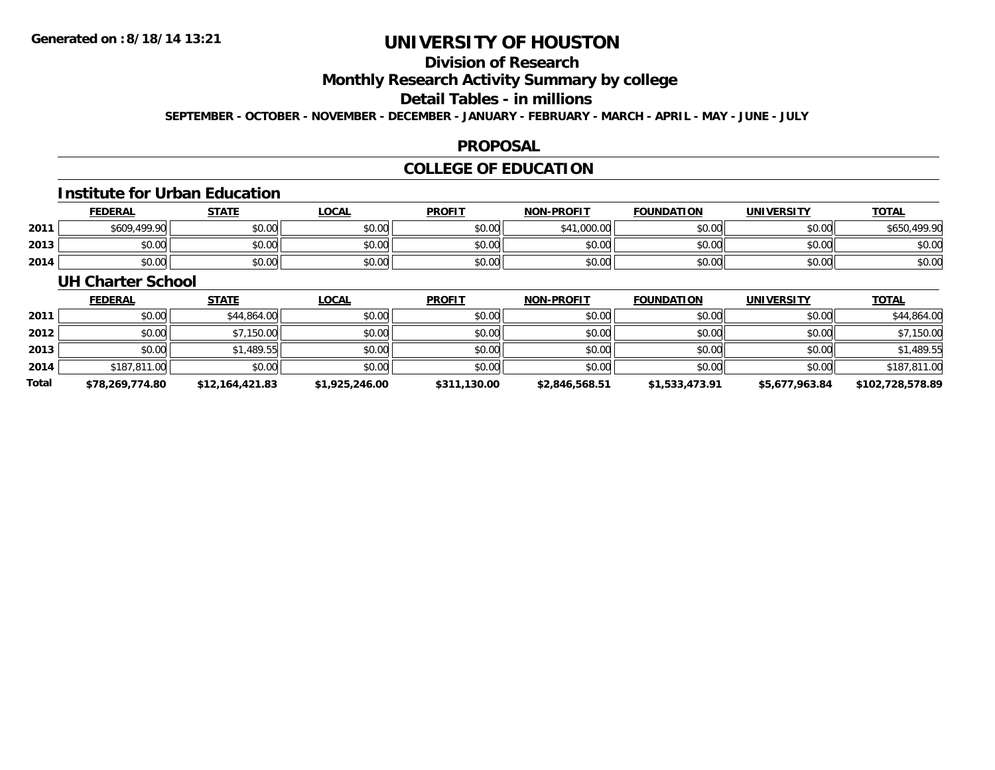# **Division of Research**

**Monthly Research Activity Summary by college**

#### **Detail Tables - in millions**

**SEPTEMBER - OCTOBER - NOVEMBER - DECEMBER - JANUARY - FEBRUARY - MARCH - APRIL - MAY - JUNE - JULY**

### **PROPOSAL**

## **COLLEGE OF EDUCATION**

#### **Institute for Urban Education**

|      | <b>FEDERAL</b> | <b>STATE</b> | .OCAL  | <b>PROFIT</b> | <b>NON-PROFIT</b> | <b>FOUNDATION</b> | <b>UNIVERSITY</b> | <b>TOTAL</b> |
|------|----------------|--------------|--------|---------------|-------------------|-------------------|-------------------|--------------|
| 2011 | \$609,499.90   | \$0.00       | \$0.00 | \$0.00        | .000.00           | ደስ ሰሰ<br>DU.UU    | \$0.00            | 100 OC       |
| 2013 | ስስ ስስ<br>JU.UU | \$0.00       | \$0.00 | \$0.00        | \$0.00            | \$0.00            | \$0.00            | \$0.00       |
| 2014 | \$0.00         | \$0.00       | \$0.00 | \$0.00        | \$0.00            | \$0.00            | \$0.00            | \$0.00       |

### **UH Charter School**

|       | <b>FEDERAL</b>  | <u>STATE</u>    | <u>LOCAL</u>   | <b>PROFIT</b> | <b>NON-PROFIT</b> | <b>FOUNDATION</b> | <b>UNIVERSITY</b> | <b>TOTAL</b>     |
|-------|-----------------|-----------------|----------------|---------------|-------------------|-------------------|-------------------|------------------|
| 2011  | \$0.00          | \$44,864.00     | \$0.00         | \$0.00        | \$0.00            | \$0.00            | \$0.00            | \$44,864.00      |
| 2012  | \$0.00          | \$7,150.00      | \$0.00         | \$0.00        | \$0.00            | \$0.00            | \$0.00            | \$7,150.00       |
| 2013  | \$0.00          | \$1,489.55      | \$0.00         | \$0.00        | \$0.00            | \$0.00            | \$0.00            | \$1,489.55       |
| 2014  | \$187,811.00    | \$0.00          | \$0.00         | \$0.00        | \$0.00            | \$0.00            | \$0.00            | \$187,811.00     |
| Total | \$78,269,774.80 | \$12,164,421.83 | \$1,925,246.00 | \$311,130.00  | \$2,846,568.51    | \$1,533,473.91    | \$5,677,963.84    | \$102,728,578.89 |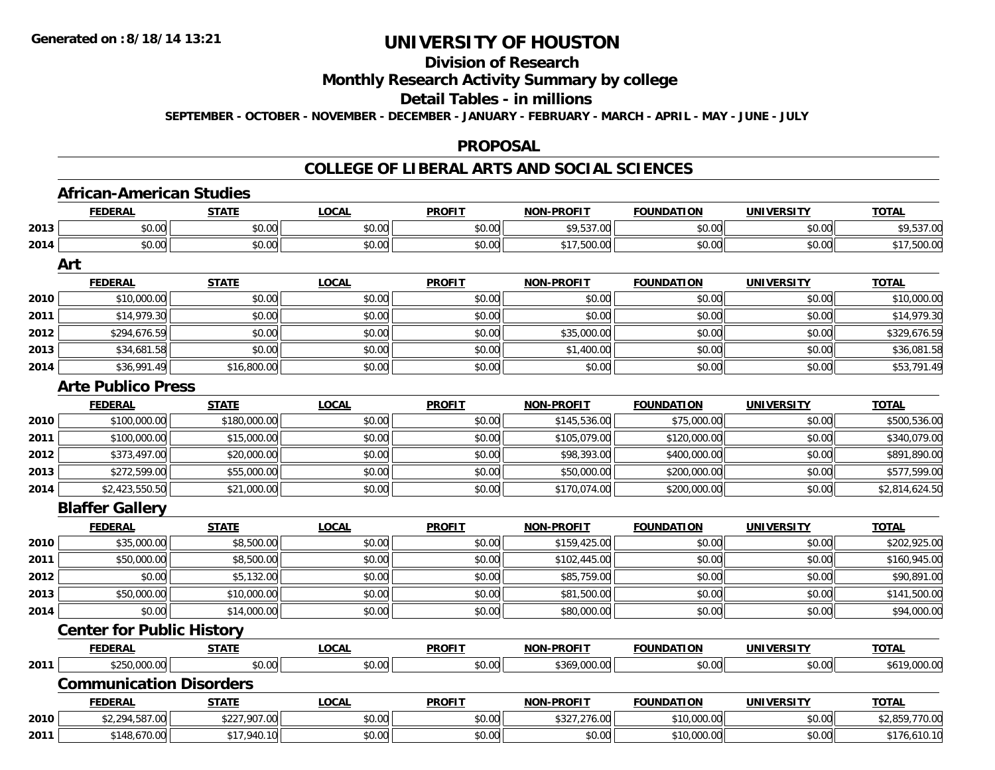# **Division of Research**

**Monthly Research Activity Summary by college**

**Detail Tables - in millions**

**SEPTEMBER - OCTOBER - NOVEMBER - DECEMBER - JANUARY - FEBRUARY - MARCH - APRIL - MAY - JUNE - JULY**

#### **PROPOSAL**

### **COLLEGE OF LIBERAL ARTS AND SOCIAL SCIENCES**

|      | <b>African-American Studies</b>  |              |              |               |                   |                         |                   |                |
|------|----------------------------------|--------------|--------------|---------------|-------------------|-------------------------|-------------------|----------------|
|      | <b>FEDERAL</b>                   | <b>STATE</b> | <b>LOCAL</b> | <b>PROFIT</b> | <b>NON-PROFIT</b> | <b>FOUNDATION</b>       | <b>UNIVERSITY</b> | <b>TOTAL</b>   |
| 2013 | \$0.00                           | \$0.00       | \$0.00       | \$0.00        | \$9,537.00        | \$0.00                  | \$0.00            | \$9,537.00     |
| 2014 | \$0.00                           | \$0.00       | \$0.00       | \$0.00        | \$17,500.00       | \$0.00                  | \$0.00            | \$17,500.00    |
|      | Art                              |              |              |               |                   |                         |                   |                |
|      | <b>FEDERAL</b>                   | <b>STATE</b> | <b>LOCAL</b> | <b>PROFIT</b> | <b>NON-PROFIT</b> | <b>FOUNDATION</b>       | <b>UNIVERSITY</b> | <b>TOTAL</b>   |
| 2010 | \$10,000.00                      | \$0.00       | \$0.00       | \$0.00        | \$0.00            | \$0.00                  | \$0.00            | \$10,000.00    |
| 2011 | \$14,979.30                      | \$0.00       | \$0.00       | \$0.00        | \$0.00            | \$0.00                  | \$0.00            | \$14,979.30    |
| 2012 | \$294,676.59                     | \$0.00       | \$0.00       | \$0.00        | \$35,000.00       | \$0.00                  | \$0.00            | \$329,676.59   |
| 2013 | \$34,681.58                      | \$0.00       | \$0.00       | \$0.00        | \$1,400.00        | \$0.00                  | \$0.00            | \$36,081.58    |
| 2014 | \$36,991.49                      | \$16,800.00  | \$0.00       | \$0.00        | \$0.00            | \$0.00                  | \$0.00            | \$53,791.49    |
|      | <b>Arte Publico Press</b>        |              |              |               |                   |                         |                   |                |
|      | <b>FEDERAL</b>                   | <b>STATE</b> | <b>LOCAL</b> | <b>PROFIT</b> | <b>NON-PROFIT</b> | <b>FOUNDATION</b>       | <b>UNIVERSITY</b> | <b>TOTAL</b>   |
| 2010 | \$100,000.00                     | \$180,000.00 | \$0.00       | \$0.00        | \$145,536.00      | $\overline{$75,000.00}$ | \$0.00            | \$500,536.00   |
| 2011 | \$100,000.00                     | \$15,000.00  | \$0.00       | \$0.00        | \$105,079.00      | \$120,000.00            | \$0.00            | \$340,079.00   |
| 2012 | \$373,497.00                     | \$20,000.00  | \$0.00       | \$0.00        | \$98,393.00       | \$400,000.00            | \$0.00            | \$891,890.00   |
| 2013 | \$272,599.00                     | \$55,000.00  | \$0.00       | \$0.00        | \$50,000.00       | \$200,000.00            | \$0.00            | \$577,599.00   |
| 2014 | \$2,423,550.50                   | \$21,000.00  | \$0.00       | \$0.00        | \$170,074.00      | \$200,000.00            | \$0.00            | \$2,814,624.50 |
|      | <b>Blaffer Gallery</b>           |              |              |               |                   |                         |                   |                |
|      | <b>FEDERAL</b>                   | <b>STATE</b> | <b>LOCAL</b> | <b>PROFIT</b> | <b>NON-PROFIT</b> | <b>FOUNDATION</b>       | <b>UNIVERSITY</b> | <b>TOTAL</b>   |
| 2010 | \$35,000.00                      | \$8,500.00   | \$0.00       | \$0.00        | \$159,425.00      | \$0.00                  | \$0.00            | \$202,925.00   |
| 2011 | \$50,000.00                      | \$8,500.00   | \$0.00       | \$0.00        | \$102,445.00      | \$0.00                  | \$0.00            | \$160,945.00   |
| 2012 | \$0.00                           | \$5,132.00   | \$0.00       | \$0.00        | \$85,759.00       | \$0.00                  | \$0.00            | \$90,891.00    |
| 2013 | \$50,000.00                      | \$10,000.00  | \$0.00       | \$0.00        | \$81,500.00       | \$0.00                  | \$0.00            | \$141,500.00   |
| 2014 | \$0.00                           | \$14,000.00  | \$0.00       | \$0.00        | \$80,000.00       | \$0.00                  | \$0.00            | \$94,000.00    |
|      | <b>Center for Public History</b> |              |              |               |                   |                         |                   |                |
|      | <b>FEDERAL</b>                   | <b>STATE</b> | <b>LOCAL</b> | <b>PROFIT</b> | <b>NON-PROFIT</b> | <b>FOUNDATION</b>       | <b>UNIVERSITY</b> | <b>TOTAL</b>   |
| 2011 | \$250,000.00                     | \$0.00       | \$0.00       | \$0.00        | \$369,000.00      | \$0.00                  | \$0.00            | \$619,000.00   |
|      | <b>Communication Disorders</b>   |              |              |               |                   |                         |                   |                |
|      | <b>FEDERAL</b>                   | <b>STATE</b> | <b>LOCAL</b> | <b>PROFIT</b> | <b>NON-PROFIT</b> | <b>FOUNDATION</b>       | <b>UNIVERSITY</b> | <b>TOTAL</b>   |
| 2010 | \$2,294,587.00                   | \$227,907.00 | \$0.00       | \$0.00        | \$327,276.00      | \$10,000.00             | \$0.00            | \$2,859,770.00 |
| 2011 | \$148,670.00                     | \$17,940.10  | \$0.00       | \$0.00        | \$0.00            | \$10,000.00             | \$0.00            | \$176,610.10   |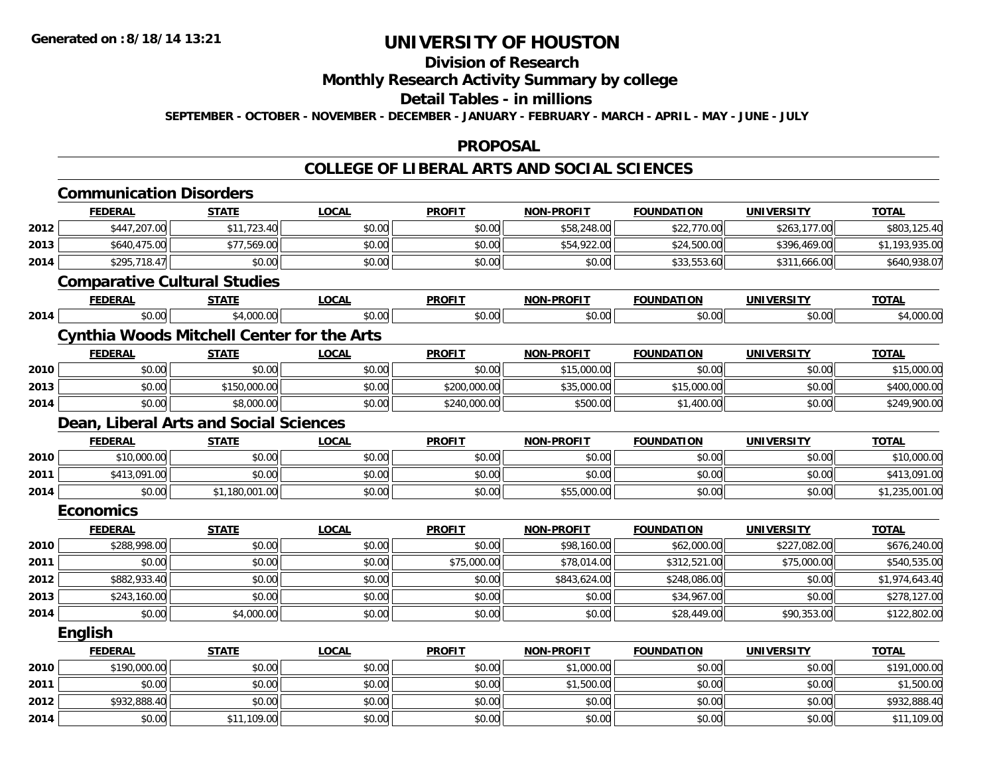## **Division of Research**

**Monthly Research Activity Summary by college**

#### **Detail Tables - in millions**

**SEPTEMBER - OCTOBER - NOVEMBER - DECEMBER - JANUARY - FEBRUARY - MARCH - APRIL - MAY - JUNE - JULY**

#### **PROPOSAL**

### **COLLEGE OF LIBERAL ARTS AND SOCIAL SCIENCES**

|      | <b>Communication Disorders</b>                    |                |              |               |                   |                   |                   |                |
|------|---------------------------------------------------|----------------|--------------|---------------|-------------------|-------------------|-------------------|----------------|
|      | <b>FEDERAL</b>                                    | <b>STATE</b>   | <b>LOCAL</b> | <b>PROFIT</b> | <b>NON-PROFIT</b> | <b>FOUNDATION</b> | <b>UNIVERSITY</b> | <b>TOTAL</b>   |
| 2012 | \$447,207.00                                      | \$11,723.40    | \$0.00       | \$0.00        | \$58,248.00       | \$22,770.00       | \$263,177.00      | \$803,125.40   |
| 2013 | \$640,475.00                                      | \$77,569.00    | \$0.00       | \$0.00        | \$54,922.00       | \$24,500.00       | \$396,469.00      | \$1,193,935.00 |
| 2014 | \$295,718.47                                      | \$0.00         | \$0.00       | \$0.00        | \$0.00            | \$33,553.60       | \$311,666.00      | \$640,938.07   |
|      | <b>Comparative Cultural Studies</b>               |                |              |               |                   |                   |                   |                |
|      | <b>FEDERAL</b>                                    | <b>STATE</b>   | <b>LOCAL</b> | <b>PROFIT</b> | NON-PROFIT        | <b>FOUNDATION</b> | <b>UNIVERSITY</b> | <b>TOTAL</b>   |
| 2014 | \$0.00                                            | \$4,000.00     | \$0.00       | \$0.00        | \$0.00            | \$0.00            | \$0.00            | \$4,000.00     |
|      | <b>Cynthia Woods Mitchell Center for the Arts</b> |                |              |               |                   |                   |                   |                |
|      | <b>FEDERAL</b>                                    | <b>STATE</b>   | <b>LOCAL</b> | <b>PROFIT</b> | NON-PROFIT        | <b>FOUNDATION</b> | <b>UNIVERSITY</b> | <b>TOTAL</b>   |
| 2010 | \$0.00                                            | \$0.00         | \$0.00       | \$0.00        | \$15,000.00       | \$0.00            | \$0.00            | \$15,000.00    |
| 2013 | \$0.00                                            | \$150,000.00   | \$0.00       | \$200,000.00  | \$35,000.00       | \$15,000.00       | \$0.00            | \$400,000.00   |
| 2014 | \$0.00                                            | \$8,000.00     | \$0.00       | \$240,000.00  | \$500.00          | \$1,400.00        | \$0.00            | \$249,900.00   |
|      | Dean, Liberal Arts and Social Sciences            |                |              |               |                   |                   |                   |                |
|      | <b>FEDERAL</b>                                    | <b>STATE</b>   | <b>LOCAL</b> | <b>PROFIT</b> | <b>NON-PROFIT</b> | <b>FOUNDATION</b> | <b>UNIVERSITY</b> | <b>TOTAL</b>   |
| 2010 | \$10,000.00                                       | \$0.00         | \$0.00       | \$0.00        | \$0.00            | \$0.00            | \$0.00            | \$10,000.00    |
| 2011 | \$413,091.00                                      | \$0.00         | \$0.00       | \$0.00        | \$0.00            | \$0.00            | \$0.00            | \$413,091.00   |
| 2014 | \$0.00                                            | \$1,180,001.00 | \$0.00       | \$0.00        | \$55,000.00       | \$0.00            | \$0.00            | \$1,235,001.00 |
|      | <b>Economics</b>                                  |                |              |               |                   |                   |                   |                |
|      | <b>FEDERAL</b>                                    | <b>STATE</b>   | <b>LOCAL</b> | <b>PROFIT</b> | <b>NON-PROFIT</b> | <b>FOUNDATION</b> | <b>UNIVERSITY</b> | <b>TOTAL</b>   |
| 2010 | \$288,998.00                                      | \$0.00         | \$0.00       | \$0.00        | \$98,160.00       | \$62,000.00       | \$227,082.00      | \$676,240.00   |
| 2011 | \$0.00                                            | \$0.00         | \$0.00       | \$75,000.00   | \$78,014.00       | \$312,521.00      | \$75,000.00       | \$540,535.00   |
| 2012 | \$882,933.40                                      | \$0.00         | \$0.00       | \$0.00        | \$843,624.00      | \$248,086.00      | \$0.00            | \$1,974,643.40 |
| 2013 | \$243,160.00                                      | \$0.00         | \$0.00       | \$0.00        | \$0.00            | \$34,967.00       | \$0.00            | \$278,127.00   |
| 2014 | \$0.00                                            | \$4,000.00     | \$0.00       | \$0.00        | \$0.00            | \$28,449.00       | \$90,353.00       | \$122,802.00   |
|      | <b>English</b>                                    |                |              |               |                   |                   |                   |                |
|      | <b>FEDERAL</b>                                    | <b>STATE</b>   | <b>LOCAL</b> | <b>PROFIT</b> | NON-PROFIT        | <b>FOUNDATION</b> | <b>UNIVERSITY</b> | <b>TOTAL</b>   |
| 2010 | \$190,000.00                                      | \$0.00         | \$0.00       | \$0.00        | \$1,000.00        | \$0.00            | \$0.00            | \$191,000.00   |
| 2011 | \$0.00                                            | \$0.00         | \$0.00       | \$0.00        | \$1,500.00        | \$0.00            | \$0.00            | \$1,500.00     |
| 2012 | \$932,888.40                                      | \$0.00         | \$0.00       | \$0.00        | \$0.00            | \$0.00            | \$0.00            | \$932,888.40   |
| 2014 | \$0.00                                            | \$11,109.00    | \$0.00       | \$0.00        | \$0.00            | \$0.00            | \$0.00            | \$11,109.00    |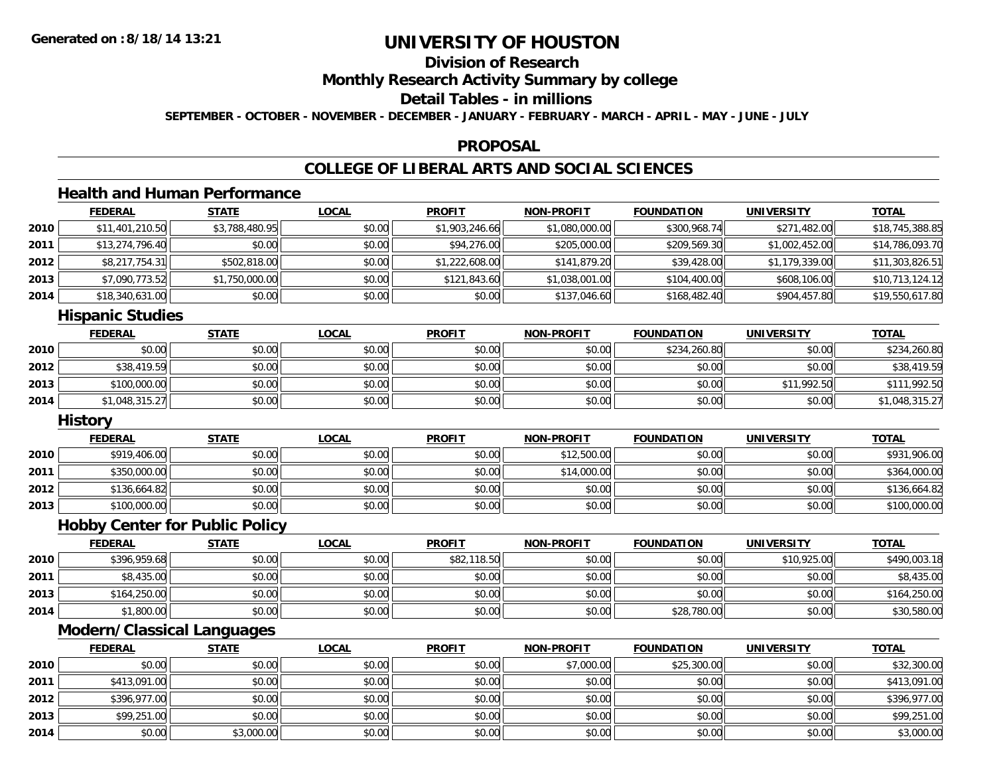## **Division of Research**

**Monthly Research Activity Summary by college**

## **Detail Tables - in millions**

**SEPTEMBER - OCTOBER - NOVEMBER - DECEMBER - JANUARY - FEBRUARY - MARCH - APRIL - MAY - JUNE - JULY**

### **PROPOSAL**

# **COLLEGE OF LIBERAL ARTS AND SOCIAL SCIENCES**

## **Health and Human Performance**

|      | <b>FEDERAL</b>  | <u>STATE</u>   | <b>LOCAL</b> | <b>PROFIT</b>  | <b>NON-PROFIT</b> | <b>FOUNDATION</b> | <b>UNIVERSITY</b> | <b>TOTAL</b>    |
|------|-----------------|----------------|--------------|----------------|-------------------|-------------------|-------------------|-----------------|
| 2010 | \$11,401,210.50 | \$3,788,480.95 | \$0.00       | \$1,903,246.66 | \$1,080,000.00    | \$300,968.74      | \$271,482.00      | \$18,745,388.85 |
| 2011 | \$13,274,796.40 | \$0.00         | \$0.00       | \$94,276.00    | \$205,000.00      | \$209,569.30      | \$1,002,452.00    | \$14,786,093.70 |
| 2012 | \$8,217,754.31  | \$502,818.00   | \$0.00       | \$1,222,608.00 | \$141,879.20      | \$39,428.00       | \$1,179,339.00    | \$11,303,826.51 |
| 2013 | \$7,090,773.52  | \$1,750,000.00 | \$0.00       | \$121,843.60   | \$1,038,001.00    | \$104,400.00      | \$608,106.00      | \$10,713,124.12 |
| 2014 | \$18,340,631.00 | \$0.00         | \$0.00       | \$0.00         | \$137,046.60      | \$168,482.40      | \$904,457.80      | \$19,550,617.80 |
|      |                 |                |              |                |                   |                   |                   |                 |

#### **Hispanic Studies**

|      | <b>FEDERAL</b> | <u>STATE</u> | <u>LOCAL</u> | <b>PROFIT</b> | <b>NON-PROFIT</b> | <b>FOUNDATION</b> | <b>UNIVERSITY</b> | <b>TOTAL</b>   |
|------|----------------|--------------|--------------|---------------|-------------------|-------------------|-------------------|----------------|
| 2010 | \$0.00         | \$0.00       | \$0.00       | \$0.00        | \$0.00            | \$234,260.80      | \$0.00            | \$234,260.80   |
| 2012 | \$38,419.59    | \$0.00       | \$0.00       | \$0.00        | \$0.00            | \$0.00            | \$0.00            | \$38,419.59    |
| 2013 | \$100,000.00   | \$0.00       | \$0.00       | \$0.00        | \$0.00            | \$0.00            | \$11,992.50       | \$111,992.50   |
| 2014 | \$1,048,315.27 | \$0.00       | \$0.00       | \$0.00        | \$0.00            | \$0.00            | \$0.00            | \$1,048,315.27 |

#### **History**

|      | <b>FEDERAL</b> | STATE  | <u>LOCAL</u> | <b>PROFIT</b> | <b>NON-PROFIT</b> | <b>FOUNDATION</b> | <b>UNIVERSITY</b> | <b>TOTAL</b> |
|------|----------------|--------|--------------|---------------|-------------------|-------------------|-------------------|--------------|
| 2010 | \$919,406.00   | \$0.00 | \$0.00       | \$0.00        | \$12,500.00       | \$0.00            | \$0.00            | \$931,906.00 |
| 2011 | \$350,000.00   | \$0.00 | \$0.00       | \$0.00        | \$14,000.00       | \$0.00            | \$0.00            | \$364,000.00 |
| 2012 | \$136,664.82   | \$0.00 | \$0.00       | \$0.00        | \$0.00            | \$0.00            | \$0.00            | \$136,664.82 |
| 2013 | \$100,000.00   | \$0.00 | \$0.00       | \$0.00        | \$0.00            | \$0.00            | \$0.00            | \$100,000.00 |

### **Hobby Center for Public Policy**

|      | <b>FEDERAL</b> | <u>STATE</u> | <u>LOCAL</u> | <b>PROFIT</b> | <b>NON-PROFIT</b> | <b>FOUNDATION</b> | <b>UNIVERSITY</b> | <b>TOTAL</b> |
|------|----------------|--------------|--------------|---------------|-------------------|-------------------|-------------------|--------------|
| 2010 | \$396,959.68   | \$0.00       | \$0.00       | \$82,118.50   | \$0.00            | \$0.00            | \$10,925.00       | \$490,003.18 |
| 2011 | \$8,435.00     | \$0.00       | \$0.00       | \$0.00        | \$0.00            | \$0.00            | \$0.00            | \$8,435.00   |
| 2013 | \$164,250.00   | \$0.00       | \$0.00       | \$0.00        | \$0.00            | \$0.00            | \$0.00            | \$164,250.00 |
| 2014 | \$1,800.00     | \$0.00       | \$0.00       | \$0.00        | \$0.00            | \$28,780.00       | \$0.00            | \$30,580.00  |

## **Modern/Classical Languages**

|      | <b>FEDERAL</b> | <b>STATE</b> | <b>LOCAL</b> | <b>PROFIT</b> | <b>NON-PROFIT</b> | <b>FOUNDATION</b> | <b>UNIVERSITY</b> | <b>TOTAL</b> |
|------|----------------|--------------|--------------|---------------|-------------------|-------------------|-------------------|--------------|
| 2010 | \$0.00         | \$0.00       | \$0.00       | \$0.00        | \$7,000.00        | \$25,300.00       | \$0.00            | \$32,300.00  |
| 2011 | \$413,091.00   | \$0.00       | \$0.00       | \$0.00        | \$0.00            | \$0.00            | \$0.00            | \$413,091.00 |
| 2012 | \$396,977.00   | \$0.00       | \$0.00       | \$0.00        | \$0.00            | \$0.00            | \$0.00            | \$396,977.00 |
| 2013 | \$99,251.00    | \$0.00       | \$0.00       | \$0.00        | \$0.00            | \$0.00            | \$0.00            | \$99,251.00  |
| 2014 | \$0.00         | \$3,000.00   | \$0.00       | \$0.00        | \$0.00            | \$0.00            | \$0.00            | \$3,000.00   |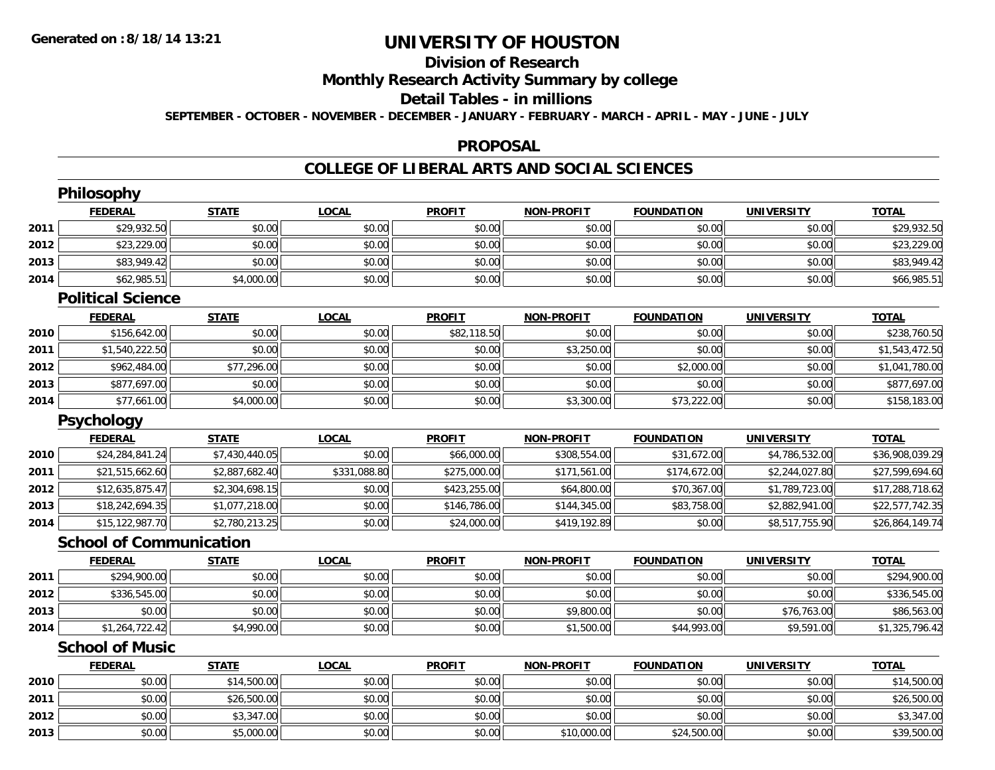# **Division of Research**

**Monthly Research Activity Summary by college**

#### **Detail Tables - in millions**

**SEPTEMBER - OCTOBER - NOVEMBER - DECEMBER - JANUARY - FEBRUARY - MARCH - APRIL - MAY - JUNE - JULY**

### **PROPOSAL**

### **COLLEGE OF LIBERAL ARTS AND SOCIAL SCIENCES**

|      | <b>Philosophy</b>              |                |              |               |                   |                   |                   |                 |
|------|--------------------------------|----------------|--------------|---------------|-------------------|-------------------|-------------------|-----------------|
|      | <b>FEDERAL</b>                 | <b>STATE</b>   | <b>LOCAL</b> | <b>PROFIT</b> | <b>NON-PROFIT</b> | <b>FOUNDATION</b> | <b>UNIVERSITY</b> | <b>TOTAL</b>    |
| 2011 | \$29,932.50                    | \$0.00         | \$0.00       | \$0.00        | \$0.00            | \$0.00            | \$0.00            | \$29,932.50     |
| 2012 | \$23,229.00                    | \$0.00         | \$0.00       | \$0.00        | \$0.00            | \$0.00            | \$0.00            | \$23,229.00     |
| 2013 | \$83,949.42                    | \$0.00         | \$0.00       | \$0.00        | \$0.00            | \$0.00            | \$0.00            | \$83,949.42     |
| 2014 | \$62,985.51                    | \$4,000.00     | \$0.00       | \$0.00        | \$0.00            | \$0.00            | \$0.00            | \$66,985.51     |
|      | <b>Political Science</b>       |                |              |               |                   |                   |                   |                 |
|      | <b>FEDERAL</b>                 | <b>STATE</b>   | <b>LOCAL</b> | <b>PROFIT</b> | <b>NON-PROFIT</b> | <b>FOUNDATION</b> | <b>UNIVERSITY</b> | <b>TOTAL</b>    |
| 2010 | \$156,642.00                   | \$0.00         | \$0.00       | \$82,118.50   | \$0.00            | \$0.00            | \$0.00            | \$238,760.50    |
| 2011 | \$1,540,222.50                 | \$0.00         | \$0.00       | \$0.00        | \$3,250.00        | \$0.00            | \$0.00            | \$1,543,472.50  |
| 2012 | \$962,484.00                   | \$77,296.00    | \$0.00       | \$0.00        | \$0.00            | \$2,000.00        | \$0.00            | \$1,041,780.00  |
| 2013 | \$877,697.00                   | \$0.00         | \$0.00       | \$0.00        | \$0.00            | \$0.00            | \$0.00            | \$877,697.00    |
| 2014 | \$77,661.00                    | \$4,000.00     | \$0.00       | \$0.00        | \$3,300.00        | \$73,222.00       | \$0.00            | \$158,183.00    |
|      | <b>Psychology</b>              |                |              |               |                   |                   |                   |                 |
|      | <b>FEDERAL</b>                 | <b>STATE</b>   | <b>LOCAL</b> | <b>PROFIT</b> | <b>NON-PROFIT</b> | <b>FOUNDATION</b> | <b>UNIVERSITY</b> | <b>TOTAL</b>    |
| 2010 | \$24,284,841.24                | \$7,430,440.05 | \$0.00       | \$66,000.00   | \$308,554.00      | \$31,672.00       | \$4,786,532.00    | \$36,908,039.29 |
| 2011 | \$21,515,662.60                | \$2,887,682.40 | \$331,088.80 | \$275,000.00  | \$171,561.00      | \$174,672.00      | \$2,244,027.80    | \$27,599,694.60 |
| 2012 | \$12,635,875.47                | \$2,304,698.15 | \$0.00       | \$423,255.00  | \$64,800.00       | \$70,367.00       | \$1,789,723.00    | \$17,288,718.62 |
| 2013 | \$18,242,694.35                | \$1,077,218.00 | \$0.00       | \$146,786.00  | \$144,345.00      | \$83,758.00       | \$2,882,941.00    | \$22,577,742.35 |
| 2014 | \$15,122,987.70                | \$2,780,213.25 | \$0.00       | \$24,000.00   | \$419,192.89      | \$0.00            | \$8,517,755.90    | \$26,864,149.74 |
|      | <b>School of Communication</b> |                |              |               |                   |                   |                   |                 |
|      | <b>FEDERAL</b>                 | <b>STATE</b>   | <b>LOCAL</b> | <b>PROFIT</b> | <b>NON-PROFIT</b> | <b>FOUNDATION</b> | <b>UNIVERSITY</b> | <b>TOTAL</b>    |
| 2011 | \$294,900.00                   | \$0.00         | \$0.00       | \$0.00        | \$0.00            | \$0.00            | \$0.00            | \$294,900.00    |
| 2012 | \$336,545.00                   | \$0.00         | \$0.00       | \$0.00        | \$0.00            | \$0.00            | \$0.00            | \$336,545.00    |
| 2013 | \$0.00                         | \$0.00         | \$0.00       | \$0.00        | \$9,800.00        | \$0.00            | \$76,763.00       | \$86,563.00     |
| 2014 | \$1,264,722.42                 | \$4,990.00     | \$0.00       | \$0.00        | \$1,500.00        | \$44,993.00       | \$9,591.00        | \$1,325,796.42  |
|      | <b>School of Music</b>         |                |              |               |                   |                   |                   |                 |
|      | <b>FEDERAL</b>                 | <b>STATE</b>   | <b>LOCAL</b> | <b>PROFIT</b> | <b>NON-PROFIT</b> | <b>FOUNDATION</b> | <b>UNIVERSITY</b> | <b>TOTAL</b>    |
| 2010 | \$0.00                         | \$14,500.00    | \$0.00       | \$0.00        | \$0.00            | \$0.00            | \$0.00            | \$14,500.00     |
| 2011 | \$0.00                         | \$26,500.00    | \$0.00       | \$0.00        | \$0.00            | \$0.00            | \$0.00            | \$26,500.00     |
| 2012 | \$0.00                         | \$3,347.00     | \$0.00       | \$0.00        | \$0.00            | \$0.00            | \$0.00            | \$3,347.00      |
| 2013 | \$0.00                         | \$5,000.00     | \$0.00       | \$0.00        | \$10,000.00       | \$24,500.00       | \$0.00            | \$39,500.00     |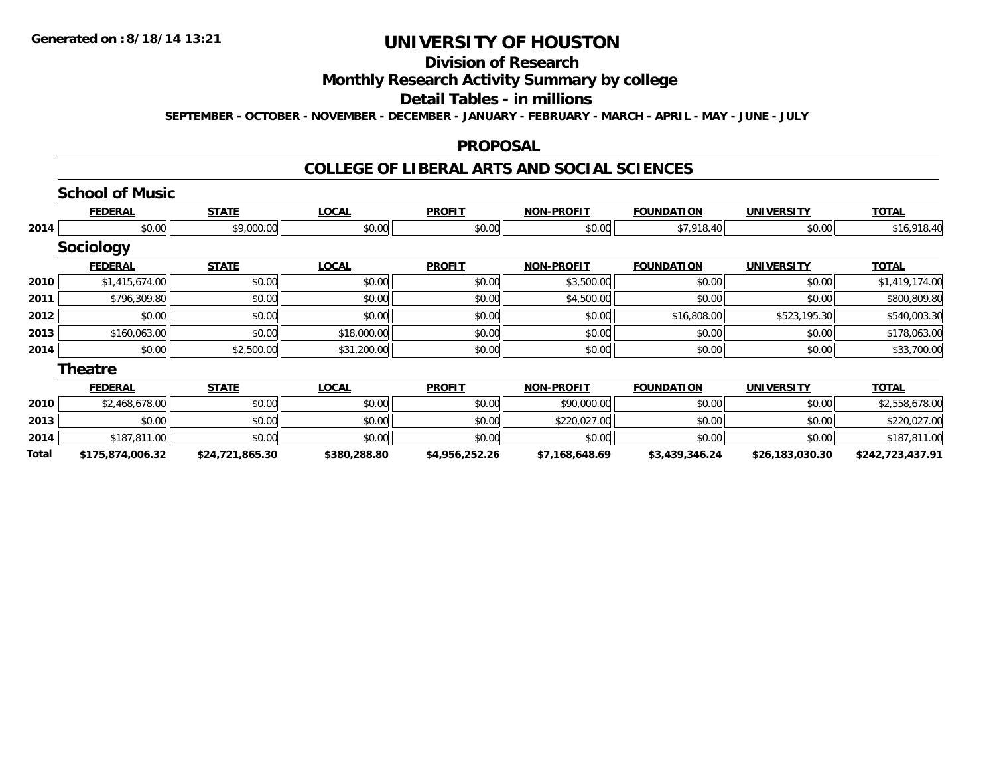**Total**

# **UNIVERSITY OF HOUSTON**

### **Division of Research**

#### **Monthly Research Activity Summary by college**

### **Detail Tables - in millions**

**SEPTEMBER - OCTOBER - NOVEMBER - DECEMBER - JANUARY - FEBRUARY - MARCH - APRIL - MAY - JUNE - JULY**

#### **PROPOSAL**

### **COLLEGE OF LIBERAL ARTS AND SOCIAL SCIENCES**

**\$175,874,006.32 \$24,721,865.30 \$380,288.80 \$4,956,252.26 \$7,168,648.69 \$3,439,346.24 \$26,183,030.30 \$242,723,437.91**

#### **School of Music FEDERAL STATE LOCAL PROFIT NON-PROFIT FOUNDATION UNIVERSITY TOTALTOTAL 2014**4 \$0.00 \$0.00 \$0.00 \$9,000.00 \$0.00 \$0.00 \$0.00 \$0.00 \$0.00 \$0.00 \$1,918.40 \$7,918.40 \$0.00 \$16,918.40 **Sociology FEDERAL STATE LOCAL PROFIT NON-PROFIT FOUNDATION UNIVERSITY TOTALTOTAL 2010** $\textsf{[0]} \quad \textsf{[0]} \quad \textsf{[0]} \quad \textsf{[1]} \quad \textsf{[0]} \quad \textsf{[1]} \quad \textsf{[0]} \quad \textsf{[0]} \quad \textsf{[0]} \quad \textsf{[0]} \quad \textsf{[0]} \quad \textsf{[0]} \quad \textsf{[0]} \quad \textsf{[0]} \quad \textsf{[0]} \quad \textsf{[0]} \quad \textsf{[0]} \quad \textsf{[1]} \quad \textsf{[1]} \quad \textsf{[1]} \quad \textsf{[1]} \quad \textsf{[1]} \quad \textsf{[1]} \quad \textsf{[1]} \quad \textsf{$ **2011**1 \$796,309.80| \$0.00| \$0.00| \$0.00| \$0.00| \$0.00| \$0.00| \$4,500.00| \$0.00| \$0.00| \$0.00| \$0.00| \$800,809.80 **2012**2 | \$0.00 | \$0.00 \$0.00 | \$0.00 | \$16,808.00 | \$523,195.30 | \$540,003.30 **2013** \$160,063.00 \$0.00 \$18,000.00 \$0.00 \$0.00 \$0.00 \$0.00 \$178,063.00 **2014**4 \$0.00 \$0.00 \$0.00 \$31,200.00 \$31,200.00 \$0.00 \$0.00 \$0.00 \$0.00 \$0.00 \$0.00 \$0.00 \$133,700.00 **TheatreFEDERAL STATE LOCAL PROFIT NON-PROFIT FOUNDATION UNIVERSITY TOTAL2010** \$2,468,678.00 \$0.00 \$0.00 \$0.00 \$90,000.00 \$0.00 \$0.00 \$2,558,678.00 **2013**3 | \$0.00| \$0.00| \$0.00| \$0.00| \$0.00| \$0.00| \$0.00| \$220,027.00| \$0.00| \$0.00| \$0.00| \$220,027.00 **2014**4 \$187,811.00 \$0.00 \$0.00 \$0.00 \$0.00 \$0.00 \$0.00 \$0.00 \$0.00 \$0.00 \$0.00 \$0.00 \$187,811.00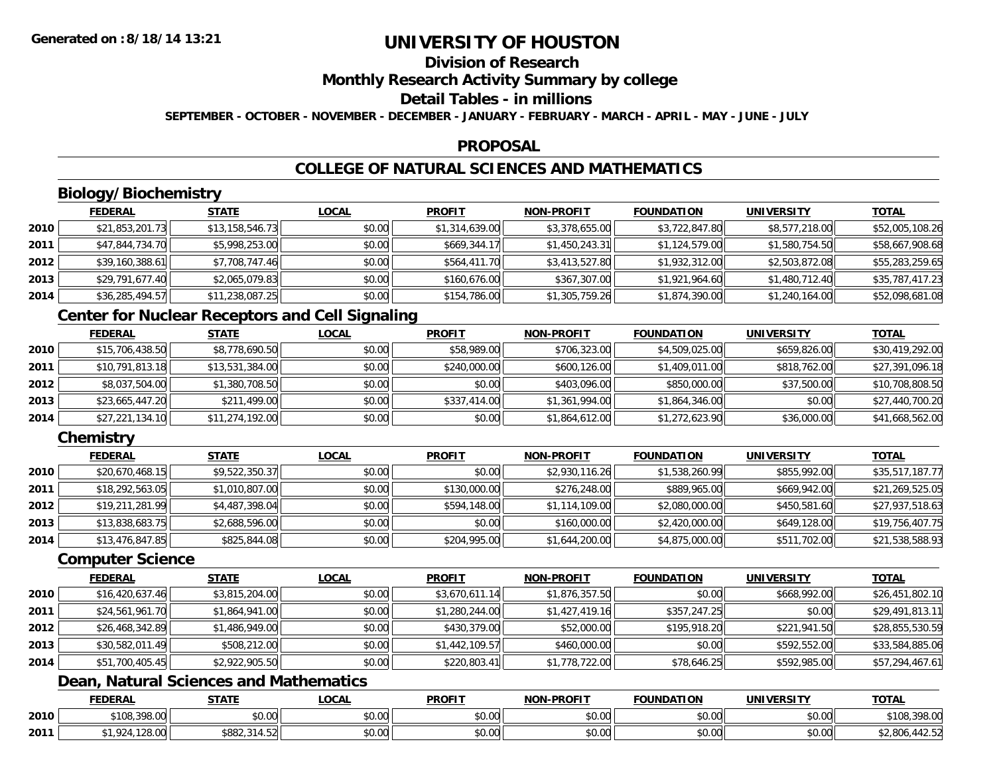## **Division of Research**

**Monthly Research Activity Summary by college**

#### **Detail Tables - in millions**

**SEPTEMBER - OCTOBER - NOVEMBER - DECEMBER - JANUARY - FEBRUARY - MARCH - APRIL - MAY - JUNE - JULY**

### **PROPOSAL**

# **COLLEGE OF NATURAL SCIENCES AND MATHEMATICS**

# **Biology/Biochemistry**

|      | <b>FEDERAL</b>  | <b>STATE</b>    | <b>LOCAL</b> | <b>PROFIT</b>  | <b>NON-PROFIT</b> | <b>FOUNDATION</b> | UNIVERSITY     | <u>TOTAL</u>    |
|------|-----------------|-----------------|--------------|----------------|-------------------|-------------------|----------------|-----------------|
| 2010 | \$21,853,201.73 | \$13,158,546.73 | \$0.00       | \$1,314,639.00 | \$3,378,655.00    | \$3,722,847.80    | \$8,577,218.00 | \$52,005,108.26 |
| 2011 | \$47,844,734.70 | \$5,998,253.00  | \$0.00       | \$669,344.17   | \$1,450,243.31    | \$1,124,579.00    | \$1,580,754.50 | \$58,667,908.68 |
| 2012 | \$39,160,388.61 | \$7,708,747.46  | \$0.00       | \$564,411.70   | \$3,413,527.80    | \$1,932,312.00    | \$2,503,872.08 | \$55,283,259.65 |
| 2013 | \$29,791,677.40 | \$2,065,079.83  | \$0.00       | \$160,676.00   | \$367,307.00      | \$1,921,964.60    | \$1,480,712.40 | \$35,787,417.23 |
| 2014 | \$36,285,494.57 | \$11,238,087.25 | \$0.00       | \$154,786.00   | \$1,305,759.26    | \$1,874,390.00    | \$1,240,164.00 | \$52,098,681.08 |

## **Center for Nuclear Receptors and Cell Signaling**

|      | <b>FEDERAL</b>  | <b>STATE</b>    | <b>LOCAL</b> | <b>PROFIT</b> | <b>NON-PROFIT</b> | <b>FOUNDATION</b> | <b>UNIVERSITY</b> | <b>TOTAL</b>    |
|------|-----------------|-----------------|--------------|---------------|-------------------|-------------------|-------------------|-----------------|
| 2010 | \$15,706,438.50 | \$8,778,690.50  | \$0.00       | \$58,989.00   | \$706,323.00      | \$4,509,025.00    | \$659,826.00      | \$30,419,292.00 |
| 2011 | \$10,791,813.18 | \$13,531,384.00 | \$0.00       | \$240,000.00  | \$600,126.00      | \$1,409,011.00    | \$818,762,00      | \$27,391,096.18 |
| 2012 | \$8,037,504.00  | \$1,380,708.50  | \$0.00       | \$0.00        | \$403,096.00      | \$850,000.00      | \$37,500.00       | \$10,708,808.50 |
| 2013 | \$23,665,447.20 | \$211,499.00    | \$0.00       | \$337,414.00  | \$1,361,994.00    | \$1,864,346.00    | \$0.00            | \$27,440,700.20 |
| 2014 | \$27,221,134.10 | \$11,274,192.00 | \$0.00       | \$0.00        | \$1,864,612.00    | \$1,272,623.90    | \$36,000.00       | \$41,668,562.00 |

## **Chemistry**

|      | <b>FEDERAL</b>  | <u>STATE</u>   | <b>LOCAL</b> | <b>PROFIT</b> | <b>NON-PROFIT</b> | <b>FOUNDATION</b> | <b>UNIVERSITY</b> | <b>TOTAL</b>    |
|------|-----------------|----------------|--------------|---------------|-------------------|-------------------|-------------------|-----------------|
| 2010 | \$20,670,468.15 | \$9,522,350.37 | \$0.00       | \$0.00        | \$2,930,116.26    | \$1,538,260.99    | \$855,992.00      | \$35,517,187.77 |
| 2011 | \$18,292,563.05 | \$1,010,807.00 | \$0.00       | \$130,000.00  | \$276,248.00      | \$889,965.00      | \$669,942.00      | \$21,269,525.05 |
| 2012 | \$19,211,281.99 | \$4,487,398.04 | \$0.00       | \$594,148.00  | \$1,114,109.00    | \$2,080,000.00    | \$450,581.60      | \$27,937,518.63 |
| 2013 | \$13,838,683.75 | \$2,688,596.00 | \$0.00       | \$0.00        | \$160,000.00      | \$2,420,000.00    | \$649,128.00      | \$19,756,407.75 |
| 2014 | \$13,476,847.85 | \$825,844.08   | \$0.00       | \$204,995.00  | \$1,644,200.00    | \$4,875,000.00    | \$511,702.00      | \$21,538,588.93 |

### **Computer Science**

|      | <b>FEDERAL</b>  | <b>STATE</b>   | <b>LOCAL</b> | <b>PROFIT</b>  | <b>NON-PROFIT</b> | <b>FOUNDATION</b> | UNIVERSITY   | <b>TOTAL</b>    |
|------|-----------------|----------------|--------------|----------------|-------------------|-------------------|--------------|-----------------|
| 2010 | \$16,420,637.46 | \$3,815,204.00 | \$0.00       | \$3,670,611.14 | \$1,876,357.50    | \$0.00            | \$668,992.00 | \$26,451,802.10 |
| 2011 | \$24,561,961.70 | \$1,864,941.00 | \$0.00       | \$1,280,244.00 | \$1,427,419.16    | \$357,247.25      | \$0.00       | \$29,491,813.11 |
| 2012 | \$26,468,342.89 | \$1,486,949.00 | \$0.00       | \$430,379.00   | \$52,000.00       | \$195,918.20      | \$221,941.50 | \$28,855,530.59 |
| 2013 | \$30,582,011.49 | \$508,212.00   | \$0.00       | \$1,442,109.57 | \$460,000.00      | \$0.00            | \$592,552.00 | \$33,584,885.06 |
| 2014 | \$51,700,405.45 | \$2,922,905.50 | \$0.00       | \$220,803.41   | \$1,778,722.00    | \$78,646.25       | \$592,985.00 | \$57,294,467.61 |

## **Dean, Natural Sciences and Mathematics**

|      | <b>FEDERAL</b>                          | STATI          | _OCAL                        | <b>PROFIT</b>  | <b>J-PROFIT</b><br><b>BIABLE</b> | <b>FOUNDATION</b> | UNIVERSITY | <b>TOTA</b>                                               |
|------|-----------------------------------------|----------------|------------------------------|----------------|----------------------------------|-------------------|------------|-----------------------------------------------------------|
| 2010 | $*100.200L$<br>$\sim$<br>39<br>0.370.UU | 0.000<br>vu.vu | $*$ $\circ$ $\circ$<br>vv.vv | 0000<br>DU.UU  | ሶስ ሰሰ<br>pu.uu                   | \$0.00            | \$0.00     | \$108.<br>200.00<br>.398.UU                               |
| 2011 | $\sim$<br>ZO.UU                         | \$882          | $\sim$<br>$\sim$<br>vv.vv    | ቀስ ሰስ<br>JU.UU | $\sim$ 00<br>JU.UU               | \$0.00            | \$0.00     | $\sim$<br>$\Omega$<br><sup>ہ م</sup> 80,0∪0,ے ب<br>142.JZ |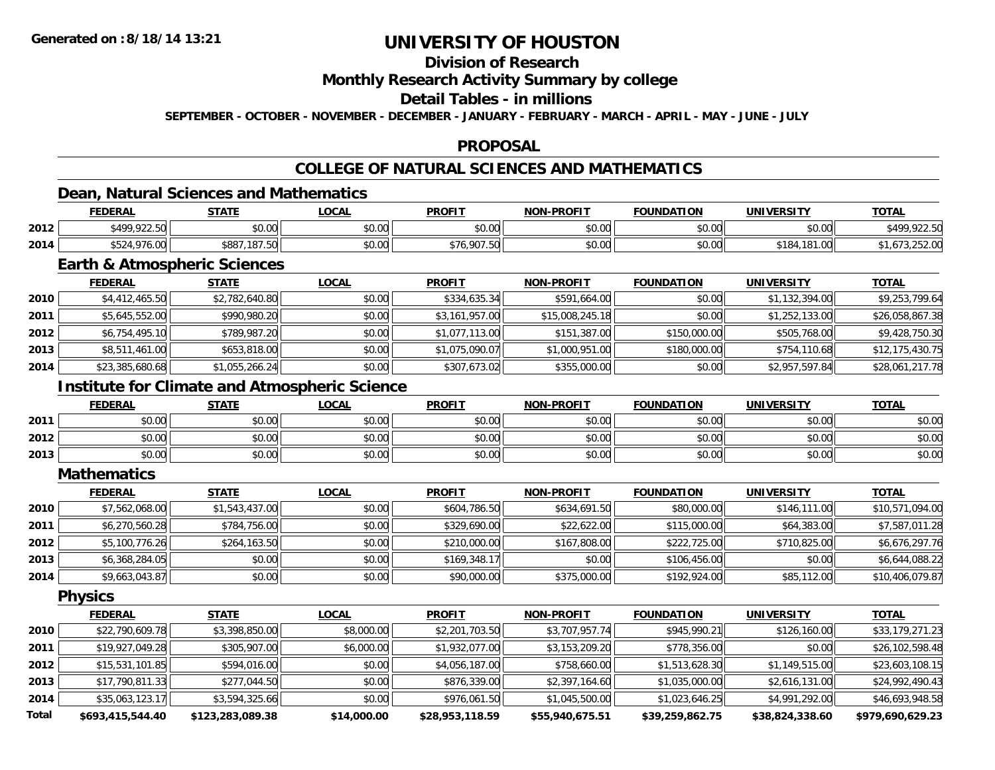# **Division of Research**

**Monthly Research Activity Summary by college**

#### **Detail Tables - in millions**

**SEPTEMBER - OCTOBER - NOVEMBER - DECEMBER - JANUARY - FEBRUARY - MARCH - APRIL - MAY - JUNE - JULY**

### **PROPOSAL**

## **COLLEGE OF NATURAL SCIENCES AND MATHEMATICS**

### **Dean, Natural Sciences and Mathematics**

|      | <b>FEDERAL</b>         | <b>STATE</b>             | .OCAL                               | <b>PROFIT</b>                                     | <b>NON-PROFIT</b> | <b>FOUNDATION</b> | <b>UNIVERSITY</b>            | <u>TOTAL</u> |
|------|------------------------|--------------------------|-------------------------------------|---------------------------------------------------|-------------------|-------------------|------------------------------|--------------|
| 2012 | <b>\$400,022.50</b>    | ደስ ሰስ<br>JU.UU           | $\theta$ $\theta$ $\theta$<br>pu.uu | $\mathsf{A}\cap\mathsf{A}\cap\mathsf{A}$<br>JU.UU | 0000<br>PO.OO     | \$0.00            | \$0.00                       | .100         |
| 2014 | $\sim$ $\sim$<br>70.UU | 107<br>\$887<br>UC. 10 L | $\circ$ $\circ$ $\circ$<br>DU.UU    | \$76,907.5u                                       | 0000<br>\$U.UU    | \$0.00            | \$184<br>$\cap$<br>L.UU<br>o | 2.12.01      |

### **Earth & Atmospheric Sciences**

|      | <b>FEDERAL</b>  | <b>STATE</b>   | <b>LOCAL</b> | <b>PROFIT</b>  | <b>NON-PROFIT</b> | <b>FOUNDATION</b> | <b>UNIVERSITY</b> | <b>TOTAL</b>    |
|------|-----------------|----------------|--------------|----------------|-------------------|-------------------|-------------------|-----------------|
| 2010 | \$4,412,465.50  | \$2,782,640.80 | \$0.00       | \$334,635.34   | \$591,664.00      | \$0.00            | \$1,132,394.00    | \$9,253,799.64  |
| 2011 | \$5,645,552.00  | \$990,980.20   | \$0.00       | \$3,161,957.00 | \$15,008,245.18   | \$0.00            | \$1,252,133.00    | \$26,058,867.38 |
| 2012 | \$6,754,495.10  | \$789,987.20   | \$0.00       | \$1,077,113.00 | \$151,387.00      | \$150,000.00      | \$505,768.00      | \$9,428,750.30  |
| 2013 | \$8,511,461.00  | \$653,818.00   | \$0.00       | \$1,075,090.07 | \$1,000,951.00    | \$180,000.00      | \$754,110.68      | \$12,175,430.75 |
| 2014 | \$23,385,680.68 | \$1,055,266.24 | \$0.00       | \$307,673.02   | \$355,000.00      | \$0.00            | \$2,957,597.84    | \$28,061,217.78 |

### **Institute for Climate and Atmospheric Science**

|      | <b>FEDERAL</b>            | <b>STATE</b>                                 | <b>LOCAL</b>   | <b>PROFIT</b>          | <b>NON-PROFIT</b> | <b>FOUNDATION</b> | <b>UNIVERSITY</b><br>13. J | <b>TOTAL</b> |
|------|---------------------------|----------------------------------------------|----------------|------------------------|-------------------|-------------------|----------------------------|--------------|
| 2011 | ٠n<br>₽U.UU               | ልስ ስስ<br>JU.UU                               | 0000<br>JU.UU  | JU.UU                  | \$0.00            | \$0.00            | \$0.00                     | \$0.00       |
| 2012 | ልስ ሰሰ<br>PU.UU            | $\mathfrak{c}\cap\mathfrak{a}\cap$<br>\$U.UU | 0000<br>DU.UU  | $\sim$ $\sim$<br>JU.UU | \$0.00            | \$0.00            | \$0.00                     | \$0.00       |
| 2013 | $\sim$<br>$\sim$<br>PU.UU | ልስ ስስ<br><b>JU.UU</b>                        | 0000<br>\$U.UU | <b>SU.UU</b>           | \$0.00            | \$0.00            | \$0.00                     | \$0.00       |

#### **Mathematics**

|      | <b>FEDERAL</b> | <b>STATE</b>   | <u>LOCAL</u> | <b>PROFIT</b> | NON-PROFIT   | <b>FOUNDATION</b> | <b>UNIVERSITY</b> | <b>TOTAL</b>    |
|------|----------------|----------------|--------------|---------------|--------------|-------------------|-------------------|-----------------|
| 2010 | \$7,562,068.00 | \$1,543,437.00 | \$0.00       | \$604,786.50  | \$634,691.50 | \$80,000.00       | \$146,111,00      | \$10,571,094.00 |
| 2011 | \$6,270,560.28 | \$784,756.00   | \$0.00       | \$329,690.00  | \$22,622.00  | \$115,000.00      | \$64,383.00       | \$7,587,011.28  |
| 2012 | \$5,100,776.26 | \$264,163.50   | \$0.00       | \$210,000.00  | \$167,808.00 | \$222,725.00      | \$710,825.00      | \$6,676,297.76  |
| 2013 | \$6,368,284.05 | \$0.00         | \$0.00       | \$169,348.17  | \$0.00       | \$106,456.00      | \$0.00            | \$6,644,088.22  |
| 2014 | \$9,663,043.87 | \$0.00         | \$0.00       | \$90,000.00   | \$375,000.00 | \$192,924.00      | \$85,112.00       | \$10,406,079.87 |

**Physics**

|              | <b>FEDERAL</b>   | <u>STATE</u>     | <u>LOCAL</u> | <b>PROFIT</b>   | <b>NON-PROFIT</b> | <b>FOUNDATION</b> | UNIVERSITY      | <b>TOTAL</b>     |
|--------------|------------------|------------------|--------------|-----------------|-------------------|-------------------|-----------------|------------------|
| 2010         | \$22,790,609.78  | \$3,398,850.00   | \$8,000.00   | \$2,201,703.50  | \$3,707,957.74    | \$945,990.21      | \$126,160.00    | \$33,179,271.23  |
| 2011         | \$19,927,049.28  | \$305,907.00     | \$6,000.00   | \$1,932,077.00  | \$3,153,209.20    | \$778,356.00      | \$0.00          | \$26,102,598.48  |
| 2012         | \$15,531,101.85  | \$594,016.00     | \$0.00       | \$4,056,187.00  | \$758,660.00      | \$1,513,628.30    | \$1,149,515.00  | \$23,603,108.15  |
| 2013         | \$17,790,811.33  | \$277,044.50     | \$0.00       | \$876,339.00    | \$2,397,164.60    | \$1,035,000.00    | \$2,616,131.00  | \$24,992,490.43  |
| 2014         | \$35,063,123.17  | \$3,594,325.66   | \$0.00       | \$976,061.50    | \$1,045,500.00    | \$1,023,646.25    | \$4,991,292.00  | \$46,693,948.58  |
| <b>Total</b> | \$693,415,544,40 | \$123,283,089.38 | \$14,000.00  | \$28,953,118.59 | \$55,940,675.51   | \$39,259,862.75   | \$38,824,338.60 | \$979.690.629.23 |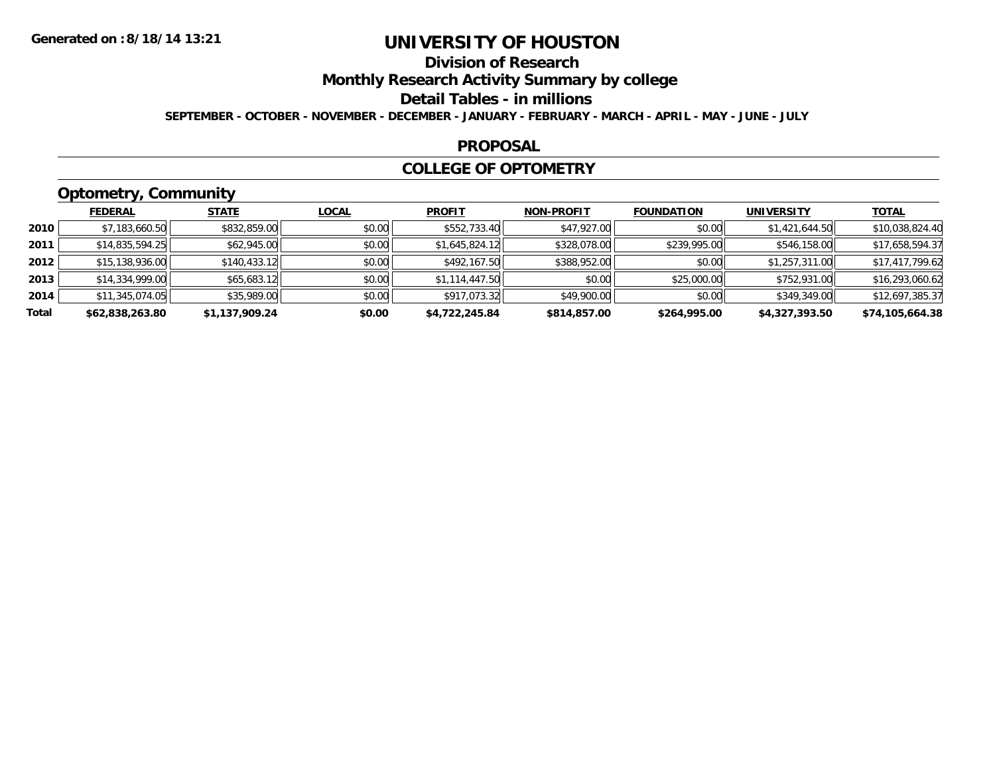# **Division of Research**

**Monthly Research Activity Summary by college**

**Detail Tables - in millions**

**SEPTEMBER - OCTOBER - NOVEMBER - DECEMBER - JANUARY - FEBRUARY - MARCH - APRIL - MAY - JUNE - JULY**

#### **PROPOSAL**

### **COLLEGE OF OPTOMETRY**

# **Optometry, Community**

|       | ___             |                |              |                |                   |                   |                   |                 |
|-------|-----------------|----------------|--------------|----------------|-------------------|-------------------|-------------------|-----------------|
|       | <b>FEDERAL</b>  | <b>STATE</b>   | <b>LOCAL</b> | <b>PROFIT</b>  | <b>NON-PROFIT</b> | <b>FOUNDATION</b> | <b>UNIVERSITY</b> | <u>TOTAL</u>    |
| 2010  | \$7,183,660.50  | \$832,859.00   | \$0.00       | \$552,733.40   | \$47,927.00       | \$0.00            | \$1,421,644.50    | \$10,038,824.40 |
| 2011  | \$14,835,594.25 | \$62,945.00    | \$0.00       | \$1,645,824.12 | \$328,078.00      | \$239,995.00      | \$546,158.00      | \$17,658,594.37 |
| 2012  | \$15,138,936.00 | \$140,433.12   | \$0.00       | \$492,167.50   | \$388,952.00      | \$0.00            | \$1,257,311.00    | \$17,417,799.62 |
| 2013  | \$14,334,999.00 | \$65,683.12    | \$0.00       | \$1,114,447.50 | \$0.00            | \$25,000.00       | \$752,931.00      | \$16,293,060.62 |
| 2014  | \$11,345,074.05 | \$35,989.00    | \$0.00       | \$917,073.32   | \$49,900.00       | \$0.00            | \$349,349.00      | \$12,697,385.37 |
| Total | \$62,838,263.80 | \$1,137,909.24 | \$0.00       | \$4,722,245.84 | \$814,857.00      | \$264,995.00      | \$4,327,393.50    | \$74,105,664.38 |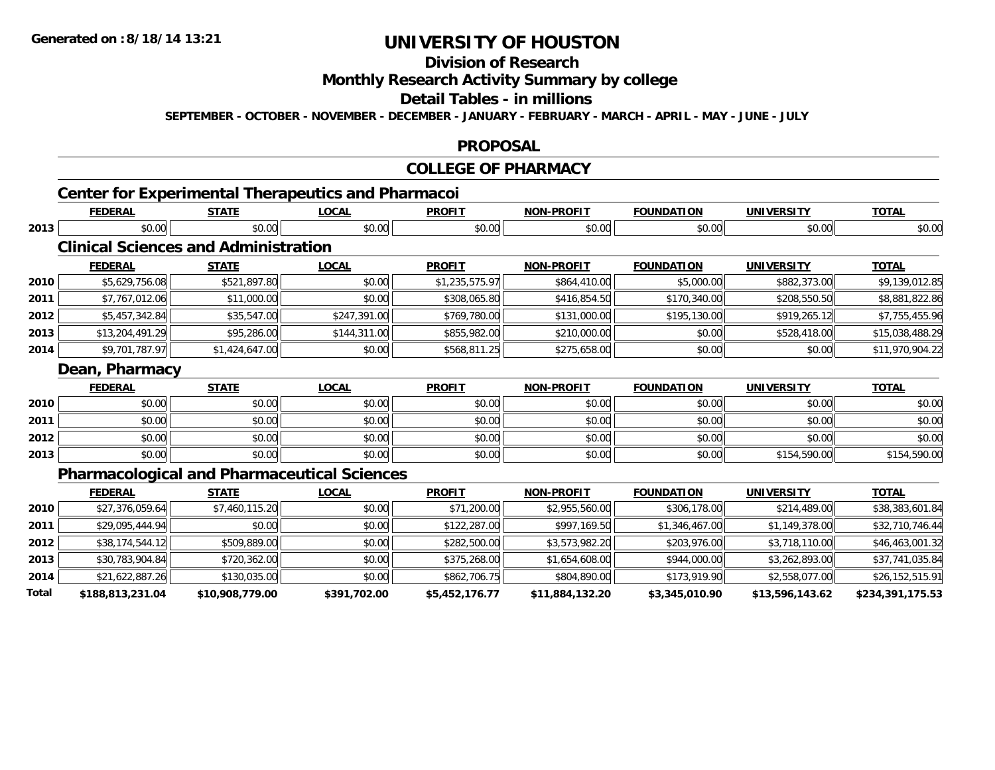**Total**

# **UNIVERSITY OF HOUSTON**

# **Division of Research**

**Monthly Research Activity Summary by college**

### **Detail Tables - in millions**

**SEPTEMBER - OCTOBER - NOVEMBER - DECEMBER - JANUARY - FEBRUARY - MARCH - APRIL - MAY - JUNE - JULY**

### **PROPOSAL**

## **COLLEGE OF PHARMACY**

# **Center for Experimental Therapeutics and Pharmacoi**

|      | <b>FEDERAL</b>                              | <b>STATE</b>   | <b>LOCAL</b>                                       | <b>PROFIT</b>  | <b>NON-PROFIT</b> | <b>FOUNDATION</b> | <b>UNIVERSITY</b> | <b>TOTAL</b>    |
|------|---------------------------------------------|----------------|----------------------------------------------------|----------------|-------------------|-------------------|-------------------|-----------------|
| 2013 | \$0.00                                      | \$0.00         | \$0.00                                             | \$0.00         | \$0.00            | \$0.00            | \$0.00            | \$0.00          |
|      | <b>Clinical Sciences and Administration</b> |                |                                                    |                |                   |                   |                   |                 |
|      | <b>FEDERAL</b>                              | <b>STATE</b>   | <b>LOCAL</b>                                       | <b>PROFIT</b>  | <b>NON-PROFIT</b> | <b>FOUNDATION</b> | <b>UNIVERSITY</b> | <b>TOTAL</b>    |
| 2010 | \$5,629,756.08                              | \$521,897.80   | \$0.00                                             | \$1,235,575.97 | \$864,410.00      | \$5,000.00        | \$882,373.00      | \$9,139,012.85  |
| 2011 | \$7,767,012.06                              | \$11,000.00    | \$0.00                                             | \$308,065.80   | \$416,854.50      | \$170,340.00      | \$208,550.50      | \$8,881,822.86  |
| 2012 | \$5,457,342.84                              | \$35,547.00    | \$247,391.00                                       | \$769,780.00   | \$131,000.00      | \$195,130.00      | \$919,265.12      | \$7,755,455.96  |
| 2013 | \$13,204,491.29                             | \$95,286.00    | \$144,311.00                                       | \$855,982.00   | \$210,000.00      | \$0.00            | \$528,418.00      | \$15,038,488.29 |
| 2014 | \$9,701,787.97                              | \$1,424,647.00 | \$0.00                                             | \$568,811.25   | \$275,658.00      | \$0.00            | \$0.00            | \$11,970,904.22 |
|      | Dean, Pharmacy                              |                |                                                    |                |                   |                   |                   |                 |
|      | <b>FEDERAL</b>                              | <b>STATE</b>   | <b>LOCAL</b>                                       | <b>PROFIT</b>  | <b>NON-PROFIT</b> | <b>FOUNDATION</b> | <b>UNIVERSITY</b> | <b>TOTAL</b>    |
| 2010 | \$0.00                                      | \$0.00         | \$0.00                                             | \$0.00         | \$0.00            | \$0.00            | \$0.00            | \$0.00          |
| 2011 | \$0.00                                      | \$0.00         | \$0.00                                             | \$0.00         | \$0.00            | \$0.00            | \$0.00            | \$0.00          |
| 2012 | \$0.00                                      | \$0.00         | \$0.00                                             | \$0.00         | \$0.00            | \$0.00            | \$0.00            | \$0.00          |
| 2013 | \$0.00                                      | \$0.00         | \$0.00                                             | \$0.00         | \$0.00            | \$0.00            | \$154,590.00      | \$154,590.00    |
|      |                                             |                | <b>Pharmacological and Pharmaceutical Sciences</b> |                |                   |                   |                   |                 |
|      | <b>FEDERAL</b>                              | <b>STATE</b>   | <b>LOCAL</b>                                       | <b>PROFIT</b>  | <b>NON-PROFIT</b> | <b>FOUNDATION</b> | <b>UNIVERSITY</b> | <b>TOTAL</b>    |
| 2010 | \$27,376,059.64                             | \$7,460,115.20 | \$0.00                                             | \$71,200.00    | \$2,955,560.00    | \$306,178.00      | \$214,489.00      | \$38,383,601.84 |
| 2011 | \$29,095,444.94                             | \$0.00         | \$0.00                                             | \$122,287.00   | \$997,169.50      | \$1,346,467.00    | \$1,149,378.00    | \$32,710,746.44 |
| 2012 | \$38,174,544.12                             | \$509,889.00   | \$0.00                                             | \$282,500.00   | \$3,573,982.20    | \$203,976.00      | \$3,718,110.00    | \$46,463,001.32 |
| 2013 | \$30,783,904.84                             | \$720,362.00   | \$0.00                                             | \$375,268.00   | \$1,654,608.00    | \$944,000.00      | \$3,262,893.00    | \$37,741,035.84 |
| 2014 | \$21,622,887.26                             | \$130,035.00   | \$0.00                                             | \$862,706.75   | \$804,890.00      | \$173,919.90      | \$2,558,077.00    | \$26,152,515.91 |

**\$188,813,231.04 \$10,908,779.00 \$391,702.00 \$5,452,176.77 \$11,884,132.20 \$3,345,010.90 \$13,596,143.62 \$234,391,175.53**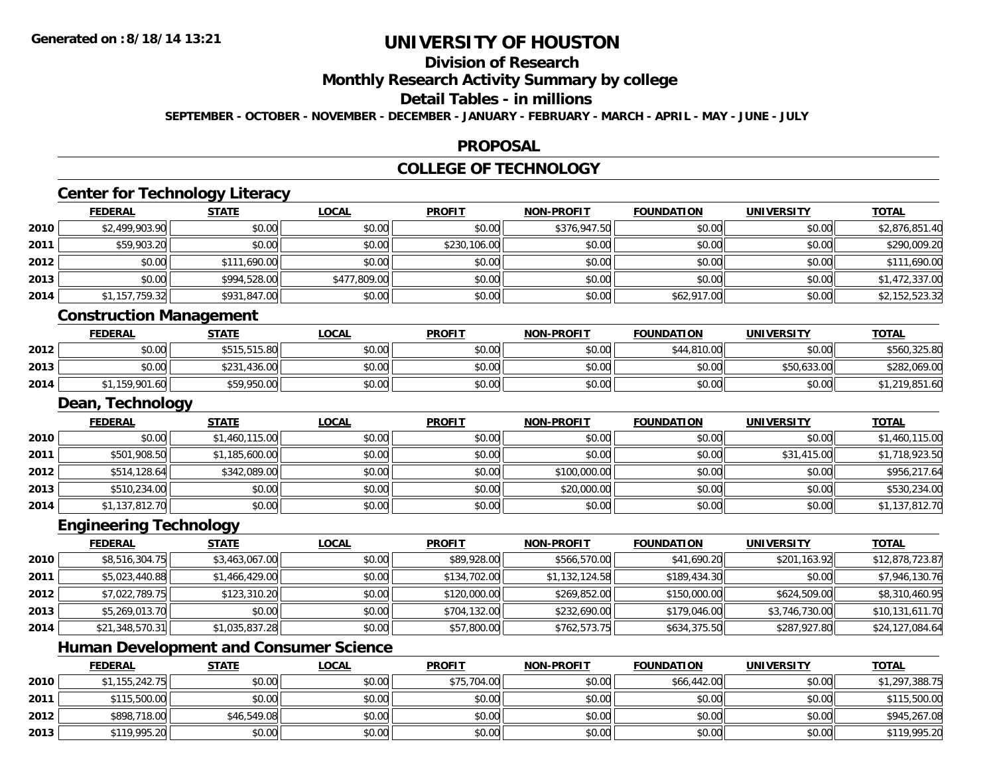**2012**

**2013**

# **UNIVERSITY OF HOUSTON**

# **Division of Research**

**Monthly Research Activity Summary by college**

#### **Detail Tables - in millions**

**SEPTEMBER - OCTOBER - NOVEMBER - DECEMBER - JANUARY - FEBRUARY - MARCH - APRIL - MAY - JUNE - JULY**

### **PROPOSAL**

# **COLLEGE OF TECHNOLOGY**

|      | <b>FEDERAL</b>                                | <b>STATE</b>   | <b>LOCAL</b> | <b>PROFIT</b> | <b>NON-PROFIT</b> | <b>FOUNDATION</b> | <b>UNIVERSITY</b> | <b>TOTAL</b>    |
|------|-----------------------------------------------|----------------|--------------|---------------|-------------------|-------------------|-------------------|-----------------|
| 2010 | \$2,499,903.90                                | \$0.00         | \$0.00       | \$0.00        | \$376,947.50      | \$0.00            | \$0.00            | \$2,876,851.40  |
| 2011 | \$59,903.20                                   | \$0.00         | \$0.00       | \$230,106.00  | \$0.00            | \$0.00            | \$0.00            | \$290,009.20    |
| 2012 | \$0.00                                        | \$111,690.00   | \$0.00       | \$0.00        | \$0.00            | \$0.00            | \$0.00            | \$111,690.00    |
| 2013 | \$0.00                                        | \$994,528.00   | \$477,809.00 | \$0.00        | \$0.00            | \$0.00            | \$0.00            | \$1,472,337.00  |
| 2014 | \$1,157,759.32                                | \$931,847.00   | \$0.00       | \$0.00        | \$0.00            | \$62,917.00       | \$0.00            | \$2,152,523.32  |
|      | <b>Construction Management</b>                |                |              |               |                   |                   |                   |                 |
|      | <b>FEDERAL</b>                                | <b>STATE</b>   | <b>LOCAL</b> | <b>PROFIT</b> | <b>NON-PROFIT</b> | <b>FOUNDATION</b> | <b>UNIVERSITY</b> | <b>TOTAL</b>    |
| 2012 | \$0.00                                        | \$515,515.80   | \$0.00       | \$0.00        | \$0.00            | \$44,810.00       | \$0.00            | \$560,325.80    |
| 2013 | \$0.00                                        | \$231,436.00   | \$0.00       | \$0.00        | \$0.00            | \$0.00            | \$50,633.00       | \$282,069.00    |
| 2014 | \$1,159,901.60                                | \$59,950.00    | \$0.00       | \$0.00        | \$0.00            | \$0.00            | \$0.00            | \$1,219,851.60  |
|      | Dean, Technology                              |                |              |               |                   |                   |                   |                 |
|      | <b>FEDERAL</b>                                | <b>STATE</b>   | <b>LOCAL</b> | <b>PROFIT</b> | <b>NON-PROFIT</b> | <b>FOUNDATION</b> | <b>UNIVERSITY</b> | <b>TOTAL</b>    |
| 2010 | \$0.00                                        | \$1,460,115.00 | \$0.00       | \$0.00        | \$0.00            | \$0.00            | \$0.00            | \$1,460,115.00  |
| 2011 | \$501,908.50                                  | \$1,185,600.00 | \$0.00       | \$0.00        | \$0.00            | \$0.00            | \$31,415.00       | \$1,718,923.50  |
| 2012 | \$514,128.64                                  | \$342,089.00   | \$0.00       | \$0.00        | \$100,000.00      | \$0.00            | \$0.00            | \$956,217.64    |
| 2013 | \$510,234.00                                  | \$0.00         | \$0.00       | \$0.00        | \$20,000.00       | \$0.00            | \$0.00            | \$530,234.00    |
| 2014 | \$1,137,812.70                                | \$0.00         | \$0.00       | \$0.00        | \$0.00            | \$0.00            | \$0.00            | \$1,137,812.70  |
|      | <b>Engineering Technology</b>                 |                |              |               |                   |                   |                   |                 |
|      | <b>FEDERAL</b>                                | <b>STATE</b>   | <b>LOCAL</b> | <b>PROFIT</b> | <b>NON-PROFIT</b> | <b>FOUNDATION</b> | <b>UNIVERSITY</b> | <b>TOTAL</b>    |
| 2010 | \$8,516,304.75                                | \$3,463,067.00 | \$0.00       | \$89,928.00   | \$566,570.00      | \$41,690.20       | \$201,163.92      | \$12,878,723.87 |
| 2011 | \$5,023,440.88                                | \$1,466,429.00 | \$0.00       | \$134,702.00  | \$1,132,124.58    | \$189,434.30      | \$0.00            | \$7,946,130.76  |
| 2012 | \$7,022,789.75                                | \$123,310.20   | \$0.00       | \$120,000.00  | \$269,852.00      | \$150,000.00      | \$624,509.00      | \$8,310,460.95  |
| 2013 | \$5,269,013.70                                | \$0.00         | \$0.00       | \$704,132.00  | \$232,690.00      | \$179,046.00      | \$3,746,730.00    | \$10,131,611.70 |
| 2014 | \$21,348,570.31                               | \$1,035,837.28 | \$0.00       | \$57,800.00   | \$762,573.75      | \$634,375.50      | \$287,927.80      | \$24,127,084.64 |
|      | <b>Human Development and Consumer Science</b> |                |              |               |                   |                   |                   |                 |
|      | <b>FEDERAL</b>                                | <b>STATE</b>   | <b>LOCAL</b> | <b>PROFIT</b> | <b>NON-PROFIT</b> | <b>FOUNDATION</b> | <b>UNIVERSITY</b> | <b>TOTAL</b>    |
| 2010 | \$1,155,242.75                                | \$0.00         | \$0.00       | \$75,704.00   | \$0.00            | \$66,442.00       | \$0.00            | \$1,297,388.75  |
| 2011 | \$115,500.00                                  | \$0.00         | \$0.00       | \$0.00        | \$0.00            | \$0.00            | \$0.00            | \$115,500.00    |

2 | \$898,718.00|| \$46,549.08|| \$0.00|| \$0.00|| \$0.00|| \$0.00|| \$0.00|| \$0.00|| \$0.00|| \$0.00|| \$945,267.08

\$119,995.20 \$0.00 \$0.00 \$0.00 \$0.00 \$0.00 \$0.00 \$119,995.20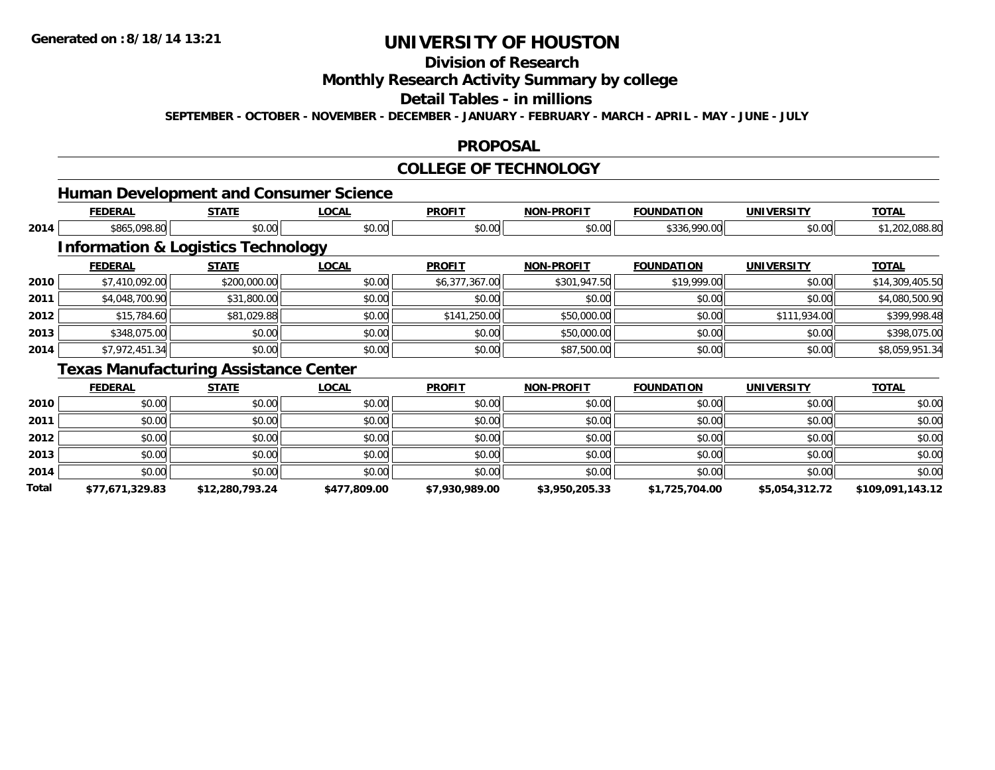# **Division of Research**

**Monthly Research Activity Summary by college**

#### **Detail Tables - in millions**

**SEPTEMBER - OCTOBER - NOVEMBER - DECEMBER - JANUARY - FEBRUARY - MARCH - APRIL - MAY - JUNE - JULY**

### **PROPOSAL**

### **COLLEGE OF TECHNOLOGY**

### **Human Development and Consumer Science**

|      | <b>FEDERAL</b> | <b>STATE</b>                                  | <b>LOCAL</b>  | <b>PROFIT</b>  | <b>NON-PROFIT</b> | <b>FOUNDATION</b> | <b>UNIVERSITY</b> | <b>TOTAL</b>    |
|------|----------------|-----------------------------------------------|---------------|----------------|-------------------|-------------------|-------------------|-----------------|
| 2014 | \$865,098.80   | \$0.00                                        | \$0.00        | \$0.00         | \$0.00            | \$336,990.00      | \$0.00            | \$1,202,088.80  |
|      |                | <b>Information &amp; Logistics Technology</b> |               |                |                   |                   |                   |                 |
|      | <b>FEDERAL</b> | <b>STATE</b>                                  | <b>LOCAL</b>  | <b>PROFIT</b>  | <b>NON-PROFIT</b> | <b>FOUNDATION</b> | <b>UNIVERSITY</b> | <b>TOTAL</b>    |
| 2010 | \$7,410,092.00 | \$200,000.00                                  | \$0.00        | \$6,377,367.00 | \$301,947.50      | \$19,999.00       | \$0.00            | \$14,309,405.50 |
| 2011 | \$4,048,700.90 | \$31,800.00                                   | \$0.00        | \$0.00         | \$0.00            | \$0.00            | \$0.00            | \$4,080,500.90  |
| 2012 | \$15,784.60    | \$81,029.88                                   | \$0.00        | \$141,250.00   | \$50,000.00       | \$0.00            | \$111,934.00      | \$399,998.48    |
| 2013 | \$348,075.00   | \$0.00                                        | \$0.00        | \$0.00         | \$50,000.00       | \$0.00            | \$0.00            | \$398,075.00    |
| 2014 | \$7,972,451.34 | \$0.00                                        | \$0.00        | \$0.00         | \$87,500.00       | \$0.00            | \$0.00            | \$8,059,951.34  |
|      | . .<br>.       | . .                                           | $\sim$ $\sim$ |                |                   |                   |                   |                 |

#### **Texas Manufacturing Assistance Center**

|       | <b>FEDERAL</b>  | <b>STATE</b>    | <b>LOCAL</b> | <b>PROFIT</b>  | <b>NON-PROFIT</b> | <b>FOUNDATION</b> | <b>UNIVERSITY</b> | <b>TOTAL</b>     |
|-------|-----------------|-----------------|--------------|----------------|-------------------|-------------------|-------------------|------------------|
| 2010  | \$0.00          | \$0.00          | \$0.00       | \$0.00         | \$0.00            | \$0.00            | \$0.00            | \$0.00           |
| 2011  | \$0.00          | \$0.00          | \$0.00       | \$0.00         | \$0.00            | \$0.00            | \$0.00            | \$0.00           |
| 2012  | \$0.00          | \$0.00          | \$0.00       | \$0.00         | \$0.00            | \$0.00            | \$0.00            | \$0.00           |
| 2013  | \$0.00          | \$0.00          | \$0.00       | \$0.00         | \$0.00            | \$0.00            | \$0.00            | \$0.00           |
| 2014  | \$0.00          | \$0.00          | \$0.00       | \$0.00         | \$0.00            | \$0.00            | \$0.00            | \$0.00           |
| Total | \$77,671,329.83 | \$12,280,793.24 | \$477,809.00 | \$7,930,989.00 | \$3,950,205.33    | \$1,725,704.00    | \$5,054,312.72    | \$109,091,143.12 |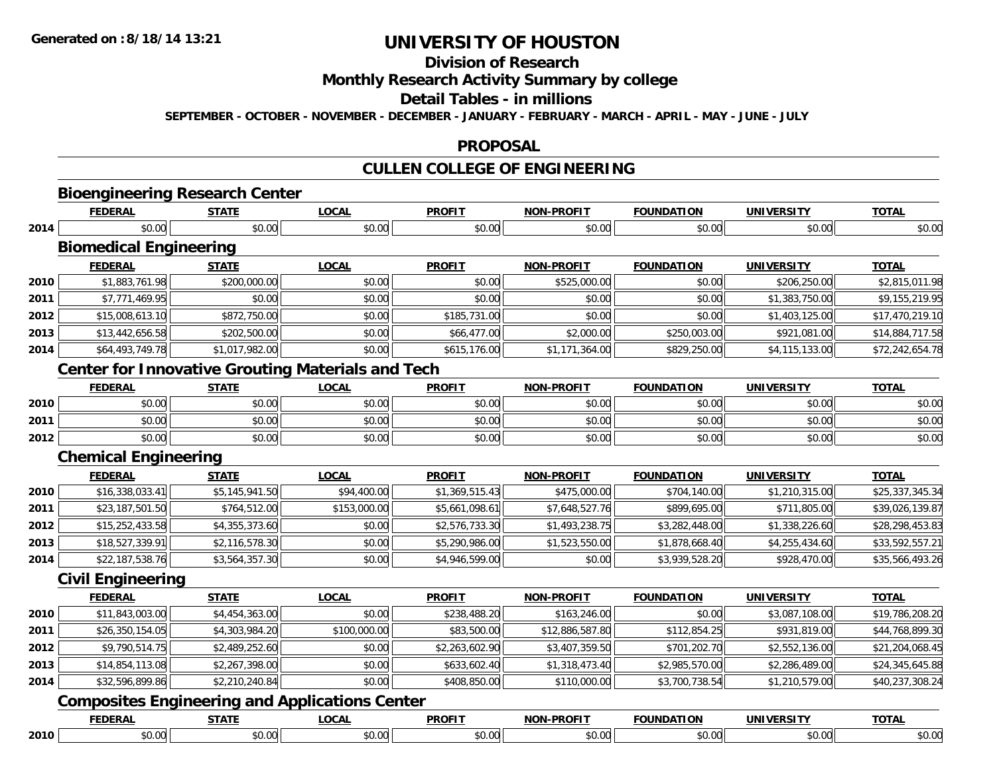# **Division of Research**

**Monthly Research Activity Summary by college**

### **Detail Tables - in millions**

**SEPTEMBER - OCTOBER - NOVEMBER - DECEMBER - JANUARY - FEBRUARY - MARCH - APRIL - MAY - JUNE - JULY**

### **PROPOSAL**

# **CULLEN COLLEGE OF ENGINEERING**

# **Bioengineering Research Center**

|      | <b>FEDERAL</b>                | <b>STATE</b>   | LOCAL        | <b>PROFIT</b> | <b>NON-PROFIT</b> | <b>FOUNDATION</b> | UNIVERSITY        | <u>TOTAL</u>    |
|------|-------------------------------|----------------|--------------|---------------|-------------------|-------------------|-------------------|-----------------|
| 2014 | \$0.00                        | \$0.00         | \$0.00       | \$0.00        | \$0.00            | \$0.00            | \$0.00            | \$0.00          |
|      | <b>Biomedical Engineering</b> |                |              |               |                   |                   |                   |                 |
|      | <b>FEDERAL</b>                | <b>STATE</b>   | <b>LOCAL</b> | <b>PROFIT</b> | <b>NON-PROFIT</b> | <b>FOUNDATION</b> | <b>UNIVERSITY</b> | <b>TOTAL</b>    |
| 2010 | \$1,883,761.98                | \$200,000.00   | \$0.00       | \$0.00        | \$525,000.00      | \$0.00            | \$206,250.00      | \$2,815,011.98  |
| 2011 | \$7,771,469.95                | \$0.00         | \$0.00       | \$0.00        | \$0.00            | \$0.00            | \$1,383,750.00    | \$9,155,219.95  |
| 2012 | \$15,008,613.10               | \$872,750.00   | \$0.00       | \$185,731.00  | \$0.00            | \$0.00            | \$1,403,125.00    | \$17,470,219.10 |
| 2013 | \$13,442,656.58               | \$202,500.00   | \$0.00       | \$66,477.00   | \$2,000.00        | \$250,003.00      | \$921,081.00      | \$14,884,717.58 |
| 2014 | \$64,493,749.78               | \$1,017,982.00 | \$0.00       | \$615,176.00  | \$1,171,364.00    | \$829,250.00      | \$4,115,133.00    | \$72,242,654.78 |

### **Center for Innovative Grouting Materials and Tech**

|      | FEDERAL        | STATE  | <b>LOCAL</b>           | <b>PROFIT</b> | <b>NON-PROFIT</b> | <b>FOUNDATION</b> | UNIVERSITY<br>-133 | <b>TOTAL</b> |
|------|----------------|--------|------------------------|---------------|-------------------|-------------------|--------------------|--------------|
| 2010 | \$0.00         | \$0.00 | $\sim$ $\sim$<br>vu.vu | \$0.00        | \$0.00            | \$0.00            | \$0.00             | \$0.00       |
| 2011 | \$0.00         | \$0.00 | PO.OO                  | \$0.00        | \$0.00            | \$0.00            | \$0.00             | \$0.00       |
| 2012 | ስስ ስስ<br>DU.UG | \$0.00 | <b>JU.UU</b>           | \$0.00        | \$0.00            | \$0.00            | \$0.00             | \$0.00       |

### **Chemical Engineering**

|      | <b>FEDERAL</b>  | <b>STATE</b>   | <u>LOCAL</u> | <b>PROFIT</b>  | <b>NON-PROFIT</b> | <b>FOUNDATION</b> | <b>UNIVERSITY</b> | <b>TOTAL</b>    |
|------|-----------------|----------------|--------------|----------------|-------------------|-------------------|-------------------|-----------------|
| 2010 | \$16,338,033.41 | \$5,145,941.50 | \$94,400.00  | \$1,369,515.43 | \$475,000.00      | \$704,140.00      | \$1,210,315.00    | \$25,337,345.34 |
| 2011 | \$23,187,501.50 | \$764,512.00   | \$153,000.00 | \$5,661,098.61 | \$7,648,527.76    | \$899,695.00      | \$711,805.00      | \$39,026,139.87 |
| 2012 | \$15,252,433.58 | \$4,355,373.60 | \$0.00       | \$2,576,733.30 | \$1,493,238.75    | \$3,282,448.00    | \$1,338,226.60    | \$28,298,453.83 |
| 2013 | \$18,527,339.91 | \$2,116,578.30 | \$0.00       | \$5,290,986.00 | \$1,523,550.00    | \$1,878,668.40    | \$4,255,434.60    | \$33,592,557.21 |
| 2014 | \$22,187,538.76 | \$3,564,357.30 | \$0.00       | \$4,946,599.00 | \$0.00            | \$3,939,528.20    | \$928,470.00      | \$35,566,493.26 |

### **Civil Engineering**

|      | <b>FEDERAL</b>  | <b>STATE</b>   | LOCAL        | <b>PROFIT</b>  | <b>NON-PROFIT</b> | <b>FOUNDATION</b> | <b>UNIVERSITY</b> | <b>TOTAL</b>    |
|------|-----------------|----------------|--------------|----------------|-------------------|-------------------|-------------------|-----------------|
| 2010 | \$11,843,003.00 | \$4,454,363.00 | \$0.00       | \$238,488.20   | \$163,246.00      | \$0.00            | \$3,087,108.00    | \$19,786,208.20 |
| 2011 | \$26,350,154.05 | \$4,303,984.20 | \$100,000.00 | \$83,500.00    | \$12,886,587.80   | \$112,854.25      | \$931,819.00      | \$44,768,899.30 |
| 2012 | \$9,790,514.75  | \$2,489,252.60 | \$0.00       | \$2,263,602.90 | \$3,407,359.50    | \$701,202.70      | \$2,552,136.00    | \$21,204,068.45 |
| 2013 | \$14,854,113.08 | \$2,267,398.00 | \$0.00       | \$633,602.40   | \$1,318,473.40    | \$2,985,570.00    | \$2,286,489.00    | \$24,345,645.88 |
| 2014 | \$32,596,899.86 | \$2,210,240.84 | \$0.00       | \$408,850.00   | \$110,000.00      | \$3,700,738.54    | \$1,210,579.00    | \$40,237,308.24 |

### **Composites Engineering and Applications Center**

|      |               | -----       | 00N          | <b>DDAEL1</b>    |   | <b>MINIT</b> | INII      | <b>TOTAL</b> |
|------|---------------|-------------|--------------|------------------|---|--------------|-----------|--------------|
| 2010 | $\sim$ $\sim$ | .<br>,,,,,, | $\sim$<br>wu | $\sim$ 00<br>w.w | . | $\hat{v}$    | $\sim$ 00 | ,,,,         |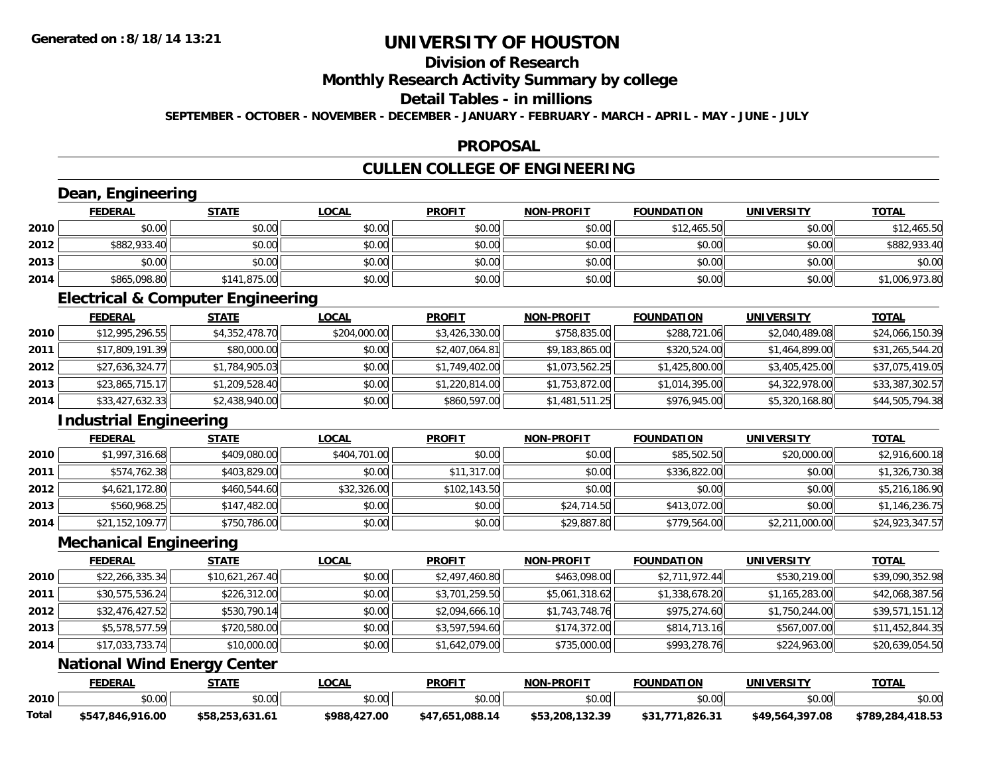# **Division of Research**

**Monthly Research Activity Summary by college**

**Detail Tables - in millions**

**SEPTEMBER - OCTOBER - NOVEMBER - DECEMBER - JANUARY - FEBRUARY - MARCH - APRIL - MAY - JUNE - JULY**

### **PROPOSAL**

## **CULLEN COLLEGE OF ENGINEERING**

|       | Dean, Engineering                            |                 |              |                 |                   |                   |                   |                  |
|-------|----------------------------------------------|-----------------|--------------|-----------------|-------------------|-------------------|-------------------|------------------|
|       | <b>FEDERAL</b>                               | <b>STATE</b>    | <b>LOCAL</b> | <b>PROFIT</b>   | <b>NON-PROFIT</b> | <b>FOUNDATION</b> | <b>UNIVERSITY</b> | <b>TOTAL</b>     |
| 2010  | \$0.00                                       | \$0.00          | \$0.00       | \$0.00          | \$0.00            | \$12,465.50       | \$0.00            | \$12,465.50      |
| 2012  | \$882,933.40                                 | \$0.00          | \$0.00       | \$0.00          | \$0.00            | \$0.00            | \$0.00            | \$882,933.40     |
| 2013  | \$0.00                                       | \$0.00          | \$0.00       | \$0.00          | \$0.00            | \$0.00            | \$0.00            | \$0.00           |
| 2014  | \$865,098.80                                 | \$141,875.00    | \$0.00       | \$0.00          | \$0.00            | \$0.00            | \$0.00            | \$1,006,973.80   |
|       | <b>Electrical &amp; Computer Engineering</b> |                 |              |                 |                   |                   |                   |                  |
|       | <b>FEDERAL</b>                               | <b>STATE</b>    | <b>LOCAL</b> | <b>PROFIT</b>   | <b>NON-PROFIT</b> | <b>FOUNDATION</b> | <b>UNIVERSITY</b> | <b>TOTAL</b>     |
| 2010  | \$12,995,296.55                              | \$4,352,478.70  | \$204,000.00 | \$3,426,330.00  | \$758,835.00      | \$288,721.06      | \$2,040,489.08    | \$24,066,150.39  |
| 2011  | \$17,809,191.39                              | \$80,000.00     | \$0.00       | \$2,407,064.81  | \$9,183,865.00    | \$320,524.00      | \$1,464,899.00    | \$31,265,544.20  |
| 2012  | \$27,636,324.77                              | \$1,784,905.03  | \$0.00       | \$1,749,402.00  | \$1,073,562.25    | \$1,425,800.00    | \$3,405,425.00    | \$37,075,419.05  |
| 2013  | \$23,865,715.17                              | \$1,209,528.40  | \$0.00       | \$1,220,814.00  | \$1,753,872.00    | \$1,014,395.00    | \$4,322,978.00    | \$33,387,302.57  |
| 2014  | \$33,427,632.33                              | \$2,438,940.00  | \$0.00       | \$860,597.00    | \$1,481,511.25    | \$976,945.00      | \$5,320,168.80    | \$44,505,794.38  |
|       | <b>Industrial Engineering</b>                |                 |              |                 |                   |                   |                   |                  |
|       | <b>FEDERAL</b>                               | <b>STATE</b>    | <b>LOCAL</b> | <b>PROFIT</b>   | <b>NON-PROFIT</b> | <b>FOUNDATION</b> | <b>UNIVERSITY</b> | <b>TOTAL</b>     |
| 2010  | \$1,997,316.68                               | \$409,080.00    | \$404,701.00 | \$0.00          | \$0.00            | \$85,502.50       | \$20,000.00       | \$2,916,600.18   |
| 2011  | \$574,762.38                                 | \$403,829.00    | \$0.00       | \$11,317.00     | \$0.00            | \$336,822.00      | \$0.00            | \$1,326,730.38   |
| 2012  | \$4,621,172.80                               | \$460,544.60    | \$32,326.00  | \$102,143.50    | \$0.00            | \$0.00            | \$0.00            | \$5,216,186.90   |
| 2013  | \$560,968.25                                 | \$147,482.00    | \$0.00       | \$0.00          | \$24,714.50       | \$413,072.00      | \$0.00            | \$1,146,236.75   |
| 2014  | \$21,152,109.77                              | \$750,786.00    | \$0.00       | \$0.00          | \$29,887.80       | \$779,564.00      | \$2,211,000.00    | \$24,923,347.57  |
|       | <b>Mechanical Engineering</b>                |                 |              |                 |                   |                   |                   |                  |
|       | <b>FEDERAL</b>                               | <b>STATE</b>    | <b>LOCAL</b> | <b>PROFIT</b>   | <b>NON-PROFIT</b> | <b>FOUNDATION</b> | <b>UNIVERSITY</b> | <b>TOTAL</b>     |
| 2010  | \$22,266,335.34                              | \$10,621,267.40 | \$0.00       | \$2,497,460.80  | \$463,098.00      | \$2,711,972.44    | \$530,219.00      | \$39,090,352.98  |
| 2011  | \$30,575,536.24                              | \$226,312.00    | \$0.00       | \$3,701,259.50  | \$5,061,318.62    | \$1,338,678.20    | \$1,165,283.00    | \$42,068,387.56  |
| 2012  | \$32,476,427.52                              | \$530,790.14    | \$0.00       | \$2,094,666.10  | \$1,743,748.76    | \$975,274.60      | \$1,750,244.00    | \$39,571,151.12  |
| 2013  | \$5,578,577.59                               | \$720,580.00    | \$0.00       | \$3,597,594.60  | \$174,372.00      | \$814,713.16      | \$567,007.00      | \$11,452,844.35  |
| 2014  | \$17,033,733.74                              | \$10,000.00     | \$0.00       | \$1,642,079.00  | \$735,000.00      | \$993,278.76      | \$224,963.00      | \$20,639,054.50  |
|       | <b>National Wind Energy Center</b>           |                 |              |                 |                   |                   |                   |                  |
|       | <b>FEDERAL</b>                               | <b>STATE</b>    | <b>LOCAL</b> | <b>PROFIT</b>   | <b>NON-PROFIT</b> | <b>FOUNDATION</b> | <b>UNIVERSITY</b> | <b>TOTAL</b>     |
| 2010  | \$0.00                                       | \$0.00          | \$0.00       | \$0.00          | \$0.00            | \$0.00            | \$0.00            | \$0.00           |
| Total | \$547,846,916.00                             | \$58,253,631.61 | \$988,427.00 | \$47,651,088.14 | \$53,208,132.39   | \$31,771,826.31   | \$49,564,397.08   | \$789,284,418.53 |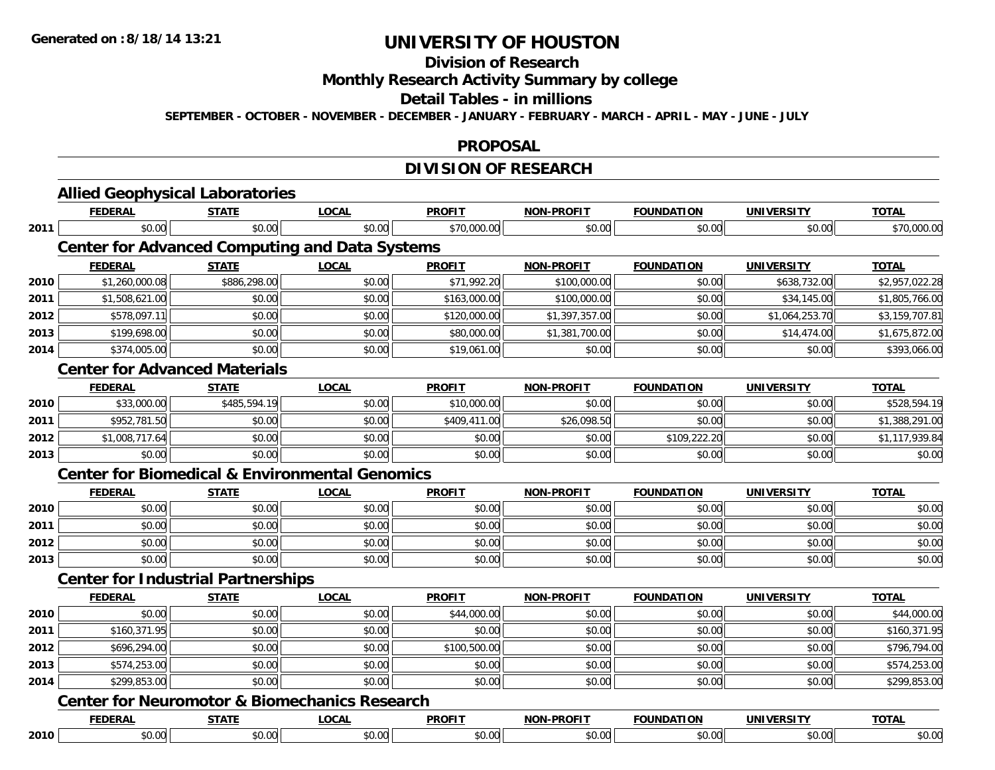#### **Division of Research**

**Monthly Research Activity Summary by college**

#### **Detail Tables - in millions**

**SEPTEMBER - OCTOBER - NOVEMBER - DECEMBER - JANUARY - FEBRUARY - MARCH - APRIL - MAY - JUNE - JULY**

### **PROPOSAL**

# **DIVISION OF RESEARCH**

|      | <b>FEDERAL</b>                                           | <b>STATE</b> | <b>LOCAL</b>                                              | <b>PROFIT</b> | <b>NON-PROFIT</b> | <b>FOUNDATION</b> | <b>UNIVERSITY</b> | <b>TOTAL</b>   |
|------|----------------------------------------------------------|--------------|-----------------------------------------------------------|---------------|-------------------|-------------------|-------------------|----------------|
| 2011 | \$0.00                                                   | \$0.00       | \$0.00                                                    | \$70,000.00   | \$0.00            | \$0.00            | \$0.00            | \$70,000.00    |
|      |                                                          |              | <b>Center for Advanced Computing and Data Systems</b>     |               |                   |                   |                   |                |
|      | <b>FEDERAL</b>                                           | <b>STATE</b> | <b>LOCAL</b>                                              | <b>PROFIT</b> | <b>NON-PROFIT</b> | <b>FOUNDATION</b> | <b>UNIVERSITY</b> | <b>TOTAL</b>   |
| 2010 | \$1,260,000.08                                           | \$886,298.00 | \$0.00                                                    | \$71,992.20   | \$100,000.00      | \$0.00            | \$638,732.00      | \$2,957,022.28 |
| 2011 | \$1,508,621.00                                           | \$0.00       | \$0.00                                                    | \$163,000.00  | \$100,000.00      | \$0.00            | \$34,145.00       | \$1,805,766.00 |
| 2012 | \$578,097.11                                             | \$0.00       | \$0.00                                                    | \$120,000.00  | \$1,397,357.00    | \$0.00            | \$1,064,253.70    | \$3,159,707.81 |
| 2013 | \$199,698.00                                             | \$0.00       | \$0.00                                                    | \$80,000.00   | \$1,381,700.00    | \$0.00            | \$14,474.00       | \$1,675,872.00 |
| 2014 | \$374,005.00                                             | \$0.00       | \$0.00                                                    | \$19,061.00   | \$0.00            | \$0.00            | \$0.00            | \$393,066.00   |
|      | <b>Center for Advanced Materials</b>                     |              |                                                           |               |                   |                   |                   |                |
|      | <b>FEDERAL</b>                                           | <b>STATE</b> | <b>LOCAL</b>                                              | <b>PROFIT</b> | <b>NON-PROFIT</b> | <b>FOUNDATION</b> | <b>UNIVERSITY</b> | <b>TOTAL</b>   |
| 2010 | \$33,000.00                                              | \$485,594.19 | \$0.00                                                    | \$10,000.00   | \$0.00            | \$0.00            | \$0.00            | \$528,594.19   |
| 2011 | \$952,781.50                                             | \$0.00       | \$0.00                                                    | \$409,411.00  | \$26,098.50       | \$0.00            | \$0.00            | \$1,388,291.00 |
| 2012 | \$1,008,717.64                                           | \$0.00       | \$0.00                                                    | \$0.00        | \$0.00            | \$109,222.20      | \$0.00            | \$1,117,939.84 |
| 2013 | \$0.00                                                   | \$0.00       | \$0.00                                                    | \$0.00        | \$0.00            | \$0.00            | \$0.00            | \$0.00         |
|      |                                                          |              | <b>Center for Biomedical &amp; Environmental Genomics</b> |               |                   |                   |                   |                |
|      | <b>FEDERAL</b>                                           | <b>STATE</b> | <b>LOCAL</b>                                              | <b>PROFIT</b> | <b>NON-PROFIT</b> | <b>FOUNDATION</b> | <b>UNIVERSITY</b> | <b>TOTAL</b>   |
| 2010 | \$0.00                                                   | \$0.00       | \$0.00                                                    | \$0.00        | \$0.00            | \$0.00            | \$0.00            | \$0.00         |
| 2011 | \$0.00                                                   | \$0.00       | \$0.00                                                    | \$0.00        | \$0.00            | \$0.00            | \$0.00            | \$0.00         |
| 2012 | \$0.00                                                   | \$0.00       | \$0.00                                                    | \$0.00        | \$0.00            | \$0.00            | \$0.00            | \$0.00         |
| 2013 | \$0.00                                                   | \$0.00       | \$0.00                                                    | \$0.00        | \$0.00            | \$0.00            | \$0.00            | \$0.00         |
|      | <b>Center for Industrial Partnerships</b>                |              |                                                           |               |                   |                   |                   |                |
|      | <b>FEDERAL</b>                                           | <b>STATE</b> | LOCAL                                                     | <b>PROFIT</b> | <b>NON-PROFIT</b> | <b>FOUNDATION</b> | <b>UNIVERSITY</b> | <b>TOTAL</b>   |
| 2010 | \$0.00                                                   | \$0.00       | \$0.00                                                    | \$44,000.00   | \$0.00            | \$0.00            | \$0.00            | \$44,000.00    |
| 2011 | \$160,371.95                                             | \$0.00       | \$0.00                                                    | \$0.00        | \$0.00            | \$0.00            | \$0.00            | \$160,371.95   |
| 2012 | \$696,294.00                                             | \$0.00       | \$0.00                                                    | \$100,500.00  | \$0.00            | \$0.00            | \$0.00            | \$796,794.00   |
| 2013 | \$574,253.00                                             | \$0.00       | \$0.00                                                    | \$0.00        | \$0.00            | \$0.00            | \$0.00            | \$574,253.00   |
| 2014 | \$299,853.00                                             | \$0.00       | \$0.00                                                    | \$0.00        | \$0.00            | \$0.00            | \$0.00            | \$299,853.00   |
|      |                                                          |              |                                                           |               |                   |                   |                   |                |
|      | <b>Center for Neuromotor &amp; Biomechanics Research</b> |              |                                                           |               |                   |                   |                   |                |
|      | <b>FEDERAL</b>                                           | <b>STATE</b> | <b>LOCAL</b>                                              | <b>PROFIT</b> | <b>NON-PROFIT</b> | <b>FOUNDATION</b> | <b>UNIVERSITY</b> | <b>TOTAL</b>   |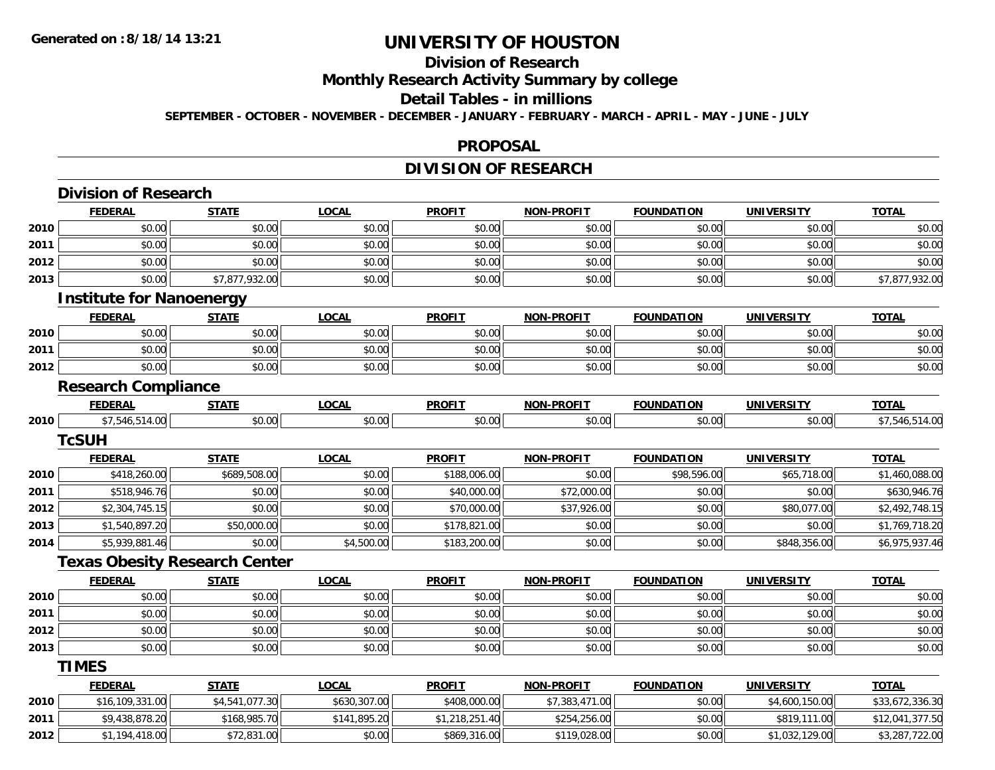# **Division of Research**

**Monthly Research Activity Summary by college**

#### **Detail Tables - in millions**

**SEPTEMBER - OCTOBER - NOVEMBER - DECEMBER - JANUARY - FEBRUARY - MARCH - APRIL - MAY - JUNE - JULY**

#### **PROPOSAL**

# **DIVISION OF RESEARCH**

|      | <b>Division of Research</b>          |                |              |                |                   |                   |                   |                 |
|------|--------------------------------------|----------------|--------------|----------------|-------------------|-------------------|-------------------|-----------------|
|      | <b>FEDERAL</b>                       | <b>STATE</b>   | <b>LOCAL</b> | <b>PROFIT</b>  | <b>NON-PROFIT</b> | <b>FOUNDATION</b> | <b>UNIVERSITY</b> | <b>TOTAL</b>    |
| 2010 | \$0.00                               | \$0.00         | \$0.00       | \$0.00         | \$0.00            | \$0.00            | \$0.00            | \$0.00          |
| 2011 | \$0.00                               | \$0.00         | \$0.00       | \$0.00         | \$0.00            | \$0.00            | \$0.00            | \$0.00          |
| 2012 | \$0.00                               | \$0.00         | \$0.00       | \$0.00         | \$0.00            | \$0.00            | \$0.00            | \$0.00          |
| 2013 | \$0.00                               | \$7,877,932.00 | \$0.00       | \$0.00         | \$0.00            | \$0.00            | \$0.00            | \$7,877,932.00  |
|      | <b>Institute for Nanoenergy</b>      |                |              |                |                   |                   |                   |                 |
|      | <b>FEDERAL</b>                       | <b>STATE</b>   | <b>LOCAL</b> | <b>PROFIT</b>  | <b>NON-PROFIT</b> | <b>FOUNDATION</b> | <b>UNIVERSITY</b> | <b>TOTAL</b>    |
| 2010 | \$0.00                               | \$0.00         | \$0.00       | \$0.00         | \$0.00            | \$0.00            | \$0.00            | \$0.00          |
| 2011 | \$0.00                               | \$0.00         | \$0.00       | \$0.00         | \$0.00            | \$0.00            | \$0.00            | \$0.00          |
| 2012 | \$0.00                               | \$0.00         | \$0.00       | \$0.00         | \$0.00            | \$0.00            | \$0.00            | \$0.00          |
|      | <b>Research Compliance</b>           |                |              |                |                   |                   |                   |                 |
|      | <b>FEDERAL</b>                       | <b>STATE</b>   | <b>LOCAL</b> | <b>PROFIT</b>  | <b>NON-PROFIT</b> | <b>FOUNDATION</b> | <b>UNIVERSITY</b> | <b>TOTAL</b>    |
| 2010 | \$7,546,514.00                       | \$0.00         | \$0.00       | \$0.00         | \$0.00            | \$0.00            | \$0.00            | \$7,546,514.00  |
|      | <b>TcSUH</b>                         |                |              |                |                   |                   |                   |                 |
|      | <b>FEDERAL</b>                       | <b>STATE</b>   | <b>LOCAL</b> | <b>PROFIT</b>  | <b>NON-PROFIT</b> | <b>FOUNDATION</b> | <b>UNIVERSITY</b> | <b>TOTAL</b>    |
| 2010 | \$418,260.00                         | \$689,508.00   | \$0.00       | \$188,006.00   | \$0.00            | \$98,596.00       | \$65,718.00       | \$1,460,088.00  |
| 2011 | \$518,946.76                         | \$0.00         | \$0.00       | \$40,000.00    | \$72,000.00       | \$0.00            | \$0.00            | \$630,946.76    |
| 2012 | \$2,304,745.15                       | \$0.00         | \$0.00       | \$70,000.00    | \$37,926.00       | \$0.00            | \$80,077.00       | \$2,492,748.15  |
| 2013 | \$1,540,897.20                       | \$50,000.00    | \$0.00       | \$178,821.00   | \$0.00            | \$0.00            | \$0.00            | \$1,769,718.20  |
| 2014 | \$5,939,881.46                       | \$0.00         | \$4,500.00   | \$183,200.00   | \$0.00            | \$0.00            | \$848,356.00      | \$6,975,937.46  |
|      | <b>Texas Obesity Research Center</b> |                |              |                |                   |                   |                   |                 |
|      | <b>FEDERAL</b>                       | <b>STATE</b>   | <b>LOCAL</b> | <b>PROFIT</b>  | <b>NON-PROFIT</b> | <b>FOUNDATION</b> | <b>UNIVERSITY</b> | <b>TOTAL</b>    |
| 2010 | \$0.00                               | \$0.00         | \$0.00       | \$0.00         | \$0.00            | \$0.00            | \$0.00            | \$0.00          |
| 2011 | \$0.00                               | \$0.00         | \$0.00       | \$0.00         | \$0.00            | \$0.00            | \$0.00            | \$0.00          |
| 2012 | \$0.00                               | \$0.00         | \$0.00       | \$0.00         | \$0.00            | \$0.00            | \$0.00            | \$0.00          |
| 2013 | \$0.00                               | \$0.00         | \$0.00       | \$0.00         | \$0.00            | \$0.00            | \$0.00            | \$0.00          |
|      | <b>TIMES</b>                         |                |              |                |                   |                   |                   |                 |
|      | <b>FEDERAL</b>                       | <b>STATE</b>   | <b>LOCAL</b> | <b>PROFIT</b>  | <b>NON-PROFIT</b> | <b>FOUNDATION</b> | <b>UNIVERSITY</b> | <b>TOTAL</b>    |
| 2010 | \$16,109,331.00                      | \$4,541,077.30 | \$630,307.00 | \$408,000.00   | \$7,383,471.00    | \$0.00            | \$4,600,150.00    | \$33,672,336.30 |
| 2011 | \$9,438,878.20                       | \$168,985.70   | \$141,895.20 | \$1,218,251.40 | \$254,256.00      | \$0.00            | \$819,111.00      | \$12,041,377.50 |
| 2012 | \$1,194,418.00                       | \$72,831.00    | \$0.00       | \$869,316.00   | \$119,028.00      | \$0.00            | \$1,032,129.00    | \$3,287,722.00  |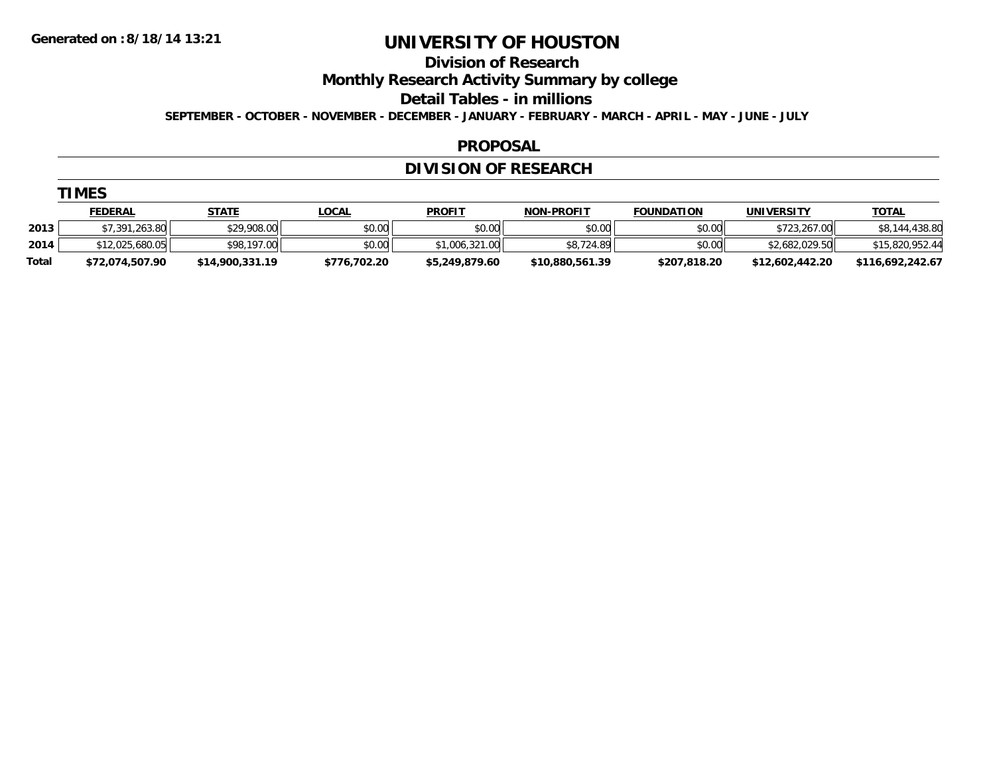**Division of Research**

**Monthly Research Activity Summary by college**

**Detail Tables - in millions**

**SEPTEMBER - OCTOBER - NOVEMBER - DECEMBER - JANUARY - FEBRUARY - MARCH - APRIL - MAY - JUNE - JULY**

### **PROPOSAL**

## **DIVISION OF RESEARCH**

|              | <b>FEDERAL</b>     | <b>STATE</b>    | <u>LOCAL</u> | <b>PROFIT</b>  | <b>NON-PROFIT</b> | <b>FOUNDATION</b> | UNIVERSITY      | <b>TOTAL</b>     |
|--------------|--------------------|-----------------|--------------|----------------|-------------------|-------------------|-----------------|------------------|
| 2013         | ,263.80<br>\$7.391 | \$29,908.00     | \$0.00       | \$0.00         | \$0.00            | \$0.00            | \$723,267.00    | \$8,144,438.80   |
| 2014         | \$12,025,680.05    | \$98,197.00     | \$0.00       | \$1,006,321.00 | \$8,724.89        | \$0.00            | \$2,682,029.50  | \$15,820,952.44  |
| <b>Total</b> | \$72,074,507.90    | \$14,900,331.19 | \$776.702.20 | \$5,249,879.60 | \$10,880,561.39   | \$207.818.20      | \$12,602,442.20 | \$116,692,242.67 |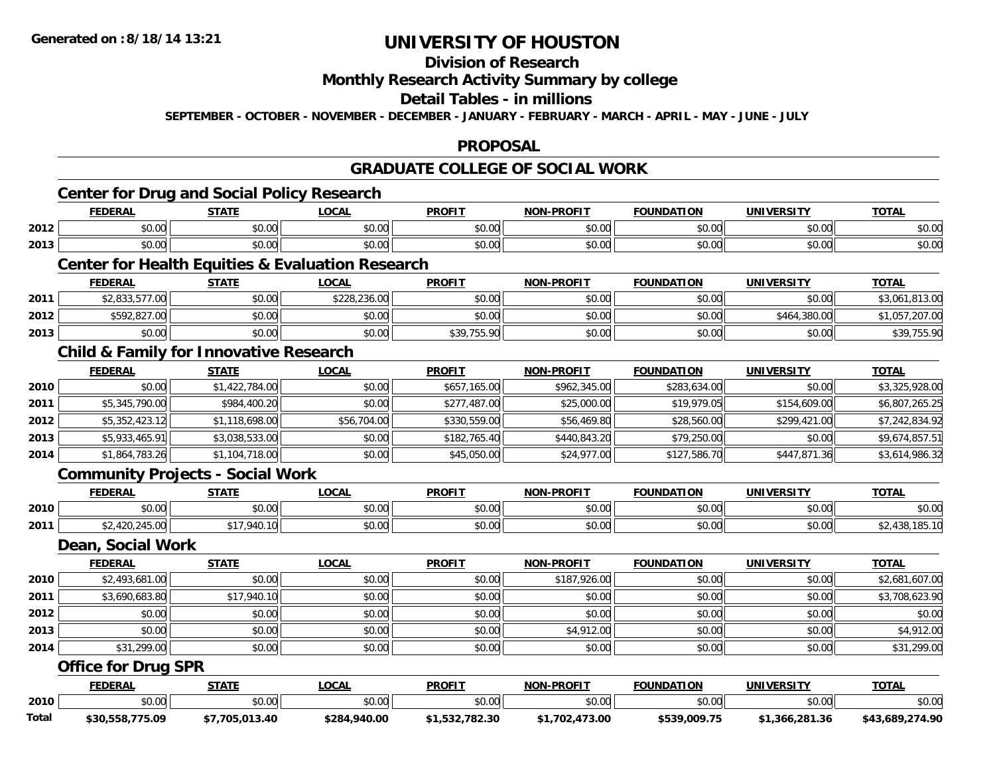# **Division of Research**

#### **Monthly Research Activity Summary by college**

### **Detail Tables - in millions**

**SEPTEMBER - OCTOBER - NOVEMBER - DECEMBER - JANUARY - FEBRUARY - MARCH - APRIL - MAY - JUNE - JULY**

### **PROPOSAL**

### **GRADUATE COLLEGE OF SOCIAL WORK**

# **Center for Drug and Social Policy Research**

|                          | <b>FEDERAL</b>               | <b>CTATE</b>                                                                    | $\sim$<br>.UUAI | <b>PROFI</b>           | <b>DDAEIT</b><br>NON | <b>FOUNDATION</b>   | <b>UNIVERSITY</b> | $T^{\sim}$ |
|--------------------------|------------------------------|---------------------------------------------------------------------------------|-----------------|------------------------|----------------------|---------------------|-------------------|------------|
| 2012                     | 0000<br>DU.UU                | <b>↑∩</b><br>JU.UU                                                              | 0.00<br>JU.UU   | 0 <sub>n</sub><br>JU.U | 0.00<br>PU.UU        | 0000<br>טט.         | \$0.00            | \$0.00     |
| 2013                     | $\uparrow$ $\uparrow$<br>,uu | $\sim$ $\sim$ $\sim$<br>JU.U                                                    | 0000<br>JU.UU   | 0 <sub>n</sub><br>JU.U | 0000<br>,u.u         | $\sim$ $\sim$<br>., | \$0.00            | \$0.00     |
| <b>Contract Contract</b> |                              | the contract of the contract of the contract of the contract of the contract of |                 |                        |                      |                     |                   |            |

### **Center for Health Equities & Evaluation Research**

|      | <b>FEDERAL</b>                         | STATE  | <b>LOCAL</b> | <b>PROFIT</b>                        | <b>NON-PROFIT</b> | <b>FOUNDATION</b> | UNIVERSITY   | <b>TOTAL</b>   |
|------|----------------------------------------|--------|--------------|--------------------------------------|-------------------|-------------------|--------------|----------------|
| 2011 | 022.577.00<br>. 1UU. I I G, G G O, S G | \$0.00 | \$228,236.00 | \$0.00                               | \$0.00            | \$0.00            | \$0.00       | \$3,061,813.00 |
| 2012 | \$592,827.00                           | \$0.00 | \$0.00       | \$0.00                               | \$0.00            | \$0.00            | \$464,380.00 | .207.00        |
| 2013 | \$0.00                                 | \$0.00 | \$0.00       | \$30 755 00<br><b>JUT, 1 JU. 7 C</b> | \$0.00            | \$0.00            | \$0.00       | \$39,755.90    |

### **Child & Family for Innovative Research**

|      | <b>FEDERAL</b> | <b>STATE</b>   | <u>LOCAL</u> | <b>PROFIT</b> | <b>NON-PROFIT</b> | <b>FOUNDATION</b> | <b>UNIVERSITY</b> | <b>TOTAL</b>   |
|------|----------------|----------------|--------------|---------------|-------------------|-------------------|-------------------|----------------|
| 2010 | \$0.00         | \$1,422,784.00 | \$0.00       | \$657,165.00  | \$962,345.00      | \$283,634.00      | \$0.00            | \$3,325,928.00 |
| 2011 | \$5,345,790.00 | \$984,400.20   | \$0.00       | \$277,487.00  | \$25,000.00       | \$19,979.05       | \$154,609.00      | \$6,807,265.25 |
| 2012 | \$5,352,423.12 | \$1,118,698.00 | \$56,704.00  | \$330,559,00  | \$56,469.80       | \$28,560.00       | \$299,421.00      | \$7,242,834.92 |
| 2013 | \$5,933,465.91 | \$3,038,533.00 | \$0.00       | \$182,765,40  | \$440,843.20      | \$79,250.00       | \$0.00            | \$9,674,857.51 |
| 2014 | \$1,864,783.26 | \$1,104,718.00 | \$0.00       | \$45,050.00   | \$24,977.00       | \$127,586.70      | \$447,871,36      | \$3,614,986.32 |

### **Community Projects - Social Work**

|      | <b>FEDERAL</b> | <b>STATL</b>          | .OCAI              | <b>PROFIT</b> | <b>M-PROFIT</b><br>.   | <b>FOUNDATION</b> | JNIV          | <b>TOTAL</b> |
|------|----------------|-----------------------|--------------------|---------------|------------------------|-------------------|---------------|--------------|
| 2010 | 0.00<br>וט.טי  | ሖ へ<br>$\sim$<br>ט. ט | ሶስ ስስ<br>PU.UU     | 0.00<br>JU.UU | $\sim$ $\sim$<br>vu.vu | \$0.00            | 0000<br>PO.OO | \$0.00       |
| 2011 | $\sim$         | 940.<br>---           | $\sim$ 00<br>PU.UU | \$0.00        | vv.vv                  | \$0.00            | \$0.00        |              |

#### **Dean, Social Work**

|      | <b>FEDERAL</b> | <b>STATE</b> | <u>LOCAL</u> | <b>PROFIT</b> | <b>NON-PROFIT</b> | <b>FOUNDATION</b> | <b>UNIVERSITY</b> | <b>TOTAL</b>   |
|------|----------------|--------------|--------------|---------------|-------------------|-------------------|-------------------|----------------|
| 2010 | \$2,493,681.00 | \$0.00       | \$0.00       | \$0.00        | \$187,926.00      | \$0.00            | \$0.00            | \$2,681,607.00 |
| 2011 | \$3,690,683.80 | \$17,940.10  | \$0.00       | \$0.00        | \$0.00            | \$0.00            | \$0.00            | \$3,708,623.90 |
| 2012 | \$0.00         | \$0.00       | \$0.00       | \$0.00        | \$0.00            | \$0.00            | \$0.00            | \$0.00         |
| 2013 | \$0.00         | \$0.00       | \$0.00       | \$0.00        | \$4,912.00        | \$0.00            | \$0.00            | \$4,912.00     |
| 2014 | \$31,299.00    | \$0.00       | \$0.00       | \$0.00        | \$0.00            | \$0.00            | \$0.00            | \$31,299.00    |

### **Office for Drug SPR**

|              | <b>EDERAL</b>   | <b>STATE</b>  | <b>OCAL</b>  | <b>PROFIT</b> | <b>J-PROFIT</b><br>NON- | <b>FOUNDATION</b> | UNIVERSITY     | <b>TOTAL</b>    |
|--------------|-----------------|---------------|--------------|---------------|-------------------------|-------------------|----------------|-----------------|
| 2010         | \$0.00          | \$0.00        | vu.vu        | 0000<br>JU.UU | \$0.00                  | \$0.00            | 0000<br>PO.OO  | \$0.00          |
| <b>Total</b> | \$30,558,775.09 | 013.40<br>705 | \$284,940.00 | 782.30        | 473.00,<br>\$1.702      | \$539,009.75      | \$1.366.281.36 | \$43,689,274.90 |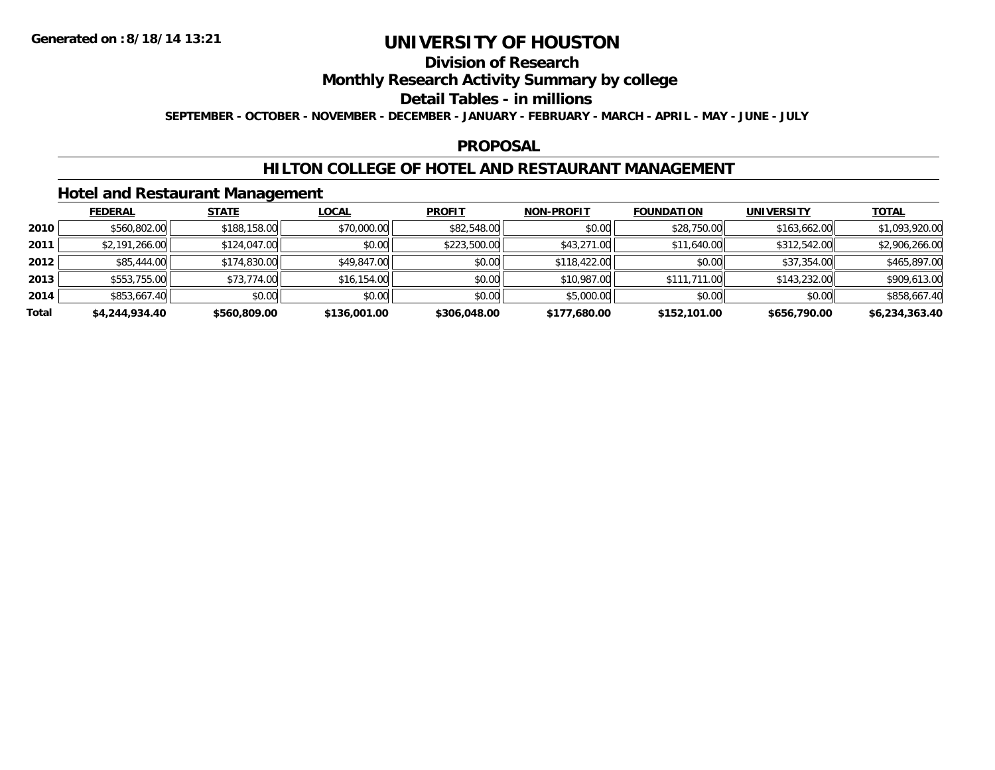## **Division of Research**

### **Monthly Research Activity Summary by college**

#### **Detail Tables - in millions**

**SEPTEMBER - OCTOBER - NOVEMBER - DECEMBER - JANUARY - FEBRUARY - MARCH - APRIL - MAY - JUNE - JULY**

### **PROPOSAL**

### **HILTON COLLEGE OF HOTEL AND RESTAURANT MANAGEMENT**

### **Hotel and Restaurant Management**

|       | <b>FEDERAL</b> | <b>STATE</b> | <u>LOCAL</u> | <b>PROFIT</b> | <b>NON-PROFIT</b> | <b>FOUNDATION</b> | <b>UNIVERSITY</b> | <b>TOTAL</b>   |
|-------|----------------|--------------|--------------|---------------|-------------------|-------------------|-------------------|----------------|
| 2010  | \$560,802.00   | \$188,158.00 | \$70,000.00  | \$82,548.00   | \$0.00            | \$28,750.00       | \$163,662.00      | \$1,093,920.00 |
| 2011  | \$2,191,266.00 | \$124,047.00 | \$0.00       | \$223,500.00  | \$43,271.00       | \$11,640.00       | \$312,542.00      | \$2,906,266.00 |
| 2012  | \$85,444.00    | \$174,830.00 | \$49,847.00  | \$0.00        | \$118,422.00      | \$0.00            | \$37,354.00       | \$465,897.00   |
| 2013  | \$553,755.00   | \$73,774.00  | \$16,154.00  | \$0.00        | \$10,987.00       | \$111,711.00      | \$143,232.00      | \$909,613.00   |
| 2014  | \$853,667.40   | \$0.00       | \$0.00       | \$0.00        | \$5,000.00        | \$0.00            | \$0.00            | \$858,667.40   |
| Total | \$4,244,934.40 | \$560,809.00 | \$136,001.00 | \$306,048.00  | \$177,680.00      | \$152,101.00      | \$656,790.00      | \$6,234,363.40 |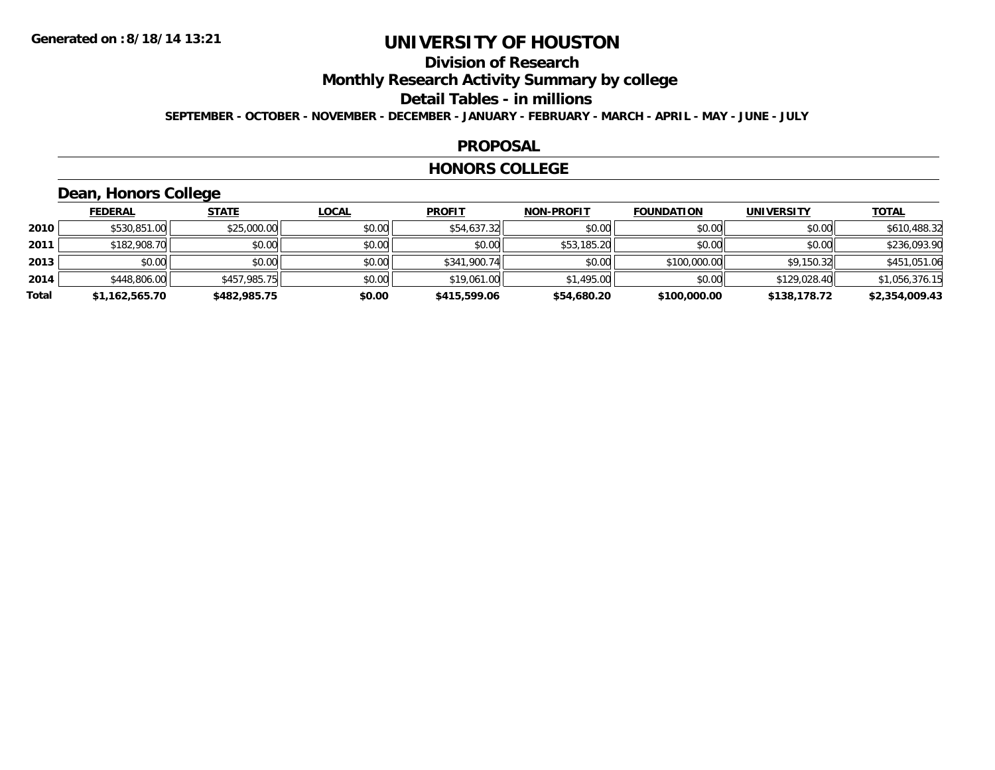# **Division of Research**

**Monthly Research Activity Summary by college**

**Detail Tables - in millions**

**SEPTEMBER - OCTOBER - NOVEMBER - DECEMBER - JANUARY - FEBRUARY - MARCH - APRIL - MAY - JUNE - JULY**

#### **PROPOSAL**

#### **HONORS COLLEGE**

## **Dean, Honors College**

|       | <b>FEDERAL</b> | <b>STATE</b> | <b>LOCAL</b> | <b>PROFIT</b> | <b>NON-PROFIT</b> | <b>FOUNDATION</b> | <b>UNIVERSITY</b> | <b>TOTAL</b>   |
|-------|----------------|--------------|--------------|---------------|-------------------|-------------------|-------------------|----------------|
| 2010  | \$530,851.00   | \$25,000.00  | \$0.00       | \$54,637.32   | \$0.00            | \$0.00            | \$0.00            | \$610,488.32   |
| 2011  | \$182,908.70   | \$0.00       | \$0.00       | \$0.00        | \$53,185.20       | \$0.00            | \$0.00            | \$236,093.90   |
| 2013  | \$0.00         | \$0.00       | \$0.00       | \$341,900.74  | \$0.00            | \$100,000.00      | \$9.150.32        | \$451,051.06   |
| 2014  | \$448,806.00   | \$457,985.75 | \$0.00       | \$19,061.00   | \$1,495.00        | \$0.00            | \$129,028.40      | \$1,056,376.15 |
| Total | \$1,162,565.70 | \$482,985.75 | \$0.00       | \$415,599.06  | \$54,680.20       | \$100,000.00      | \$138,178.72      | \$2,354,009.43 |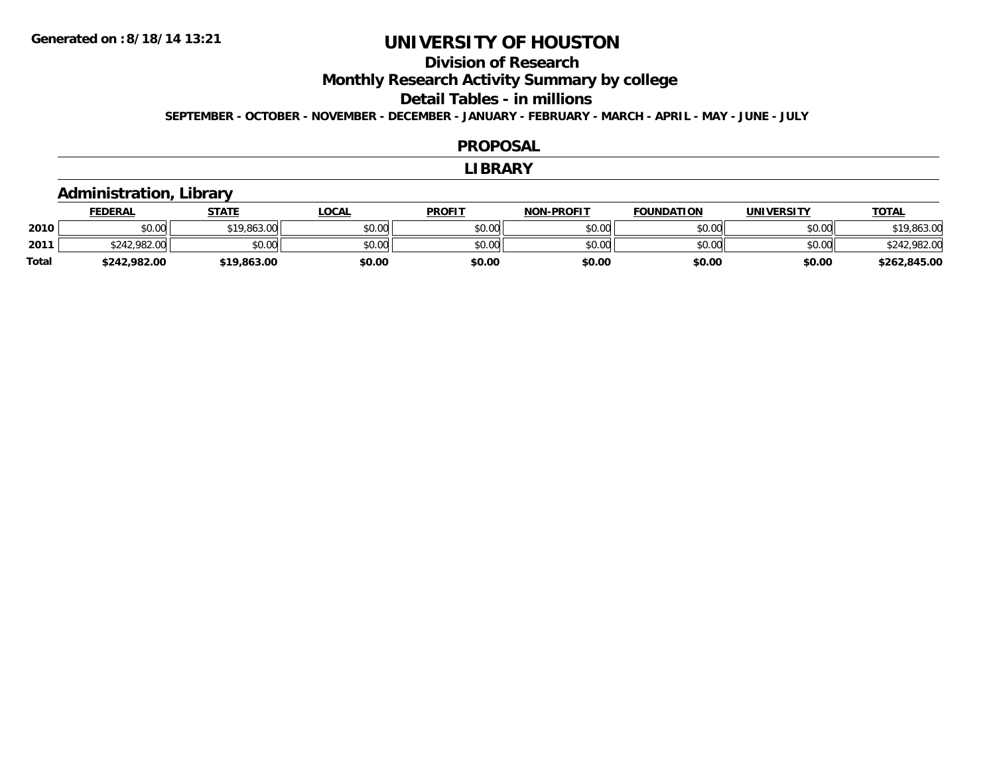# **Division of Research**

**Monthly Research Activity Summary by college**

**Detail Tables - in millions**

**SEPTEMBER - OCTOBER - NOVEMBER - DECEMBER - JANUARY - FEBRUARY - MARCH - APRIL - MAY - JUNE - JULY**

#### **PROPOSAL**

#### **LIBRARY**

### **Administration, Library**

|              | <b>FEDERAL</b> | STATE       | LOCAL  | <b>PROFIT</b> | <b>NON-PROFIT</b> | <b>FOUNDATION</b> | <b>UNIVERSITY</b> | <b>TOTAL</b> |
|--------------|----------------|-------------|--------|---------------|-------------------|-------------------|-------------------|--------------|
| 2010         | \$0.00         | \$19,863.00 | \$0.00 | \$0.00        | \$0.00            | \$0.00            | \$0.00            | \$19,863.00  |
| 2011         | \$242,982.00   | \$0.00      | \$0.00 | \$0.00        | \$0.00            | \$0.00            | \$0.00            | \$242,982.00 |
| <b>Total</b> | \$242,982.00   | \$19,863.00 | \$0.00 | \$0.00        | \$0.00            | \$0.00            | \$0.00            | \$262,845.00 |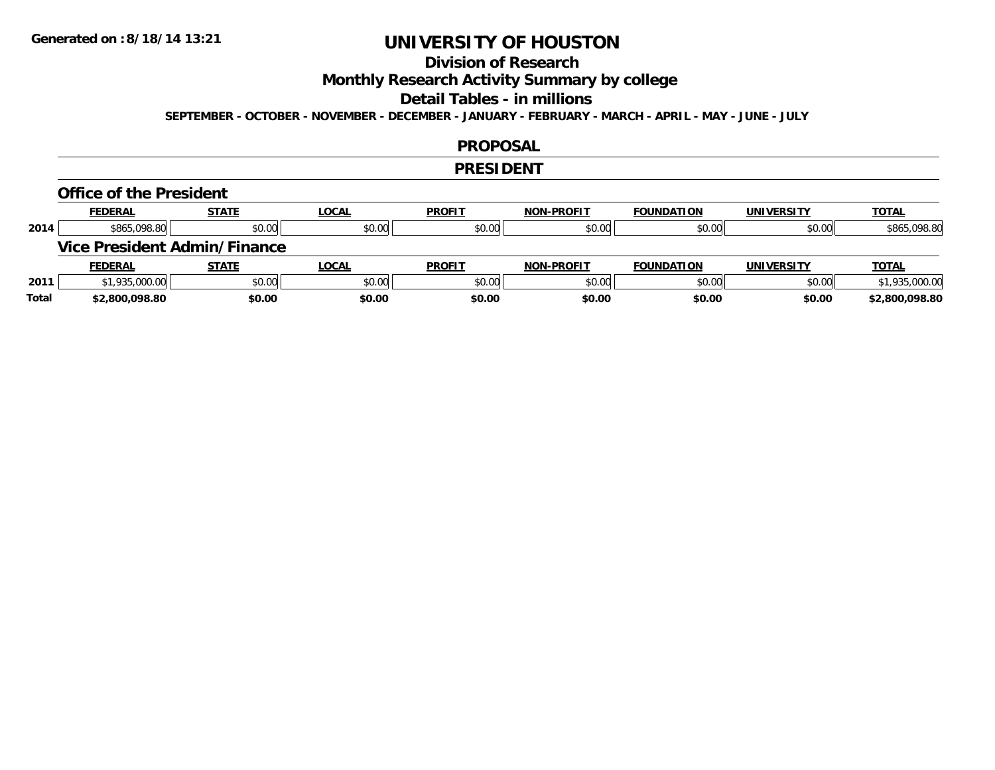# **Division of Research**

**Monthly Research Activity Summary by college**

#### **Detail Tables - in millions**

**SEPTEMBER - OCTOBER - NOVEMBER - DECEMBER - JANUARY - FEBRUARY - MARCH - APRIL - MAY - JUNE - JULY**

### **PROPOSAL**

#### **PRESIDENT**

#### **Office of the President**

|      | <b>FEDERAL</b> | <b>STATE</b>                 | <u>LOCAL</u> | <b>PROFIT</b> | <b>NON-PROFIT</b> | <b>FOUNDATION</b> | <b>UNIVERSITY</b> | <b>TOTAL</b>   |
|------|----------------|------------------------------|--------------|---------------|-------------------|-------------------|-------------------|----------------|
| 2014 | \$865,098.80   | \$0.00                       | \$0.00       | \$0.00        | \$0.00            | \$0.00            | \$0.00            | \$865,098.80   |
|      |                | Vice President Admin/Finance |              |               |                   |                   |                   |                |
|      |                |                              |              |               |                   |                   |                   |                |
|      | <b>FEDERAL</b> | <b>STATE</b>                 | <u>LOCAL</u> | <b>PROFIT</b> | <b>NON-PROFIT</b> | <b>FOUNDATION</b> | <b>UNIVERSITY</b> | <b>TOTAL</b>   |
| 2011 | \$1,935,000.00 | \$0.00                       | \$0.00       | \$0.00        | \$0.00            | \$0.00            | \$0.00            | \$1,935,000.00 |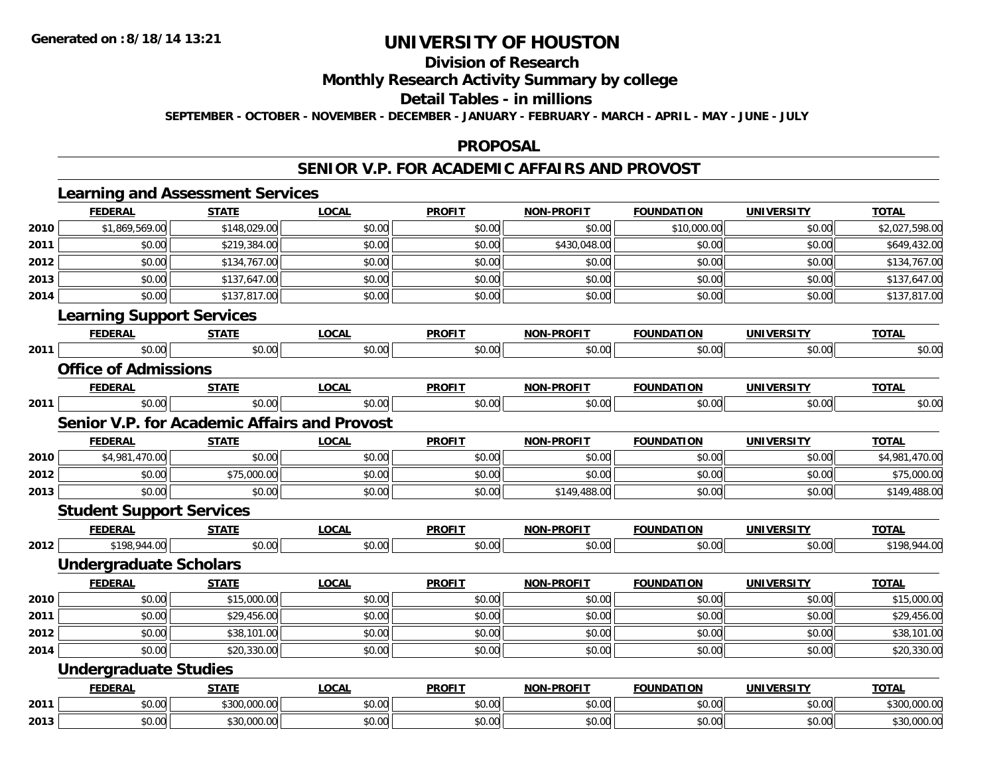# **Division of Research**

**Monthly Research Activity Summary by college**

**Detail Tables - in millions**

**SEPTEMBER - OCTOBER - NOVEMBER - DECEMBER - JANUARY - FEBRUARY - MARCH - APRIL - MAY - JUNE - JULY**

### **PROPOSAL**

### **SENIOR V.P. FOR ACADEMIC AFFAIRS AND PROVOST**

|      |                                                     | <b>Learning and Assessment Services</b> |              |               |                   |                   |                   |                |  |  |  |
|------|-----------------------------------------------------|-----------------------------------------|--------------|---------------|-------------------|-------------------|-------------------|----------------|--|--|--|
|      | <b>FEDERAL</b>                                      | <b>STATE</b>                            | <b>LOCAL</b> | <b>PROFIT</b> | <b>NON-PROFIT</b> | <b>FOUNDATION</b> | <b>UNIVERSITY</b> | <b>TOTAL</b>   |  |  |  |
| 2010 | \$1,869,569.00                                      | \$148,029.00                            | \$0.00       | \$0.00        | \$0.00            | \$10,000.00       | \$0.00            | \$2,027,598.00 |  |  |  |
| 2011 | \$0.00                                              | \$219,384.00                            | \$0.00       | \$0.00        | \$430,048.00      | \$0.00            | \$0.00            | \$649,432.00   |  |  |  |
| 2012 | \$0.00                                              | \$134,767.00                            | \$0.00       | \$0.00        | \$0.00            | \$0.00            | \$0.00            | \$134,767.00   |  |  |  |
| 2013 | \$0.00                                              | \$137,647.00                            | \$0.00       | \$0.00        | \$0.00            | \$0.00            | \$0.00            | \$137,647.00   |  |  |  |
| 2014 | \$0.00                                              | \$137,817.00                            | \$0.00       | \$0.00        | \$0.00            | \$0.00            | \$0.00            | \$137,817.00   |  |  |  |
|      | <b>Learning Support Services</b>                    |                                         |              |               |                   |                   |                   |                |  |  |  |
|      | <b>FEDERAL</b>                                      | <b>STATE</b>                            | <b>LOCAL</b> | <b>PROFIT</b> | <b>NON-PROFIT</b> | <b>FOUNDATION</b> | <b>UNIVERSITY</b> | <b>TOTAL</b>   |  |  |  |
| 2011 | \$0.00                                              | \$0.00                                  | \$0.00       | \$0.00        | \$0.00            | \$0.00            | \$0.00            | \$0.00         |  |  |  |
|      | <b>Office of Admissions</b>                         |                                         |              |               |                   |                   |                   |                |  |  |  |
|      | <b>FEDERAL</b>                                      | <b>STATE</b>                            | <b>LOCAL</b> | <b>PROFIT</b> | <b>NON-PROFIT</b> | <b>FOUNDATION</b> | <b>UNIVERSITY</b> | <b>TOTAL</b>   |  |  |  |
| 2011 | \$0.00                                              | \$0.00                                  | \$0.00       | \$0.00        | \$0.00            | \$0.00            | \$0.00            | \$0.00         |  |  |  |
|      | <b>Senior V.P. for Academic Affairs and Provost</b> |                                         |              |               |                   |                   |                   |                |  |  |  |
|      | <b>FEDERAL</b>                                      | <b>STATE</b>                            | <b>LOCAL</b> | <b>PROFIT</b> | <b>NON-PROFIT</b> | <b>FOUNDATION</b> | <b>UNIVERSITY</b> | <b>TOTAL</b>   |  |  |  |
| 2010 | \$4,981,470.00                                      | \$0.00                                  | \$0.00       | \$0.00        | \$0.00            | \$0.00            | \$0.00            | \$4,981,470.00 |  |  |  |
| 2012 | \$0.00                                              | \$75,000.00                             | \$0.00       | \$0.00        | \$0.00            | \$0.00            | \$0.00            | \$75,000.00    |  |  |  |
| 2013 | \$0.00                                              | \$0.00                                  | \$0.00       | \$0.00        | \$149,488.00      | \$0.00            | \$0.00            | \$149,488.00   |  |  |  |
|      | <b>Student Support Services</b>                     |                                         |              |               |                   |                   |                   |                |  |  |  |
|      | <b>FEDERAL</b>                                      | <b>STATE</b>                            | <b>LOCAL</b> | <b>PROFIT</b> | <b>NON-PROFIT</b> | <b>FOUNDATION</b> | <b>UNIVERSITY</b> | <b>TOTAL</b>   |  |  |  |
| 2012 | \$198,944.00                                        | \$0.00                                  | \$0.00       | \$0.00        | \$0.00            | \$0.00            | \$0.00            | \$198,944.00   |  |  |  |
|      | <b>Undergraduate Scholars</b>                       |                                         |              |               |                   |                   |                   |                |  |  |  |
|      | <b>FEDERAL</b>                                      | <b>STATE</b>                            | <b>LOCAL</b> | <b>PROFIT</b> | <b>NON-PROFIT</b> | <b>FOUNDATION</b> | <b>UNIVERSITY</b> | <b>TOTAL</b>   |  |  |  |
| 2010 | \$0.00                                              | \$15,000.00                             | \$0.00       | \$0.00        | \$0.00            | \$0.00            | \$0.00            | \$15,000.00    |  |  |  |
| 2011 | \$0.00                                              | \$29,456.00                             | \$0.00       | \$0.00        | \$0.00            | \$0.00            | \$0.00            | \$29,456.00    |  |  |  |
| 2012 | \$0.00                                              | \$38,101.00                             | \$0.00       | \$0.00        | \$0.00            | \$0.00            | \$0.00            | \$38,101.00    |  |  |  |
| 2014 | \$0.00                                              | \$20,330.00                             | \$0.00       | \$0.00        | \$0.00            | \$0.00            | \$0.00            | \$20,330.00    |  |  |  |
|      | <b>Undergraduate Studies</b>                        |                                         |              |               |                   |                   |                   |                |  |  |  |
|      | <b>FEDERAL</b>                                      | <b>STATE</b>                            | <b>LOCAL</b> | <b>PROFIT</b> | <b>NON-PROFIT</b> | <b>FOUNDATION</b> | <b>UNIVERSITY</b> | <b>TOTAL</b>   |  |  |  |
| 2011 | \$0.00                                              | \$300,000.00                            | \$0.00       | \$0.00        | \$0.00            | \$0.00            | \$0.00            | \$300,000.00   |  |  |  |
| 2013 | \$0.00                                              | \$30,000.00                             | \$0.00       | \$0.00        | \$0.00            | \$0.00            | \$0.00            | \$30,000.00    |  |  |  |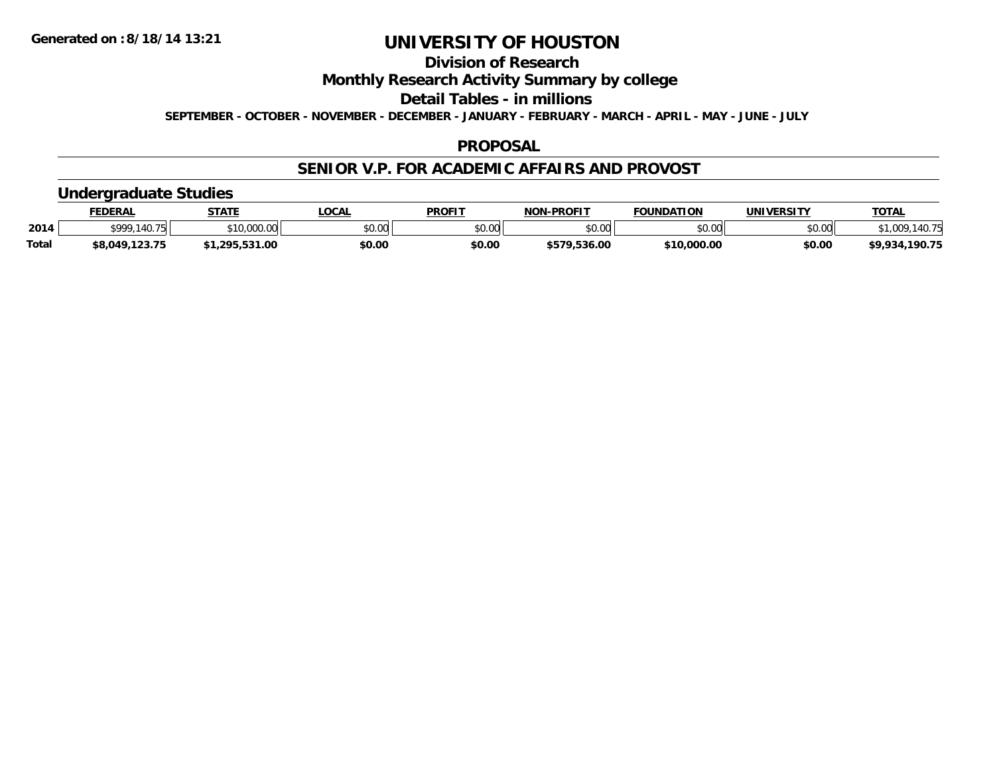## **Division of Research**

**Monthly Research Activity Summary by college**

**Detail Tables - in millions**

**SEPTEMBER - OCTOBER - NOVEMBER - DECEMBER - JANUARY - FEBRUARY - MARCH - APRIL - MAY - JUNE - JULY**

### **PROPOSAL**

### **SENIOR V.P. FOR ACADEMIC AFFAIRS AND PROVOST**

### **Undergraduate Studies**

|              | <b>FEDERAL</b> | <b>STATE</b> | <b>LOCAL</b> | <b>PROFIT</b> | <b>J-PROFIT</b><br>NON. | <b>FOUNDATION</b> | UNIVERSITY | <u>ТОТА.</u>               |
|--------------|----------------|--------------|--------------|---------------|-------------------------|-------------------|------------|----------------------------|
| 2014         | \$999 140 75   | \$10,000.00  | \$0.00       | \$0.00        | ልስ ሀህ<br>pu.uu          | \$0.00            | \$0.00     | 1077<br>009، ،<br>140. / J |
| <b>Total</b> | \$8,049,123.75 | 1.295.531.00 | \$0.00       | \$0.00        | \$579,536.00            | \$10,000.00       | \$0.00     | . 190.75<br>\$9,934,       |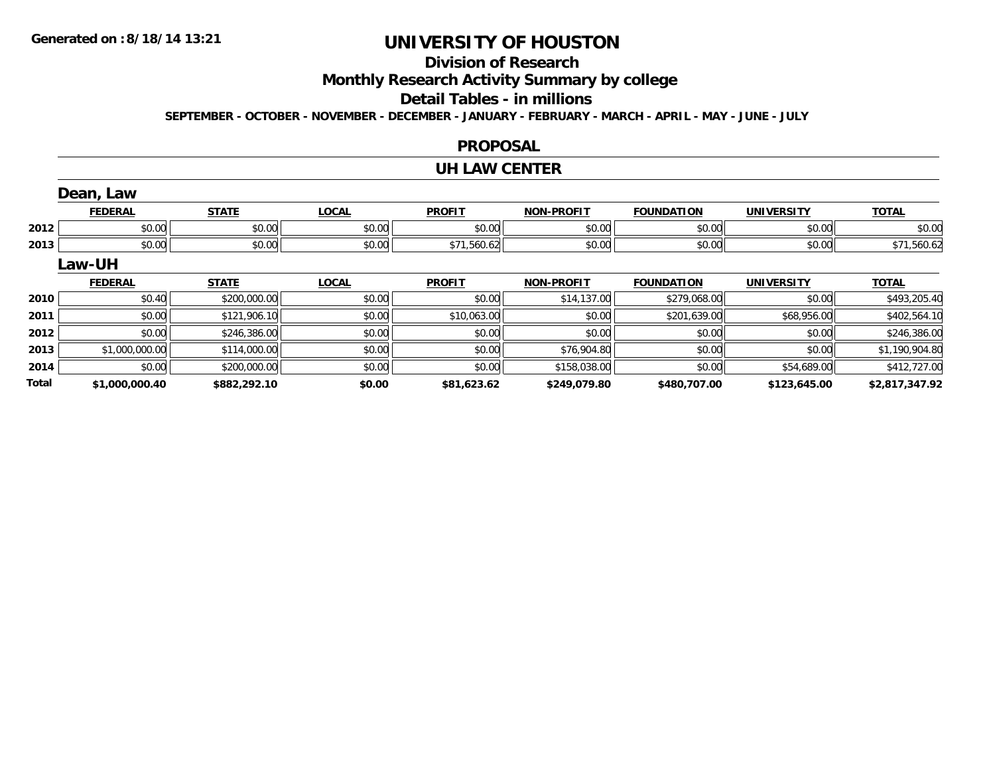**Total**

# **UNIVERSITY OF HOUSTON**

# **Division of Research**

**Monthly Research Activity Summary by college**

#### **Detail Tables - in millions**

**SEPTEMBER - OCTOBER - NOVEMBER - DECEMBER - JANUARY - FEBRUARY - MARCH - APRIL - MAY - JUNE - JULY**

#### **PROPOSAL**

#### **UH LAW CENTER**

|      | Dean, Law      |              |              |               |                   |                   |                   |                |
|------|----------------|--------------|--------------|---------------|-------------------|-------------------|-------------------|----------------|
|      | <b>FEDERAL</b> | <b>STATE</b> | <b>LOCAL</b> | <b>PROFIT</b> | <b>NON-PROFIT</b> | <b>FOUNDATION</b> | <b>UNIVERSITY</b> | <b>TOTAL</b>   |
| 2012 | \$0.00         | \$0.00       | \$0.00       | \$0.00        | \$0.00            | \$0.00            | \$0.00            | \$0.00         |
| 2013 | \$0.00         | \$0.00       | \$0.00       | \$71,560.62   | \$0.00            | \$0.00            | \$0.00            | \$71,560.62    |
|      | Law-UH         |              |              |               |                   |                   |                   |                |
|      | <b>FEDERAL</b> | <b>STATE</b> | <b>LOCAL</b> | <b>PROFIT</b> | <b>NON-PROFIT</b> | <b>FOUNDATION</b> | UNIVERSITY        | <b>TOTAL</b>   |
| 2010 | \$0.40         | \$200,000.00 | \$0.00       | \$0.00        | \$14,137.00       | \$279,068.00      | \$0.00            | \$493,205.40   |
| 2011 | \$0.00         | \$121,906.10 | \$0.00       | \$10,063.00   | \$0.00            | \$201,639.00      | \$68,956.00       | \$402,564.10   |
| 2012 | \$0.00         | \$246,386.00 | \$0.00       | \$0.00        | \$0.00            | \$0.00            | \$0.00            | \$246,386.00   |
| 2013 | \$1,000,000.00 | \$114,000.00 | \$0.00       | \$0.00        | \$76,904.80       | \$0.00            | \$0.00            | \$1,190,904.80 |
| 2014 | \$0.00         | \$200,000.00 | \$0.00       | \$0.00        | \$158,038.00      | \$0.00            | \$54,689.00       | \$412,727.00   |

**\$1,000,000.40 \$882,292.10 \$0.00 \$81,623.62 \$249,079.80 \$480,707.00 \$123,645.00 \$2,817,347.92**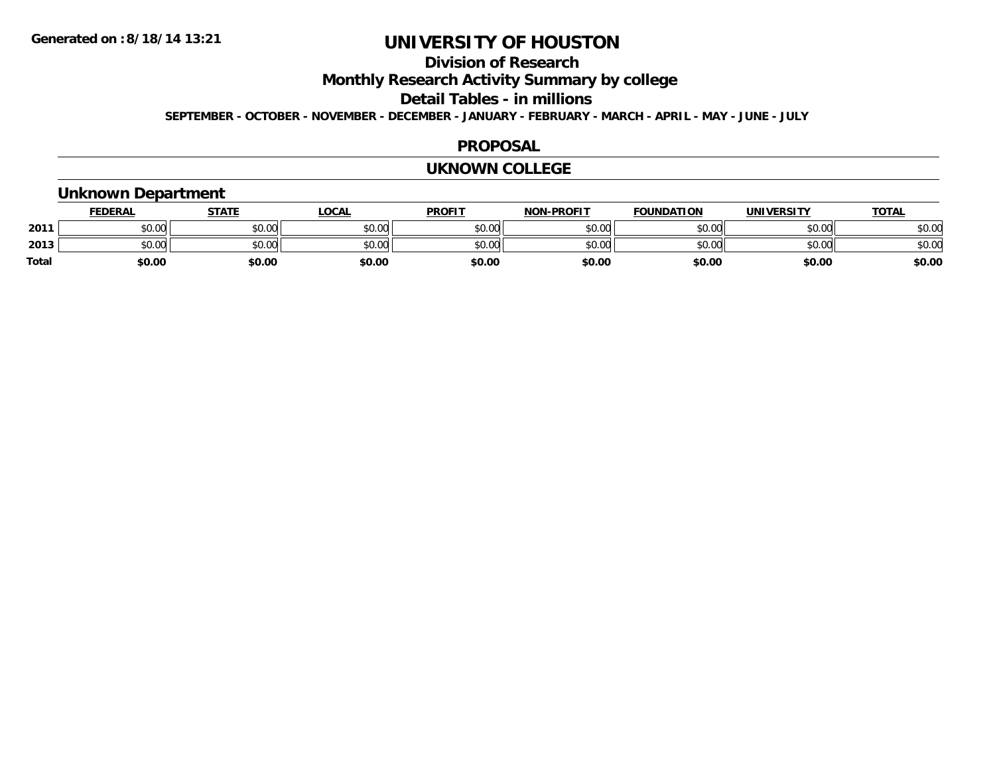## **Division of Research**

**Monthly Research Activity Summary by college**

**Detail Tables - in millions**

**SEPTEMBER - OCTOBER - NOVEMBER - DECEMBER - JANUARY - FEBRUARY - MARCH - APRIL - MAY - JUNE - JULY**

### **PROPOSAL**

#### **UKNOWN COLLEGE**

### **Unknown Department**

|              | <b>FEDERAL</b> | STATE  | <u>LOCAL</u> | <b>PROFIT</b> | <b>NON-PROFIT</b> | <b>FOUNDATION</b> | <b>UNIVERSITY</b> | <b>TOTAL</b> |
|--------------|----------------|--------|--------------|---------------|-------------------|-------------------|-------------------|--------------|
| 2011         | \$0.00         | \$0.00 | \$0.00       | \$0.00        | \$0.00            | \$0.00            | \$0.00            | \$0.00       |
| 2013         | \$0.00         | \$0.00 | \$0.00       | \$0.00        | \$0.00            | \$0.00            | \$0.00            | \$0.00       |
| <b>Total</b> | \$0.00         | \$0.00 | \$0.00       | \$0.00        | \$0.00            | \$0.00            | \$0.00            | \$0.00       |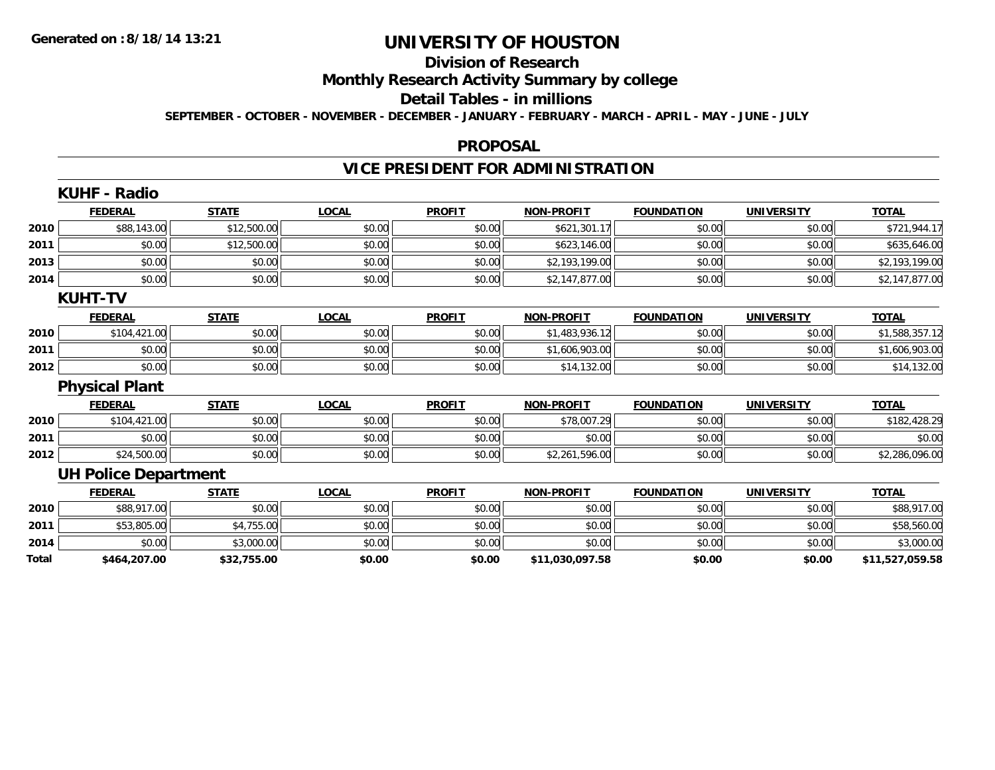# **Division of Research**

**Monthly Research Activity Summary by college**

#### **Detail Tables - in millions**

**SEPTEMBER - OCTOBER - NOVEMBER - DECEMBER - JANUARY - FEBRUARY - MARCH - APRIL - MAY - JUNE - JULY**

### **PROPOSAL**

# **VICE PRESIDENT FOR ADMINISTRATION**

|       | <b>KUHF - Radio</b>         |              |              |               |                   |                   |                   |                 |
|-------|-----------------------------|--------------|--------------|---------------|-------------------|-------------------|-------------------|-----------------|
|       | <b>FEDERAL</b>              | <b>STATE</b> | <b>LOCAL</b> | <b>PROFIT</b> | <b>NON-PROFIT</b> | <b>FOUNDATION</b> | <b>UNIVERSITY</b> | <b>TOTAL</b>    |
| 2010  | \$88,143.00                 | \$12,500.00  | \$0.00       | \$0.00        | \$621,301.17      | \$0.00            | \$0.00            | \$721,944.17    |
| 2011  | \$0.00                      | \$12,500.00  | \$0.00       | \$0.00        | \$623,146.00      | \$0.00            | \$0.00            | \$635,646.00    |
| 2013  | \$0.00                      | \$0.00       | \$0.00       | \$0.00        | \$2,193,199.00    | \$0.00            | \$0.00            | \$2,193,199.00  |
| 2014  | \$0.00                      | \$0.00       | \$0.00       | \$0.00        | \$2,147,877.00    | \$0.00            | \$0.00            | \$2,147,877.00  |
|       | <b>KUHT-TV</b>              |              |              |               |                   |                   |                   |                 |
|       | <b>FEDERAL</b>              | <b>STATE</b> | <b>LOCAL</b> | <b>PROFIT</b> | <b>NON-PROFIT</b> | <b>FOUNDATION</b> | <b>UNIVERSITY</b> | <b>TOTAL</b>    |
| 2010  | \$104,421.00                | \$0.00       | \$0.00       | \$0.00        | \$1,483,936.12    | \$0.00            | \$0.00            | \$1,588,357.12  |
| 2011  | \$0.00                      | \$0.00       | \$0.00       | \$0.00        | \$1,606,903.00    | \$0.00            | \$0.00            | \$1,606,903.00  |
| 2012  | \$0.00                      | \$0.00       | \$0.00       | \$0.00        | \$14,132.00       | \$0.00            | \$0.00            | \$14,132.00     |
|       | <b>Physical Plant</b>       |              |              |               |                   |                   |                   |                 |
|       | <b>FEDERAL</b>              | <b>STATE</b> | <b>LOCAL</b> | <b>PROFIT</b> | <b>NON-PROFIT</b> | <b>FOUNDATION</b> | <b>UNIVERSITY</b> | <b>TOTAL</b>    |
| 2010  | \$104,421.00                | \$0.00       | \$0.00       | \$0.00        | \$78,007.29       | \$0.00            | \$0.00            | \$182,428.29    |
| 2011  | \$0.00                      | \$0.00       | \$0.00       | \$0.00        | \$0.00            | \$0.00            | \$0.00            | \$0.00          |
| 2012  | \$24,500.00                 | \$0.00       | \$0.00       | \$0.00        | \$2,261,596.00    | \$0.00            | \$0.00            | \$2,286,096.00  |
|       | <b>UH Police Department</b> |              |              |               |                   |                   |                   |                 |
|       | <b>FEDERAL</b>              | <b>STATE</b> | <b>LOCAL</b> | <b>PROFIT</b> | <b>NON-PROFIT</b> | <b>FOUNDATION</b> | <b>UNIVERSITY</b> | <b>TOTAL</b>    |
| 2010  | \$88,917.00                 | \$0.00       | \$0.00       | \$0.00        | \$0.00            | \$0.00            | \$0.00            | \$88,917.00     |
| 2011  | \$53,805.00                 | \$4,755.00   | \$0.00       | \$0.00        | \$0.00            | \$0.00            | \$0.00            | \$58,560.00     |
| 2014  | \$0.00                      | \$3,000.00   | \$0.00       | \$0.00        | \$0.00            | \$0.00            | \$0.00            | \$3,000.00      |
| Total | \$464,207.00                | \$32,755.00  | \$0.00       | \$0.00        | \$11,030,097.58   | \$0.00            | \$0.00            | \$11,527,059.58 |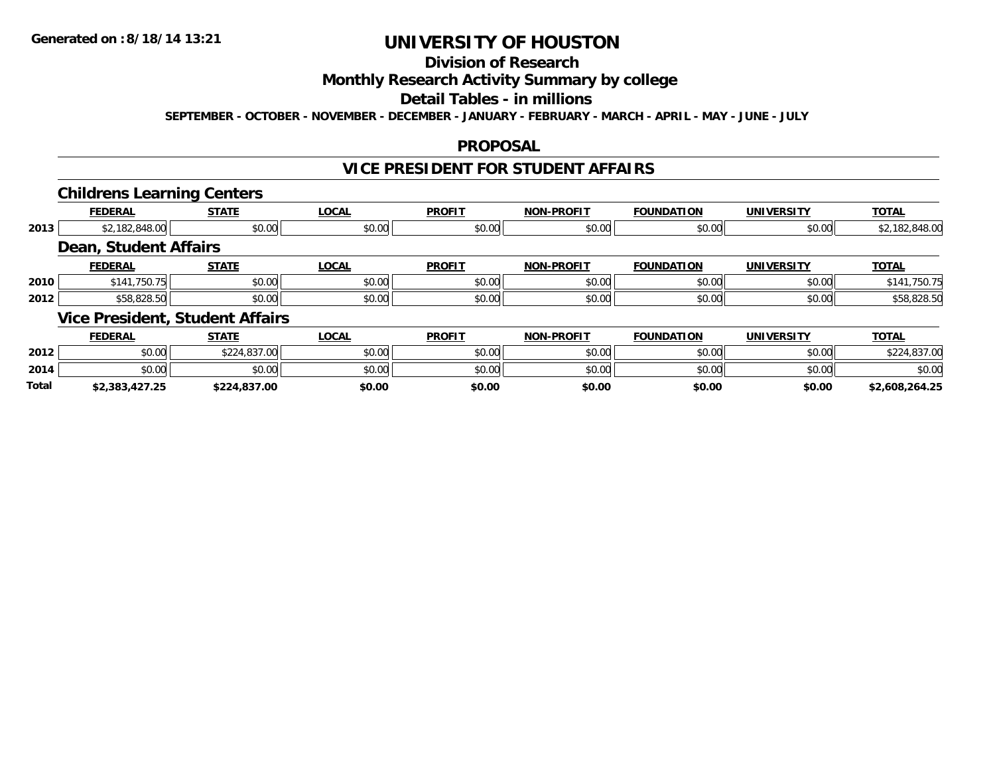# **Division of Research**

### **Monthly Research Activity Summary by college**

#### **Detail Tables - in millions**

**SEPTEMBER - OCTOBER - NOVEMBER - DECEMBER - JANUARY - FEBRUARY - MARCH - APRIL - MAY - JUNE - JULY**

### **PROPOSAL**

### **VICE PRESIDENT FOR STUDENT AFFAIRS**

### **Childrens Learning Centers**

|      |                       | --                                     |              |               |                   |                   |                   |                |
|------|-----------------------|----------------------------------------|--------------|---------------|-------------------|-------------------|-------------------|----------------|
|      | <b>FEDERAL</b>        | <b>STATE</b>                           | <b>LOCAL</b> | <b>PROFIT</b> | <b>NON-PROFIT</b> | <b>FOUNDATION</b> | <b>UNIVERSITY</b> | <b>TOTAL</b>   |
| 2013 | \$2,182,848.00        | \$0.00                                 | \$0.00       | \$0.00        | \$0.00            | \$0.00            | \$0.00            | \$2,182,848.00 |
|      | Dean, Student Affairs |                                        |              |               |                   |                   |                   |                |
|      | <b>FEDERAL</b>        | <b>STATE</b>                           | <b>LOCAL</b> | <b>PROFIT</b> | <b>NON-PROFIT</b> | <b>FOUNDATION</b> | <b>UNIVERSITY</b> | <b>TOTAL</b>   |
| 2010 | \$141,750.75          | \$0.00                                 | \$0.00       | \$0.00        | \$0.00            | \$0.00            | \$0.00            | \$141,750.75   |
| 2012 | \$58,828.50           | \$0.00                                 | \$0.00       | \$0.00        | \$0.00            | \$0.00            | \$0.00            | \$58,828.50    |
|      |                       | <b>Vice President, Student Affairs</b> |              |               |                   |                   |                   |                |
|      | <b>FEDERAL</b>        | <b>STATE</b>                           | <b>LOCAL</b> | <b>PROFIT</b> | <b>NON-PROFIT</b> | <b>FOUNDATION</b> | <b>UNIVERSITY</b> | <b>TOTAL</b>   |

|              | _________      | _____                     | -----  |        | .      | ---------- | _ _    | ______                                    |
|--------------|----------------|---------------------------|--------|--------|--------|------------|--------|-------------------------------------------|
| 2012         | \$0.00         | 0.2102700<br>DU. 1637-001 | \$0.00 | \$0.00 | \$0.00 | \$0.00     | \$0.00 | 02700<br>$\uparrow$ $\uparrow$<br>.837.UU |
| 2014         | \$0.00         | \$0.00                    | \$0.00 | \$0.00 | \$0.00 | \$0.00     | \$0.00 | \$0.00                                    |
| <b>Total</b> | \$2,383,427.25 | \$224,837.00              | \$0.00 | \$0.00 | \$0.00 | \$0.00     | \$0.00 | \$2,608,264.25                            |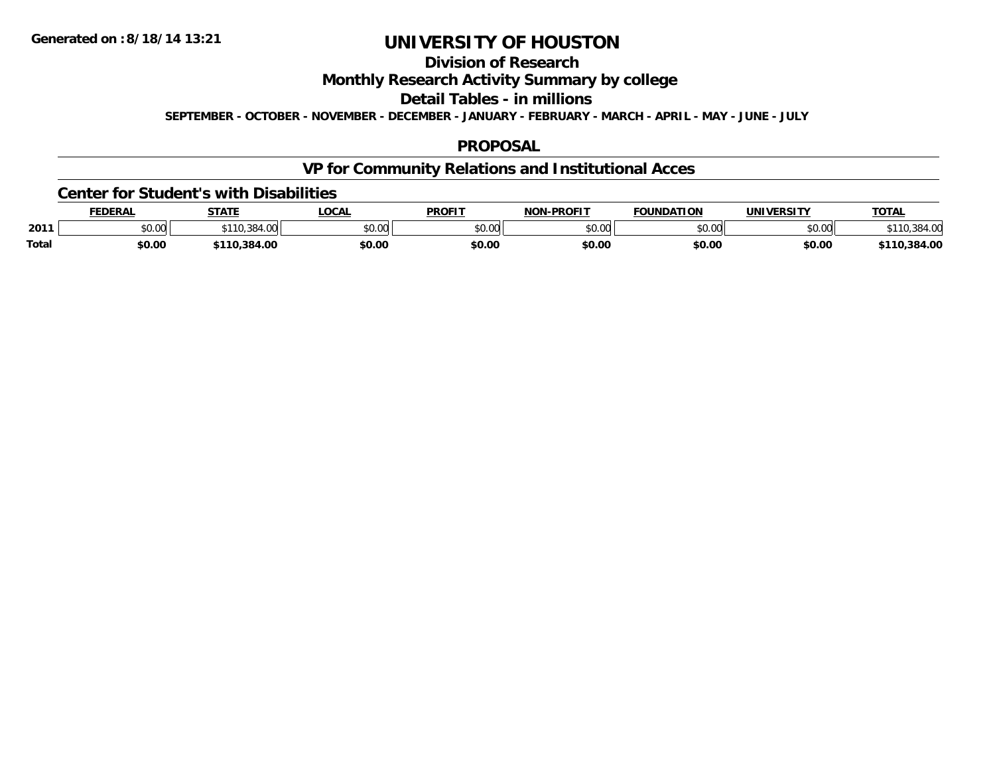# **Division of Research**

**Monthly Research Activity Summary by college**

**Detail Tables - in millions**

**SEPTEMBER - OCTOBER - NOVEMBER - DECEMBER - JANUARY - FEBRUARY - MARCH - APRIL - MAY - JUNE - JULY**

### **PROPOSAL**

# **VP for Community Relations and Institutional Acces**

#### **Center for Student's with Disabilities**

|              | <b>FEDERAL</b> | <b>STATE</b>  | LOCAI         | <b>PROFIT</b>      | -PROFIT<br>NON | <b>FOUNDATION</b>  | <b>UNIVERSITY</b> | <b>TOTAL</b> |
|--------------|----------------|---------------|---------------|--------------------|----------------|--------------------|-------------------|--------------|
| 2011         | JU.UU          | $. \, \cdots$ | 0000<br>JU.UU | $\sim$ 00<br>DU.UU | ልስ ለሰ<br>,uu   | $\sim$ 00<br>JU.UU | \$0.00            |              |
| <b>Total</b> | \$0.00         | 384.00        | \$0.00        | \$0.00             | \$0.00         | \$0.00             | \$0.00            | .384.00      |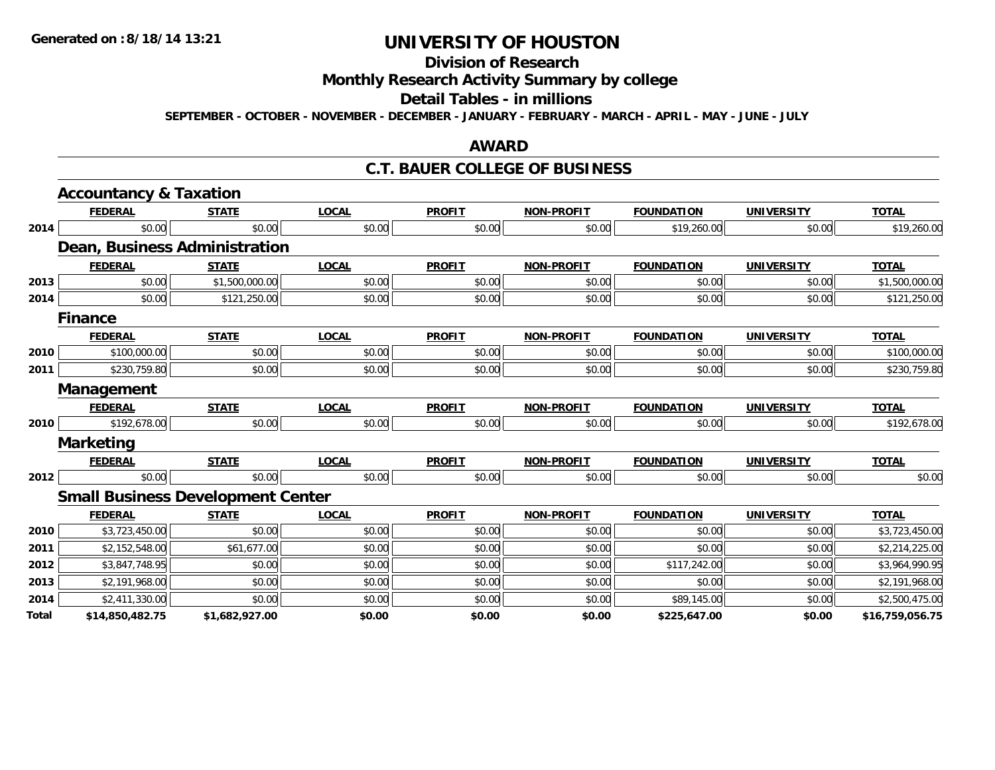# **Division of Research**

# **Monthly Research Activity Summary by college**

#### **Detail Tables - in millions**

**SEPTEMBER - OCTOBER - NOVEMBER - DECEMBER - JANUARY - FEBRUARY - MARCH - APRIL - MAY - JUNE - JULY**

### **AWARD**

### **C.T. BAUER COLLEGE OF BUSINESS**

|       | <b>Accountancy &amp; Taxation</b> |                                          |              |               |                   |                   |                   |                 |
|-------|-----------------------------------|------------------------------------------|--------------|---------------|-------------------|-------------------|-------------------|-----------------|
|       | <b>FEDERAL</b>                    | <b>STATE</b>                             | <b>LOCAL</b> | <b>PROFIT</b> | <b>NON-PROFIT</b> | <b>FOUNDATION</b> | <b>UNIVERSITY</b> | <b>TOTAL</b>    |
| 2014  | \$0.00                            | \$0.00                                   | \$0.00       | \$0.00        | \$0.00            | \$19,260.00       | \$0.00            | \$19,260.00     |
|       |                                   | Dean, Business Administration            |              |               |                   |                   |                   |                 |
|       | <b>FEDERAL</b>                    | <b>STATE</b>                             | <b>LOCAL</b> | <b>PROFIT</b> | <b>NON-PROFIT</b> | <b>FOUNDATION</b> | <b>UNIVERSITY</b> | <b>TOTAL</b>    |
| 2013  | \$0.00                            | \$1,500,000.00                           | \$0.00       | \$0.00        | \$0.00            | \$0.00            | \$0.00            | \$1,500,000.00  |
| 2014  | \$0.00                            | \$121,250.00                             | \$0.00       | \$0.00        | \$0.00            | \$0.00            | \$0.00            | \$121,250.00    |
|       | <b>Finance</b>                    |                                          |              |               |                   |                   |                   |                 |
|       | <b>FEDERAL</b>                    | <b>STATE</b>                             | <b>LOCAL</b> | <b>PROFIT</b> | <b>NON-PROFIT</b> | <b>FOUNDATION</b> | <b>UNIVERSITY</b> | <b>TOTAL</b>    |
| 2010  | \$100,000.00                      | \$0.00                                   | \$0.00       | \$0.00        | \$0.00            | \$0.00            | \$0.00            | \$100,000.00    |
| 2011  | \$230,759.80                      | \$0.00                                   | \$0.00       | \$0.00        | \$0.00            | \$0.00            | \$0.00            | \$230,759.80    |
|       | Management                        |                                          |              |               |                   |                   |                   |                 |
|       | <b>FEDERAL</b>                    | <b>STATE</b>                             | <b>LOCAL</b> | <b>PROFIT</b> | <b>NON-PROFIT</b> | <b>FOUNDATION</b> | <b>UNIVERSITY</b> | <b>TOTAL</b>    |
| 2010  | \$192,678.00                      | \$0.00                                   | \$0.00       | \$0.00        | \$0.00            | \$0.00            | \$0.00            | \$192,678.00    |
|       | <b>Marketing</b>                  |                                          |              |               |                   |                   |                   |                 |
|       | <b>FEDERAL</b>                    | <b>STATE</b>                             | <b>LOCAL</b> | <b>PROFIT</b> | <b>NON-PROFIT</b> | <b>FOUNDATION</b> | <b>UNIVERSITY</b> | <b>TOTAL</b>    |
| 2012  | \$0.00                            | \$0.00                                   | \$0.00       | \$0.00        | \$0.00            | \$0.00            | \$0.00            | \$0.00          |
|       |                                   | <b>Small Business Development Center</b> |              |               |                   |                   |                   |                 |
|       | <b>FEDERAL</b>                    | <b>STATE</b>                             | <b>LOCAL</b> | <b>PROFIT</b> | <b>NON-PROFIT</b> | <b>FOUNDATION</b> | <b>UNIVERSITY</b> | <b>TOTAL</b>    |
| 2010  | \$3,723,450.00                    | \$0.00                                   | \$0.00       | \$0.00        | \$0.00            | \$0.00            | \$0.00            | \$3,723,450.00  |
| 2011  | \$2,152,548.00                    | \$61,677.00                              | \$0.00       | \$0.00        | \$0.00            | \$0.00            | \$0.00            | \$2,214,225.00  |
| 2012  | \$3,847,748.95                    | \$0.00                                   | \$0.00       | \$0.00        | \$0.00            | \$117,242.00      | \$0.00            | \$3,964,990.95  |
| 2013  | \$2,191,968.00                    | \$0.00                                   | \$0.00       | \$0.00        | \$0.00            | \$0.00            | \$0.00            | \$2,191,968.00  |
| 2014  | \$2,411,330.00                    | \$0.00                                   | \$0.00       | \$0.00        | \$0.00            | \$89,145.00       | \$0.00            | \$2,500,475.00  |
| Total | \$14,850,482.75                   | \$1,682,927.00                           | \$0.00       | \$0.00        | \$0.00            | \$225,647.00      | \$0.00            | \$16,759,056.75 |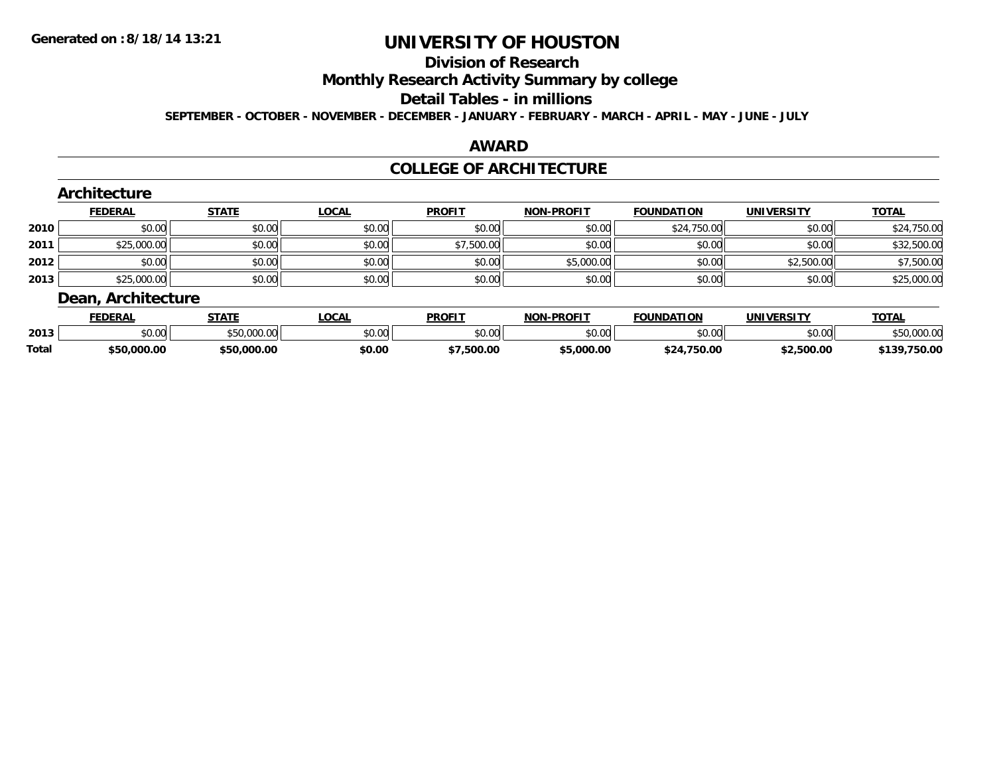#### **Division of Research**

**Monthly Research Activity Summary by college**

#### **Detail Tables - in millions**

**SEPTEMBER - OCTOBER - NOVEMBER - DECEMBER - JANUARY - FEBRUARY - MARCH - APRIL - MAY - JUNE - JULY**

#### **AWARD**

### **COLLEGE OF ARCHITECTURE**

|      | Architecture       |              |              |               |                   |                   |                   |              |
|------|--------------------|--------------|--------------|---------------|-------------------|-------------------|-------------------|--------------|
|      | <b>FEDERAL</b>     | <b>STATE</b> | <b>LOCAL</b> | <b>PROFIT</b> | <b>NON-PROFIT</b> | <b>FOUNDATION</b> | <b>UNIVERSITY</b> | <b>TOTAL</b> |
| 2010 | \$0.00             | \$0.00       | \$0.00       | \$0.00        | \$0.00            | \$24,750.00       | \$0.00            | \$24,750.00  |
| 2011 | \$25,000.00        | \$0.00       | \$0.00       | \$7,500.00    | \$0.00            | \$0.00            | \$0.00            | \$32,500.00  |
| 2012 | \$0.00             | \$0.00       | \$0.00       | \$0.00        | \$5,000.00        | \$0.00            | \$2,500.00        | \$7,500.00   |
| 2013 | \$25,000.00        | \$0.00       | \$0.00       | \$0.00        | \$0.00            | \$0.00            | \$0.00            | \$25,000.00  |
|      | Dean, Architecture |              |              |               |                   |                   |                   |              |
|      | ______             | $- - - -$    | . <b>.</b>   | ------        | ----- -- ----     | ____._            | . <i>.</i>        | _____        |

|              | <b>FEDERAL</b> | стлтг<br>9 I A I                     | .OCAL  | PROFI          | NON<br>-PROFIT | <b>FOUNDATION</b>    | <b>IINIVERSIT</b> \ | $T^*$<br>- 101 h              |
|--------------|----------------|--------------------------------------|--------|----------------|----------------|----------------------|---------------------|-------------------------------|
| 2013         | nn nn<br>,u.uu | $\star$ -0.000.00 $\mu$<br>uu www.wu | \$0.00 | mn n¢<br>JU.UU | \$0.00         | ስ ለሰ<br>טט.טע        | $\sim$ 00<br>ושט.טע | \$50,000.0                    |
| <b>Total</b> | \$50,000.00    | \$50,000.00                          | \$0.00 | 500.00.        | \$5,000.00     | 750.00<br><b>424</b> | \$2,500.00          | 750.00<br><b>4130</b><br>: כו |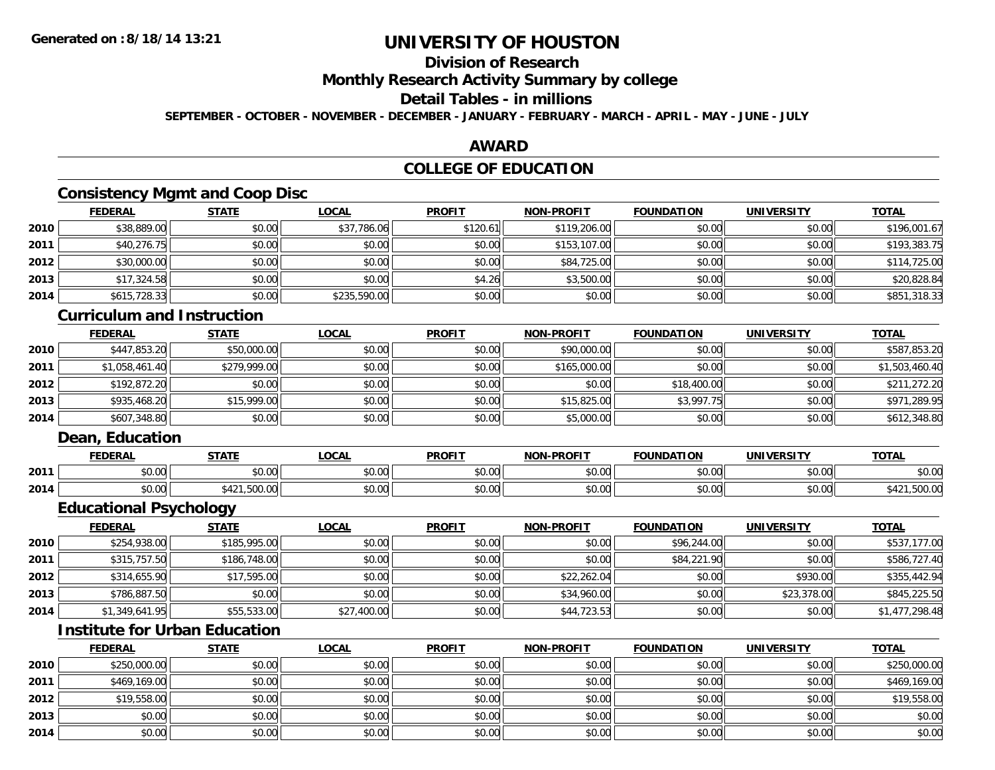# **Division of Research**

**Monthly Research Activity Summary by college**

#### **Detail Tables - in millions**

**SEPTEMBER - OCTOBER - NOVEMBER - DECEMBER - JANUARY - FEBRUARY - MARCH - APRIL - MAY - JUNE - JULY**

### **AWARD**

## **COLLEGE OF EDUCATION**

## **Consistency Mgmt and Coop Disc**

|      | <b>FEDERAL</b> | <b>STATE</b> | <u>LOCAL</u> | <b>PROFIT</b> | <b>NON-PROFIT</b> | <b>FOUNDATION</b> | <b>UNIVERSITY</b> | <b>TOTAL</b> |
|------|----------------|--------------|--------------|---------------|-------------------|-------------------|-------------------|--------------|
| 2010 | \$38,889.00    | \$0.00       | \$37,786.06  | \$120.61      | \$119,206.00      | \$0.00            | \$0.00            | \$196,001.67 |
| 2011 | \$40,276.75    | \$0.00       | \$0.00       | \$0.00        | \$153,107.00      | \$0.00            | \$0.00            | \$193,383.75 |
| 2012 | \$30,000.00    | \$0.00       | \$0.00       | \$0.00        | \$84,725.00       | \$0.00            | \$0.00            | \$114,725.00 |
| 2013 | \$17,324.58    | \$0.00       | \$0.00       | \$4.26        | \$3,500.00        | \$0.00            | \$0.00            | \$20,828.84  |
| 2014 | \$615,728.33   | \$0.00       | \$235,590.00 | \$0.00        | \$0.00            | \$0.00            | \$0.00            | \$851,318.33 |

### **Curriculum and Instruction**

|      | <b>FEDERAL</b> | <b>STATE</b> | <u>LOCAL</u> | <b>PROFIT</b> | <b>NON-PROFIT</b> | <b>FOUNDATION</b> | <b>UNIVERSITY</b> | <u>TOTAL</u>   |
|------|----------------|--------------|--------------|---------------|-------------------|-------------------|-------------------|----------------|
| 2010 | \$447,853.20   | \$50,000.00  | \$0.00       | \$0.00        | \$90,000.00       | \$0.00            | \$0.00            | \$587,853.20   |
| 2011 | \$1,058,461.40 | \$279,999.00 | \$0.00       | \$0.00        | \$165,000.00      | \$0.00            | \$0.00            | \$1,503,460.40 |
| 2012 | \$192,872.20   | \$0.00       | \$0.00       | \$0.00        | \$0.00            | \$18,400.00       | \$0.00            | \$211,272.20   |
| 2013 | \$935,468.20   | \$15,999.00  | \$0.00       | \$0.00        | \$15,825.00       | \$3,997.75        | \$0.00            | \$971,289.95   |
| 2014 | \$607,348.80   | \$0.00       | \$0.00       | \$0.00        | \$5,000.00        | \$0.00            | \$0.00            | \$612,348.80   |

### **Dean, Education**

|      | <b>FEDERAL</b> | CTATI                          | .OCAI              | <b>PROFIT</b>        | <b>DDAFIT</b><br><b>AIAB</b> | <b>FOUNDATION</b> | ידוסמ־<br><b>INIVE</b> | <b>TOT</b><br>. . |
|------|----------------|--------------------------------|--------------------|----------------------|------------------------------|-------------------|------------------------|-------------------|
| 2011 | 0000<br>v.vu   | 0000<br>JU.UU                  | $\cdots$<br>PU.UU  | 0000<br><b>DU.UU</b> | 0000<br>vv.vv                | 0000<br>JU.UU     | 0.00<br>vu.vu          | 0000<br>DU.UU     |
| 2014 | 0000<br>pu.uu  | $F\cap\cap$<br>_ , , JUU. UU . | $\sim$ 00<br>PO.OO | \$0.00               | 0000<br>vv.vv                | 0000<br>JU.UU     | \$0.00                 | .,JUU.uv          |

<u> 1989 - Johann Stoff, deutscher Stoffen und der Stoffen und der Stoffen und der Stoffen und der Stoffen und d</u>

## **Educational Psychology**

|      | <u>FEDERAL</u> | <b>STATE</b> | <u>LOCAL</u> | <b>PROFIT</b> | <b>NON-PROFIT</b> | <b>FOUNDATION</b> | <b>UNIVERSITY</b> | <b>TOTAL</b>   |
|------|----------------|--------------|--------------|---------------|-------------------|-------------------|-------------------|----------------|
| 2010 | \$254,938.00   | \$185,995.00 | \$0.00       | \$0.00        | \$0.00            | \$96,244.00       | \$0.00            | \$537,177.00   |
| 2011 | \$315,757.50   | \$186,748.00 | \$0.00       | \$0.00        | \$0.00            | \$84,221.90       | \$0.00            | \$586,727.40   |
| 2012 | \$314,655.90   | \$17,595.00  | \$0.00       | \$0.00        | \$22,262.04       | \$0.00            | \$930.00          | \$355,442.94   |
| 2013 | \$786,887.50   | \$0.00       | \$0.00       | \$0.00        | \$34,960.00       | \$0.00            | \$23,378.00       | \$845,225.50   |
| 2014 | \$1,349,641.95 | \$55,533.00  | \$27,400.00  | \$0.00        | \$44,723.53       | \$0.00            | \$0.00            | \$1,477,298.48 |

## **Institute for Urban Education**

|      | <b>FEDERAL</b> | <b>STATE</b> | <u>LOCAL</u> | <b>PROFIT</b> | <b>NON-PROFIT</b> | <b>FOUNDATION</b> | <b>UNIVERSITY</b> | <b>TOTAL</b> |
|------|----------------|--------------|--------------|---------------|-------------------|-------------------|-------------------|--------------|
| 2010 | \$250,000.00   | \$0.00       | \$0.00       | \$0.00        | \$0.00            | \$0.00            | \$0.00            | \$250,000.00 |
| 2011 | \$469,169.00   | \$0.00       | \$0.00       | \$0.00        | \$0.00            | \$0.00            | \$0.00            | \$469,169.00 |
| 2012 | \$19,558.00    | \$0.00       | \$0.00       | \$0.00        | \$0.00            | \$0.00            | \$0.00            | \$19,558.00  |
| 2013 | \$0.00         | \$0.00       | \$0.00       | \$0.00        | \$0.00            | \$0.00            | \$0.00            | \$0.00       |
| 2014 | \$0.00         | \$0.00       | \$0.00       | \$0.00        | \$0.00            | \$0.00            | \$0.00            | \$0.00       |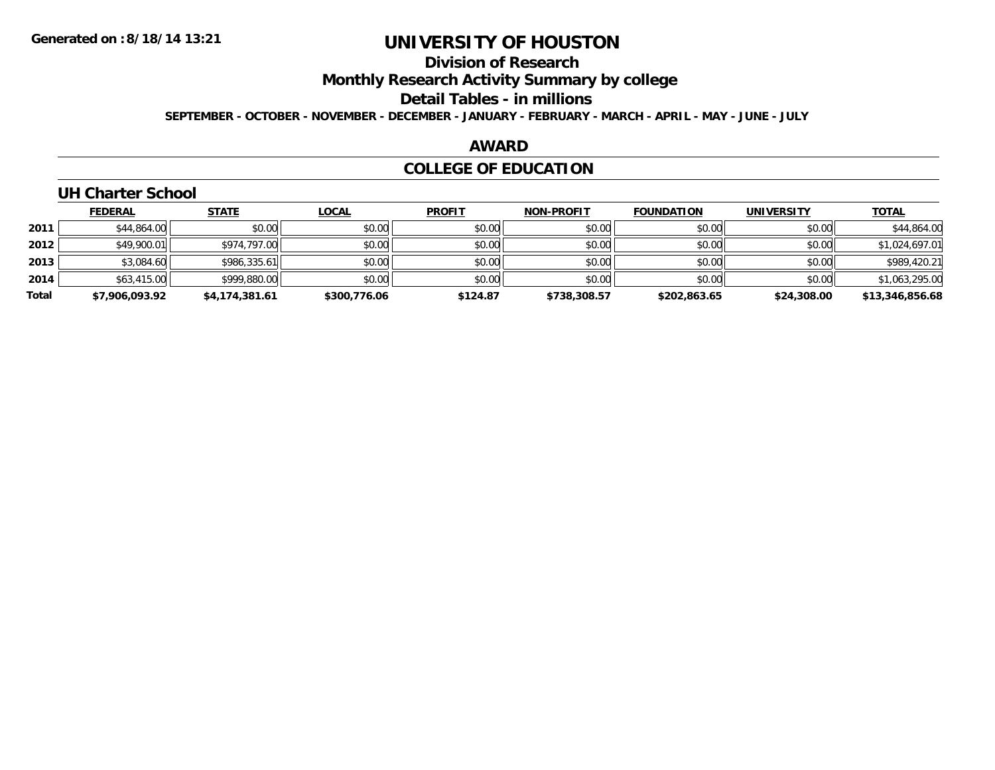# **Division of Research**

**Monthly Research Activity Summary by college**

**Detail Tables - in millions**

**SEPTEMBER - OCTOBER - NOVEMBER - DECEMBER - JANUARY - FEBRUARY - MARCH - APRIL - MAY - JUNE - JULY**

### **AWARD**

## **COLLEGE OF EDUCATION**

## **UH Charter School**

|       | <b>FEDERAL</b> | <b>STATE</b>   | <b>LOCAL</b> | <b>PROFIT</b> | <b>NON-PROFIT</b> | <b>FOUNDATION</b> | <b>UNIVERSITY</b> | <b>TOTAL</b>    |
|-------|----------------|----------------|--------------|---------------|-------------------|-------------------|-------------------|-----------------|
| 2011  | \$44,864.00    | \$0.00         | \$0.00       | \$0.00        | \$0.00            | \$0.00            | \$0.00            | \$44,864.00     |
| 2012  | \$49,900.01    | \$974.797.00   | \$0.00       | \$0.00        | \$0.00            | \$0.00            | \$0.00            | \$1,024,697.01  |
| 2013  | \$3,084.60     | \$986,335.61   | \$0.00       | \$0.00        | \$0.00            | \$0.00            | \$0.00            | \$989,420.21    |
| 2014  | \$63,415.00    | \$999,880.00   | \$0.00       | \$0.00        | \$0.00            | \$0.00            | \$0.00            | \$1,063,295.00  |
| Total | \$7,906,093.92 | \$4,174,381.61 | \$300,776.06 | \$124.87      | \$738,308.57      | \$202,863.65      | \$24,308.00       | \$13,346,856.68 |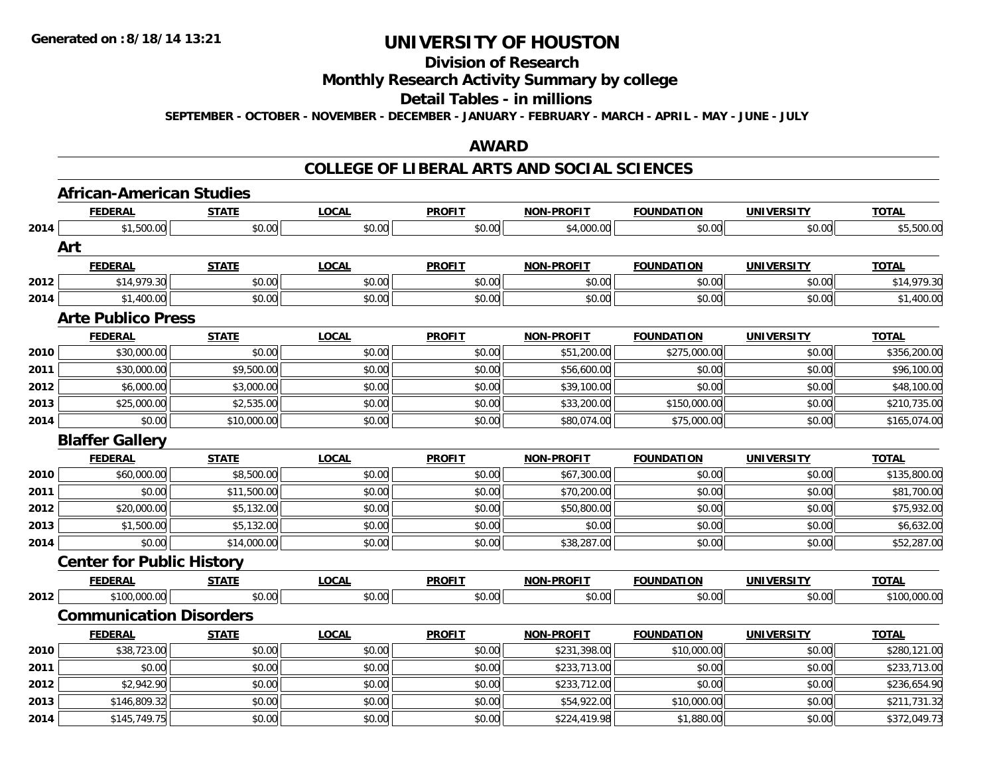### **Division of Research**

**Monthly Research Activity Summary by college**

#### **Detail Tables - in millions**

**SEPTEMBER - OCTOBER - NOVEMBER - DECEMBER - JANUARY - FEBRUARY - MARCH - APRIL - MAY - JUNE - JULY**

#### **AWARD**

#### **COLLEGE OF LIBERAL ARTS AND SOCIAL SCIENCES**

|      | <b>African-American Studies</b>  |                    |              |               |                   |                   |                   |              |
|------|----------------------------------|--------------------|--------------|---------------|-------------------|-------------------|-------------------|--------------|
|      | <b>FEDERAL</b>                   | <b>STATE</b>       | <b>LOCAL</b> | <b>PROFIT</b> | <b>NON-PROFIT</b> | <b>FOUNDATION</b> | <b>UNIVERSITY</b> | <b>TOTAL</b> |
| 2014 | \$1,500.00                       | \$0.00             | \$0.00       | \$0.00        | \$4,000.00        | \$0.00            | \$0.00            | \$5,500.00   |
|      | Art                              |                    |              |               |                   |                   |                   |              |
|      | <b>FEDERAL</b>                   | <b>STATE</b>       | <b>LOCAL</b> | <b>PROFIT</b> | <b>NON-PROFIT</b> | <b>FOUNDATION</b> | <b>UNIVERSITY</b> | <b>TOTAL</b> |
| 2012 | \$14,979.30                      | \$0.00             | \$0.00       | \$0.00        | \$0.00            | \$0.00            | \$0.00            | \$14,979.30  |
| 2014 | \$1,400.00                       | \$0.00             | \$0.00       | \$0.00        | \$0.00            | \$0.00            | \$0.00            | \$1,400.00   |
|      | <b>Arte Publico Press</b>        |                    |              |               |                   |                   |                   |              |
|      | <b>FEDERAL</b>                   | <b>STATE</b>       | <b>LOCAL</b> | <b>PROFIT</b> | <b>NON-PROFIT</b> | <b>FOUNDATION</b> | <b>UNIVERSITY</b> | <b>TOTAL</b> |
| 2010 | \$30,000.00                      | \$0.00             | \$0.00       | \$0.00        | \$51,200.00       | \$275,000.00      | \$0.00            | \$356,200.00 |
| 2011 | \$30,000.00                      | \$9,500.00         | \$0.00       | \$0.00        | \$56,600.00       | \$0.00            | \$0.00            | \$96,100.00  |
| 2012 | \$6,000.00                       | \$3,000.00         | \$0.00       | \$0.00        | \$39,100.00       | \$0.00            | \$0.00            | \$48,100.00  |
| 2013 | \$25,000.00                      | \$2,535.00         | \$0.00       | \$0.00        | \$33,200.00       | \$150,000.00      | \$0.00            | \$210,735.00 |
| 2014 | \$0.00                           | \$10,000.00        | \$0.00       | \$0.00        | \$80,074.00       | \$75,000.00       | \$0.00            | \$165,074.00 |
|      | <b>Blaffer Gallery</b>           |                    |              |               |                   |                   |                   |              |
|      | <b>FEDERAL</b>                   | <b>STATE</b>       | <b>LOCAL</b> | <b>PROFIT</b> | <b>NON-PROFIT</b> | <b>FOUNDATION</b> | <b>UNIVERSITY</b> | <b>TOTAL</b> |
| 2010 | \$60,000.00                      | \$8,500.00         | \$0.00       | \$0.00        | \$67,300.00       | \$0.00            | \$0.00            | \$135,800.00 |
| 2011 | \$0.00                           | \$11,500.00        | \$0.00       | \$0.00        | \$70,200.00       | \$0.00            | \$0.00            | \$81,700.00  |
| 2012 | \$20,000.00                      | \$5,132.00         | \$0.00       | \$0.00        | \$50,800.00       | \$0.00            | \$0.00            | \$75,932.00  |
| 2013 | \$1,500.00                       | \$5,132.00         | \$0.00       | \$0.00        | \$0.00            | \$0.00            | \$0.00            | \$6,632.00   |
| 2014 | \$0.00                           | \$14,000.00        | \$0.00       | \$0.00        | \$38,287.00       | \$0.00            | \$0.00            | \$52,287.00  |
|      | <b>Center for Public History</b> |                    |              |               |                   |                   |                   |              |
|      | <b>FEDERAL</b>                   | <b>STATE</b>       | <b>LOCAL</b> | <b>PROFIT</b> | <b>NON-PROFIT</b> | <b>FOUNDATION</b> | <b>UNIVERSITY</b> | <b>TOTAL</b> |
| 2012 | \$100,000.00                     | $\frac{1}{00}$ .00 | \$0.00       | \$0.00        | \$0.00            | \$0.00            | \$0.00            | \$100,000.00 |
|      | <b>Communication Disorders</b>   |                    |              |               |                   |                   |                   |              |
|      | <b>FEDERAL</b>                   | <b>STATE</b>       | <b>LOCAL</b> | <b>PROFIT</b> | <b>NON-PROFIT</b> | <b>FOUNDATION</b> | <b>UNIVERSITY</b> | <b>TOTAL</b> |
| 2010 | \$38,723.00                      | \$0.00             | \$0.00       | \$0.00        | \$231,398.00      | \$10,000.00       | \$0.00            | \$280,121.00 |
| 2011 | \$0.00                           | \$0.00             | \$0.00       | \$0.00        | \$233,713.00      | \$0.00            | \$0.00            | \$233,713.00 |
| 2012 | \$2,942.90                       | \$0.00             | \$0.00       | \$0.00        | \$233,712.00      | \$0.00            | \$0.00            | \$236,654.90 |
| 2013 | \$146,809.32                     | \$0.00             | \$0.00       | \$0.00        | \$54,922.00       | \$10,000.00       | \$0.00            | \$211,731.32 |
| 2014 | \$145,749.75                     | \$0.00             | \$0.00       | \$0.00        | \$224,419.98      | \$1,880.00        | \$0.00            | \$372,049.73 |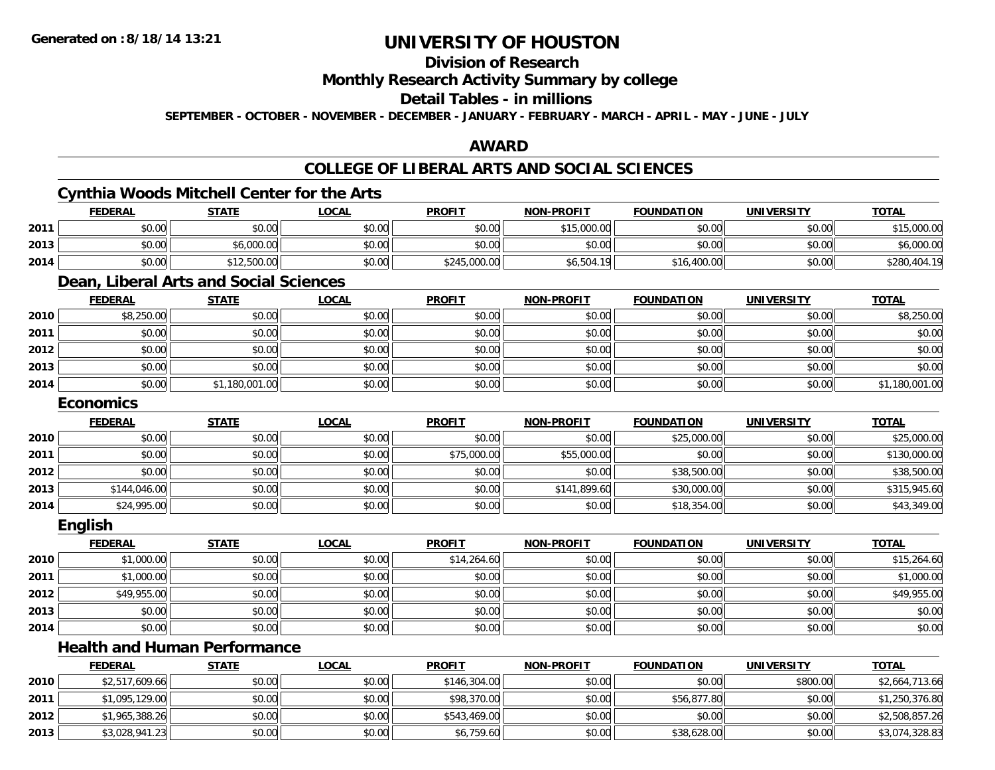### **Division of Research**

**Monthly Research Activity Summary by college**

#### **Detail Tables - in millions**

**SEPTEMBER - OCTOBER - NOVEMBER - DECEMBER - JANUARY - FEBRUARY - MARCH - APRIL - MAY - JUNE - JULY**

#### **AWARD**

### **COLLEGE OF LIBERAL ARTS AND SOCIAL SCIENCES**

### **Cynthia Woods Mitchell Center for the Arts**

|      | <b>FEDERAL</b> | <b>STATE</b> | <b>LOCAL</b> | <b>PROFIT</b> | <b>NON-PROFIT</b> | <b>FOUNDATION</b> | <b>UNIVERSITY</b> | <u>TOTAL</u> |
|------|----------------|--------------|--------------|---------------|-------------------|-------------------|-------------------|--------------|
| 2011 | \$0.00         | \$0.00       | \$0.00       | \$0.00        | \$15,000.00       | \$0.00            | \$0.00            | \$15,000.00  |
| 2013 | \$0.00         | \$6,000.00   | \$0.00       | \$0.00        | \$0.00            | \$0.00            | \$0.00            | \$6,000.00   |
| 2014 | \$0.00         | \$12,500.00  | \$0.00       | \$245,000.00  | \$6,504.19        | \$16,400.00       | \$0.00            | \$280,404.19 |

### **Dean, Liberal Arts and Social Sciences**

|      | <b>FEDERAL</b> | <b>STATE</b>   | <b>LOCAL</b> | <b>PROFIT</b> | <b>NON-PROFIT</b> | <b>FOUNDATION</b> | <b>UNIVERSITY</b> | <b>TOTAL</b>   |
|------|----------------|----------------|--------------|---------------|-------------------|-------------------|-------------------|----------------|
| 2010 | \$8,250.00     | \$0.00         | \$0.00       | \$0.00        | \$0.00            | \$0.00            | \$0.00            | \$8,250.00     |
| 2011 | \$0.00         | \$0.00         | \$0.00       | \$0.00        | \$0.00            | \$0.00            | \$0.00            | \$0.00         |
| 2012 | \$0.00         | \$0.00         | \$0.00       | \$0.00        | \$0.00            | \$0.00            | \$0.00            | \$0.00         |
| 2013 | \$0.00         | \$0.00         | \$0.00       | \$0.00        | \$0.00            | \$0.00            | \$0.00            | \$0.00         |
| 2014 | \$0.00         | \$1,180,001.00 | \$0.00       | \$0.00        | \$0.00            | \$0.00            | \$0.00            | \$1,180,001.00 |

#### **Economics**

|      | <b>FEDERAL</b> | <b>STATE</b> | <u>LOCAL</u> | <b>PROFIT</b> | <b>NON-PROFIT</b> | FOUNDATION  | <b>UNIVERSITY</b> | <b>TOTAL</b> |
|------|----------------|--------------|--------------|---------------|-------------------|-------------|-------------------|--------------|
| 2010 | \$0.00         | \$0.00       | \$0.00       | \$0.00        | \$0.00            | \$25,000.00 | \$0.00            | \$25,000.00  |
| 2011 | \$0.00         | \$0.00       | \$0.00       | \$75,000.00   | \$55,000.00       | \$0.00      | \$0.00            | \$130,000.00 |
| 2012 | \$0.00         | \$0.00       | \$0.00       | \$0.00        | \$0.00            | \$38,500.00 | \$0.00            | \$38,500.00  |
| 2013 | \$144,046.00   | \$0.00       | \$0.00       | \$0.00        | \$141,899.60      | \$30,000.00 | \$0.00            | \$315,945.60 |
| 2014 | \$24,995.00    | \$0.00       | \$0.00       | \$0.00        | \$0.00            | \$18,354.00 | \$0.00            | \$43,349.00  |

#### **English**

|      | <b>FEDERAL</b> | <b>STATE</b> | <b>LOCAL</b> | <b>PROFIT</b> | NON-PROFIT | <b>FOUNDATION</b> | <b>UNIVERSITY</b> | <b>TOTAL</b> |
|------|----------------|--------------|--------------|---------------|------------|-------------------|-------------------|--------------|
| 2010 | \$1,000.00     | \$0.00       | \$0.00       | \$14,264.60   | \$0.00     | \$0.00            | \$0.00            | \$15,264.60  |
| 2011 | \$1,000.00     | \$0.00       | \$0.00       | \$0.00        | \$0.00     | \$0.00            | \$0.00            | \$1,000.00   |
| 2012 | \$49,955.00    | \$0.00       | \$0.00       | \$0.00        | \$0.00     | \$0.00            | \$0.00            | \$49,955.00  |
| 2013 | \$0.00         | \$0.00       | \$0.00       | \$0.00        | \$0.00     | \$0.00            | \$0.00            | \$0.00       |
| 2014 | \$0.00         | \$0.00       | \$0.00       | \$0.00        | \$0.00     | \$0.00            | \$0.00            | \$0.00       |

# **Health and Human Performance**

|      | <b>FEDERAL</b> | <u>STATE</u> | <u>LOCAL</u> | <b>PROFIT</b> | <b>NON-PROFIT</b> | <b>FOUNDATION</b> | <b>UNIVERSITY</b> | <b>TOTAL</b>   |
|------|----------------|--------------|--------------|---------------|-------------------|-------------------|-------------------|----------------|
| 2010 | \$2,517,609.66 | \$0.00       | \$0.00       | \$146,304.00  | \$0.00            | \$0.00            | \$800.00          | \$2,664,713.66 |
| 2011 | \$1,095,129.00 | \$0.00       | \$0.00       | \$98,370.00   | \$0.00            | \$56,877.80       | \$0.00            | \$1,250,376.80 |
| 2012 | \$1,965,388.26 | \$0.00       | \$0.00       | \$543,469.00  | \$0.00            | \$0.00            | \$0.00            | \$2,508,857.26 |
| 2013 | \$3,028,941.23 | \$0.00       | \$0.00       | \$6,759.60    | \$0.00            | \$38,628.00       | \$0.00            | \$3,074,328.83 |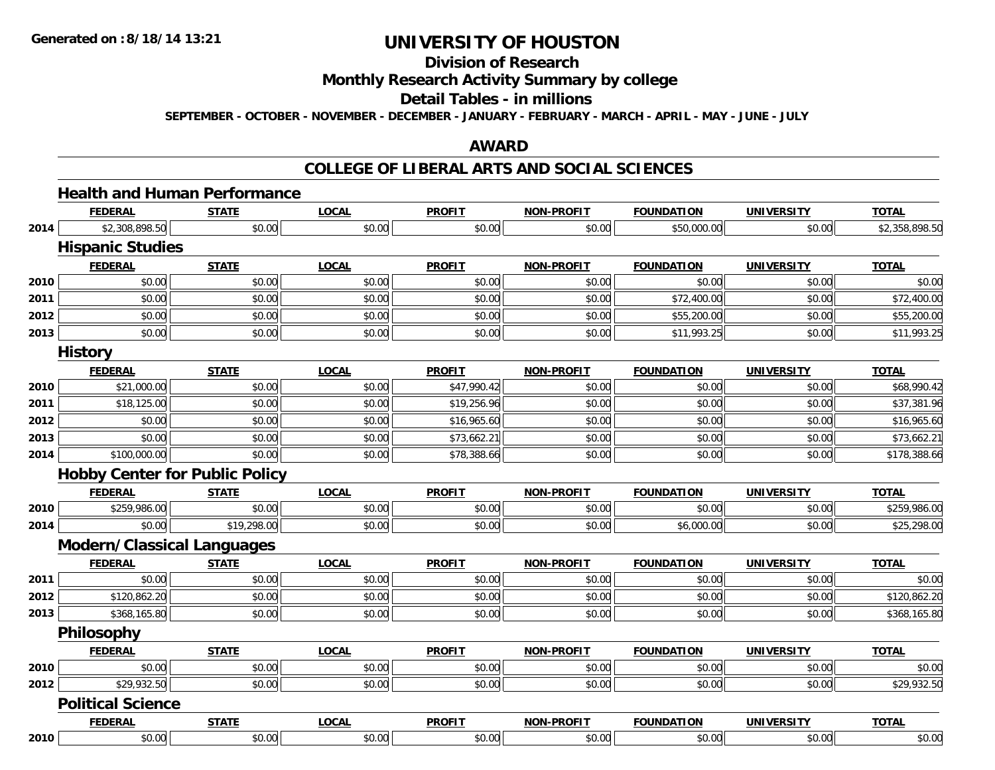**2010**

# **UNIVERSITY OF HOUSTON**

# **Division of Research**

**Monthly Research Activity Summary by college**

#### **Detail Tables - in millions**

**SEPTEMBER - OCTOBER - NOVEMBER - DECEMBER - JANUARY - FEBRUARY - MARCH - APRIL - MAY - JUNE - JULY**

#### **AWARD**

#### **COLLEGE OF LIBERAL ARTS AND SOCIAL SCIENCES**

|      | <b>FEDERAL</b>                        | <b>STATE</b> | <b>LOCAL</b> | <b>PROFIT</b> | <b>NON-PROFIT</b> | <b>FOUNDATION</b> | <b>UNIVERSITY</b> | <b>TOTAL</b>   |
|------|---------------------------------------|--------------|--------------|---------------|-------------------|-------------------|-------------------|----------------|
| 2014 | \$2,308,898.50                        | \$0.00       | \$0.00       | \$0.00        | \$0.00            | \$50,000.00       | \$0.00            | \$2,358,898.50 |
|      | <b>Hispanic Studies</b>               |              |              |               |                   |                   |                   |                |
|      | <b>FEDERAL</b>                        | <b>STATE</b> | <b>LOCAL</b> | <b>PROFIT</b> | <b>NON-PROFIT</b> | <b>FOUNDATION</b> | <b>UNIVERSITY</b> | <b>TOTAL</b>   |
| 2010 | \$0.00                                | \$0.00       | \$0.00       | \$0.00        | \$0.00            | \$0.00            | \$0.00            | \$0.00         |
| 2011 | \$0.00                                | \$0.00       | \$0.00       | \$0.00        | \$0.00            | \$72,400.00       | \$0.00            | \$72,400.00    |
| 2012 | \$0.00                                | \$0.00       | \$0.00       | \$0.00        | \$0.00            | \$55,200.00       | \$0.00            | \$55,200.00    |
| 2013 | \$0.00                                | \$0.00       | \$0.00       | \$0.00        | \$0.00            | \$11,993.25       | \$0.00            | \$11,993.25    |
|      | <b>History</b>                        |              |              |               |                   |                   |                   |                |
|      | <b>FEDERAL</b>                        | <b>STATE</b> | <b>LOCAL</b> | <b>PROFIT</b> | <b>NON-PROFIT</b> | <b>FOUNDATION</b> | <b>UNIVERSITY</b> | <b>TOTAL</b>   |
| 2010 | \$21,000.00                           | \$0.00       | \$0.00       | \$47,990.42   | \$0.00            | \$0.00            | \$0.00            | \$68,990.42    |
| 2011 | \$18,125.00                           | \$0.00       | \$0.00       | \$19,256.96   | \$0.00            | \$0.00            | \$0.00            | \$37,381.96    |
| 2012 | \$0.00                                | \$0.00       | \$0.00       | \$16,965.60   | \$0.00            | \$0.00            | \$0.00            | \$16,965.60    |
| 2013 | \$0.00                                | \$0.00       | \$0.00       | \$73,662.21   | \$0.00            | \$0.00            | \$0.00            | \$73,662.21    |
| 2014 | \$100,000.00                          | \$0.00       | \$0.00       | \$78,388.66   | \$0.00            | \$0.00            | \$0.00            | \$178,388.66   |
|      | <b>Hobby Center for Public Policy</b> |              |              |               |                   |                   |                   |                |
|      | <b>FEDERAL</b>                        | <b>STATE</b> | <b>LOCAL</b> | <b>PROFIT</b> | <b>NON-PROFIT</b> | <b>FOUNDATION</b> | <b>UNIVERSITY</b> | <b>TOTAL</b>   |
| 2010 | \$259,986.00                          | \$0.00       | \$0.00       | \$0.00        | \$0.00            | \$0.00            | \$0.00            | \$259,986.00   |
| 2014 | \$0.00                                | \$19,298.00  | \$0.00       | \$0.00        | \$0.00            | \$6,000.00        | \$0.00            | \$25,298.00    |
|      | <b>Modern/Classical Languages</b>     |              |              |               |                   |                   |                   |                |
|      | <b>FEDERAL</b>                        | <b>STATE</b> | <b>LOCAL</b> | <b>PROFIT</b> | <b>NON-PROFIT</b> | <b>FOUNDATION</b> | <b>UNIVERSITY</b> | <b>TOTAL</b>   |
| 2011 | \$0.00                                | \$0.00       | \$0.00       | \$0.00        | \$0.00            | \$0.00            | \$0.00            | \$0.00         |
| 2012 | \$120,862.20                          | \$0.00       | \$0.00       | \$0.00        | \$0.00            | \$0.00            | \$0.00            | \$120,862.20   |
| 2013 | \$368,165.80                          | \$0.00       | \$0.00       | \$0.00        | \$0.00            | \$0.00            | \$0.00            | \$368,165.80   |
|      | Philosophy                            |              |              |               |                   |                   |                   |                |
|      | <b>FEDERAL</b>                        | <b>STATE</b> | <b>LOCAL</b> | <b>PROFIT</b> | <b>NON-PROFIT</b> | <b>FOUNDATION</b> | <b>UNIVERSITY</b> | <b>TOTAL</b>   |
| 2010 | \$0.00                                | \$0.00       | \$0.00       | \$0.00        | \$0.00            | \$0.00            | \$0.00            | \$0.00         |
| 2012 | \$29,932.50                           | \$0.00       | \$0.00       | \$0.00        | \$0.00            | \$0.00            | \$0.00            | \$29,932.50    |
|      | <b>Political Science</b>              |              |              |               |                   |                   |                   |                |
|      | <b>FEDERAL</b>                        | <b>STATE</b> | <b>LOCAL</b> | <b>PROFIT</b> | <b>NON-PROFIT</b> | <b>FOUNDATION</b> | <b>UNIVERSITY</b> | <b>TOTAL</b>   |

0 \$0.00 \$0.00 \$0.00 \$0.00 \$0.00 \$0.00 \$0.00 \$0.00 \$0.00 \$0.00 \$0.00 \$0.00 \$0.00 \$0.00 \$0.00 \$0.00 \$0.00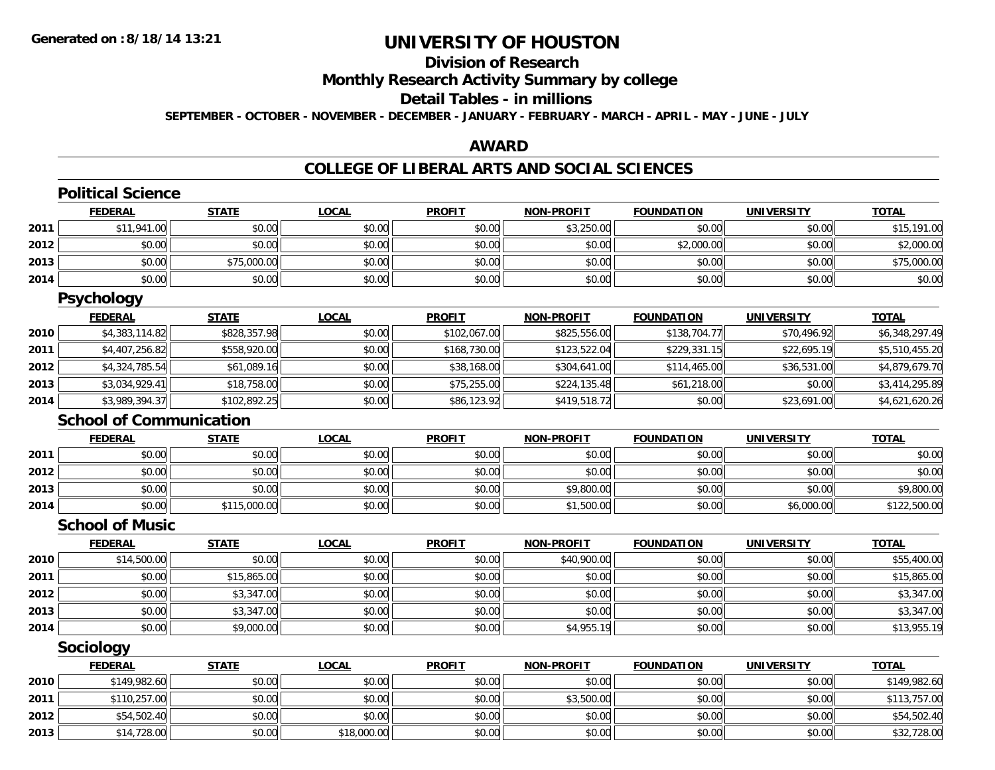### **Division of Research**

**Monthly Research Activity Summary by college**

#### **Detail Tables - in millions**

**SEPTEMBER - OCTOBER - NOVEMBER - DECEMBER - JANUARY - FEBRUARY - MARCH - APRIL - MAY - JUNE - JULY**

#### **AWARD**

#### **COLLEGE OF LIBERAL ARTS AND SOCIAL SCIENCES**

|      | <b>Political Science</b>       |              |              |               |                   |                   |                   |                |
|------|--------------------------------|--------------|--------------|---------------|-------------------|-------------------|-------------------|----------------|
|      | <b>FEDERAL</b>                 | <b>STATE</b> | <b>LOCAL</b> | <b>PROFIT</b> | <b>NON-PROFIT</b> | <b>FOUNDATION</b> | <b>UNIVERSITY</b> | <b>TOTAL</b>   |
| 2011 | \$11,941.00                    | \$0.00       | \$0.00       | \$0.00        | \$3,250.00        | \$0.00            | \$0.00            | \$15,191.00    |
| 2012 | \$0.00                         | \$0.00       | \$0.00       | \$0.00        | \$0.00            | \$2,000.00        | \$0.00            | \$2,000.00     |
| 2013 | \$0.00                         | \$75,000.00  | \$0.00       | \$0.00        | \$0.00            | \$0.00            | \$0.00            | \$75,000.00    |
| 2014 | \$0.00                         | \$0.00       | \$0.00       | \$0.00        | \$0.00            | \$0.00            | \$0.00            | \$0.00         |
|      | <b>Psychology</b>              |              |              |               |                   |                   |                   |                |
|      | <b>FEDERAL</b>                 | <b>STATE</b> | <b>LOCAL</b> | <b>PROFIT</b> | <b>NON-PROFIT</b> | <b>FOUNDATION</b> | <b>UNIVERSITY</b> | <b>TOTAL</b>   |
| 2010 | \$4,383,114.82                 | \$828,357.98 | \$0.00       | \$102,067.00  | \$825,556.00      | \$138,704.77      | \$70,496.92       | \$6,348,297.49 |
| 2011 | \$4,407,256.82                 | \$558,920.00 | \$0.00       | \$168,730.00  | \$123,522.04      | \$229,331.15      | \$22,695.19       | \$5,510,455.20 |
| 2012 | \$4,324,785.54                 | \$61,089.16  | \$0.00       | \$38,168.00   | \$304,641.00      | \$114,465.00      | \$36,531.00       | \$4,879,679.70 |
| 2013 | \$3,034,929.41                 | \$18,758.00  | \$0.00       | \$75,255.00   | \$224,135.48      | \$61,218.00       | \$0.00            | \$3,414,295.89 |
| 2014 | \$3,989,394.37                 | \$102,892.25 | \$0.00       | \$86,123.92   | \$419,518.72      | \$0.00            | \$23,691.00       | \$4,621,620.26 |
|      | <b>School of Communication</b> |              |              |               |                   |                   |                   |                |
|      | <b>FEDERAL</b>                 | <b>STATE</b> | <b>LOCAL</b> | <b>PROFIT</b> | <b>NON-PROFIT</b> | <b>FOUNDATION</b> | <b>UNIVERSITY</b> | <b>TOTAL</b>   |
| 2011 | \$0.00                         | \$0.00       | \$0.00       | \$0.00        | \$0.00            | \$0.00            | \$0.00            | \$0.00         |
| 2012 | \$0.00                         | \$0.00       | \$0.00       | \$0.00        | \$0.00            | \$0.00            | \$0.00            | \$0.00         |
| 2013 | \$0.00                         | \$0.00       | \$0.00       | \$0.00        | \$9,800.00        | \$0.00            | \$0.00            | \$9,800.00     |
| 2014 | \$0.00                         | \$115,000.00 | \$0.00       | \$0.00        | \$1,500.00        | \$0.00            | \$6,000.00        | \$122,500.00   |
|      | <b>School of Music</b>         |              |              |               |                   |                   |                   |                |
|      | <b>FEDERAL</b>                 | <b>STATE</b> | <b>LOCAL</b> | <b>PROFIT</b> | <b>NON-PROFIT</b> | <b>FOUNDATION</b> | <b>UNIVERSITY</b> | <b>TOTAL</b>   |
| 2010 | \$14,500.00                    | \$0.00       | \$0.00       | \$0.00        | \$40,900.00       | \$0.00            | \$0.00            | \$55,400.00    |
| 2011 | \$0.00                         | \$15,865.00  | \$0.00       | \$0.00        | \$0.00            | \$0.00            | \$0.00            | \$15,865.00    |
| 2012 | \$0.00                         | \$3,347.00   | \$0.00       | \$0.00        | \$0.00            | \$0.00            | \$0.00            | \$3,347.00     |
| 2013 | \$0.00                         | \$3,347.00   | \$0.00       | \$0.00        | \$0.00            | \$0.00            | \$0.00            | \$3,347.00     |
| 2014 | \$0.00                         | \$9,000.00   | \$0.00       | \$0.00        | \$4,955.19        | \$0.00            | \$0.00            | \$13,955.19    |
|      | Sociology                      |              |              |               |                   |                   |                   |                |
|      | <b>FEDERAL</b>                 | <b>STATE</b> | <b>LOCAL</b> | <b>PROFIT</b> | <b>NON-PROFIT</b> | <b>FOUNDATION</b> | <b>UNIVERSITY</b> | <b>TOTAL</b>   |
| 2010 | \$149,982.60                   | \$0.00       | \$0.00       | \$0.00        | \$0.00            | \$0.00            | \$0.00            | \$149,982.60   |
| 2011 | \$110,257.00                   | \$0.00       | \$0.00       | \$0.00        | \$3,500.00        | \$0.00            | \$0.00            | \$113,757.00   |
| 2012 | \$54,502.40                    | \$0.00       | \$0.00       | \$0.00        | \$0.00            | \$0.00            | \$0.00            | \$54,502.40    |
| 2013 | \$14,728.00                    | \$0.00       | \$18,000.00  | \$0.00        | \$0.00            | \$0.00            | \$0.00            | \$32,728.00    |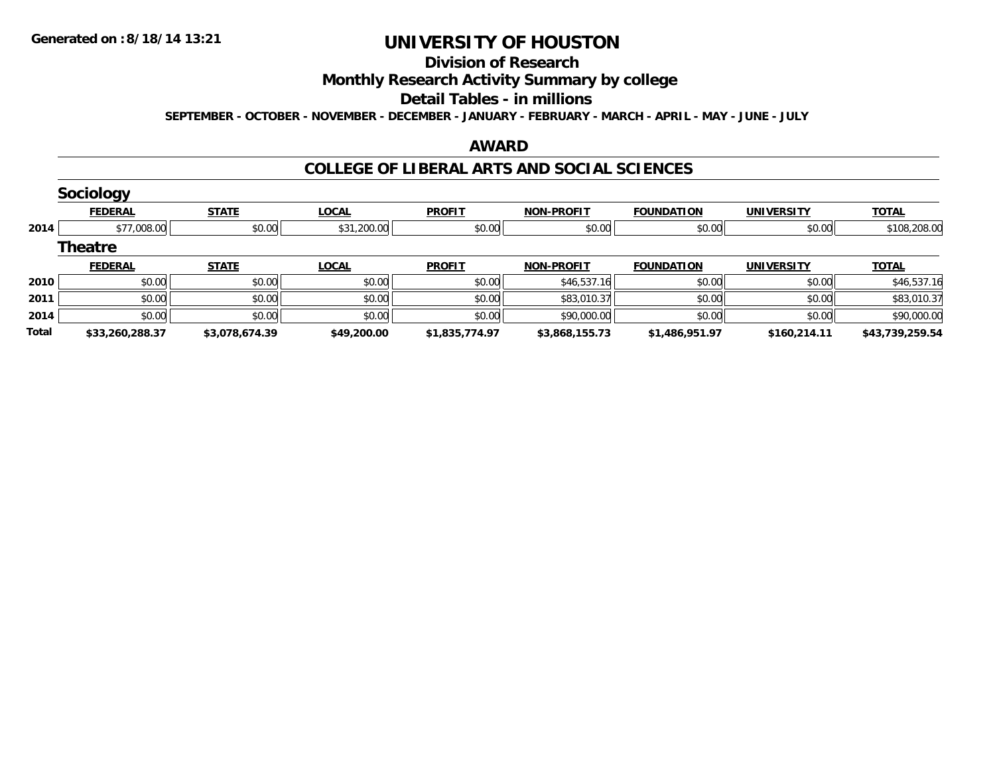#### **Division of Research**

# **Monthly Research Activity Summary by college**

#### **Detail Tables - in millions**

**SEPTEMBER - OCTOBER - NOVEMBER - DECEMBER - JANUARY - FEBRUARY - MARCH - APRIL - MAY - JUNE - JULY**

#### **AWARD**

#### **COLLEGE OF LIBERAL ARTS AND SOCIAL SCIENCES**

|       | <b>Sociology</b> |                |              |                |                   |                   |                   |                 |
|-------|------------------|----------------|--------------|----------------|-------------------|-------------------|-------------------|-----------------|
|       | <b>FEDERAL</b>   | <b>STATE</b>   | <b>LOCAL</b> | <b>PROFIT</b>  | <b>NON-PROFIT</b> | <b>FOUNDATION</b> | <b>UNIVERSITY</b> | <b>TOTAL</b>    |
| 2014  | \$77,008.00      | \$0.00         | \$31,200.00  | \$0.00         | \$0.00            | \$0.00            | \$0.00            | \$108,208.00    |
|       | <b>Theatre</b>   |                |              |                |                   |                   |                   |                 |
|       | <b>FEDERAL</b>   | <b>STATE</b>   | <b>LOCAL</b> | <b>PROFIT</b>  | <b>NON-PROFIT</b> | <b>FOUNDATION</b> | <b>UNIVERSITY</b> | <b>TOTAL</b>    |
| 2010  | \$0.00           | \$0.00         | \$0.00       | \$0.00         | \$46,537.16       | \$0.00            | \$0.00            | \$46,537.16     |
| 2011  | \$0.00           | \$0.00         | \$0.00       | \$0.00         | \$83,010.37       | \$0.00            | \$0.00            | \$83,010.37     |
| 2014  | \$0.00           | \$0.00         | \$0.00       | \$0.00         | \$90,000.00       | \$0.00            | \$0.00            | \$90,000.00     |
| Total | \$33,260,288.37  | \$3,078,674.39 | \$49,200.00  | \$1,835,774.97 | \$3,868,155.73    | \$1,486,951.97    | \$160,214.11      | \$43,739,259.54 |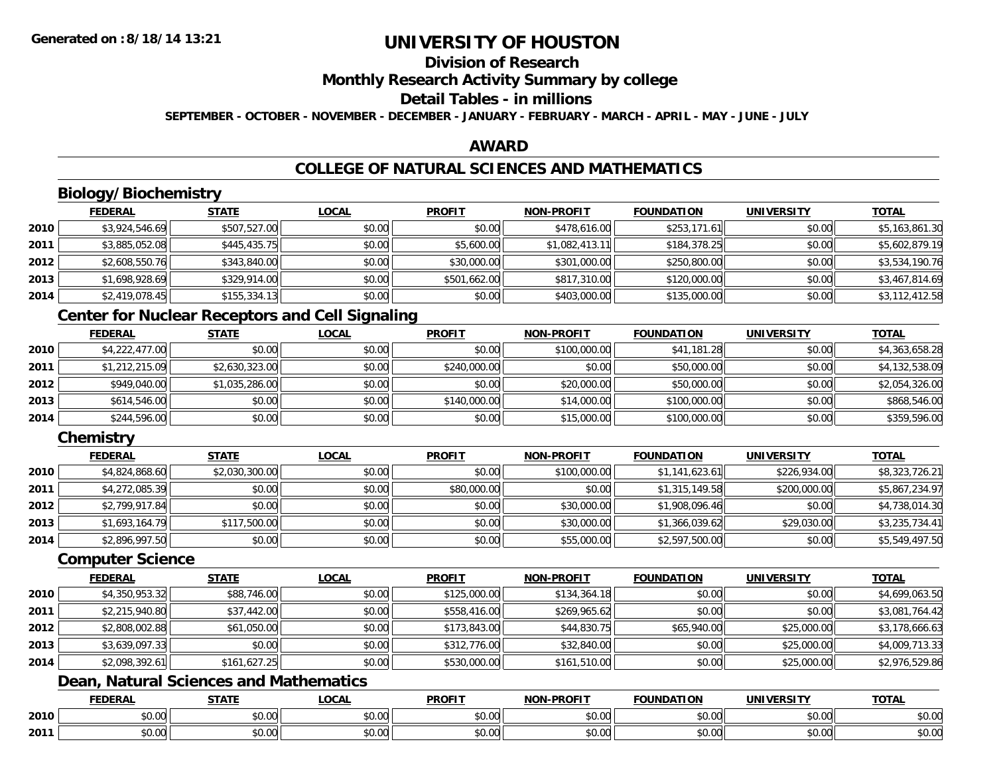### **Division of Research**

**Monthly Research Activity Summary by college**

### **Detail Tables - in millions**

**SEPTEMBER - OCTOBER - NOVEMBER - DECEMBER - JANUARY - FEBRUARY - MARCH - APRIL - MAY - JUNE - JULY**

#### **AWARD**

### **COLLEGE OF NATURAL SCIENCES AND MATHEMATICS**

### **Biology/Biochemistry**

|      | <b>FEDERAL</b> | <b>STATE</b> | <u>LOCAL</u> | <b>PROFIT</b> | <b>NON-PROFIT</b> | <b>FOUNDATION</b> | <b>UNIVERSITY</b> | <b>TOTAL</b>   |
|------|----------------|--------------|--------------|---------------|-------------------|-------------------|-------------------|----------------|
| 2010 | \$3,924,546.69 | \$507,527.00 | \$0.00       | \$0.00        | \$478,616.00      | \$253,171.61      | \$0.00            | \$5,163,861.30 |
| 2011 | \$3,885,052.08 | \$445,435.75 | \$0.00       | \$5,600.00    | \$1,082,413.11    | \$184,378.25      | \$0.00            | \$5,602,879.19 |
| 2012 | \$2,608,550.76 | \$343,840.00 | \$0.00       | \$30,000.00   | \$301,000.00      | \$250,800.00      | \$0.00            | \$3,534,190.76 |
| 2013 | \$1,698,928.69 | \$329,914.00 | \$0.00       | \$501,662.00  | \$817,310.00      | \$120,000.00      | \$0.00            | \$3,467,814.69 |
| 2014 | \$2,419,078.45 | \$155,334.13 | \$0.00       | \$0.00        | \$403,000.00      | \$135,000.00      | \$0.00            | \$3,112,412.58 |

#### **Center for Nuclear Receptors and Cell Signaling**

|      | <b>FEDERAL</b> | <u>STATE</u>   | <b>LOCAL</b> | <b>PROFIT</b> | <b>NON-PROFIT</b> | <b>FOUNDATION</b> | <b>UNIVERSITY</b> | <b>TOTAL</b>   |
|------|----------------|----------------|--------------|---------------|-------------------|-------------------|-------------------|----------------|
| 2010 | \$4,222,477.00 | \$0.00         | \$0.00       | \$0.00        | \$100,000.00      | \$41,181.28       | \$0.00            | \$4,363,658.28 |
| 2011 | \$1,212,215.09 | \$2,630,323.00 | \$0.00       | \$240,000.00  | \$0.00            | \$50,000.00       | \$0.00            | \$4,132,538.09 |
| 2012 | \$949,040.00   | \$1,035,286.00 | \$0.00       | \$0.00        | \$20,000.00       | \$50,000.00       | \$0.00            | \$2,054,326.00 |
| 2013 | \$614,546.00   | \$0.00         | \$0.00       | \$140,000.00  | \$14,000.00       | \$100,000.00      | \$0.00            | \$868,546.00   |
| 2014 | \$244,596.00   | \$0.00         | \$0.00       | \$0.00        | \$15,000.00       | \$100,000.00      | \$0.00            | \$359,596.00   |

### **Chemistry**

|      | <b>FEDERAL</b> | <b>STATE</b>   | <b>LOCAL</b> | <b>PROFIT</b> | <b>NON-PROFIT</b> | <b>FOUNDATION</b> | <b>UNIVERSITY</b> | <b>TOTAL</b>   |
|------|----------------|----------------|--------------|---------------|-------------------|-------------------|-------------------|----------------|
| 2010 | \$4,824,868.60 | \$2,030,300.00 | \$0.00       | \$0.00        | \$100,000.00      | \$1,141,623.61    | \$226,934.00      | \$8,323,726.21 |
| 2011 | \$4,272,085.39 | \$0.00         | \$0.00       | \$80,000.00   | \$0.00            | \$1,315,149.58    | \$200,000.00      | \$5,867,234.97 |
| 2012 | \$2,799,917.84 | \$0.00         | \$0.00       | \$0.00        | \$30,000.00       | \$1,908,096.46    | \$0.00            | \$4,738,014.30 |
| 2013 | \$1,693,164.79 | \$117,500.00   | \$0.00       | \$0.00        | \$30,000.00       | \$1,366,039.62    | \$29,030.00       | \$3,235,734.41 |
| 2014 | \$2,896,997.50 | \$0.00         | \$0.00       | \$0.00        | \$55,000.00       | \$2,597,500.00    | \$0.00            | \$5,549,497.50 |

#### **Computer Science**

|      | <b>FEDERAL</b> | <b>STATE</b> | <b>LOCAL</b> | <b>PROFIT</b> | <b>NON-PROFIT</b> | <b>FOUNDATION</b> | <b>UNIVERSITY</b> | <u>TOTAL</u>   |
|------|----------------|--------------|--------------|---------------|-------------------|-------------------|-------------------|----------------|
| 2010 | \$4,350,953.32 | \$88,746.00  | \$0.00       | \$125,000.00  | \$134,364.18      | \$0.00            | \$0.00            | \$4,699,063.50 |
| 2011 | \$2,215,940.80 | \$37,442.00  | \$0.00       | \$558,416.00  | \$269,965.62      | \$0.00            | \$0.00            | \$3,081,764.42 |
| 2012 | \$2,808,002.88 | \$61,050.00  | \$0.00       | \$173,843.00  | \$44,830.75       | \$65,940.00       | \$25,000.00       | \$3,178,666.63 |
| 2013 | \$3,639,097.33 | \$0.00       | \$0.00       | \$312,776.00  | \$32,840.00       | \$0.00            | \$25,000.00       | \$4,009,713.33 |
| 2014 | \$2,098,392.61 | \$161,627.25 | \$0.00       | \$530,000.00  | \$161,510.00      | \$0.00            | \$25,000.00       | \$2,976,529.86 |

### **Dean, Natural Sciences and Mathematics**

|      | ------<br>LI\ <i>r</i> | <b>CTATI</b>                  | .OCAL                  | <b>PROFIT</b>          | 000CH<br><b>AIAB</b> | <b>JNDATION</b> | 'INIVI                 | ----<br>$\mathbf{v}$ |
|------|------------------------|-------------------------------|------------------------|------------------------|----------------------|-----------------|------------------------|----------------------|
| 2010 | \$0.00                 | $\uparrow$ $\uparrow$<br>ט. ט | $\sim$ $\sim$<br>JU.UU | $\sim$ $\sim$<br>JU.UU | $\sim$ 00<br>ູນບ.ບບ  | \$0.00          | $\sim$ $\sim$<br>J∪.∪∪ | \$0.00               |
| 2011 | \$0.00                 | JU.L                          | $\sim$<br>vv.vv        | ሶስ ሰሰ<br>JU.UU         | $\sim$ 00<br>vu.vu   | 0000<br>\$0.00  | $\sim$ 00<br>vv.vv     | \$0.00               |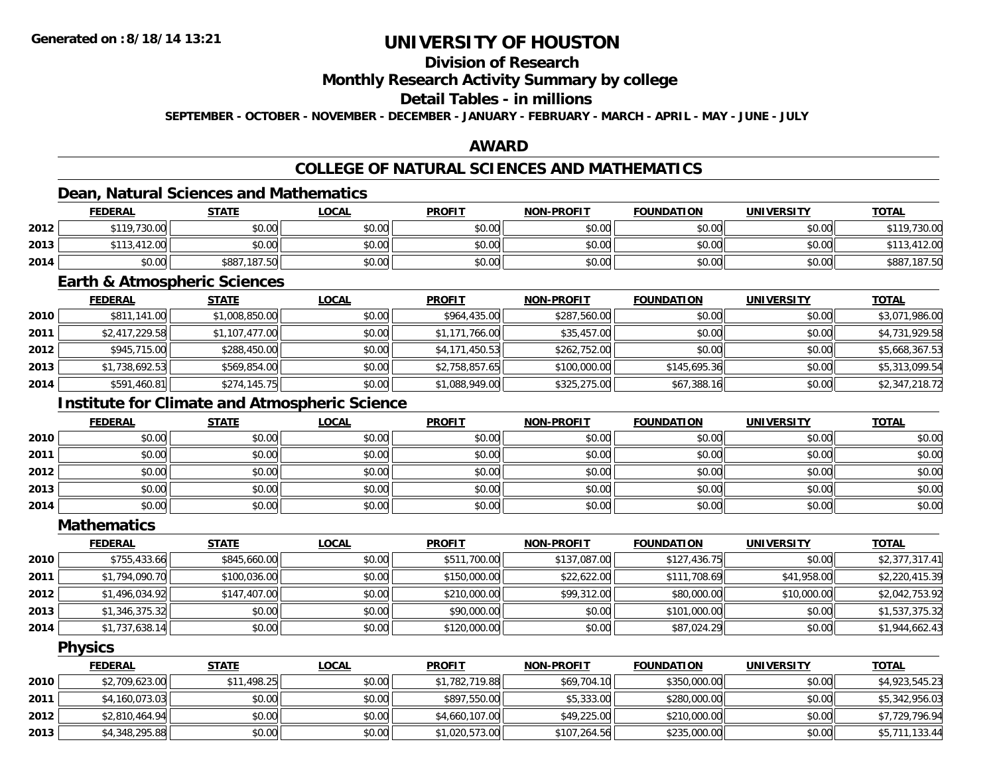### **Division of Research**

#### **Monthly Research Activity Summary by college**

### **Detail Tables - in millions**

**SEPTEMBER - OCTOBER - NOVEMBER - DECEMBER - JANUARY - FEBRUARY - MARCH - APRIL - MAY - JUNE - JULY**

#### **AWARD**

### **COLLEGE OF NATURAL SCIENCES AND MATHEMATICS**

### **Dean, Natural Sciences and Mathematics**

|      | <b>FEDERAL</b> | <b>STATE</b>     | <u>LOCAL</u> | <b>PROFIT</b> | <b>NON-PROFIT</b> | <b>FOUNDATION</b> | <b>UNIVERSITY</b> | <b>TOTAL</b>     |
|------|----------------|------------------|--------------|---------------|-------------------|-------------------|-------------------|------------------|
| 2012 | \$119,730.00   | \$0.00           | \$0.00       | \$0.00        | \$0.00            | \$0.00            | \$0.00            | \$119,730.00     |
| 2013 | 13,412.00      | \$0.00           | \$0.00       | \$0.00        | \$0.00            | \$0.00            | \$0.00            | .412.00          |
| 2014 | \$0.00         | .187.50<br>\$887 | \$0.00       | \$0.00        | \$0.00            | \$0.00            | \$0.00            | .187.50<br>\$887 |

#### **Earth & Atmospheric Sciences**

|      | <b>FEDERAL</b> | <b>STATE</b>   | <b>LOCAL</b> | <b>PROFIT</b>  | <b>NON-PROFIT</b> | <b>FOUNDATION</b> | <b>UNIVERSITY</b> | <b>TOTAL</b>   |
|------|----------------|----------------|--------------|----------------|-------------------|-------------------|-------------------|----------------|
| 2010 | \$811,141.00   | \$1,008,850.00 | \$0.00       | \$964,435.00   | \$287,560.00      | \$0.00            | \$0.00            | \$3,071,986.00 |
| 2011 | \$2,417,229.58 | \$1,107,477.00 | \$0.00       | \$1,171,766.00 | \$35,457.00       | \$0.00            | \$0.00            | \$4,731,929.58 |
| 2012 | \$945,715.00   | \$288,450.00   | \$0.00       | \$4,171,450.53 | \$262,752.00      | \$0.00            | \$0.00            | \$5,668,367.53 |
| 2013 | \$1,738,692.53 | \$569,854.00   | \$0.00       | \$2,758,857.65 | \$100,000.00      | \$145,695.36      | \$0.00            | \$5,313,099.54 |
| 2014 | \$591,460.81   | \$274,145.75   | \$0.00       | \$1,088,949.00 | \$325,275.00      | \$67,388.16       | \$0.00            | \$2,347,218.72 |

### **Institute for Climate and Atmospheric Science**

|      | <u>FEDERAL</u> | <b>STATE</b> | <u>LOCAL</u> | <b>PROFIT</b> | <b>NON-PROFIT</b> | <b>FOUNDATION</b> | <b>UNIVERSITY</b> | <b>TOTAL</b> |
|------|----------------|--------------|--------------|---------------|-------------------|-------------------|-------------------|--------------|
| 2010 | \$0.00         | \$0.00       | \$0.00       | \$0.00        | \$0.00            | \$0.00            | \$0.00            | \$0.00       |
| 2011 | \$0.00         | \$0.00       | \$0.00       | \$0.00        | \$0.00            | \$0.00            | \$0.00            | \$0.00       |
| 2012 | \$0.00         | \$0.00       | \$0.00       | \$0.00        | \$0.00            | \$0.00            | \$0.00            | \$0.00       |
| 2013 | \$0.00         | \$0.00       | \$0.00       | \$0.00        | \$0.00            | \$0.00            | \$0.00            | \$0.00       |
| 2014 | \$0.00         | \$0.00       | \$0.00       | \$0.00        | \$0.00            | \$0.00            | \$0.00            | \$0.00       |

#### **Mathematics**

|      | <b>FEDERAL</b> | <b>STATE</b> | <b>LOCAL</b> | <b>PROFIT</b> | <b>NON-PROFIT</b> | <b>FOUNDATION</b> | <b>UNIVERSITY</b> | <b>TOTAL</b>   |
|------|----------------|--------------|--------------|---------------|-------------------|-------------------|-------------------|----------------|
| 2010 | \$755,433.66   | \$845,660.00 | \$0.00       | \$511,700.00  | \$137,087.00      | \$127,436.75      | \$0.00            | \$2,377,317.41 |
| 2011 | \$1,794,090.70 | \$100,036.00 | \$0.00       | \$150,000.00  | \$22,622.00       | \$111,708.69      | \$41,958.00       | \$2,220,415.39 |
| 2012 | \$1,496,034.92 | \$147,407.00 | \$0.00       | \$210,000.00  | \$99,312.00       | \$80,000.00       | \$10,000.00       | \$2,042,753.92 |
| 2013 | \$1,346,375.32 | \$0.00       | \$0.00       | \$90,000.00   | \$0.00            | \$101,000.00      | \$0.00            | \$1,537,375.32 |
| 2014 | \$1,737,638.14 | \$0.00       | \$0.00       | \$120,000.00  | \$0.00            | \$87,024.29       | \$0.00            | \$1,944,662.43 |

#### **Physics**

|      | <b>FEDERAL</b> | <u>STATE</u> | <u>LOCAL</u> | <b>PROFIT</b>  | <b>NON-PROFIT</b> | <b>FOUNDATION</b> | <b>UNIVERSITY</b> | <b>TOTAL</b>   |
|------|----------------|--------------|--------------|----------------|-------------------|-------------------|-------------------|----------------|
| 2010 | \$2,709,623.00 | \$11,498.25  | \$0.00       | \$1,782,719.88 | \$69,704.10       | \$350,000.00      | \$0.00            | \$4,923,545.23 |
| 2011 | \$4,160,073.03 | \$0.00       | \$0.00       | \$897,550.00   | \$5,333,00        | \$280,000.00      | \$0.00            | \$5,342,956.03 |
| 2012 | \$2,810,464.94 | \$0.00       | \$0.00       | \$4,660,107.00 | \$49,225.00       | \$210,000.00      | \$0.00            | \$7,729,796.94 |
| 2013 | \$4,348,295.88 | \$0.00       | \$0.00       | \$1,020,573.00 | \$107,264.56      | \$235,000.00      | \$0.00            | \$5,711,133.44 |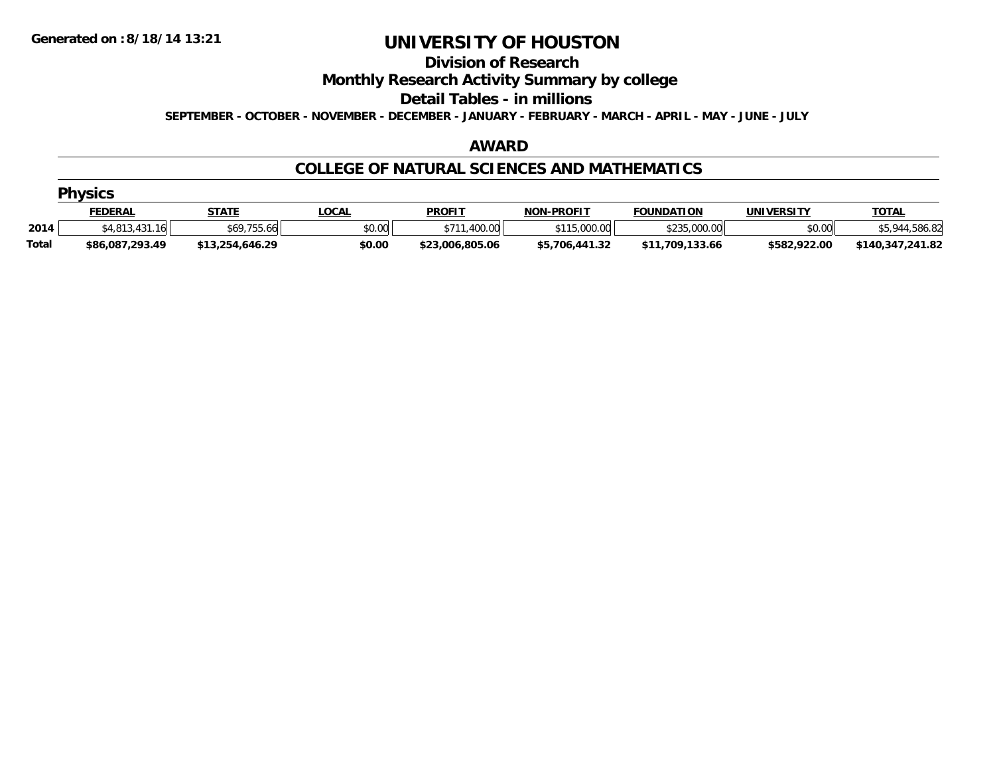#### **Division of Research**

**Monthly Research Activity Summary by college**

**Detail Tables - in millions**

**SEPTEMBER - OCTOBER - NOVEMBER - DECEMBER - JANUARY - FEBRUARY - MARCH - APRIL - MAY - JUNE - JULY**

#### **AWARD**

#### **COLLEGE OF NATURAL SCIENCES AND MATHEMATICS**

|              | <b>Physics</b>    |                 |              |                 |                   |                   |                   |                  |  |  |  |
|--------------|-------------------|-----------------|--------------|-----------------|-------------------|-------------------|-------------------|------------------|--|--|--|
|              | <b>FEDERAL</b>    | <b>STATE</b>    | <u>LOCAL</u> | <b>PROFIT</b>   | <b>NON-PROFIT</b> | <b>FOUNDATION</b> | <b>UNIVERSITY</b> | <b>TOTAL</b>     |  |  |  |
| 2014         | \$4,813,431<br>16 | \$69,755.66     | \$0.00       | .400.00<br>\$71 | 15,000.00         | \$235,000.00      | \$0.00            | 12 Q A A         |  |  |  |
| <b>Total</b> | \$86,087,293.49   | \$13,254,646.29 | \$0.00       | \$23,006,805.06 | \$5,706,441.32    | \$11,709,133.66   | \$582,922.00      | \$140,347,241.82 |  |  |  |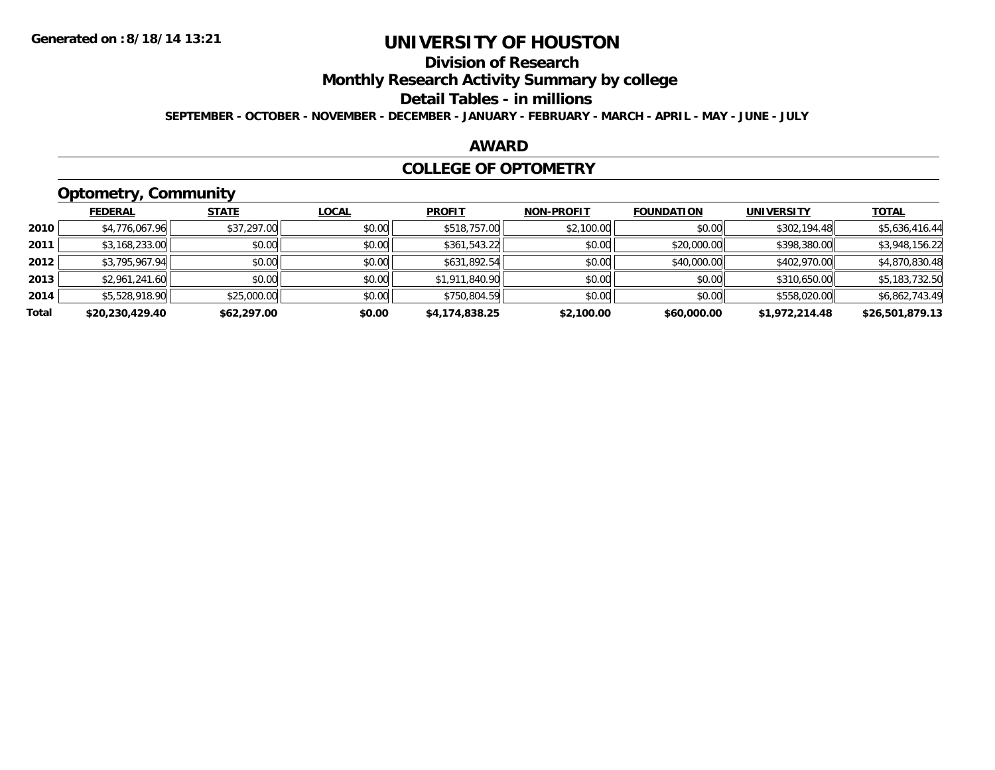### **Division of Research**

**Monthly Research Activity Summary by college**

#### **Detail Tables - in millions**

**SEPTEMBER - OCTOBER - NOVEMBER - DECEMBER - JANUARY - FEBRUARY - MARCH - APRIL - MAY - JUNE - JULY**

#### **AWARD**

#### **COLLEGE OF OPTOMETRY**

# **Optometry, Community**

|       | .               |              |              |                |                   |                   |                   |                 |
|-------|-----------------|--------------|--------------|----------------|-------------------|-------------------|-------------------|-----------------|
|       | <b>FEDERAL</b>  | <b>STATE</b> | <b>LOCAL</b> | <b>PROFIT</b>  | <b>NON-PROFIT</b> | <b>FOUNDATION</b> | <b>UNIVERSITY</b> | <b>TOTAL</b>    |
| 2010  | \$4,776,067.96  | \$37,297.00  | \$0.00       | \$518,757.00   | \$2,100.00        | \$0.00            | \$302,194.48      | \$5,636,416.44  |
| 2011  | \$3,168,233.00  | \$0.00       | \$0.00       | \$361,543.22   | \$0.00            | \$20,000.00       | \$398,380.00      | \$3,948,156.22  |
| 2012  | \$3,795,967.94  | \$0.00       | \$0.00       | \$631,892.54   | \$0.00            | \$40,000.00       | \$402,970.00      | \$4,870,830.48  |
| 2013  | \$2,961,241.60  | \$0.00       | \$0.00       | \$1,911,840.90 | \$0.00            | \$0.00            | \$310,650.00      | \$5,183,732.50  |
| 2014  | \$5,528,918.90  | \$25,000.00  | \$0.00       | \$750,804.59   | \$0.00            | \$0.00            | \$558,020.00      | \$6,862,743.49  |
| Total | \$20,230,429.40 | \$62,297.00  | \$0.00       | \$4,174,838.25 | \$2,100.00        | \$60,000.00       | \$1,972,214.48    | \$26,501,879.13 |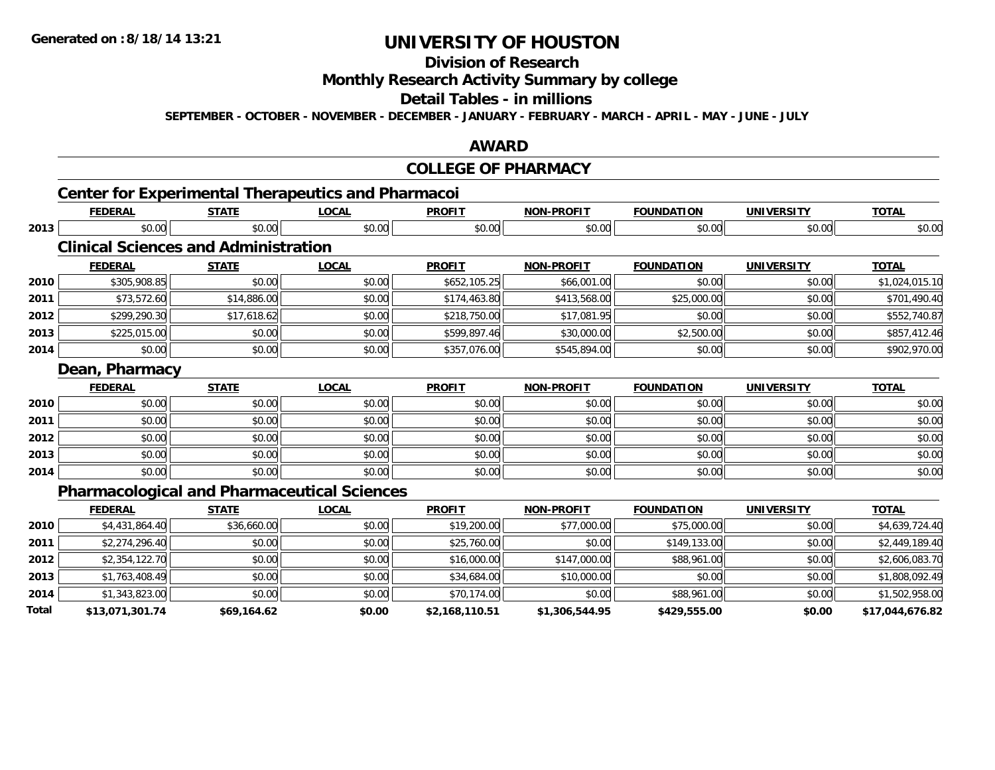### **Division of Research**

**Monthly Research Activity Summary by college**

#### **Detail Tables - in millions**

**SEPTEMBER - OCTOBER - NOVEMBER - DECEMBER - JANUARY - FEBRUARY - MARCH - APRIL - MAY - JUNE - JULY**

#### **AWARD**

#### **COLLEGE OF PHARMACY**

### **Center for Experimental Therapeutics and Pharmacoi**

|      | <b>FEDERAL</b>                                     | <b>STATE</b> | <b>LOCAL</b> | <b>PROFIT</b> | <b>NON-PROFIT</b> | <b>FOUNDATION</b> | <b>UNIVERSITY</b> | <b>TOTAL</b>   |
|------|----------------------------------------------------|--------------|--------------|---------------|-------------------|-------------------|-------------------|----------------|
| 2013 | \$0.00                                             | \$0.00       | \$0.00       | \$0.00        | \$0.00            | \$0.00            | \$0.00            | \$0.00         |
|      | <b>Clinical Sciences and Administration</b>        |              |              |               |                   |                   |                   |                |
|      | <b>FEDERAL</b>                                     | <b>STATE</b> | <b>LOCAL</b> | <b>PROFIT</b> | <b>NON-PROFIT</b> | <b>FOUNDATION</b> | <b>UNIVERSITY</b> | <b>TOTAL</b>   |
| 2010 | \$305,908.85                                       | \$0.00       | \$0.00       | \$652,105.25  | \$66,001.00       | \$0.00            | \$0.00            | \$1,024,015.10 |
| 2011 | \$73,572.60                                        | \$14,886.00  | \$0.00       | \$174,463.80  | \$413,568.00      | \$25,000.00       | \$0.00            | \$701,490.40   |
| 2012 | \$299,290.30                                       | \$17,618.62  | \$0.00       | \$218,750.00  | \$17,081.95       | \$0.00            | \$0.00            | \$552,740.87   |
| 2013 | \$225,015.00                                       | \$0.00       | \$0.00       | \$599,897.46  | \$30,000.00       | \$2,500.00        | \$0.00            | \$857,412.46   |
| 2014 | \$0.00                                             | \$0.00       | \$0.00       | \$357,076.00  | \$545,894.00      | \$0.00            | \$0.00            | \$902,970.00   |
|      | Dean, Pharmacy                                     |              |              |               |                   |                   |                   |                |
|      | <b>FEDERAL</b>                                     | <b>STATE</b> | <b>LOCAL</b> | <b>PROFIT</b> | <b>NON-PROFIT</b> | <b>FOUNDATION</b> | <b>UNIVERSITY</b> | <b>TOTAL</b>   |
| 2010 | \$0.00                                             | \$0.00       | \$0.00       | \$0.00        | \$0.00            | \$0.00            | \$0.00            | \$0.00         |
| 2011 | \$0.00                                             | \$0.00       | \$0.00       | \$0.00        | \$0.00            | \$0.00            | \$0.00            | \$0.00         |
| 2012 | \$0.00                                             | \$0.00       | \$0.00       | \$0.00        | \$0.00            | \$0.00            | \$0.00            | \$0.00         |
| 2013 | \$0.00                                             | \$0.00       | \$0.00       | \$0.00        | \$0.00            | \$0.00            | \$0.00            | \$0.00         |
| 2014 | \$0.00                                             | \$0.00       | \$0.00       | \$0.00        | \$0.00            | \$0.00            | \$0.00            | \$0.00         |
|      | <b>Pharmacological and Pharmaceutical Sciences</b> |              |              |               |                   |                   |                   |                |

#### **FEDERAL STATE LOCAL PROFIT NON-PROFIT FOUNDATION UNIVERSITY TOTALTOTAL 2010**0 \$4,431,864.40| \$36,660.00| \$0.00| \$19,200.00| \$77,000.00| \$77,000.00| \$55,000.00| \$0.00| \$4,639,724.40 **2011** \$2,274,296.40 \$0.00 \$0.00 \$25,760.00 \$0.00 \$149,133.00 \$0.00 \$2,449,189.40 **2012**2 | \$2,354,122.70|| \$0.00|| \$0.00|| \$0.00|| \$16,000.00|| \$147,000.00|| \$88,961.00|| \$0.00|| \$2,606,083.70| **2013** $\textbf{3} \parallel \textbf{3} \parallel \textbf{3} \parallel \textbf{4} \parallel \textbf{5} \parallel \textbf{5} \parallel \textbf{6} \parallel \textbf{7} \parallel \textbf{8} \parallel \textbf{6} \parallel \textbf{8} \parallel \textbf{7} \parallel \textbf{7} \parallel \textbf{8} \parallel \textbf{8} \parallel \textbf{8} \parallel \textbf{8} \parallel \textbf{8} \parallel \textbf{8} \parallel \textbf{8} \parallel \textbf{8} \parallel \textbf{8} \parallel \textbf{8} \parallel \textbf{8} \parallel \textbf{8} \parallel \textbf{8} \parallel \textbf{8} \parallel \textbf{8$ **2014**4 \$1,343,823.00| \$0.00| \$0.00| \$0.00| \$70,174.00| \$0.00| \$88,961.00| \$0.00| \$1,502,958.00 **Total\$13,071,301.74 \$69,164.62 \$0.00 \$2,168,110.51 \$1,306,544.95 \$429,555.00 \$0.00 \$17,044,676.82**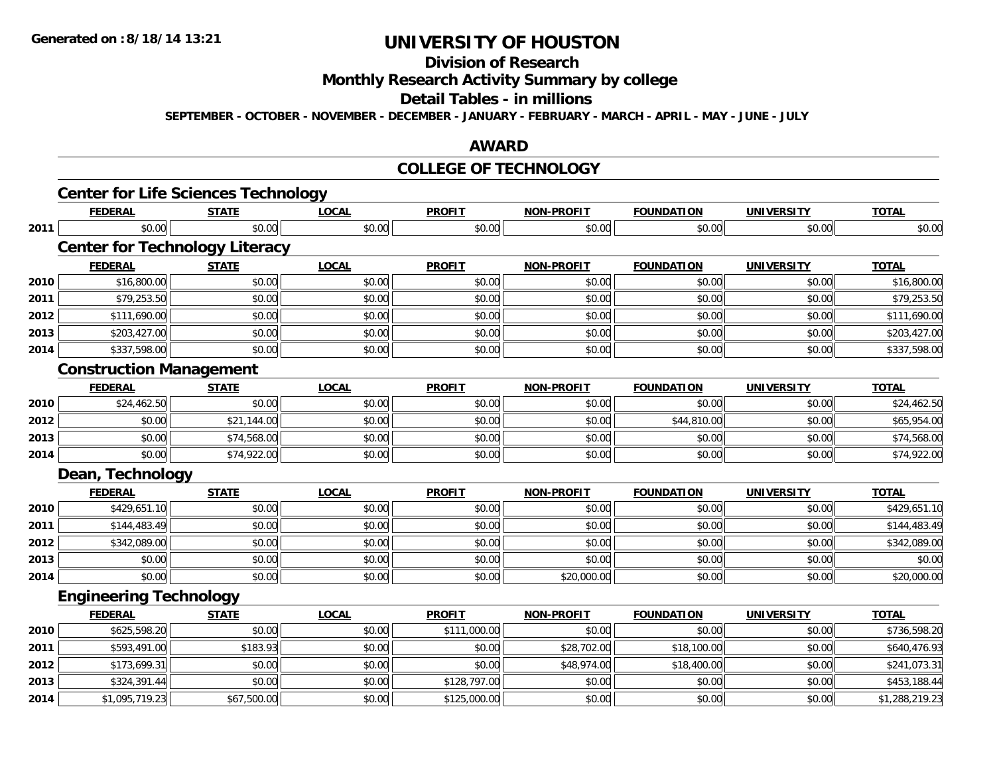# **Division of Research**

**Monthly Research Activity Summary by college**

#### **Detail Tables - in millions**

**SEPTEMBER - OCTOBER - NOVEMBER - DECEMBER - JANUARY - FEBRUARY - MARCH - APRIL - MAY - JUNE - JULY**

#### **AWARD**

#### **COLLEGE OF TECHNOLOGY**

|      | <b>Center for Life Sciences Technology</b> |              |              |               |                   |                   |                   |                |
|------|--------------------------------------------|--------------|--------------|---------------|-------------------|-------------------|-------------------|----------------|
|      | <b>FEDERAL</b>                             | <b>STATE</b> | <b>LOCAL</b> | <b>PROFIT</b> | <b>NON-PROFIT</b> | <b>FOUNDATION</b> | <b>UNIVERSITY</b> | <b>TOTAL</b>   |
| 2011 | \$0.00                                     | \$0.00       | \$0.00       | \$0.00        | \$0.00            | \$0.00            | \$0.00            | \$0.00         |
|      | <b>Center for Technology Literacy</b>      |              |              |               |                   |                   |                   |                |
|      | <b>FEDERAL</b>                             | <b>STATE</b> | <b>LOCAL</b> | <b>PROFIT</b> | <b>NON-PROFIT</b> | <b>FOUNDATION</b> | <b>UNIVERSITY</b> | <b>TOTAL</b>   |
| 2010 | \$16,800.00                                | \$0.00       | \$0.00       | \$0.00        | \$0.00            | \$0.00            | \$0.00            | \$16,800.00    |
| 2011 | \$79,253.50                                | \$0.00       | \$0.00       | \$0.00        | \$0.00            | \$0.00            | \$0.00            | \$79,253.50    |
| 2012 | \$111,690.00                               | \$0.00       | \$0.00       | \$0.00        | \$0.00            | \$0.00            | \$0.00            | \$111,690.00   |
| 2013 | \$203,427.00                               | \$0.00       | \$0.00       | \$0.00        | \$0.00            | \$0.00            | \$0.00            | \$203,427.00   |
| 2014 | \$337,598.00                               | \$0.00       | \$0.00       | \$0.00        | \$0.00            | \$0.00            | \$0.00            | \$337,598.00   |
|      | <b>Construction Management</b>             |              |              |               |                   |                   |                   |                |
|      | <b>FEDERAL</b>                             | <b>STATE</b> | <b>LOCAL</b> | <b>PROFIT</b> | <b>NON-PROFIT</b> | <b>FOUNDATION</b> | <b>UNIVERSITY</b> | <b>TOTAL</b>   |
| 2010 | \$24,462.50                                | \$0.00       | \$0.00       | \$0.00        | \$0.00            | \$0.00            | \$0.00            | \$24,462.50    |
| 2012 | \$0.00                                     | \$21,144.00  | \$0.00       | \$0.00        | \$0.00            | \$44,810.00       | \$0.00            | \$65,954.00    |
| 2013 | \$0.00                                     | \$74,568.00  | \$0.00       | \$0.00        | \$0.00            | \$0.00            | \$0.00            | \$74,568.00    |
| 2014 | \$0.00                                     | \$74,922.00  | \$0.00       | \$0.00        | \$0.00            | \$0.00            | \$0.00            | \$74,922.00    |
|      | Dean, Technology                           |              |              |               |                   |                   |                   |                |
|      | <b>FEDERAL</b>                             | <b>STATE</b> | <b>LOCAL</b> | <b>PROFIT</b> | <b>NON-PROFIT</b> | <b>FOUNDATION</b> | <b>UNIVERSITY</b> | <b>TOTAL</b>   |
| 2010 | \$429,651.10                               | \$0.00       | \$0.00       | \$0.00        | \$0.00            | \$0.00            | \$0.00            | \$429,651.10   |
| 2011 | \$144,483.49                               | \$0.00       | \$0.00       | \$0.00        | \$0.00            | \$0.00            | \$0.00            | \$144,483.49   |
| 2012 | \$342,089.00                               | \$0.00       | \$0.00       | \$0.00        | \$0.00            | \$0.00            | \$0.00            | \$342,089.00   |
| 2013 | \$0.00                                     | \$0.00       | \$0.00       | \$0.00        | \$0.00            | \$0.00            | \$0.00            | \$0.00         |
| 2014 | \$0.00                                     | \$0.00       | \$0.00       | \$0.00        | \$20,000.00       | \$0.00            | \$0.00            | \$20,000.00    |
|      | <b>Engineering Technology</b>              |              |              |               |                   |                   |                   |                |
|      | <b>FEDERAL</b>                             | <b>STATE</b> | <b>LOCAL</b> | <b>PROFIT</b> | <b>NON-PROFIT</b> | <b>FOUNDATION</b> | <b>UNIVERSITY</b> | <b>TOTAL</b>   |
| 2010 | \$625,598.20                               | \$0.00       | \$0.00       | \$111,000.00  | \$0.00            | \$0.00            | \$0.00            | \$736,598.20   |
| 2011 | \$593,491.00                               | \$183.93     | \$0.00       | \$0.00        | \$28,702.00       | \$18,100.00       | \$0.00            | \$640,476.93   |
| 2012 | \$173,699.31                               | \$0.00       | \$0.00       | \$0.00        | \$48,974.00       | \$18,400.00       | \$0.00            | \$241,073.31   |
| 2013 | \$324,391.44                               | \$0.00       | \$0.00       | \$128,797.00  | \$0.00            | \$0.00            | \$0.00            | \$453,188.44   |
| 2014 | \$1,095,719.23                             | \$67,500.00  | \$0.00       | \$125,000.00  | \$0.00            | \$0.00            | \$0.00            | \$1,288,219.23 |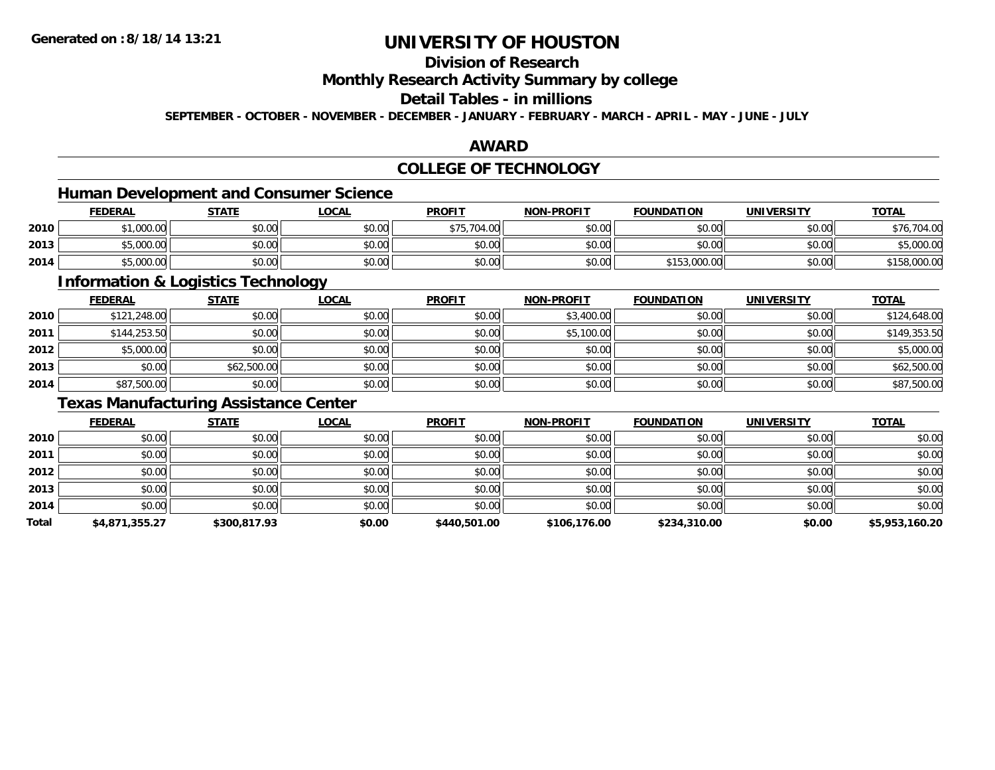### **Division of Research**

**Monthly Research Activity Summary by college**

### **Detail Tables - in millions**

**SEPTEMBER - OCTOBER - NOVEMBER - DECEMBER - JANUARY - FEBRUARY - MARCH - APRIL - MAY - JUNE - JULY**

#### **AWARD**

### **COLLEGE OF TECHNOLOGY**

### **Human Development and Consumer Science**

|      | <b>FEDERAL</b> | <b>STATE</b> | LOCAL  | <b>PROFIT</b> | <b>NON-PROFIT</b> | <b>FOUNDATION</b> | <b>UNIVERSITY</b> | <b>TOTAL</b> |
|------|----------------|--------------|--------|---------------|-------------------|-------------------|-------------------|--------------|
| 2010 | \$1,000.00     | \$0.00       | \$0.00 | \$75,704.00   | \$0.00            | \$0.00            | \$0.00            | \$76,704.00  |
| 2013 | \$5,000.00     | \$0.00       | \$0.00 | \$0.00        | \$0.00            | \$0.00            | \$0.00            | \$5,000.00   |
| 2014 | \$5,000.00     | \$0.00       | \$0.00 | \$0.00        | \$0.00            | \$153,000.00      | \$0.00            | \$158,000.00 |

<u> 1989 - Johann Stoff, deutscher Stoffen und der Stoffen und der Stoffen und der Stoffen und der Stoffen und de</u>

#### **Information & Logistics Technology**

|      | <b>FEDERAL</b> | <b>STATE</b> | <u>LOCAL</u> | <b>PROFIT</b> | <b>NON-PROFIT</b> | <b>FOUNDATION</b> | <b>UNIVERSITY</b> | <b>TOTAL</b> |
|------|----------------|--------------|--------------|---------------|-------------------|-------------------|-------------------|--------------|
| 2010 | \$121,248.00   | \$0.00       | \$0.00       | \$0.00        | \$3,400.00        | \$0.00            | \$0.00            | \$124,648.00 |
| 2011 | \$144,253.50   | \$0.00       | \$0.00       | \$0.00        | \$5,100.00        | \$0.00            | \$0.00            | \$149,353.50 |
| 2012 | \$5,000.00     | \$0.00       | \$0.00       | \$0.00        | \$0.00            | \$0.00            | \$0.00            | \$5,000.00   |
| 2013 | \$0.00         | \$62,500.00  | \$0.00       | \$0.00        | \$0.00            | \$0.00            | \$0.00            | \$62,500.00  |
| 2014 | \$87,500.00    | \$0.00       | \$0.00       | \$0.00        | \$0.00            | \$0.00            | \$0.00            | \$87,500.00  |

### **Texas Manufacturing Assistance Center**

|       | <b>FEDERAL</b> | <b>STATE</b> | <b>LOCAL</b> | <b>PROFIT</b> | <b>NON-PROFIT</b> | <b>FOUNDATION</b> | <b>UNIVERSITY</b> | <b>TOTAL</b>   |
|-------|----------------|--------------|--------------|---------------|-------------------|-------------------|-------------------|----------------|
| 2010  | \$0.00         | \$0.00       | \$0.00       | \$0.00        | \$0.00            | \$0.00            | \$0.00            | \$0.00         |
| 2011  | \$0.00         | \$0.00       | \$0.00       | \$0.00        | \$0.00            | \$0.00            | \$0.00            | \$0.00         |
| 2012  | \$0.00         | \$0.00       | \$0.00       | \$0.00        | \$0.00            | \$0.00            | \$0.00            | \$0.00         |
| 2013  | \$0.00         | \$0.00       | \$0.00       | \$0.00        | \$0.00            | \$0.00            | \$0.00            | \$0.00         |
| 2014  | \$0.00         | \$0.00       | \$0.00       | \$0.00        | \$0.00            | \$0.00            | \$0.00            | \$0.00         |
| Total | \$4,871,355.27 | \$300,817.93 | \$0.00       | \$440,501.00  | \$106,176.00      | \$234,310.00      | \$0.00            | \$5,953,160.20 |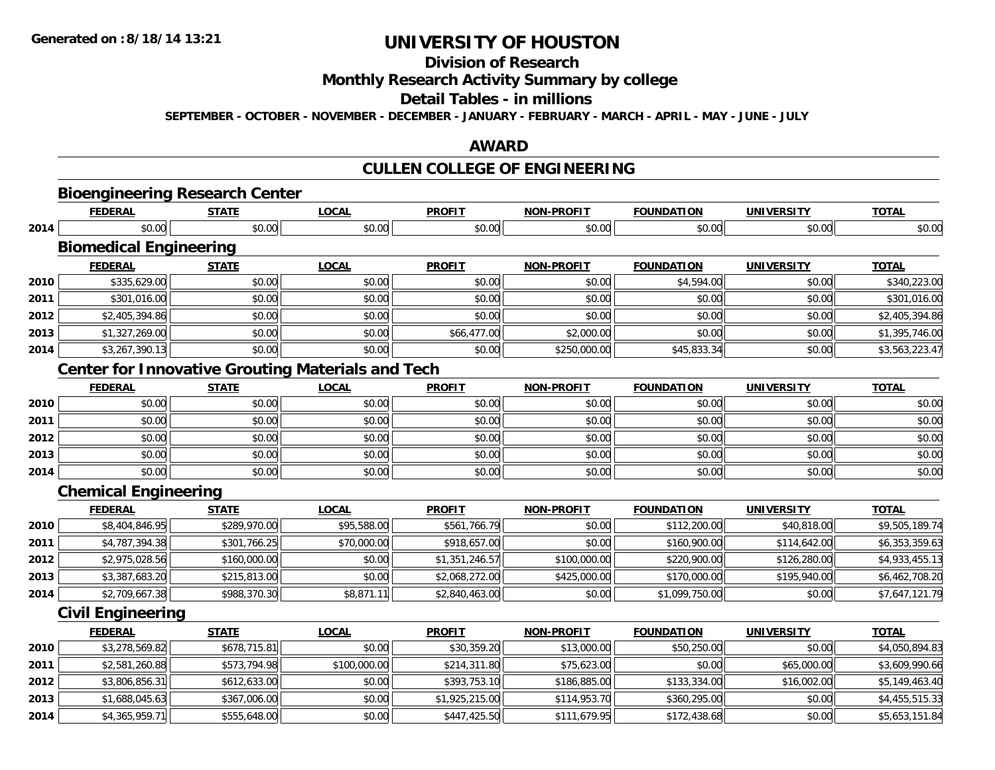**2014**

# **UNIVERSITY OF HOUSTON**

# **Division of Research**

### **Monthly Research Activity Summary by college**

#### **Detail Tables - in millions**

**SEPTEMBER - OCTOBER - NOVEMBER - DECEMBER - JANUARY - FEBRUARY - MARCH - APRIL - MAY - JUNE - JULY**

#### **AWARD**

# **CULLEN COLLEGE OF ENGINEERING**

|      |                               | <b>Bioengineering Research Center</b>                    |              |                |                   |                   |                   |                |
|------|-------------------------------|----------------------------------------------------------|--------------|----------------|-------------------|-------------------|-------------------|----------------|
|      | <b>FEDERAL</b>                | <b>STATE</b>                                             | <b>LOCAL</b> | <b>PROFIT</b>  | <b>NON-PROFIT</b> | <b>FOUNDATION</b> | <b>UNIVERSITY</b> | <b>TOTAL</b>   |
| 2014 | \$0.00                        | \$0.00                                                   | \$0.00       | \$0.00         | \$0.00            | \$0.00            | \$0.00            | \$0.00         |
|      | <b>Biomedical Engineering</b> |                                                          |              |                |                   |                   |                   |                |
|      | <b>FEDERAL</b>                | <b>STATE</b>                                             | <b>LOCAL</b> | <b>PROFIT</b>  | <b>NON-PROFIT</b> | <b>FOUNDATION</b> | <b>UNIVERSITY</b> | <b>TOTAL</b>   |
| 2010 | \$335,629.00                  | \$0.00                                                   | \$0.00       | \$0.00         | \$0.00            | \$4,594.00        | \$0.00            | \$340,223.00   |
| 2011 | \$301,016.00                  | \$0.00                                                   | \$0.00       | \$0.00         | \$0.00            | \$0.00            | \$0.00            | \$301,016.00   |
| 2012 | \$2,405,394.86                | \$0.00                                                   | \$0.00       | \$0.00         | \$0.00            | \$0.00            | \$0.00            | \$2,405,394.86 |
| 2013 | \$1,327,269.00                | \$0.00                                                   | \$0.00       | \$66,477.00    | \$2,000.00        | \$0.00            | \$0.00            | \$1,395,746.00 |
| 2014 | \$3,267,390.13                | \$0.00                                                   | \$0.00       | \$0.00         | \$250,000.00      | \$45,833.34       | \$0.00            | \$3,563,223.47 |
|      |                               | <b>Center for Innovative Grouting Materials and Tech</b> |              |                |                   |                   |                   |                |
|      | <b>FEDERAL</b>                | <b>STATE</b>                                             | <b>LOCAL</b> | <b>PROFIT</b>  | <b>NON-PROFIT</b> | <b>FOUNDATION</b> | <b>UNIVERSITY</b> | <b>TOTAL</b>   |
| 2010 | \$0.00                        | \$0.00                                                   | \$0.00       | \$0.00         | \$0.00            | \$0.00            | \$0.00            | \$0.00         |
| 2011 | \$0.00                        | \$0.00                                                   | \$0.00       | \$0.00         | \$0.00            | \$0.00            | \$0.00            | \$0.00         |
| 2012 | \$0.00                        | \$0.00                                                   | \$0.00       | \$0.00         | \$0.00            | \$0.00            | \$0.00            | \$0.00         |
| 2013 | \$0.00                        | \$0.00                                                   | \$0.00       | \$0.00         | \$0.00            | \$0.00            | \$0.00            | \$0.00         |
| 2014 | \$0.00                        | \$0.00                                                   | \$0.00       | \$0.00         | \$0.00            | \$0.00            | \$0.00            | \$0.00         |
|      | <b>Chemical Engineering</b>   |                                                          |              |                |                   |                   |                   |                |
|      | <b>FEDERAL</b>                | <b>STATE</b>                                             | <b>LOCAL</b> | <b>PROFIT</b>  | <b>NON-PROFIT</b> | <b>FOUNDATION</b> | <b>UNIVERSITY</b> | <b>TOTAL</b>   |
| 2010 | \$8,404,846.95                | \$289,970.00                                             | \$95,588.00  | \$561,766.79   | \$0.00            | \$112,200.00      | \$40,818.00       | \$9,505,189.74 |
| 2011 | \$4,787,394.38                | \$301,766.25                                             | \$70,000.00  | \$918,657.00   | \$0.00            | \$160,900.00      | \$114,642.00      | \$6,353,359.63 |
| 2012 | \$2,975,028.56                | \$160,000.00                                             | \$0.00       | \$1,351,246.57 | \$100,000.00      | \$220,900.00      | \$126,280.00      | \$4,933,455.13 |
| 2013 | \$3,387,683.20                | \$215,813.00                                             | \$0.00       | \$2,068,272.00 | \$425,000.00      | \$170,000.00      | \$195,940.00      | \$6,462,708.20 |
| 2014 | \$2,709,667.38                | \$988,370.30                                             | \$8,871.11   | \$2,840,463.00 | \$0.00            | \$1,099,750.00    | \$0.00            | \$7,647,121.79 |
|      | <b>Civil Engineering</b>      |                                                          |              |                |                   |                   |                   |                |
|      | <b>FEDERAL</b>                | <b>STATE</b>                                             | <b>LOCAL</b> | <b>PROFIT</b>  | <b>NON-PROFIT</b> | <b>FOUNDATION</b> | <b>UNIVERSITY</b> | <b>TOTAL</b>   |
| 2010 | \$3,278,569.82                | \$678,715.81                                             | \$0.00       | \$30,359.20    | \$13,000.00       | \$50,250.00       | \$0.00            | \$4,050,894.83 |
| 2011 | \$2,581,260.88                | \$573,794.98                                             | \$100,000.00 | \$214,311.80   | \$75,623.00       | \$0.00            | \$65,000.00       | \$3,609,990.66 |
| 2012 | \$3,806,856.31                | \$612,633.00                                             | \$0.00       | \$393,753.10   | \$186,885.00      | \$133,334.00      | \$16,002.00       | \$5,149,463.40 |
| 2013 | \$1,688,045.63                | \$367,006.00                                             | \$0.00       | \$1,925,215.00 | \$114,953.70      | \$360,295.00      | \$0.00            | \$4,455,515.33 |

4 \$4,365,959.71|| \$555,648.00|| \$0.00|| \$447,425.50|| \$111,679.95|| \$172,438.68|| \$0.00|| \$5,653,151.84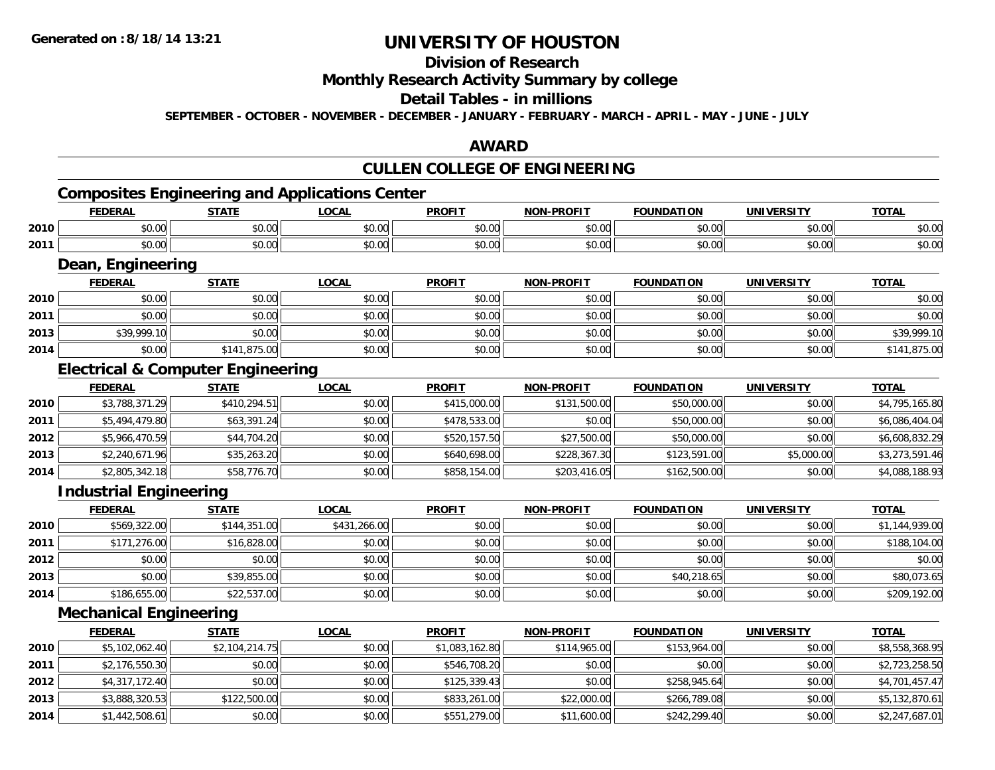### **Division of Research**

#### **Monthly Research Activity Summary by college**

### **Detail Tables - in millions**

**SEPTEMBER - OCTOBER - NOVEMBER - DECEMBER - JANUARY - FEBRUARY - MARCH - APRIL - MAY - JUNE - JULY**

#### **AWARD**

# **CULLEN COLLEGE OF ENGINEERING**

<u> 1980 - Johann Barn, mars ann an t-Amhain Aonaich an t-Aonaich an t-Aonaich an t-Aonaich an t-Aonaich ann an t-</u>

# **Composites Engineering and Applications Center**

|      | EENEDAI<br>cr.         | <b>CTATL</b>        | <b>LOCAL</b>  | <b>DDOEIT</b> | <b>DDAFIT</b><br>NON | <b>FOUNDATION</b> | UNIVERSITY | <b>TOTAL</b>   |
|------|------------------------|---------------------|---------------|---------------|----------------------|-------------------|------------|----------------|
| 2010 | $\sim$ 00<br>JU.UU     | $\sim$ 00<br>וטט.טע | 0.00<br>JU.UU | \$0.00        | $\sim$ 00<br>vv.vv   | $\cap$            | \$0.00     | ״∩ ∩י<br>DU.UU |
| 2011 | $\sim$ $\sim$<br>JU.UU | ሶስ ስስ<br>JU.UU      | 0.00<br>JU.UU | \$0.00        | $\sim$ 00<br>JU.UU   | \$0.00            | \$0.00     | \$0.00         |

#### **Dean, Engineering**

|      | Dean, Engineering |              |              |               |                   |                   |                   |              |  |  |  |
|------|-------------------|--------------|--------------|---------------|-------------------|-------------------|-------------------|--------------|--|--|--|
|      | <b>FEDERAL</b>    | <b>STATE</b> | <u>LOCAL</u> | <b>PROFIT</b> | <b>NON-PROFIT</b> | <b>FOUNDATION</b> | <b>UNIVERSITY</b> | <b>TOTAL</b> |  |  |  |
| 2010 | \$0.00            | \$0.00       | \$0.00       | \$0.00        | \$0.00            | \$0.00            | \$0.00            | \$0.00       |  |  |  |
| 2011 | \$0.00            | \$0.00       | \$0.00       | \$0.00        | \$0.00            | \$0.00            | \$0.00            | \$0.00       |  |  |  |
| 2013 | \$39,999.10       | \$0.00       | \$0.00       | \$0.00        | \$0.00            | \$0.00            | \$0.00            | \$39,999.10  |  |  |  |
| 2014 | \$0.00            | \$141,875.00 | \$0.00       | \$0.00        | \$0.00            | \$0.00            | \$0.00            | \$141,875.00 |  |  |  |

### **Electrical & Computer Engineering**

|      | <b>FEDERAL</b> | <b>STATE</b> | <u>LOCAL</u> | <b>PROFIT</b> | <b>NON-PROFIT</b> | <b>FOUNDATION</b> | <b>UNIVERSITY</b> | <b>TOTAL</b>   |
|------|----------------|--------------|--------------|---------------|-------------------|-------------------|-------------------|----------------|
| 2010 | \$3,788,371.29 | \$410,294.51 | \$0.00       | \$415,000.00  | \$131,500.00      | \$50,000.00       | \$0.00            | \$4,795,165.80 |
| 2011 | \$5,494,479.80 | \$63,391.24  | \$0.00       | \$478,533.00  | \$0.00            | \$50,000.00       | \$0.00            | \$6,086,404.04 |
| 2012 | \$5,966,470.59 | \$44,704.20  | \$0.00       | \$520,157.50  | \$27,500.00       | \$50,000.00       | \$0.00            | \$6,608,832.29 |
| 2013 | \$2,240,671.96 | \$35,263.20  | \$0.00       | \$640,698.00  | \$228,367.30      | \$123,591.00      | \$5,000.00        | \$3,273,591.46 |
| 2014 | \$2,805,342.18 | \$58,776.70  | \$0.00       | \$858,154.00  | \$203,416.05      | \$162,500.00      | \$0.00            | \$4,088,188.93 |

<u> 1989 - Johann Stoff, amerikansk politiker (d. 1989)</u>

#### **Industrial Engineering**

|      | <b>FEDERAL</b> | <b>STATE</b> | <u>LOCAL</u> | <b>PROFIT</b> | <b>NON-PROFIT</b> | <b>FOUNDATION</b> | <b>UNIVERSITY</b> | <b>TOTAL</b>   |
|------|----------------|--------------|--------------|---------------|-------------------|-------------------|-------------------|----------------|
| 2010 | \$569,322.00   | \$144,351.00 | \$431,266.00 | \$0.00        | \$0.00            | \$0.00            | \$0.00            | \$1,144,939.00 |
| 2011 | \$171,276.00   | \$16,828.00  | \$0.00       | \$0.00        | \$0.00            | \$0.00            | \$0.00            | \$188,104.00   |
| 2012 | \$0.00         | \$0.00       | \$0.00       | \$0.00        | \$0.00            | \$0.00            | \$0.00            | \$0.00         |
| 2013 | \$0.00         | \$39,855.00  | \$0.00       | \$0.00        | \$0.00            | \$40,218.65       | \$0.00            | \$80,073.65    |
| 2014 | \$186,655.00   | \$22,537.00  | \$0.00       | \$0.00        | \$0.00            | \$0.00            | \$0.00            | \$209,192.00   |

<u> 1989 - Johann Stoff, deutscher Stoffen und der Stoffen und der Stoffen und der Stoffen und der Stoffen und der</u>

#### **Mechanical Engineering**

|      |                |                |              |                | Mechanical Engineering |                   |                   |                |  |  |  |  |  |  |
|------|----------------|----------------|--------------|----------------|------------------------|-------------------|-------------------|----------------|--|--|--|--|--|--|
|      | <b>FEDERAL</b> | <b>STATE</b>   | <b>LOCAL</b> | <b>PROFIT</b>  | <b>NON-PROFIT</b>      | <b>FOUNDATION</b> | <b>UNIVERSITY</b> | <b>TOTAL</b>   |  |  |  |  |  |  |
| 2010 | \$5,102,062.40 | \$2,104,214.75 | \$0.00       | \$1,083,162.80 | \$114,965.00           | \$153,964.00      | \$0.00            | \$8,558,368.95 |  |  |  |  |  |  |
| 2011 | \$2,176,550.30 | \$0.00         | \$0.00       | \$546,708.20   | \$0.00                 | \$0.00            | \$0.00            | \$2,723,258.50 |  |  |  |  |  |  |
| 2012 | \$4,317,172.40 | \$0.00         | \$0.00       | \$125,339.43   | \$0.00                 | \$258,945.64      | \$0.00            | \$4,701,457.47 |  |  |  |  |  |  |
| 2013 | \$3,888,320.53 | \$122,500.00   | \$0.00       | \$833,261.00   | \$22,000.00            | \$266,789.08      | \$0.00            | \$5,132,870.61 |  |  |  |  |  |  |
| 2014 | \$1,442,508.61 | \$0.00         | \$0.00       | \$551,279.00   | \$11,600.00            | \$242,299.40      | \$0.00            | \$2,247,687.01 |  |  |  |  |  |  |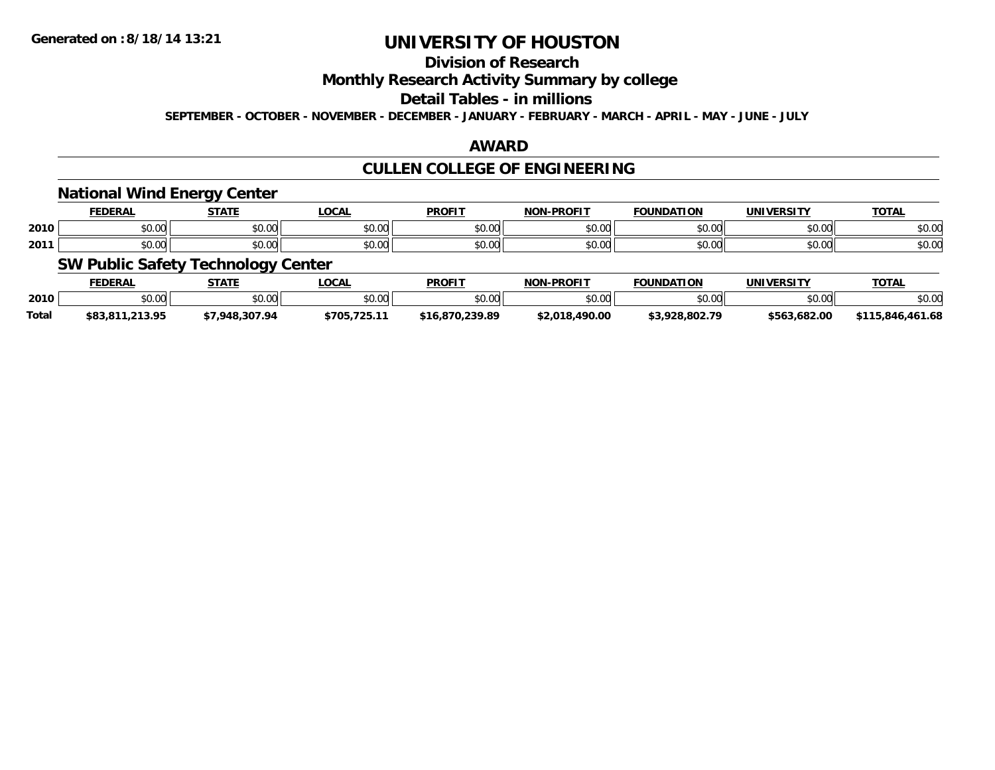### **Division of Research**

#### **Monthly Research Activity Summary by college**

#### **Detail Tables - in millions**

**SEPTEMBER - OCTOBER - NOVEMBER - DECEMBER - JANUARY - FEBRUARY - MARCH - APRIL - MAY - JUNE - JULY**

#### **AWARD**

### **CULLEN COLLEGE OF ENGINEERING**

#### **National Wind Energy Center**

|      |               | ----                        | 00M                              | <b>DDOEI</b>   | <b>DDAF!?</b><br>ורות | חחו      | INI   | <b>TAT</b> |
|------|---------------|-----------------------------|----------------------------------|----------------|-----------------------|----------|-------|------------|
| 2010 | 0.00          | $\sim$ 00                   | $\uparrow$ $\uparrow$ $\uparrow$ | 0 <sub>n</sub> | ტი იი                 | 0000     | 0000  | ሶስ ሰሰ      |
|      | טט.טע         | wu.uu.                      | ⊸υ∪.∪∪                           | JU.U           | vu.ou                 | u.uu     | ⊸∪∪∪∾ | PU.UU      |
|      | $\sim$ $\sim$ | $\sim$ $\sim$ $\sim$ $\sim$ | 0.00                             | 0 <sub>n</sub> | ტი იი                 | $\cdots$ | 0000  | 0000       |
| 2011 | טט.טע         | wu.uu.                      | ູມບ.ບບ                           | JU.U           | vv.vv                 | u.uu     | טט.טע | PU.UU      |

### **SW Public Safety Technology Center**

|              | FEDERAL         | <b>STATE</b>  | LOCAL       | <b>PROFI</b> | <b>N-PROFIT</b><br><b>NON</b> | <b>FOUNDATION</b> | <b>UNIVERSITY</b> | <b>TOTAL</b>            |
|--------------|-----------------|---------------|-------------|--------------|-------------------------------|-------------------|-------------------|-------------------------|
| 2010         | \$0.00          | 0000<br>JU.UU | \$0.00      | \$0.00       | \$0.00                        | \$0.00            | ልስ ለሰ<br>DU.U¢    | \$0.00                  |
| <b>Total</b> | \$83,811,213.95 |               | \$705.725.1 | 00 02:0      | \$2,018,490.00                | \$3.928.802.79    | \$563,682.00      | .461.68<br>\$11<br>.846 |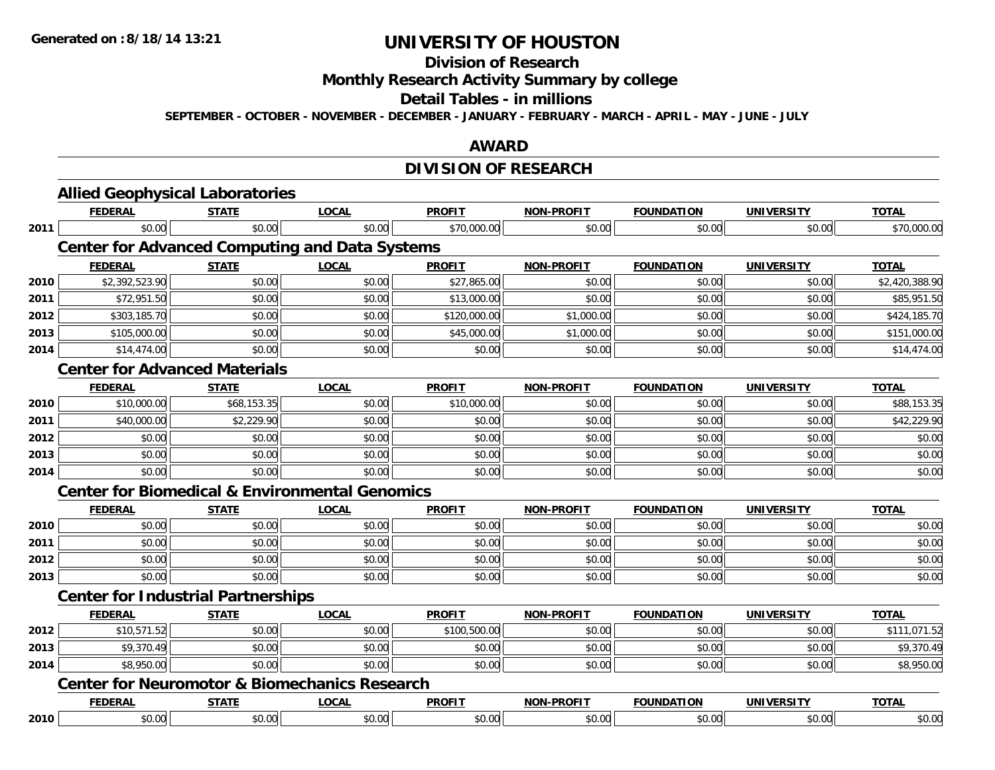#### **Division of Research**

**Monthly Research Activity Summary by college**

#### **Detail Tables - in millions**

**SEPTEMBER - OCTOBER - NOVEMBER - DECEMBER - JANUARY - FEBRUARY - MARCH - APRIL - MAY - JUNE - JULY**

#### **AWARD**

# **DIVISION OF RESEARCH**

|      | <b>Allied Geophysical Laboratories</b>                    |              |              |               |                   |                   |                   |                |
|------|-----------------------------------------------------------|--------------|--------------|---------------|-------------------|-------------------|-------------------|----------------|
|      | <b>FEDERAL</b>                                            | <b>STATE</b> | <b>LOCAL</b> | <b>PROFIT</b> | <b>NON-PROFIT</b> | <b>FOUNDATION</b> | <b>UNIVERSITY</b> | <b>TOTAL</b>   |
| 2011 | \$0.00                                                    | \$0.00       | \$0.00       | \$70,000.00   | \$0.00            | \$0.00            | \$0.00            | \$70,000.00    |
|      | <b>Center for Advanced Computing and Data Systems</b>     |              |              |               |                   |                   |                   |                |
|      | <b>FEDERAL</b>                                            | <b>STATE</b> | <b>LOCAL</b> | <b>PROFIT</b> | <b>NON-PROFIT</b> | <b>FOUNDATION</b> | <b>UNIVERSITY</b> | <b>TOTAL</b>   |
| 2010 | \$2,392,523.90                                            | \$0.00       | \$0.00       | \$27,865.00   | \$0.00            | \$0.00            | \$0.00            | \$2,420,388.90 |
| 2011 | \$72,951.50                                               | \$0.00       | \$0.00       | \$13,000.00   | \$0.00            | \$0.00            | \$0.00            | \$85,951.50    |
| 2012 | \$303,185.70                                              | \$0.00       | \$0.00       | \$120,000.00  | \$1,000.00        | \$0.00            | \$0.00            | \$424,185.70   |
| 2013 | \$105,000.00                                              | \$0.00       | \$0.00       | \$45,000.00   | \$1,000.00        | \$0.00            | \$0.00            | \$151,000.00   |
| 2014 | \$14,474.00                                               | \$0.00       | \$0.00       | \$0.00        | \$0.00            | \$0.00            | \$0.00            | \$14,474.00    |
|      | <b>Center for Advanced Materials</b>                      |              |              |               |                   |                   |                   |                |
|      | <b>FEDERAL</b>                                            | <b>STATE</b> | <b>LOCAL</b> | <b>PROFIT</b> | <b>NON-PROFIT</b> | <b>FOUNDATION</b> | <b>UNIVERSITY</b> | <b>TOTAL</b>   |
| 2010 | \$10,000.00                                               | \$68,153.35  | \$0.00       | \$10,000.00   | \$0.00            | \$0.00            | \$0.00            | \$88,153.35    |
| 2011 | \$40,000.00                                               | \$2,229.90   | \$0.00       | \$0.00        | \$0.00            | \$0.00            | \$0.00            | \$42,229.90    |
| 2012 | \$0.00                                                    | \$0.00       | \$0.00       | \$0.00        | \$0.00            | \$0.00            | \$0.00            | \$0.00         |
| 2013 | \$0.00                                                    | \$0.00       | \$0.00       | \$0.00        | \$0.00            | \$0.00            | \$0.00            | \$0.00         |
| 2014 | \$0.00                                                    | \$0.00       | \$0.00       | \$0.00        | \$0.00            | \$0.00            | \$0.00            | \$0.00         |
|      | <b>Center for Biomedical &amp; Environmental Genomics</b> |              |              |               |                   |                   |                   |                |
|      | <b>FEDERAL</b>                                            | <b>STATE</b> | <b>LOCAL</b> | <b>PROFIT</b> | <b>NON-PROFIT</b> | <b>FOUNDATION</b> | <b>UNIVERSITY</b> | <b>TOTAL</b>   |
| 2010 | \$0.00                                                    | \$0.00       | \$0.00       | \$0.00        | \$0.00            | \$0.00            | \$0.00            | \$0.00         |
| 2011 | \$0.00                                                    | \$0.00       | \$0.00       | \$0.00        | \$0.00            | \$0.00            | \$0.00            | \$0.00         |
| 2012 | \$0.00                                                    | \$0.00       | \$0.00       | \$0.00        | \$0.00            | \$0.00            | \$0.00            | \$0.00         |
| 2013 | \$0.00                                                    | \$0.00       | \$0.00       | \$0.00        | \$0.00            | \$0.00            | \$0.00            | \$0.00         |
|      | <b>Center for Industrial Partnerships</b>                 |              |              |               |                   |                   |                   |                |
|      | <b>FEDERAL</b>                                            | <b>STATE</b> | <b>LOCAL</b> | <b>PROFIT</b> | <b>NON-PROFIT</b> | <b>FOUNDATION</b> | <b>UNIVERSITY</b> | <b>TOTAL</b>   |
| 2012 | \$10,571.52                                               | \$0.00       | \$0.00       | \$100,500.00  | \$0.00            | \$0.00            | \$0.00            | \$111,071.52   |
| 2013 | \$9,370.49                                                | \$0.00       | \$0.00       | \$0.00        | \$0.00            | \$0.00            | \$0.00            | \$9,370.49     |
| 2014 | \$8,950.00                                                | \$0.00       | \$0.00       | \$0.00        | \$0.00            | \$0.00            | \$0.00            | \$8,950.00     |
|      | <b>Center for Neuromotor &amp; Biomechanics Research</b>  |              |              |               |                   |                   |                   |                |
|      | <b>FEDERAL</b>                                            | <b>STATE</b> | <b>LOCAL</b> | <b>PROFIT</b> | <b>NON-PROFIT</b> | <b>FOUNDATION</b> | <b>UNIVERSITY</b> | <b>TOTAL</b>   |
| 2010 | \$0.00                                                    | \$0.00       | \$0.00       | \$0.00        | \$0.00            | \$0.00            | \$0.00            | \$0.00         |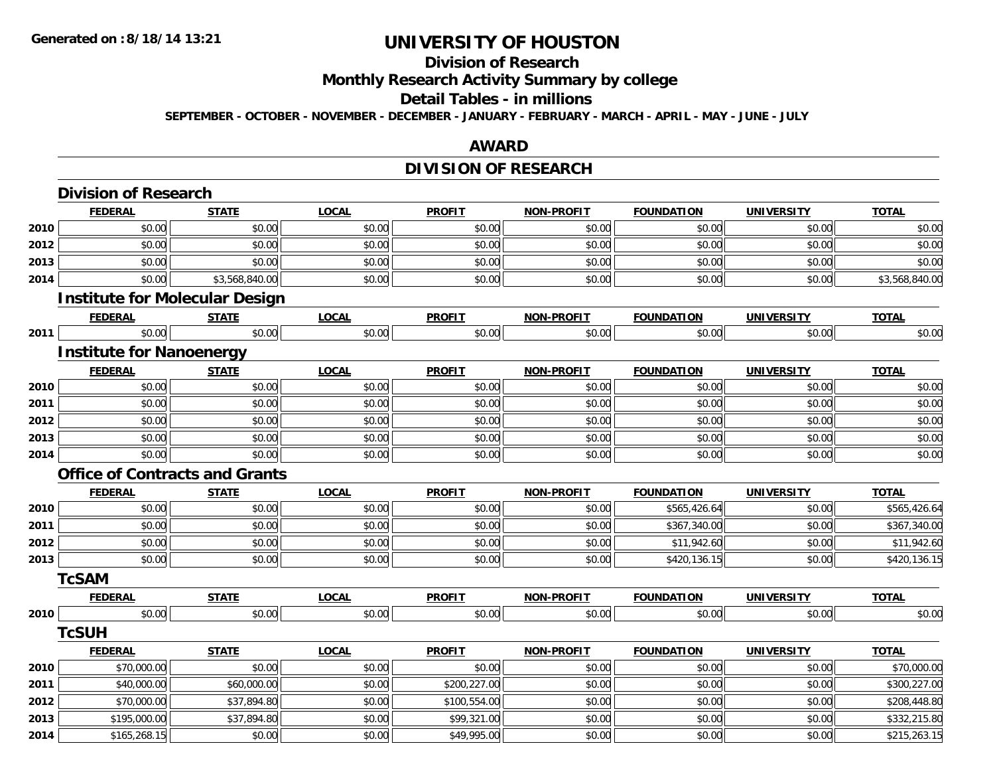# **Division of Research**

**Monthly Research Activity Summary by college**

#### **Detail Tables - in millions**

**SEPTEMBER - OCTOBER - NOVEMBER - DECEMBER - JANUARY - FEBRUARY - MARCH - APRIL - MAY - JUNE - JULY**

#### **AWARD**

### **DIVISION OF RESEARCH**

|      | <b>Division of Research</b>           |                |              |               |                   |                   |                   |                |
|------|---------------------------------------|----------------|--------------|---------------|-------------------|-------------------|-------------------|----------------|
|      | <b>FEDERAL</b>                        | <b>STATE</b>   | <b>LOCAL</b> | <b>PROFIT</b> | <b>NON-PROFIT</b> | <b>FOUNDATION</b> | <b>UNIVERSITY</b> | <b>TOTAL</b>   |
| 2010 | \$0.00                                | \$0.00         | \$0.00       | \$0.00        | \$0.00            | \$0.00            | \$0.00            | \$0.00         |
| 2012 | \$0.00                                | \$0.00         | \$0.00       | \$0.00        | \$0.00            | \$0.00            | \$0.00            | \$0.00         |
| 2013 | \$0.00                                | \$0.00         | \$0.00       | \$0.00        | \$0.00            | \$0.00            | \$0.00            | \$0.00         |
| 2014 | \$0.00                                | \$3,568,840.00 | \$0.00       | \$0.00        | \$0.00            | \$0.00            | \$0.00            | \$3,568,840.00 |
|      | <b>Institute for Molecular Design</b> |                |              |               |                   |                   |                   |                |
|      | <b>FEDERAL</b>                        | <b>STATE</b>   | <b>LOCAL</b> | <b>PROFIT</b> | <b>NON-PROFIT</b> | <b>FOUNDATION</b> | <b>UNIVERSITY</b> | <b>TOTAL</b>   |
| 2011 | \$0.00                                | \$0.00         | \$0.00       | \$0.00        | \$0.00            | \$0.00            | \$0.00            | \$0.00         |
|      | <b>Institute for Nanoenergy</b>       |                |              |               |                   |                   |                   |                |
|      | <b>FEDERAL</b>                        | <b>STATE</b>   | <b>LOCAL</b> | <b>PROFIT</b> | <b>NON-PROFIT</b> | <b>FOUNDATION</b> | <b>UNIVERSITY</b> | <b>TOTAL</b>   |
| 2010 | \$0.00                                | \$0.00         | \$0.00       | \$0.00        | \$0.00            | \$0.00            | \$0.00            | \$0.00         |
| 2011 | \$0.00                                | \$0.00         | \$0.00       | \$0.00        | \$0.00            | \$0.00            | \$0.00            | \$0.00         |
| 2012 | \$0.00                                | \$0.00         | \$0.00       | \$0.00        | \$0.00            | \$0.00            | \$0.00            | \$0.00         |
| 2013 | \$0.00                                | \$0.00         | \$0.00       | \$0.00        | \$0.00            | \$0.00            | \$0.00            | \$0.00         |
| 2014 | \$0.00                                | \$0.00         | \$0.00       | \$0.00        | \$0.00            | \$0.00            | \$0.00            | \$0.00         |
|      | <b>Office of Contracts and Grants</b> |                |              |               |                   |                   |                   |                |
|      | <b>FEDERAL</b>                        | <b>STATE</b>   | <b>LOCAL</b> | <b>PROFIT</b> | <b>NON-PROFIT</b> | <b>FOUNDATION</b> | <b>UNIVERSITY</b> | <b>TOTAL</b>   |
| 2010 | \$0.00                                | \$0.00         | \$0.00       | \$0.00        | \$0.00            | \$565,426.64      | \$0.00            | \$565,426.64   |
| 2011 | \$0.00                                | \$0.00         | \$0.00       | \$0.00        | \$0.00            | \$367,340.00      | \$0.00            | \$367,340.00   |
| 2012 | \$0.00                                | \$0.00         | \$0.00       | \$0.00        | \$0.00            | \$11,942.60       | \$0.00            | \$11,942.60    |
| 2013 | \$0.00                                | \$0.00         | \$0.00       | \$0.00        | \$0.00            | \$420,136.15      | \$0.00            | \$420,136.15   |
|      | <b>TcSAM</b>                          |                |              |               |                   |                   |                   |                |
|      | <b>FEDERAL</b>                        | <b>STATE</b>   | <b>LOCAL</b> | <b>PROFIT</b> | NON-PROFIT        | <b>FOUNDATION</b> | <b>UNIVERSITY</b> | <b>TOTAL</b>   |
| 2010 | \$0.00                                | \$0.00         | \$0.00       | \$0.00        | \$0.00            | \$0.00            | \$0.00            | \$0.00         |
|      | <b>TcSUH</b>                          |                |              |               |                   |                   |                   |                |
|      | <b>FEDERAL</b>                        | <b>STATE</b>   | <b>LOCAL</b> | <b>PROFIT</b> | <b>NON-PROFIT</b> | <b>FOUNDATION</b> | <b>UNIVERSITY</b> | <b>TOTAL</b>   |
| 2010 | \$70,000.00                           | \$0.00         | \$0.00       | \$0.00        | \$0.00            | \$0.00            | \$0.00            | \$70,000.00    |
| 2011 | \$40,000.00                           | \$60,000.00    | \$0.00       | \$200,227.00  | \$0.00            | \$0.00            | \$0.00            | \$300,227.00   |
| 2012 | \$70,000.00                           | \$37,894.80    | \$0.00       | \$100,554.00  | \$0.00            | \$0.00            | \$0.00            | \$208,448.80   |
| 2013 | \$195,000.00                          | \$37,894.80    | \$0.00       | \$99,321.00   | \$0.00            | \$0.00            | \$0.00            | \$332,215.80   |
| 2014 | \$165,268.15                          | \$0.00         | \$0.00       | \$49,995.00   | \$0.00            | \$0.00            | \$0.00            | \$215,263.15   |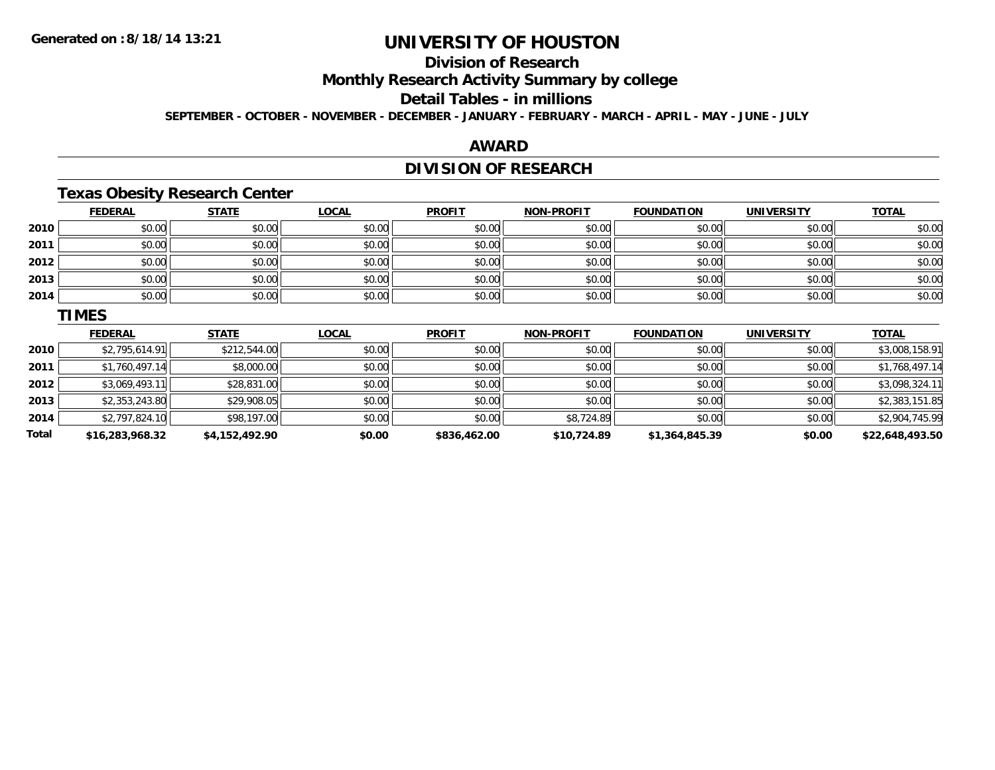**2013**

**2014**

**Total**

# **UNIVERSITY OF HOUSTON**

### **Division of Research**

**Monthly Research Activity Summary by college**

### **Detail Tables - in millions**

**SEPTEMBER - OCTOBER - NOVEMBER - DECEMBER - JANUARY - FEBRUARY - MARCH - APRIL - MAY - JUNE - JULY**

#### **AWARD**

### **DIVISION OF RESEARCH**

### **Texas Obesity Research Center**

|      | <b>FEDERAL</b> | <b>STATE</b> | <b>LOCAL</b> | <b>PROFIT</b> | <b>NON-PROFIT</b> | <b>FOUNDATION</b> | <b>UNIVERSITY</b> | <b>TOTAL</b>   |
|------|----------------|--------------|--------------|---------------|-------------------|-------------------|-------------------|----------------|
| 2010 | \$0.00         | \$0.00       | \$0.00       | \$0.00        | \$0.00            | \$0.00            | \$0.00            | \$0.00         |
| 2011 | \$0.00         | \$0.00       | \$0.00       | \$0.00        | \$0.00            | \$0.00            | \$0.00            | \$0.00         |
| 2012 | \$0.00         | \$0.00       | \$0.00       | \$0.00        | \$0.00            | \$0.00            | \$0.00            | \$0.00         |
| 2013 | \$0.00         | \$0.00       | \$0.00       | \$0.00        | \$0.00            | \$0.00            | \$0.00            | \$0.00         |
| 2014 | \$0.00         | \$0.00       | \$0.00       | \$0.00        | \$0.00            | \$0.00            | \$0.00            | \$0.00         |
|      | <b>TIMES</b>   |              |              |               |                   |                   |                   |                |
|      | <b>FEDERAL</b> | <b>STATE</b> | <b>LOCAL</b> | <b>PROFIT</b> | <b>NON-PROFIT</b> | <b>FOUNDATION</b> | <b>UNIVERSITY</b> | <b>TOTAL</b>   |
| 2010 | \$2,795,614.91 | \$212,544.00 | \$0.00       | \$0.00        | \$0.00            | \$0.00            | \$0.00            | \$3,008,158.91 |
| 2011 | \$1,760,497.14 | \$8,000.00   | \$0.00       | \$0.00        | \$0.00            | \$0.00            | \$0.00            | \$1,768,497.14 |
| 2012 | \$3,069,493.11 | \$28,831.00  | \$0.00       | \$0.00        | \$0.00            | \$0.00            | \$0.00            | \$3,098,324.11 |

 $\bf{3} \quad \rm{ $2,353,243.80} \quad \rm{ $29,908.05} \quad \rm{ $50.00} \quad \rm{ $60.00} \quad \rm{ $50.00} \quad \rm{ $50.00} \quad \rm{ $50.00} \quad \rm{ $50.00} \quad \rm{ $50.00} \quad \rm{ $50.00} \quad \rm{ $50.00} \quad \rm{ $50.00} \quad \rm{ $50.00} \quad \rm{ $50.00} \quad \rm{ $50.00} \quad \rm{ $50.00} \quad \rm{ $50.00}$ 

4 \$2,797,824.10 \$0.00 \$98,197.00 \$0.00 \$0.00 \$0.00 \$0.00 \$0.00 \$8,724.89 \$0.00 \$0.00 \$0.00 \$2,904,745.99

**\$16,283,968.32 \$4,152,492.90 \$0.00 \$836,462.00 \$10,724.89 \$1,364,845.39 \$0.00 \$22,648,493.50**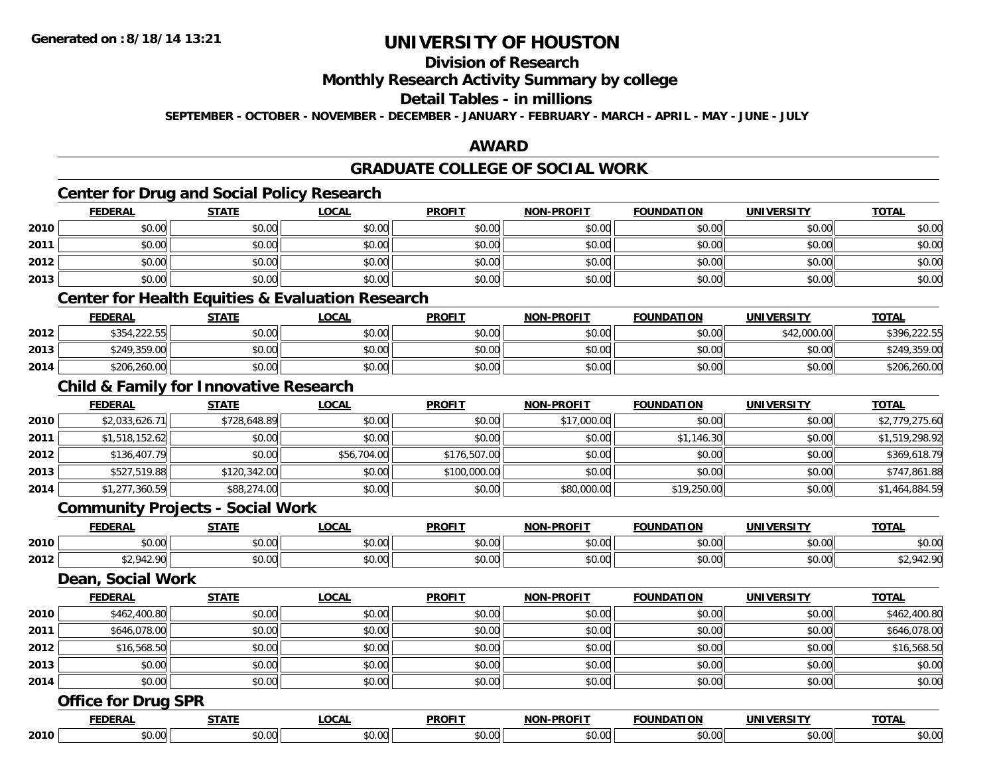### **Division of Research**

#### **Monthly Research Activity Summary by college**

#### **Detail Tables - in millions**

**SEPTEMBER - OCTOBER - NOVEMBER - DECEMBER - JANUARY - FEBRUARY - MARCH - APRIL - MAY - JUNE - JULY**

#### **AWARD**

#### **GRADUATE COLLEGE OF SOCIAL WORK**

# **Center for Drug and Social Policy Research**

|      | <b>FEDERAL</b>                                    | <b>STATE</b> | <b>LOCAL</b>                                                | <b>PROFIT</b> | <b>NON-PROFIT</b> | <b>FOUNDATION</b> | <b>UNIVERSITY</b> | <b>TOTAL</b>   |
|------|---------------------------------------------------|--------------|-------------------------------------------------------------|---------------|-------------------|-------------------|-------------------|----------------|
| 2010 | \$0.00                                            | \$0.00       | \$0.00                                                      | \$0.00        | \$0.00            | \$0.00            | \$0.00            | \$0.00         |
| 2011 | \$0.00                                            | \$0.00       | \$0.00                                                      | \$0.00        | \$0.00            | \$0.00            | \$0.00            | \$0.00         |
| 2012 | \$0.00                                            | \$0.00       | \$0.00                                                      | \$0.00        | \$0.00            | \$0.00            | \$0.00            | \$0.00         |
| 2013 | \$0.00                                            | \$0.00       | \$0.00                                                      | \$0.00        | \$0.00            | \$0.00            | \$0.00            | \$0.00         |
|      |                                                   |              | <b>Center for Health Equities &amp; Evaluation Research</b> |               |                   |                   |                   |                |
|      | <b>FEDERAL</b>                                    | <b>STATE</b> | <b>LOCAL</b>                                                | <b>PROFIT</b> | <b>NON-PROFIT</b> | <b>FOUNDATION</b> | <b>UNIVERSITY</b> | <b>TOTAL</b>   |
| 2012 | \$354,222.55                                      | \$0.00       | \$0.00                                                      | \$0.00        | \$0.00            | \$0.00            | \$42,000.00       | \$396,222.55   |
| 2013 | \$249,359.00                                      | \$0.00       | \$0.00                                                      | \$0.00        | \$0.00            | \$0.00            | \$0.00            | \$249,359.00   |
| 2014 | \$206,260.00                                      | \$0.00       | \$0.00                                                      | \$0.00        | \$0.00            | \$0.00            | \$0.00            | \$206,260.00   |
|      | <b>Child &amp; Family for Innovative Research</b> |              |                                                             |               |                   |                   |                   |                |
|      | <b>FEDERAL</b>                                    | <b>STATE</b> | <b>LOCAL</b>                                                | <b>PROFIT</b> | <b>NON-PROFIT</b> | <b>FOUNDATION</b> | <b>UNIVERSITY</b> | <b>TOTAL</b>   |
| 2010 | \$2,033,626.71                                    | \$728,648.89 | \$0.00                                                      | \$0.00        | \$17,000.00       | \$0.00            | \$0.00            | \$2,779,275.60 |
| 2011 | \$1,518,152.62                                    | \$0.00       | \$0.00                                                      | \$0.00        | \$0.00            | \$1,146.30        | \$0.00            | \$1,519,298.92 |
| 2012 | \$136,407.79                                      | \$0.00       | \$56,704.00                                                 | \$176,507.00  | \$0.00            | \$0.00            | \$0.00            | \$369,618.79   |
| 2013 | \$527,519.88                                      | \$120,342.00 | \$0.00                                                      | \$100,000.00  | \$0.00            | \$0.00            | \$0.00            | \$747,861.88   |
| 2014 | \$1,277,360.59                                    | \$88,274.00  | \$0.00                                                      | \$0.00        | \$80,000.00       | \$19,250.00       | \$0.00            | \$1,464,884.59 |
|      | <b>Community Projects - Social Work</b>           |              |                                                             |               |                   |                   |                   |                |
|      | <b>FEDERAL</b>                                    | <b>STATE</b> | <b>LOCAL</b>                                                | <b>PROFIT</b> | <b>NON-PROFIT</b> | <b>FOUNDATION</b> | <b>UNIVERSITY</b> | <b>TOTAL</b>   |
| 2010 | \$0.00                                            | \$0.00       | \$0.00                                                      | \$0.00        | \$0.00            | \$0.00            | \$0.00            | \$0.00         |
| 2012 | \$2,942.90                                        | \$0.00       | \$0.00                                                      | \$0.00        | \$0.00            | \$0.00            | \$0.00            | \$2,942.90     |
|      | Dean, Social Work                                 |              |                                                             |               |                   |                   |                   |                |
|      | <b>FEDERAL</b>                                    | <b>STATE</b> | <b>LOCAL</b>                                                | <b>PROFIT</b> | NON-PROFIT        | <b>FOUNDATION</b> | <b>UNIVERSITY</b> | <b>TOTAL</b>   |
| 2010 | \$462,400.80                                      | \$0.00       | \$0.00                                                      | \$0.00        | \$0.00            | \$0.00            | \$0.00            | \$462,400.80   |
| 2011 | \$646,078.00                                      | \$0.00       | \$0.00                                                      | \$0.00        | \$0.00            | \$0.00            | \$0.00            | \$646,078.00   |
| 2012 | \$16,568.50                                       | \$0.00       | \$0.00                                                      | \$0.00        | \$0.00            | \$0.00            | \$0.00            | \$16,568.50    |
| 2013 | \$0.00                                            | \$0.00       | \$0.00                                                      | \$0.00        | \$0.00            | \$0.00            | \$0.00            | \$0.00         |
| 2014 | \$0.00                                            | \$0.00       | \$0.00                                                      | \$0.00        | \$0.00            | \$0.00            | \$0.00            | \$0.00         |

### **Office for Drug SPR**

|      | -----            | .OCAL          | <b>DDOCIT</b>     | ------ | <b>EQUINDAT</b> | INIVE<br>_ _ _ _     | <b>TOTAL</b> |
|------|------------------|----------------|-------------------|--------|-----------------|----------------------|--------------|
| 2010 | $ -$<br>$\cdots$ | $\sim$<br>uu - | $\sim$ 00<br>ט.טע | טט.    | $\sim$          | $\sim$ 00<br>∍DU.UU. | ,,,,,        |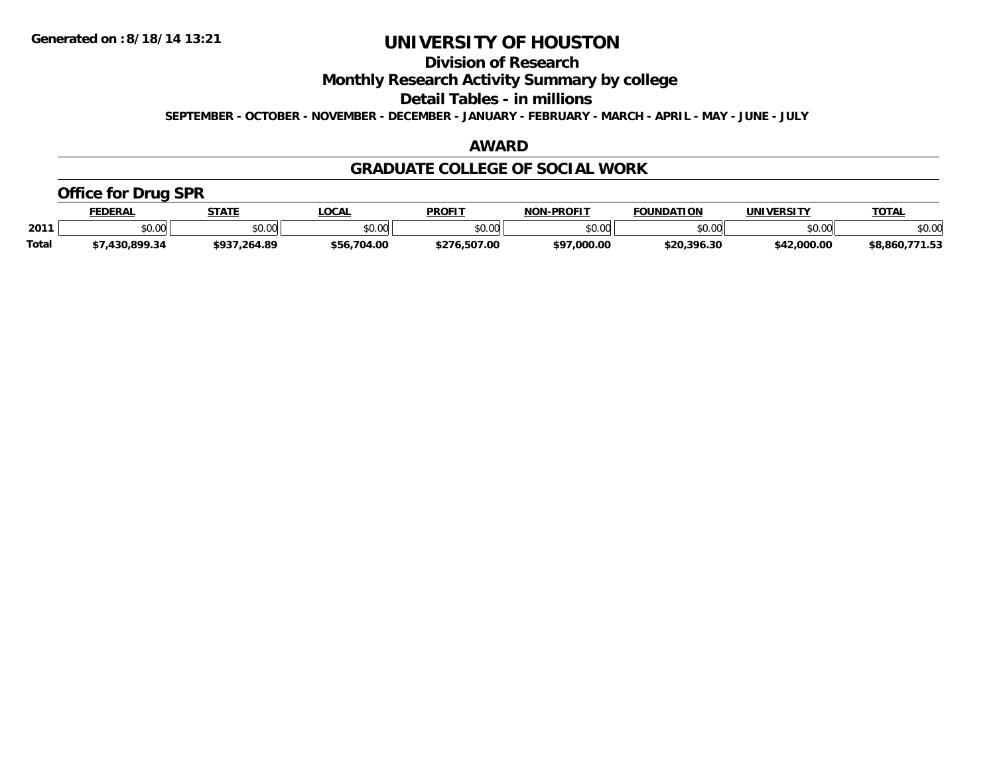### **Division of Research**

**Monthly Research Activity Summary by college**

**Detail Tables - in millions**

**SEPTEMBER - OCTOBER - NOVEMBER - DECEMBER - JANUARY - FEBRUARY - MARCH - APRIL - MAY - JUNE - JULY**

#### **AWARD**

#### **GRADUATE COLLEGE OF SOCIAL WORK**

#### **Office for Drug SPR**

|              | <b>FEDERAL</b> | <b>STATE</b>         | <b>.OCAL</b> | <b>PROFIT</b> | <b>J-PROFIT</b><br>NON-    | <b>FOUNDATION</b> | UNIVERSITY  | <b>TOTAL</b>   |
|--------------|----------------|----------------------|--------------|---------------|----------------------------|-------------------|-------------|----------------|
| 2011         | \$0.00         | 0.00<br><b>JU.UU</b> | \$0.00       | \$0.00        | $*$ $\cap$ $\cap$<br>PO.OO | \$0.00            | \$0.00      | \$0.00         |
| <b>Total</b> | 430.899.34     | \$937,264.89         | \$56,704.00  | \$276.507.00  | \$97,000.00                | \$20.396.30       | \$42,000.00 | \$8,860,771.53 |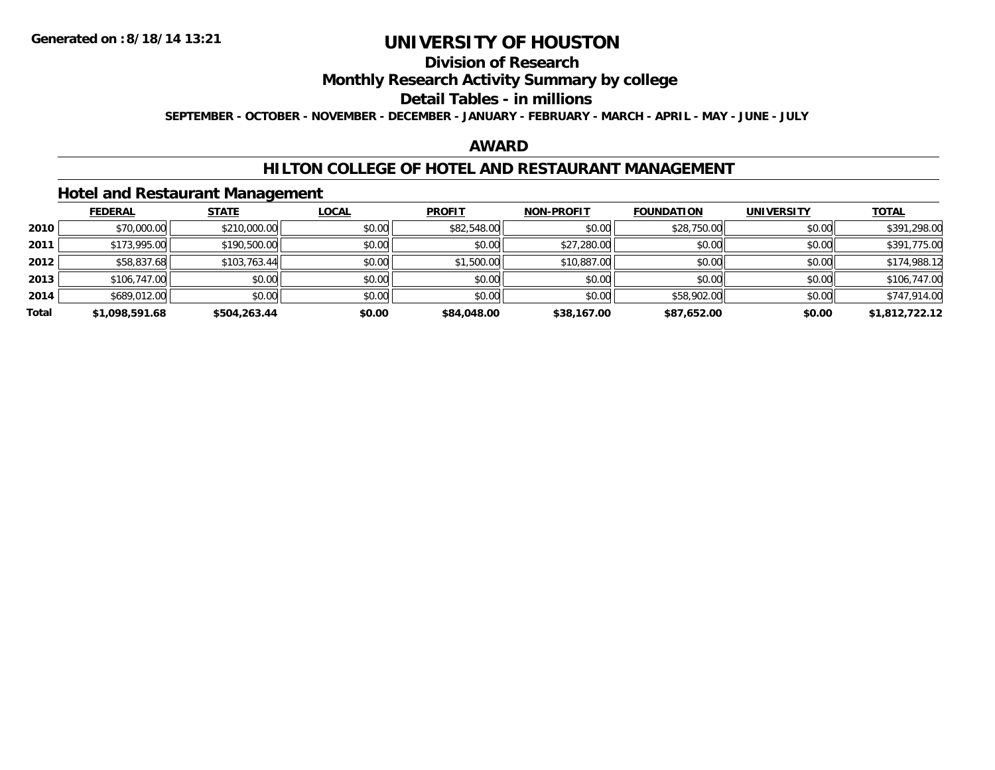### **Division of Research**

#### **Monthly Research Activity Summary by college**

#### **Detail Tables - in millions**

**SEPTEMBER - OCTOBER - NOVEMBER - DECEMBER - JANUARY - FEBRUARY - MARCH - APRIL - MAY - JUNE - JULY**

#### **AWARD**

#### **HILTON COLLEGE OF HOTEL AND RESTAURANT MANAGEMENT**

#### **Hotel and Restaurant Management**

|       | <b>FEDERAL</b> | <b>STATE</b> | <b>LOCAL</b> | <b>PROFIT</b> | <b>NON-PROFIT</b> | <b>FOUNDATION</b> | <b>UNIVERSITY</b> | <b>TOTAL</b>   |
|-------|----------------|--------------|--------------|---------------|-------------------|-------------------|-------------------|----------------|
| 2010  | \$70,000.00    | \$210,000.00 | \$0.00       | \$82,548.00   | \$0.00            | \$28,750.00       | \$0.00            | \$391,298.00   |
| 2011  | \$173,995.00   | \$190,500.00 | \$0.00       | \$0.00        | \$27,280.00       | \$0.00            | \$0.00            | \$391,775.00   |
| 2012  | \$58,837.68    | \$103,763.44 | \$0.00       | \$1,500.00    | \$10,887.00       | \$0.00            | \$0.00            | \$174,988.12   |
| 2013  | \$106,747.00   | \$0.00       | \$0.00       | \$0.00        | \$0.00            | \$0.00            | \$0.00            | \$106,747.00   |
| 2014  | \$689,012.00   | \$0.00       | \$0.00       | \$0.00        | \$0.00            | \$58,902.00       | \$0.00            | \$747,914.00   |
| Total | \$1,098,591.68 | \$504,263.44 | \$0.00       | \$84,048.00   | \$38,167.00       | \$87,652.00       | \$0.00            | \$1,812,722.12 |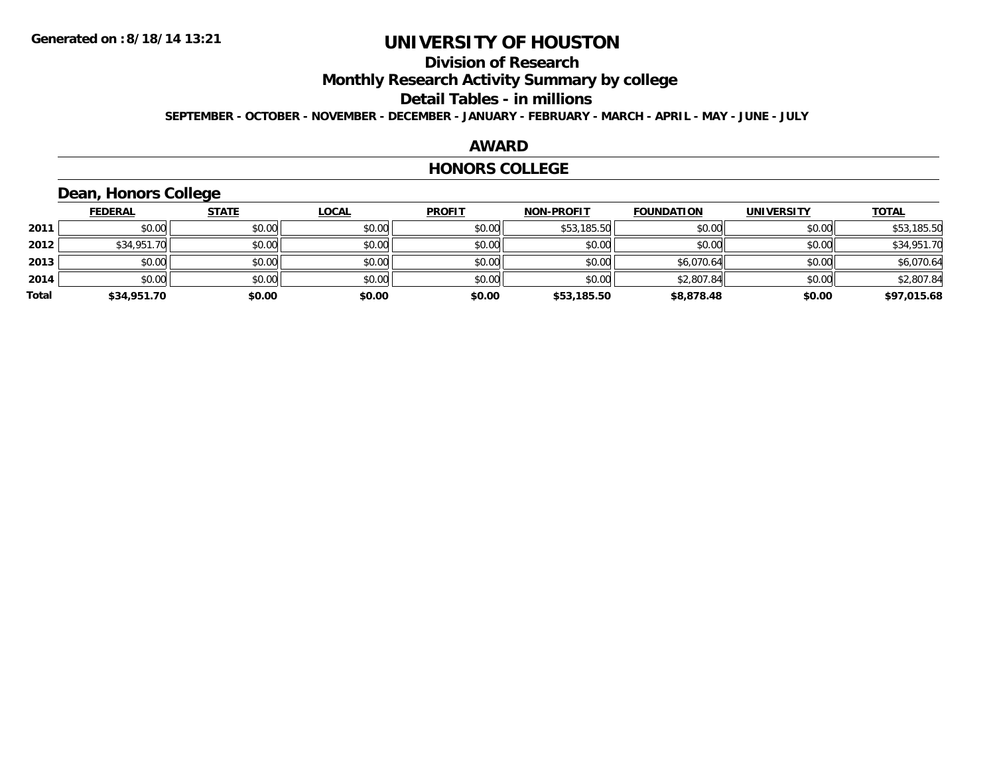### **Division of Research**

**Monthly Research Activity Summary by college**

**Detail Tables - in millions**

**SEPTEMBER - OCTOBER - NOVEMBER - DECEMBER - JANUARY - FEBRUARY - MARCH - APRIL - MAY - JUNE - JULY**

#### **AWARD**

#### **HONORS COLLEGE**

### **Dean, Honors College**

|       | <b>FEDERAL</b> | <b>STATE</b> | <u>LOCAL</u> | <b>PROFIT</b> | <b>NON-PROFIT</b> | <b>FOUNDATION</b> | <b>UNIVERSITY</b> | <b>TOTAL</b> |
|-------|----------------|--------------|--------------|---------------|-------------------|-------------------|-------------------|--------------|
| 2011  | \$0.00         | \$0.00       | \$0.00       | \$0.00        | \$53,185.50       | \$0.00            | \$0.00            | \$53,185.50  |
| 2012  | \$34,951.70    | \$0.00       | \$0.00       | \$0.00        | \$0.00            | \$0.00            | \$0.00            | \$34,951.70  |
| 2013  | \$0.00         | \$0.00       | \$0.00       | \$0.00        | \$0.00            | \$6,070.64        | \$0.00            | \$6,070.64   |
| 2014  | \$0.00         | \$0.00       | \$0.00       | \$0.00        | \$0.00            | \$2,807.84        | \$0.00            | \$2,807.84   |
| Total | \$34,951.70    | \$0.00       | \$0.00       | \$0.00        | \$53,185.50       | \$8,878.48        | \$0.00            | \$97,015.68  |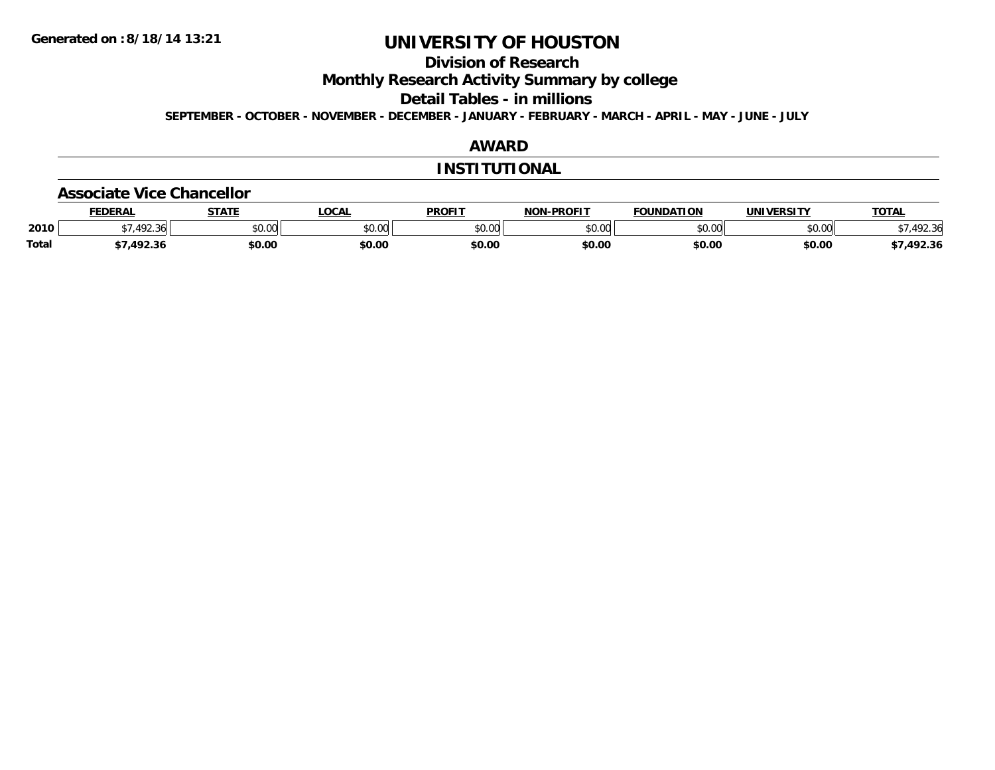### **Division of Research**

**Monthly Research Activity Summary by college**

**Detail Tables - in millions**

**SEPTEMBER - OCTOBER - NOVEMBER - DECEMBER - JANUARY - FEBRUARY - MARCH - APRIL - MAY - JUNE - JULY**

#### **AWARD**

#### **INSTITUTIONAL**

#### **Associate Vice Chancellor**

|              | <b>FEDERAL</b> | <b>STATE</b> | <b>OCAL</b>                                           | <b>PROFIT</b> | <b>NON-PROFIT</b> | <b>FOUNDATION</b> | UNIVERSITY     | TOTA.  |
|--------------|----------------|--------------|-------------------------------------------------------|---------------|-------------------|-------------------|----------------|--------|
| 2010         | .492.36        | \$0.00       | $\mathsf{A} \cap \mathsf{A} \cap \mathsf{A}$<br>vv.vv | \$0.00        | 0000<br>JU.UU     | \$0.00            | mn n¢<br>pu.uu | 492.36 |
| <b>Total</b> | 1022           | \$0.00       | \$0.00                                                | \$0.00        | \$0.00            | \$0.00            | \$0.00         | 492.36 |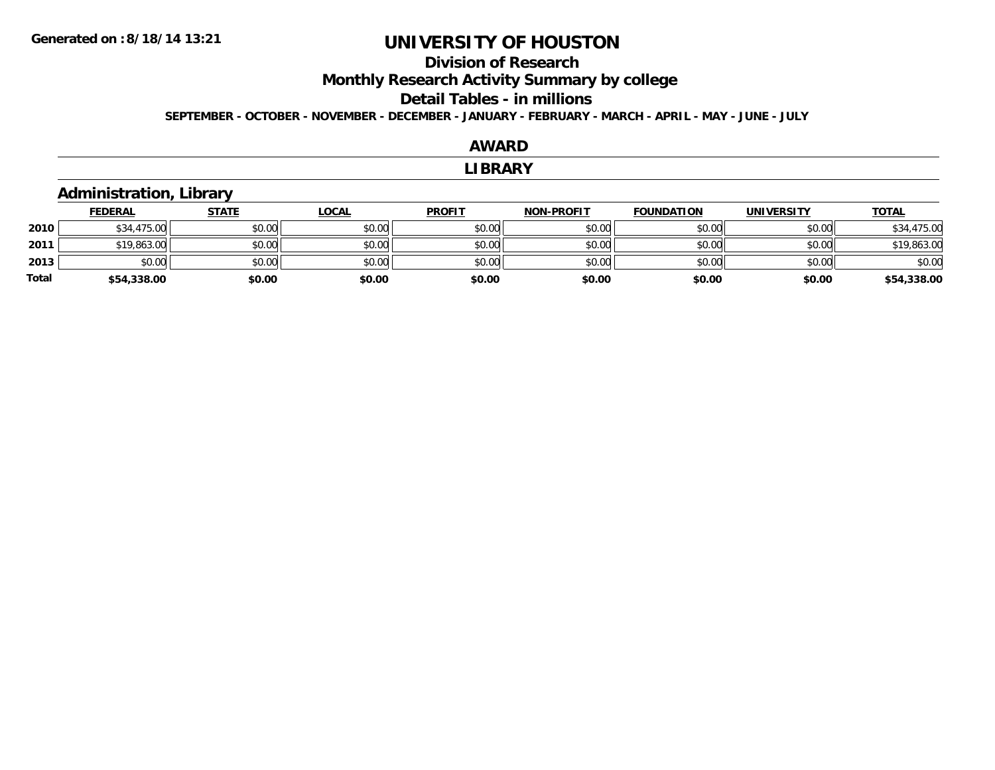### **Division of ResearchMonthly Research Activity Summary by college**

#### **Detail Tables - in millions**

**SEPTEMBER - OCTOBER - NOVEMBER - DECEMBER - JANUARY - FEBRUARY - MARCH - APRIL - MAY - JUNE - JULY**

#### **AWARD**

#### **LIBRARY**

#### **Administration, Library**

|              | <b>FEDERAL</b> | <b>STATE</b> | <b>LOCAL</b> | <b>PROFIT</b> | <b>NON-PROFIT</b> | <b>FOUNDATION</b> | <b>UNIVERSITY</b> | <b>TOTAL</b> |
|--------------|----------------|--------------|--------------|---------------|-------------------|-------------------|-------------------|--------------|
| 2010         | \$34,475.00    | \$0.00       | \$0.00       | \$0.00        | \$0.00            | \$0.00            | \$0.00            | \$34,475.00  |
| 2011         | \$19,863.00    | \$0.00       | \$0.00       | \$0.00        | \$0.00            | \$0.00            | \$0.00            | \$19,863.00  |
| 2013         | \$0.00         | \$0.00       | \$0.00       | \$0.00        | \$0.00            | \$0.00            | \$0.00            | \$0.00       |
| <b>Total</b> | \$54,338.00    | \$0.00       | \$0.00       | \$0.00        | \$0.00            | \$0.00            | \$0.00            | \$54,338.00  |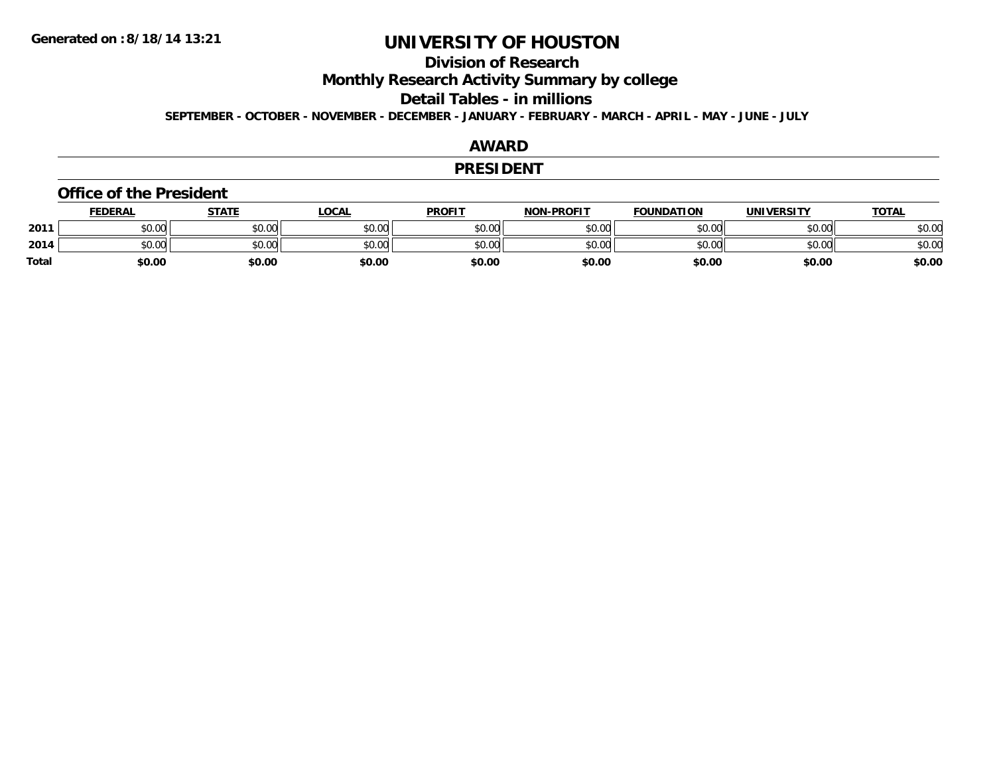### **Division of Research**

**Monthly Research Activity Summary by college**

**Detail Tables - in millions**

**SEPTEMBER - OCTOBER - NOVEMBER - DECEMBER - JANUARY - FEBRUARY - MARCH - APRIL - MAY - JUNE - JULY**

#### **AWARD**

#### **PRESIDENT**

#### **Office of the President**

|              | <b>FEDERAL</b> | <b>STATE</b> | <b>LOCAL</b> | <b>PROFIT</b> | <b>NON-PROFIT</b> | <b>FOUNDATION</b> | UNIVERSITY | <b>TOTAL</b> |
|--------------|----------------|--------------|--------------|---------------|-------------------|-------------------|------------|--------------|
| 2011         | \$0.00         | \$0.00       | \$0.00       | \$0.00        | \$0.00            | \$0.00            | \$0.00     | \$0.00       |
| 2014         | \$0.00         | \$0.00       | \$0.00       | \$0.00        | \$0.00            | \$0.00            | \$0.00     | \$0.00       |
| <b>Total</b> | \$0.00         | \$0.00       | \$0.00       | \$0.00        | \$0.00            | \$0.00            | \$0.00     | \$0.00       |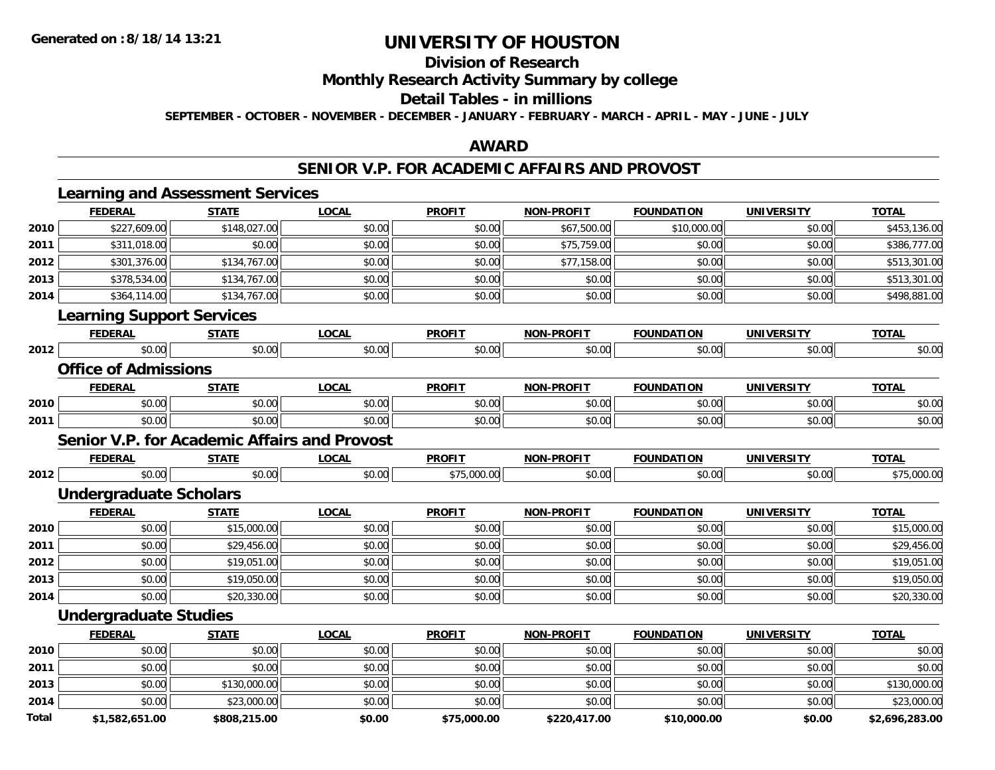### **Division of Research**

**Monthly Research Activity Summary by college**

#### **Detail Tables - in millions**

**SEPTEMBER - OCTOBER - NOVEMBER - DECEMBER - JANUARY - FEBRUARY - MARCH - APRIL - MAY - JUNE - JULY**

#### **AWARD**

#### **SENIOR V.P. FOR ACADEMIC AFFAIRS AND PROVOST**

|              | <b>Learning and Assessment Services</b>             |              |              |               |                   |                   |                   |                |
|--------------|-----------------------------------------------------|--------------|--------------|---------------|-------------------|-------------------|-------------------|----------------|
|              | <b>FEDERAL</b>                                      | <b>STATE</b> | <b>LOCAL</b> | <b>PROFIT</b> | <b>NON-PROFIT</b> | <b>FOUNDATION</b> | <b>UNIVERSITY</b> | <b>TOTAL</b>   |
| 2010         | \$227,609.00                                        | \$148,027.00 | \$0.00       | \$0.00        | \$67,500.00       | \$10,000.00       | \$0.00            | \$453,136.00   |
| 2011         | \$311,018.00                                        | \$0.00       | \$0.00       | \$0.00        | \$75,759.00       | \$0.00            | \$0.00            | \$386,777.00   |
| 2012         | \$301,376.00                                        | \$134,767.00 | \$0.00       | \$0.00        | \$77,158.00       | \$0.00            | \$0.00            | \$513,301.00   |
| 2013         | \$378,534.00                                        | \$134,767.00 | \$0.00       | \$0.00        | \$0.00            | \$0.00            | \$0.00            | \$513,301.00   |
| 2014         | \$364,114.00                                        | \$134,767.00 | \$0.00       | \$0.00        | \$0.00            | \$0.00            | \$0.00            | \$498,881.00   |
|              | <b>Learning Support Services</b>                    |              |              |               |                   |                   |                   |                |
|              | <b>FEDERAL</b>                                      | <b>STATE</b> | <b>LOCAL</b> | <b>PROFIT</b> | <b>NON-PROFIT</b> | <b>FOUNDATION</b> | <b>UNIVERSITY</b> | <b>TOTAL</b>   |
| 2012         | \$0.00                                              | \$0.00       | \$0.00       | \$0.00        | \$0.00            | \$0.00            | \$0.00            | \$0.00         |
|              | <b>Office of Admissions</b>                         |              |              |               |                   |                   |                   |                |
|              | <b>FEDERAL</b>                                      | <b>STATE</b> | <b>LOCAL</b> | <b>PROFIT</b> | <b>NON-PROFIT</b> | <b>FOUNDATION</b> | <b>UNIVERSITY</b> | <b>TOTAL</b>   |
| 2010         | \$0.00                                              | \$0.00       | \$0.00       | \$0.00        | \$0.00            | \$0.00            | \$0.00            | \$0.00         |
| 2011         | \$0.00                                              | \$0.00       | \$0.00       | \$0.00        | \$0.00            | \$0.00            | \$0.00            | \$0.00         |
|              | <b>Senior V.P. for Academic Affairs and Provost</b> |              |              |               |                   |                   |                   |                |
|              | <b>FEDERAL</b>                                      | <b>STATE</b> | <b>LOCAL</b> | <b>PROFIT</b> | <b>NON-PROFIT</b> | <b>FOUNDATION</b> | <b>UNIVERSITY</b> | <b>TOTAL</b>   |
| 2012         | \$0.00                                              | \$0.00       | \$0.00       | \$75,000.00   | \$0.00            | \$0.00            | \$0.00            | \$75,000.00    |
|              | <b>Undergraduate Scholars</b>                       |              |              |               |                   |                   |                   |                |
|              | <b>FEDERAL</b>                                      | <b>STATE</b> | <b>LOCAL</b> | <b>PROFIT</b> | <b>NON-PROFIT</b> | <b>FOUNDATION</b> | <b>UNIVERSITY</b> | <b>TOTAL</b>   |
| 2010         | \$0.00                                              | \$15,000.00  | \$0.00       | \$0.00        | \$0.00            | \$0.00            | \$0.00            | \$15,000.00    |
| 2011         | \$0.00                                              | \$29,456.00  | \$0.00       | \$0.00        | \$0.00            | \$0.00            | \$0.00            | \$29,456.00    |
| 2012         | \$0.00                                              | \$19,051.00  | \$0.00       | \$0.00        | \$0.00            | \$0.00            | \$0.00            | \$19,051.00    |
| 2013         | \$0.00                                              | \$19,050.00  | \$0.00       | \$0.00        | \$0.00            | \$0.00            | \$0.00            | \$19,050.00    |
| 2014         | \$0.00                                              | \$20,330.00  | \$0.00       | \$0.00        | \$0.00            | \$0.00            | \$0.00            | \$20,330.00    |
|              | <b>Undergraduate Studies</b>                        |              |              |               |                   |                   |                   |                |
|              | <b>FEDERAL</b>                                      | <b>STATE</b> | <b>LOCAL</b> | <b>PROFIT</b> | <b>NON-PROFIT</b> | <b>FOUNDATION</b> | <b>UNIVERSITY</b> | <b>TOTAL</b>   |
| 2010         | \$0.00                                              | \$0.00       | \$0.00       | \$0.00        | \$0.00            | \$0.00            | \$0.00            | \$0.00         |
| 2011         | \$0.00                                              | \$0.00       | \$0.00       | \$0.00        | \$0.00            | \$0.00            | \$0.00            | \$0.00         |
| 2013         | \$0.00                                              | \$130,000.00 | \$0.00       | \$0.00        | \$0.00            | \$0.00            | \$0.00            | \$130,000.00   |
| 2014         | \$0.00                                              | \$23,000.00  | \$0.00       | \$0.00        | \$0.00            | \$0.00            | \$0.00            | \$23,000.00    |
| <b>Total</b> | \$1.582.651.00                                      | \$808.215.00 | \$0.00       | \$75.000.00   | \$220.417.00      | \$10,000.00       | \$0.00            | \$2.696.283.00 |

**\$1,582,651.00 \$808,215.00 \$0.00 \$75,000.00 \$220,417.00 \$10,000.00 \$0.00 \$2,696,283.00**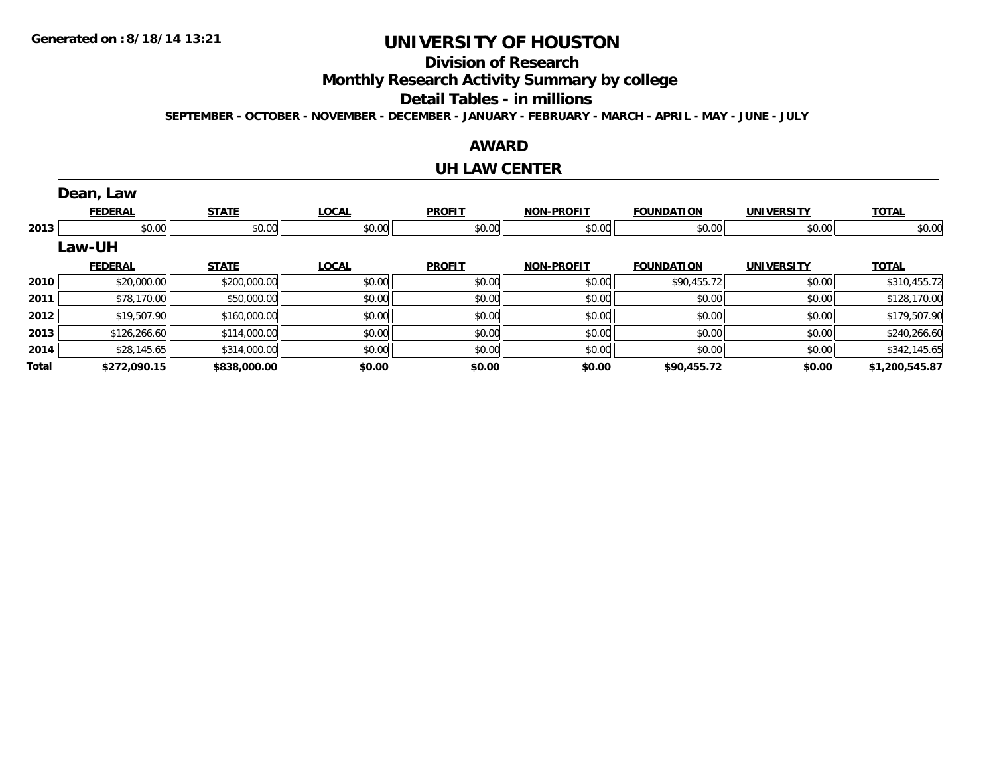### **Division of Research**

**Monthly Research Activity Summary by college**

#### **Detail Tables - in millions**

**SEPTEMBER - OCTOBER - NOVEMBER - DECEMBER - JANUARY - FEBRUARY - MARCH - APRIL - MAY - JUNE - JULY**

#### **AWARD**

#### **UH LAW CENTER**

|       | Dean, Law      |              |              |               |                   |                   |                   |                |
|-------|----------------|--------------|--------------|---------------|-------------------|-------------------|-------------------|----------------|
|       | <b>FEDERAL</b> | <b>STATE</b> | <b>LOCAL</b> | <b>PROFIT</b> | <b>NON-PROFIT</b> | <b>FOUNDATION</b> | <b>UNIVERSITY</b> | <b>TOTAL</b>   |
| 2013  | \$0.00         | \$0.00       | \$0.00       | \$0.00        | \$0.00            | \$0.00            | \$0.00            | \$0.00         |
|       | <b>Law-UH</b>  |              |              |               |                   |                   |                   |                |
|       | <b>FEDERAL</b> | <b>STATE</b> | <b>LOCAL</b> | <b>PROFIT</b> | <b>NON-PROFIT</b> | <b>FOUNDATION</b> | <b>UNIVERSITY</b> | <b>TOTAL</b>   |
| 2010  | \$20,000.00    | \$200,000.00 | \$0.00       | \$0.00        | \$0.00            | \$90,455.72       | \$0.00            | \$310,455.72   |
| 2011  | \$78,170.00    | \$50,000.00  | \$0.00       | \$0.00        | \$0.00            | \$0.00            | \$0.00            | \$128,170.00   |
| 2012  | \$19,507.90    | \$160,000.00 | \$0.00       | \$0.00        | \$0.00            | \$0.00            | \$0.00            | \$179,507.90   |
| 2013  | \$126,266.60   | \$114,000.00 | \$0.00       | \$0.00        | \$0.00            | \$0.00            | \$0.00            | \$240,266.60   |
| 2014  | \$28,145.65    | \$314,000.00 | \$0.00       | \$0.00        | \$0.00            | \$0.00            | \$0.00            | \$342,145.65   |
| Total | \$272,090.15   | \$838,000.00 | \$0.00       | \$0.00        | \$0.00            | \$90,455.72       | \$0.00            | \$1,200,545.87 |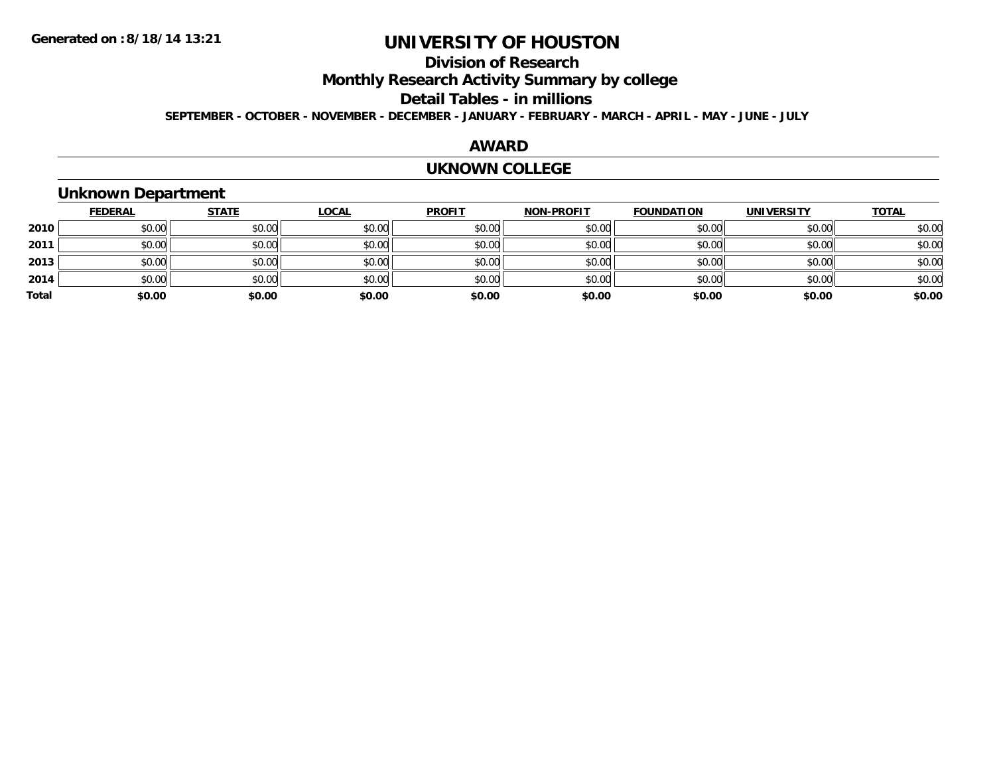### **Division of Research**

**Monthly Research Activity Summary by college**

#### **Detail Tables - in millions**

**SEPTEMBER - OCTOBER - NOVEMBER - DECEMBER - JANUARY - FEBRUARY - MARCH - APRIL - MAY - JUNE - JULY**

#### **AWARD**

#### **UKNOWN COLLEGE**

### **Unknown Department**

|       | <b>FEDERAL</b> | <b>STATE</b> | <u>LOCAL</u> | <b>PROFIT</b> | <b>NON-PROFIT</b> | <b>FOUNDATION</b> | <b>UNIVERSITY</b> | <b>TOTAL</b> |
|-------|----------------|--------------|--------------|---------------|-------------------|-------------------|-------------------|--------------|
| 2010  | \$0.00         | \$0.00       | \$0.00       | \$0.00        | \$0.00            | \$0.00            | \$0.00            | \$0.00       |
| 2011  | \$0.00         | \$0.00       | \$0.00       | \$0.00        | \$0.00            | \$0.00            | \$0.00            | \$0.00       |
| 2013  | \$0.00         | \$0.00       | \$0.00       | \$0.00        | \$0.00            | \$0.00            | \$0.00            | \$0.00       |
| 2014  | \$0.00         | \$0.00       | \$0.00       | \$0.00        | \$0.00            | \$0.00            | \$0.00            | \$0.00       |
| Total | \$0.00         | \$0.00       | \$0.00       | \$0.00        | \$0.00            | \$0.00            | \$0.00            | \$0.00       |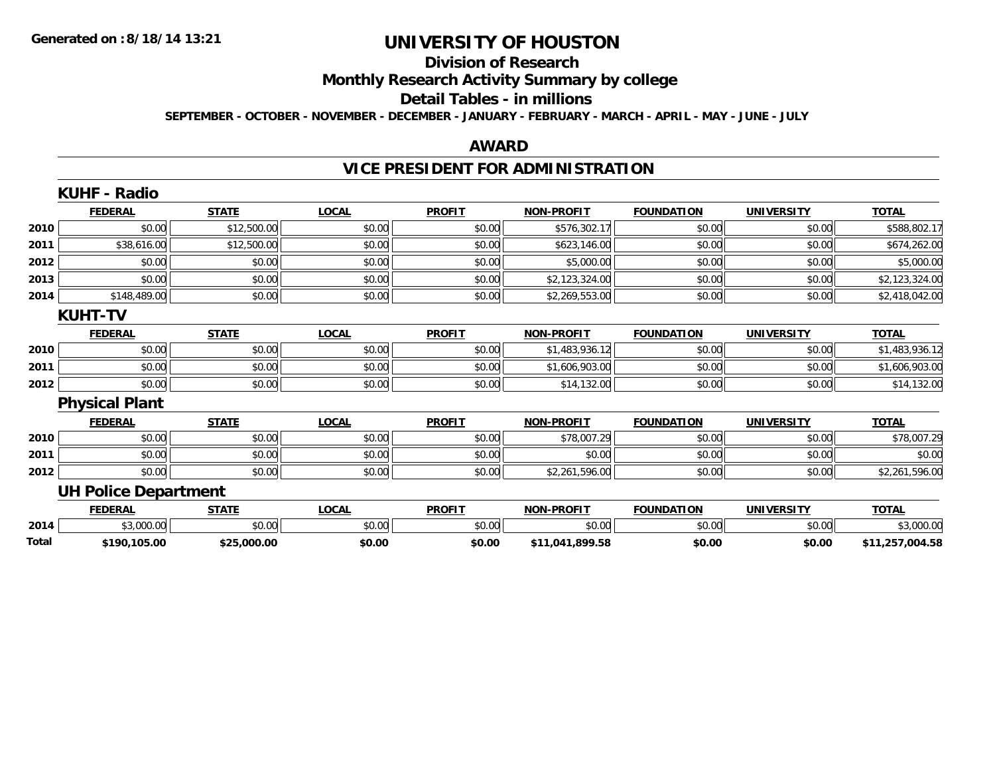# **Division of Research**

**Monthly Research Activity Summary by college**

#### **Detail Tables - in millions**

**SEPTEMBER - OCTOBER - NOVEMBER - DECEMBER - JANUARY - FEBRUARY - MARCH - APRIL - MAY - JUNE - JULY**

#### **AWARD**

# **VICE PRESIDENT FOR ADMINISTRATION**

|       | <b>KUHF - Radio</b>         |              |              |               |                   |                   |                   |                 |
|-------|-----------------------------|--------------|--------------|---------------|-------------------|-------------------|-------------------|-----------------|
|       | <b>FEDERAL</b>              | <b>STATE</b> | <b>LOCAL</b> | <b>PROFIT</b> | <b>NON-PROFIT</b> | <b>FOUNDATION</b> | <b>UNIVERSITY</b> | <b>TOTAL</b>    |
| 2010  | \$0.00                      | \$12,500.00  | \$0.00       | \$0.00        | \$576,302.17      | \$0.00            | \$0.00            | \$588,802.17    |
| 2011  | \$38,616.00                 | \$12,500.00  | \$0.00       | \$0.00        | \$623,146.00      | \$0.00            | \$0.00            | \$674,262.00    |
| 2012  | \$0.00                      | \$0.00       | \$0.00       | \$0.00        | \$5,000.00        | \$0.00            | \$0.00            | \$5,000.00      |
| 2013  | \$0.00                      | \$0.00       | \$0.00       | \$0.00        | \$2,123,324.00    | \$0.00            | \$0.00            | \$2,123,324.00  |
| 2014  | \$148,489.00                | \$0.00       | \$0.00       | \$0.00        | \$2,269,553.00    | \$0.00            | \$0.00            | \$2,418,042.00  |
|       | <b>KUHT-TV</b>              |              |              |               |                   |                   |                   |                 |
|       | <b>FEDERAL</b>              | <b>STATE</b> | <b>LOCAL</b> | <b>PROFIT</b> | <b>NON-PROFIT</b> | <b>FOUNDATION</b> | <b>UNIVERSITY</b> | <b>TOTAL</b>    |
| 2010  | \$0.00                      | \$0.00       | \$0.00       | \$0.00        | \$1,483,936.12    | \$0.00            | \$0.00            | \$1,483,936.12  |
| 2011  | \$0.00                      | \$0.00       | \$0.00       | \$0.00        | \$1,606,903.00    | \$0.00            | \$0.00            | \$1,606,903.00  |
| 2012  | \$0.00                      | \$0.00       | \$0.00       | \$0.00        | \$14,132.00       | \$0.00            | \$0.00            | \$14,132.00     |
|       | <b>Physical Plant</b>       |              |              |               |                   |                   |                   |                 |
|       | <b>FEDERAL</b>              | <b>STATE</b> | <b>LOCAL</b> | <b>PROFIT</b> | NON-PROFIT        | <b>FOUNDATION</b> | <b>UNIVERSITY</b> | <b>TOTAL</b>    |
| 2010  | \$0.00                      | \$0.00       | \$0.00       | \$0.00        | \$78,007.29       | \$0.00            | \$0.00            | \$78,007.29     |
| 2011  | \$0.00                      | \$0.00       | \$0.00       | \$0.00        | \$0.00            | \$0.00            | \$0.00            | \$0.00          |
| 2012  | \$0.00                      | \$0.00       | \$0.00       | \$0.00        | \$2,261,596.00    | \$0.00            | \$0.00            | \$2,261,596.00  |
|       | <b>UH Police Department</b> |              |              |               |                   |                   |                   |                 |
|       | <b>FEDERAL</b>              | <b>STATE</b> | <b>LOCAL</b> | <b>PROFIT</b> | <b>NON-PROFIT</b> | <b>FOUNDATION</b> | <b>UNIVERSITY</b> | <b>TOTAL</b>    |
| 2014  | \$3,000.00                  | \$0.00       | \$0.00       | \$0.00        | \$0.00            | \$0.00            | \$0.00            | \$3,000.00      |
| Total | \$190,105.00                | \$25,000.00  | \$0.00       | \$0.00        | \$11,041,899.58   | \$0.00            | \$0.00            | \$11,257,004.58 |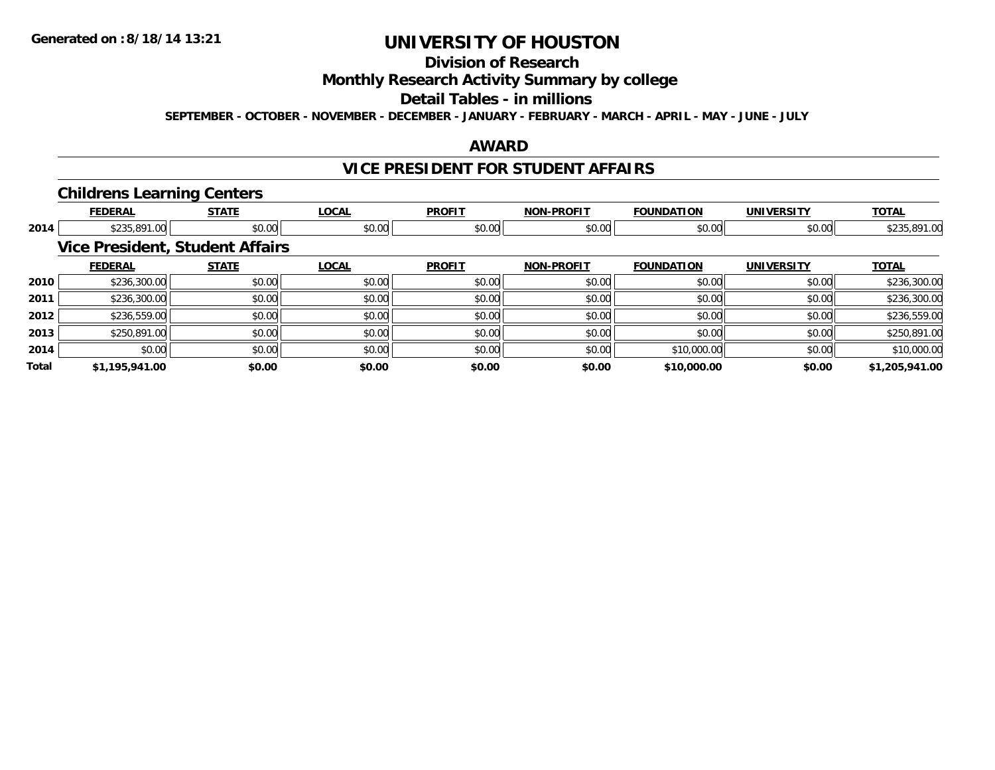# **Division of Research**

**Monthly Research Activity Summary by college**

#### **Detail Tables - in millions**

**SEPTEMBER - OCTOBER - NOVEMBER - DECEMBER - JANUARY - FEBRUARY - MARCH - APRIL - MAY - JUNE - JULY**

#### **AWARD**

#### **VICE PRESIDENT FOR STUDENT AFFAIRS**

#### **Childrens Learning Centers**

|       | <b>FEDERAL</b> | <b>STATE</b>                           | <b>LOCAL</b> | <b>PROFIT</b> | <b>NON-PROFIT</b> | <b>FOUNDATION</b> | <b>UNIVERSITY</b> | <b>TOTAL</b>   |
|-------|----------------|----------------------------------------|--------------|---------------|-------------------|-------------------|-------------------|----------------|
| 2014  | \$235,891.00   | \$0.00                                 | \$0.00       | \$0.00        | \$0.00            | \$0.00            | \$0.00            | \$235,891.00   |
|       |                | <b>Vice President, Student Affairs</b> |              |               |                   |                   |                   |                |
|       | <b>FEDERAL</b> | <b>STATE</b>                           | <b>LOCAL</b> | <b>PROFIT</b> | <b>NON-PROFIT</b> | <b>FOUNDATION</b> | <b>UNIVERSITY</b> | <b>TOTAL</b>   |
| 2010  | \$236,300.00   | \$0.00                                 | \$0.00       | \$0.00        | \$0.00            | \$0.00            | \$0.00            | \$236,300.00   |
| 2011  | \$236,300.00   | \$0.00                                 | \$0.00       | \$0.00        | \$0.00            | \$0.00            | \$0.00            | \$236,300.00   |
| 2012  | \$236,559.00   | \$0.00                                 | \$0.00       | \$0.00        | \$0.00            | \$0.00            | \$0.00            | \$236,559.00   |
| 2013  | \$250,891.00   | \$0.00                                 | \$0.00       | \$0.00        | \$0.00            | \$0.00            | \$0.00            | \$250,891.00   |
| 2014  | \$0.00         | \$0.00                                 | \$0.00       | \$0.00        | \$0.00            | \$10,000.00       | \$0.00            | \$10,000.00    |
| Total | \$1,195,941.00 | \$0.00                                 | \$0.00       | \$0.00        | \$0.00            | \$10,000.00       | \$0.00            | \$1,205,941.00 |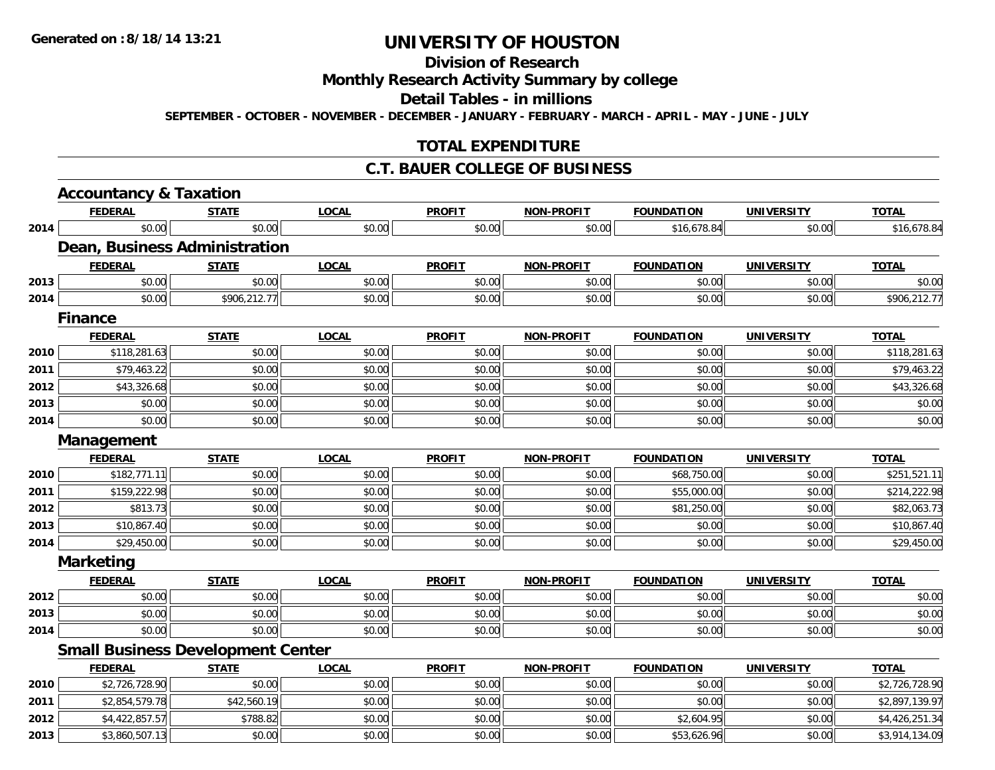# **Division of Research**

**Monthly Research Activity Summary by college**

**Detail Tables - in millions**

**SEPTEMBER - OCTOBER - NOVEMBER - DECEMBER - JANUARY - FEBRUARY - MARCH - APRIL - MAY - JUNE - JULY**

### **TOTAL EXPENDITURE**

#### **C.T. BAUER COLLEGE OF BUSINESS**

|      | <b>Accountancy &amp; Taxation</b>        |              |              |               |                   |                   |                   |                |
|------|------------------------------------------|--------------|--------------|---------------|-------------------|-------------------|-------------------|----------------|
|      | <b>FEDERAL</b>                           | <b>STATE</b> | <b>LOCAL</b> | <b>PROFIT</b> | <b>NON-PROFIT</b> | <b>FOUNDATION</b> | <b>UNIVERSITY</b> | <b>TOTAL</b>   |
| 2014 | \$0.00                                   | \$0.00       | \$0.00       | \$0.00        | \$0.00            | \$16,678.84       | \$0.00            | \$16,678.84    |
|      | Dean, Business Administration            |              |              |               |                   |                   |                   |                |
|      | <b>FEDERAL</b>                           | <b>STATE</b> | <b>LOCAL</b> | <b>PROFIT</b> | <b>NON-PROFIT</b> | <b>FOUNDATION</b> | <b>UNIVERSITY</b> | <b>TOTAL</b>   |
| 2013 | \$0.00                                   | \$0.00       | \$0.00       | \$0.00        | \$0.00            | \$0.00            | \$0.00            | \$0.00         |
| 2014 | \$0.00                                   | \$906,212.77 | \$0.00       | \$0.00        | \$0.00            | \$0.00            | \$0.00            | \$906,212.77   |
|      | <b>Finance</b>                           |              |              |               |                   |                   |                   |                |
|      | <b>FEDERAL</b>                           | <b>STATE</b> | <b>LOCAL</b> | <b>PROFIT</b> | <b>NON-PROFIT</b> | <b>FOUNDATION</b> | <b>UNIVERSITY</b> | <b>TOTAL</b>   |
| 2010 | \$118,281.63                             | \$0.00       | \$0.00       | \$0.00        | \$0.00            | \$0.00            | \$0.00            | \$118,281.63   |
| 2011 | \$79,463.22                              | \$0.00       | \$0.00       | \$0.00        | \$0.00            | \$0.00            | \$0.00            | \$79,463.22    |
| 2012 | \$43,326.68                              | \$0.00       | \$0.00       | \$0.00        | \$0.00            | \$0.00            | \$0.00            | \$43,326.68    |
| 2013 | \$0.00                                   | \$0.00       | \$0.00       | \$0.00        | \$0.00            | \$0.00            | \$0.00            | \$0.00         |
| 2014 | \$0.00                                   | \$0.00       | \$0.00       | \$0.00        | \$0.00            | \$0.00            | \$0.00            | \$0.00         |
|      | <b>Management</b>                        |              |              |               |                   |                   |                   |                |
|      | <b>FEDERAL</b>                           | <b>STATE</b> | <b>LOCAL</b> | <b>PROFIT</b> | <b>NON-PROFIT</b> | <b>FOUNDATION</b> | <b>UNIVERSITY</b> | <b>TOTAL</b>   |
| 2010 | \$182,771.11                             | \$0.00       | \$0.00       | \$0.00        | \$0.00            | \$68,750.00       | \$0.00            | \$251,521.11   |
| 2011 | \$159,222.98                             | \$0.00       | \$0.00       | \$0.00        | \$0.00            | \$55,000.00       | \$0.00            | \$214,222.98   |
| 2012 | \$813.73                                 | \$0.00       | \$0.00       | \$0.00        | \$0.00            | \$81,250.00       | \$0.00            | \$82,063.73    |
| 2013 | \$10,867.40                              | \$0.00       | \$0.00       | \$0.00        | \$0.00            | \$0.00            | \$0.00            | \$10,867.40    |
| 2014 | \$29,450.00                              | \$0.00       | \$0.00       | \$0.00        | \$0.00            | \$0.00            | \$0.00            | \$29,450.00    |
|      | <b>Marketing</b>                         |              |              |               |                   |                   |                   |                |
|      | <b>FEDERAL</b>                           | <b>STATE</b> | <b>LOCAL</b> | <b>PROFIT</b> | <b>NON-PROFIT</b> | <b>FOUNDATION</b> | <b>UNIVERSITY</b> | <b>TOTAL</b>   |
| 2012 | \$0.00                                   | \$0.00       | \$0.00       | \$0.00        | \$0.00            | \$0.00            | \$0.00            | \$0.00         |
| 2013 | \$0.00                                   | \$0.00       | \$0.00       | \$0.00        | \$0.00            | \$0.00            | \$0.00            | \$0.00         |
| 2014 | \$0.00                                   | \$0.00       | \$0.00       | \$0.00        | \$0.00            | \$0.00            | \$0.00            | \$0.00         |
|      | <b>Small Business Development Center</b> |              |              |               |                   |                   |                   |                |
|      | <b>FEDERAL</b>                           | <b>STATE</b> | <b>LOCAL</b> | <b>PROFIT</b> | <b>NON-PROFIT</b> | <b>FOUNDATION</b> | <b>UNIVERSITY</b> | <b>TOTAL</b>   |
| 2010 | \$2,726,728.90                           | \$0.00       | \$0.00       | \$0.00        | \$0.00            | \$0.00            | \$0.00            | \$2,726,728.90 |
| 2011 | \$2,854,579.78                           | \$42,560.19  | \$0.00       | \$0.00        | \$0.00            | \$0.00            | \$0.00            | \$2,897,139.97 |
| 2012 | \$4,422,857.57                           | \$788.82     | \$0.00       | \$0.00        | \$0.00            | \$2,604.95        | \$0.00            | \$4,426,251.34 |
| 2013 | \$3,860,507.13                           | \$0.00       | \$0.00       | \$0.00        | \$0.00            | \$53,626.96       | \$0.00            | \$3,914,134.09 |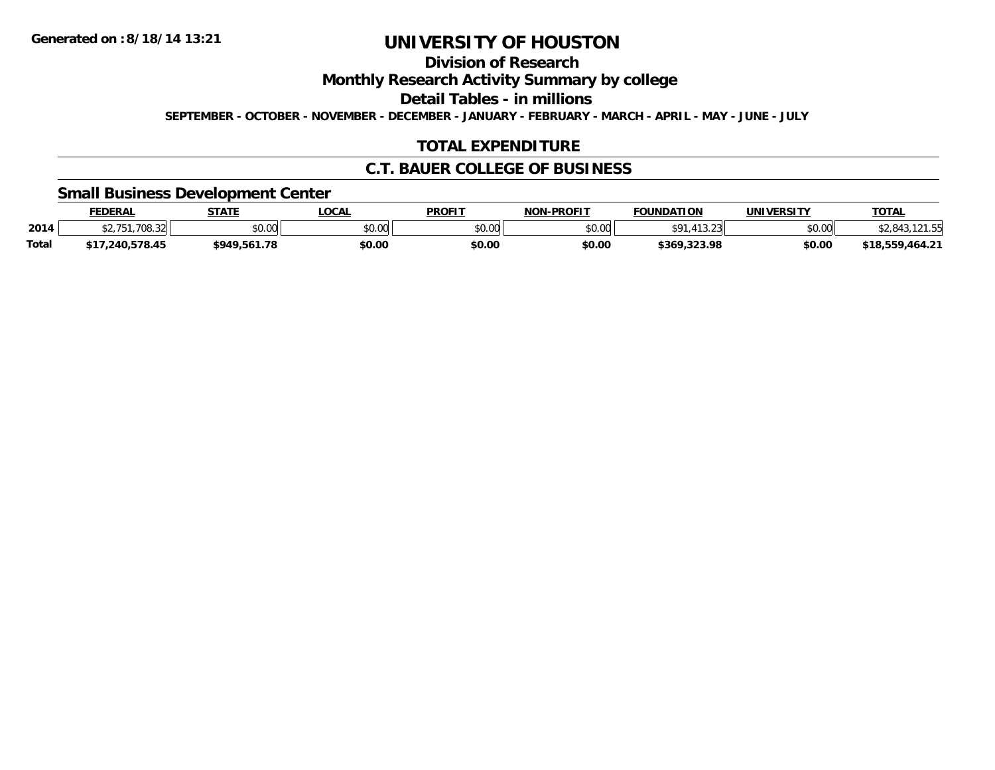### **Division of Research**

**Monthly Research Activity Summary by college**

**Detail Tables - in millions**

**SEPTEMBER - OCTOBER - NOVEMBER - DECEMBER - JANUARY - FEBRUARY - MARCH - APRIL - MAY - JUNE - JULY**

### **TOTAL EXPENDITURE**

#### **C.T. BAUER COLLEGE OF BUSINESS**

#### **Small Business Development Center**

|       | <b>FEDERAL</b> | <b>STATE</b> | <b>LOCAL</b> | <b>PROFIT</b> | <b>NON-PROFIT</b> | <b>FOUNDATION</b>                      | <b>UNIVERSITY</b> | <b>TOTAL</b>         |
|-------|----------------|--------------|--------------|---------------|-------------------|----------------------------------------|-------------------|----------------------|
| 2014  | .708.32        | \$0.00       | \$0.00       | \$0.00        | \$0.00            | $\sim$ $\sim$ $\sim$<br>$\overline{a}$ | \$0.00            | .012                 |
| Total | .240.578.45    | \$949.561.78 | \$0.00       | \$0.00        | \$0.00            | \$369,323.98                           | \$0.00            | ,464.21<br>\$18.559. |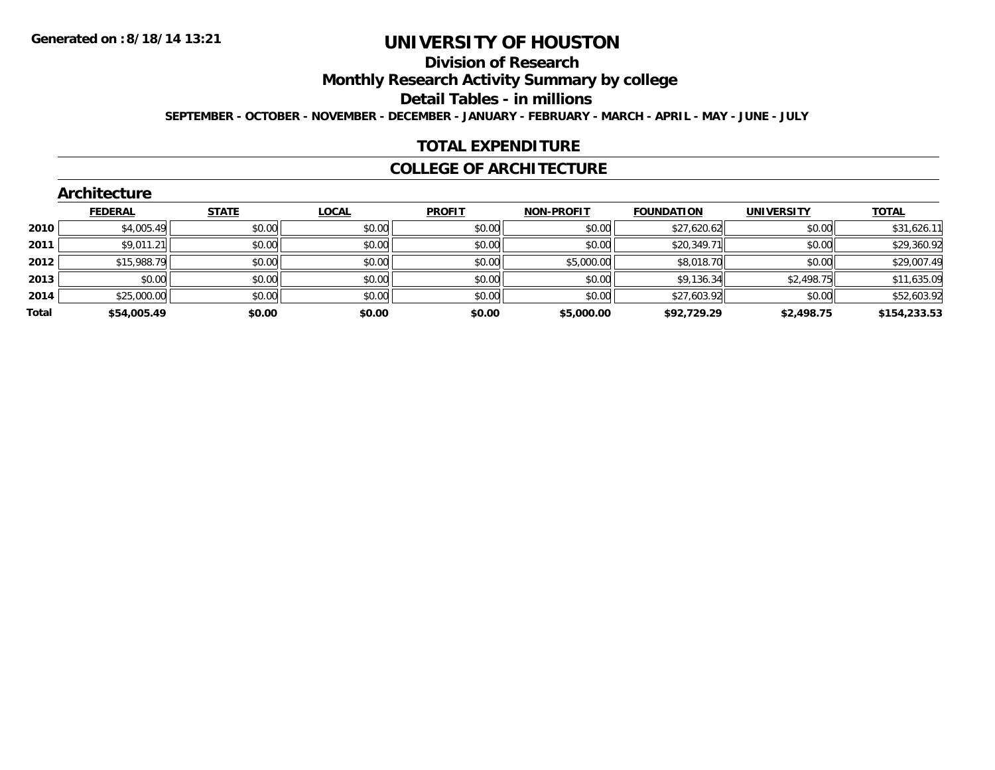### **Division of Research**

**Monthly Research Activity Summary by college**

**Detail Tables - in millions**

**SEPTEMBER - OCTOBER - NOVEMBER - DECEMBER - JANUARY - FEBRUARY - MARCH - APRIL - MAY - JUNE - JULY**

#### **TOTAL EXPENDITURE**

#### **COLLEGE OF ARCHITECTURE**

|       | <b>Architecture</b> |              |              |               |                   |                   |                   |              |
|-------|---------------------|--------------|--------------|---------------|-------------------|-------------------|-------------------|--------------|
|       | <b>FEDERAL</b>      | <b>STATE</b> | <b>LOCAL</b> | <b>PROFIT</b> | <b>NON-PROFIT</b> | <b>FOUNDATION</b> | <b>UNIVERSITY</b> | <b>TOTAL</b> |
| 2010  | \$4,005.49          | \$0.00       | \$0.00       | \$0.00        | \$0.00            | \$27,620.62       | \$0.00            | \$31,626.11  |
| 2011  | \$9,011.21          | \$0.00       | \$0.00       | \$0.00        | \$0.00            | \$20,349.71       | \$0.00            | \$29,360.92  |
| 2012  | \$15,988.79         | \$0.00       | \$0.00       | \$0.00        | \$5,000.00        | \$8,018.70        | \$0.00            | \$29,007.49  |
| 2013  | \$0.00              | \$0.00       | \$0.00       | \$0.00        | \$0.00            | \$9,136.34        | \$2,498.75        | \$11,635.09  |
| 2014  | \$25,000.00         | \$0.00       | \$0.00       | \$0.00        | \$0.00            | \$27,603.92       | \$0.00            | \$52,603.92  |
| Total | \$54,005.49         | \$0.00       | \$0.00       | \$0.00        | \$5,000.00        | \$92,729.29       | \$2,498.75        | \$154,233.53 |

#### **Architecture**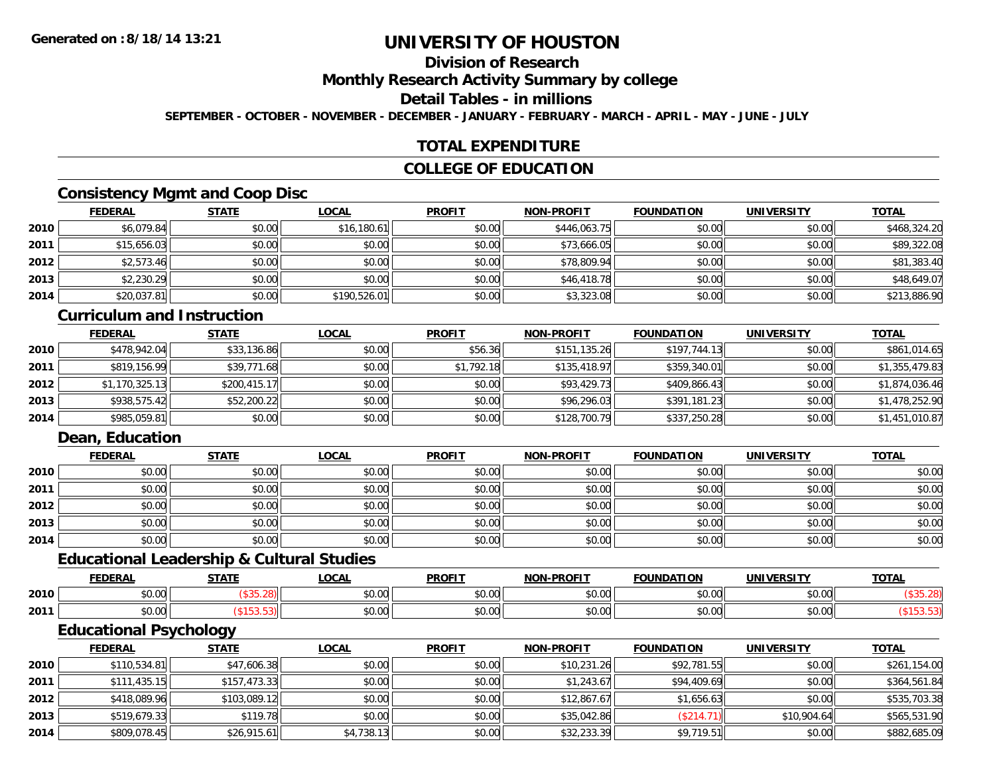### **Division of Research**

**Monthly Research Activity Summary by college**

#### **Detail Tables - in millions**

**SEPTEMBER - OCTOBER - NOVEMBER - DECEMBER - JANUARY - FEBRUARY - MARCH - APRIL - MAY - JUNE - JULY**

### **TOTAL EXPENDITURE**

### **COLLEGE OF EDUCATION**

### **Consistency Mgmt and Coop Disc**

|      | <u>FEDERAL</u> | <b>STATE</b> | <u>LOCAL</u> | <b>PROFIT</b> | <b>NON-PROFIT</b> | <b>FOUNDATION</b> | <b>UNIVERSITY</b> | <b>TOTAL</b> |
|------|----------------|--------------|--------------|---------------|-------------------|-------------------|-------------------|--------------|
| 2010 | \$6,079.84     | \$0.00       | \$16,180.61  | \$0.00        | \$446,063.75      | \$0.00            | \$0.00            | \$468,324.20 |
| 2011 | \$15,656.03    | \$0.00       | \$0.00       | \$0.00        | \$73,666.05       | \$0.00            | \$0.00            | \$89,322.08  |
| 2012 | \$2,573.46     | \$0.00       | \$0.00       | \$0.00        | \$78,809.94       | \$0.00            | \$0.00            | \$81,383.40  |
| 2013 | \$2,230.29     | \$0.00       | \$0.00       | \$0.00        | \$46,418.78       | \$0.00            | \$0.00            | \$48,649.07  |
| 2014 | \$20,037.81    | \$0.00       | \$190,526.01 | \$0.00        | \$3,323.08        | \$0.00            | \$0.00            | \$213,886.90 |

#### **Curriculum and Instruction**

|      | <b>FEDERAL</b> | <b>STATE</b> | <u>LOCAL</u> | <b>PROFIT</b> | <b>NON-PROFIT</b> | <b>FOUNDATION</b> | <b>UNIVERSITY</b> | <b>TOTAL</b>   |
|------|----------------|--------------|--------------|---------------|-------------------|-------------------|-------------------|----------------|
| 2010 | \$478,942.04   | \$33,136.86  | \$0.00       | \$56.36       | \$151,135.26      | \$197,744.13      | \$0.00            | \$861,014.65   |
| 2011 | \$819,156.99   | \$39,771.68  | \$0.00       | \$1,792.18    | \$135,418.97      | \$359,340.01      | \$0.00            | \$1,355,479.83 |
| 2012 | \$1,170,325.13 | \$200,415.17 | \$0.00       | \$0.00        | \$93,429.73       | \$409,866.43      | \$0.00            | \$1,874,036.46 |
| 2013 | \$938,575.42   | \$52,200.22  | \$0.00       | \$0.00        | \$96,296.03       | \$391,181.23      | \$0.00            | \$1,478,252.90 |
| 2014 | \$985,059.81   | \$0.00       | \$0.00       | \$0.00        | \$128,700.79      | \$337,250.28      | \$0.00            | \$1,451,010.87 |

### **Dean, Education**

|      | <b>FEDERAL</b> | <b>STATE</b> | <u>LOCAL</u> | <b>PROFIT</b> | <b>NON-PROFIT</b> | <b>FOUNDATION</b> | <b>UNIVERSITY</b> | <b>TOTAL</b> |
|------|----------------|--------------|--------------|---------------|-------------------|-------------------|-------------------|--------------|
| 2010 | \$0.00         | \$0.00       | \$0.00       | \$0.00        | \$0.00            | \$0.00            | \$0.00            | \$0.00       |
| 2011 | \$0.00         | \$0.00       | \$0.00       | \$0.00        | \$0.00            | \$0.00            | \$0.00            | \$0.00       |
| 2012 | \$0.00         | \$0.00       | \$0.00       | \$0.00        | \$0.00            | \$0.00            | \$0.00            | \$0.00       |
| 2013 | \$0.00         | \$0.00       | \$0.00       | \$0.00        | \$0.00            | \$0.00            | \$0.00            | \$0.00       |
| 2014 | \$0.00         | \$0.00       | \$0.00       | \$0.00        | \$0.00            | \$0.00            | \$0.00            | \$0.00       |

#### **Educational Leadership & Cultural Studies**

|      | <b>FEDERAL</b>  | <b>CTATE</b> | .OCAL                                                   | <b>PROFIT</b>          | <b>DDAFIT</b><br><b>NON</b> | <b>FOUNDATION</b> | UNIVERSITY    | <b>TOTAL</b> |
|------|-----------------|--------------|---------------------------------------------------------|------------------------|-----------------------------|-------------------|---------------|--------------|
| 2010 | ሐሴ ሰሰ<br>טט.טע  |              | $\mathfrak{e}\cap\mathfrak{g}\cap\mathfrak{g}$<br>pu.uu | 0000<br>JU.U           | ტი იი<br>vu.uu              | 0 <sub>n</sub>    | 0000          |              |
| 2011 | $\sim$<br>vv.vv |              | \$0.00                                                  | 0 <sub>n</sub><br>JU.U | 0000<br>vv.vv               | $\sim$ 00         | 0000<br>JU.UU |              |

<u> 1989 - Johann Stoff, deutscher Stoffen und der Stoffen und der Stoffen und der Stoffen und der Stoffen und de</u>

### **Educational Psychology**

|      | <b>FEDERAL</b> | <u>STATE</u> | <u>LOCAL</u> | <b>PROFIT</b> | <b>NON-PROFIT</b> | <b>FOUNDATION</b> | <b>UNIVERSITY</b> | <b>TOTAL</b> |
|------|----------------|--------------|--------------|---------------|-------------------|-------------------|-------------------|--------------|
| 2010 | \$110,534.81   | \$47,606.38  | \$0.00       | \$0.00        | \$10.231.26       | \$92,781.55       | \$0.00            | \$261,154.00 |
| 2011 | \$111,435.15   | \$157,473.33 | \$0.00       | \$0.00        | \$1,243.67        | \$94,409.69       | \$0.00            | \$364,561.84 |
| 2012 | \$418,089.96   | \$103,089.12 | \$0.00       | \$0.00        | \$12,867.67       | \$1,656.63        | \$0.00            | \$535,703.38 |
| 2013 | \$519,679.33   | \$119.78     | \$0.00       | \$0.00        | \$35,042.86       | (\$214.71)        | \$10,904.64       | \$565,531.90 |
| 2014 | \$809,078.45   | \$26,915.61  | \$4,738.13   | \$0.00        | \$32,233.39       | \$9,719.51        | \$0.00            | \$882,685.09 |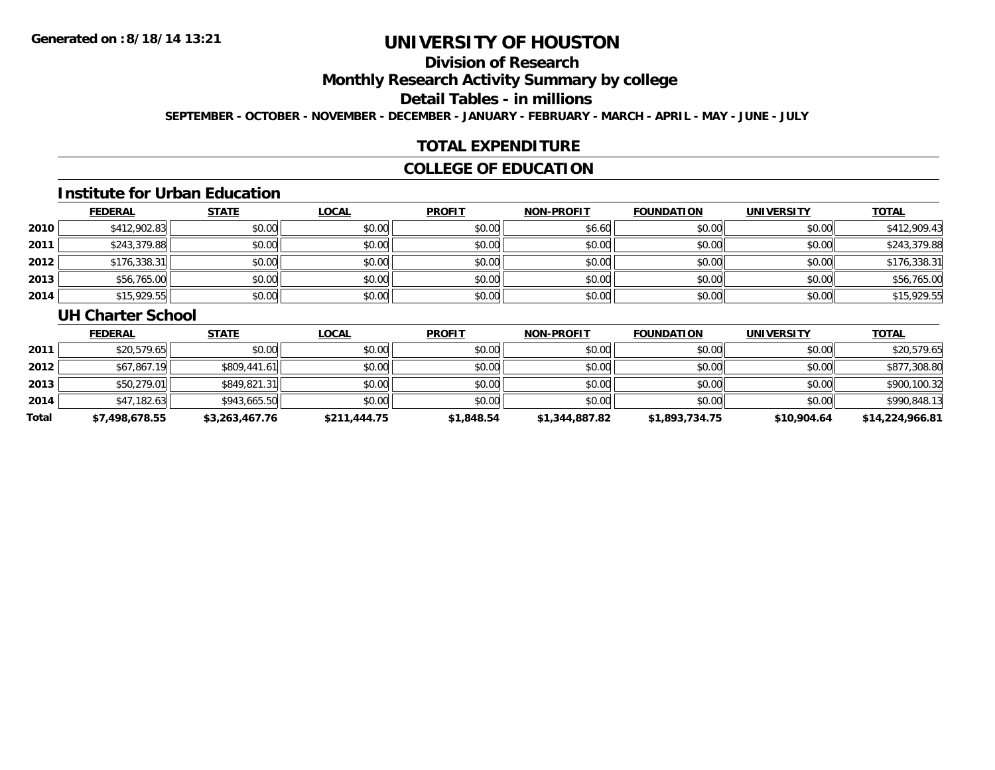# **Division of Research**

**Monthly Research Activity Summary by college**

**Detail Tables - in millions**

**SEPTEMBER - OCTOBER - NOVEMBER - DECEMBER - JANUARY - FEBRUARY - MARCH - APRIL - MAY - JUNE - JULY**

### **TOTAL EXPENDITURE**

#### **COLLEGE OF EDUCATION**

#### **Institute for Urban Education**

|      | <b>FEDERAL</b> | <b>STATE</b> | <u>LOCAL</u> | <b>PROFIT</b> | <b>NON-PROFIT</b> | <b>FOUNDATION</b> | <b>UNIVERSITY</b> | <b>TOTAL</b> |
|------|----------------|--------------|--------------|---------------|-------------------|-------------------|-------------------|--------------|
| 2010 | \$412,902.83   | \$0.00       | \$0.00       | \$0.00        | \$6.60            | \$0.00            | \$0.00            | \$412,909.43 |
| 2011 | \$243,379.88   | \$0.00       | \$0.00       | \$0.00        | \$0.00            | \$0.00            | \$0.00            | \$243,379.88 |
| 2012 | \$176,338.31   | \$0.00       | \$0.00       | \$0.00        | \$0.00            | \$0.00            | \$0.00            | \$176,338.31 |
| 2013 | \$56,765.00    | \$0.00       | \$0.00       | \$0.00        | \$0.00            | \$0.00            | \$0.00            | \$56,765.00  |
| 2014 | \$15,929.55    | \$0.00       | \$0.00       | \$0.00        | \$0.00            | \$0.00            | \$0.00            | \$15,929.55  |

#### **UH Charter School**

|       | <b>FEDERAL</b> | <b>STATE</b>   | <u>LOCAL</u> | <b>PROFIT</b> | <b>NON-PROFIT</b> | <b>FOUNDATION</b> | <b>UNIVERSITY</b> | <b>TOTAL</b>    |
|-------|----------------|----------------|--------------|---------------|-------------------|-------------------|-------------------|-----------------|
| 2011  | \$20,579.65    | \$0.00         | \$0.00       | \$0.00        | \$0.00            | \$0.00            | \$0.00            | \$20,579.65     |
| 2012  | \$67,867.19    | \$809,441.61   | \$0.00       | \$0.00        | \$0.00            | \$0.00            | \$0.00            | \$877,308.80    |
| 2013  | \$50,279.01    | \$849,821.31   | \$0.00       | \$0.00        | \$0.00            | \$0.00            | \$0.00            | \$900,100.32    |
| 2014  | \$47,182.63    | \$943,665.50   | \$0.00       | \$0.00        | \$0.00            | \$0.00            | \$0.00            | \$990,848.13    |
| Total | \$7,498,678.55 | \$3,263,467.76 | \$211,444.75 | \$1,848.54    | \$1,344,887.82    | \$1,893,734.75    | \$10,904.64       | \$14,224,966.81 |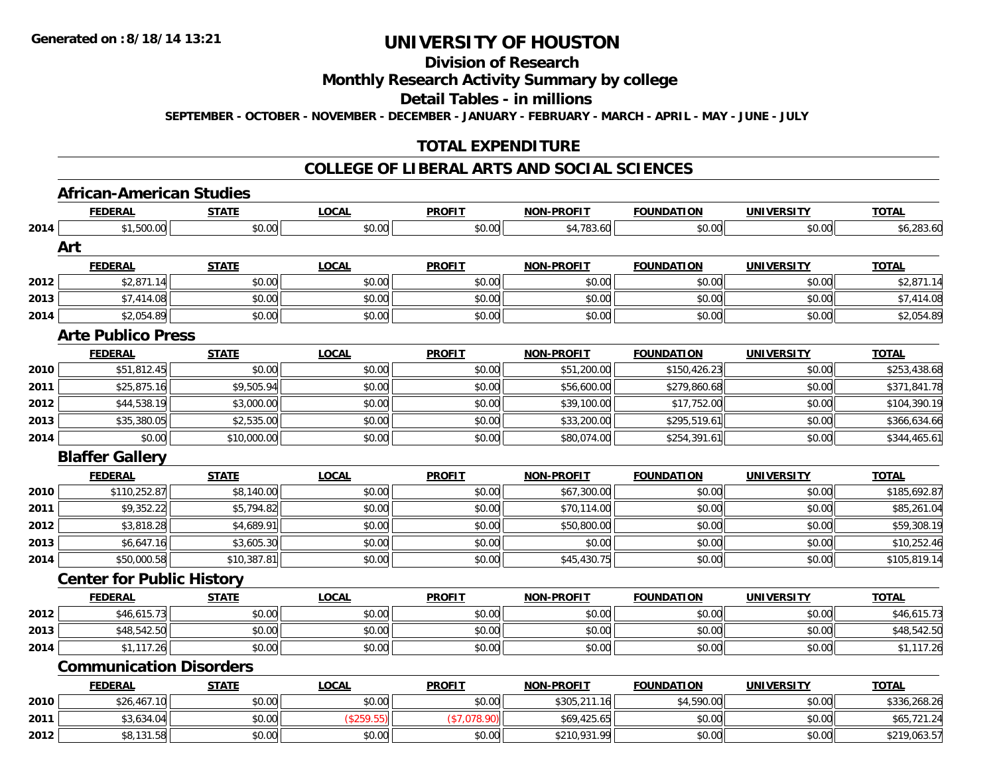# **Division of Research**

#### **Monthly Research Activity Summary by college**

#### **Detail Tables - in millions**

**SEPTEMBER - OCTOBER - NOVEMBER - DECEMBER - JANUARY - FEBRUARY - MARCH - APRIL - MAY - JUNE - JULY**

#### **TOTAL EXPENDITURE**

#### **COLLEGE OF LIBERAL ARTS AND SOCIAL SCIENCES**

### **African-American Studies**

|      | <b>FEDERAL</b>                   | <b>STATE</b> | <b>LOCAL</b> | <b>PROFIT</b> | <b>NON-PROFIT</b> | <b>FOUNDATION</b> | <b>UNIVERSITY</b> | <b>TOTAL</b> |
|------|----------------------------------|--------------|--------------|---------------|-------------------|-------------------|-------------------|--------------|
| 2014 | \$1,500.00                       | \$0.00       | \$0.00       | \$0.00        | \$4,783.60        | \$0.00            | \$0.00            | \$6,283.60   |
|      | Art                              |              |              |               |                   |                   |                   |              |
|      | <b>FEDERAL</b>                   | <b>STATE</b> | <b>LOCAL</b> | <b>PROFIT</b> | <b>NON-PROFIT</b> | <b>FOUNDATION</b> | <b>UNIVERSITY</b> | <b>TOTAL</b> |
| 2012 | \$2,871.14                       | \$0.00       | \$0.00       | \$0.00        | \$0.00            | \$0.00            | \$0.00            | \$2,871.14   |
| 2013 | \$7,414.08                       | \$0.00       | \$0.00       | \$0.00        | \$0.00            | \$0.00            | \$0.00            | \$7,414.08   |
| 2014 | \$2,054.89                       | \$0.00       | \$0.00       | \$0.00        | \$0.00            | \$0.00            | \$0.00            | \$2,054.89   |
|      | <b>Arte Publico Press</b>        |              |              |               |                   |                   |                   |              |
|      | <b>FEDERAL</b>                   | <b>STATE</b> | <b>LOCAL</b> | <b>PROFIT</b> | <b>NON-PROFIT</b> | <b>FOUNDATION</b> | <b>UNIVERSITY</b> | <b>TOTAL</b> |
| 2010 | \$51,812.45                      | \$0.00       | \$0.00       | \$0.00        | \$51,200.00       | \$150,426.23      | \$0.00            | \$253,438.68 |
| 2011 | \$25,875.16                      | \$9,505.94   | \$0.00       | \$0.00        | \$56,600.00       | \$279,860.68      | \$0.00            | \$371,841.78 |
| 2012 | \$44,538.19                      | \$3,000.00   | \$0.00       | \$0.00        | \$39,100.00       | \$17,752.00       | \$0.00            | \$104,390.19 |
| 2013 | \$35,380.05                      | \$2,535.00   | \$0.00       | \$0.00        | \$33,200.00       | \$295,519.61      | \$0.00            | \$366,634.66 |
| 2014 | \$0.00                           | \$10,000.00  | \$0.00       | \$0.00        | \$80,074.00       | \$254,391.61      | \$0.00            | \$344,465.61 |
|      | <b>Blaffer Gallery</b>           |              |              |               |                   |                   |                   |              |
|      | <b>FEDERAL</b>                   | <b>STATE</b> | <b>LOCAL</b> | <b>PROFIT</b> | <b>NON-PROFIT</b> | <b>FOUNDATION</b> | <b>UNIVERSITY</b> | <b>TOTAL</b> |
| 2010 | \$110,252.87                     | \$8,140.00   | \$0.00       | \$0.00        | \$67,300.00       | \$0.00            | \$0.00            | \$185,692.87 |
| 2011 | \$9,352.22                       | \$5,794.82   | \$0.00       | \$0.00        | \$70,114.00       | \$0.00            | \$0.00            | \$85,261.04  |
| 2012 | \$3,818.28                       | \$4,689.91   | \$0.00       | \$0.00        | \$50,800.00       | \$0.00            | \$0.00            | \$59,308.19  |
| 2013 | \$6,647.16                       | \$3,605.30   | \$0.00       | \$0.00        | \$0.00            | \$0.00            | \$0.00            | \$10,252.46  |
| 2014 | \$50,000.58                      | \$10,387.81  | \$0.00       | \$0.00        | \$45,430.75       | \$0.00            | \$0.00            | \$105,819.14 |
|      | <b>Center for Public History</b> |              |              |               |                   |                   |                   |              |
|      | <b>FEDERAL</b>                   | <b>STATE</b> | <b>LOCAL</b> | <b>PROFIT</b> | <b>NON-PROFIT</b> | <b>FOUNDATION</b> | <b>UNIVERSITY</b> | <b>TOTAL</b> |
| 2012 | \$46,615.73                      | \$0.00       | \$0.00       | \$0.00        | \$0.00            | \$0.00            | \$0.00            | \$46,615.73  |
| 2013 | \$48,542.50                      | \$0.00       | \$0.00       | \$0.00        | \$0.00            | \$0.00            | \$0.00            | \$48,542.50  |
| 2014 | \$1,117.26                       | \$0.00       | \$0.00       | \$0.00        | \$0.00            | \$0.00            | \$0.00            | \$1,117.26   |
|      | <b>Communication Disorders</b>   |              |              |               |                   |                   |                   |              |
|      | <b>FEDERAL</b>                   | <b>STATE</b> | <b>LOCAL</b> | <b>PROFIT</b> | <b>NON-PROFIT</b> | <b>FOUNDATION</b> | <b>UNIVERSITY</b> | <b>TOTAL</b> |
| 2010 | \$26,467.10                      | \$0.00       | \$0.00       | \$0.00        | \$305,211.16      | \$4,590.00        | \$0.00            | \$336,268.26 |
| 2011 | \$3,634.04                       | \$0.00       | (\$259.55)   | (\$7,078.90)  | \$69,425.65       | \$0.00            | \$0.00            | \$65,721.24  |
| 2012 | \$8,131.58                       | \$0.00       | \$0.00       | \$0.00        | \$210,931.99      | \$0.00            | \$0.00            | \$219,063.57 |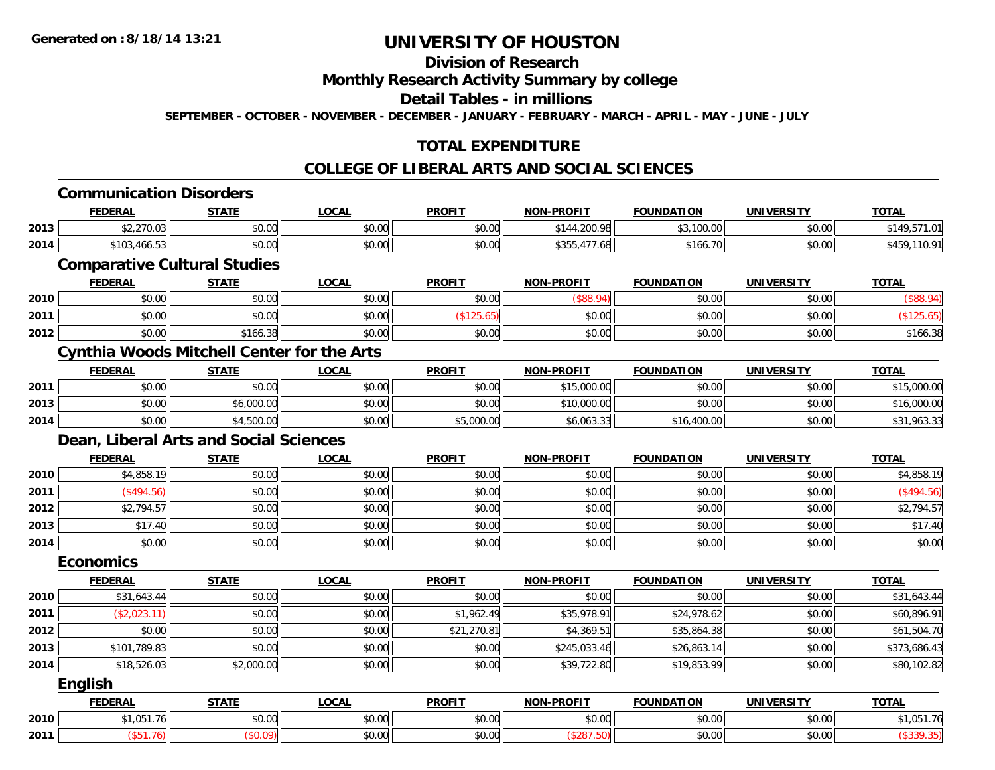# **Division of Research**

**Monthly Research Activity Summary by college**

**Detail Tables - in millions**

**SEPTEMBER - OCTOBER - NOVEMBER - DECEMBER - JANUARY - FEBRUARY - MARCH - APRIL - MAY - JUNE - JULY**

## **TOTAL EXPENDITURE**

#### **COLLEGE OF LIBERAL ARTS AND SOCIAL SCIENCES**

|      | <b>Communication Disorders</b>                    |              |              |               |                   |                   |                   |              |
|------|---------------------------------------------------|--------------|--------------|---------------|-------------------|-------------------|-------------------|--------------|
|      | <b>FEDERAL</b>                                    | <b>STATE</b> | <b>LOCAL</b> | <b>PROFIT</b> | <b>NON-PROFIT</b> | <b>FOUNDATION</b> | <b>UNIVERSITY</b> | <b>TOTAL</b> |
| 2013 | \$2,270.03                                        | \$0.00       | \$0.00       | \$0.00        | \$144,200.98      | \$3,100.00        | \$0.00            | \$149,571.01 |
| 2014 | \$103,466.53                                      | \$0.00       | \$0.00       | \$0.00        | \$355,477.68      | \$166.70          | \$0.00            | \$459,110.91 |
|      | <b>Comparative Cultural Studies</b>               |              |              |               |                   |                   |                   |              |
|      | <b>FEDERAL</b>                                    | <b>STATE</b> | <b>LOCAL</b> | <b>PROFIT</b> | <b>NON-PROFIT</b> | <b>FOUNDATION</b> | <b>UNIVERSITY</b> | <b>TOTAL</b> |
| 2010 | \$0.00                                            | \$0.00       | \$0.00       | \$0.00        | (\$88.94)         | \$0.00            | \$0.00            | (\$88.94)    |
| 2011 | \$0.00                                            | \$0.00       | \$0.00       | (\$125.65)    | \$0.00            | \$0.00            | \$0.00            | (\$125.65)   |
| 2012 | \$0.00                                            | \$166.38     | \$0.00       | \$0.00        | \$0.00            | \$0.00            | \$0.00            | \$166.38     |
|      | <b>Cynthia Woods Mitchell Center for the Arts</b> |              |              |               |                   |                   |                   |              |
|      | <b>FEDERAL</b>                                    | <b>STATE</b> | <b>LOCAL</b> | <b>PROFIT</b> | <b>NON-PROFIT</b> | <b>FOUNDATION</b> | <b>UNIVERSITY</b> | <b>TOTAL</b> |
| 2011 | \$0.00                                            | \$0.00       | \$0.00       | \$0.00        | \$15,000.00       | \$0.00            | \$0.00            | \$15,000.00  |
| 2013 | \$0.00                                            | \$6,000.00   | \$0.00       | \$0.00        | \$10,000.00       | \$0.00            | \$0.00            | \$16,000.00  |
| 2014 | \$0.00                                            | \$4,500.00   | \$0.00       | \$5,000.00    | \$6,063.33        | \$16,400.00       | \$0.00            | \$31,963.33  |
|      | Dean, Liberal Arts and Social Sciences            |              |              |               |                   |                   |                   |              |
|      | <b>FEDERAL</b>                                    | <b>STATE</b> | <b>LOCAL</b> | <b>PROFIT</b> | <b>NON-PROFIT</b> | <b>FOUNDATION</b> | <b>UNIVERSITY</b> | <b>TOTAL</b> |
| 2010 | \$4,858.19                                        | \$0.00       | \$0.00       | \$0.00        | \$0.00            | \$0.00            | \$0.00            | \$4,858.19   |
| 2011 | (\$494.56)                                        | \$0.00       | \$0.00       | \$0.00        | \$0.00            | \$0.00            | \$0.00            | (\$494.56)   |
| 2012 | \$2,794.57                                        | \$0.00       | \$0.00       | \$0.00        | \$0.00            | \$0.00            | \$0.00            | \$2,794.57   |
| 2013 | \$17.40                                           | \$0.00       | \$0.00       | \$0.00        | \$0.00            | \$0.00            | \$0.00            | \$17.40      |
| 2014 | \$0.00                                            | \$0.00       | \$0.00       | \$0.00        | \$0.00            | \$0.00            | \$0.00            | \$0.00       |
|      | <b>Economics</b>                                  |              |              |               |                   |                   |                   |              |
|      | <b>FEDERAL</b>                                    | <b>STATE</b> | <b>LOCAL</b> | <b>PROFIT</b> | <b>NON-PROFIT</b> | <b>FOUNDATION</b> | <b>UNIVERSITY</b> | <b>TOTAL</b> |
| 2010 | \$31,643.44                                       | \$0.00       | \$0.00       | \$0.00        | \$0.00            | \$0.00            | \$0.00            | \$31,643.44  |
| 2011 | (\$2,023.11)                                      | \$0.00       | \$0.00       | \$1,962.49    | \$35,978.91       | \$24,978.62       | \$0.00            | \$60,896.91  |
| 2012 | \$0.00                                            | \$0.00       | \$0.00       | \$21,270.81   | \$4,369.51        | \$35,864.38       | \$0.00            | \$61,504.70  |
| 2013 | \$101,789.83                                      | \$0.00       | \$0.00       | \$0.00        | \$245,033.46      | \$26,863.14       | \$0.00            | \$373,686.43 |
| 2014 | \$18,526.03                                       | \$2,000.00   | \$0.00       | \$0.00        | \$39,722.80       | \$19,853.99       | \$0.00            | \$80,102.82  |
|      | <b>English</b>                                    |              |              |               |                   |                   |                   |              |
|      | <b>FEDERAL</b>                                    | <b>STATE</b> | <b>LOCAL</b> | <b>PROFIT</b> | <b>NON-PROFIT</b> | <b>FOUNDATION</b> | <b>UNIVERSITY</b> | <b>TOTAL</b> |
| 2010 | \$1,051.76                                        | \$0.00       | \$0.00       | \$0.00        | \$0.00            | \$0.00            | \$0.00            | \$1,051.76   |
| 2011 | (\$51.76)                                         | (\$0.09)     | \$0.00       | \$0.00        | (\$287.50)        | \$0.00            | \$0.00            | (\$339.35)   |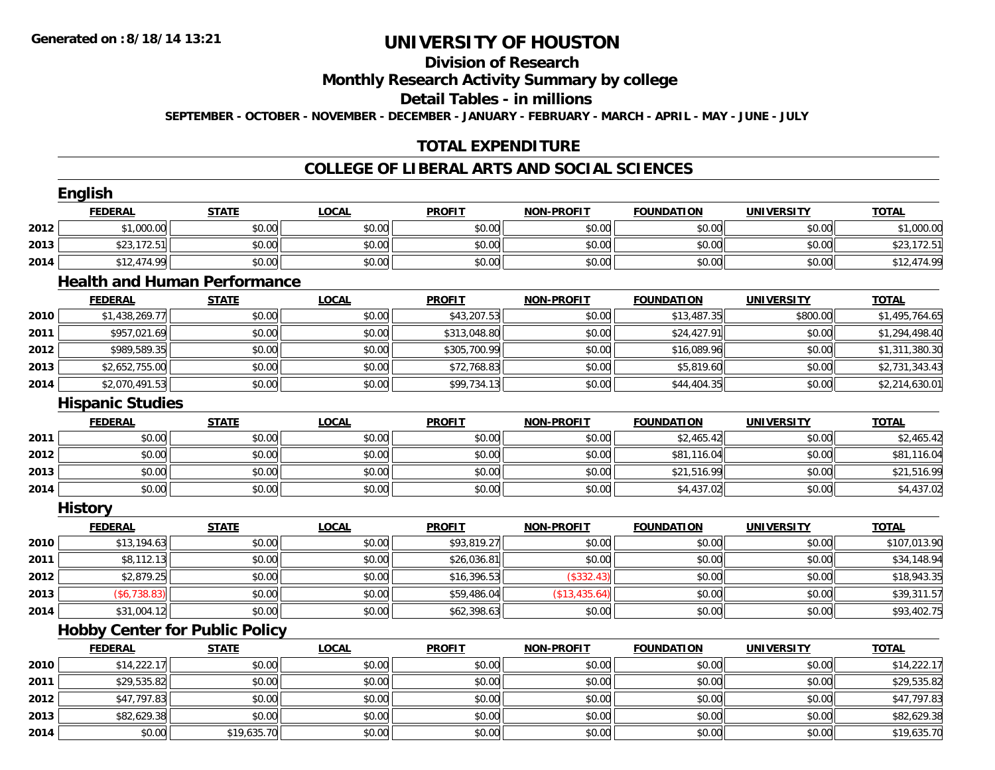# **Division of Research**

**Monthly Research Activity Summary by college**

**Detail Tables - in millions**

**SEPTEMBER - OCTOBER - NOVEMBER - DECEMBER - JANUARY - FEBRUARY - MARCH - APRIL - MAY - JUNE - JULY**

## **TOTAL EXPENDITURE**

#### **COLLEGE OF LIBERAL ARTS AND SOCIAL SCIENCES**

|      | <b>English</b><br><b>FEDERAL</b>      | <b>STATE</b> | <b>LOCAL</b> | <b>PROFIT</b> | <b>NON-PROFIT</b> | <b>FOUNDATION</b> | <b>UNIVERSITY</b> | <b>TOTAL</b>   |
|------|---------------------------------------|--------------|--------------|---------------|-------------------|-------------------|-------------------|----------------|
| 2012 | \$1,000.00                            | \$0.00       | \$0.00       | \$0.00        | \$0.00            | \$0.00            | \$0.00            | \$1,000.00     |
| 2013 | \$23,172.51                           | \$0.00       | \$0.00       | \$0.00        | \$0.00            | \$0.00            | \$0.00            | \$23,172.51    |
| 2014 | \$12,474.99                           | \$0.00       | \$0.00       | \$0.00        | \$0.00            | \$0.00            | \$0.00            | \$12,474.99    |
|      | <b>Health and Human Performance</b>   |              |              |               |                   |                   |                   |                |
|      | <b>FEDERAL</b>                        | <b>STATE</b> | <b>LOCAL</b> | <b>PROFIT</b> | <b>NON-PROFIT</b> | <b>FOUNDATION</b> | <b>UNIVERSITY</b> | <b>TOTAL</b>   |
| 2010 | \$1,438,269.77                        | \$0.00       | \$0.00       | \$43,207.53   | \$0.00            | \$13,487.35       | \$800.00          | \$1,495,764.65 |
| 2011 | \$957,021.69                          | \$0.00       | \$0.00       | \$313,048.80  | \$0.00            | \$24,427.91       | \$0.00            | \$1,294,498.40 |
| 2012 | \$989,589.35                          | \$0.00       | \$0.00       | \$305,700.99  | \$0.00            | \$16,089.96       | \$0.00            | \$1,311,380.30 |
| 2013 | \$2,652,755.00                        | \$0.00       | \$0.00       | \$72,768.83   | \$0.00            | \$5,819.60        | \$0.00            | \$2,731,343.43 |
| 2014 | \$2,070,491.53                        | \$0.00       | \$0.00       | \$99,734.13   | \$0.00            | \$44,404.35       | \$0.00            | \$2,214,630.01 |
|      | <b>Hispanic Studies</b>               |              |              |               |                   |                   |                   |                |
|      | <b>FEDERAL</b>                        | <b>STATE</b> | <b>LOCAL</b> | <b>PROFIT</b> | <b>NON-PROFIT</b> | <b>FOUNDATION</b> | <b>UNIVERSITY</b> | <b>TOTAL</b>   |
| 2011 | \$0.00                                | \$0.00       | \$0.00       | \$0.00        | \$0.00            | \$2,465.42        | \$0.00            | \$2,465.42     |
| 2012 | \$0.00                                | \$0.00       | \$0.00       | \$0.00        | \$0.00            | \$81,116.04       | \$0.00            | \$81,116.04    |
| 2013 | \$0.00                                | \$0.00       | \$0.00       | \$0.00        | \$0.00            | \$21,516.99       | \$0.00            | \$21,516.99    |
| 2014 | \$0.00                                | \$0.00       | \$0.00       | \$0.00        | \$0.00            | \$4,437.02        | \$0.00            | \$4,437.02     |
|      | <b>History</b>                        |              |              |               |                   |                   |                   |                |
|      | <b>FEDERAL</b>                        | <b>STATE</b> | <b>LOCAL</b> | <b>PROFIT</b> | <b>NON-PROFIT</b> | <b>FOUNDATION</b> | <b>UNIVERSITY</b> | <b>TOTAL</b>   |
| 2010 | \$13,194.63                           | \$0.00       | \$0.00       | \$93,819.27   | \$0.00            | \$0.00            | \$0.00            | \$107,013.90   |
| 2011 | \$8,112.13                            | \$0.00       | \$0.00       | \$26,036.81   | \$0.00            | \$0.00            | \$0.00            | \$34,148.94    |
| 2012 | \$2,879.25                            | \$0.00       | \$0.00       | \$16,396.53   | (\$332.43)        | \$0.00            | \$0.00            | \$18,943.35    |
| 2013 | (\$6,738.83)                          | \$0.00       | \$0.00       | \$59,486.04   | (\$13,435.64)     | \$0.00            | \$0.00            | \$39,311.57    |
| 2014 | \$31,004.12                           | \$0.00       | \$0.00       | \$62,398.63   | \$0.00            | \$0.00            | \$0.00            | \$93,402.75    |
|      | <b>Hobby Center for Public Policy</b> |              |              |               |                   |                   |                   |                |
|      | <b>FEDERAL</b>                        | <b>STATE</b> | <b>LOCAL</b> | <b>PROFIT</b> | <b>NON-PROFIT</b> | <b>FOUNDATION</b> | <b>UNIVERSITY</b> | <b>TOTAL</b>   |
| 2010 | \$14,222.17                           | \$0.00       | \$0.00       | \$0.00        | \$0.00            | \$0.00            | \$0.00            | \$14,222.17    |
| 2011 | \$29,535.82                           | \$0.00       | \$0.00       | \$0.00        | \$0.00            | \$0.00            | \$0.00            | \$29,535.82    |
| 2012 | \$47,797.83                           | \$0.00       | \$0.00       | \$0.00        | \$0.00            | \$0.00            | \$0.00            | \$47,797.83    |
| 2013 | \$82,629.38                           | \$0.00       | \$0.00       | \$0.00        | \$0.00            | \$0.00            | \$0.00            | \$82,629.38    |
| 2014 | \$0.00                                | \$19,635.70  | \$0.00       | \$0.00        | \$0.00            | \$0.00            | \$0.00            | \$19,635.70    |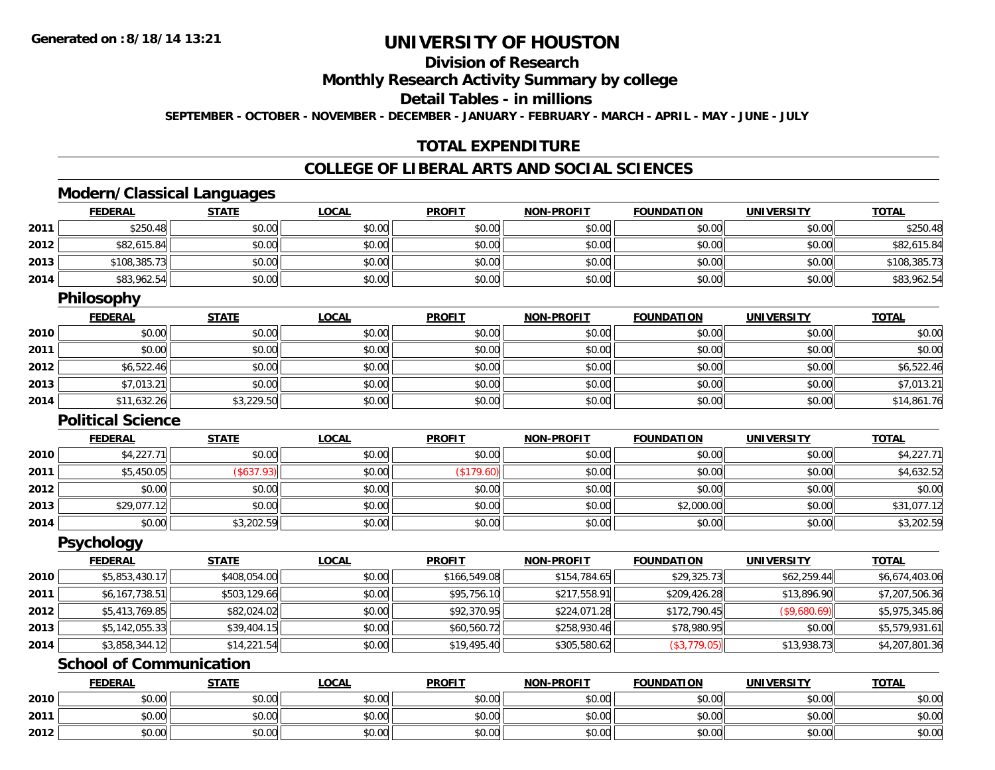**2012**

# **UNIVERSITY OF HOUSTON**

# **Division of Research**

**Monthly Research Activity Summary by college**

**Detail Tables - in millions**

**SEPTEMBER - OCTOBER - NOVEMBER - DECEMBER - JANUARY - FEBRUARY - MARCH - APRIL - MAY - JUNE - JULY**

## **TOTAL EXPENDITURE**

#### **COLLEGE OF LIBERAL ARTS AND SOCIAL SCIENCES**

## **Modern/Classical Languages**

|      | <b>FEDERAL</b>                 | <b>STATE</b> | <b>LOCAL</b> | <b>PROFIT</b> | <b>NON-PROFIT</b> | <b>FOUNDATION</b> | <b>UNIVERSITY</b> | <b>TOTAL</b>   |
|------|--------------------------------|--------------|--------------|---------------|-------------------|-------------------|-------------------|----------------|
| 2011 | \$250.48                       | \$0.00       | \$0.00       | \$0.00        | \$0.00            | \$0.00            | \$0.00            | \$250.48       |
| 2012 | \$82,615.84                    | \$0.00       | \$0.00       | \$0.00        | \$0.00            | \$0.00            | \$0.00            | \$82,615.84    |
| 2013 | \$108,385.73                   | \$0.00       | \$0.00       | \$0.00        | \$0.00            | \$0.00            | \$0.00            | \$108,385.73   |
| 2014 | \$83,962.54                    | \$0.00       | \$0.00       | \$0.00        | \$0.00            | \$0.00            | \$0.00            | \$83,962.54    |
|      | <b>Philosophy</b>              |              |              |               |                   |                   |                   |                |
|      | <b>FEDERAL</b>                 | <b>STATE</b> | <b>LOCAL</b> | <b>PROFIT</b> | <b>NON-PROFIT</b> | <b>FOUNDATION</b> | <b>UNIVERSITY</b> | <b>TOTAL</b>   |
| 2010 | \$0.00                         | \$0.00       | \$0.00       | \$0.00        | \$0.00            | \$0.00            | \$0.00            | \$0.00         |
| 2011 | \$0.00                         | \$0.00       | \$0.00       | \$0.00        | \$0.00            | \$0.00            | \$0.00            | \$0.00         |
| 2012 | \$6,522.46                     | \$0.00       | \$0.00       | \$0.00        | \$0.00            | \$0.00            | \$0.00            | \$6,522.46     |
| 2013 | \$7,013.21                     | \$0.00       | \$0.00       | \$0.00        | \$0.00            | \$0.00            | \$0.00            | \$7,013.21     |
| 2014 | \$11,632.26                    | \$3,229.50   | \$0.00       | \$0.00        | \$0.00            | \$0.00            | \$0.00            | \$14,861.76    |
|      | <b>Political Science</b>       |              |              |               |                   |                   |                   |                |
|      | <b>FEDERAL</b>                 | <b>STATE</b> | <b>LOCAL</b> | <b>PROFIT</b> | <b>NON-PROFIT</b> | <b>FOUNDATION</b> | <b>UNIVERSITY</b> | <b>TOTAL</b>   |
| 2010 | \$4,227.71                     | \$0.00       | \$0.00       | \$0.00        | \$0.00            | \$0.00            | \$0.00            | \$4,227.71     |
| 2011 | \$5,450.05                     | (\$637.93)   | \$0.00       | (\$179.60)    | \$0.00            | \$0.00            | \$0.00            | \$4,632.52     |
| 2012 | \$0.00                         | \$0.00       | \$0.00       | \$0.00        | \$0.00            | \$0.00            | \$0.00            | \$0.00         |
| 2013 | \$29,077.12                    | \$0.00       | \$0.00       | \$0.00        | \$0.00            | \$2,000.00        | \$0.00            | \$31,077.12    |
| 2014 | \$0.00                         | \$3,202.59   | \$0.00       | \$0.00        | \$0.00            | \$0.00            | \$0.00            | \$3,202.59     |
|      | <b>Psychology</b>              |              |              |               |                   |                   |                   |                |
|      | <b>FEDERAL</b>                 | <b>STATE</b> | <b>LOCAL</b> | <b>PROFIT</b> | <b>NON-PROFIT</b> | <b>FOUNDATION</b> | <b>UNIVERSITY</b> | <b>TOTAL</b>   |
| 2010 | \$5,853,430.17                 | \$408,054.00 | \$0.00       | \$166,549.08  | \$154,784.65      | \$29,325.73       | \$62,259.44       | \$6,674,403.06 |
| 2011 | \$6,167,738.51                 | \$503,129.66 | \$0.00       | \$95,756.10   | \$217,558.91      | \$209,426.28      | \$13,896.90       | \$7,207,506.36 |
| 2012 | \$5,413,769.85                 | \$82,024.02  | \$0.00       | \$92,370.95   | \$224,071.28      | \$172,790.45      | (\$9,680.69)      | \$5,975,345.86 |
| 2013 | \$5,142,055.33                 | \$39,404.15  | \$0.00       | \$60,560.72   | \$258,930.46      | \$78,980.95       | \$0.00            | \$5,579,931.61 |
| 2014 | \$3,858,344.12                 | \$14,221.54  | \$0.00       | \$19,495.40   | \$305,580.62      | (\$3,779.05)      | \$13,938.73       | \$4,207,801.36 |
|      | <b>School of Communication</b> |              |              |               |                   |                   |                   |                |
|      | <b>FEDERAL</b>                 | <b>STATE</b> | <b>LOCAL</b> | <b>PROFIT</b> | <b>NON-PROFIT</b> | <b>FOUNDATION</b> | <b>UNIVERSITY</b> | <b>TOTAL</b>   |
| 2010 | \$0.00                         | \$0.00       | \$0.00       | \$0.00        | \$0.00            | \$0.00            | \$0.00            | \$0.00         |
| 2011 | \$0.00                         | \$0.00       | \$0.00       | \$0.00        | \$0.00            | \$0.00            | \$0.00            | \$0.00         |

2 | \$0.00 \$0.00 \$0.00 \$0.00 \$0.00 \$0.00 \$0.00 \$0.00 \$0.00 \$0.00 \$0.00 \$0.00 \$0.00 \$0.00 \$0.00 \$0.00 \$0.00 \$0.0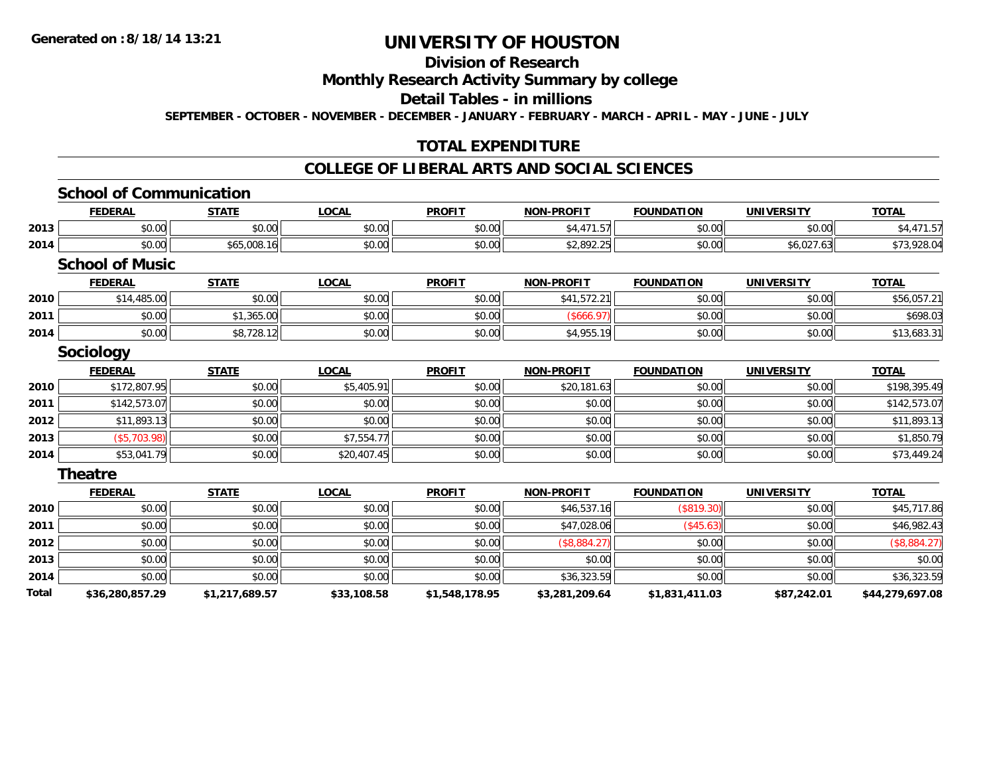# **Division of Research**

**Monthly Research Activity Summary by college**

**Detail Tables - in millions**

**SEPTEMBER - OCTOBER - NOVEMBER - DECEMBER - JANUARY - FEBRUARY - MARCH - APRIL - MAY - JUNE - JULY**

## **TOTAL EXPENDITURE**

### **COLLEGE OF LIBERAL ARTS AND SOCIAL SCIENCES**

# **School of Communication**

|              | <b>FEDERAL</b>         | <b>STATE</b>   | <b>LOCAL</b> | <b>PROFIT</b>  | <b>NON-PROFIT</b> | <b>FOUNDATION</b> | <u>UNIVERSITY</u> | <u>TOTAL</u>    |
|--------------|------------------------|----------------|--------------|----------------|-------------------|-------------------|-------------------|-----------------|
| 2013         | \$0.00                 | \$0.00         | \$0.00       | \$0.00         | \$4,471.57        | \$0.00            | \$0.00            | \$4,471.57      |
| 2014         | \$0.00                 | \$65,008.16    | \$0.00       | \$0.00         | \$2,892.25        | \$0.00            | \$6,027.63        | \$73,928.04     |
|              | <b>School of Music</b> |                |              |                |                   |                   |                   |                 |
|              | <b>FEDERAL</b>         | <b>STATE</b>   | <b>LOCAL</b> | <b>PROFIT</b>  | <b>NON-PROFIT</b> | <b>FOUNDATION</b> | <b>UNIVERSITY</b> | <b>TOTAL</b>    |
| 2010         | \$14,485.00            | \$0.00         | \$0.00       | \$0.00         | \$41,572.21       | \$0.00            | \$0.00            | \$56,057.21     |
| 2011         | \$0.00                 | \$1,365.00     | \$0.00       | \$0.00         | (\$666.97)        | \$0.00            | \$0.00            | \$698.03        |
| 2014         | \$0.00                 | \$8,728.12     | \$0.00       | \$0.00         | \$4,955.19        | \$0.00            | \$0.00            | \$13,683.31     |
|              | <b>Sociology</b>       |                |              |                |                   |                   |                   |                 |
|              | <b>FEDERAL</b>         | <b>STATE</b>   | <b>LOCAL</b> | <b>PROFIT</b>  | <b>NON-PROFIT</b> | <b>FOUNDATION</b> | <b>UNIVERSITY</b> | <b>TOTAL</b>    |
| 2010         | \$172,807.95           | \$0.00         | \$5,405.91   | \$0.00         | \$20,181.63       | \$0.00            | \$0.00            | \$198,395.49    |
| 2011         | \$142,573.07           | \$0.00         | \$0.00       | \$0.00         | \$0.00            | \$0.00            | \$0.00            | \$142,573.07    |
| 2012         | \$11,893.13            | \$0.00         | \$0.00       | \$0.00         | \$0.00            | \$0.00            | \$0.00            | \$11,893.13     |
| 2013         | (\$5,703.98)           | \$0.00         | \$7,554.77   | \$0.00         | \$0.00            | \$0.00            | \$0.00            | \$1,850.79      |
| 2014         | \$53,041.79            | \$0.00         | \$20,407.45  | \$0.00         | \$0.00            | \$0.00            | \$0.00            | \$73,449.24     |
|              | Theatre                |                |              |                |                   |                   |                   |                 |
|              | <b>FEDERAL</b>         | <b>STATE</b>   | <b>LOCAL</b> | <b>PROFIT</b>  | <b>NON-PROFIT</b> | <b>FOUNDATION</b> | <b>UNIVERSITY</b> | <b>TOTAL</b>    |
| 2010         | \$0.00                 | \$0.00         | \$0.00       | \$0.00         | \$46,537.16       | (\$819.30)        | \$0.00            | \$45,717.86     |
| 2011         | \$0.00                 | \$0.00         | \$0.00       | \$0.00         | \$47,028.06       | (\$45.63)         | \$0.00            | \$46,982.43     |
| 2012         | \$0.00                 | \$0.00         | \$0.00       | \$0.00         | (\$8,884.27)      | \$0.00            | \$0.00            | (\$8,884.27)    |
| 2013         | \$0.00                 | \$0.00         | \$0.00       | \$0.00         | \$0.00            | \$0.00            | \$0.00            | \$0.00          |
| 2014         | \$0.00                 | \$0.00         | \$0.00       | \$0.00         | \$36,323.59       | \$0.00            | \$0.00            | \$36,323.59     |
| <b>Total</b> | \$36,280,857.29        | \$1,217,689.57 | \$33,108.58  | \$1,548,178.95 | \$3,281,209.64    | \$1,831,411.03    | \$87,242.01       | \$44,279,697.08 |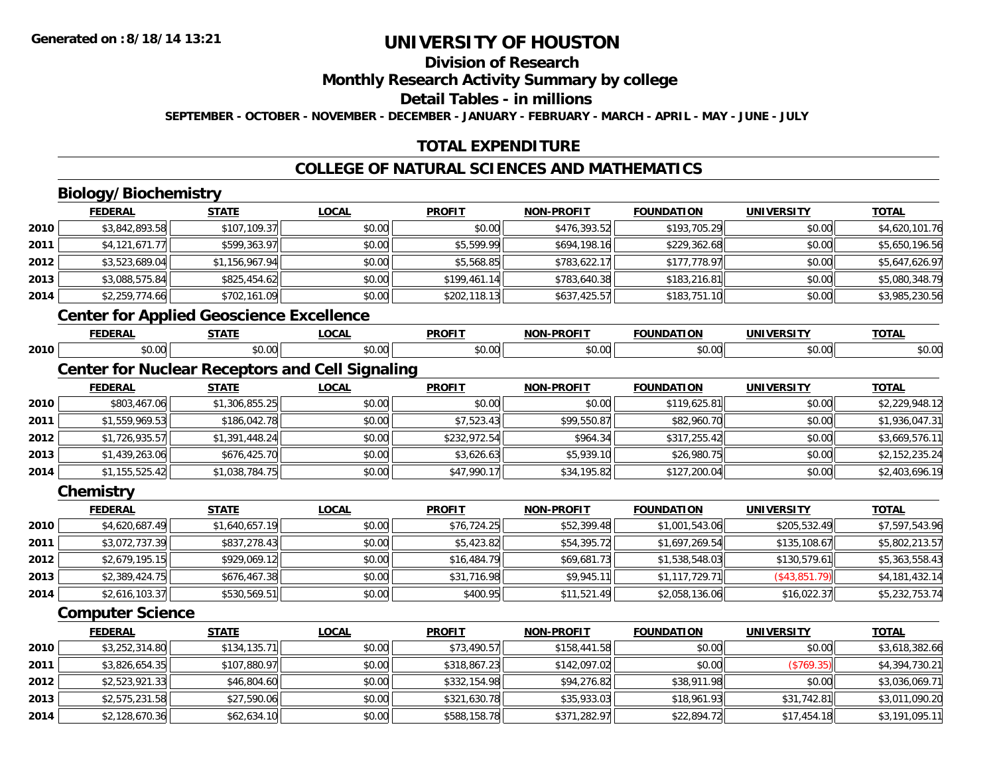## **Division of Research**

**Monthly Research Activity Summary by college**

**Detail Tables - in millions**

**SEPTEMBER - OCTOBER - NOVEMBER - DECEMBER - JANUARY - FEBRUARY - MARCH - APRIL - MAY - JUNE - JULY**

## **TOTAL EXPENDITURE**

## **COLLEGE OF NATURAL SCIENCES AND MATHEMATICS**

# **Biology/Biochemistry**

**2013**

**2014**

|      | <b>FEDERAL</b>          | <b>STATE</b>                                    | <b>LOCAL</b>                                           | <b>PROFIT</b> | <b>NON-PROFIT</b> | <b>FOUNDATION</b> | <b>UNIVERSITY</b> | <b>TOTAL</b>   |
|------|-------------------------|-------------------------------------------------|--------------------------------------------------------|---------------|-------------------|-------------------|-------------------|----------------|
| 2010 | \$3,842,893.58          | \$107,109.37                                    | \$0.00                                                 | \$0.00        | \$476,393.52      | \$193,705.29      | \$0.00            | \$4,620,101.76 |
| 2011 | \$4,121,671.77          | \$599,363.97                                    | \$0.00                                                 | \$5,599.99    | \$694,198.16      | \$229,362.68      | \$0.00            | \$5,650,196.56 |
| 2012 | \$3,523,689.04          | \$1,156,967.94                                  | \$0.00                                                 | \$5,568.85    | \$783,622.17      | \$177,778.97      | \$0.00            | \$5,647,626.97 |
| 2013 | \$3,088,575.84          | \$825,454.62                                    | \$0.00                                                 | \$199,461.14  | \$783,640.38      | \$183,216.81      | \$0.00            | \$5,080,348.79 |
| 2014 | \$2,259,774.66          | \$702,161.09                                    | \$0.00                                                 | \$202,118.13  | \$637,425.57      | \$183,751.10      | \$0.00            | \$3,985,230.56 |
|      |                         | <b>Center for Applied Geoscience Excellence</b> |                                                        |               |                   |                   |                   |                |
|      | <b>FEDERAL</b>          | <b>STATE</b>                                    | <b>LOCAL</b>                                           | <b>PROFIT</b> | <b>NON-PROFIT</b> | <b>FOUNDATION</b> | <b>UNIVERSITY</b> | <b>TOTAL</b>   |
| 2010 | \$0.00                  | \$0.00                                          | \$0.00                                                 | \$0.00        | \$0.00            | \$0.00            | \$0.00            | \$0.00         |
|      |                         |                                                 | <b>Center for Nuclear Receptors and Cell Signaling</b> |               |                   |                   |                   |                |
|      | <b>FEDERAL</b>          | <b>STATE</b>                                    | <b>LOCAL</b>                                           | <b>PROFIT</b> | <b>NON-PROFIT</b> | <b>FOUNDATION</b> | <b>UNIVERSITY</b> | <b>TOTAL</b>   |
| 2010 | \$803,467.06            | \$1,306,855.25                                  | \$0.00                                                 | \$0.00        | \$0.00            | \$119,625.81      | \$0.00            | \$2,229,948.12 |
| 2011 | \$1,559,969.53          | \$186,042.78                                    | \$0.00                                                 | \$7,523.43    | \$99,550.87       | \$82,960.70       | \$0.00            | \$1,936,047.31 |
| 2012 | \$1,726,935.57          | \$1,391,448.24                                  | \$0.00                                                 | \$232,972.54  | \$964.34          | \$317,255.42      | \$0.00            | \$3,669,576.11 |
| 2013 | \$1,439,263.06          | \$676,425.70                                    | \$0.00                                                 | \$3,626.63    | \$5,939.10        | \$26,980.75       | \$0.00            | \$2,152,235.24 |
| 2014 | \$1,155,525.42          | \$1,038,784.75                                  | \$0.00                                                 | \$47,990.17   | \$34,195.82       | \$127,200.04      | \$0.00            | \$2,403,696.19 |
|      | Chemistry               |                                                 |                                                        |               |                   |                   |                   |                |
|      | <b>FEDERAL</b>          | <b>STATE</b>                                    | <b>LOCAL</b>                                           | <b>PROFIT</b> | <b>NON-PROFIT</b> | <b>FOUNDATION</b> | <b>UNIVERSITY</b> | <b>TOTAL</b>   |
| 2010 | \$4,620,687.49          | \$1,640,657.19                                  | \$0.00                                                 | \$76,724.25   | \$52,399.48       | \$1,001,543.06    | \$205,532.49      | \$7,597,543.96 |
| 2011 | \$3,072,737.39          | \$837,278.43                                    | \$0.00                                                 | \$5,423.82    | \$54,395.72       | \$1,697,269.54    | \$135,108.67      | \$5,802,213.57 |
| 2012 | \$2,679,195.15          | \$929,069.12                                    | \$0.00                                                 | \$16,484.79   | \$69,681.73       | \$1,538,548.03    | \$130,579.61      | \$5,363,558.43 |
| 2013 | \$2,389,424.75          | \$676,467.38                                    | \$0.00                                                 | \$31,716.98   | \$9,945.11        | \$1,117,729.71    | (\$43,851.79)     | \$4,181,432.14 |
| 2014 | \$2,616,103.37          | \$530,569.51                                    | \$0.00                                                 | \$400.95      | \$11,521.49       | \$2,058,136.06    | \$16,022.37       | \$5,232,753.74 |
|      | <b>Computer Science</b> |                                                 |                                                        |               |                   |                   |                   |                |
|      | <b>FEDERAL</b>          | <b>STATE</b>                                    | <b>LOCAL</b>                                           | <b>PROFIT</b> | <b>NON-PROFIT</b> | <b>FOUNDATION</b> | <b>UNIVERSITY</b> | <b>TOTAL</b>   |
| 2010 | \$3,252,314.80          | \$134,135.71                                    | \$0.00                                                 | \$73,490.57   | \$158,441.58      | \$0.00            | \$0.00            | \$3,618,382.66 |
| 2011 | \$3,826,654.35          | \$107,880.97                                    | \$0.00                                                 | \$318,867.23  | \$142,097.02      | \$0.00            | (\$769.35)        | \$4,394,730.21 |
| 2012 | \$2,523,921.33          | \$46,804.60                                     | \$0.00                                                 | \$332,154.98  | \$94,276.82       | \$38,911.98       | \$0.00            | \$3,036,069.71 |

3 | \$27,590.06| \$0.00| \$321,630.78| \$35,933.03| \$18,961.93| \$31,742.81| \$3,011,090.20

4 \$2,128,670.36 \$62,634.10 \$62,634.10 \$50.00 \$50.00 \$588,158.78 \$588,158.78 \$371,282.97 \$22,894.72 \$17,454.18 \$17,454.18 \$3,191,095.11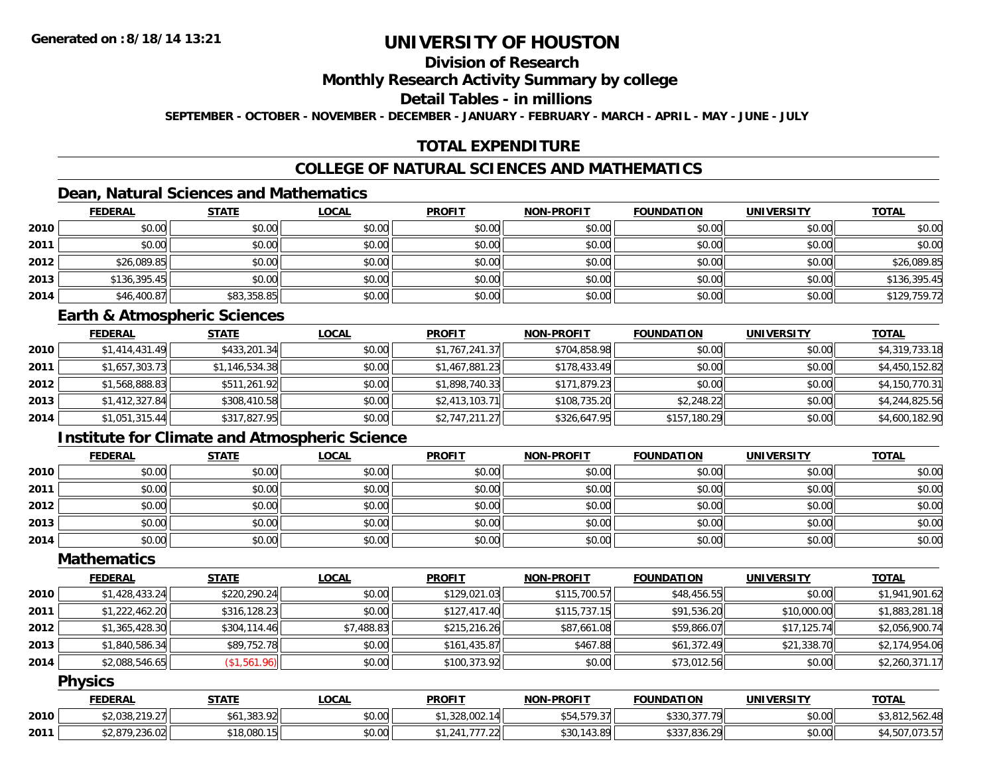# **Division of Research**

**Monthly Research Activity Summary by college**

**Detail Tables - in millions**

**SEPTEMBER - OCTOBER - NOVEMBER - DECEMBER - JANUARY - FEBRUARY - MARCH - APRIL - MAY - JUNE - JULY**

# **TOTAL EXPENDITURE**

### **COLLEGE OF NATURAL SCIENCES AND MATHEMATICS**

# **Dean, Natural Sciences and Mathematics**

|      | <b>FEDERAL</b> | <b>STATE</b> | <u>LOCAL</u> | <b>PROFIT</b> | <b>NON-PROFIT</b> | <b>FOUNDATION</b> | <b>UNIVERSITY</b> | <b>TOTAL</b> |
|------|----------------|--------------|--------------|---------------|-------------------|-------------------|-------------------|--------------|
| 2010 | \$0.00         | \$0.00       | \$0.00       | \$0.00        | \$0.00            | \$0.00            | \$0.00            | \$0.00       |
| 2011 | \$0.00         | \$0.00       | \$0.00       | \$0.00        | \$0.00            | \$0.00            | \$0.00            | \$0.00       |
| 2012 | \$26,089.85    | \$0.00       | \$0.00       | \$0.00        | \$0.00            | \$0.00            | \$0.00            | \$26,089.85  |
| 2013 | \$136,395.45   | \$0.00       | \$0.00       | \$0.00        | \$0.00            | \$0.00            | \$0.00            | \$136,395.45 |
| 2014 | \$46,400.87    | \$83,358.85  | \$0.00       | \$0.00        | \$0.00            | \$0.00            | \$0.00            | \$129,759.72 |

#### **Earth & Atmospheric Sciences**

|      | <b>FEDERAL</b> | <b>STATE</b>   | <b>LOCAL</b> | <b>PROFIT</b>  | <b>NON-PROFIT</b> | <b>FOUNDATION</b> | <b>UNIVERSITY</b> | <b>TOTAL</b>   |
|------|----------------|----------------|--------------|----------------|-------------------|-------------------|-------------------|----------------|
| 2010 | \$1,414,431.49 | \$433,201.34   | \$0.00       | \$1,767,241.37 | \$704,858.98      | \$0.00            | \$0.00            | \$4,319,733.18 |
| 2011 | \$1,657,303.73 | \$1,146,534.38 | \$0.00       | \$1,467,881.23 | \$178,433.49      | \$0.00            | \$0.00            | \$4,450,152.82 |
| 2012 | \$1,568,888.83 | \$511,261.92   | \$0.00       | \$1,898,740.33 | \$171,879.23      | \$0.00            | \$0.00            | \$4,150,770.31 |
| 2013 | \$1,412,327.84 | \$308,410.58   | \$0.00       | \$2,413,103.71 | \$108,735.20      | \$2,248.22        | \$0.00            | \$4,244,825.56 |
| 2014 | \$1,051,315.44 | \$317,827.95   | \$0.00       | \$2,747,211.27 | \$326,647.95      | \$157,180.29      | \$0.00            | \$4,600,182.90 |

# **Institute for Climate and Atmospheric Science**

|      | <b>FEDERAL</b> | <b>STATE</b> | <u>LOCAL</u> | <b>PROFIT</b> | NON-PROFIT | <b>FOUNDATION</b> | <b>UNIVERSITY</b> | <b>TOTAL</b> |
|------|----------------|--------------|--------------|---------------|------------|-------------------|-------------------|--------------|
| 2010 | \$0.00         | \$0.00       | \$0.00       | \$0.00        | \$0.00     | \$0.00            | \$0.00            | \$0.00       |
| 2011 | \$0.00         | \$0.00       | \$0.00       | \$0.00        | \$0.00     | \$0.00            | \$0.00            | \$0.00       |
| 2012 | \$0.00         | \$0.00       | \$0.00       | \$0.00        | \$0.00     | \$0.00            | \$0.00            | \$0.00       |
| 2013 | \$0.00         | \$0.00       | \$0.00       | \$0.00        | \$0.00     | \$0.00            | \$0.00            | \$0.00       |
| 2014 | \$0.00         | \$0.00       | \$0.00       | \$0.00        | \$0.00     | \$0.00            | \$0.00            | \$0.00       |

### **Mathematics**

|      | <b>FEDERAL</b> | <b>STATE</b> | <b>LOCAL</b> | <b>PROFIT</b> | <b>NON-PROFIT</b> | <b>FOUNDATION</b> | <b>UNIVERSITY</b> | <b>TOTAL</b>   |
|------|----------------|--------------|--------------|---------------|-------------------|-------------------|-------------------|----------------|
| 2010 | \$1,428,433.24 | \$220,290.24 | \$0.00       | \$129,021.03  | \$115,700.57      | \$48,456.55       | \$0.00            | \$1,941,901.62 |
| 2011 | \$1,222,462.20 | \$316,128.23 | \$0.00       | \$127,417.40  | \$115,737.15      | \$91,536.20       | \$10,000.00       | \$1,883,281.18 |
| 2012 | \$1,365,428.30 | \$304,114.46 | \$7,488.83   | \$215,216.26  | \$87,661.08       | \$59,866.07       | \$17,125.74       | \$2,056,900.74 |
| 2013 | \$1,840,586.34 | \$89,752.78  | \$0.00       | \$161,435.87  | \$467.88          | \$61,372.49       | \$21,338.70       | \$2,174,954.06 |
| 2014 | \$2,088,546.65 | (\$1,561.96) | \$0.00       | \$100,373.92  | \$0.00            | \$73,012.56       | \$0.00            | \$2,260,371.17 |

### **Physics**

|      | <b>FEDERAL</b>                                                  | <b>CTATE</b><br>- 31 A L | LOCAL          | <b>PROFIT</b>                   | NON-PROFIT                  | <b>FOUNDATION</b>                                                        | <b>UNIVERSITY</b> | <b>TOTAL</b>          |
|------|-----------------------------------------------------------------|--------------------------|----------------|---------------------------------|-----------------------------|--------------------------------------------------------------------------|-------------------|-----------------------|
| 2010 | <b>\$2.038.210.27</b><br>17.21<br>$\mathbf{u} \cdot \mathbf{v}$ | ,383.92                  | 0.00<br>\$U.UU | $\sim$<br>າາດ<br>328.UUZ.       | $-770$ $-7$<br>1.11<br>.    | $\cdots$<br>377 79<br>ມປປາ                                               | \$0.00            | າດາາ<br>$\sim$ $\sim$ |
| 2011 | 070.O<br>$\sim$<br>ا اے ان ان کی ۔ ۔                            | 0.10000<br>. 18.080 J    | \$0.00         | $- - -$<br>$\sim$ $\sim$ $\sim$ | RO I<br>აას<br>. <i>.</i> 7 | $A \cap \cap$<br>$\rightarrow$ 00 $\prime$<br>$\Omega$<br>.836.29<br>ັບປ | \$0.00            | 1.3.71                |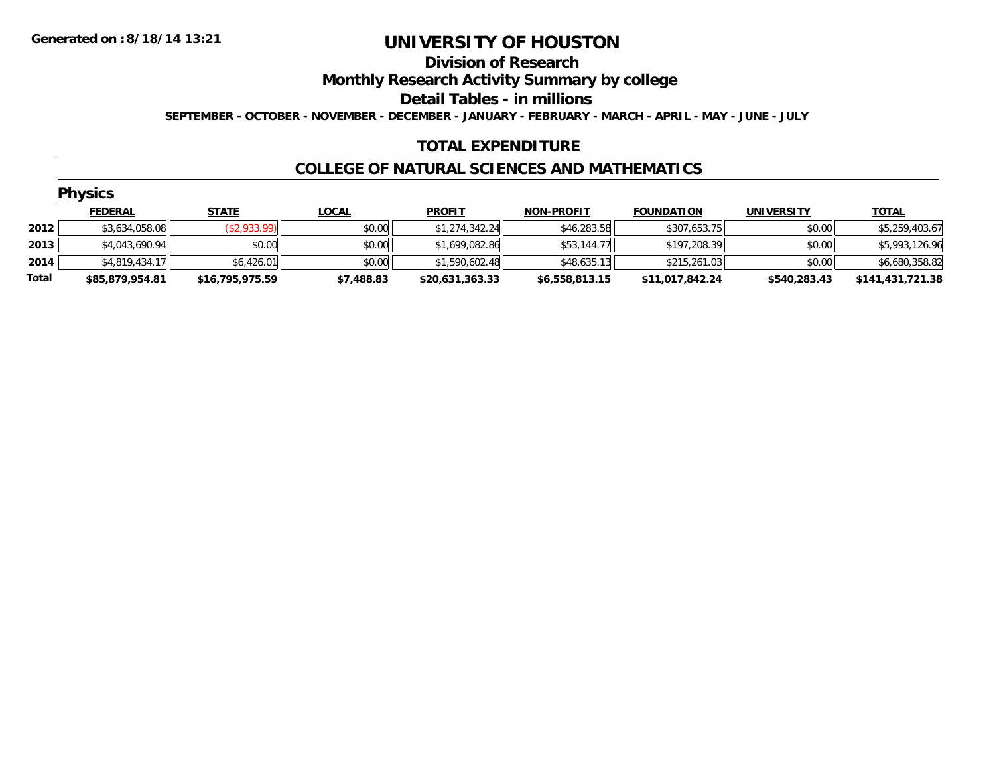# **Division of Research**

**Monthly Research Activity Summary by college**

**Detail Tables - in millions**

**SEPTEMBER - OCTOBER - NOVEMBER - DECEMBER - JANUARY - FEBRUARY - MARCH - APRIL - MAY - JUNE - JULY**

### **TOTAL EXPENDITURE**

#### **COLLEGE OF NATURAL SCIENCES AND MATHEMATICS**

|       | <b>Physics</b>  |                 |              |                 |                   |                   |                   |                  |  |  |  |
|-------|-----------------|-----------------|--------------|-----------------|-------------------|-------------------|-------------------|------------------|--|--|--|
|       | <b>FEDERAL</b>  | <b>STATE</b>    | <b>LOCAL</b> | <b>PROFIT</b>   | <b>NON-PROFIT</b> | <b>FOUNDATION</b> | <b>UNIVERSITY</b> | <u>TOTAL</u>     |  |  |  |
| 2012  | \$3,634,058.08  | (\$2,933.99)    | \$0.00       | \$1,274,342.24  | \$46,283.58       | \$307,653.75      | \$0.00            | \$5,259,403.67   |  |  |  |
| 2013  | \$4,043,690.94  | \$0.00          | \$0.00       | \$1,699,082.86  | \$53,144.77       | \$197,208.39      | \$0.00            | \$5,993,126.96   |  |  |  |
| 2014  | \$4,819,434.17  | \$6,426.01      | \$0.00       | \$1,590,602.48  | \$48,635.13       | \$215,261.03      | \$0.00            | \$6,680,358.82   |  |  |  |
| Total | \$85,879,954.81 | \$16,795,975.59 | \$7,488.83   | \$20,631,363.33 | \$6,558,813.15    | \$11,017,842.24   | \$540,283.43      | \$141,431,721.38 |  |  |  |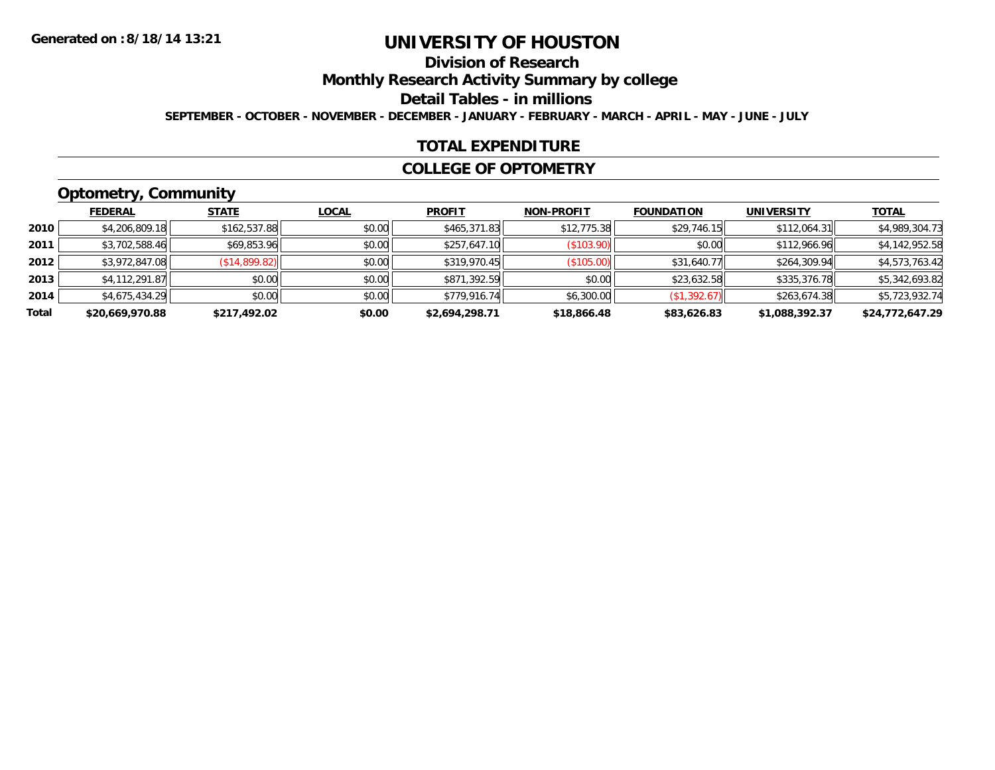# **Division of Research**

**Monthly Research Activity Summary by college**

**Detail Tables - in millions**

**SEPTEMBER - OCTOBER - NOVEMBER - DECEMBER - JANUARY - FEBRUARY - MARCH - APRIL - MAY - JUNE - JULY**

### **TOTAL EXPENDITURE**

#### **COLLEGE OF OPTOMETRY**

# **Optometry, Community**

|       | .               |               |              |                |                   |                   |                   |                 |
|-------|-----------------|---------------|--------------|----------------|-------------------|-------------------|-------------------|-----------------|
|       | <b>FEDERAL</b>  | <b>STATE</b>  | <b>LOCAL</b> | <b>PROFIT</b>  | <b>NON-PROFIT</b> | <b>FOUNDATION</b> | <b>UNIVERSITY</b> | <b>TOTAL</b>    |
| 2010  | \$4,206,809.18  | \$162,537.88  | \$0.00       | \$465,371.83   | \$12,775.38       | \$29,746.15       | \$112,064.31      | \$4,989,304.73  |
| 2011  | \$3,702,588.46  | \$69,853.96   | \$0.00       | \$257,647.10   | (\$103.90)        | \$0.00            | \$112,966.96      | \$4,142,952.58  |
| 2012  | \$3,972,847.08  | (S14, 899.82) | \$0.00       | \$319,970.45   | (\$105.00)        | \$31,640.77       | \$264,309.94      | \$4,573,763.42  |
| 2013  | \$4,112,291.87  | \$0.00        | \$0.00       | \$871,392.59   | \$0.00            | \$23,632.58       | \$335,376.78      | \$5,342,693.82  |
| 2014  | \$4,675,434.29  | \$0.00        | \$0.00       | \$779,916.74   | \$6,300.00        | (\$1,392.67)      | \$263.674.38      | \$5,723,932.74  |
| Total | \$20,669,970.88 | \$217,492.02  | \$0.00       | \$2,694,298.71 | \$18,866.48       | \$83,626.83       | \$1,088,392.37    | \$24,772,647.29 |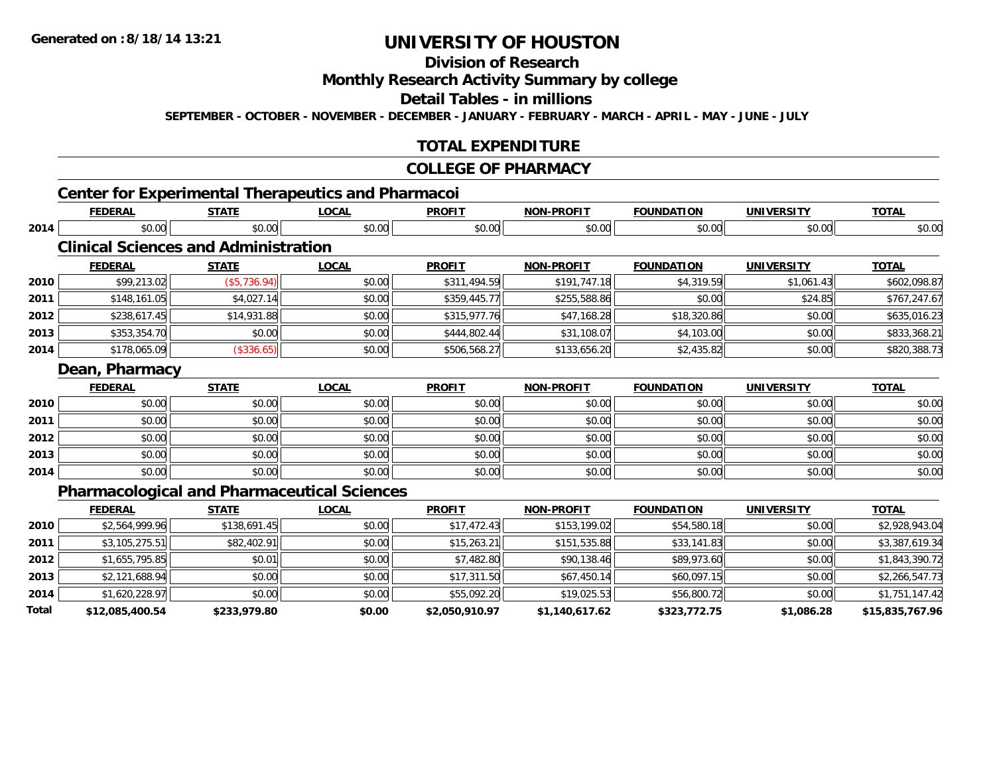# **Division of Research**

### **Monthly Research Activity Summary by college**

**Detail Tables - in millions**

**SEPTEMBER - OCTOBER - NOVEMBER - DECEMBER - JANUARY - FEBRUARY - MARCH - APRIL - MAY - JUNE - JULY**

### **TOTAL EXPENDITURE**

#### **COLLEGE OF PHARMACY**

# **Center for Experimental Therapeutics and Pharmacoi**

|      | <b>FEDERAL</b> | <b>STATE</b>                                | <b>LOCAL</b>                                       | <b>PROFIT</b> | <b>NON-PROFIT</b> | <b>FOUNDATION</b> | <b>UNIVERSITY</b>             | <b>TOTAL</b>                                                                                                            |
|------|----------------|---------------------------------------------|----------------------------------------------------|---------------|-------------------|-------------------|-------------------------------|-------------------------------------------------------------------------------------------------------------------------|
| 2014 | \$0.00         | \$0.00                                      | \$0.00                                             | \$0.00        | \$0.00            | \$0.00            | \$0.00                        | \$0.00                                                                                                                  |
|      |                | <b>Clinical Sciences and Administration</b> |                                                    |               |                   |                   |                               |                                                                                                                         |
|      | <b>FEDERAL</b> | <b>STATE</b>                                | <u>LOCAL</u>                                       | <b>PROFIT</b> | <b>NON-PROFIT</b> | <b>FOUNDATION</b> | <b>UNIVERSITY</b>             | <b>TOTAL</b>                                                                                                            |
| 2010 | \$99,213.02    | (\$5,736.94)                                | \$0.00                                             | \$311,494.59  | \$191,747.18      | \$4,319.59        | \$1,061.43                    | \$602,098.87                                                                                                            |
| 2011 | \$148,161.05   | \$4,027.14                                  | \$0.00                                             | \$359,445.77  | \$255,588.86      | \$0.00            | \$24.85                       | \$767,247.67                                                                                                            |
| 2012 | \$238,617.45   | \$14,931.88                                 | \$0.00                                             | \$315,977.76  | \$47,168.28       | \$18,320.86       | \$0.00                        | \$635,016.23                                                                                                            |
| 2013 | \$353,354.70   | \$0.00                                      | \$0.00                                             | \$444,802.44  | \$31,108.07       | \$4,103.00        | \$0.00                        | \$833,368.21                                                                                                            |
| 2014 | \$178,065.09   | (\$336.65)                                  | \$0.00                                             | \$506,568.27  | \$133,656.20      | \$2,435.82        | \$0.00                        | \$820,388.73                                                                                                            |
|      | Dean, Pharmacy |                                             |                                                    |               |                   |                   |                               |                                                                                                                         |
|      | <b>FEDERAL</b> | <b>STATE</b>                                | <b>LOCAL</b>                                       | <b>PROFIT</b> | <b>NON-PROFIT</b> | <b>FOUNDATION</b> | <b>UNIVERSITY</b>             | <b>TOTAL</b>                                                                                                            |
| 2010 | \$0.00         | \$0.00                                      | \$0.00                                             | \$0.00        | \$0.00            | \$0.00            | \$0.00                        | \$0.00                                                                                                                  |
| 2011 | \$0.00         | \$0.00                                      | \$0.00                                             | \$0.00        | \$0.00            | \$0.00            | \$0.00                        | \$0.00                                                                                                                  |
| 2012 | \$0.00         | \$0.00                                      | \$0.00                                             | \$0.00        | \$0.00            | \$0.00            | \$0.00                        | \$0.00                                                                                                                  |
| 2013 | \$0.00         | \$0.00                                      | \$0.00                                             | \$0.00        | \$0.00            | \$0.00            | \$0.00                        | \$0.00                                                                                                                  |
| 2014 | \$0.00         | \$0.00                                      | \$0.00                                             | \$0.00        | \$0.00            | \$0.00            | \$0.00                        | \$0.00                                                                                                                  |
|      |                |                                             | <b>Pharmacological and Pharmaceutical Sciences</b> |               |                   |                   |                               |                                                                                                                         |
|      | <b>FEDERAL</b> | <b>STATE</b>                                | <u>LOCAL</u>                                       | <b>PROFIT</b> | <b>NON-PROFIT</b> | <b>FOUNDATION</b> | <b>UNIVERSITY</b>             | <b>TOTAL</b>                                                                                                            |
|      | الرمضم متستمد  | السنادمن ممتدا                              | الممصد                                             | $\cdots$      | $\lambda$         | $\frac{1}{2}$     | $\overline{a}$ $\overline{a}$ | $\overline{a}$ $\overline{a}$ $\overline{a}$ $\overline{a}$ $\overline{a}$ $\overline{a}$ $\overline{a}$ $\overline{a}$ |

|       |                 | <u>.</u>     | $-0.011$ |                | .              | .            |            | <u>.</u>        |
|-------|-----------------|--------------|----------|----------------|----------------|--------------|------------|-----------------|
| 2010  | \$2,564,999.96  | \$138,691.45 | \$0.00   | \$17,472.43    | \$153,199.02   | \$54,580.18  | \$0.00     | \$2,928,943.04  |
| 2011  | \$3,105,275.51  | \$82,402.91  | \$0.00   | \$15,263.21    | \$151,535.88   | \$33,141.83  | \$0.00     | \$3,387,619.34  |
| 2012  | \$1,655,795.85  | \$0.01       | \$0.00   | \$7,482.80     | \$90,138.46    | \$89,973.60  | \$0.00     | \$1,843,390.72  |
| 2013  | \$2,121,688.94  | \$0.00       | \$0.00   | \$17,311.50    | \$67,450.14    | \$60,097.15  | \$0.00     | \$2,266,547.73  |
| 2014  | \$1,620,228.97  | \$0.00       | \$0.00   | \$55,092.20    | \$19,025.53    | \$56,800.72  | \$0.00     | \$1,751,147.42  |
| Total | \$12,085,400.54 | \$233,979.80 | \$0.00   | \$2,050,910.97 | \$1,140,617.62 | \$323,772.75 | \$1,086.28 | \$15,835,767.96 |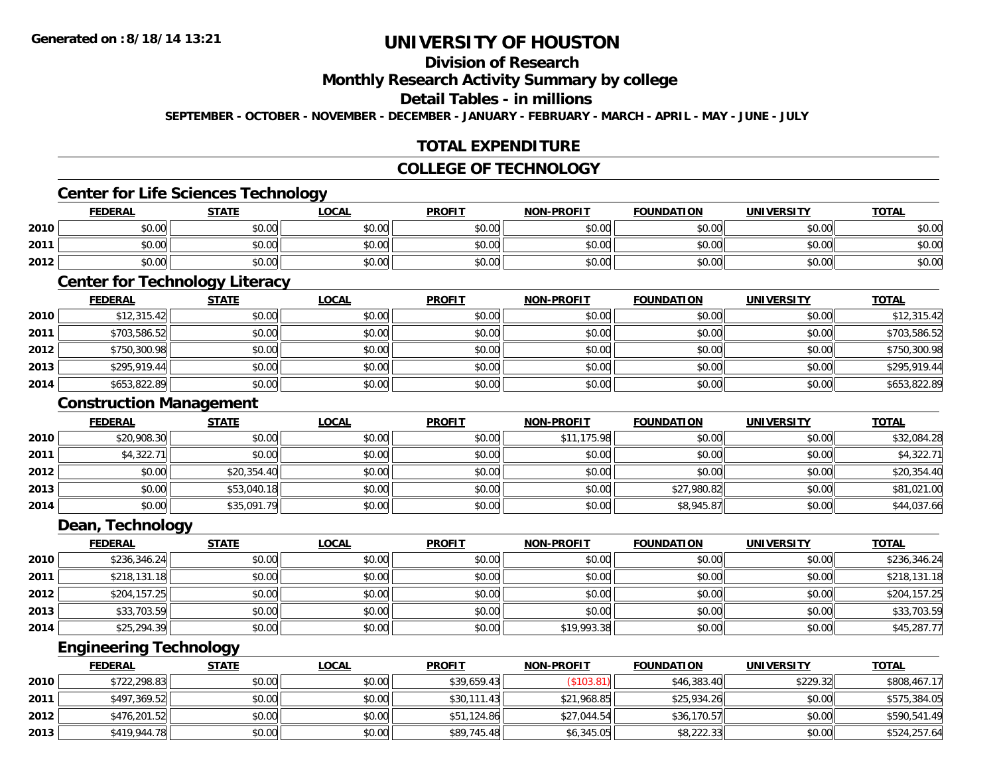# **Division of Research**

**Monthly Research Activity Summary by college**

### **Detail Tables - in millions**

**SEPTEMBER - OCTOBER - NOVEMBER - DECEMBER - JANUARY - FEBRUARY - MARCH - APRIL - MAY - JUNE - JULY**

## **TOTAL EXPENDITURE**

### **COLLEGE OF TECHNOLOGY**

### **Center for Life Sciences Technology**

|      | <b>FEDERAL</b> | <b>STATE</b> | <u>LOCAL</u> | <b>PROFIT</b> | <b>NON-PROFIT</b> | <b>FOUNDATION</b> | <b>UNIVERSITY</b> | <b>TOTAL</b> |
|------|----------------|--------------|--------------|---------------|-------------------|-------------------|-------------------|--------------|
| 2010 | \$0.00         | \$0.00       | \$0.00       | \$0.00        | \$0.00            | \$0.00            | \$0.00            | \$0.00       |
| 2011 | \$0.00         | \$0.00       | \$0.00       | \$0.00        | \$0.00            | \$0.00            | \$0.00 l          | \$0.00       |
| 2012 | \$0.00         | \$0.00       | \$0.00       | \$0.00        | \$0.00            | \$0.00            | \$0.00            | \$0.00       |

# **Center for Technology Literacy**

|      | <b>FEDERAL</b> | <b>STATE</b> | <u>LOCAL</u> | <b>PROFIT</b> | <b>NON-PROFIT</b> | <b>FOUNDATION</b> | <b>UNIVERSITY</b> | <b>TOTAL</b> |
|------|----------------|--------------|--------------|---------------|-------------------|-------------------|-------------------|--------------|
| 2010 | \$12,315.42    | \$0.00       | \$0.00       | \$0.00        | \$0.00            | \$0.00            | \$0.00            | \$12,315.42  |
| 2011 | \$703,586.52   | \$0.00       | \$0.00       | \$0.00        | \$0.00            | \$0.00            | \$0.00            | \$703,586.52 |
| 2012 | \$750,300.98   | \$0.00       | \$0.00       | \$0.00        | \$0.00            | \$0.00            | \$0.00            | \$750,300.98 |
| 2013 | \$295.919.44   | \$0.00       | \$0.00       | \$0.00        | \$0.00            | \$0.00            | \$0.00            | \$295,919.44 |
| 2014 | \$653,822.89   | \$0.00       | \$0.00       | \$0.00        | \$0.00            | \$0.00            | \$0.00            | \$653,822.89 |

### **Construction Management**

|      |                | <b>Construction Management</b> |              |               |                   |                   |                   |              |  |  |  |  |
|------|----------------|--------------------------------|--------------|---------------|-------------------|-------------------|-------------------|--------------|--|--|--|--|
|      | <b>FEDERAL</b> | <b>STATE</b>                   | <b>LOCAL</b> | <b>PROFIT</b> | <b>NON-PROFIT</b> | <b>FOUNDATION</b> | <b>UNIVERSITY</b> | <b>TOTAL</b> |  |  |  |  |
| 2010 | \$20,908.30    | \$0.00                         | \$0.00       | \$0.00        | \$11,175.98       | \$0.00            | \$0.00            | \$32,084.28  |  |  |  |  |
| 2011 | \$4,322.71     | \$0.00                         | \$0.00       | \$0.00        | \$0.00            | \$0.00            | \$0.00            | \$4,322.71   |  |  |  |  |
| 2012 | \$0.00         | \$20,354.40                    | \$0.00       | \$0.00        | \$0.00            | \$0.00            | \$0.00            | \$20,354.40  |  |  |  |  |
| 2013 | \$0.00         | \$53,040.18                    | \$0.00       | \$0.00        | \$0.00            | \$27,980.82       | \$0.00            | \$81,021.00  |  |  |  |  |
| 2014 | \$0.00         | \$35,091.79                    | \$0.00       | \$0.00        | \$0.00            | \$8,945.87        | \$0.00            | \$44,037.66  |  |  |  |  |

#### **Dean, Technology**

|      | <b>FEDERAL</b> | <b>STATE</b> | <u>LOCAL</u> | <b>PROFIT</b> | <b>NON-PROFIT</b> | <b>FOUNDATION</b> | <b>UNIVERSITY</b> | <b>TOTAL</b> |
|------|----------------|--------------|--------------|---------------|-------------------|-------------------|-------------------|--------------|
| 2010 | \$236,346.24   | \$0.00       | \$0.00       | \$0.00        | \$0.00            | \$0.00            | \$0.00            | \$236,346.24 |
| 2011 | \$218,131.18   | \$0.00       | \$0.00       | \$0.00        | \$0.00            | \$0.00            | \$0.00            | \$218,131.18 |
| 2012 | \$204,157.25   | \$0.00       | \$0.00       | \$0.00        | \$0.00            | \$0.00            | \$0.00            | \$204,157.25 |
| 2013 | \$33,703.59    | \$0.00       | \$0.00       | \$0.00        | \$0.00            | \$0.00            | \$0.00            | \$33,703.59  |
| 2014 | \$25,294.39    | \$0.00       | \$0.00       | \$0.00        | \$19,993.38       | \$0.00            | \$0.00            | \$45,287.77  |

<u> 1989 - Johann Stoff, deutscher Stoffen und der Stoffen und der Stoffen und der Stoffen und der Stoffen und de</u>

### **Engineering Technology**

|      | <b>FEDERAL</b> | <u>STATE</u> | <u>LOCAL</u> | <b>PROFIT</b> | <b>NON-PROFIT</b> | <b>FOUNDATION</b> | UNIVERSITY | <b>TOTAL</b> |
|------|----------------|--------------|--------------|---------------|-------------------|-------------------|------------|--------------|
| 2010 | \$722,298.83   | \$0.00       | \$0.00       | \$39,659.43   | $($ \$103.81) $ $ | \$46,383.40       | \$229.32   | \$808,467.17 |
| 2011 | \$497,369.52   | \$0.00       | \$0.00       | \$30,111.43   | \$21,968.85       | \$25,934.26       | \$0.00     | \$575,384.05 |
| 2012 | \$476,201.52   | \$0.00       | \$0.00       | \$51,124.86   | \$27,044.54       | \$36,170.57       | \$0.00     | \$590,541.49 |
| 2013 | \$419,944.78   | \$0.00       | \$0.00       | \$89,745.48   | \$6,345.05        | \$8,222.33        | \$0.00     | \$524,257.64 |

<u> 1989 - Johann Stoff, amerikansk politiker (d. 1989)</u>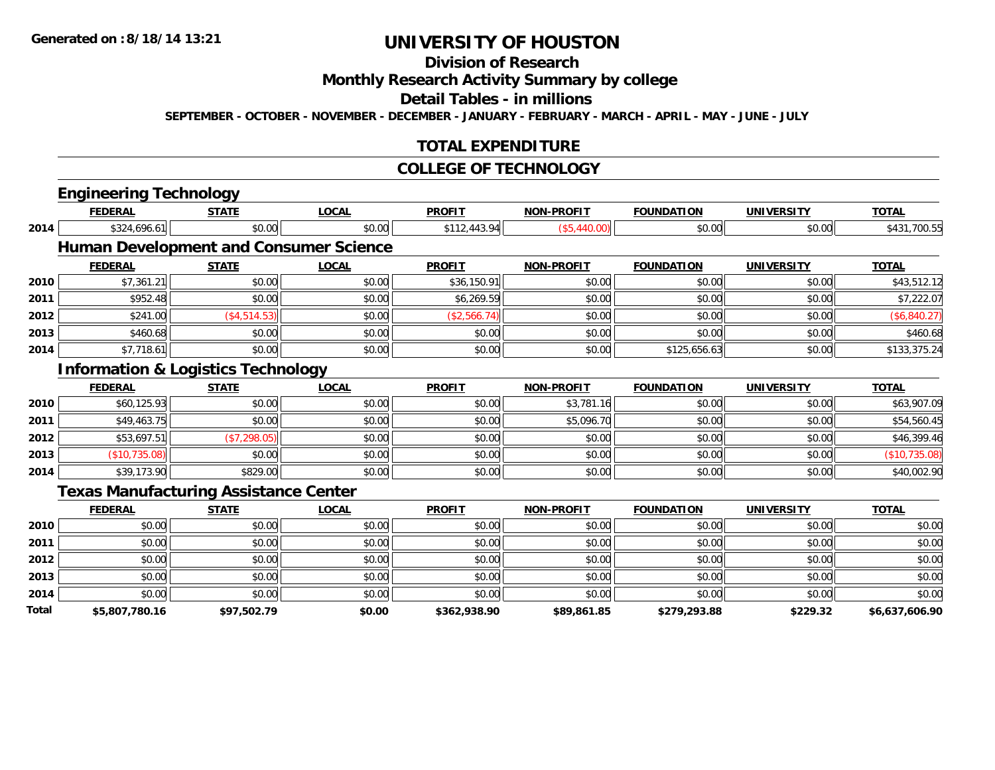# **Division of Research**

**Monthly Research Activity Summary by college**

**Detail Tables - in millions**

**SEPTEMBER - OCTOBER - NOVEMBER - DECEMBER - JANUARY - FEBRUARY - MARCH - APRIL - MAY - JUNE - JULY**

## **TOTAL EXPENDITURE**

#### **COLLEGE OF TECHNOLOGY**

| <b>FEDERAL</b> | <b>STATE</b> | <b>LOCAL</b>                  | <b>PROFIT</b>                                                                                                                                  | <b>NON-PROFIT</b> | <b>FOUNDATION</b> | <b>UNIVERSITY</b> | <b>TOTAL</b>   |
|----------------|--------------|-------------------------------|------------------------------------------------------------------------------------------------------------------------------------------------|-------------------|-------------------|-------------------|----------------|
| \$324,696.61   | \$0.00       | \$0.00                        | \$112,443.94                                                                                                                                   | (\$5,440.00)      | \$0.00            | \$0.00            | \$431,700.55   |
|                |              |                               |                                                                                                                                                |                   |                   |                   |                |
| <b>FEDERAL</b> | <b>STATE</b> | <b>LOCAL</b>                  | <b>PROFIT</b>                                                                                                                                  | <b>NON-PROFIT</b> | <b>FOUNDATION</b> | <b>UNIVERSITY</b> | <b>TOTAL</b>   |
| \$7,361.21     | \$0.00       | \$0.00                        | \$36,150.91                                                                                                                                    | \$0.00            | \$0.00            | \$0.00            | \$43,512.12    |
| \$952.48       | \$0.00       | \$0.00                        | \$6,269.59                                                                                                                                     | \$0.00            | \$0.00            | \$0.00            | \$7,222.07     |
| \$241.00       | (\$4,514.53) | \$0.00                        | (\$2,566.74)                                                                                                                                   | \$0.00            | \$0.00            | \$0.00            | (\$6,840.27)   |
| \$460.68       | \$0.00       | \$0.00                        | \$0.00                                                                                                                                         | \$0.00            | \$0.00            | \$0.00            | \$460.68       |
| \$7,718.61     | \$0.00       | \$0.00                        | \$0.00                                                                                                                                         | \$0.00            | \$125,656.63      | \$0.00            | \$133,375.24   |
|                |              |                               |                                                                                                                                                |                   |                   |                   |                |
| <b>FEDERAL</b> | <b>STATE</b> | <b>LOCAL</b>                  | <b>PROFIT</b>                                                                                                                                  | <b>NON-PROFIT</b> | <b>FOUNDATION</b> | <b>UNIVERSITY</b> | <b>TOTAL</b>   |
| \$60,125.93    | \$0.00       | \$0.00                        | \$0.00                                                                                                                                         | \$3,781.16        | \$0.00            | \$0.00            | \$63,907.09    |
| \$49,463.75    | \$0.00       | \$0.00                        | \$0.00                                                                                                                                         | \$5,096.70        | \$0.00            | \$0.00            | \$54,560.45    |
| \$53,697.51    | (\$7,298.05) | \$0.00                        | \$0.00                                                                                                                                         | \$0.00            | \$0.00            | \$0.00            | \$46,399.46    |
| (\$10,735.08)  | \$0.00       | \$0.00                        | \$0.00                                                                                                                                         | \$0.00            | \$0.00            | \$0.00            | (\$10,735.08)  |
| \$39,173.90    | \$829.00     | \$0.00                        | \$0.00                                                                                                                                         | \$0.00            | \$0.00            | \$0.00            | \$40,002.90    |
|                |              |                               |                                                                                                                                                |                   |                   |                   |                |
| <b>FEDERAL</b> | <b>STATE</b> | <b>LOCAL</b>                  | <b>PROFIT</b>                                                                                                                                  | <b>NON-PROFIT</b> | <b>FOUNDATION</b> | <b>UNIVERSITY</b> | <b>TOTAL</b>   |
| \$0.00         | \$0.00       | \$0.00                        | \$0.00                                                                                                                                         | \$0.00            | \$0.00            | \$0.00            | \$0.00         |
| \$0.00         | \$0.00       | \$0.00                        | \$0.00                                                                                                                                         | \$0.00            | \$0.00            | \$0.00            | \$0.00         |
| \$0.00         | \$0.00       | \$0.00                        | \$0.00                                                                                                                                         | \$0.00            | \$0.00            | \$0.00            | \$0.00         |
| \$0.00         | \$0.00       | \$0.00                        | \$0.00                                                                                                                                         | \$0.00            | \$0.00            | \$0.00            | \$0.00         |
| \$0.00         | \$0.00       | \$0.00                        | \$0.00                                                                                                                                         | \$0.00            | \$0.00            | \$0.00            | \$0.00         |
| \$5,807,780.16 | \$97,502.79  | \$0.00                        | \$362,938.90                                                                                                                                   | \$89,861.85       | \$279,293.88      | \$229.32          | \$6,637,606.90 |
|                |              | <b>Engineering Technology</b> | <b>Human Development and Consumer Science</b><br><b>Information &amp; Logistics Technology</b><br><b>Texas Manufacturing Assistance Center</b> |                   |                   |                   |                |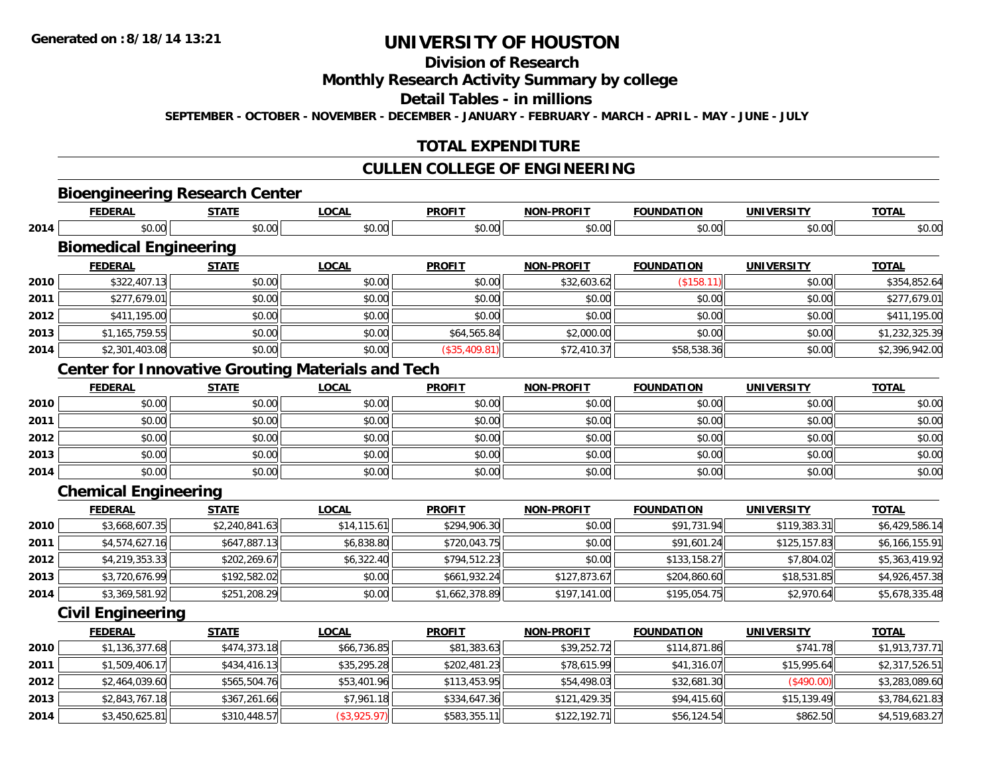# **Division of Research**

**Monthly Research Activity Summary by college**

**Detail Tables - in millions**

**SEPTEMBER - OCTOBER - NOVEMBER - DECEMBER - JANUARY - FEBRUARY - MARCH - APRIL - MAY - JUNE - JULY**

## **TOTAL EXPENDITURE**

## **CULLEN COLLEGE OF ENGINEERING**

**TOTAL** 

# **Bioengineering Research Center**

|      | <b>FEDERAL</b>                | STATE  | <u>LOCAL</u> | <b>PROFIT</b> | <b>NON-PROFIT</b> | <b>FOUNDATION</b> | <b>UNIVERSITY</b> | <b>TOTAL</b> |
|------|-------------------------------|--------|--------------|---------------|-------------------|-------------------|-------------------|--------------|
| 2014 | \$0.00                        | \$0.00 | \$0.00       | \$0.00        | \$0.00            | \$0.00            | \$0.00            | \$0.00       |
|      | <b>Biomedical Engineering</b> |        |              |               |                   |                   |                   |              |
|      | <b>FEDERAL</b>                | STATE  | LOCAL        | <b>PROFIT</b> | <b>NON-PROFIT</b> | <b>FOUNDATION</b> | <b>UNIVERSITY</b> | <b>TOTAL</b> |
| 2010 | \$322,407.13                  | \$0.00 | \$0.00       | \$0.00        | \$32,603.62       | \$158.1           | \$0.00            | \$354,852.64 |

| 2011 | \$277,679.01   | \$0.00 | \$0.00 | \$0.00         | \$0.00      | \$0.00      | \$0.00 | \$277,679.01   |
|------|----------------|--------|--------|----------------|-------------|-------------|--------|----------------|
| 2012 | \$411,195.00   | \$0.00 | \$0.00 | \$0.00         | \$0.00      | \$0.00      | \$0.00 | ,195.00        |
| 2013 | \$1,165,759.55 | \$0.00 | \$0.00 | \$64,565.84    | \$2,000.00  | \$0.00      | \$0.00 | \$1,232,325.39 |
| 2014 | \$2,301,403.08 | \$0.00 | \$0.00 | $(*35,409.81)$ | \$72,410.37 | \$58,538.36 | \$0.00 | \$2,396,942.00 |

# **Center for Innovative Grouting Materials and Tech**

|      | <b>FEDERAL</b> | <b>STATE</b> | <u>LOCAL</u> | <b>PROFIT</b> | <b>NON-PROFIT</b> | <b>FOUNDATION</b> | <b>UNIVERSITY</b> | <b>TOTAL</b> |
|------|----------------|--------------|--------------|---------------|-------------------|-------------------|-------------------|--------------|
| 2010 | \$0.00         | \$0.00       | \$0.00       | \$0.00        | \$0.00            | \$0.00            | \$0.00            | \$0.00       |
| 2011 | \$0.00         | \$0.00       | \$0.00       | \$0.00        | \$0.00            | \$0.00            | \$0.00            | \$0.00       |
| 2012 | \$0.00         | \$0.00       | \$0.00       | \$0.00        | \$0.00            | \$0.00            | \$0.00            | \$0.00       |
| 2013 | \$0.00         | \$0.00       | \$0.00       | \$0.00        | \$0.00            | \$0.00            | \$0.00            | \$0.00       |
| 2014 | \$0.00         | \$0.00       | \$0.00       | \$0.00        | \$0.00            | \$0.00            | \$0.00            | \$0.00       |

## **Chemical Engineering**

|      | <b>FEDERAL</b> | <b>STATE</b>   | <u>LOCAL</u> | <b>PROFIT</b>  | <b>NON-PROFIT</b> | <b>FOUNDATION</b> | <b>UNIVERSITY</b> | <b>TOTAL</b>   |
|------|----------------|----------------|--------------|----------------|-------------------|-------------------|-------------------|----------------|
| 2010 | \$3,668,607.35 | \$2,240,841.63 | \$14, 115.61 | \$294,906.30   | \$0.00            | \$91,731.94       | \$119,383.31      | \$6,429,586.14 |
| 2011 | \$4,574,627.16 | \$647,887.13   | \$6,838.80   | \$720,043.75   | \$0.00            | \$91,601.24       | \$125.157.83      | \$6,166,155.91 |
| 2012 | \$4,219,353.33 | \$202,269.67   | \$6,322.40   | \$794,512.23   | \$0.00            | \$133,158.27      | \$7,804.02        | \$5,363,419.92 |
| 2013 | \$3,720,676.99 | \$192,582.02   | \$0.00       | \$661,932.24   | \$127,873.67      | \$204,860.60      | \$18,531.85       | \$4,926,457.38 |
| 2014 | \$3,369,581.92 | \$251,208.29   | \$0.00       | \$1,662,378.89 | \$197,141.00      | \$195,054.75      | \$2,970.64        | \$5,678,335.48 |

#### **Civil Engineering**

|      | <b>FEDERAL</b> | <b>STATE</b> | <b>LOCAL</b> | <b>PROFIT</b> | <b>NON-PROFIT</b> | <b>FOUNDATION</b> | <b>UNIVERSITY</b> | <u>TOTAL</u>   |
|------|----------------|--------------|--------------|---------------|-------------------|-------------------|-------------------|----------------|
| 2010 | \$1,136,377.68 | \$474,373.18 | \$66,736.85  | \$81,383.63   | \$39,252.72       | \$114,871.86      | \$741.78          | \$1,913,737.71 |
| 2011 | \$1,509,406.17 | \$434,416.13 | \$35,295.28  | \$202,481.23  | \$78,615.99       | \$41,316.07       | \$15,995.64       | \$2,317,526.51 |
| 2012 | \$2,464,039.60 | \$565,504.76 | \$53,401.96  | \$113,453.95  | \$54,498.03       | \$32,681.30       | (\$490.00)        | \$3,283,089.60 |
| 2013 | \$2,843,767.18 | \$367,261.66 | \$7,961.18   | \$334,647.36  | \$121,429.35      | \$94,415.60       | \$15,139.49       | \$3,784,621.83 |
| 2014 | \$3,450,625.81 | \$310,448.57 | (\$3,925.97) | \$583,355.11  | \$122,192.71      | \$56,124.54       | \$862.50          | \$4,519,683.27 |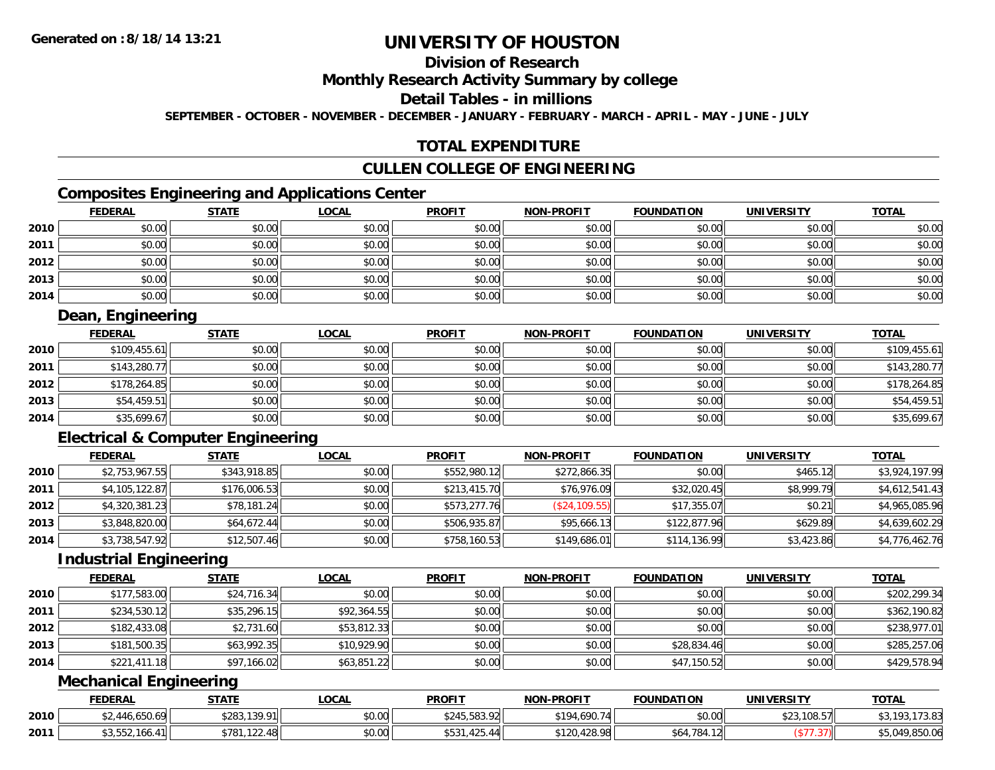# **Division of Research**

**Monthly Research Activity Summary by college**

**Detail Tables - in millions**

**SEPTEMBER - OCTOBER - NOVEMBER - DECEMBER - JANUARY - FEBRUARY - MARCH - APRIL - MAY - JUNE - JULY**

### **TOTAL EXPENDITURE**

# **CULLEN COLLEGE OF ENGINEERING**

## **Composites Engineering and Applications Center**

|      | <b>FEDERAL</b> | <b>STATE</b> | <b>LOCAL</b> | <b>PROFIT</b> | <b>NON-PROFIT</b> | <b>FOUNDATION</b> | <b>UNIVERSITY</b> | <b>TOTAL</b> |
|------|----------------|--------------|--------------|---------------|-------------------|-------------------|-------------------|--------------|
| 2010 | \$0.00         | \$0.00       | \$0.00       | \$0.00        | \$0.00            | \$0.00            | \$0.00            | \$0.00       |
| 2011 | \$0.00         | \$0.00       | \$0.00       | \$0.00        | \$0.00            | \$0.00            | \$0.00            | \$0.00       |
| 2012 | \$0.00         | \$0.00       | \$0.00       | \$0.00        | \$0.00            | \$0.00            | \$0.00            | \$0.00       |
| 2013 | \$0.00         | \$0.00       | \$0.00       | \$0.00        | \$0.00            | \$0.00            | \$0.00            | \$0.00       |
| 2014 | \$0.00         | \$0.00       | \$0.00       | \$0.00        | \$0.00            | \$0.00            | \$0.00            | \$0.00       |

## **Dean, Engineering**

|      | <u>FEDERAL</u> | <u>STATE</u> | <u>LOCAL</u> | <b>PROFIT</b> | <b>NON-PROFIT</b> | <b>FOUNDATION</b> | <b>UNIVERSITY</b> | <b>TOTAL</b> |
|------|----------------|--------------|--------------|---------------|-------------------|-------------------|-------------------|--------------|
| 2010 | \$109,455.61   | \$0.00       | \$0.00       | \$0.00        | \$0.00            | \$0.00            | \$0.00            | \$109,455.61 |
| 2011 | \$143,280.77   | \$0.00       | \$0.00       | \$0.00        | \$0.00            | \$0.00            | \$0.00            | \$143,280.77 |
| 2012 | \$178,264.85   | \$0.00       | \$0.00       | \$0.00        | \$0.00            | \$0.00            | \$0.00            | \$178,264.85 |
| 2013 | \$54,459.51    | \$0.00       | \$0.00       | \$0.00        | \$0.00            | \$0.00            | \$0.00            | \$54,459.51  |
| 2014 | \$35,699.67    | \$0.00       | \$0.00       | \$0.00        | \$0.00            | \$0.00            | \$0.00            | \$35,699.67  |

# **Electrical & Computer Engineering**

|      | <b>FEDERAL</b> | <b>STATE</b> | <u>LOCAL</u> | <b>PROFIT</b> | <b>NON-PROFIT</b> | <b>FOUNDATION</b> | <b>UNIVERSITY</b> | <b>TOTAL</b>   |
|------|----------------|--------------|--------------|---------------|-------------------|-------------------|-------------------|----------------|
| 2010 | \$2,753,967.55 | \$343,918.85 | \$0.00       | \$552,980.12  | \$272,866.35      | \$0.00            | \$465.12          | \$3,924,197.99 |
| 2011 | \$4,105,122.87 | \$176,006.53 | \$0.00       | \$213,415.70  | \$76,976.09       | \$32,020.45       | \$8,999.79        | \$4,612,541.43 |
| 2012 | \$4,320,381.23 | \$78,181.24  | \$0.00       | \$573,277.76  | (\$24,109.55)     | \$17,355.07       | \$0.21            | \$4,965,085.96 |
| 2013 | \$3,848,820.00 | \$64,672.44  | \$0.00       | \$506,935.87  | \$95,666.13       | \$122,877.96      | \$629.89          | \$4,639,602.29 |
| 2014 | \$3,738,547.92 | \$12,507.46  | \$0.00       | \$758,160.53  | \$149,686.01      | \$114,136.99      | \$3,423.86        | \$4,776,462.76 |

### **Industrial Engineering**

|      | <b>FEDERAL</b> | <b>STATE</b> | <b>LOCAL</b> | <b>PROFIT</b> | <b>NON-PROFIT</b> | <b>FOUNDATION</b> | <b>UNIVERSITY</b> | <b>TOTAL</b> |
|------|----------------|--------------|--------------|---------------|-------------------|-------------------|-------------------|--------------|
| 2010 | \$177,583.00   | \$24,716.34  | \$0.00       | \$0.00        | \$0.00            | \$0.00            | \$0.00            | \$202,299.34 |
| 2011 | \$234,530.12   | \$35,296.15  | \$92,364.55  | \$0.00        | \$0.00            | \$0.00            | \$0.00            | \$362,190.82 |
| 2012 | \$182,433.08   | \$2,731.60   | \$53,812.33  | \$0.00        | \$0.00            | \$0.00            | \$0.00            | \$238,977.01 |
| 2013 | \$181,500.35   | \$63,992.35  | \$10,929.90  | \$0.00        | \$0.00            | \$28,834.46       | \$0.00            | \$285,257.06 |
| 2014 | \$221,411.18   | \$97,166.02  | \$63,851.22  | \$0.00        | \$0.00            | \$47,150.52       | \$0.00            | \$429,578.94 |

## **Mechanical Engineering**

|      | <b>FEDERAL</b>     | <b>STATE</b> | <b>LOCAL</b> | <b>PROFIT</b> | <b>NON-PROFIT</b> | <b>FOUNDATION</b> | <b>UNIVERSITY</b> | <b>TOTAL</b>      |
|------|--------------------|--------------|--------------|---------------|-------------------|-------------------|-------------------|-------------------|
| 2010 | \$2,446,650.69     | \$283,139.91 | \$0.00       | \$245,583.92  | \$194,690.74      | \$0.00            | \$23,108.57       | .173.83<br>t3 103 |
| 2011 | .166.41<br>33.OOZ. | \$781,122.48 | \$0.00       | \$531,425.44  | \$120,428.98      | \$64,784.12       |                   | $-049.850.06$     |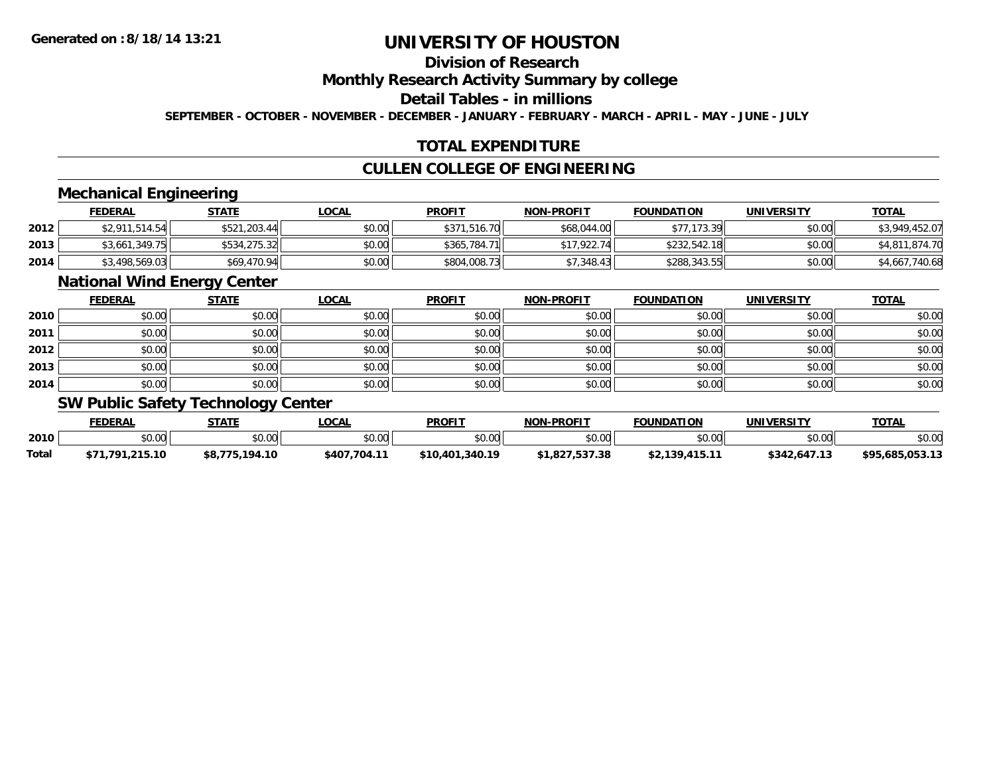# **Division of Research**

**Monthly Research Activity Summary by college**

**Detail Tables - in millions**

**SEPTEMBER - OCTOBER - NOVEMBER - DECEMBER - JANUARY - FEBRUARY - MARCH - APRIL - MAY - JUNE - JULY**

## **TOTAL EXPENDITURE**

### **CULLEN COLLEGE OF ENGINEERING**

### **Mechanical Engineering**

|      | <b>FEDERAL</b> | <u>STATE</u> | <u>LOCAL</u> | <b>PROFIT</b> | <b>NON-PROFIT</b> | <b>FOUNDATION</b> | <b>UNIVERSITY</b> | <b>TOTAL</b>   |
|------|----------------|--------------|--------------|---------------|-------------------|-------------------|-------------------|----------------|
| 2012 | \$2,911,514.54 | \$521,203.44 | \$0.00       | \$371,516.70  | \$68,044.00       | \$77,173.39       | \$0.00            | \$3,949,452.07 |
| 2013 | \$3,661,349.75 | \$534,275.32 | \$0.00       | \$365.784.71  | \$17,922.74       | \$232,542.18      | \$0.00            | \$4,811,874.70 |
| 2014 | \$3,498,569.03 | \$69,470.94  | \$0.00       | \$804,008.73  | \$7.348.43        | \$288,343.55      | \$0.00            | \$4,667,740.68 |

#### **National Wind Energy Center**

|      | <b>FEDERAL</b> | <b>STATE</b> | <u>LOCAL</u> | <b>PROFIT</b> | NON-PROFIT | <b>FOUNDATION</b> | <b>UNIVERSITY</b> | <b>TOTAL</b> |
|------|----------------|--------------|--------------|---------------|------------|-------------------|-------------------|--------------|
| 2010 | \$0.00         | \$0.00       | \$0.00       | \$0.00        | \$0.00     | \$0.00            | \$0.00            | \$0.00       |
| 2011 | \$0.00         | \$0.00       | \$0.00       | \$0.00        | \$0.00     | \$0.00            | \$0.00            | \$0.00       |
| 2012 | \$0.00         | \$0.00       | \$0.00       | \$0.00        | \$0.00     | \$0.00            | \$0.00            | \$0.00       |
| 2013 | \$0.00         | \$0.00       | \$0.00       | \$0.00        | \$0.00     | \$0.00            | \$0.00            | \$0.00       |
| 2014 | \$0.00         | \$0.00       | \$0.00       | \$0.00        | \$0.00     | \$0.00            | \$0.00            | \$0.00       |

### **SW Public Safety Technology Center**

|       | <b>FEDERAL</b>       | STATE          | _OCAL        | <b>PROFIT</b>   | <b>NON-PROFIT</b> | <b>FOUNDATION</b> | UNIVERSITY   | <b>TOTAL</b>    |
|-------|----------------------|----------------|--------------|-----------------|-------------------|-------------------|--------------|-----------------|
| 2010  | 0.00<br>pv.uu        | \$0.00         | \$0.00       | \$0.00          | \$0.00            | \$0.00            | \$0.00       | \$0.00          |
| Total | .791.215.10<br>\$71. | \$8,775,194.10 | \$407.704.11 | \$10,401,340.19 | 1.827.537.38      | \$2,139,415.11    | \$342,647.13 | \$95.685.053.13 |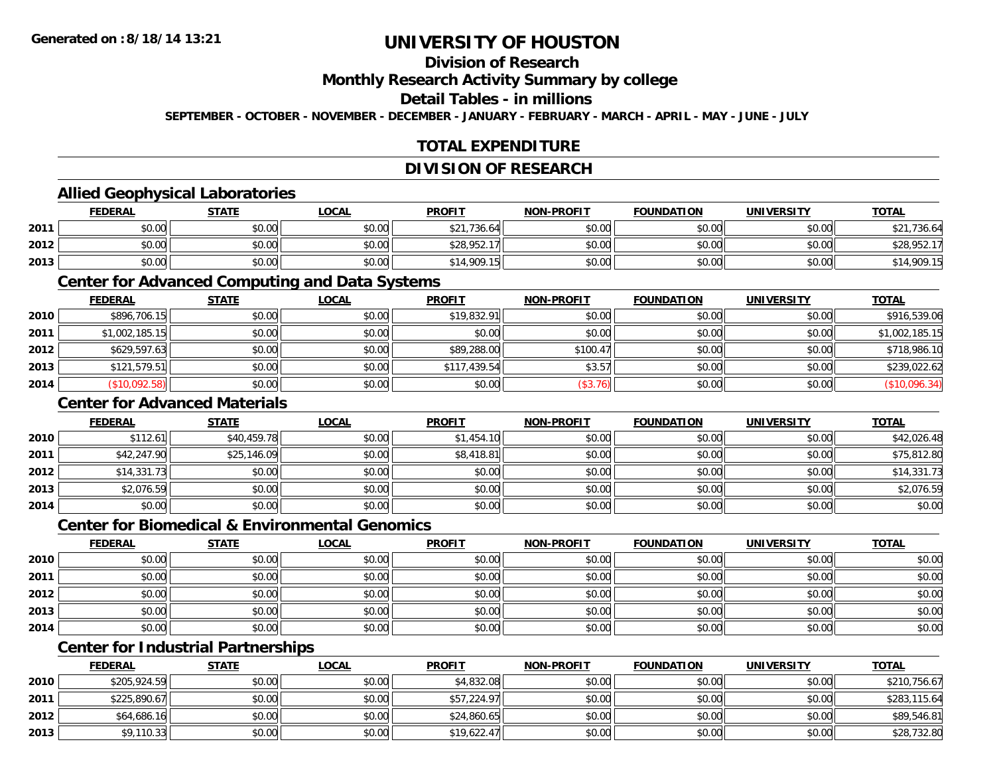# **Division of Research**

**Monthly Research Activity Summary by college**

**Detail Tables - in millions**

**SEPTEMBER - OCTOBER - NOVEMBER - DECEMBER - JANUARY - FEBRUARY - MARCH - APRIL - MAY - JUNE - JULY**

## **TOTAL EXPENDITURE**

#### **DIVISION OF RESEARCH**

### **Allied Geophysical Laboratories**

|      | <b>FEDERAL</b> | <b>STATE</b> | <b>LOCAL</b> | <b>PROFIT</b>   | <b>NON-PROFIT</b> | <b>FOUNDATION</b> | UNIVERSITY | <b>TOTAL</b> |
|------|----------------|--------------|--------------|-----------------|-------------------|-------------------|------------|--------------|
| 2011 | \$0.00         | \$0.00       | \$0.00       | ,736.64<br>\$21 | \$0.00            | \$0.00            | \$0.00     | \$21,736.64  |
| 2012 | \$0.00         | \$0.00       | \$0.00       | \$28,952.17     | \$0.00            | \$0.00            | \$0.00     | \$28,952.    |
| 2013 | \$0.00         | \$0.00       | \$0.00       | \$14,909.15     | \$0.00            | \$0.00            | \$0.00     | \$14,909.15  |

#### **Center for Advanced Computing and Data Systems**

|      | <b>FEDERAL</b> | <b>STATE</b> | <b>LOCAL</b> | <b>PROFIT</b> | <b>NON-PROFIT</b> | <b>FOUNDATION</b> | <b>UNIVERSITY</b> | <b>TOTAL</b>   |
|------|----------------|--------------|--------------|---------------|-------------------|-------------------|-------------------|----------------|
| 2010 | \$896,706.15   | \$0.00       | \$0.00       | \$19,832.91   | \$0.00            | \$0.00            | \$0.00            | \$916,539.06   |
| 2011 | \$1,002,185.15 | \$0.00       | \$0.00       | \$0.00        | \$0.00            | \$0.00            | \$0.00            | \$1,002,185.15 |
| 2012 | \$629,597.63   | \$0.00       | \$0.00       | \$89,288.00   | \$100.47          | \$0.00            | \$0.00            | \$718,986.10   |
| 2013 | \$121,579.51   | \$0.00       | \$0.00       | \$117,439.54  | \$3.57            | \$0.00            | \$0.00            | \$239,022.62   |
| 2014 | (\$10,092.58)  | \$0.00       | \$0.00       | \$0.00        | (\$3.76)          | \$0.00            | \$0.00            | (\$10,096.34)  |

### **Center for Advanced Materials**

|      | <b>FEDERAL</b> | <b>STATE</b> | <u>LOCAL</u> | <b>PROFIT</b> | <b>NON-PROFIT</b> | <b>FOUNDATION</b> | <b>UNIVERSITY</b> | <b>TOTAL</b> |
|------|----------------|--------------|--------------|---------------|-------------------|-------------------|-------------------|--------------|
| 2010 | \$112.61       | \$40,459.78  | \$0.00       | \$1,454.10    | \$0.00            | \$0.00            | \$0.00            | \$42,026.48  |
| 2011 | \$42,247.90    | \$25,146.09  | \$0.00       | \$8,418.81    | \$0.00            | \$0.00            | \$0.00            | \$75,812.80  |
| 2012 | \$14,331.73    | \$0.00       | \$0.00       | \$0.00        | \$0.00            | \$0.00            | \$0.00            | \$14,331.73  |
| 2013 | \$2,076.59     | \$0.00       | \$0.00       | \$0.00        | \$0.00            | \$0.00            | \$0.00            | \$2,076.59   |
| 2014 | \$0.00         | \$0.00       | \$0.00       | \$0.00        | \$0.00            | \$0.00            | \$0.00            | \$0.00       |

#### **Center for Biomedical & Environmental Genomics**

|      | <u>FEDERAL</u> | <b>STATE</b> | <b>LOCAL</b> | <b>PROFIT</b> | NON-PROFIT | <b>FOUNDATION</b> | <b>UNIVERSITY</b> | <b>TOTAL</b> |
|------|----------------|--------------|--------------|---------------|------------|-------------------|-------------------|--------------|
| 2010 | \$0.00         | \$0.00       | \$0.00       | \$0.00        | \$0.00     | \$0.00            | \$0.00            | \$0.00       |
| 2011 | \$0.00         | \$0.00       | \$0.00       | \$0.00        | \$0.00     | \$0.00            | \$0.00            | \$0.00       |
| 2012 | \$0.00         | \$0.00       | \$0.00       | \$0.00        | \$0.00     | \$0.00            | \$0.00            | \$0.00       |
| 2013 | \$0.00         | \$0.00       | \$0.00       | \$0.00        | \$0.00     | \$0.00            | \$0.00            | \$0.00       |
| 2014 | \$0.00         | \$0.00       | \$0.00       | \$0.00        | \$0.00     | \$0.00            | \$0.00            | \$0.00       |

# **Center for Industrial Partnerships**

|      | <u>FEDERAL</u> | <b>STATE</b> | <b>LOCAL</b> | <b>PROFIT</b> | <b>NON-PROFIT</b> | <b>FOUNDATION</b> | <b>UNIVERSITY</b> | <b>TOTAL</b> |
|------|----------------|--------------|--------------|---------------|-------------------|-------------------|-------------------|--------------|
| 2010 | \$205,924.59   | \$0.00       | \$0.00       | \$4,832.08    | \$0.00            | \$0.00            | \$0.00            | \$210,756.67 |
| 2011 | \$225,890.67   | \$0.00       | \$0.00       | \$57,224.97   | \$0.00            | \$0.00            | \$0.00            | \$283,115.64 |
| 2012 | \$64,686.16    | \$0.00       | \$0.00       | \$24,860.65   | \$0.00            | \$0.00            | \$0.00            | \$89,546.81  |
| 2013 | \$9,110.33     | \$0.00       | \$0.00       | \$19,622.47   | \$0.00            | \$0.00            | \$0.00            | \$28,732.80  |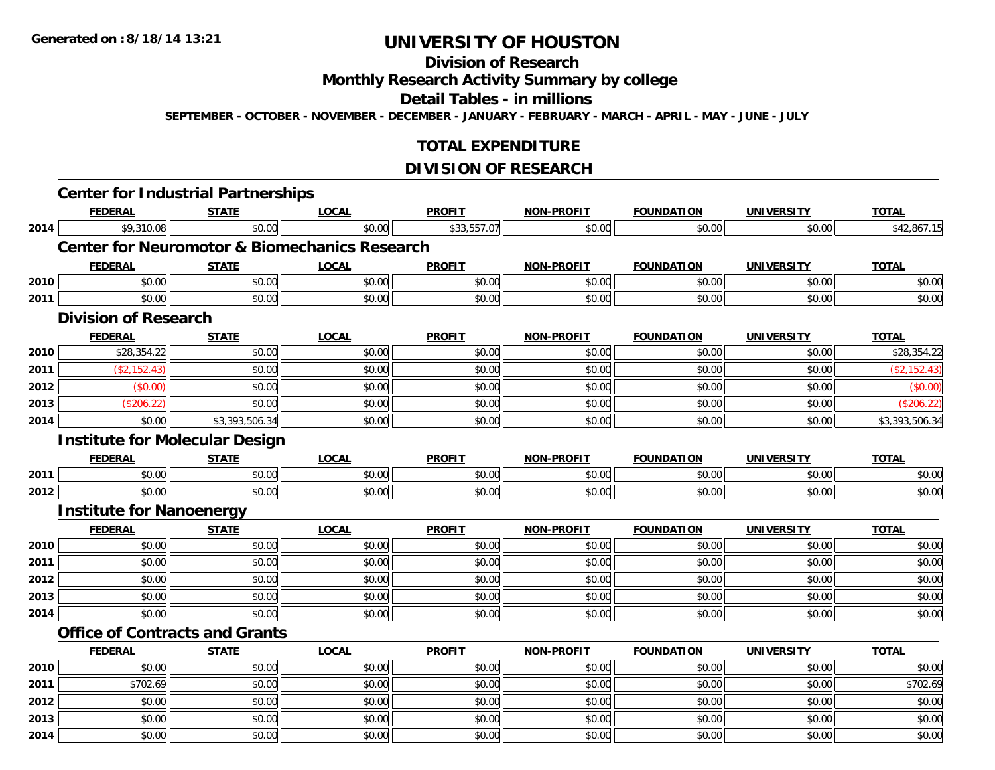**2014**

# **UNIVERSITY OF HOUSTON**

# **Division of Research**

**Monthly Research Activity Summary by college**

**Detail Tables - in millions**

**SEPTEMBER - OCTOBER - NOVEMBER - DECEMBER - JANUARY - FEBRUARY - MARCH - APRIL - MAY - JUNE - JULY**

## **TOTAL EXPENDITURE**

## **DIVISION OF RESEARCH**

|      | <b>Center for Industrial Partnerships</b> |                |                                                          |               |                   |                   |                   |                |
|------|-------------------------------------------|----------------|----------------------------------------------------------|---------------|-------------------|-------------------|-------------------|----------------|
|      | <b>FEDERAL</b>                            | <b>STATE</b>   | <b>LOCAL</b>                                             | <b>PROFIT</b> | <b>NON-PROFIT</b> | <b>FOUNDATION</b> | <b>UNIVERSITY</b> | <b>TOTAL</b>   |
| 2014 | \$9,310.08                                | \$0.00         | \$0.00                                                   | \$33,557.07   | \$0.00            | \$0.00            | \$0.00            | \$42,867.15    |
|      |                                           |                | <b>Center for Neuromotor &amp; Biomechanics Research</b> |               |                   |                   |                   |                |
|      | <b>FEDERAL</b>                            | <b>STATE</b>   | <b>LOCAL</b>                                             | <b>PROFIT</b> | <b>NON-PROFIT</b> | <b>FOUNDATION</b> | <b>UNIVERSITY</b> | <b>TOTAL</b>   |
| 2010 | \$0.00                                    | \$0.00         | \$0.00                                                   | \$0.00        | \$0.00            | \$0.00            | \$0.00            | \$0.00         |
| 2011 | \$0.00                                    | \$0.00         | \$0.00                                                   | \$0.00        | \$0.00            | \$0.00            | \$0.00            | \$0.00         |
|      | <b>Division of Research</b>               |                |                                                          |               |                   |                   |                   |                |
|      | <b>FEDERAL</b>                            | <b>STATE</b>   | <b>LOCAL</b>                                             | <b>PROFIT</b> | <b>NON-PROFIT</b> | <b>FOUNDATION</b> | <b>UNIVERSITY</b> | <b>TOTAL</b>   |
| 2010 | \$28,354.22                               | \$0.00         | \$0.00                                                   | \$0.00        | \$0.00            | \$0.00            | \$0.00            | \$28,354.22    |
| 2011 | (\$2,152.43)                              | \$0.00         | \$0.00                                                   | \$0.00        | \$0.00            | \$0.00            | \$0.00            | (\$2,152.43)   |
| 2012 | (\$0.00)                                  | \$0.00         | \$0.00                                                   | \$0.00        | \$0.00            | \$0.00            | \$0.00            | (\$0.00)       |
| 2013 | (\$206.22)                                | \$0.00         | \$0.00                                                   | \$0.00        | \$0.00            | \$0.00            | \$0.00            | (\$206.22)     |
| 2014 | \$0.00                                    | \$3,393,506.34 | \$0.00                                                   | \$0.00        | \$0.00            | \$0.00            | \$0.00            | \$3,393,506.34 |
|      | <b>Institute for Molecular Design</b>     |                |                                                          |               |                   |                   |                   |                |
|      | <b>FEDERAL</b>                            | <b>STATE</b>   | <b>LOCAL</b>                                             | <b>PROFIT</b> | <b>NON-PROFIT</b> | <b>FOUNDATION</b> | <b>UNIVERSITY</b> | <b>TOTAL</b>   |
| 2011 | \$0.00                                    | \$0.00         | \$0.00                                                   | \$0.00        | \$0.00            | \$0.00            | \$0.00            | \$0.00         |
| 2012 | \$0.00                                    | \$0.00         | \$0.00                                                   | \$0.00        | \$0.00            | \$0.00            | \$0.00            | \$0.00         |
|      | <b>Institute for Nanoenergy</b>           |                |                                                          |               |                   |                   |                   |                |
|      | <b>FEDERAL</b>                            | <b>STATE</b>   | <b>LOCAL</b>                                             | <b>PROFIT</b> | <b>NON-PROFIT</b> | <b>FOUNDATION</b> | <b>UNIVERSITY</b> | <b>TOTAL</b>   |
| 2010 | \$0.00                                    | \$0.00         | \$0.00                                                   | \$0.00        | \$0.00            | \$0.00            | \$0.00            | \$0.00         |
| 2011 | \$0.00                                    | \$0.00         | \$0.00                                                   | \$0.00        | \$0.00            | \$0.00            | \$0.00            | \$0.00         |
| 2012 | \$0.00                                    | \$0.00         | \$0.00                                                   | \$0.00        | \$0.00            | \$0.00            | \$0.00            | \$0.00         |
| 2013 | \$0.00                                    | \$0.00         | \$0.00                                                   | \$0.00        | \$0.00            | \$0.00            | \$0.00            | \$0.00         |
| 2014 | \$0.00                                    | \$0.00         | \$0.00                                                   | \$0.00        | \$0.00            | \$0.00            | \$0.00            | \$0.00         |
|      | <b>Office of Contracts and Grants</b>     |                |                                                          |               |                   |                   |                   |                |
|      | <b>FEDERAL</b>                            | <b>STATE</b>   | <b>LOCAL</b>                                             | <b>PROFIT</b> | <b>NON-PROFIT</b> | <b>FOUNDATION</b> | <b>UNIVERSITY</b> | <b>TOTAL</b>   |
| 2010 | \$0.00                                    | \$0.00         | \$0.00                                                   | \$0.00        | \$0.00            | \$0.00            | \$0.00            | \$0.00         |
| 2011 | \$702.69                                  | \$0.00         | \$0.00                                                   | \$0.00        | \$0.00            | \$0.00            | \$0.00            | \$702.69       |
| 2012 | \$0.00                                    | \$0.00         | \$0.00                                                   | \$0.00        | \$0.00            | \$0.00            | \$0.00            | \$0.00         |
| 2013 | \$0.00                                    | \$0.00         | \$0.00                                                   | \$0.00        | \$0.00            | \$0.00            | \$0.00            | \$0.00         |

4 \$0.00 \$0.00 \$0.00 \$0.00 \$0.00 \$0.00 \$0.00 \$0.00 \$0.00 \$0.00 \$0.00 \$0.00 \$0.00 \$0.00 \$0.00 \$0.00 \$0.00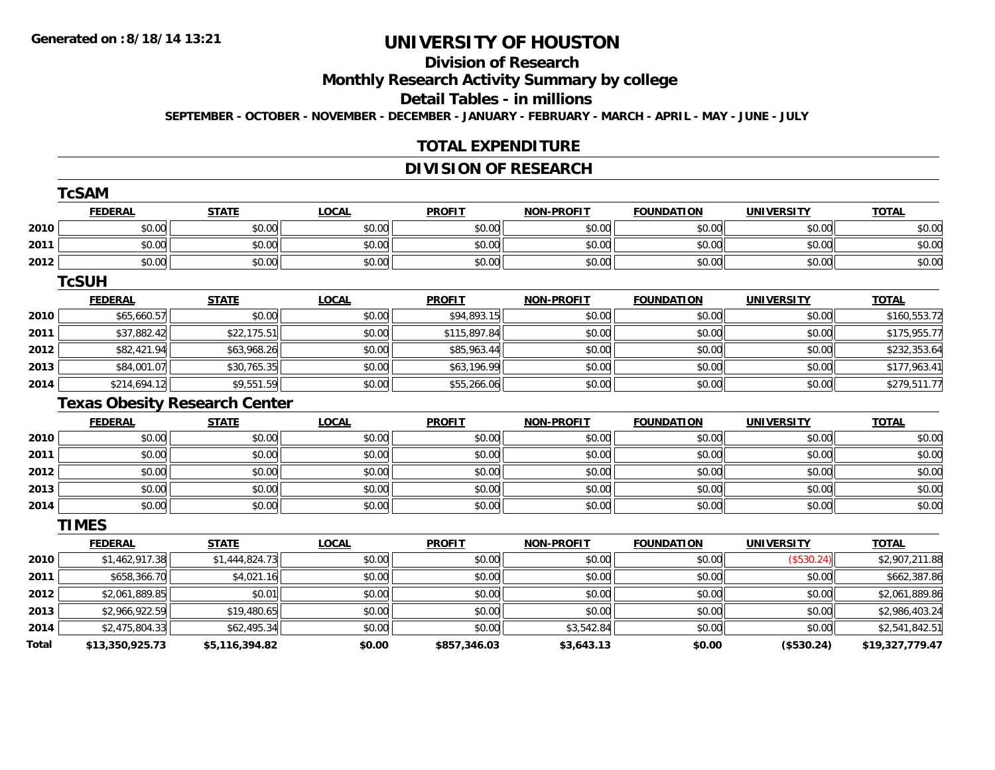# **Division of Research**

**Monthly Research Activity Summary by college**

**Detail Tables - in millions**

**SEPTEMBER - OCTOBER - NOVEMBER - DECEMBER - JANUARY - FEBRUARY - MARCH - APRIL - MAY - JUNE - JULY**

### **TOTAL EXPENDITURE**

## **DIVISION OF RESEARCH**

|       | <b>TcSAM</b>                         |                |              |               |                   |                   |                   |                 |  |  |  |
|-------|--------------------------------------|----------------|--------------|---------------|-------------------|-------------------|-------------------|-----------------|--|--|--|
|       | <b>FEDERAL</b>                       | <b>STATE</b>   | <b>LOCAL</b> | <b>PROFIT</b> | <b>NON-PROFIT</b> | <b>FOUNDATION</b> | <b>UNIVERSITY</b> | <b>TOTAL</b>    |  |  |  |
| 2010  | \$0.00                               | \$0.00         | \$0.00       | \$0.00        | \$0.00            | \$0.00            | \$0.00            | \$0.00          |  |  |  |
| 2011  | \$0.00                               | \$0.00         | \$0.00       | \$0.00        | \$0.00            | \$0.00            | \$0.00            | \$0.00          |  |  |  |
| 2012  | \$0.00                               | \$0.00         | \$0.00       | \$0.00        | \$0.00            | \$0.00            | \$0.00            | \$0.00          |  |  |  |
|       | <b>TcSUH</b>                         |                |              |               |                   |                   |                   |                 |  |  |  |
|       | <b>FEDERAL</b>                       | <b>STATE</b>   | <b>LOCAL</b> | <b>PROFIT</b> | <b>NON-PROFIT</b> | <b>FOUNDATION</b> | <b>UNIVERSITY</b> | <b>TOTAL</b>    |  |  |  |
| 2010  | \$65,660.57                          | \$0.00         | \$0.00       | \$94,893.15   | \$0.00            | \$0.00            | \$0.00            | \$160,553.72    |  |  |  |
| 2011  | \$37,882.42                          | \$22,175.51    | \$0.00       | \$115,897.84  | \$0.00            | \$0.00            | \$0.00            | \$175,955.77    |  |  |  |
| 2012  | \$82,421.94                          | \$63,968.26    | \$0.00       | \$85,963.44   | \$0.00            | \$0.00            | \$0.00            | \$232,353.64    |  |  |  |
| 2013  | \$84,001.07                          | \$30,765.35    | \$0.00       | \$63,196.99   | \$0.00            | \$0.00            | \$0.00            | \$177,963.41    |  |  |  |
| 2014  | \$214,694.12                         | \$9,551.59     | \$0.00       | \$55,266.06   | \$0.00            | \$0.00            | \$0.00            | \$279,511.77    |  |  |  |
|       | <b>Texas Obesity Research Center</b> |                |              |               |                   |                   |                   |                 |  |  |  |
|       | <b>FEDERAL</b>                       | <b>STATE</b>   | <b>LOCAL</b> | <b>PROFIT</b> | <b>NON-PROFIT</b> | <b>FOUNDATION</b> | <b>UNIVERSITY</b> | <b>TOTAL</b>    |  |  |  |
| 2010  | \$0.00                               | \$0.00         | \$0.00       | \$0.00        | \$0.00            | \$0.00            | \$0.00            | \$0.00          |  |  |  |
| 2011  | \$0.00                               | \$0.00         | \$0.00       | \$0.00        | \$0.00            | \$0.00            | \$0.00            | \$0.00          |  |  |  |
| 2012  | \$0.00                               | \$0.00         | \$0.00       | \$0.00        | \$0.00            | \$0.00            | \$0.00            | \$0.00          |  |  |  |
| 2013  | \$0.00                               | \$0.00         | \$0.00       | \$0.00        | \$0.00            | \$0.00            | \$0.00            | \$0.00          |  |  |  |
| 2014  | \$0.00                               | \$0.00         | \$0.00       | \$0.00        | \$0.00            | \$0.00            | \$0.00            | \$0.00          |  |  |  |
|       | <b>TIMES</b>                         |                |              |               |                   |                   |                   |                 |  |  |  |
|       | <b>FEDERAL</b>                       | <b>STATE</b>   | <b>LOCAL</b> | <b>PROFIT</b> | <b>NON-PROFIT</b> | <b>FOUNDATION</b> | <b>UNIVERSITY</b> | <b>TOTAL</b>    |  |  |  |
| 2010  | \$1,462,917.38                       | \$1,444,824.73 | \$0.00       | \$0.00        | \$0.00            | \$0.00            | (\$530.24)        | \$2,907,211.88  |  |  |  |
| 2011  | \$658,366.70                         | \$4,021.16     | \$0.00       | \$0.00        | \$0.00            | \$0.00            | \$0.00            | \$662,387.86    |  |  |  |
| 2012  | \$2,061,889.85                       | \$0.01         | \$0.00       | \$0.00        | \$0.00            | \$0.00            | \$0.00            | \$2,061,889.86  |  |  |  |
| 2013  | \$2,966,922.59                       | \$19,480.65    | \$0.00       | \$0.00        | \$0.00            | \$0.00            | \$0.00            | \$2,986,403.24  |  |  |  |
| 2014  | \$2,475,804.33                       | \$62,495.34    | \$0.00       | \$0.00        | \$3,542.84        | \$0.00            | \$0.00            | \$2,541,842.51  |  |  |  |
| Total | \$13,350,925.73                      | \$5,116,394.82 | \$0.00       | \$857,346.03  | \$3,643.13        | \$0.00            | (\$530.24)        | \$19,327,779.47 |  |  |  |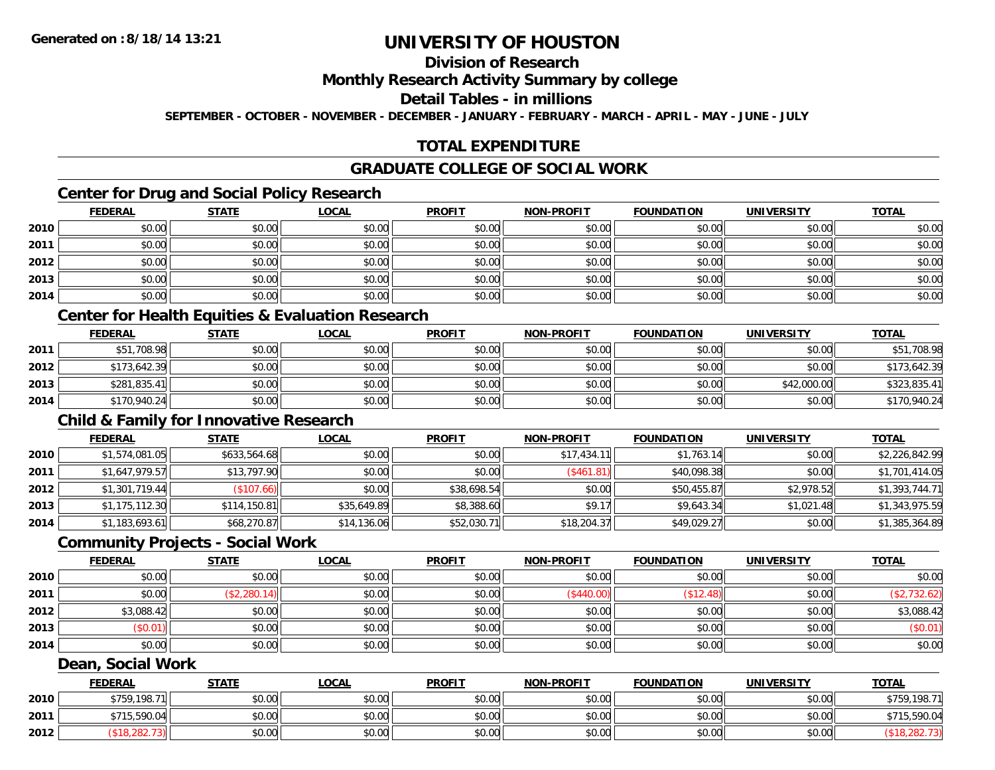# **Division of Research**

### **Monthly Research Activity Summary by college**

#### **Detail Tables - in millions**

**SEPTEMBER - OCTOBER - NOVEMBER - DECEMBER - JANUARY - FEBRUARY - MARCH - APRIL - MAY - JUNE - JULY**

## **TOTAL EXPENDITURE**

#### **GRADUATE COLLEGE OF SOCIAL WORK**

## **Center for Drug and Social Policy Research**

|      | <b>FEDERAL</b> | <b>STATE</b> | <b>LOCAL</b> | <b>PROFIT</b> | <b>NON-PROFIT</b> | <b>FOUNDATION</b> | <b>UNIVERSITY</b> | <b>TOTAL</b> |
|------|----------------|--------------|--------------|---------------|-------------------|-------------------|-------------------|--------------|
| 2010 | \$0.00         | \$0.00       | \$0.00       | \$0.00        | \$0.00            | \$0.00            | \$0.00            | \$0.00       |
| 2011 | \$0.00         | \$0.00       | \$0.00       | \$0.00        | \$0.00            | \$0.00            | \$0.00            | \$0.00       |
| 2012 | \$0.00         | \$0.00       | \$0.00       | \$0.00        | \$0.00            | \$0.00            | \$0.00            | \$0.00       |
| 2013 | \$0.00         | \$0.00       | \$0.00       | \$0.00        | \$0.00            | \$0.00            | \$0.00            | \$0.00       |
| 2014 | \$0.00         | \$0.00       | \$0.00       | \$0.00        | \$0.00            | \$0.00            | \$0.00            | \$0.00       |

# **Center for Health Equities & Evaluation Research**

|      | <b>FEDERAL</b> | <b>STATE</b> | <u>LOCAL</u> | <b>PROFIT</b> | <b>NON-PROFIT</b> | <b>FOUNDATION</b> | UNIVERSITY  | <b>TOTAL</b> |
|------|----------------|--------------|--------------|---------------|-------------------|-------------------|-------------|--------------|
| 2011 | \$51,708.98    | \$0.00       | \$0.00       | \$0.00        | \$0.00            | \$0.00            | \$0.00      | \$51,708.98  |
| 2012 | \$173,642.39   | \$0.00       | \$0.00       | \$0.00        | \$0.00            | \$0.00            | \$0.00      | \$173,642.39 |
| 2013 | \$281,835.41   | \$0.00       | \$0.00       | \$0.00        | \$0.00            | \$0.00            | \$42,000.00 | \$323,835.41 |
| 2014 | \$170,940.24   | \$0.00       | \$0.00       | \$0.00        | \$0.00            | \$0.00            | \$0.00      | \$170,940.24 |

### **Child & Family for Innovative Research**

|      | <b>FEDERAL</b> | <b>STATE</b> | <b>LOCAL</b> | <b>PROFIT</b> | <b>NON-PROFIT</b> | <b>FOUNDATION</b> | <b>UNIVERSITY</b> | <b>TOTAL</b>   |
|------|----------------|--------------|--------------|---------------|-------------------|-------------------|-------------------|----------------|
| 2010 | \$1,574,081.05 | \$633,564.68 | \$0.00       | \$0.00        | \$17,434.11       | \$1,763.14        | \$0.00            | \$2,226,842.99 |
| 2011 | \$1,647,979.57 | \$13,797.90  | \$0.00       | \$0.00        | (S461.81)         | \$40,098.38       | \$0.00            | \$1,701,414.05 |
| 2012 | \$1,301,719.44 | \$107.66     | \$0.00       | \$38,698.54   | \$0.00            | \$50,455.87       | \$2,978.52        | \$1,393,744.71 |
| 2013 | \$1,175,112.30 | \$114,150.81 | \$35,649.89  | \$8,388.60    | \$9.17            | \$9,643.34        | \$1,021.48        | \$1,343,975.59 |
| 2014 | \$1,183,693.61 | \$68,270.87  | \$14,136.06  | \$52,030.71   | \$18,204.37       | \$49,029.27       | \$0.00            | \$1,385,364.89 |

### **Community Projects - Social Work**

|      | <b>FEDERAL</b> | <b>STATE</b> | <b>LOCAL</b> | <b>PROFIT</b> | <b>NON-PROFIT</b> | <b>FOUNDATION</b> | <b>UNIVERSITY</b> | <b>TOTAL</b> |
|------|----------------|--------------|--------------|---------------|-------------------|-------------------|-------------------|--------------|
| 2010 | \$0.00         | \$0.00       | \$0.00       | \$0.00        | \$0.00            | \$0.00            | \$0.00            | \$0.00       |
| 2011 | \$0.00         | (\$2,280.14) | \$0.00       | \$0.00        | (\$440.00)        | \$12.48           | \$0.00            | \$2,732.62   |
| 2012 | \$3,088.42     | \$0.00       | \$0.00       | \$0.00        | \$0.00            | \$0.00            | \$0.00            | \$3,088.42   |
| 2013 | \$0.01)        | \$0.00       | \$0.00       | \$0.00        | \$0.00            | \$0.00            | \$0.00            | (\$0.01)     |
| 2014 | \$0.00         | \$0.00       | \$0.00       | \$0.00        | \$0.00            | \$0.00            | \$0.00            | \$0.00       |

### **Dean, Social Work**

|      | <b>FEDERAL</b>         | <b>STATE</b> | <u>LOCAL</u> | <b>PROFIT</b> | <b>NON-PROFIT</b> | <b>FOUNDATION</b> | UNIVERSITY | <b>TOTAL</b> |
|------|------------------------|--------------|--------------|---------------|-------------------|-------------------|------------|--------------|
| 2010 | \$759,198.71           | \$0.00       | \$0.00       | \$0.00        | \$0.00            | \$0.00            | \$0.00     | \$759,198.71 |
| 2011 | .590.04<br><b>¢715</b> | \$0.00       | \$0.00       | \$0.00        | \$0.00            | \$0.00            | \$0.00     | 40.00,c⊾     |
| 2012 |                        | \$0.00       | \$0.00       | \$0.00        | \$0.00            | \$0.00            | \$0.00     |              |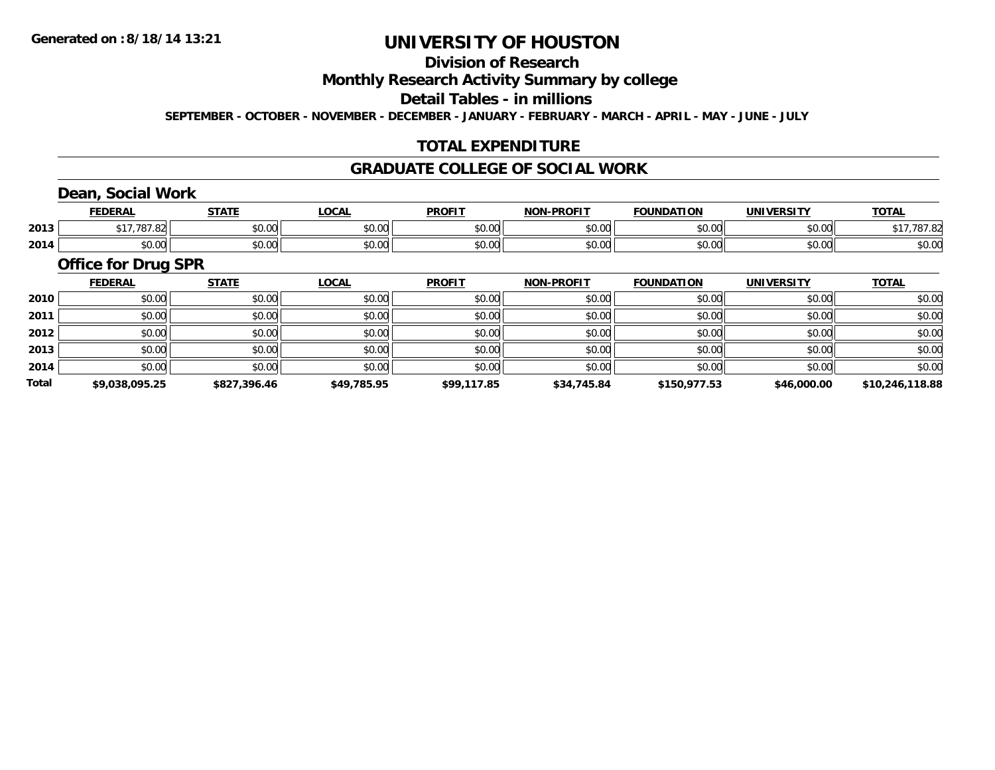## **Division of Research**

**Monthly Research Activity Summary by college**

**Detail Tables - in millions**

**SEPTEMBER - OCTOBER - NOVEMBER - DECEMBER - JANUARY - FEBRUARY - MARCH - APRIL - MAY - JUNE - JULY**

## **TOTAL EXPENDITURE**

#### **GRADUATE COLLEGE OF SOCIAL WORK**

## **Dean, Social Work**

|      | EENEDA<br>.                                                              | 27.77         | $\bigcap_{n}$<br>$\cdots$ | <b>DDOLIT</b>          | <b>DDAFIT</b><br><b>NON</b> | <b>FOUNDATION</b> | <b><i>INIVERSITY</i></b> | TOTA.                  |
|------|--------------------------------------------------------------------------|---------------|---------------------------|------------------------|-----------------------------|-------------------|--------------------------|------------------------|
| 2013 |                                                                          | 0000<br>JU.UU | JU.UU                     | 0 <sup>0</sup><br>JU.U | 0000<br>JU.UU               | 0000<br>JU.UU     | 0000<br>PU.UU            |                        |
| 2014 | $\begin{array}{c} \uparrow \\ \uparrow \\ \uparrow \end{array}$<br>JU.UU | 0000<br>JU.UU | JU.UU                     | 0000<br>งบ.บ           | 0000<br>JU.UU               | 0000<br>10.00     | 0.00<br>⊸∪.∪∪            | $\sim$ $\sim$<br>DU.UU |

### **Office for Drug SPR**

|              | <b>FEDERAL</b> | <b>STATE</b> | LOCAL       | <b>PROFIT</b> | <b>NON-PROFIT</b> | <b>FOUNDATION</b> | <b>UNIVERSITY</b> | <b>TOTAL</b>    |
|--------------|----------------|--------------|-------------|---------------|-------------------|-------------------|-------------------|-----------------|
| 2010         | \$0.00         | \$0.00       | \$0.00      | \$0.00        | \$0.00            | \$0.00            | \$0.00            | \$0.00          |
| 2011         | \$0.00         | \$0.00       | \$0.00      | \$0.00        | \$0.00            | \$0.00            | \$0.00            | \$0.00          |
| 2012         | \$0.00         | \$0.00       | \$0.00      | \$0.00        | \$0.00            | \$0.00            | \$0.00            | \$0.00          |
| 2013         | \$0.00         | \$0.00       | \$0.00      | \$0.00        | \$0.00            | \$0.00            | \$0.00            | \$0.00          |
| 2014         | \$0.00         | \$0.00       | \$0.00      | \$0.00        | \$0.00            | \$0.00            | \$0.00            | \$0.00          |
| <b>Total</b> | \$9,038,095.25 | \$827,396.46 | \$49,785.95 | \$99,117.85   | \$34,745.84       | \$150,977.53      | \$46,000.00       | \$10,246,118.88 |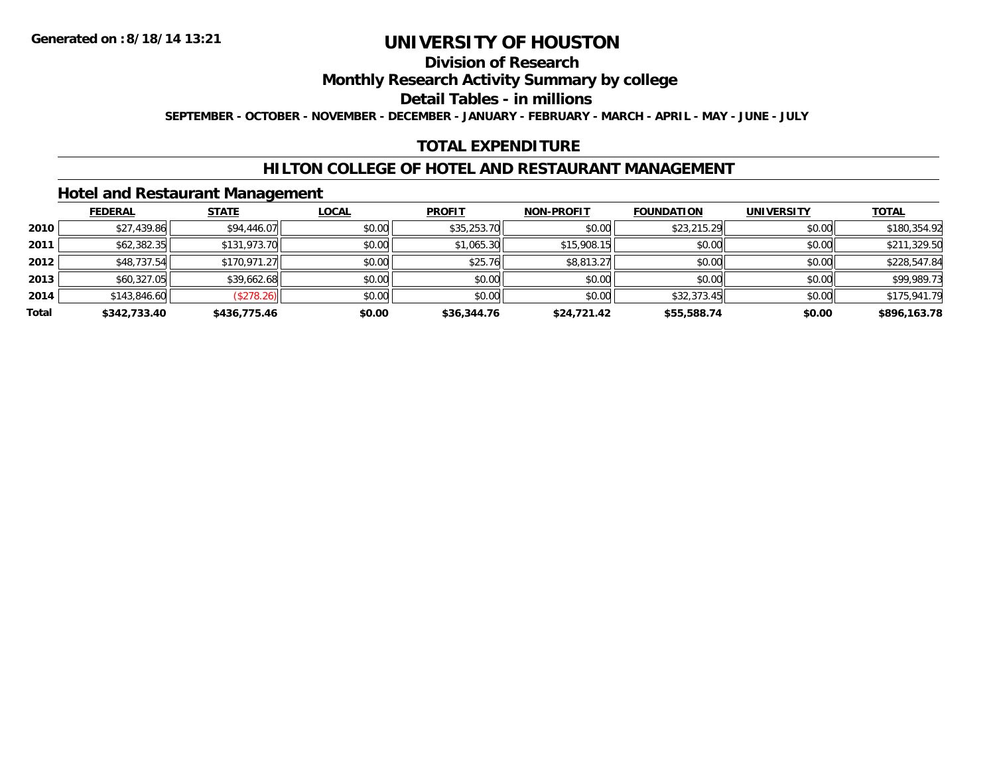### **Division of Research**

**Monthly Research Activity Summary by college**

**Detail Tables - in millions**

**SEPTEMBER - OCTOBER - NOVEMBER - DECEMBER - JANUARY - FEBRUARY - MARCH - APRIL - MAY - JUNE - JULY**

## **TOTAL EXPENDITURE**

### **HILTON COLLEGE OF HOTEL AND RESTAURANT MANAGEMENT**

### **Hotel and Restaurant Management**

|       | <b>FEDERAL</b> | <b>STATE</b> | <u>LOCAL</u> | <b>PROFIT</b> | <b>NON-PROFIT</b> | <b>FOUNDATION</b> | <b>UNIVERSITY</b> | <b>TOTAL</b> |
|-------|----------------|--------------|--------------|---------------|-------------------|-------------------|-------------------|--------------|
| 2010  | \$27,439.86    | \$94,446.07  | \$0.00       | \$35,253.70   | \$0.00            | \$23,215.29       | \$0.00            | \$180,354.92 |
| 2011  | \$62,382.35    | \$131,973.70 | \$0.00       | \$1,065.30    | \$15,908.15       | \$0.00            | \$0.00            | \$211,329.50 |
| 2012  | \$48,737.54    | \$170,971.27 | \$0.00       | \$25.76       | \$8,813.27        | \$0.00            | \$0.00            | \$228,547.84 |
| 2013  | \$60,327.05    | \$39,662.68  | \$0.00       | \$0.00        | \$0.00            | \$0.00            | \$0.00            | \$99,989.73  |
| 2014  | \$143,846.60   | (\$278.26)   | \$0.00       | \$0.00        | \$0.00            | \$32,373.45       | \$0.00            | \$175,941.79 |
| Total | \$342,733.40   | \$436,775.46 | \$0.00       | \$36,344.76   | \$24,721.42       | \$55,588.74       | \$0.00            | \$896,163.78 |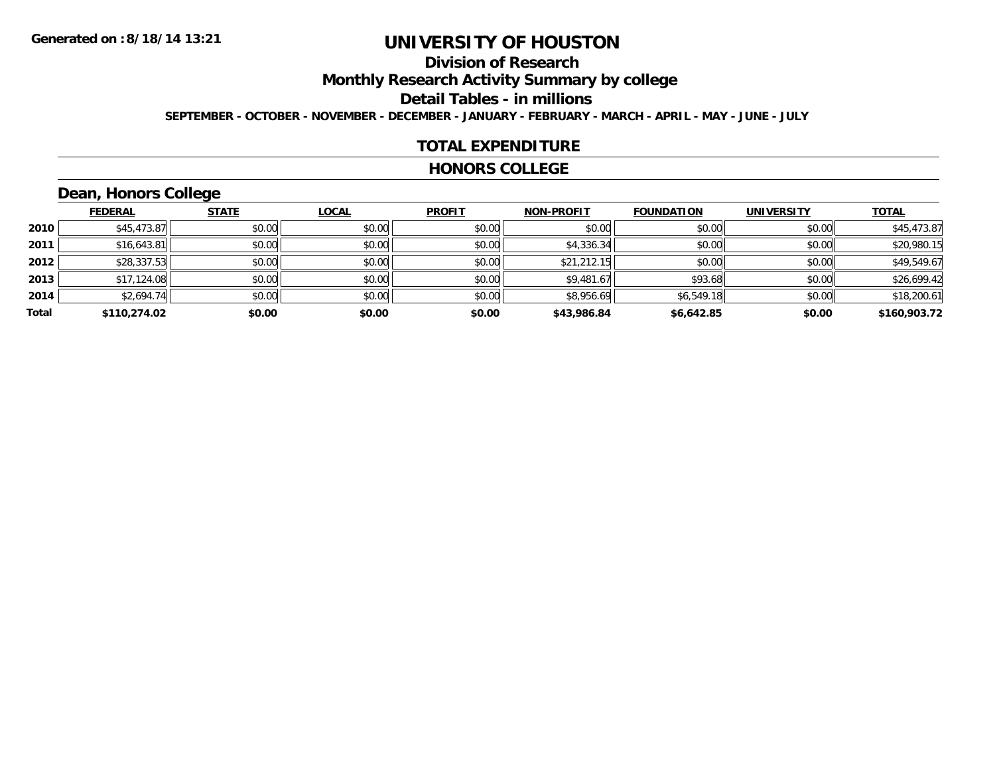# **Division of Research**

**Monthly Research Activity Summary by college**

**Detail Tables - in millions**

**SEPTEMBER - OCTOBER - NOVEMBER - DECEMBER - JANUARY - FEBRUARY - MARCH - APRIL - MAY - JUNE - JULY**

#### **TOTAL EXPENDITURE**

#### **HONORS COLLEGE**

# **Dean, Honors College**

|       | <b>FEDERAL</b> | <b>STATE</b> | <b>LOCAL</b> | <b>PROFIT</b> | <b>NON-PROFIT</b> | <b>FOUNDATION</b> | <b>UNIVERSITY</b> | <b>TOTAL</b> |
|-------|----------------|--------------|--------------|---------------|-------------------|-------------------|-------------------|--------------|
| 2010  | \$45,473.87    | \$0.00       | \$0.00       | \$0.00        | \$0.00            | \$0.00            | \$0.00            | \$45,473.87  |
| 2011  | \$16,643.81    | \$0.00       | \$0.00       | \$0.00        | \$4,336.34        | \$0.00            | \$0.00            | \$20,980.15  |
| 2012  | \$28,337.53    | \$0.00       | \$0.00       | \$0.00        | \$21,212.15       | \$0.00            | \$0.00            | \$49,549.67  |
| 2013  | \$17,124.08    | \$0.00       | \$0.00       | \$0.00        | \$9,481.67        | \$93.68           | \$0.00            | \$26,699.42  |
| 2014  | \$2,694.74     | \$0.00       | \$0.00       | \$0.00        | \$8,956.69        | \$6,549.18        | \$0.00            | \$18,200.61  |
| Total | \$110,274.02   | \$0.00       | \$0.00       | \$0.00        | \$43,986.84       | \$6,642.85        | \$0.00            | \$160,903.72 |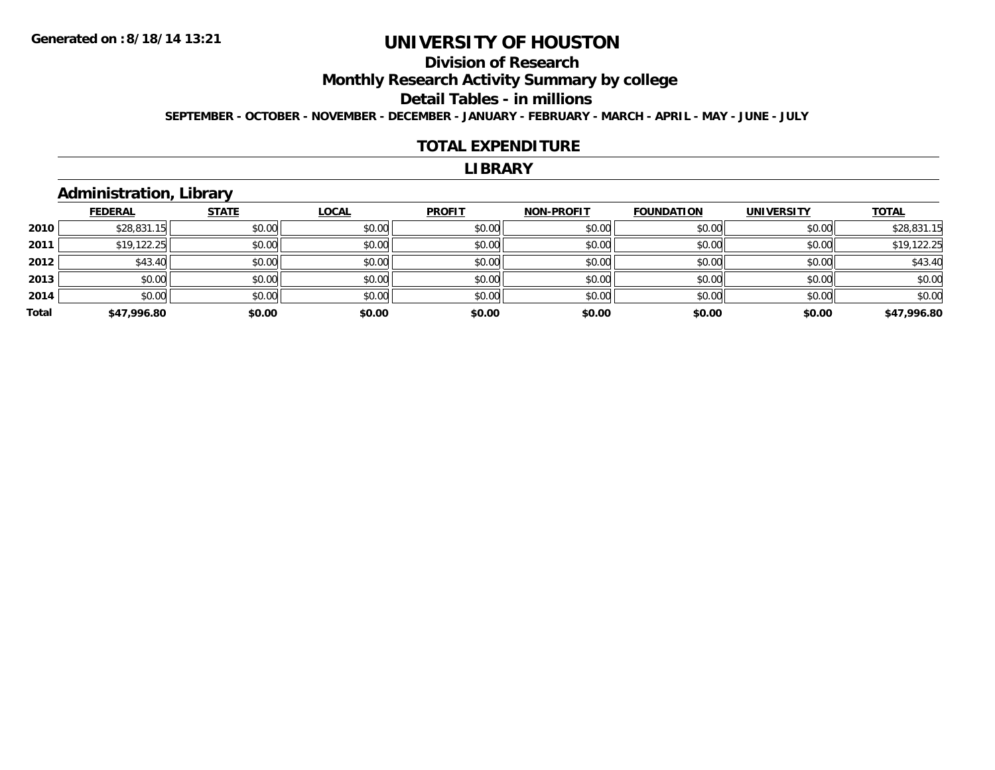# **Division of Research**

**Monthly Research Activity Summary by college**

**Detail Tables - in millions**

**SEPTEMBER - OCTOBER - NOVEMBER - DECEMBER - JANUARY - FEBRUARY - MARCH - APRIL - MAY - JUNE - JULY**

#### **TOTAL EXPENDITURE**

#### **LIBRARY**

### **Administration, Library**

|       | <b>FEDERAL</b> | <b>STATE</b> | <b>LOCAL</b> | <b>PROFIT</b> | <b>NON-PROFIT</b> | <b>FOUNDATION</b> | <b>UNIVERSITY</b> | <b>TOTAL</b> |
|-------|----------------|--------------|--------------|---------------|-------------------|-------------------|-------------------|--------------|
| 2010  | \$28,831.15    | \$0.00       | \$0.00       | \$0.00        | \$0.00            | \$0.00            | \$0.00            | \$28,831.15  |
| 2011  | \$19,122.25    | \$0.00       | \$0.00       | \$0.00        | \$0.00            | \$0.00            | \$0.00            | \$19,122.25  |
| 2012  | \$43.40        | \$0.00       | \$0.00       | \$0.00        | \$0.00            | \$0.00            | \$0.00            | \$43.40      |
| 2013  | \$0.00         | \$0.00       | \$0.00       | \$0.00        | \$0.00            | \$0.00            | \$0.00            | \$0.00       |
| 2014  | \$0.00         | \$0.00       | \$0.00       | \$0.00        | \$0.00            | \$0.00            | \$0.00            | \$0.00       |
| Total | \$47,996.80    | \$0.00       | \$0.00       | \$0.00        | \$0.00            | \$0.00            | \$0.00            | \$47,996.80  |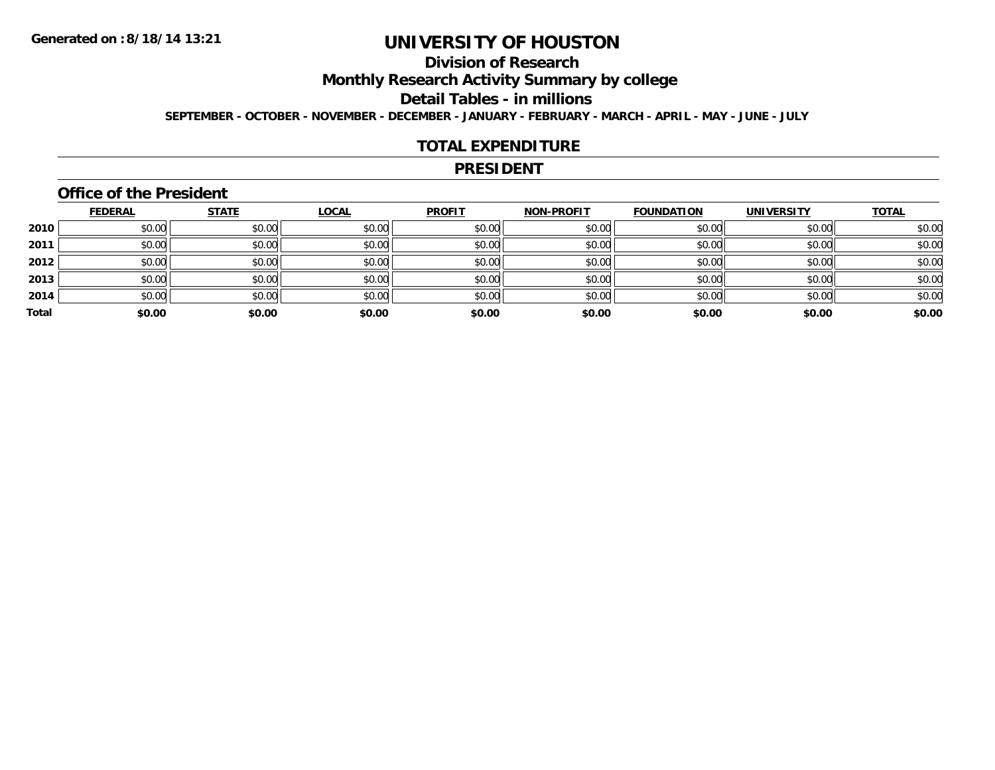# **Division of Research**

**Monthly Research Activity Summary by college**

**Detail Tables - in millions**

**SEPTEMBER - OCTOBER - NOVEMBER - DECEMBER - JANUARY - FEBRUARY - MARCH - APRIL - MAY - JUNE - JULY**

#### **TOTAL EXPENDITURE**

#### **PRESIDENT**

### **Office of the President**

|       | <b>FEDERAL</b> | <b>STATE</b> | <b>LOCAL</b> | <b>PROFIT</b> | <b>NON-PROFIT</b> | <b>FOUNDATION</b> | <b>UNIVERSITY</b> | <b>TOTAL</b> |
|-------|----------------|--------------|--------------|---------------|-------------------|-------------------|-------------------|--------------|
| 2010  | \$0.00         | \$0.00       | \$0.00       | \$0.00        | \$0.00            | \$0.00            | \$0.00            | \$0.00       |
| 2011  | \$0.00         | \$0.00       | \$0.00       | \$0.00        | \$0.00            | \$0.00            | \$0.00            | \$0.00       |
| 2012  | \$0.00         | \$0.00       | \$0.00       | \$0.00        | \$0.00            | \$0.00            | \$0.00            | \$0.00       |
| 2013  | \$0.00         | \$0.00       | \$0.00       | \$0.00        | \$0.00            | \$0.00            | \$0.00            | \$0.00       |
| 2014  | \$0.00         | \$0.00       | \$0.00       | \$0.00        | \$0.00            | \$0.00            | \$0.00            | \$0.00       |
| Total | \$0.00         | \$0.00       | \$0.00       | \$0.00        | \$0.00            | \$0.00            | \$0.00            | \$0.00       |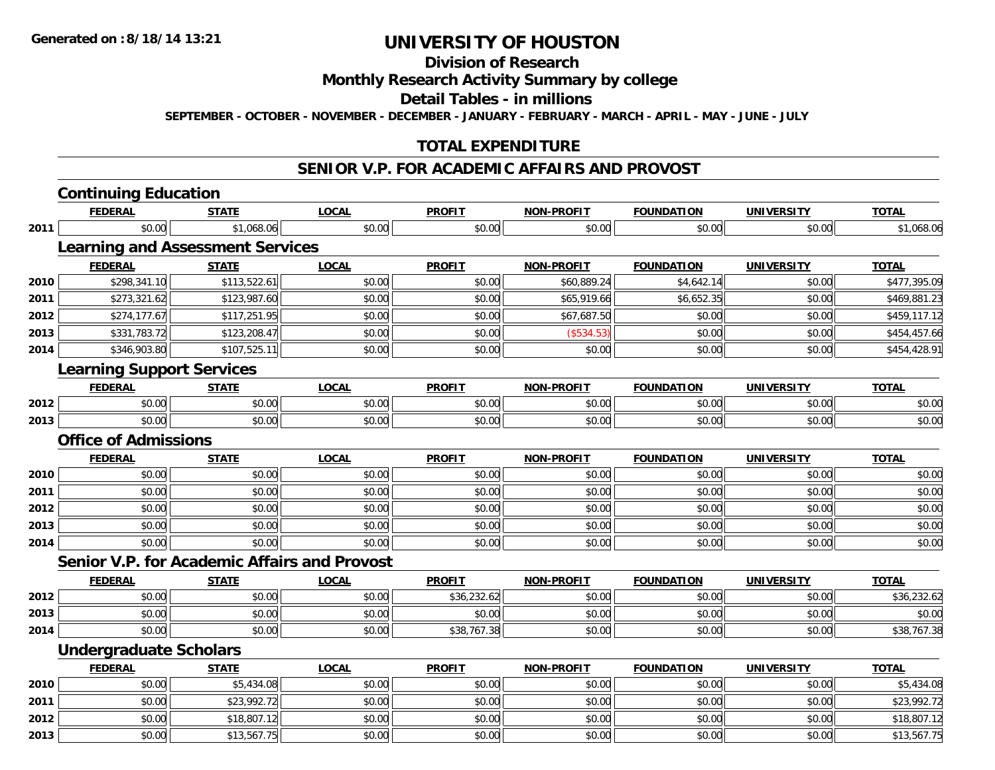**Division of Research**

**Monthly Research Activity Summary by college**

**Detail Tables - in millions**

**SEPTEMBER - OCTOBER - NOVEMBER - DECEMBER - JANUARY - FEBRUARY - MARCH - APRIL - MAY - JUNE - JULY**

## **TOTAL EXPENDITURE**

#### **SENIOR V.P. FOR ACADEMIC AFFAIRS AND PROVOST**

|      | <b>Continuing Education</b>                         |              |              |               |                   |                   |                   |              |
|------|-----------------------------------------------------|--------------|--------------|---------------|-------------------|-------------------|-------------------|--------------|
|      | <b>FEDERAL</b>                                      | <b>STATE</b> | <b>LOCAL</b> | <b>PROFIT</b> | <b>NON-PROFIT</b> | <b>FOUNDATION</b> | <b>UNIVERSITY</b> | <b>TOTAL</b> |
| 2011 | \$0.00                                              | \$1,068.06   | \$0.00       | \$0.00        | \$0.00            | \$0.00            | \$0.00            | \$1,068.06   |
|      | <b>Learning and Assessment Services</b>             |              |              |               |                   |                   |                   |              |
|      | <b>FEDERAL</b>                                      | <b>STATE</b> | <b>LOCAL</b> | <b>PROFIT</b> | <b>NON-PROFIT</b> | <b>FOUNDATION</b> | <b>UNIVERSITY</b> | <b>TOTAL</b> |
| 2010 | \$298,341.10                                        | \$113,522.61 | \$0.00       | \$0.00        | \$60,889.24       | \$4,642.14        | \$0.00            | \$477,395.09 |
| 2011 | \$273,321.62                                        | \$123,987.60 | \$0.00       | \$0.00        | \$65,919.66       | \$6,652.35        | \$0.00            | \$469,881.23 |
| 2012 | \$274,177.67                                        | \$117,251.95 | \$0.00       | \$0.00        | \$67,687.50       | \$0.00            | \$0.00            | \$459,117.12 |
| 2013 | \$331,783.72                                        | \$123,208.47 | \$0.00       | \$0.00        | (\$534.53)        | \$0.00            | \$0.00            | \$454,457.66 |
| 2014 | \$346,903.80                                        | \$107,525.11 | \$0.00       | \$0.00        | \$0.00            | \$0.00            | \$0.00            | \$454,428.91 |
|      | <b>Learning Support Services</b>                    |              |              |               |                   |                   |                   |              |
|      | <b>FEDERAL</b>                                      | <b>STATE</b> | <b>LOCAL</b> | <b>PROFIT</b> | <b>NON-PROFIT</b> | <b>FOUNDATION</b> | <b>UNIVERSITY</b> | <b>TOTAL</b> |
| 2012 | \$0.00                                              | \$0.00       | \$0.00       | \$0.00        | \$0.00            | \$0.00            | \$0.00            | \$0.00       |
| 2013 | \$0.00                                              | \$0.00       | \$0.00       | \$0.00        | \$0.00            | \$0.00            | \$0.00            | \$0.00       |
|      | <b>Office of Admissions</b>                         |              |              |               |                   |                   |                   |              |
|      | <b>FEDERAL</b>                                      | <b>STATE</b> | <b>LOCAL</b> | <b>PROFIT</b> | <b>NON-PROFIT</b> | <b>FOUNDATION</b> | <b>UNIVERSITY</b> | <b>TOTAL</b> |
| 2010 | \$0.00                                              | \$0.00       | \$0.00       | \$0.00        | \$0.00            | \$0.00            | \$0.00            | \$0.00       |
| 2011 | \$0.00                                              | \$0.00       | \$0.00       | \$0.00        | \$0.00            | \$0.00            | \$0.00            | \$0.00       |
| 2012 | \$0.00                                              | \$0.00       | \$0.00       | \$0.00        | \$0.00            | \$0.00            | \$0.00            | \$0.00       |
| 2013 | \$0.00                                              | \$0.00       | \$0.00       | \$0.00        | \$0.00            | \$0.00            | \$0.00            | \$0.00       |
| 2014 | \$0.00                                              | \$0.00       | \$0.00       | \$0.00        | \$0.00            | \$0.00            | \$0.00            | \$0.00       |
|      | <b>Senior V.P. for Academic Affairs and Provost</b> |              |              |               |                   |                   |                   |              |
|      | <b>FEDERAL</b>                                      | <b>STATE</b> | <b>LOCAL</b> | <b>PROFIT</b> | <b>NON-PROFIT</b> | <b>FOUNDATION</b> | <b>UNIVERSITY</b> | <b>TOTAL</b> |
| 2012 | \$0.00                                              | \$0.00       | \$0.00       | \$36,232.62   | \$0.00            | \$0.00            | \$0.00            | \$36,232.62  |
| 2013 | \$0.00                                              | \$0.00       | \$0.00       | \$0.00        | \$0.00            | \$0.00            | \$0.00            | \$0.00       |
| 2014 | \$0.00                                              | \$0.00       | \$0.00       | \$38,767.38   | \$0.00            | \$0.00            | \$0.00            | \$38,767.38  |
|      | <b>Undergraduate Scholars</b>                       |              |              |               |                   |                   |                   |              |
|      | <b>FEDERAL</b>                                      | <b>STATE</b> | <b>LOCAL</b> | <b>PROFIT</b> | <b>NON-PROFIT</b> | <b>FOUNDATION</b> | <b>UNIVERSITY</b> | <u>TOTAL</u> |
| 2010 | \$0.00                                              | \$5,434.08   | \$0.00       | \$0.00        | \$0.00            | \$0.00            | \$0.00            | \$5,434.08   |
| 2011 | \$0.00                                              | \$23,992.72  | \$0.00       | \$0.00        | \$0.00            | \$0.00            | \$0.00            | \$23,992.72  |
| 2012 | \$0.00                                              | \$18,807.12  | \$0.00       | \$0.00        | \$0.00            | \$0.00            | \$0.00            | \$18,807.12  |
| 2013 | \$0.00                                              | \$13,567.75  | \$0.00       | \$0.00        | \$0.00            | \$0.00            | \$0.00            | \$13,567.75  |
|      |                                                     |              |              |               |                   |                   |                   |              |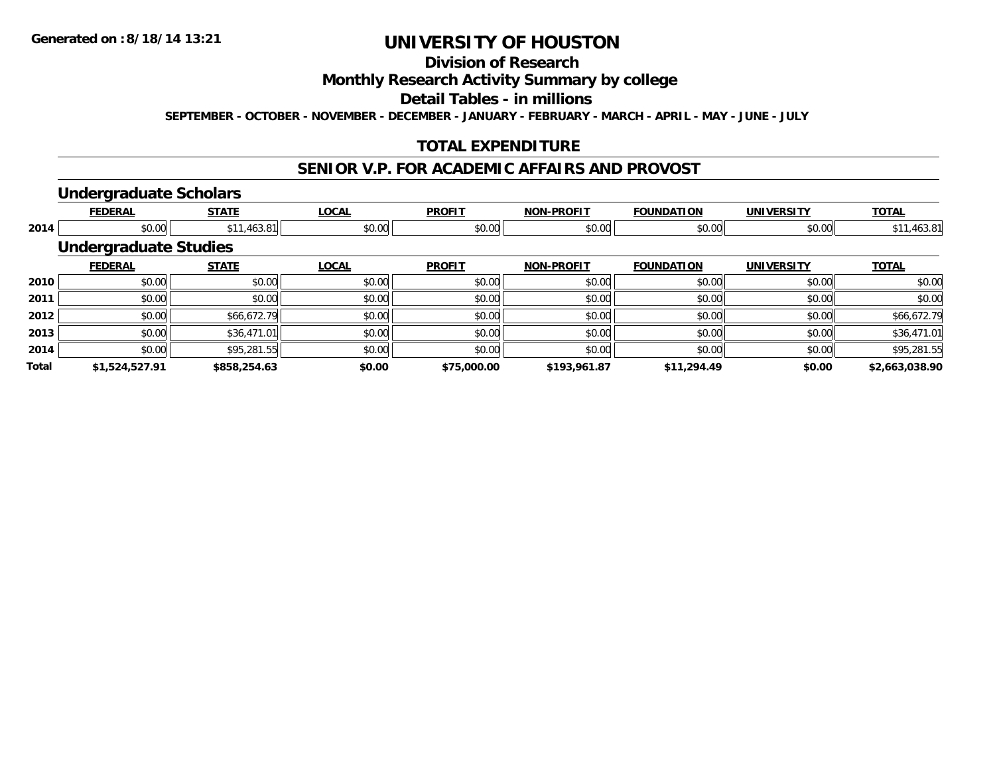# **Division of Research**

### **Monthly Research Activity Summary by college**

#### **Detail Tables - in millions**

**SEPTEMBER - OCTOBER - NOVEMBER - DECEMBER - JANUARY - FEBRUARY - MARCH - APRIL - MAY - JUNE - JULY**

## **TOTAL EXPENDITURE**

#### **SENIOR V.P. FOR ACADEMIC AFFAIRS AND PROVOST**

#### **Undergraduate Scholars**

|              | <b>FEDERAL</b>               | <b>STATE</b> | <b>LOCAL</b> | <b>PROFIT</b> | <b>NON-PROFIT</b> | <b>FOUNDATION</b> | <b>UNIVERSITY</b> | <b>TOTAL</b>   |
|--------------|------------------------------|--------------|--------------|---------------|-------------------|-------------------|-------------------|----------------|
| 2014         | \$0.00                       | \$11,463.81  | \$0.00       | \$0.00        | \$0.00            | \$0.00            | \$0.00            | \$11,463.81    |
|              | <b>Undergraduate Studies</b> |              |              |               |                   |                   |                   |                |
|              | <b>FEDERAL</b>               | <b>STATE</b> | <b>LOCAL</b> | <b>PROFIT</b> | <b>NON-PROFIT</b> | <b>FOUNDATION</b> | <b>UNIVERSITY</b> | <b>TOTAL</b>   |
| 2010         | \$0.00                       | \$0.00       | \$0.00       | \$0.00        | \$0.00            | \$0.00            | \$0.00            | \$0.00         |
| 2011         | \$0.00                       | \$0.00       | \$0.00       | \$0.00        | \$0.00            | \$0.00            | \$0.00            | \$0.00         |
| 2012         | \$0.00                       | \$66,672.79  | \$0.00       | \$0.00        | \$0.00            | \$0.00            | \$0.00            | \$66,672.79    |
| 2013         | \$0.00                       | \$36,471.01  | \$0.00       | \$0.00        | \$0.00            | \$0.00            | \$0.00            | \$36,471.01    |
| 2014         | \$0.00                       | \$95,281.55  | \$0.00       | \$0.00        | \$0.00            | \$0.00            | \$0.00            | \$95,281.55    |
| <b>Total</b> | \$1,524,527.91               | \$858,254.63 | \$0.00       | \$75,000.00   | \$193,961.87      | \$11,294.49       | \$0.00            | \$2,663,038.90 |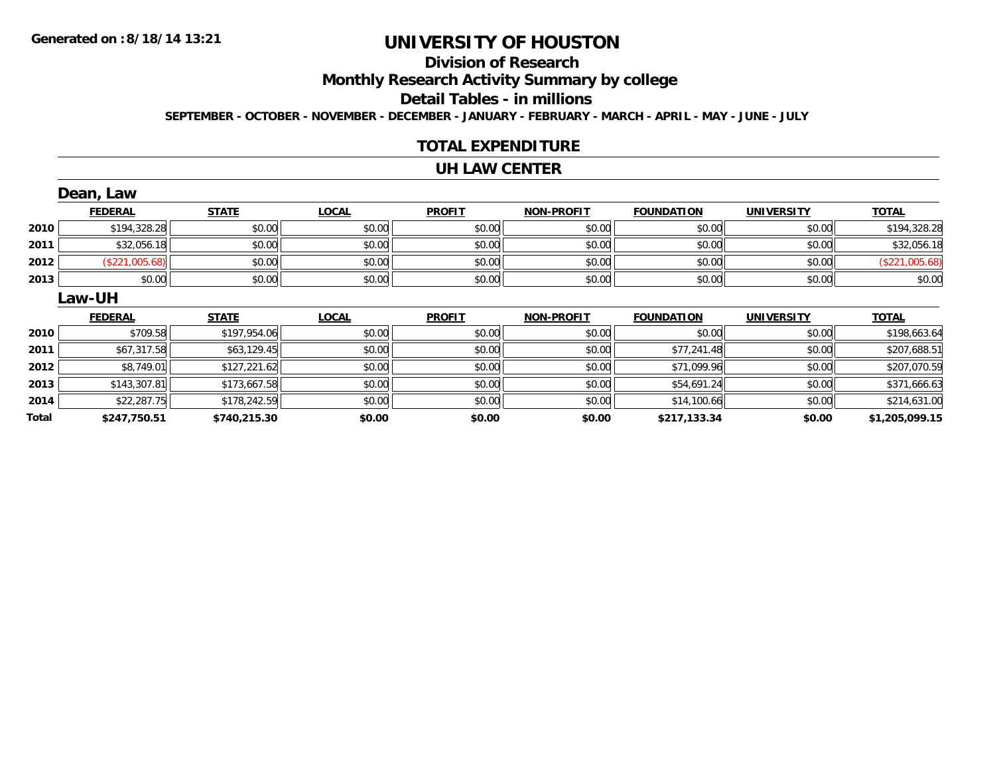# **Division of Research**

**Monthly Research Activity Summary by college**

**Detail Tables - in millions**

**SEPTEMBER - OCTOBER - NOVEMBER - DECEMBER - JANUARY - FEBRUARY - MARCH - APRIL - MAY - JUNE - JULY**

### **TOTAL EXPENDITURE**

#### **UH LAW CENTER**

|      | Dean, Law      |              |              |               |                   |                   |                   |                |  |  |
|------|----------------|--------------|--------------|---------------|-------------------|-------------------|-------------------|----------------|--|--|
|      | <b>FEDERAL</b> | <b>STATE</b> | <b>LOCAL</b> | <b>PROFIT</b> | <b>NON-PROFIT</b> | <b>FOUNDATION</b> | <b>UNIVERSITY</b> | <b>TOTAL</b>   |  |  |
| 2010 | \$194,328.28   | \$0.00       | \$0.00       | \$0.00        | \$0.00            | \$0.00            | \$0.00            | \$194,328.28   |  |  |
| 2011 | \$32,056.18    | \$0.00       | \$0.00       | \$0.00        | \$0.00            | \$0.00            | \$0.00            | \$32,056.18    |  |  |
| 2012 | (\$221,005.68) | \$0.00       | \$0.00       | \$0.00        | \$0.00            | \$0.00            | \$0.00            | (\$221,005.68) |  |  |
| 2013 | \$0.00         | \$0.00       | \$0.00       | \$0.00        | \$0.00            | \$0.00            | \$0.00            | \$0.00         |  |  |
|      | Law-UH         |              |              |               |                   |                   |                   |                |  |  |
|      |                |              |              |               |                   |                   |                   |                |  |  |
|      | <b>FEDERAL</b> | <b>STATE</b> | <b>LOCAL</b> | <b>PROFIT</b> | <b>NON-PROFIT</b> | <b>FOUNDATION</b> | <b>UNIVERSITY</b> | <b>TOTAL</b>   |  |  |
| 2010 | \$709.58       | \$197,954.06 | \$0.00       | \$0.00        | \$0.00            | \$0.00            | \$0.00            | \$198,663.64   |  |  |
| 2011 | \$67,317.58    | \$63,129.45  | \$0.00       | \$0.00        | \$0.00            | \$77,241.48       | \$0.00            | \$207,688.51   |  |  |
| 2012 | \$8,749.01     | \$127,221.62 | \$0.00       | \$0.00        | \$0.00            | \$71,099.96       | \$0.00            | \$207,070.59   |  |  |
| 2013 | \$143,307.81   | \$173,667.58 | \$0.00       | \$0.00        | \$0.00            | \$54,691.24       | \$0.00            | \$371,666.63   |  |  |
| 2014 | \$22,287.75    | \$178,242.59 | \$0.00       | \$0.00        | \$0.00            | \$14,100.66       | \$0.00            | \$214,631.00   |  |  |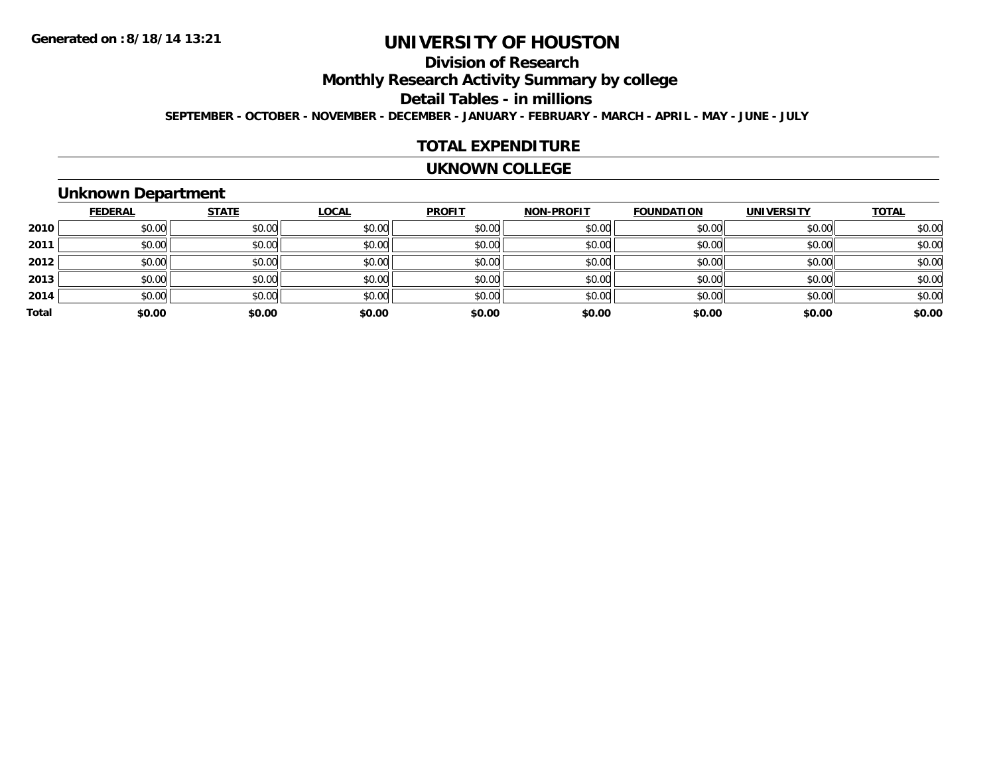# **Division of Research**

**Monthly Research Activity Summary by college**

**Detail Tables - in millions**

**SEPTEMBER - OCTOBER - NOVEMBER - DECEMBER - JANUARY - FEBRUARY - MARCH - APRIL - MAY - JUNE - JULY**

#### **TOTAL EXPENDITURE**

#### **UKNOWN COLLEGE**

### **Unknown Department**

|       | <b>FEDERAL</b> | <b>STATE</b> | <b>LOCAL</b> | <b>PROFIT</b> | <b>NON-PROFIT</b> | <b>FOUNDATION</b> | <b>UNIVERSITY</b> | <b>TOTAL</b> |
|-------|----------------|--------------|--------------|---------------|-------------------|-------------------|-------------------|--------------|
| 2010  | \$0.00         | \$0.00       | \$0.00       | \$0.00        | \$0.00            | \$0.00            | \$0.00            | \$0.00       |
| 2011  | \$0.00         | \$0.00       | \$0.00       | \$0.00        | \$0.00            | \$0.00            | \$0.00            | \$0.00       |
| 2012  | \$0.00         | \$0.00       | \$0.00       | \$0.00        | \$0.00            | \$0.00            | \$0.00            | \$0.00       |
| 2013  | \$0.00         | \$0.00       | \$0.00       | \$0.00        | \$0.00            | \$0.00            | \$0.00            | \$0.00       |
| 2014  | \$0.00         | \$0.00       | \$0.00       | \$0.00        | \$0.00            | \$0.00            | \$0.00            | \$0.00       |
| Total | \$0.00         | \$0.00       | \$0.00       | \$0.00        | \$0.00            | \$0.00            | \$0.00            | \$0.00       |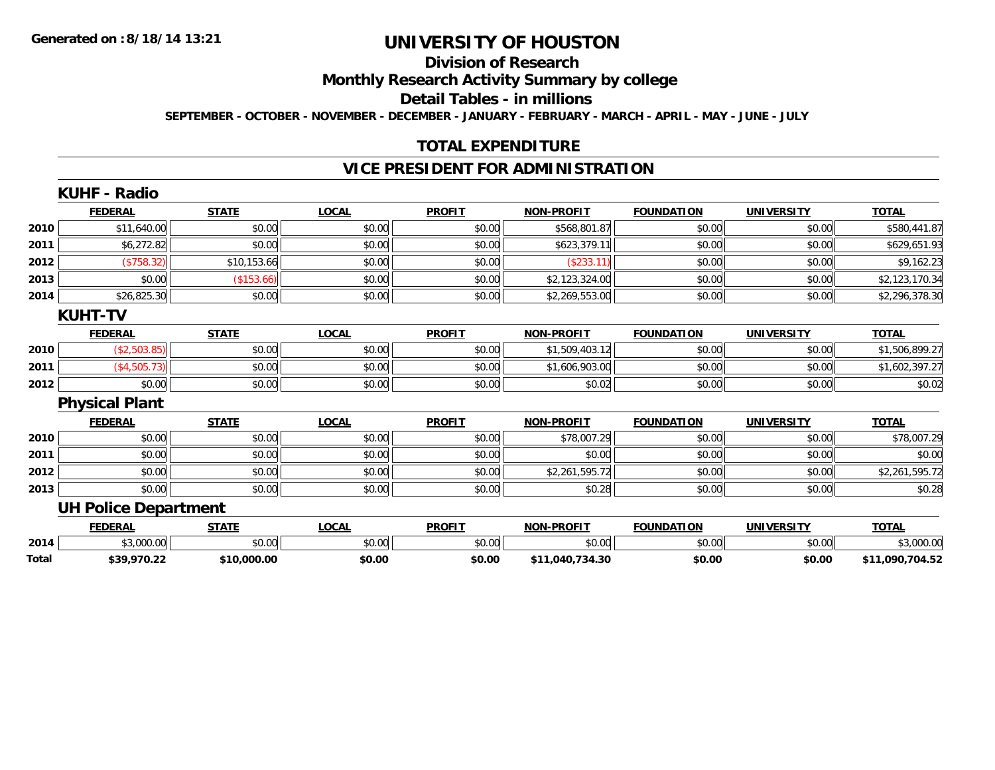**Total**

# **UNIVERSITY OF HOUSTON**

## **Division of Research**

**Monthly Research Activity Summary by college**

**Detail Tables - in millions**

**SEPTEMBER - OCTOBER - NOVEMBER - DECEMBER - JANUARY - FEBRUARY - MARCH - APRIL - MAY - JUNE - JULY**

### **TOTAL EXPENDITURE**

### **VICE PRESIDENT FOR ADMINISTRATION**

|      | <b>KUHF - Radio</b>         |              |              |               |                   |                   |                   |                |
|------|-----------------------------|--------------|--------------|---------------|-------------------|-------------------|-------------------|----------------|
|      | <b>FEDERAL</b>              | <b>STATE</b> | <b>LOCAL</b> | <b>PROFIT</b> | <b>NON-PROFIT</b> | <b>FOUNDATION</b> | <b>UNIVERSITY</b> | <b>TOTAL</b>   |
| 2010 | \$11,640.00                 | \$0.00       | \$0.00       | \$0.00        | \$568,801.87      | \$0.00            | \$0.00            | \$580,441.87   |
| 2011 | \$6,272.82                  | \$0.00       | \$0.00       | \$0.00        | \$623,379.11      | \$0.00            | \$0.00            | \$629,651.93   |
| 2012 | $(*758.32)$                 | \$10,153.66  | \$0.00       | \$0.00        | (\$233.11)        | \$0.00            | \$0.00            | \$9,162.23     |
| 2013 | \$0.00                      | (\$153.66)   | \$0.00       | \$0.00        | \$2,123,324.00    | \$0.00            | \$0.00            | \$2,123,170.34 |
| 2014 | \$26,825.30                 | \$0.00       | \$0.00       | \$0.00        | \$2,269,553.00    | \$0.00            | \$0.00            | \$2,296,378.30 |
|      | <b>KUHT-TV</b>              |              |              |               |                   |                   |                   |                |
|      | <b>FEDERAL</b>              | <b>STATE</b> | <b>LOCAL</b> | <b>PROFIT</b> | <b>NON-PROFIT</b> | <b>FOUNDATION</b> | <b>UNIVERSITY</b> | <b>TOTAL</b>   |
| 2010 | (\$2,503.85)                | \$0.00       | \$0.00       | \$0.00        | \$1,509,403.12    | \$0.00            | \$0.00            | \$1,506,899.27 |
| 2011 | (\$4,505.73)                | \$0.00       | \$0.00       | \$0.00        | \$1,606,903.00    | \$0.00            | \$0.00            | \$1,602,397.27 |
| 2012 | \$0.00                      | \$0.00       | \$0.00       | \$0.00        | \$0.02            | \$0.00            | \$0.00            | \$0.02         |
|      | <b>Physical Plant</b>       |              |              |               |                   |                   |                   |                |
|      | <b>FEDERAL</b>              | <b>STATE</b> | <b>LOCAL</b> | <b>PROFIT</b> | <b>NON-PROFIT</b> | <b>FOUNDATION</b> | <b>UNIVERSITY</b> | <b>TOTAL</b>   |
| 2010 | \$0.00                      | \$0.00       | \$0.00       | \$0.00        | \$78,007.29       | \$0.00            | \$0.00            | \$78,007.29    |
| 2011 | \$0.00                      | \$0.00       | \$0.00       | \$0.00        | \$0.00            | \$0.00            | \$0.00            | \$0.00         |
| 2012 | \$0.00                      | \$0.00       | \$0.00       | \$0.00        | \$2,261,595.72    | \$0.00            | \$0.00            | \$2,261,595.72 |
| 2013 | \$0.00                      | \$0.00       | \$0.00       | \$0.00        | \$0.28            | \$0.00            | \$0.00            | \$0.28         |
|      | <b>UH Police Department</b> |              |              |               |                   |                   |                   |                |
|      | <b>FEDERAL</b>              | <b>STATE</b> | <b>LOCAL</b> | <b>PROFIT</b> | <b>NON-PROFIT</b> | <b>FOUNDATION</b> | <b>UNIVERSITY</b> | <b>TOTAL</b>   |
| 2014 | \$3,000.00                  | \$0.00       | \$0.00       | \$0.00        | \$0.00            | \$0.00            | \$0.00            | \$3,000.00     |

**\$39,970.22 \$10,000.00 \$0.00 \$0.00 \$11,040,734.30 \$0.00 \$0.00 \$11,090,704.52**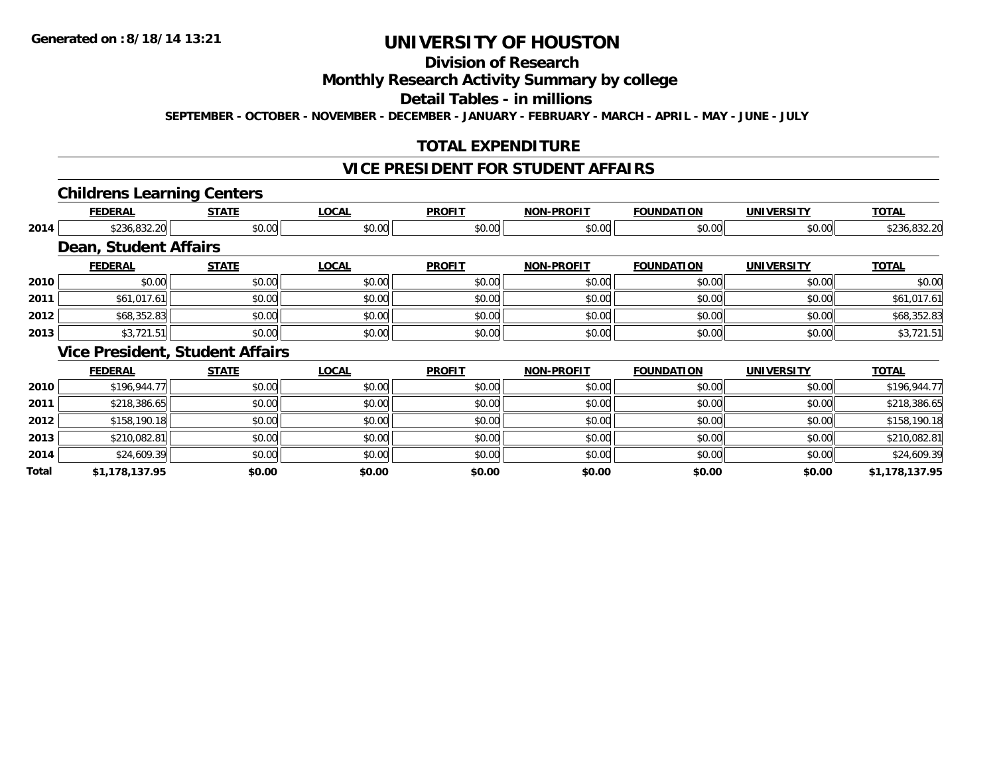**Total**

# **UNIVERSITY OF HOUSTON**

# **Division of Research**

### **Monthly Research Activity Summary by college**

#### **Detail Tables - in millions**

**SEPTEMBER - OCTOBER - NOVEMBER - DECEMBER - JANUARY - FEBRUARY - MARCH - APRIL - MAY - JUNE - JULY**

## **TOTAL EXPENDITURE**

### **VICE PRESIDENT FOR STUDENT AFFAIRS**

#### **Childrens Learning Centers**

|      | <b>FEDERAL</b>        | <b>STATE</b>                           | <b>LOCAL</b> | <b>PROFIT</b> | <b>NON-PROFIT</b> | <b>FOUNDATION</b> | <b>UNIVERSITY</b> | <b>TOTAL</b> |
|------|-----------------------|----------------------------------------|--------------|---------------|-------------------|-------------------|-------------------|--------------|
| 2014 | \$236,832.20          | \$0.00                                 | \$0.00       | \$0.00        | \$0.00            | \$0.00            | \$0.00            | \$236,832.20 |
|      | Dean, Student Affairs |                                        |              |               |                   |                   |                   |              |
|      | <b>FEDERAL</b>        | <b>STATE</b>                           | <b>LOCAL</b> | <b>PROFIT</b> | <b>NON-PROFIT</b> | <b>FOUNDATION</b> | <b>UNIVERSITY</b> | <b>TOTAL</b> |
| 2010 | \$0.00                | \$0.00                                 | \$0.00       | \$0.00        | \$0.00            | \$0.00            | \$0.00            | \$0.00       |
| 2011 | \$61,017.61           | \$0.00                                 | \$0.00       | \$0.00        | \$0.00            | \$0.00            | \$0.00            | \$61,017.61  |
| 2012 | \$68,352.83           | \$0.00                                 | \$0.00       | \$0.00        | \$0.00            | \$0.00            | \$0.00            | \$68,352.83  |
| 2013 | \$3,721.51            | \$0.00                                 | \$0.00       | \$0.00        | \$0.00            | \$0.00            | \$0.00            | \$3,721.51   |
|      |                       | <b>Vice President, Student Affairs</b> |              |               |                   |                   |                   |              |
|      | <b>FEDERAL</b>        | <b>STATE</b>                           | <b>LOCAL</b> | <b>PROFIT</b> | <b>NON-PROFIT</b> | <b>FOUNDATION</b> | <b>UNIVERSITY</b> | <b>TOTAL</b> |
| 2010 | \$196,944.77          | \$0.00                                 | \$0.00       | \$0.00        | \$0.00            | \$0.00            | \$0.00            | \$196,944.77 |
| 2011 | \$218,386.65          | \$0.00                                 | \$0.00       | \$0.00        | \$0.00            | \$0.00            | \$0.00            | \$218,386.65 |
| 2012 | \$158,190.18          | \$0.00                                 | \$0.00       | \$0.00        | \$0.00            | \$0.00            | \$0.00            | \$158,190.18 |
| 2013 | \$210,082.81          | \$0.00                                 | \$0.00       | \$0.00        | \$0.00            | \$0.00            | \$0.00            | \$210,082.81 |
| 2014 | \$24,609.39           | \$0.00                                 | \$0.00       | \$0.00        | \$0.00            | \$0.00            | \$0.00            | \$24,609.39  |

**\$1,178,137.95 \$0.00 \$0.00 \$0.00 \$0.00 \$0.00 \$0.00 \$1,178,137.95**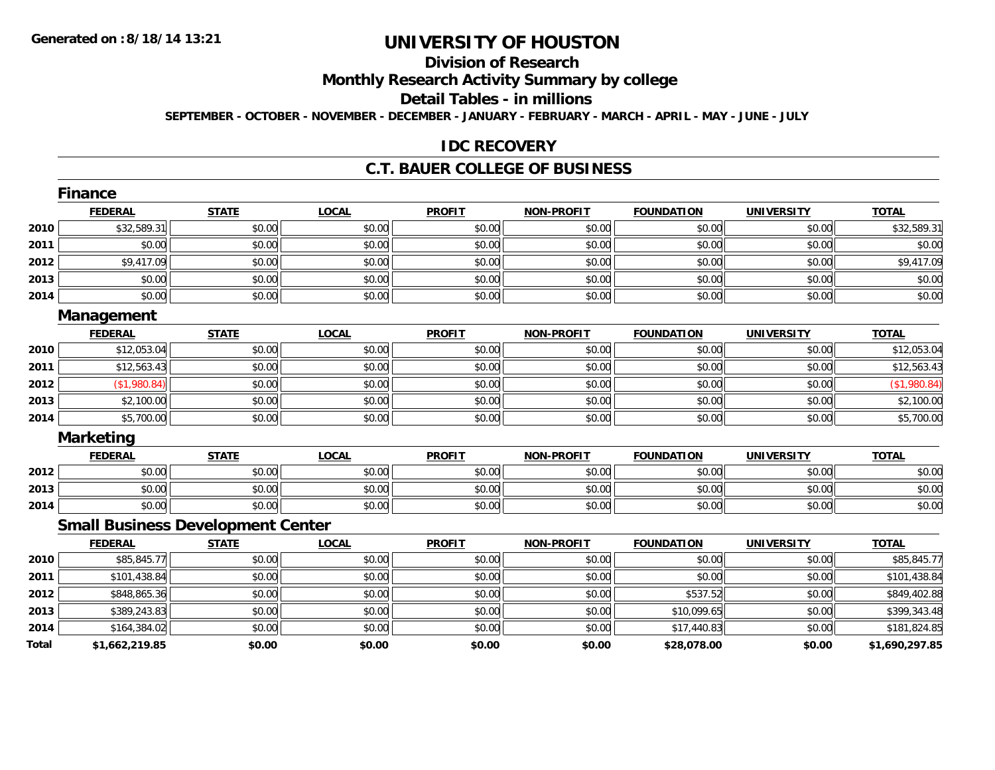# **Division of Research**

**Monthly Research Activity Summary by college**

**Detail Tables - in millions**

**SEPTEMBER - OCTOBER - NOVEMBER - DECEMBER - JANUARY - FEBRUARY - MARCH - APRIL - MAY - JUNE - JULY**

### **IDC RECOVERY**

#### **C.T. BAUER COLLEGE OF BUSINESS**

|       | <b>Finance</b>                           |              |              |               |                   |                   |                   |                |
|-------|------------------------------------------|--------------|--------------|---------------|-------------------|-------------------|-------------------|----------------|
|       | <b>FEDERAL</b>                           | <b>STATE</b> | <b>LOCAL</b> | <b>PROFIT</b> | <b>NON-PROFIT</b> | <b>FOUNDATION</b> | <b>UNIVERSITY</b> | <b>TOTAL</b>   |
| 2010  | \$32,589.31                              | \$0.00       | \$0.00       | \$0.00        | \$0.00            | \$0.00            | \$0.00            | \$32,589.31    |
| 2011  | \$0.00                                   | \$0.00       | \$0.00       | \$0.00        | \$0.00            | \$0.00            | \$0.00            | \$0.00         |
| 2012  | \$9,417.09                               | \$0.00       | \$0.00       | \$0.00        | \$0.00            | \$0.00            | \$0.00            | \$9,417.09     |
| 2013  | \$0.00                                   | \$0.00       | \$0.00       | \$0.00        | \$0.00            | \$0.00            | \$0.00            | \$0.00         |
| 2014  | \$0.00                                   | \$0.00       | \$0.00       | \$0.00        | \$0.00            | \$0.00            | \$0.00            | \$0.00         |
|       | Management                               |              |              |               |                   |                   |                   |                |
|       | <b>FEDERAL</b>                           | <b>STATE</b> | <b>LOCAL</b> | <b>PROFIT</b> | <b>NON-PROFIT</b> | <b>FOUNDATION</b> | <b>UNIVERSITY</b> | <b>TOTAL</b>   |
| 2010  | \$12,053.04                              | \$0.00       | \$0.00       | \$0.00        | \$0.00            | \$0.00            | \$0.00            | \$12,053.04    |
| 2011  | \$12,563.43                              | \$0.00       | \$0.00       | \$0.00        | \$0.00            | \$0.00            | \$0.00            | \$12,563.43    |
| 2012  | (\$1,980.84)                             | \$0.00       | \$0.00       | \$0.00        | \$0.00            | \$0.00            | \$0.00            | (\$1,980.84)   |
| 2013  | \$2,100.00                               | \$0.00       | \$0.00       | \$0.00        | \$0.00            | \$0.00            | \$0.00            | \$2,100.00     |
| 2014  | \$5,700.00                               | \$0.00       | \$0.00       | \$0.00        | \$0.00            | \$0.00            | \$0.00            | \$5,700.00     |
|       | <b>Marketing</b>                         |              |              |               |                   |                   |                   |                |
|       | <b>FEDERAL</b>                           | <b>STATE</b> | <b>LOCAL</b> | <b>PROFIT</b> | <b>NON-PROFIT</b> | <b>FOUNDATION</b> | <b>UNIVERSITY</b> | <b>TOTAL</b>   |
| 2012  | \$0.00                                   | \$0.00       | \$0.00       | \$0.00        | \$0.00            | \$0.00            | \$0.00            | \$0.00         |
| 2013  | \$0.00                                   | \$0.00       | \$0.00       | \$0.00        | \$0.00            | \$0.00            | \$0.00            | \$0.00         |
| 2014  | \$0.00                                   | \$0.00       | \$0.00       | \$0.00        | \$0.00            | \$0.00            | \$0.00            | \$0.00         |
|       | <b>Small Business Development Center</b> |              |              |               |                   |                   |                   |                |
|       | <b>FEDERAL</b>                           | <b>STATE</b> | <b>LOCAL</b> | <b>PROFIT</b> | <b>NON-PROFIT</b> | <b>FOUNDATION</b> | <b>UNIVERSITY</b> | <b>TOTAL</b>   |
| 2010  | \$85,845.77                              | \$0.00       | \$0.00       | \$0.00        | \$0.00            | \$0.00            | \$0.00            | \$85,845.77    |
| 2011  | \$101,438.84                             | \$0.00       | \$0.00       | \$0.00        | \$0.00            | \$0.00            | \$0.00            | \$101,438.84   |
| 2012  | \$848,865.36                             | \$0.00       | \$0.00       | \$0.00        | \$0.00            | \$537.52          | \$0.00            | \$849,402.88   |
| 2013  | \$389,243.83                             | \$0.00       | \$0.00       | \$0.00        | \$0.00            | \$10,099.65       | \$0.00            | \$399,343.48   |
| 2014  | \$164,384.02                             | \$0.00       | \$0.00       | \$0.00        | \$0.00            | \$17,440.83       | \$0.00            | \$181,824.85   |
| Total | \$1,662,219.85                           | \$0.00       | \$0.00       | \$0.00        | \$0.00            | \$28,078.00       | \$0.00            | \$1,690,297.85 |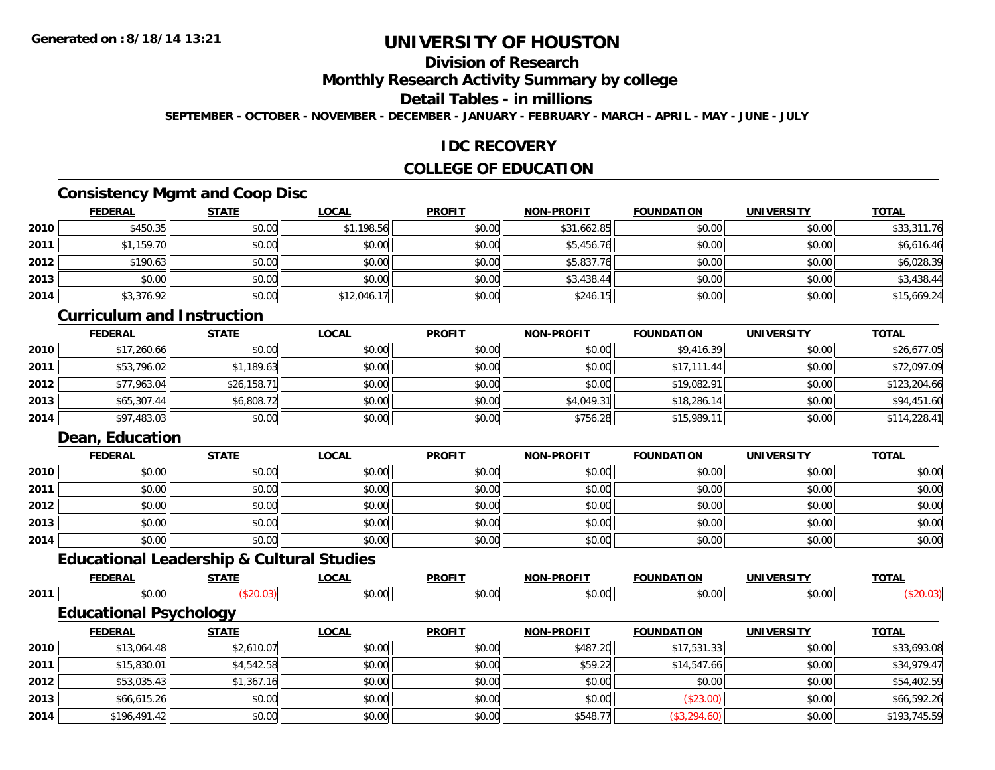# **Division of Research**

**Monthly Research Activity Summary by college**

**Detail Tables - in millions**

**SEPTEMBER - OCTOBER - NOVEMBER - DECEMBER - JANUARY - FEBRUARY - MARCH - APRIL - MAY - JUNE - JULY**

### **IDC RECOVERY**

## **COLLEGE OF EDUCATION**

## **Consistency Mgmt and Coop Disc**

|      | <b>FEDERAL</b> | <b>STATE</b> | <u>LOCAL</u> | <b>PROFIT</b> | <b>NON-PROFIT</b> | <b>FOUNDATION</b> | <b>UNIVERSITY</b> | <b>TOTAL</b> |
|------|----------------|--------------|--------------|---------------|-------------------|-------------------|-------------------|--------------|
| 2010 | \$450.35       | \$0.00       | \$1,198.56   | \$0.00        | \$31,662.85       | \$0.00            | \$0.00            | \$33,311.76  |
| 2011 | \$1,159.70     | \$0.00       | \$0.00       | \$0.00        | \$5,456.76        | \$0.00            | \$0.00            | \$6,616.46   |
| 2012 | \$190.63       | \$0.00       | \$0.00       | \$0.00        | \$5,837.76        | \$0.00            | \$0.00            | \$6,028.39   |
| 2013 | \$0.00         | \$0.00       | \$0.00       | \$0.00        | \$3,438.44        | \$0.00            | \$0.00            | \$3,438.44   |
| 2014 | \$3,376.92     | \$0.00       | \$12,046.17  | \$0.00        | \$246.15          | \$0.00            | \$0.00            | \$15,669.24  |

#### **Curriculum and Instruction**

|      | <b>FEDERAL</b> | <u>STATE</u> | <u>LOCAL</u> | <b>PROFIT</b> | <b>NON-PROFIT</b> | <b>FOUNDATION</b> | <b>UNIVERSITY</b> | <b>TOTAL</b> |
|------|----------------|--------------|--------------|---------------|-------------------|-------------------|-------------------|--------------|
| 2010 | \$17,260.66    | \$0.00       | \$0.00       | \$0.00        | \$0.00            | \$9,416.39        | \$0.00            | \$26,677.05  |
| 2011 | \$53,796.02    | \$1,189.63   | \$0.00       | \$0.00        | \$0.00            | \$17,111.44       | \$0.00            | \$72,097.09  |
| 2012 | \$77,963.04    | \$26,158.71  | \$0.00       | \$0.00        | \$0.00            | \$19,082.91       | \$0.00            | \$123,204.66 |
| 2013 | \$65,307.44    | \$6,808.72   | \$0.00       | \$0.00        | \$4,049.31        | \$18,286.14       | \$0.00            | \$94,451.60  |
| 2014 | \$97,483.03    | \$0.00       | \$0.00       | \$0.00        | \$756.28          | \$15,989.11       | \$0.00            | \$114,228.41 |

### **Dean, Education**

|      | <b>FEDERAL</b> | <b>STATE</b> | <b>LOCAL</b> | <b>PROFIT</b> | <b>NON-PROFIT</b> | <b>FOUNDATION</b> | <b>UNIVERSITY</b> | <b>TOTAL</b> |
|------|----------------|--------------|--------------|---------------|-------------------|-------------------|-------------------|--------------|
| 2010 | \$0.00         | \$0.00       | \$0.00       | \$0.00        | \$0.00            | \$0.00            | \$0.00            | \$0.00       |
| 2011 | \$0.00         | \$0.00       | \$0.00       | \$0.00        | \$0.00            | \$0.00            | \$0.00            | \$0.00       |
| 2012 | \$0.00         | \$0.00       | \$0.00       | \$0.00        | \$0.00            | \$0.00            | \$0.00            | \$0.00       |
| 2013 | \$0.00         | \$0.00       | \$0.00       | \$0.00        | \$0.00            | \$0.00            | \$0.00            | \$0.00       |
| 2014 | \$0.00         | \$0.00       | \$0.00       | \$0.00        | \$0.00            | \$0.00            | \$0.00            | \$0.00       |

# **Educational Leadership & Cultural Studies**

|      | <b>FEDERAL</b>                | <b>STATE</b> | <u>LOCAL</u> | <b>PROFIT</b> | <b>NON-PROFIT</b> | <b>FOUNDATION</b> | UNIVERSITY | <b>TOTAL</b> |
|------|-------------------------------|--------------|--------------|---------------|-------------------|-------------------|------------|--------------|
| 2011 | \$0.00                        | (\$20.03)    | \$0.00       | \$0.00        | \$0.00            | \$0.00            | \$0.00     | (\$20.03)    |
|      | <b>Educational Psychology</b> |              |              |               |                   |                   |            |              |
|      | <b>FEDERAL</b>                | <u>STATE</u> | <u>LOCAL</u> | <b>PROFIT</b> | <b>NON-PROFIT</b> | <b>FOUNDATION</b> | UNIVERSITY | <b>TOTAL</b> |
| 2010 | \$13,064.48                   | \$261007     | \$0.00       | ደበ በበ         | \$487.20          | \$1753133         | \$0.00     | \$3369308    |

| 2010 | \$13,064.48  | \$2,610.07 | \$0.00 | \$0.00 | \$487.20 | \$17,531.33  | \$0.00 | \$33,693.08  |
|------|--------------|------------|--------|--------|----------|--------------|--------|--------------|
| 2011 | \$15,830.01  | \$4,542.58 | \$0.00 | \$0.00 | \$59.22  | \$14,547.66  | \$0.00 | \$34,979.47  |
| 2012 | \$53,035.43  | \$1,367.16 | \$0.00 | \$0.00 | \$0.00   | \$0.00       | \$0.00 | \$54,402.59  |
| 2013 | \$66,615.26  | \$0.00     | \$0.00 | \$0.00 | \$0.00   | (\$23.00)    | \$0.00 | \$66,592.26  |
| 2014 | \$196,491.42 | \$0.00     | \$0.00 | \$0.00 | \$548.77 | (\$3,294.60) | \$0.00 | \$193,745.59 |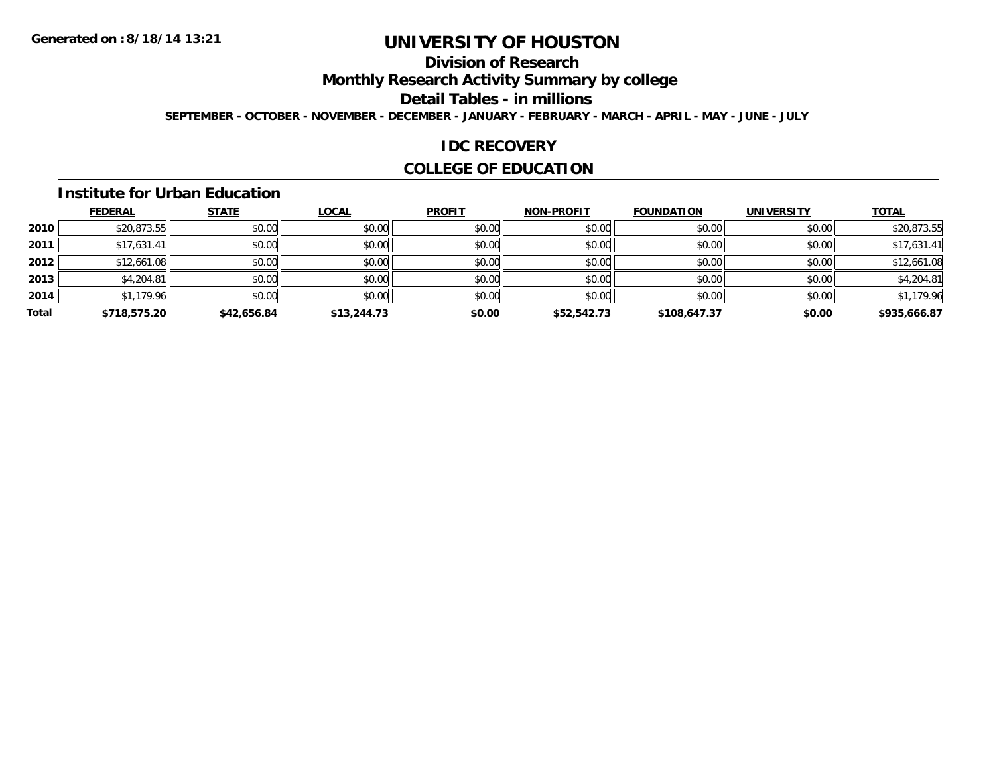# **Division of Research**

**Monthly Research Activity Summary by college**

**Detail Tables - in millions**

**SEPTEMBER - OCTOBER - NOVEMBER - DECEMBER - JANUARY - FEBRUARY - MARCH - APRIL - MAY - JUNE - JULY**

### **IDC RECOVERY**

## **COLLEGE OF EDUCATION**

#### **Institute for Urban Education**

|       | <b>FEDERAL</b> | <b>STATE</b> | <b>LOCAL</b> | <b>PROFIT</b> | <b>NON-PROFIT</b> | <b>FOUNDATION</b> | <b>UNIVERSITY</b> | <b>TOTAL</b> |
|-------|----------------|--------------|--------------|---------------|-------------------|-------------------|-------------------|--------------|
| 2010  | \$20,873.55    | \$0.00       | \$0.00       | \$0.00        | \$0.00            | \$0.00            | \$0.00            | \$20,873.55  |
| 2011  | \$17,631.41    | \$0.00       | \$0.00       | \$0.00        | \$0.00            | \$0.00            | \$0.00            | \$17,631.41  |
| 2012  | \$12,661.08    | \$0.00       | \$0.00       | \$0.00        | \$0.00            | \$0.00            | \$0.00            | \$12,661.08  |
| 2013  | \$4,204.81     | \$0.00       | \$0.00       | \$0.00        | \$0.00            | \$0.00            | \$0.00            | \$4,204.81   |
| 2014  | \$1,179.96     | \$0.00       | \$0.00       | \$0.00        | \$0.00            | \$0.00            | \$0.00            | \$1,179.96   |
| Total | \$718,575.20   | \$42,656.84  | \$13,244.73  | \$0.00        | \$52,542.73       | \$108,647.37      | \$0.00            | \$935,666.87 |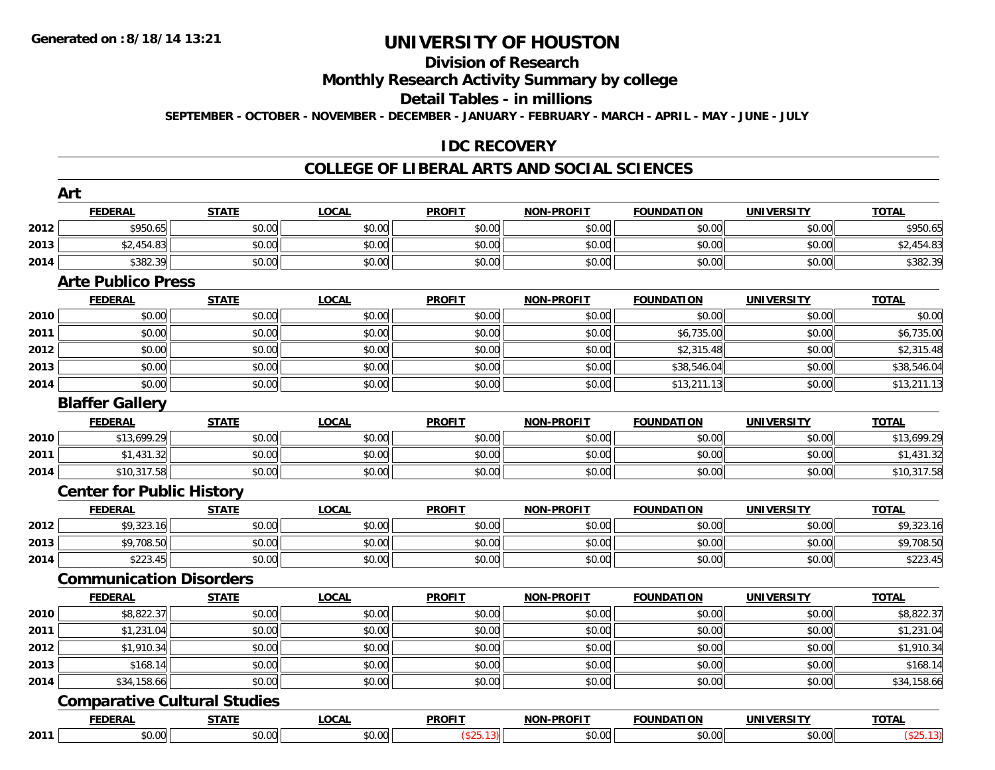# **Division of Research**

**Monthly Research Activity Summary by college**

**Detail Tables - in millions**

**SEPTEMBER - OCTOBER - NOVEMBER - DECEMBER - JANUARY - FEBRUARY - MARCH - APRIL - MAY - JUNE - JULY**

### **IDC RECOVERY**

#### **COLLEGE OF LIBERAL ARTS AND SOCIAL SCIENCES**

|      | Art<br><b>FEDERAL</b>            | <b>STATE</b>                        | <b>LOCAL</b> | <b>PROFIT</b>           | <b>NON-PROFIT</b> | <b>FOUNDATION</b> |                   | <b>TOTAL</b>           |
|------|----------------------------------|-------------------------------------|--------------|-------------------------|-------------------|-------------------|-------------------|------------------------|
|      |                                  |                                     |              |                         |                   |                   | <b>UNIVERSITY</b> |                        |
| 2012 | \$950.65                         | \$0.00                              | \$0.00       | \$0.00                  | \$0.00            | \$0.00            | \$0.00            | \$950.65               |
| 2013 | \$2,454.83                       | \$0.00                              | \$0.00       | \$0.00                  | \$0.00            | \$0.00            | \$0.00            | \$2,454.83             |
| 2014 | \$382.39                         | \$0.00                              | \$0.00       | \$0.00                  | \$0.00            | \$0.00            | \$0.00            | \$382.39               |
|      | <b>Arte Publico Press</b>        |                                     |              |                         |                   |                   |                   |                        |
|      | <b>FEDERAL</b>                   | <b>STATE</b><br>\$0.00              | <b>LOCAL</b> | <b>PROFIT</b><br>\$0.00 | <b>NON-PROFIT</b> | <b>FOUNDATION</b> | <b>UNIVERSITY</b> | <b>TOTAL</b>           |
| 2010 | \$0.00                           |                                     | \$0.00       |                         | \$0.00            | \$0.00            | \$0.00            | \$0.00                 |
| 2011 | \$0.00                           | \$0.00                              | \$0.00       | \$0.00                  | \$0.00            | \$6,735.00        | \$0.00            | \$6,735.00             |
| 2012 | \$0.00                           | \$0.00                              | \$0.00       | \$0.00                  | \$0.00            | \$2,315.48        | \$0.00            | \$2,315.48             |
| 2013 | \$0.00                           | \$0.00                              | \$0.00       | \$0.00                  | \$0.00            | \$38,546.04       | \$0.00            | \$38,546.04            |
| 2014 | \$0.00                           | \$0.00                              | \$0.00       | \$0.00                  | \$0.00            | \$13,211.13       | \$0.00            | \$13,211.13            |
|      | <b>Blaffer Gallery</b>           |                                     |              |                         |                   |                   |                   |                        |
|      | <b>FEDERAL</b>                   | <b>STATE</b>                        | <b>LOCAL</b> | <b>PROFIT</b>           | <b>NON-PROFIT</b> | <b>FOUNDATION</b> | <b>UNIVERSITY</b> | <b>TOTAL</b>           |
| 2010 | \$13,699.29                      | \$0.00                              | \$0.00       | \$0.00                  | \$0.00            | \$0.00            | \$0.00            | \$13,699.29            |
| 2011 | \$1,431.32                       | \$0.00                              | \$0.00       | \$0.00                  | \$0.00            | \$0.00            | \$0.00            | \$1,431.32             |
| 2014 | \$10,317.58                      | \$0.00                              | \$0.00       | \$0.00                  | \$0.00            | \$0.00            | \$0.00            | \$10,317.58            |
|      | <b>Center for Public History</b> |                                     |              |                         |                   |                   |                   |                        |
|      | <b>FEDERAL</b>                   | <b>STATE</b>                        | <b>LOCAL</b> | <b>PROFIT</b>           | <b>NON-PROFIT</b> | <b>FOUNDATION</b> | <b>UNIVERSITY</b> | <b>TOTAL</b>           |
| 2012 | \$9,323.16                       | \$0.00                              | \$0.00       | \$0.00                  | \$0.00            | \$0.00            | \$0.00            | \$9,323.16             |
| 2013 | \$9,708.50                       | \$0.00                              | \$0.00       | \$0.00                  | \$0.00            | \$0.00            | \$0.00            | \$9,708.50             |
| 2014 | \$223.45                         | \$0.00                              | \$0.00       | \$0.00                  | \$0.00            | \$0.00            | \$0.00            | \$223.45               |
|      | <b>Communication Disorders</b>   |                                     |              |                         |                   |                   |                   |                        |
|      | <b>FEDERAL</b>                   | <b>STATE</b>                        | <b>LOCAL</b> | <b>PROFIT</b>           | NON-PROFIT        | <b>FOUNDATION</b> | <b>UNIVERSITY</b> | <b>TOTAL</b>           |
| 2010 | \$8,822.37                       | \$0.00                              | \$0.00       | \$0.00                  | \$0.00            | \$0.00            | \$0.00            | $\overline{$8,822.37}$ |
| 2011 | \$1,231.04                       | \$0.00                              | \$0.00       | \$0.00                  | \$0.00            | \$0.00            | \$0.00            | \$1,231.04             |
| 2012 | \$1,910.34                       | \$0.00                              | \$0.00       | \$0.00                  | \$0.00            | \$0.00            | \$0.00            | \$1,910.34             |
| 2013 | \$168.14                         | \$0.00                              | \$0.00       | \$0.00                  | \$0.00            | \$0.00            | \$0.00            | \$168.14               |
| 2014 | \$34,158.66                      | \$0.00                              | \$0.00       | \$0.00                  | \$0.00            | \$0.00            | \$0.00            | \$34,158.66            |
|      |                                  | <b>Comparative Cultural Studies</b> |              |                         |                   |                   |                   |                        |
|      | <b>FEDERAL</b>                   | <b>STATE</b>                        | <b>LOCAL</b> | <b>PROFIT</b>           | <b>NON-PROFIT</b> | <b>FOUNDATION</b> | <b>UNIVERSITY</b> | <b>TOTAL</b>           |
| 2011 | \$0.00                           | \$0.00                              | \$0.00       | (\$25.13)               | \$0.00            | \$0.00            | \$0.00            | (\$25.13)              |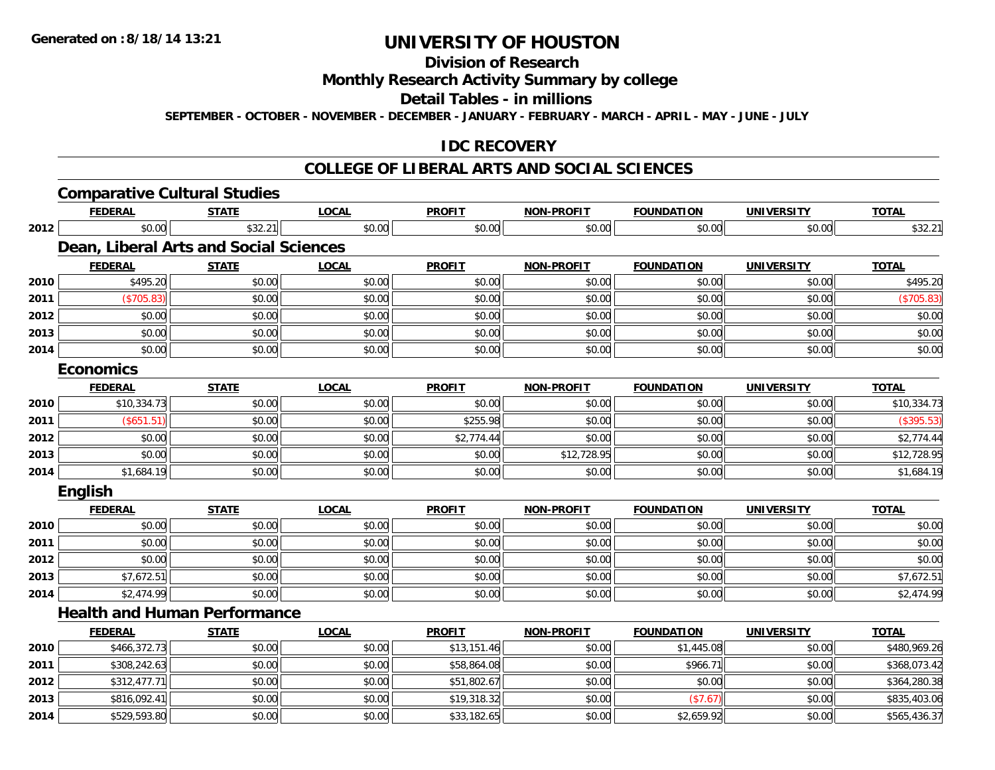**Division of Research**

**Monthly Research Activity Summary by college**

**Detail Tables - in millions**

**SEPTEMBER - OCTOBER - NOVEMBER - DECEMBER - JANUARY - FEBRUARY - MARCH - APRIL - MAY - JUNE - JULY**

### **IDC RECOVERY**

#### **COLLEGE OF LIBERAL ARTS AND SOCIAL SCIENCES**

|      | <b>Comparative Cultural Studies</b>    |              |              |               |                   |                   |                   |              |
|------|----------------------------------------|--------------|--------------|---------------|-------------------|-------------------|-------------------|--------------|
|      | <b>FEDERAL</b>                         | <b>STATE</b> | <b>LOCAL</b> | <b>PROFIT</b> | <b>NON-PROFIT</b> | <b>FOUNDATION</b> | <b>UNIVERSITY</b> | <b>TOTAL</b> |
| 2012 | \$0.00                                 | \$32.21      | \$0.00       | \$0.00        | \$0.00            | \$0.00            | \$0.00            | \$32.21      |
|      | Dean, Liberal Arts and Social Sciences |              |              |               |                   |                   |                   |              |
|      | <b>FEDERAL</b>                         | <b>STATE</b> | <b>LOCAL</b> | <b>PROFIT</b> | <b>NON-PROFIT</b> | <b>FOUNDATION</b> | <b>UNIVERSITY</b> | <b>TOTAL</b> |
| 2010 | \$495.20                               | \$0.00       | \$0.00       | \$0.00        | \$0.00            | \$0.00            | \$0.00            | \$495.20     |
| 2011 | (\$705.83)                             | \$0.00       | \$0.00       | \$0.00        | \$0.00            | \$0.00            | \$0.00            | (\$705.83)   |
| 2012 | \$0.00                                 | \$0.00       | \$0.00       | \$0.00        | \$0.00            | \$0.00            | \$0.00            | \$0.00       |
| 2013 | \$0.00                                 | \$0.00       | \$0.00       | \$0.00        | \$0.00            | \$0.00            | \$0.00            | \$0.00       |
| 2014 | \$0.00                                 | \$0.00       | \$0.00       | \$0.00        | \$0.00            | \$0.00            | \$0.00            | \$0.00       |
|      | <b>Economics</b>                       |              |              |               |                   |                   |                   |              |
|      | <b>FEDERAL</b>                         | <b>STATE</b> | <b>LOCAL</b> | <b>PROFIT</b> | <b>NON-PROFIT</b> | <b>FOUNDATION</b> | <b>UNIVERSITY</b> | <b>TOTAL</b> |
| 2010 | \$10,334.73                            | \$0.00       | \$0.00       | \$0.00        | \$0.00            | \$0.00            | \$0.00            | \$10,334.73  |
| 2011 | (\$651.51)                             | \$0.00       | \$0.00       | \$255.98      | \$0.00            | \$0.00            | \$0.00            | (\$395.53)   |
| 2012 | \$0.00                                 | \$0.00       | \$0.00       | \$2,774.44    | \$0.00            | \$0.00            | \$0.00            | \$2,774.44   |
| 2013 | \$0.00                                 | \$0.00       | \$0.00       | \$0.00        | \$12,728.95       | \$0.00            | \$0.00            | \$12,728.95  |
| 2014 | \$1,684.19                             | \$0.00       | \$0.00       | \$0.00        | \$0.00            | \$0.00            | \$0.00            | \$1,684.19   |
|      | English                                |              |              |               |                   |                   |                   |              |
|      | <b>FEDERAL</b>                         | <b>STATE</b> | <b>LOCAL</b> | <b>PROFIT</b> | <b>NON-PROFIT</b> | <b>FOUNDATION</b> | <b>UNIVERSITY</b> | <b>TOTAL</b> |
| 2010 | \$0.00                                 | \$0.00       | \$0.00       | \$0.00        | \$0.00            | \$0.00            | \$0.00            | \$0.00       |
| 2011 | \$0.00                                 | \$0.00       | \$0.00       | \$0.00        | \$0.00            | \$0.00            | \$0.00            | \$0.00       |
| 2012 | \$0.00                                 | \$0.00       | \$0.00       | \$0.00        | \$0.00            | \$0.00            | \$0.00            | \$0.00       |
| 2013 | \$7,672.51                             | \$0.00       | \$0.00       | \$0.00        | \$0.00            | \$0.00            | \$0.00            | \$7,672.51   |
| 2014 | \$2,474.99                             | \$0.00       | \$0.00       | \$0.00        | \$0.00            | \$0.00            | \$0.00            | \$2,474.99   |
|      | <b>Health and Human Performance</b>    |              |              |               |                   |                   |                   |              |
|      | <b>FEDERAL</b>                         | <b>STATE</b> | <b>LOCAL</b> | <b>PROFIT</b> | <b>NON-PROFIT</b> | <b>FOUNDATION</b> | <b>UNIVERSITY</b> | <b>TOTAL</b> |
| 2010 | \$466,372.73                           | \$0.00       | \$0.00       | \$13,151.46   | \$0.00            | \$1,445.08        | \$0.00            | \$480,969.26 |
| 2011 | \$308,242.63                           | \$0.00       | \$0.00       | \$58,864.08   | \$0.00            | \$966.71          | \$0.00            | \$368,073.42 |
| 2012 | \$312,477.71                           | \$0.00       | \$0.00       | \$51,802.67   | \$0.00            | \$0.00            | \$0.00            | \$364,280.38 |
| 2013 | \$816,092.41                           | \$0.00       | \$0.00       | \$19,318.32   | \$0.00            | (\$7.67)          | \$0.00            | \$835,403.06 |
| 2014 | \$529,593.80                           | \$0.00       | \$0.00       | \$33,182.65   | \$0.00            | \$2,659.92        | \$0.00            | \$565,436.37 |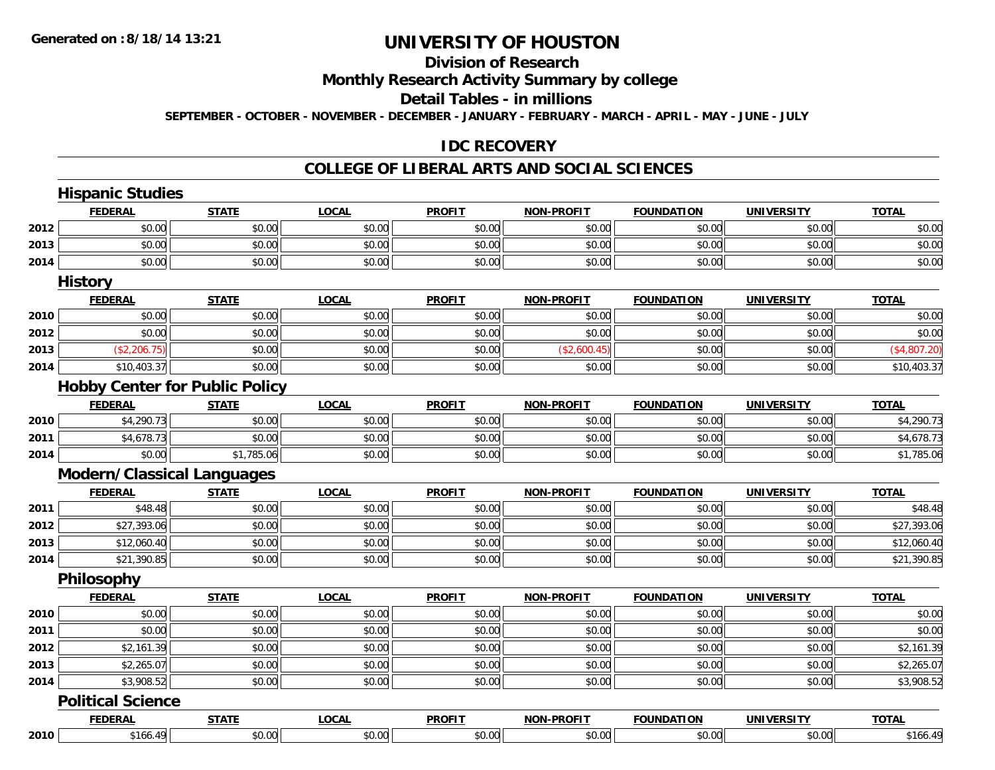# **Division of Research**

**Monthly Research Activity Summary by college**

**Detail Tables - in millions**

**SEPTEMBER - OCTOBER - NOVEMBER - DECEMBER - JANUARY - FEBRUARY - MARCH - APRIL - MAY - JUNE - JULY**

### **IDC RECOVERY**

#### **COLLEGE OF LIBERAL ARTS AND SOCIAL SCIENCES**

|      | <b>Hispanic Studies</b>           |                                       |              |               |                   |                   |                   |              |
|------|-----------------------------------|---------------------------------------|--------------|---------------|-------------------|-------------------|-------------------|--------------|
|      | <b>FEDERAL</b>                    | <b>STATE</b>                          | <b>LOCAL</b> | <b>PROFIT</b> | <b>NON-PROFIT</b> | <b>FOUNDATION</b> | <b>UNIVERSITY</b> | <b>TOTAL</b> |
| 2012 | \$0.00                            | \$0.00                                | \$0.00       | \$0.00        | \$0.00            | \$0.00            | \$0.00            | \$0.00       |
| 2013 | \$0.00                            | \$0.00                                | \$0.00       | \$0.00        | \$0.00            | \$0.00            | \$0.00            | \$0.00       |
| 2014 | \$0.00                            | \$0.00                                | \$0.00       | \$0.00        | \$0.00            | \$0.00            | \$0.00            | \$0.00       |
|      | <b>History</b>                    |                                       |              |               |                   |                   |                   |              |
|      | <b>FEDERAL</b>                    | <b>STATE</b>                          | <b>LOCAL</b> | <b>PROFIT</b> | <b>NON-PROFIT</b> | <b>FOUNDATION</b> | <b>UNIVERSITY</b> | <b>TOTAL</b> |
| 2010 | \$0.00                            | \$0.00                                | \$0.00       | \$0.00        | \$0.00            | \$0.00            | \$0.00            | \$0.00       |
| 2012 | \$0.00                            | \$0.00                                | \$0.00       | \$0.00        | \$0.00            | \$0.00            | \$0.00            | \$0.00       |
| 2013 | (\$2,206.75)                      | \$0.00                                | \$0.00       | \$0.00        | (\$2,600.45)      | \$0.00            | \$0.00            | (\$4,807.20) |
| 2014 | \$10,403.37                       | \$0.00                                | \$0.00       | \$0.00        | \$0.00            | \$0.00            | \$0.00            | \$10,403.37  |
|      |                                   | <b>Hobby Center for Public Policy</b> |              |               |                   |                   |                   |              |
|      | <b>FEDERAL</b>                    | <b>STATE</b>                          | <b>LOCAL</b> | <b>PROFIT</b> | <b>NON-PROFIT</b> | <b>FOUNDATION</b> | <b>UNIVERSITY</b> | <b>TOTAL</b> |
| 2010 | \$4,290.73                        | \$0.00                                | \$0.00       | \$0.00        | \$0.00            | \$0.00            | \$0.00            | \$4,290.73   |
| 2011 | \$4,678.73                        | \$0.00                                | \$0.00       | \$0.00        | \$0.00            | \$0.00            | \$0.00            | \$4,678.73   |
| 2014 | \$0.00                            | \$1,785.06                            | \$0.00       | \$0.00        | \$0.00            | \$0.00            | \$0.00            | \$1,785.06   |
|      | <b>Modern/Classical Languages</b> |                                       |              |               |                   |                   |                   |              |
|      | <b>FEDERAL</b>                    | <b>STATE</b>                          | <b>LOCAL</b> | <b>PROFIT</b> | <b>NON-PROFIT</b> | <b>FOUNDATION</b> | <b>UNIVERSITY</b> | <b>TOTAL</b> |
| 2011 | \$48.48                           | \$0.00                                | \$0.00       | \$0.00        | \$0.00            | \$0.00            | \$0.00            | \$48.48      |
| 2012 | \$27,393.06                       | \$0.00                                | \$0.00       | \$0.00        | \$0.00            | \$0.00            | \$0.00            | \$27,393.06  |
| 2013 | \$12,060.40                       | \$0.00                                | \$0.00       | \$0.00        | \$0.00            | \$0.00            | \$0.00            | \$12,060.40  |
| 2014 | \$21,390.85                       | \$0.00                                | \$0.00       | \$0.00        | \$0.00            | \$0.00            | \$0.00            | \$21,390.85  |
|      | Philosophy                        |                                       |              |               |                   |                   |                   |              |
|      | <b>FEDERAL</b>                    | <b>STATE</b>                          | <b>LOCAL</b> | <b>PROFIT</b> | <b>NON-PROFIT</b> | <b>FOUNDATION</b> | <b>UNIVERSITY</b> | <b>TOTAL</b> |
| 2010 | \$0.00                            | \$0.00                                | \$0.00       | \$0.00        | \$0.00            | \$0.00            | \$0.00            | \$0.00       |
| 2011 | \$0.00                            | \$0.00                                | \$0.00       | \$0.00        | \$0.00            | \$0.00            | \$0.00            | \$0.00       |
| 2012 | \$2,161.39                        | \$0.00                                | \$0.00       | \$0.00        | \$0.00            | \$0.00            | \$0.00            | \$2,161.39   |
| 2013 | \$2,265.07                        | \$0.00                                | \$0.00       | \$0.00        | \$0.00            | \$0.00            | \$0.00            | \$2,265.07   |
| 2014 | \$3,908.52                        | \$0.00                                | \$0.00       | \$0.00        | \$0.00            | \$0.00            | \$0.00            | \$3,908.52   |
|      | <b>Political Science</b>          |                                       |              |               |                   |                   |                   |              |
|      | <b>FEDERAL</b>                    | <b>STATE</b>                          | <b>LOCAL</b> | <b>PROFIT</b> | <b>NON-PROFIT</b> | <b>FOUNDATION</b> | <b>UNIVERSITY</b> | <b>TOTAL</b> |
| 2010 | \$166.49                          | \$0.00                                | \$0.00       | \$0.00        | \$0.00            | \$0.00            | \$0.00            | \$166.49     |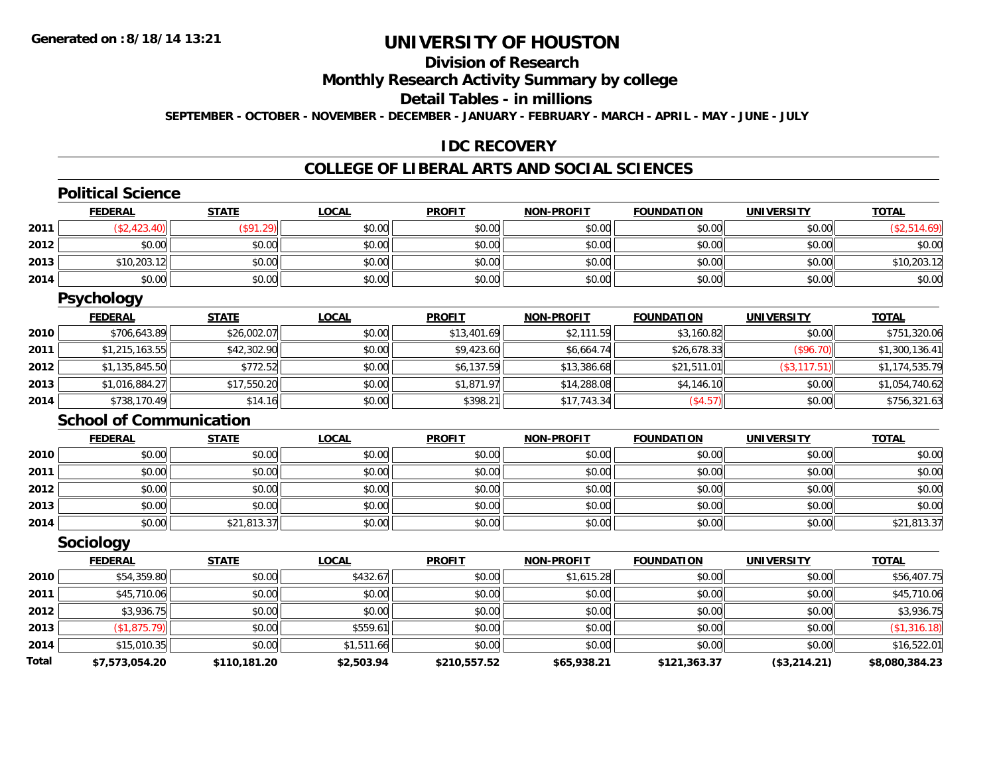# **Division of Research**

**Monthly Research Activity Summary by college**

**Detail Tables - in millions**

**SEPTEMBER - OCTOBER - NOVEMBER - DECEMBER - JANUARY - FEBRUARY - MARCH - APRIL - MAY - JUNE - JULY**

### **IDC RECOVERY**

# **COLLEGE OF LIBERAL ARTS AND SOCIAL SCIENCES**

|              | <b>Political Science</b>       |              |              |               |                   |                   |                   |                |
|--------------|--------------------------------|--------------|--------------|---------------|-------------------|-------------------|-------------------|----------------|
|              | <b>FEDERAL</b>                 | <b>STATE</b> | <b>LOCAL</b> | <b>PROFIT</b> | <b>NON-PROFIT</b> | <b>FOUNDATION</b> | <b>UNIVERSITY</b> | <b>TOTAL</b>   |
| 2011         | (\$2,423.40)                   | (\$91.29)    | \$0.00       | \$0.00        | \$0.00            | \$0.00            | \$0.00            | (\$2,514.69)   |
| 2012         | \$0.00                         | \$0.00       | \$0.00       | \$0.00        | \$0.00            | \$0.00            | \$0.00            | \$0.00         |
| 2013         | \$10,203.12                    | \$0.00       | \$0.00       | \$0.00        | \$0.00            | \$0.00            | \$0.00            | \$10,203.12    |
| 2014         | \$0.00                         | \$0.00       | \$0.00       | \$0.00        | \$0.00            | \$0.00            | \$0.00            | \$0.00         |
|              | <b>Psychology</b>              |              |              |               |                   |                   |                   |                |
|              | <b>FEDERAL</b>                 | <b>STATE</b> | <b>LOCAL</b> | <b>PROFIT</b> | <b>NON-PROFIT</b> | <b>FOUNDATION</b> | <b>UNIVERSITY</b> | <b>TOTAL</b>   |
| 2010         | \$706,643.89                   | \$26,002.07  | \$0.00       | \$13,401.69   | \$2,111.59        | \$3,160.82        | \$0.00            | \$751,320.06   |
| 2011         | \$1,215,163.55                 | \$42,302.90  | \$0.00       | \$9,423.60    | \$6,664.74        | \$26,678.33       | (\$96.70)         | \$1,300,136.41 |
| 2012         | \$1,135,845.50                 | \$772.52     | \$0.00       | \$6,137.59    | \$13,386.68       | \$21,511.01       | (\$3,117.51)      | \$1,174,535.79 |
| 2013         | \$1,016,884.27                 | \$17,550.20  | \$0.00       | \$1,871.97    | \$14,288.08       | \$4,146.10        | \$0.00            | \$1,054,740.62 |
| 2014         | \$738,170.49                   | \$14.16      | \$0.00       | \$398.21      | \$17,743.34       | (\$4.57)          | \$0.00            | \$756,321.63   |
|              | <b>School of Communication</b> |              |              |               |                   |                   |                   |                |
|              | <b>FEDERAL</b>                 | <b>STATE</b> | <b>LOCAL</b> | <b>PROFIT</b> | <b>NON-PROFIT</b> | <b>FOUNDATION</b> | <b>UNIVERSITY</b> | <b>TOTAL</b>   |
| 2010         | \$0.00                         | \$0.00       | \$0.00       | \$0.00        | \$0.00            | \$0.00            | \$0.00            | \$0.00         |
| 2011         | \$0.00                         | \$0.00       | \$0.00       | \$0.00        | \$0.00            | \$0.00            | \$0.00            | \$0.00         |
| 2012         | \$0.00                         | \$0.00       | \$0.00       | \$0.00        | \$0.00            | \$0.00            | \$0.00            | \$0.00         |
| 2013         | \$0.00                         | \$0.00       | \$0.00       | \$0.00        | \$0.00            | \$0.00            | \$0.00            | \$0.00         |
| 2014         | \$0.00                         | \$21,813.37  | \$0.00       | \$0.00        | \$0.00            | \$0.00            | \$0.00            | \$21,813.37    |
|              | Sociology                      |              |              |               |                   |                   |                   |                |
|              | <b>FEDERAL</b>                 | <b>STATE</b> | <b>LOCAL</b> | <b>PROFIT</b> | <b>NON-PROFIT</b> | <b>FOUNDATION</b> | <b>UNIVERSITY</b> | <b>TOTAL</b>   |
| 2010         | \$54,359.80                    | \$0.00       | \$432.67     | \$0.00        | \$1,615.28        | \$0.00            | \$0.00            | \$56,407.75    |
| 2011         | \$45,710.06                    | \$0.00       | \$0.00       | \$0.00        | \$0.00            | \$0.00            | \$0.00            | \$45,710.06    |
| 2012         | \$3,936.75                     | \$0.00       | \$0.00       | \$0.00        | \$0.00            | \$0.00            | \$0.00            | \$3,936.75     |
| 2013         | (\$1,875.79)                   | \$0.00       | \$559.61     | \$0.00        | \$0.00            | \$0.00            | \$0.00            | (\$1,316.18)   |
| 2014         | \$15,010.35                    | \$0.00       | \$1,511.66   | \$0.00        | \$0.00            | \$0.00            | \$0.00            | \$16,522.01    |
| <b>Total</b> | \$7,573,054.20                 | \$110,181.20 | \$2,503.94   | \$210,557.52  | \$65,938.21       | \$121,363.37      | (\$3,214.21)      | \$8,080,384.23 |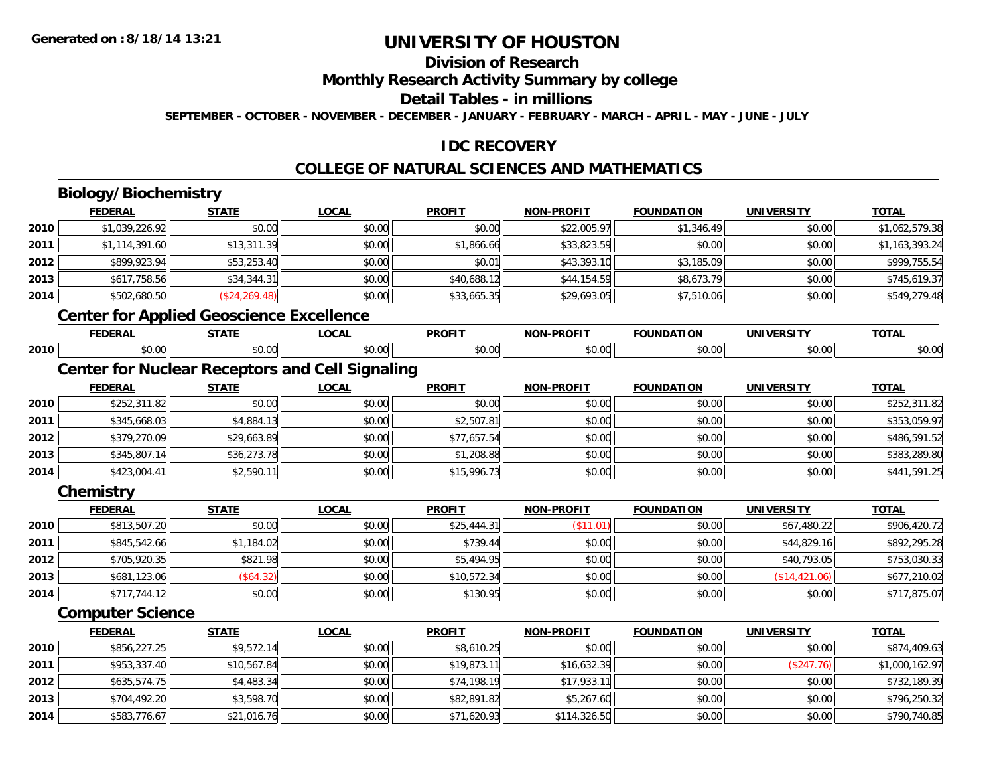### **Division of Research**

**Monthly Research Activity Summary by college**

**Detail Tables - in millions**

**SEPTEMBER - OCTOBER - NOVEMBER - DECEMBER - JANUARY - FEBRUARY - MARCH - APRIL - MAY - JUNE - JULY**

### **IDC RECOVERY**

## **COLLEGE OF NATURAL SCIENCES AND MATHEMATICS**

# **Biology/Biochemistry**

**2013**

**2014**

|      | <b>FEDERAL</b>          | <b>STATE</b>                                    | <b>LOCAL</b>                                           | <b>PROFIT</b> | <b>NON-PROFIT</b> | <b>FOUNDATION</b> | <b>UNIVERSITY</b> | <b>TOTAL</b>   |
|------|-------------------------|-------------------------------------------------|--------------------------------------------------------|---------------|-------------------|-------------------|-------------------|----------------|
| 2010 | \$1,039,226.92          | \$0.00                                          | \$0.00                                                 | \$0.00        | \$22,005.97       | \$1,346.49        | \$0.00            | \$1,062,579.38 |
| 2011 | \$1,114,391.60          | \$13,311.39                                     | \$0.00                                                 | \$1,866.66    | \$33,823.59       | \$0.00            | \$0.00            | \$1,163,393.24 |
| 2012 | \$899,923.94            | \$53,253.40                                     | \$0.00                                                 | \$0.01        | \$43,393.10       | \$3,185.09        | \$0.00            | \$999,755.54   |
| 2013 | \$617,758.56            | \$34,344.31                                     | \$0.00                                                 | \$40,688.12   | \$44,154.59       | \$8,673.79        | \$0.00            | \$745,619.37   |
| 2014 | \$502,680.50            | (\$24, 269.48)                                  | \$0.00                                                 | \$33,665.35   | \$29,693.05       | \$7,510.06        | \$0.00            | \$549,279.48   |
|      |                         | <b>Center for Applied Geoscience Excellence</b> |                                                        |               |                   |                   |                   |                |
|      | <b>FEDERAL</b>          | <b>STATE</b>                                    | <b>LOCAL</b>                                           | <b>PROFIT</b> | <b>NON-PROFIT</b> | <b>FOUNDATION</b> | <b>UNIVERSITY</b> | <b>TOTAL</b>   |
| 2010 | \$0.00                  | \$0.00                                          | \$0.00                                                 | \$0.00        | \$0.00            | \$0.00            | \$0.00            | \$0.00         |
|      |                         |                                                 | <b>Center for Nuclear Receptors and Cell Signaling</b> |               |                   |                   |                   |                |
|      | <b>FEDERAL</b>          | <b>STATE</b>                                    | <b>LOCAL</b>                                           | <b>PROFIT</b> | <b>NON-PROFIT</b> | <b>FOUNDATION</b> | <b>UNIVERSITY</b> | <b>TOTAL</b>   |
| 2010 | \$252,311.82            | \$0.00                                          | \$0.00                                                 | \$0.00        | \$0.00            | \$0.00            | \$0.00            | \$252,311.82   |
| 2011 | \$345,668.03            | \$4,884.13                                      | \$0.00                                                 | \$2,507.81    | \$0.00            | \$0.00            | \$0.00            | \$353,059.97   |
| 2012 | \$379,270.09            | \$29,663.89                                     | \$0.00                                                 | \$77,657.54   | \$0.00            | \$0.00            | \$0.00            | \$486,591.52   |
| 2013 | \$345,807.14            | \$36,273.78                                     | \$0.00                                                 | \$1,208.88    | \$0.00            | \$0.00            | \$0.00            | \$383,289.80   |
| 2014 | \$423,004.41            | \$2,590.11                                      | \$0.00                                                 | \$15,996.73   | \$0.00            | \$0.00            | \$0.00            | \$441,591.25   |
|      | Chemistry               |                                                 |                                                        |               |                   |                   |                   |                |
|      | <b>FEDERAL</b>          | <b>STATE</b>                                    | <b>LOCAL</b>                                           | <b>PROFIT</b> | <b>NON-PROFIT</b> | <b>FOUNDATION</b> | <b>UNIVERSITY</b> | <b>TOTAL</b>   |
| 2010 | \$813,507.20            | \$0.00                                          | \$0.00                                                 | \$25,444.31   | (\$11.01)         | \$0.00            | \$67,480.22       | \$906,420.72   |
| 2011 | \$845,542.66            | \$1,184.02                                      | \$0.00                                                 | \$739.44      | \$0.00            | \$0.00            | \$44,829.16       | \$892,295.28   |
| 2012 | \$705,920.35            | \$821.98                                        | \$0.00                                                 | \$5,494.95    | \$0.00            | \$0.00            | \$40,793.05       | \$753,030.33   |
| 2013 | \$681,123.06            | (\$64.32)                                       | \$0.00                                                 | \$10,572.34   | \$0.00            | \$0.00            | (\$14,421.06)     | \$677,210.02   |
| 2014 | \$717,744.12            | \$0.00                                          | \$0.00                                                 | \$130.95      | \$0.00            | \$0.00            | \$0.00            | \$717,875.07   |
|      | <b>Computer Science</b> |                                                 |                                                        |               |                   |                   |                   |                |
|      | <b>FEDERAL</b>          | <b>STATE</b>                                    | <b>LOCAL</b>                                           | <b>PROFIT</b> | <b>NON-PROFIT</b> | <b>FOUNDATION</b> | <b>UNIVERSITY</b> | <b>TOTAL</b>   |
| 2010 | \$856,227.25            | \$9,572.14                                      | \$0.00                                                 | \$8,610.25    | \$0.00            | \$0.00            | \$0.00            | \$874,409.63   |
| 2011 | \$953,337.40            | \$10,567.84                                     | \$0.00                                                 | \$19,873.11   | \$16,632.39       | \$0.00            | (\$247.76)        | \$1,000,162.97 |
| 2012 | \$635,574.75            | \$4,483.34                                      | \$0.00                                                 | \$74,198.19   | \$17,933.11       | \$0.00            | \$0.00            | \$732,189.39   |

\$704,492.20 \$3,598.70 \$0.00 \$82,891.82 \$5,267.60 \$0.00 \$0.00 \$796,250.32

\$583,776.67 \$21,016.76 \$0.00 \$71,620.93 \$114,326.50 \$0.00 \$0.00 \$790,740.85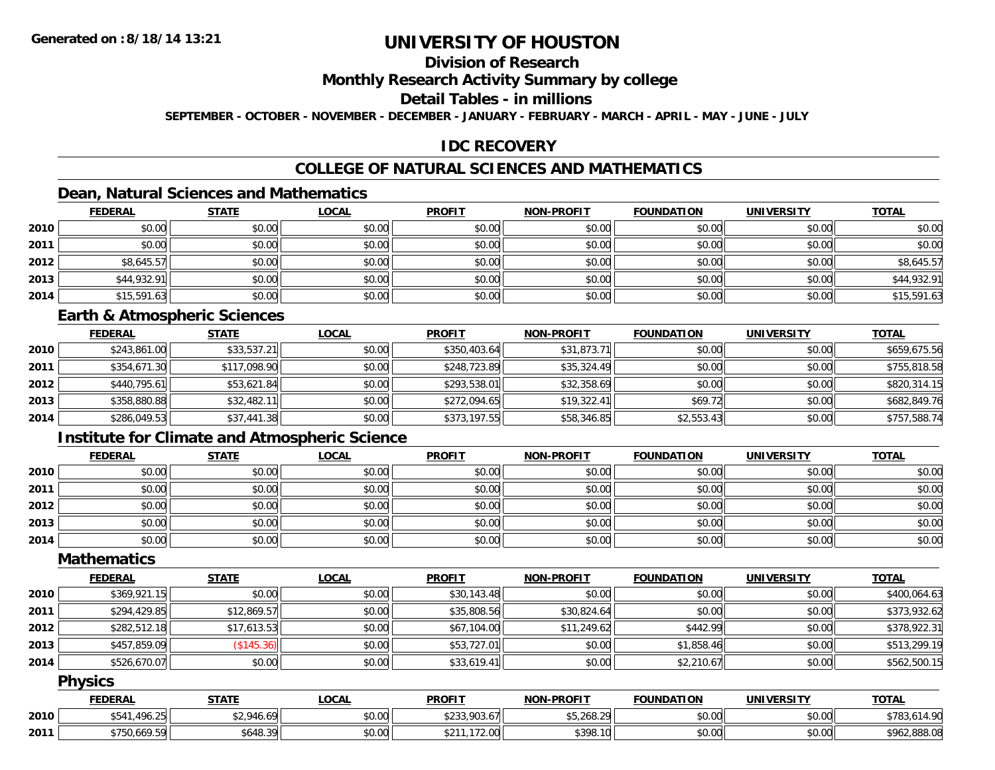## **Division of Research**

#### **Monthly Research Activity Summary by college**

### **Detail Tables - in millions**

**SEPTEMBER - OCTOBER - NOVEMBER - DECEMBER - JANUARY - FEBRUARY - MARCH - APRIL - MAY - JUNE - JULY**

### **IDC RECOVERY**

# **COLLEGE OF NATURAL SCIENCES AND MATHEMATICS**

# **Dean, Natural Sciences and Mathematics**

|      | <b>FEDERAL</b> | <b>STATE</b> | <u>LOCAL</u> | <b>PROFIT</b> | <b>NON-PROFIT</b> | <b>FOUNDATION</b> | <b>UNIVERSITY</b> | <b>TOTAL</b> |
|------|----------------|--------------|--------------|---------------|-------------------|-------------------|-------------------|--------------|
| 2010 | \$0.00         | \$0.00       | \$0.00       | \$0.00        | \$0.00            | \$0.00            | \$0.00            | \$0.00       |
| 2011 | \$0.00         | \$0.00       | \$0.00       | \$0.00        | \$0.00            | \$0.00            | \$0.00            | \$0.00       |
| 2012 | \$8,645.57     | \$0.00       | \$0.00       | \$0.00        | \$0.00            | \$0.00            | \$0.00            | \$8,645.57   |
| 2013 | \$44,932.91    | \$0.00       | \$0.00       | \$0.00        | \$0.00            | \$0.00            | \$0.00            | \$44,932.91  |
| 2014 | \$15,591.63    | \$0.00       | \$0.00       | \$0.00        | \$0.00            | \$0.00            | \$0.00            | \$15,591.63  |

#### **Earth & Atmospheric Sciences**

|      | <b>FEDERAL</b> | <u>STATE</u> | <u>LOCAL</u> | <b>PROFIT</b> | <b>NON-PROFIT</b> | <b>FOUNDATION</b> | <b>UNIVERSITY</b> | <b>TOTAL</b> |
|------|----------------|--------------|--------------|---------------|-------------------|-------------------|-------------------|--------------|
| 2010 | \$243,861.00   | \$33,537.21  | \$0.00       | \$350,403.64  | \$31,873.71       | \$0.00            | \$0.00            | \$659,675.56 |
| 2011 | \$354,671.30   | \$117,098.90 | \$0.00       | \$248,723.89  | \$35,324.49       | \$0.00            | \$0.00            | \$755,818.58 |
| 2012 | \$440.795.61   | \$53,621.84  | \$0.00       | \$293,538.01  | \$32,358.69       | \$0.00            | \$0.00            | \$820,314.15 |
| 2013 | \$358,880.88   | \$32,482.11  | \$0.00       | \$272,094.65  | \$19,322.41       | \$69.72           | \$0.00            | \$682,849.76 |
| 2014 | \$286,049.53   | \$37,441.38  | \$0.00       | \$373,197.55  | \$58,346.85       | \$2,553.43        | \$0.00            | \$757,588.74 |

# **Institute for Climate and Atmospheric Science**

|      | <b>FEDERAL</b> | <b>STATE</b> | <u>LOCAL</u> | <b>PROFIT</b> | NON-PROFIT | <b>FOUNDATION</b> | <b>UNIVERSITY</b> | <b>TOTAL</b> |
|------|----------------|--------------|--------------|---------------|------------|-------------------|-------------------|--------------|
| 2010 | \$0.00         | \$0.00       | \$0.00       | \$0.00        | \$0.00     | \$0.00            | \$0.00            | \$0.00       |
| 2011 | \$0.00         | \$0.00       | \$0.00       | \$0.00        | \$0.00     | \$0.00            | \$0.00            | \$0.00       |
| 2012 | \$0.00         | \$0.00       | \$0.00       | \$0.00        | \$0.00     | \$0.00            | \$0.00            | \$0.00       |
| 2013 | \$0.00         | \$0.00       | \$0.00       | \$0.00        | \$0.00     | \$0.00            | \$0.00            | \$0.00       |
| 2014 | \$0.00         | \$0.00       | \$0.00       | \$0.00        | \$0.00     | \$0.00            | \$0.00            | \$0.00       |

### **Mathematics**

|      | <b>FEDERAL</b> | <u>STATE</u> | <u>LOCAL</u> | <b>PROFIT</b> | <b>NON-PROFIT</b> | <b>FOUNDATION</b> | <b>UNIVERSITY</b> | <u>TOTAL</u> |
|------|----------------|--------------|--------------|---------------|-------------------|-------------------|-------------------|--------------|
| 2010 | \$369,921.15   | \$0.00       | \$0.00       | \$30,143.48   | \$0.00            | \$0.00            | \$0.00            | \$400,064.63 |
| 2011 | \$294,429.85   | \$12,869.57  | \$0.00       | \$35,808.56   | \$30,824.64       | \$0.00            | \$0.00            | \$373,932.62 |
| 2012 | \$282,512.18   | \$17,613.53  | \$0.00       | \$67,104.00   | \$11,249.62       | \$442.99          | \$0.00            | \$378,922.31 |
| 2013 | \$457,859.09   | (\$145.36)   | \$0.00       | \$53,727.01   | \$0.00            | \$1,858.46        | \$0.00            | \$513,299.19 |
| 2014 | \$526,670.07   | \$0.00       | \$0.00       | \$33,619.41   | \$0.00            | \$2,210.67        | \$0.00            | \$562,500.15 |

#### **Physics**

|      | <b>FEDERAL</b>   | <b>STATE</b> | LOCAL  | <b>PROFIT</b>                          | <b>NON-PROFIT</b> | <b>FOUNDATION</b> | <b>UNIVERSITY</b> | <b>TOTAL</b> |
|------|------------------|--------------|--------|----------------------------------------|-------------------|-------------------|-------------------|--------------|
| 2010 | .496.25<br>\$541 | \$2,946.69   | \$0.00 | $+22200017$<br>703.D/L<br>ں بے ر       | \$5,268.29        | \$0.00            | \$0.00            | *-<br>783.0  |
| 2011 | \$750,669.59     | 5648.39      | \$0.00 | 170.00<br>$\sim$ $\sim$ $\sim$<br>z.uu | \$398.10          | \$0.00            | \$0.00            | \$962,888.08 |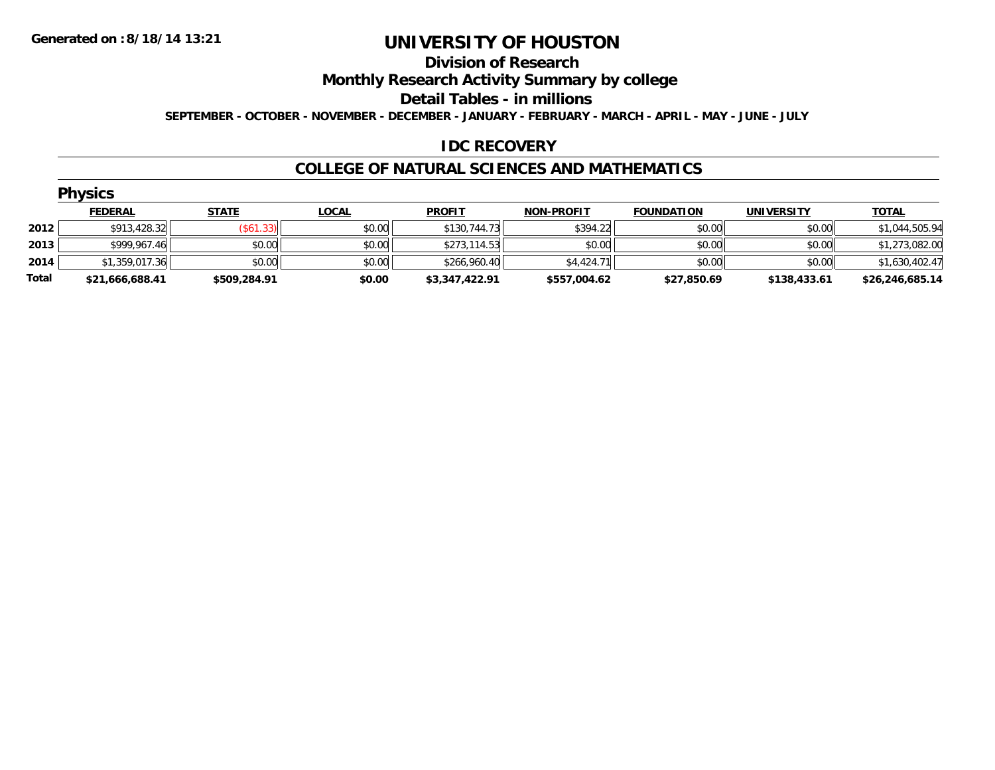#### **Division of Research**

**Monthly Research Activity Summary by college**

**Detail Tables - in millions**

**SEPTEMBER - OCTOBER - NOVEMBER - DECEMBER - JANUARY - FEBRUARY - MARCH - APRIL - MAY - JUNE - JULY**

### **IDC RECOVERY**

#### **COLLEGE OF NATURAL SCIENCES AND MATHEMATICS**

|       | <b>Physics</b>  |              |              |                |                   |                   |                   |                 |  |  |  |  |  |
|-------|-----------------|--------------|--------------|----------------|-------------------|-------------------|-------------------|-----------------|--|--|--|--|--|
|       | <b>FEDERAL</b>  | <b>STATE</b> | <b>LOCAL</b> | <b>PROFIT</b>  | <b>NON-PROFIT</b> | <b>FOUNDATION</b> | <b>UNIVERSITY</b> | <b>TOTAL</b>    |  |  |  |  |  |
| 2012  | \$913,428.32    | (\$61.33)    | \$0.00       | \$130,744.73   | \$394.22          | \$0.00            | \$0.00            | \$1,044,505.94  |  |  |  |  |  |
| 2013  | \$999,967.46    | \$0.00       | \$0.00       | \$273,114.53   | \$0.00            | \$0.00            | \$0.00            | \$1,273,082.00  |  |  |  |  |  |
| 2014  | \$1,359,017.36  | \$0.00       | \$0.00       | \$266,960.40   | \$4,424.71        | \$0.00            | \$0.00            | \$1,630,402.47  |  |  |  |  |  |
| Total | \$21,666,688.41 | \$509,284.91 | \$0.00       | \$3,347,422.91 | \$557,004.62      | \$27,850.69       | \$138,433.61      | \$26,246,685.14 |  |  |  |  |  |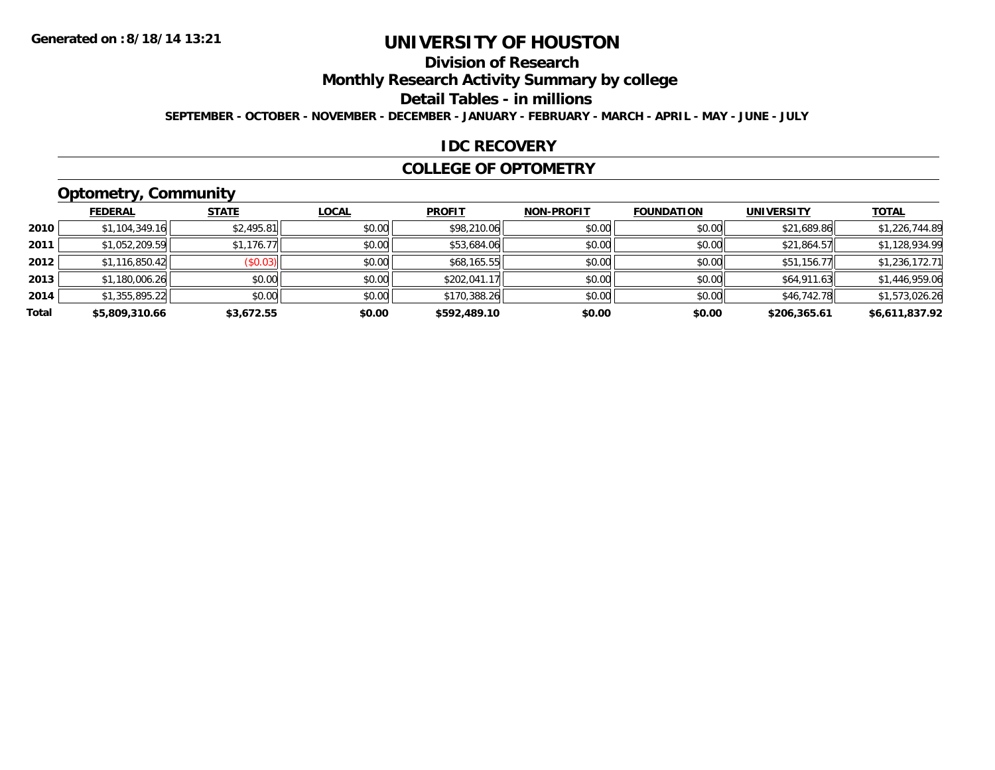# **Division of Research**

**Monthly Research Activity Summary by college**

**Detail Tables - in millions**

**SEPTEMBER - OCTOBER - NOVEMBER - DECEMBER - JANUARY - FEBRUARY - MARCH - APRIL - MAY - JUNE - JULY**

#### **IDC RECOVERY**

#### **COLLEGE OF OPTOMETRY**

# **Optometry, Community**

|       | ___            |              |              |               |                   |                   |                   |                |
|-------|----------------|--------------|--------------|---------------|-------------------|-------------------|-------------------|----------------|
|       | <b>FEDERAL</b> | <b>STATE</b> | <b>LOCAL</b> | <b>PROFIT</b> | <b>NON-PROFIT</b> | <b>FOUNDATION</b> | <b>UNIVERSITY</b> | <b>TOTAL</b>   |
| 2010  | \$1,104,349.16 | \$2,495.81   | \$0.00       | \$98,210.06   | \$0.00            | \$0.00            | \$21,689.86       | \$1,226,744.89 |
| 2011  | \$1,052,209.59 | \$1,176.77   | \$0.00       | \$53,684.06   | \$0.00            | \$0.00            | \$21,864.57       | \$1,128,934.99 |
| 2012  | \$1,116,850.42 | (\$0.03)     | \$0.00       | \$68,165.55   | \$0.00            | \$0.00            | \$51,156.77       | \$1,236,172.71 |
| 2013  | \$1,180,006.26 | \$0.00       | \$0.00       | \$202,041.17  | \$0.00            | \$0.00            | \$64,911.63       | \$1,446,959.06 |
| 2014  | \$1,355,895.22 | \$0.00       | \$0.00       | \$170,388.26  | \$0.00            | \$0.00            | \$46,742.78       | \$1,573,026.26 |
| Total | \$5,809,310.66 | \$3,672.55   | \$0.00       | \$592,489.10  | \$0.00            | \$0.00            | \$206,365.61      | \$6,611,837.92 |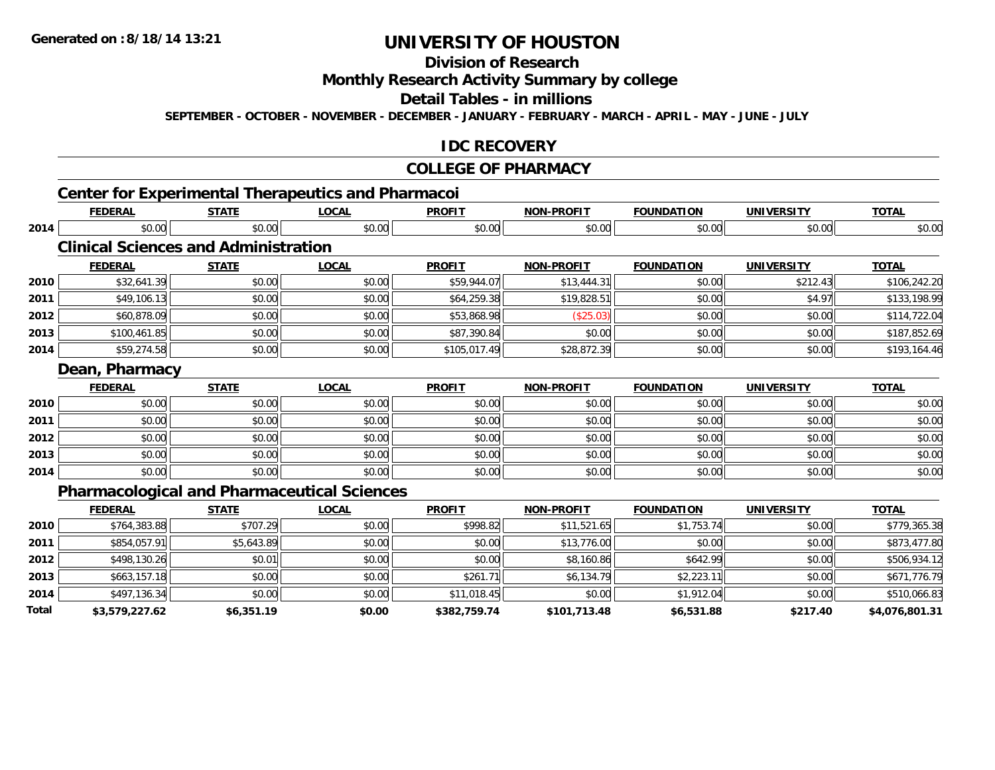**2014**

**Total**

# **UNIVERSITY OF HOUSTON**

# **Division of Research**

### **Monthly Research Activity Summary by college**

#### **Detail Tables - in millions**

**SEPTEMBER - OCTOBER - NOVEMBER - DECEMBER - JANUARY - FEBRUARY - MARCH - APRIL - MAY - JUNE - JULY**

### **IDC RECOVERY**

#### **COLLEGE OF PHARMACY**

|      |                                             |              | <b>Center for Experimental Therapeutics and Pharmacoi</b> |               |                   |                   |                   |              |
|------|---------------------------------------------|--------------|-----------------------------------------------------------|---------------|-------------------|-------------------|-------------------|--------------|
|      | <b>FEDERAL</b>                              | <b>STATE</b> | <b>LOCAL</b>                                              | <b>PROFIT</b> | <b>NON-PROFIT</b> | <b>FOUNDATION</b> | <b>UNIVERSITY</b> | <b>TOTAL</b> |
| 2014 | \$0.00                                      | \$0.00       | \$0.00                                                    | \$0.00        | \$0.00            | \$0.00            | \$0.00            | \$0.00       |
|      | <b>Clinical Sciences and Administration</b> |              |                                                           |               |                   |                   |                   |              |
|      | <b>FEDERAL</b>                              | <b>STATE</b> | <b>LOCAL</b>                                              | <b>PROFIT</b> | <b>NON-PROFIT</b> | <b>FOUNDATION</b> | <b>UNIVERSITY</b> | <b>TOTAL</b> |
| 2010 | \$32,641.39                                 | \$0.00       | \$0.00                                                    | \$59,944.07   | \$13,444.31       | \$0.00            | \$212.43          | \$106,242.20 |
| 2011 | \$49,106.13                                 | \$0.00       | \$0.00                                                    | \$64,259.38   | \$19,828.51       | \$0.00            | \$4.97            | \$133,198.99 |
| 2012 | \$60,878.09                                 | \$0.00       | \$0.00                                                    | \$53,868.98   | (\$25.03)         | \$0.00            | \$0.00            | \$114,722.04 |
| 2013 | \$100,461.85                                | \$0.00       | \$0.00                                                    | \$87,390.84   | \$0.00            | \$0.00            | \$0.00            | \$187,852.69 |
| 2014 | \$59,274.58                                 | \$0.00       | \$0.00                                                    | \$105,017.49  | \$28,872.39       | \$0.00            | \$0.00            | \$193,164.46 |
|      | Dean, Pharmacy                              |              |                                                           |               |                   |                   |                   |              |
|      | <b>FEDERAL</b>                              | <b>STATE</b> | <b>LOCAL</b>                                              | <b>PROFIT</b> | <b>NON-PROFIT</b> | <b>FOUNDATION</b> | <b>UNIVERSITY</b> | <b>TOTAL</b> |
| 2010 | \$0.00                                      | \$0.00       | \$0.00                                                    | \$0.00        | \$0.00            | \$0.00            | \$0.00            | \$0.00       |
| 2011 | \$0.00                                      | \$0.00       | \$0.00                                                    | \$0.00        | \$0.00            | \$0.00            | \$0.00            | \$0.00       |
| 2012 | \$0.00                                      | \$0.00       | \$0.00                                                    | \$0.00        | \$0.00            | \$0.00            | \$0.00            | \$0.00       |
| 2013 | \$0.00                                      | \$0.00       | \$0.00                                                    | \$0.00        | \$0.00            | \$0.00            | \$0.00            | \$0.00       |
| 2014 | \$0.00                                      | \$0.00       | \$0.00                                                    | \$0.00        | \$0.00            | \$0.00            | \$0.00            | \$0.00       |
|      |                                             |              | <b>Pharmacological and Pharmaceutical Sciences</b>        |               |                   |                   |                   |              |
|      | <b>FEDERAL</b>                              | <b>STATE</b> | <b>LOCAL</b>                                              | <b>PROFIT</b> | <b>NON-PROFIT</b> | <b>FOUNDATION</b> | <b>UNIVERSITY</b> | <b>TOTAL</b> |
| 2010 | \$764,383.88                                | \$707.29     | \$0.00                                                    | \$998.82      | \$11,521.65       | \$1,753.74        | \$0.00            | \$779,365.38 |
| 2011 | \$854,057.91                                | \$5,643.89   | \$0.00                                                    | \$0.00        | \$13,776.00       | \$0.00            | \$0.00            | \$873,477.80 |
| 2012 | \$498,130.26                                | \$0.01       | \$0.00                                                    | \$0.00        | \$8,160.86        | \$642.99          | \$0.00            | \$506,934.12 |
| 2013 | \$663,157.18                                | \$0.00       | \$0.00                                                    | \$261.71      | \$6,134.79        | \$2,223.11        | \$0.00            | \$671,776.79 |

4 \$497,136.34 \$0.00 \$0.00 \$0.00 \$0.00 \$11,018.45 \$0.00 \$0.00 \$1,912.04 \$0.00 \$0.00 \$510,066.83

**\$3,579,227.62 \$6,351.19 \$0.00 \$382,759.74 \$101,713.48 \$6,531.88 \$217.40 \$4,076,801.31**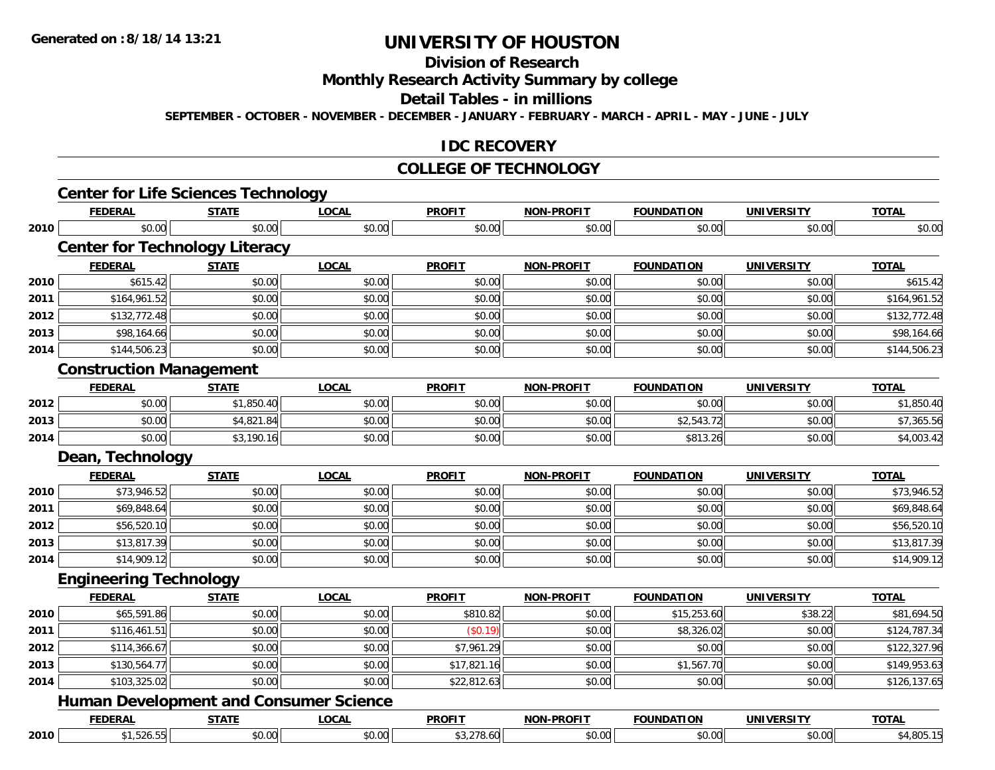# **Division of Research**

**Monthly Research Activity Summary by college**

**Detail Tables - in millions**

**SEPTEMBER - OCTOBER - NOVEMBER - DECEMBER - JANUARY - FEBRUARY - MARCH - APRIL - MAY - JUNE - JULY**

#### **IDC RECOVERY**

#### **COLLEGE OF TECHNOLOGY**

|      | <b>FEDERAL</b>                                | <b>STATE</b> | <b>LOCAL</b> | <b>PROFIT</b> | <b>NON-PROFIT</b> | <b>FOUNDATION</b> | <b>UNIVERSITY</b> | <b>TOTAL</b> |
|------|-----------------------------------------------|--------------|--------------|---------------|-------------------|-------------------|-------------------|--------------|
| 2010 | \$0.00                                        | \$0.00       | \$0.00       | \$0.00        | \$0.00            | \$0.00            | \$0.00            | \$0.00       |
|      | <b>Center for Technology Literacy</b>         |              |              |               |                   |                   |                   |              |
|      | <b>FEDERAL</b>                                | <b>STATE</b> | <b>LOCAL</b> | <b>PROFIT</b> | <b>NON-PROFIT</b> | <b>FOUNDATION</b> | <b>UNIVERSITY</b> | <b>TOTAL</b> |
| 2010 | \$615.42                                      | \$0.00       | \$0.00       | \$0.00        | \$0.00            | \$0.00            | \$0.00            | \$615.42     |
| 2011 | \$164,961.52                                  | \$0.00       | \$0.00       | \$0.00        | \$0.00            | \$0.00            | \$0.00            | \$164,961.52 |
| 2012 | \$132,772.48                                  | \$0.00       | \$0.00       | \$0.00        | \$0.00            | \$0.00            | \$0.00            | \$132,772.48 |
| 2013 | \$98,164.66                                   | \$0.00       | \$0.00       | \$0.00        | \$0.00            | \$0.00            | \$0.00            | \$98,164.66  |
| 2014 | \$144,506.23                                  | \$0.00       | \$0.00       | \$0.00        | \$0.00            | \$0.00            | \$0.00            | \$144,506.23 |
|      | <b>Construction Management</b>                |              |              |               |                   |                   |                   |              |
|      | <b>FEDERAL</b>                                | <b>STATE</b> | <b>LOCAL</b> | <b>PROFIT</b> | <b>NON-PROFIT</b> | <b>FOUNDATION</b> | <b>UNIVERSITY</b> | <b>TOTAL</b> |
| 2012 | \$0.00                                        | \$1,850.40   | \$0.00       | \$0.00        | \$0.00            | \$0.00            | \$0.00            | \$1,850.40   |
| 2013 | \$0.00                                        | \$4,821.84   | \$0.00       | \$0.00        | \$0.00            | \$2,543.72        | \$0.00            | \$7,365.56   |
| 2014 | \$0.00                                        | \$3,190.16   | \$0.00       | \$0.00        | \$0.00            | \$813.26          | \$0.00            | \$4,003.42   |
|      | Dean, Technology                              |              |              |               |                   |                   |                   |              |
|      | <b>FEDERAL</b>                                | <b>STATE</b> | <b>LOCAL</b> | <b>PROFIT</b> | <b>NON-PROFIT</b> | <b>FOUNDATION</b> | <b>UNIVERSITY</b> | <b>TOTAL</b> |
| 2010 | \$73,946.52                                   | \$0.00       | \$0.00       | \$0.00        | \$0.00            | \$0.00            | \$0.00            | \$73,946.52  |
| 2011 | \$69,848.64                                   | \$0.00       | \$0.00       | \$0.00        | \$0.00            | \$0.00            | \$0.00            | \$69,848.64  |
| 2012 | \$56,520.10                                   | \$0.00       | \$0.00       | \$0.00        | \$0.00            | \$0.00            | \$0.00            | \$56,520.10  |
| 2013 | \$13,817.39                                   | \$0.00       | \$0.00       | \$0.00        | \$0.00            | \$0.00            | \$0.00            | \$13,817.39  |
| 2014 | \$14,909.12                                   | \$0.00       | \$0.00       | \$0.00        | \$0.00            | \$0.00            | \$0.00            | \$14,909.12  |
|      | <b>Engineering Technology</b>                 |              |              |               |                   |                   |                   |              |
|      | <b>FEDERAL</b>                                | <b>STATE</b> | <b>LOCAL</b> | <b>PROFIT</b> | NON-PROFIT        | <b>FOUNDATION</b> | <b>UNIVERSITY</b> | <b>TOTAL</b> |
| 2010 | \$65,591.86                                   | \$0.00       | \$0.00       | \$810.82      | \$0.00            | \$15,253.60       | \$38.22           | \$81,694.50  |
| 2011 | \$116,461.51                                  | \$0.00       | \$0.00       | (\$0.19)      | \$0.00            | \$8,326.02        | \$0.00            | \$124,787.34 |
| 2012 | \$114,366.67                                  | \$0.00       | \$0.00       | \$7,961.29    | \$0.00            | \$0.00            | \$0.00            | \$122,327.96 |
| 2013 | \$130,564.77                                  | \$0.00       | \$0.00       | \$17,821.16   | \$0.00            | \$1,567.70        | \$0.00            | \$149,953.63 |
| 2014 | \$103,325.02                                  | \$0.00       | \$0.00       | \$22,812.63   | \$0.00            | \$0.00            | \$0.00            | \$126,137.65 |
|      | <b>Human Development and Consumer Science</b> |              |              |               |                   |                   |                   |              |
|      | <b>FEDERAL</b>                                | <b>STATE</b> | <b>LOCAL</b> | <b>PROFIT</b> | <b>NON-PROFIT</b> | <b>FOUNDATION</b> | <b>UNIVERSITY</b> | <b>TOTAL</b> |
|      |                                               |              |              |               |                   |                   |                   |              |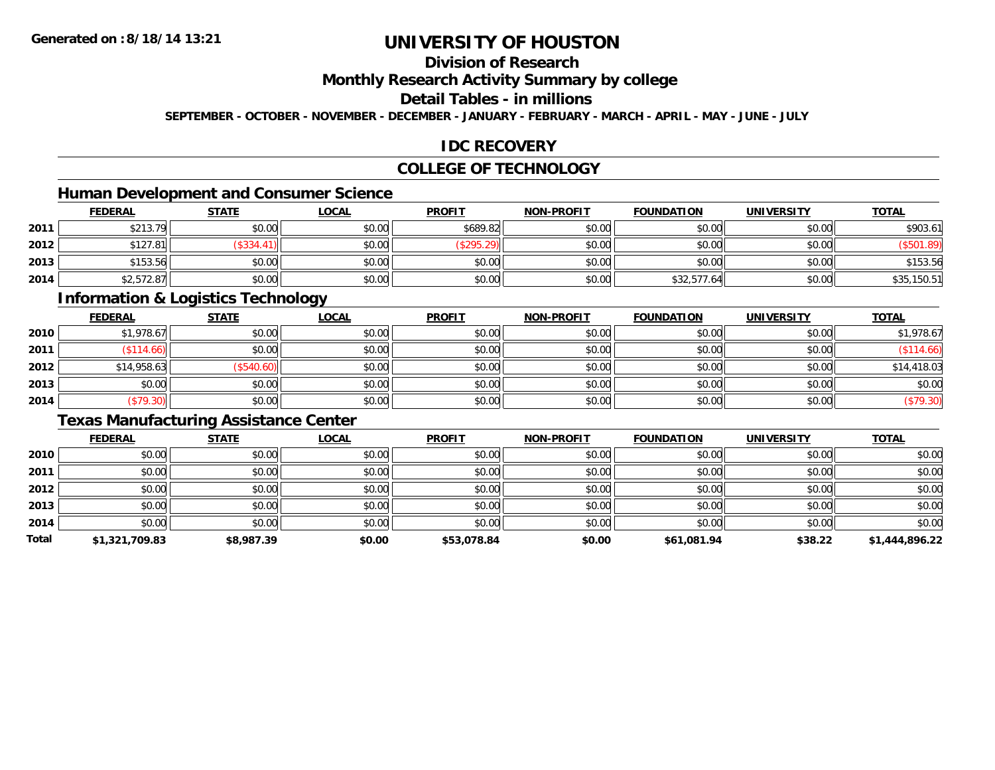# **Division of Research**

**Monthly Research Activity Summary by college**

**Detail Tables - in millions**

**SEPTEMBER - OCTOBER - NOVEMBER - DECEMBER - JANUARY - FEBRUARY - MARCH - APRIL - MAY - JUNE - JULY**

### **IDC RECOVERY**

### **COLLEGE OF TECHNOLOGY**

# **Human Development and Consumer Science**

|      | <b>FEDERAL</b> | <b>STATE</b> | <b>LOCAL</b> | <b>PROFIT</b> | <b>NON-PROFIT</b> | <b>FOUNDATION</b> | <b>UNIVERSITY</b> | <u>TOTAL</u>    |
|------|----------------|--------------|--------------|---------------|-------------------|-------------------|-------------------|-----------------|
| 2011 | \$213.79       | \$0.00       | \$0.00       | \$689.82      | \$0.00            | \$0.00            | \$0.00            | \$903.61        |
| 2012 | \$127.81       | \$334.4      | \$0.00       | (\$295.29)    | \$0.00            | \$0.00            | \$0.00            | $\sqrt{501.89}$ |
| 2013 | \$153.56       | \$0.00       | \$0.00       | \$0.00        | \$0.00            | \$0.00            | \$0.00            | \$153.56        |
| 2014 | \$2,572.87     | \$0.00       | \$0.00       | \$0.00        | \$0.00            | \$32,577.64       | \$0.00            | \$35,150.51     |

### **Information & Logistics Technology**

|      | <b>FEDERAL</b> | <b>STATE</b> | <u>LOCAL</u> | <b>PROFIT</b> | <b>NON-PROFIT</b> | <b>FOUNDATION</b> | <b>UNIVERSITY</b> | <b>TOTAL</b> |
|------|----------------|--------------|--------------|---------------|-------------------|-------------------|-------------------|--------------|
| 2010 | \$1,978.67     | \$0.00       | \$0.00       | \$0.00        | \$0.00            | \$0.00            | \$0.00            | \$1,978.67   |
| 2011 | \$114.66       | \$0.00       | \$0.00       | \$0.00        | \$0.00            | \$0.00            | \$0.00            | (\$114.66)   |
| 2012 | \$14,958.63    | (\$540.60)   | \$0.00       | \$0.00        | \$0.00            | \$0.00            | \$0.00            | \$14,418.03  |
| 2013 | \$0.00         | \$0.00       | \$0.00       | \$0.00        | \$0.00            | \$0.00            | \$0.00            | \$0.00       |
| 2014 | (\$79.30)      | \$0.00       | \$0.00       | \$0.00        | \$0.00            | \$0.00            | \$0.00            | (\$79.30)    |

## **Texas Manufacturing Assistance Center**

|       | <b>FEDERAL</b> | <b>STATE</b> | <b>LOCAL</b> | <b>PROFIT</b> | <b>NON-PROFIT</b> | <b>FOUNDATION</b> | <b>UNIVERSITY</b> | <b>TOTAL</b>   |
|-------|----------------|--------------|--------------|---------------|-------------------|-------------------|-------------------|----------------|
| 2010  | \$0.00         | \$0.00       | \$0.00       | \$0.00        | \$0.00            | \$0.00            | \$0.00            | \$0.00         |
| 2011  | \$0.00         | \$0.00       | \$0.00       | \$0.00        | \$0.00            | \$0.00            | \$0.00            | \$0.00         |
| 2012  | \$0.00         | \$0.00       | \$0.00       | \$0.00        | \$0.00            | \$0.00            | \$0.00            | \$0.00         |
| 2013  | \$0.00         | \$0.00       | \$0.00       | \$0.00        | \$0.00            | \$0.00            | \$0.00            | \$0.00         |
| 2014  | \$0.00         | \$0.00       | \$0.00       | \$0.00        | \$0.00            | \$0.00            | \$0.00            | \$0.00         |
| Total | \$1,321,709.83 | \$8,987.39   | \$0.00       | \$53,078.84   | \$0.00            | \$61,081.94       | \$38.22           | \$1,444,896.22 |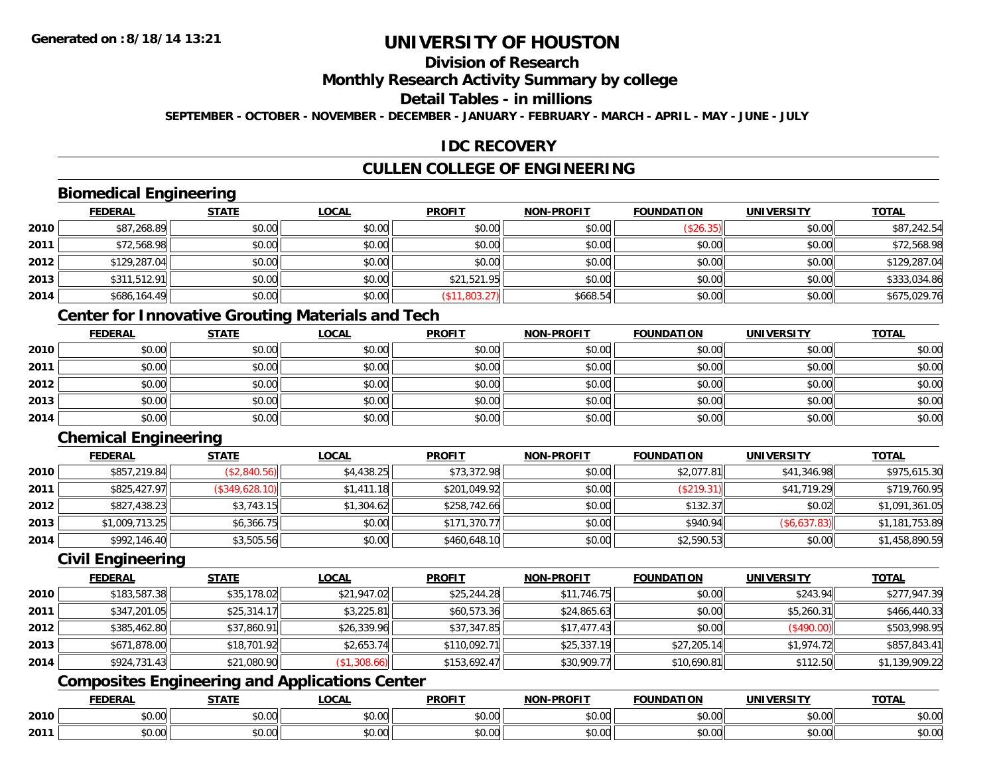# **Division of Research**

**Monthly Research Activity Summary by college**

**Detail Tables - in millions**

**SEPTEMBER - OCTOBER - NOVEMBER - DECEMBER - JANUARY - FEBRUARY - MARCH - APRIL - MAY - JUNE - JULY**

### **IDC RECOVERY**

## **CULLEN COLLEGE OF ENGINEERING**

### **Biomedical Engineering**

|      | <b>FEDERAL</b> | <b>STATE</b> | <u>LOCAL</u> | <b>PROFIT</b> | <b>NON-PROFIT</b> | <b>FOUNDATION</b> | <b>UNIVERSITY</b> | <b>TOTAL</b> |
|------|----------------|--------------|--------------|---------------|-------------------|-------------------|-------------------|--------------|
| 2010 | \$87,268.89    | \$0.00       | \$0.00       | \$0.00        | \$0.00            | (\$26.35)         | \$0.00            | \$87,242.54  |
| 2011 | \$72,568.98    | \$0.00       | \$0.00       | \$0.00        | \$0.00            | \$0.00            | \$0.00            | \$72,568.98  |
| 2012 | \$129,287.04   | \$0.00       | \$0.00       | \$0.00        | \$0.00            | \$0.00            | \$0.00            | \$129,287.04 |
| 2013 | \$311,512.91   | \$0.00       | \$0.00       | \$21,521.95   | \$0.00            | \$0.00            | \$0.00            | \$333,034.86 |
| 2014 | \$686,164.49   | \$0.00       | \$0.00       | (\$11,803.27) | \$668.54          | \$0.00            | \$0.00            | \$675,029.76 |

## **Center for Innovative Grouting Materials and Tech**

|      | <u>FEDERAL</u> | <u>STATE</u> | <u>LOCAL</u> | <b>PROFIT</b> | <b>NON-PROFIT</b> | <b>FOUNDATION</b> | <b>UNIVERSITY</b> | <b>TOTAL</b> |
|------|----------------|--------------|--------------|---------------|-------------------|-------------------|-------------------|--------------|
| 2010 | \$0.00         | \$0.00       | \$0.00       | \$0.00        | \$0.00            | \$0.00            | \$0.00            | \$0.00       |
| 2011 | \$0.00         | \$0.00       | \$0.00       | \$0.00        | \$0.00            | \$0.00            | \$0.00            | \$0.00       |
| 2012 | \$0.00         | \$0.00       | \$0.00       | \$0.00        | \$0.00            | \$0.00            | \$0.00            | \$0.00       |
| 2013 | \$0.00         | \$0.00       | \$0.00       | \$0.00        | \$0.00            | \$0.00            | \$0.00            | \$0.00       |
| 2014 | \$0.00         | \$0.00       | \$0.00       | \$0.00        | \$0.00            | \$0.00            | \$0.00            | \$0.00       |

# **Chemical Engineering**

|      | <b>FEDERAL</b> | <b>STATE</b>   | <u>LOCAL</u> | <b>PROFIT</b> | <b>NON-PROFIT</b> | <b>FOUNDATION</b> | <b>UNIVERSITY</b> | <b>TOTAL</b>   |
|------|----------------|----------------|--------------|---------------|-------------------|-------------------|-------------------|----------------|
| 2010 | \$857,219.84   | (\$2,840.56)   | \$4,438.25   | \$73,372.98   | \$0.00            | \$2,077.81        | \$41,346.98       | \$975,615.30   |
| 2011 | \$825,427.97   | (\$349,628.10) | \$1,411.18   | \$201,049.92  | \$0.00            | (\$219.31)        | \$41,719.29       | \$719,760.95   |
| 2012 | \$827,438.23   | \$3,743.15     | \$1,304.62   | \$258,742.66  | \$0.00            | \$132.37          | \$0.02            | \$1,091,361.05 |
| 2013 | \$1,009,713.25 | \$6,366.75     | \$0.00       | \$171,370.77  | \$0.00            | \$940.94          | (\$6,637.83)      | \$1,181,753.89 |
| 2014 | \$992,146.40   | \$3,505.56     | \$0.00       | \$460,648.10  | \$0.00            | \$2,590.53        | \$0.00            | \$1,458,890.59 |

#### **Civil Engineering**

|      | <b>FEDERAL</b> | <b>STATE</b> | <u>LOCAL</u> | <b>PROFIT</b> | <b>NON-PROFIT</b> | <b>FOUNDATION</b> | <b>UNIVERSITY</b> | <b>TOTAL</b>   |
|------|----------------|--------------|--------------|---------------|-------------------|-------------------|-------------------|----------------|
| 2010 | \$183,587.38   | \$35,178.02  | \$21,947.02  | \$25,244.28   | \$11,746.75       | \$0.00            | \$243.94          | \$277,947.39   |
| 2011 | \$347,201.05   | \$25,314.17  | \$3,225.81   | \$60,573.36   | \$24,865.63       | \$0.00            | \$5,260.31        | \$466,440.33   |
| 2012 | \$385,462.80   | \$37,860.91  | \$26,339.96  | \$37,347.85   | \$17,477.43       | \$0.00            | (\$490.00)        | \$503,998.95   |
| 2013 | \$671,878.00   | \$18,701.92  | \$2,653.74   | \$110,092.71  | \$25,337.19       | \$27,205.14       | \$1.974.72        | \$857,843.41   |
| 2014 | \$924,731.43   | \$21,080.90  | (\$1,308.66) | \$153.692.47  | \$30,909.77       | \$10,690.81       | \$112.50          | \$1,139,909.22 |

# **Composites Engineering and Applications Center**

|      | <b>FEBER!</b><br>LI\ <i>r</i> | $C = 1$                                                                  | $\bigcap_{n=1}^{\infty}$<br>.OCAI   | <b>PROFIT</b>                                       | יוחמחח<br><b>BIOB</b>         | ាកា<br>I ) Д                                   | . <i></i> .<br>.JIV∶ | <b>TOTAL</b>           |
|------|-------------------------------|--------------------------------------------------------------------------|-------------------------------------|-----------------------------------------------------|-------------------------------|------------------------------------------------|----------------------|------------------------|
| 2010 | 0.00<br>שט.טע                 | $\uparrow$ $\uparrow$ $\uparrow$ $\uparrow$ $\uparrow$ $\uparrow$<br>ט.ט | $\sim$ 00<br>וטטוע                  | $\sim$ $\sim$<br>וטטוע                              | $\sim$ $\sim$ $\sim$<br>vv.vv | $\triangle$ $\triangle$ $\triangle$<br>— JU.U∪ | 0.00<br>PU.UU        | $\sim$ $\sim$<br>JU.UU |
| 2011 | 0000<br>JU.UU                 | <b>↑∩</b><br>JU.U                                                        | $\uparrow$ $\land$ $\land$<br>PU.UU | $\sim$ 00<br>$\vee$ . Ultractured the set of $\vee$ | $\sim$<br>$\sim$<br>vv.vv     | $\sim$<br>JU.UU                                | 0000<br><b>JU.UU</b> | <b>JU.UU</b>           |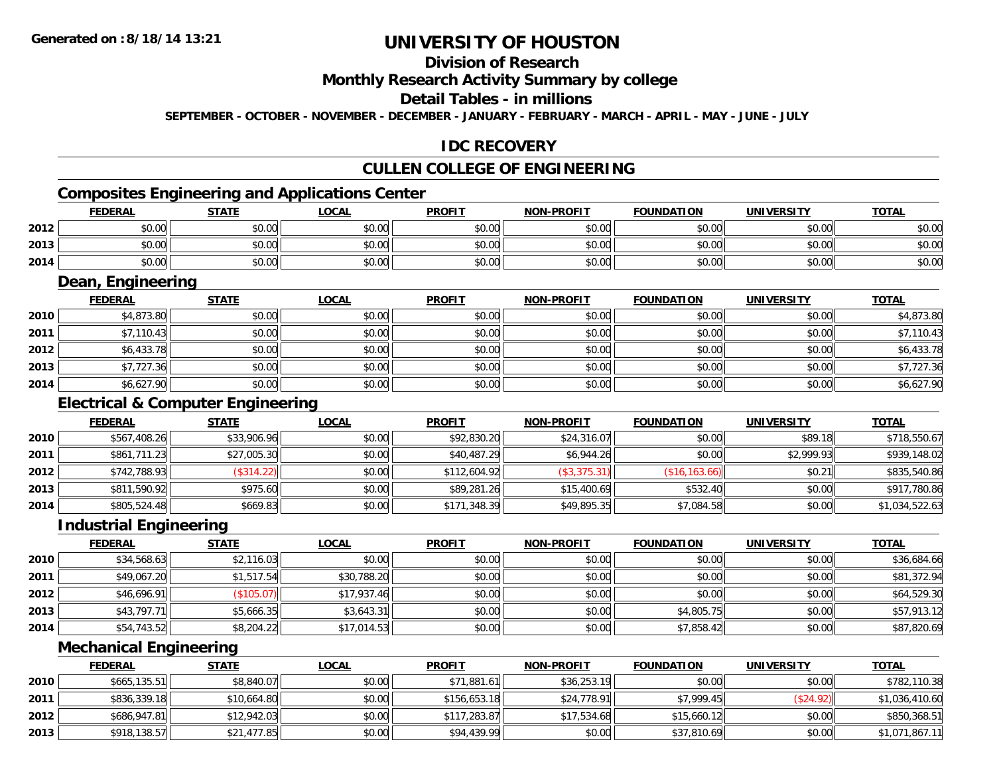# **Division of Research**

#### **Monthly Research Activity Summary by college**

#### **Detail Tables - in millions**

**SEPTEMBER - OCTOBER - NOVEMBER - DECEMBER - JANUARY - FEBRUARY - MARCH - APRIL - MAY - JUNE - JULY**

### **IDC RECOVERY**

## **CULLEN COLLEGE OF ENGINEERING**

### **Composites Engineering and Applications Center**

|      | Composites Engineering and Applications Center |              |              |               |                   |                   |                   |              |  |  |  |
|------|------------------------------------------------|--------------|--------------|---------------|-------------------|-------------------|-------------------|--------------|--|--|--|
|      | <b>FEDERAL</b>                                 | <b>STATE</b> | <u>LOCAL</u> | <b>PROFIT</b> | <b>NON-PROFIT</b> | <b>FOUNDATION</b> | <b>UNIVERSITY</b> | <b>TOTAL</b> |  |  |  |
| 2012 | \$0.00                                         | \$0.00       | \$0.00       | \$0.00        | \$0.00            | \$0.00            | \$0.00            | \$0.00       |  |  |  |
| 2013 | \$0.00                                         | \$0.00       | \$0.00       | \$0.00        | \$0.00            | \$0.00            | \$0.00            | \$0.00       |  |  |  |
| 2014 | \$0.00                                         | \$0.00       | \$0.00       | \$0.00        | \$0.00            | \$0.00            | \$0.00            | \$0.00       |  |  |  |

<u> 1989 - Johann Stoff, deutscher Stoffen und der Stoffen und der Stoffen und der Stoffen und der Stoffen und der</u>

### **Dean, Engineering**

|      | <b>FEDERAL</b> | <b>STATE</b> | <b>LOCAL</b> | <b>PROFIT</b> | <b>NON-PROFIT</b> | <b>FOUNDATION</b> | <b>UNIVERSITY</b> | <b>TOTAL</b> |
|------|----------------|--------------|--------------|---------------|-------------------|-------------------|-------------------|--------------|
| 2010 | \$4,873.80     | \$0.00       | \$0.00       | \$0.00        | \$0.00            | \$0.00            | \$0.00            | \$4,873.80   |
| 2011 | \$7,110.43     | \$0.00       | \$0.00       | \$0.00        | \$0.00            | \$0.00            | \$0.00            | \$7,110.43   |
| 2012 | \$6,433.78     | \$0.00       | \$0.00       | \$0.00        | \$0.00            | \$0.00            | \$0.00            | \$6,433.78   |
| 2013 | \$7,727.36     | \$0.00       | \$0.00       | \$0.00        | \$0.00            | \$0.00            | \$0.00            | \$7,727.36   |
| 2014 | \$6,627.90     | \$0.00       | \$0.00       | \$0.00        | \$0.00            | \$0.00            | \$0.00            | \$6,627.90   |

### **Electrical & Computer Engineering**

|      | <b>FEDERAL</b> | <b>STATE</b> | <b>LOCAL</b> | <b>PROFIT</b> | <b>NON-PROFIT</b> | <b>FOUNDATION</b> | <b>UNIVERSITY</b> | <b>TOTAL</b>   |
|------|----------------|--------------|--------------|---------------|-------------------|-------------------|-------------------|----------------|
| 2010 | \$567,408.26   | \$33,906.96  | \$0.00       | \$92,830.20   | \$24,316.07       | \$0.00            | \$89.18           | \$718,550.67   |
| 2011 | \$861,711.23   | \$27,005.30  | \$0.00       | \$40,487.29   | \$6,944.26        | \$0.00            | \$2,999.93        | \$939,148.02   |
| 2012 | \$742,788.93   | (\$314.22)   | \$0.00       | \$112,604.92  | (\$3,375.31)      | (S16, 163.66)     | \$0.21            | \$835,540.86   |
| 2013 | \$811,590.92   | \$975.60     | \$0.00       | \$89,281.26   | \$15,400.69       | \$532.40          | \$0.00            | \$917,780.86   |
| 2014 | \$805,524.48   | \$669.83     | \$0.00       | \$171,348.39  | \$49,895.35       | \$7,084.58        | \$0.00            | \$1,034,522.63 |

<u> 1980 - Johann Stoff, deutscher Stoff, der Stoff, der Stoff, der Stoff, der Stoff, der Stoff, der Stoff, der S</u>

#### **Industrial Engineering**

|      |                | Industrial Engineering |             |               |                   |                   |                   |              |  |  |  |  |  |
|------|----------------|------------------------|-------------|---------------|-------------------|-------------------|-------------------|--------------|--|--|--|--|--|
|      | <b>FEDERAL</b> | <b>STATE</b>           | LOCAL       | <b>PROFIT</b> | <b>NON-PROFIT</b> | <b>FOUNDATION</b> | <b>UNIVERSITY</b> | <b>TOTAL</b> |  |  |  |  |  |
| 2010 | \$34,568.63    | \$2,116.03             | \$0.00      | \$0.00        | \$0.00            | \$0.00            | \$0.00            | \$36,684.66  |  |  |  |  |  |
| 2011 | \$49,067.20    | \$1,517.54             | \$30,788.20 | \$0.00        | \$0.00            | \$0.00            | \$0.00            | \$81,372.94  |  |  |  |  |  |
| 2012 | \$46,696.91    | (\$105.07)             | \$17,937.46 | \$0.00        | \$0.00            | \$0.00            | \$0.00            | \$64,529.30  |  |  |  |  |  |
| 2013 | \$43,797.71    | \$5,666.35             | \$3,643.31  | \$0.00        | \$0.00            | \$4,805.75        | \$0.00            | \$57,913.12  |  |  |  |  |  |
| 2014 | \$54,743.52    | \$8,204.22             | \$17,014.53 | \$0.00        | \$0.00            | \$7,858.42        | \$0.00            | \$87,820.69  |  |  |  |  |  |

#### **Mechanical Engineering**

|      | <b>FEDERAL</b> | <u>STATE</u> | <b>LOCAL</b> | <b>PROFIT</b> | <b>NON-PROFIT</b> | <b>FOUNDATION</b> | <b>UNIVERSITY</b> | <b>TOTAL</b>   |
|------|----------------|--------------|--------------|---------------|-------------------|-------------------|-------------------|----------------|
| 2010 | \$665,135.51   | \$8,840.07   | \$0.00       | \$71,881.61   | \$36,253.19       | \$0.00            | \$0.00            | \$782,110.38   |
| 2011 | \$836,339.18   | \$10,664.80  | \$0.00       | \$156,653.18  | \$24,778.91       | \$7,999.45        | \$24.92           | \$1,036,410.60 |
| 2012 | \$686,947.81   | \$12,942.03  | \$0.00       | \$117.283.87  | \$17,534.68       | \$15,660.12       | \$0.00            | \$850,368.51   |
| 2013 | \$918,138.57   | \$21,477.85  | \$0.00       | \$94,439.99   | \$0.00            | \$37,810.69       | \$0.00            | \$1,071,867.11 |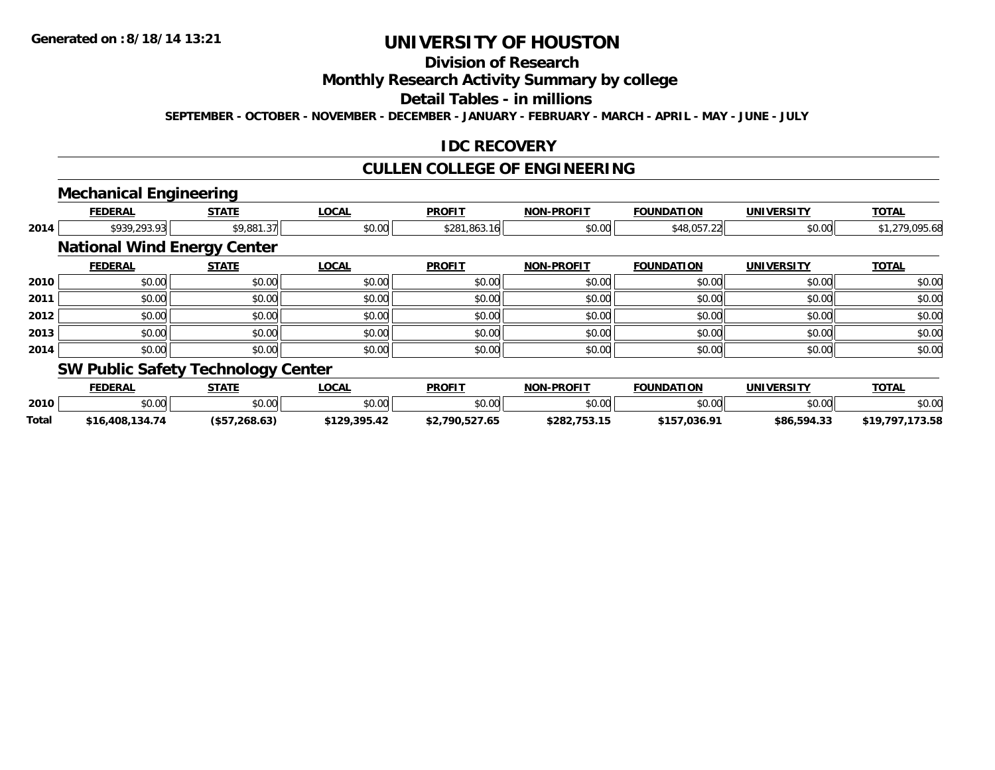# **Division of Research**

**Monthly Research Activity Summary by college**

**Detail Tables - in millions**

**SEPTEMBER - OCTOBER - NOVEMBER - DECEMBER - JANUARY - FEBRUARY - MARCH - APRIL - MAY - JUNE - JULY**

#### **IDC RECOVERY**

### **CULLEN COLLEGE OF ENGINEERING**

# **Mechanical Engineering**

|      | <b>FEDERAL</b>                     | <b>STATE</b> | <b>LOCAL</b> | <b>PROFIT</b> | <b>NON-PROFIT</b> | <b>FOUNDATION</b> | <b>UNIVERSITY</b> | <b>TOTAL</b>   |
|------|------------------------------------|--------------|--------------|---------------|-------------------|-------------------|-------------------|----------------|
| 2014 | \$939,293.93                       | \$9,881.37   | \$0.00       | \$281,863.16  | \$0.00            | \$48,057.22       | \$0.00            | \$1,279,095.68 |
|      | <b>National Wind Energy Center</b> |              |              |               |                   |                   |                   |                |
|      | <b>FEDERAL</b>                     | <b>STATE</b> | <b>LOCAL</b> | <b>PROFIT</b> | <b>NON-PROFIT</b> | <b>FOUNDATION</b> | <b>UNIVERSITY</b> | <b>TOTAL</b>   |
| 2010 | \$0.00                             | \$0.00       | \$0.00       | \$0.00        | \$0.00            | \$0.00            | \$0.00            | \$0.00         |
| 2011 | \$0.00                             | \$0.00       | \$0.00       | \$0.00        | \$0.00            | \$0.00            | \$0.00            | \$0.00         |
| 2012 | \$0.00                             | \$0.00       | \$0.00       | \$0.00        | \$0.00            | \$0.00            | \$0.00            | \$0.00         |
| 2013 | \$0.00                             | \$0.00       | \$0.00       | \$0.00        | \$0.00            | \$0.00            | \$0.00            | \$0.00         |
| 2014 | \$0.00                             | \$0.00       | \$0.00       | \$0.00        | \$0.00            | \$0.00            | \$0.00            | \$0.00         |
|      | $C(U \cap L)$                      |              |              |               |                   |                   |                   |                |

#### **SW Public Safety Technology Center**

|       | <b>FEDERAL</b>  | <b>STATE</b>     | _OCAL         | <b>PROFIT</b>  | <b>NON-PROFIT</b> | <b>FOUNDATION</b> | <b>UNIVERSITY</b> | <b>TOTAL</b>    |
|-------|-----------------|------------------|---------------|----------------|-------------------|-------------------|-------------------|-----------------|
| 2010  | ቀስ ሰስ<br>DU.UU  | \$0.00           | 0000<br>JU.UU | \$0.00         | \$0.00            | \$0.00            | \$0.00            | \$0.00          |
| Total | \$16,408,134.74 | $($ \$57,268,63) | \$129,395.42  | \$2,790.527.65 | \$282,753.15      | \$157,036.91      | \$86,594.33       | 72 58<br>، ن. ر |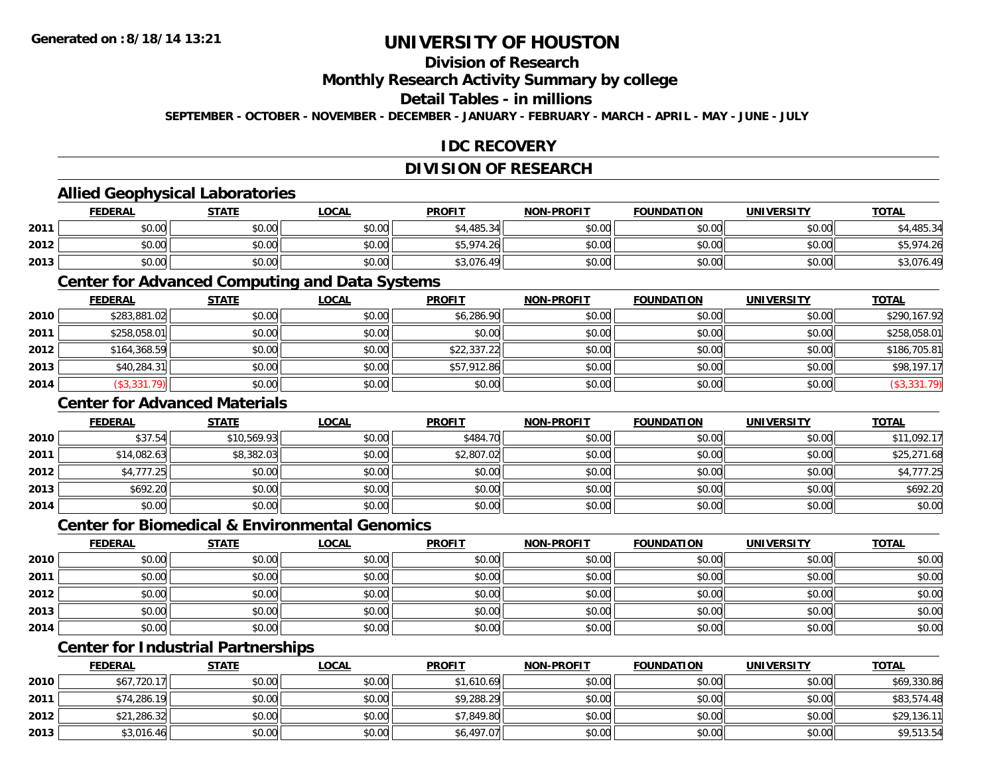# **Division of Research**

**Monthly Research Activity Summary by college**

#### **Detail Tables - in millions**

**SEPTEMBER - OCTOBER - NOVEMBER - DECEMBER - JANUARY - FEBRUARY - MARCH - APRIL - MAY - JUNE - JULY**

## **IDC RECOVERY**

## **DIVISION OF RESEARCH**

### **Allied Geophysical Laboratories**

|      | <b>FEDERAL</b> | <b>STATE</b> | <u>LOCAL</u>  | <b>PROFIT</b> | <b>NON-PROFIT</b> | <b>FOUNDATION</b> | <b>UNIVERSITY</b> | <b>TOTAL</b> |
|------|----------------|--------------|---------------|---------------|-------------------|-------------------|-------------------|--------------|
| 2011 | \$0.00         | \$0.00       | \$0.00        | \$4,485.34    | \$0.00            | \$0.00            | \$0.00            | 485.34       |
| 2012 | \$0.00         | \$0.00       | 0000<br>DU.UG | \$5,974.26    | \$0.00            | \$0.00            | \$0.00            | ,,,          |
| 2013 | \$0.00         | \$0.00       | \$0.00        | \$3,076.49    | \$0.00            | \$0.00            | \$0.00            | \$3,076.4    |

#### **Center for Advanced Computing and Data Systems**

|      | <b>FEDERAL</b> | <b>STATE</b> | <b>LOCAL</b> | <b>PROFIT</b> | <b>NON-PROFIT</b> | <b>FOUNDATION</b> | <b>UNIVERSITY</b> | <b>TOTAL</b> |
|------|----------------|--------------|--------------|---------------|-------------------|-------------------|-------------------|--------------|
| 2010 | \$283,881.02   | \$0.00       | \$0.00       | \$6,286.90    | \$0.00            | \$0.00            | \$0.00            | \$290,167.92 |
| 2011 | \$258,058.01   | \$0.00       | \$0.00       | \$0.00        | \$0.00            | \$0.00            | \$0.00            | \$258,058.01 |
| 2012 | \$164,368.59   | \$0.00       | \$0.00       | \$22,337.22   | \$0.00            | \$0.00            | \$0.00            | \$186,705.81 |
| 2013 | \$40,284.31    | \$0.00       | \$0.00       | \$57,912.86   | \$0.00            | \$0.00            | \$0.00            | \$98,197.17  |
| 2014 | (\$3,331.79)   | \$0.00       | \$0.00       | \$0.00        | \$0.00            | \$0.00            | \$0.00            | (\$3,331.79) |

#### **Center for Advanced Materials**

|      | <b>FEDERAL</b> | <b>STATE</b> | <u>LOCAL</u> | <b>PROFIT</b> | <b>NON-PROFIT</b> | <b>FOUNDATION</b> | <b>UNIVERSITY</b> | <b>TOTAL</b> |
|------|----------------|--------------|--------------|---------------|-------------------|-------------------|-------------------|--------------|
| 2010 | \$37.54        | \$10,569.93  | \$0.00       | \$484.70      | \$0.00            | \$0.00            | \$0.00            | \$11,092.17  |
| 2011 | \$14,082.63    | \$8,382.03   | \$0.00       | \$2,807.02    | \$0.00            | \$0.00            | \$0.00            | \$25,271.68  |
| 2012 | \$4,777.25     | \$0.00       | \$0.00       | \$0.00        | \$0.00            | \$0.00            | \$0.00            | \$4,777.25   |
| 2013 | \$692.20       | \$0.00       | \$0.00       | \$0.00        | \$0.00            | \$0.00            | \$0.00            | \$692.20     |
| 2014 | \$0.00         | \$0.00       | \$0.00       | \$0.00        | \$0.00            | \$0.00            | \$0.00            | \$0.00       |

#### **Center for Biomedical & Environmental Genomics**

|      | <u>FEDERAL</u> | <b>STATE</b> | <b>LOCAL</b> | <b>PROFIT</b> | <b>NON-PROFIT</b> | <b>FOUNDATION</b> | <b>UNIVERSITY</b> | <b>TOTAL</b> |
|------|----------------|--------------|--------------|---------------|-------------------|-------------------|-------------------|--------------|
| 2010 | \$0.00         | \$0.00       | \$0.00       | \$0.00        | \$0.00            | \$0.00            | \$0.00            | \$0.00       |
| 2011 | \$0.00         | \$0.00       | \$0.00       | \$0.00        | \$0.00            | \$0.00            | \$0.00            | \$0.00       |
| 2012 | \$0.00         | \$0.00       | \$0.00       | \$0.00        | \$0.00            | \$0.00            | \$0.00            | \$0.00       |
| 2013 | \$0.00         | \$0.00       | \$0.00       | \$0.00        | \$0.00            | \$0.00            | \$0.00            | \$0.00       |
| 2014 | \$0.00         | \$0.00       | \$0.00       | \$0.00        | \$0.00            | \$0.00            | \$0.00            | \$0.00       |

# **Center for Industrial Partnerships**

|      | <u>FEDERAL</u> | <b>STATE</b> | <b>LOCAL</b> | <b>PROFIT</b> | <b>NON-PROFIT</b> | <b>FOUNDATION</b> | <b>UNIVERSITY</b> | <b>TOTAL</b> |
|------|----------------|--------------|--------------|---------------|-------------------|-------------------|-------------------|--------------|
| 2010 | \$67,720.17    | \$0.00       | \$0.00       | \$1,610.69    | \$0.00            | \$0.00            | \$0.00            | \$69,330.86  |
| 2011 | \$74,286.19    | \$0.00       | \$0.00       | \$9,288.29    | \$0.00            | \$0.00            | \$0.00            | \$83,574.48  |
| 2012 | \$21,286.32    | \$0.00       | \$0.00       | \$7,849.80    | \$0.00            | \$0.00            | \$0.00            | \$29,136.11  |
| 2013 | \$3,016.46     | \$0.00       | \$0.00       | \$6,497.07    | \$0.00            | \$0.00            | \$0.00            | \$9,513.54   |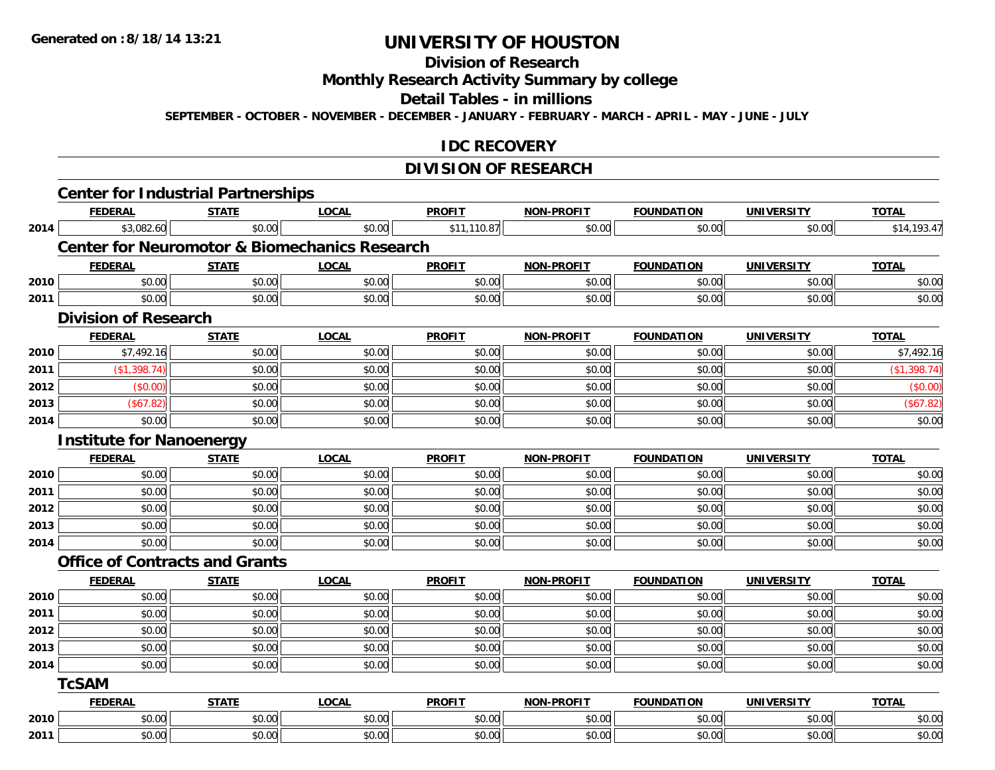# **Division of Research**

**Monthly Research Activity Summary by college**

**Detail Tables - in millions**

**SEPTEMBER - OCTOBER - NOVEMBER - DECEMBER - JANUARY - FEBRUARY - MARCH - APRIL - MAY - JUNE - JULY**

### **IDC RECOVERY**

# **DIVISION OF RESEARCH**

|      | <b>Center for Industrial Partnerships</b> |              |                                                          |               |                   |                   |                   |              |
|------|-------------------------------------------|--------------|----------------------------------------------------------|---------------|-------------------|-------------------|-------------------|--------------|
|      | <b>FEDERAL</b>                            | <b>STATE</b> | <b>LOCAL</b>                                             | <b>PROFIT</b> | NON-PROFIT        | <b>FOUNDATION</b> | <b>UNIVERSITY</b> | <b>TOTAL</b> |
| 2014 | \$3,082.60                                | \$0.00       | \$0.00                                                   | \$11,110.87   | \$0.00            | \$0.00            | \$0.00            | \$14,193.47  |
|      |                                           |              | <b>Center for Neuromotor &amp; Biomechanics Research</b> |               |                   |                   |                   |              |
|      | <b>FEDERAL</b>                            | <b>STATE</b> | <b>LOCAL</b>                                             | <b>PROFIT</b> | <b>NON-PROFIT</b> | <b>FOUNDATION</b> | <b>UNIVERSITY</b> | <b>TOTAL</b> |
| 2010 | \$0.00                                    | \$0.00       | \$0.00                                                   | \$0.00        | \$0.00            | \$0.00            | \$0.00            | \$0.00       |
| 2011 | \$0.00                                    | \$0.00       | \$0.00                                                   | \$0.00        | \$0.00            | \$0.00            | \$0.00            | \$0.00       |
|      | <b>Division of Research</b>               |              |                                                          |               |                   |                   |                   |              |
|      | <b>FEDERAL</b>                            | <b>STATE</b> | <b>LOCAL</b>                                             | <b>PROFIT</b> | NON-PROFIT        | <b>FOUNDATION</b> | <b>UNIVERSITY</b> | <b>TOTAL</b> |
| 2010 | \$7,492.16                                | \$0.00       | \$0.00                                                   | \$0.00        | \$0.00            | \$0.00            | \$0.00            | \$7,492.16   |
| 2011 | (\$1,398.74)                              | \$0.00       | \$0.00                                                   | \$0.00        | \$0.00            | \$0.00            | \$0.00            | (\$1,398.74) |
| 2012 | (\$0.00)                                  | \$0.00       | \$0.00                                                   | \$0.00        | \$0.00            | \$0.00            | \$0.00            | (\$0.00)     |
| 2013 | (\$67.82)                                 | \$0.00       | \$0.00                                                   | \$0.00        | \$0.00            | \$0.00            | \$0.00            | (\$67.82)    |
| 2014 | \$0.00                                    | \$0.00       | \$0.00                                                   | \$0.00        | \$0.00            | \$0.00            | \$0.00            | \$0.00       |
|      | <b>Institute for Nanoenergy</b>           |              |                                                          |               |                   |                   |                   |              |
|      | <b>FEDERAL</b>                            | <b>STATE</b> | <b>LOCAL</b>                                             | <b>PROFIT</b> | <b>NON-PROFIT</b> | <b>FOUNDATION</b> | <b>UNIVERSITY</b> | <b>TOTAL</b> |
| 2010 | \$0.00                                    | \$0.00       | \$0.00                                                   | \$0.00        | \$0.00            | \$0.00            | \$0.00            | \$0.00       |
| 2011 | \$0.00                                    | \$0.00       | \$0.00                                                   | \$0.00        | \$0.00            | \$0.00            | \$0.00            | \$0.00       |
| 2012 | \$0.00                                    | \$0.00       | \$0.00                                                   | \$0.00        | \$0.00            | \$0.00            | \$0.00            | \$0.00       |
| 2013 | \$0.00                                    | \$0.00       | \$0.00                                                   | \$0.00        | \$0.00            | \$0.00            | \$0.00            | \$0.00       |
| 2014 | \$0.00                                    | \$0.00       | \$0.00                                                   | \$0.00        | \$0.00            | \$0.00            | \$0.00            | \$0.00       |
|      | <b>Office of Contracts and Grants</b>     |              |                                                          |               |                   |                   |                   |              |
|      | <b>FEDERAL</b>                            | <b>STATE</b> | <b>LOCAL</b>                                             | <b>PROFIT</b> | <b>NON-PROFIT</b> | <b>FOUNDATION</b> | <b>UNIVERSITY</b> | <b>TOTAL</b> |
| 2010 | \$0.00                                    | \$0.00       | \$0.00                                                   | \$0.00        | \$0.00            | \$0.00            | \$0.00            | \$0.00       |
| 2011 | \$0.00                                    | \$0.00       | \$0.00                                                   | \$0.00        | \$0.00            | \$0.00            | \$0.00            | \$0.00       |
| 2012 | \$0.00                                    | \$0.00       | \$0.00                                                   | \$0.00        | \$0.00            | \$0.00            | \$0.00            | \$0.00       |
| 2013 | \$0.00                                    | \$0.00       | \$0.00                                                   | \$0.00        | \$0.00            | \$0.00            | \$0.00            | \$0.00       |
| 2014 | \$0.00                                    | \$0.00       | \$0.00                                                   | \$0.00        | \$0.00            | \$0.00            | \$0.00            | \$0.00       |
|      | <b>TcSAM</b>                              |              |                                                          |               |                   |                   |                   |              |
|      | <b>FEDERAL</b>                            | <b>STATE</b> | <b>LOCAL</b>                                             | <b>PROFIT</b> | <b>NON-PROFIT</b> | <b>FOUNDATION</b> | <b>UNIVERSITY</b> | <b>TOTAL</b> |
| 2010 | \$0.00                                    | \$0.00       | \$0.00                                                   | \$0.00        | \$0.00            | \$0.00            | \$0.00            | \$0.00       |
| 2011 | \$0.00                                    | \$0.00       | \$0.00                                                   | \$0.00        | \$0.00            | \$0.00            | \$0.00            | \$0.00       |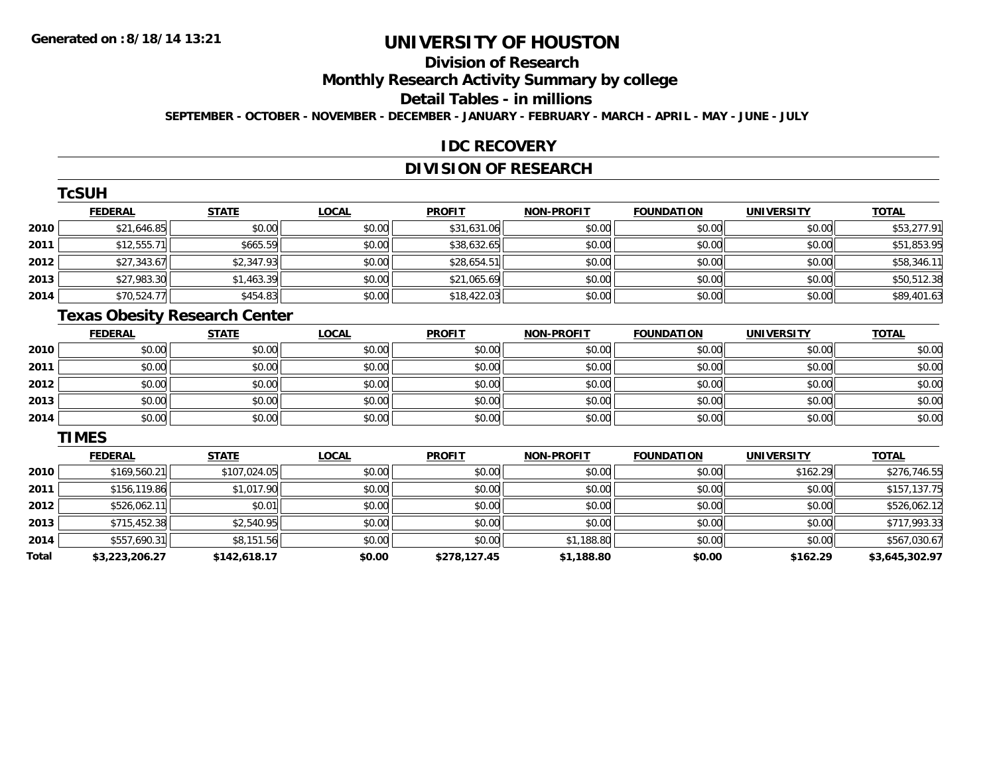# **Division of Research**

**Monthly Research Activity Summary by college**

#### **Detail Tables - in millions**

**SEPTEMBER - OCTOBER - NOVEMBER - DECEMBER - JANUARY - FEBRUARY - MARCH - APRIL - MAY - JUNE - JULY**

#### **IDC RECOVERY**

## **DIVISION OF RESEARCH**

|        | <b>TcSUH</b>   |              |              |               |                   |                   |                   |              |
|--------|----------------|--------------|--------------|---------------|-------------------|-------------------|-------------------|--------------|
|        | <b>FEDERAL</b> | <b>STATE</b> | <b>LOCAL</b> | <b>PROFIT</b> | <b>NON-PROFIT</b> | <b>FOUNDATION</b> | <b>UNIVERSITY</b> | <b>TOTAL</b> |
| ا 2010 | \$21,646.85    | \$0.00       | \$0.00       | \$31,631.06   | \$0.00            | \$0.00            | \$0.00            | \$53,277.91  |
| 2011   | \$12,555.71    | \$665.59     | \$0.00       | \$38,632.65   | \$0.00            | \$0.00            | \$0.00            | \$51,853.95  |
| 2012   | \$27,343.67    | \$2,347.93   | \$0.00       | \$28,654.51   | \$0.00            | \$0.00            | \$0.00            | \$58,346.11  |
| 2013   | \$27,983.30    | \$1,463.39   | \$0.00       | \$21,065.69   | \$0.00            | \$0.00            | \$0.00            | \$50,512.38  |
| 2014   | \$70,524.77    | \$454.83     | \$0.00       | \$18,422.03   | \$0.00            | \$0.00            | \$0.00            | \$89,401.63  |

# **Texas Obesity Research Center**

|      | <b>FEDERAL</b> | <b>STATE</b> | <u>LOCAL</u> | <b>PROFIT</b> | NON-PROFIT | <b>FOUNDATION</b> | <b>UNIVERSITY</b> | <b>TOTAL</b> |
|------|----------------|--------------|--------------|---------------|------------|-------------------|-------------------|--------------|
| 2010 | \$0.00         | \$0.00       | \$0.00       | \$0.00        | \$0.00     | \$0.00            | \$0.00            | \$0.00       |
| 2011 | \$0.00         | \$0.00       | \$0.00       | \$0.00        | \$0.00     | \$0.00            | \$0.00            | \$0.00       |
| 2012 | \$0.00         | \$0.00       | \$0.00       | \$0.00        | \$0.00     | \$0.00            | \$0.00            | \$0.00       |
| 2013 | \$0.00         | \$0.00       | \$0.00       | \$0.00        | \$0.00     | \$0.00            | \$0.00            | \$0.00       |
| 2014 | \$0.00         | \$0.00       | \$0.00       | \$0.00        | \$0.00     | \$0.00            | \$0.00            | \$0.00       |

#### **TIMES**

|       | <b>FEDERAL</b> | <b>STATE</b> | <b>LOCAL</b> | <b>PROFIT</b> | <b>NON-PROFIT</b> | <b>FOUNDATION</b> | <b>UNIVERSITY</b> | <b>TOTAL</b>   |
|-------|----------------|--------------|--------------|---------------|-------------------|-------------------|-------------------|----------------|
| 2010  | \$169,560.21   | \$107,024.05 | \$0.00       | \$0.00        | \$0.00            | \$0.00            | \$162.29          | \$276,746.55   |
| 2011  | \$156,119.86   | \$1,017.90   | \$0.00       | \$0.00        | \$0.00            | \$0.00            | \$0.00            | \$157,137.75   |
| 2012  | \$526,062.11   | \$0.01       | \$0.00       | \$0.00        | \$0.00            | \$0.00            | \$0.00            | \$526,062.12   |
| 2013  | \$715,452.38   | \$2,540.95   | \$0.00       | \$0.00        | \$0.00            | \$0.00            | \$0.00            | \$717,993.33   |
| 2014  | \$557,690.31   | \$8,151.56   | \$0.00       | \$0.00        | \$1,188.80        | \$0.00            | \$0.00            | \$567,030.67   |
| Total | \$3,223,206.27 | \$142,618.17 | \$0.00       | \$278,127.45  | \$1,188.80        | \$0.00            | \$162.29          | \$3,645,302.97 |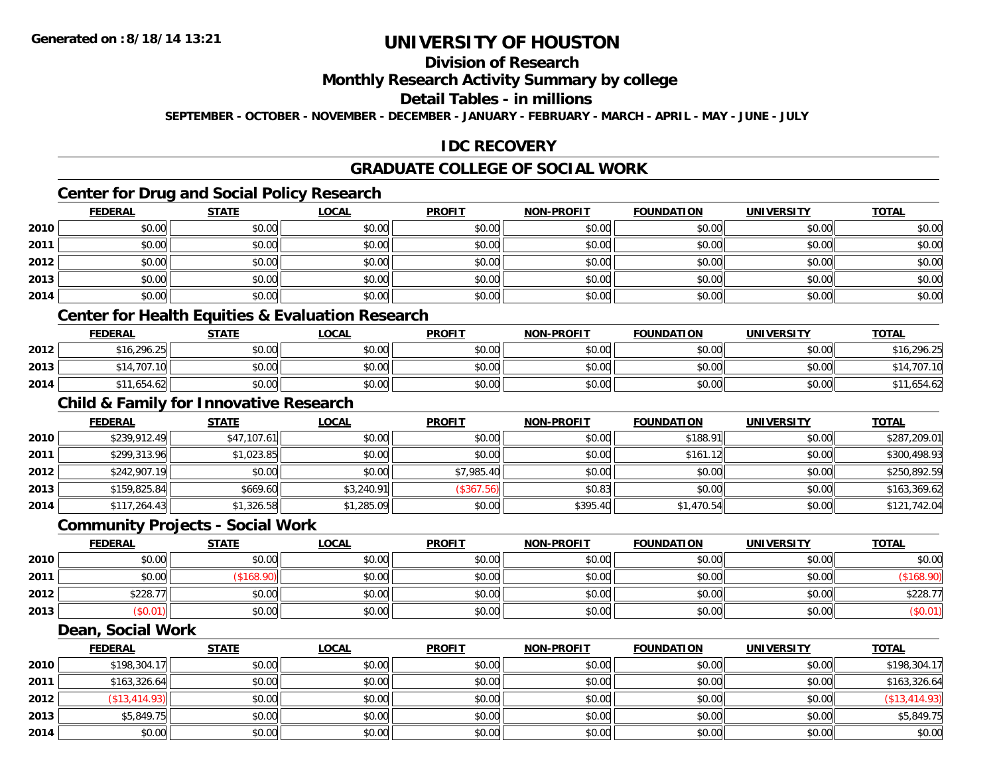# **Division of Research**

### **Monthly Research Activity Summary by college**

#### **Detail Tables - in millions**

**SEPTEMBER - OCTOBER - NOVEMBER - DECEMBER - JANUARY - FEBRUARY - MARCH - APRIL - MAY - JUNE - JULY**

### **IDC RECOVERY**

## **GRADUATE COLLEGE OF SOCIAL WORK**

## **Center for Drug and Social Policy Research**

|      | <b>FEDERAL</b> | <b>STATE</b> | <b>LOCAL</b> | <b>PROFIT</b> | <b>NON-PROFIT</b> | <b>FOUNDATION</b> | <b>UNIVERSITY</b> | <b>TOTAL</b> |
|------|----------------|--------------|--------------|---------------|-------------------|-------------------|-------------------|--------------|
| 2010 | \$0.00         | \$0.00       | \$0.00       | \$0.00        | \$0.00            | \$0.00            | \$0.00            | \$0.00       |
| 2011 | \$0.00         | \$0.00       | \$0.00       | \$0.00        | \$0.00            | \$0.00            | \$0.00            | \$0.00       |
| 2012 | \$0.00         | \$0.00       | \$0.00       | \$0.00        | \$0.00            | \$0.00            | \$0.00            | \$0.00       |
| 2013 | \$0.00         | \$0.00       | \$0.00       | \$0.00        | \$0.00            | \$0.00            | \$0.00            | \$0.00       |
| 2014 | \$0.00         | \$0.00       | \$0.00       | \$0.00        | \$0.00            | \$0.00            | \$0.00            | \$0.00       |

### **Center for Health Equities & Evaluation Research**

|      | <b>FEDERAL</b> | <b>STATE</b> | LOCAL                                       | <b>PROFIT</b> | <b>NON-PROFIT</b> | <b>FOUNDATION</b> | <b>UNIVERSITY</b> | <b>TOTAL</b> |
|------|----------------|--------------|---------------------------------------------|---------------|-------------------|-------------------|-------------------|--------------|
| 2012 | \$16,296.25    | \$0.00       | $\mathfrak{c}\cap\mathfrak{a}\cap$<br>JU.UU | \$0.00        | \$0.00            | \$0.00            | \$0.00            | \$16,296.25  |
| 2013 | .707           | \$0.00       | \$0.00                                      | \$0.00        | \$0.00            | \$0.00            | \$0.00            | 707<br>,14   |
| 2014 | .654.62        | \$0.00       | \$0.00                                      | \$0.00        | \$0.00            | \$0.00            | \$0.00            | 1.654.62     |

# **Child & Family for Innovative Research**

|      | <b>FEDERAL</b> | <u>STATE</u> | <u>LOCAL</u> | <b>PROFIT</b> | <b>NON-PROFIT</b> | <b>FOUNDATION</b> | <b>UNIVERSITY</b> | <b>TOTAL</b> |
|------|----------------|--------------|--------------|---------------|-------------------|-------------------|-------------------|--------------|
| 2010 | \$239,912.49   | \$47,107.61  | \$0.00       | \$0.00        | \$0.00            | \$188.91          | \$0.00            | \$287,209.01 |
| 2011 | \$299,313.96   | \$1,023.85   | \$0.00       | \$0.00        | \$0.00            | \$161.12          | \$0.00            | \$300,498.93 |
| 2012 | \$242,907.19   | \$0.00       | \$0.00       | \$7,985.40    | \$0.00            | \$0.00            | \$0.00            | \$250,892.59 |
| 2013 | \$159,825.84   | \$669.60     | \$3,240.91   | (\$367.56)    | \$0.83            | \$0.00            | \$0.00            | \$163,369.62 |
| 2014 | \$117,264.43   | \$1,326.58   | \$1,285.09   | \$0.00        | \$395.40          | \$1,470.54        | \$0.00            | \$121,742.04 |

#### **Community Projects - Social Work**

|      | <b>FEDERAL</b> | <b>STATE</b> | <u>LOCAL</u> | <b>PROFIT</b> | <b>NON-PROFIT</b> | <b>FOUNDATION</b> | <b>UNIVERSITY</b> | <b>TOTAL</b> |
|------|----------------|--------------|--------------|---------------|-------------------|-------------------|-------------------|--------------|
| 2010 | \$0.00         | \$0.00       | \$0.00       | \$0.00        | \$0.00            | \$0.00            | \$0.00            | \$0.00       |
| 2011 | \$0.00         | 108.90       | \$0.00       | \$0.00        | \$0.00            | \$0.00            | \$0.00            |              |
| 2012 | \$228.77       | \$0.00       | \$0.00       | \$0.00        | \$0.00            | \$0.00            | \$0.00            | \$228.7      |
| 2013 | \$0.01)        | \$0.00       | \$0.00       | \$0.00        | \$0.00            | \$0.00            | \$0.00            | (\$0.01)     |

#### **Dean, Social Work**

|      | <b>FEDERAL</b> | <b>STATE</b> | <u>LOCAL</u> | <b>PROFIT</b> | <b>NON-PROFIT</b> | <b>FOUNDATION</b> | <b>UNIVERSITY</b> | <b>TOTAL</b>  |
|------|----------------|--------------|--------------|---------------|-------------------|-------------------|-------------------|---------------|
| 2010 | \$198,304.17   | \$0.00       | \$0.00       | \$0.00        | \$0.00            | \$0.00            | \$0.00            | \$198,304.17  |
| 2011 | \$163,326.64   | \$0.00       | \$0.00       | \$0.00        | \$0.00            | \$0.00            | \$0.00            | \$163,326.64  |
| 2012 | \$13,414.93    | \$0.00       | \$0.00       | \$0.00        | \$0.00            | \$0.00            | \$0.00            | (S13, 414.93) |
| 2013 | \$5,849.75     | \$0.00       | \$0.00       | \$0.00        | \$0.00            | \$0.00            | \$0.00            | \$5,849.75    |
| 2014 | \$0.00         | \$0.00       | \$0.00       | \$0.00        | \$0.00            | \$0.00            | \$0.00            | \$0.00        |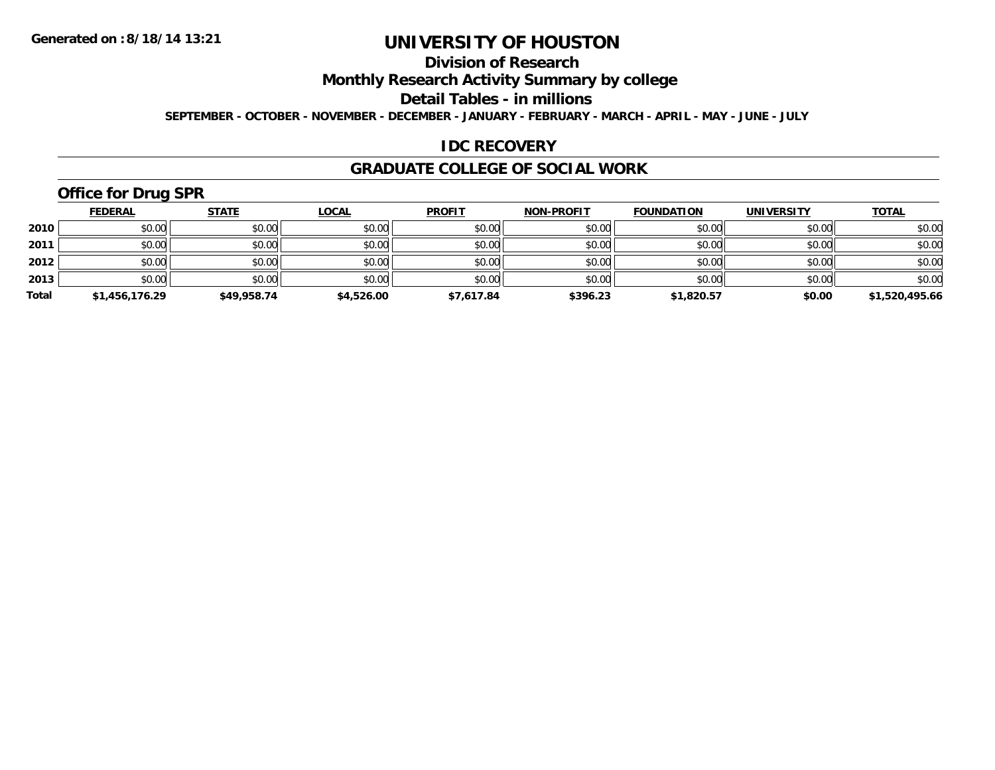# **Division of Research**

**Monthly Research Activity Summary by college**

**Detail Tables - in millions**

**SEPTEMBER - OCTOBER - NOVEMBER - DECEMBER - JANUARY - FEBRUARY - MARCH - APRIL - MAY - JUNE - JULY**

### **IDC RECOVERY**

#### **GRADUATE COLLEGE OF SOCIAL WORK**

# **Office for Drug SPR**

|       | <b>FEDERAL</b> | <u>STATE</u> | <b>LOCAL</b> | <b>PROFIT</b> | <b>NON-PROFIT</b> | <b>FOUNDATION</b> | <b>UNIVERSITY</b> | <b>TOTAL</b>   |
|-------|----------------|--------------|--------------|---------------|-------------------|-------------------|-------------------|----------------|
| 2010  | \$0.00         | \$0.00       | \$0.00       | \$0.00        | \$0.00            | \$0.00            | \$0.00            | \$0.00         |
| 2011  | \$0.00         | \$0.00       | \$0.00       | \$0.00        | \$0.00            | \$0.00            | \$0.00            | \$0.00         |
| 2012  | \$0.00         | \$0.00       | \$0.00       | \$0.00        | \$0.00            | \$0.00            | \$0.00            | \$0.00         |
| 2013  | \$0.00         | \$0.00       | \$0.00       | \$0.00        | \$0.00            | \$0.00            | \$0.00            | \$0.00         |
| Total | \$1,456,176.29 | \$49,958.74  | \$4,526.00   | \$7,617.84    | \$396.23          | \$1,820.57        | \$0.00            | \$1,520,495.66 |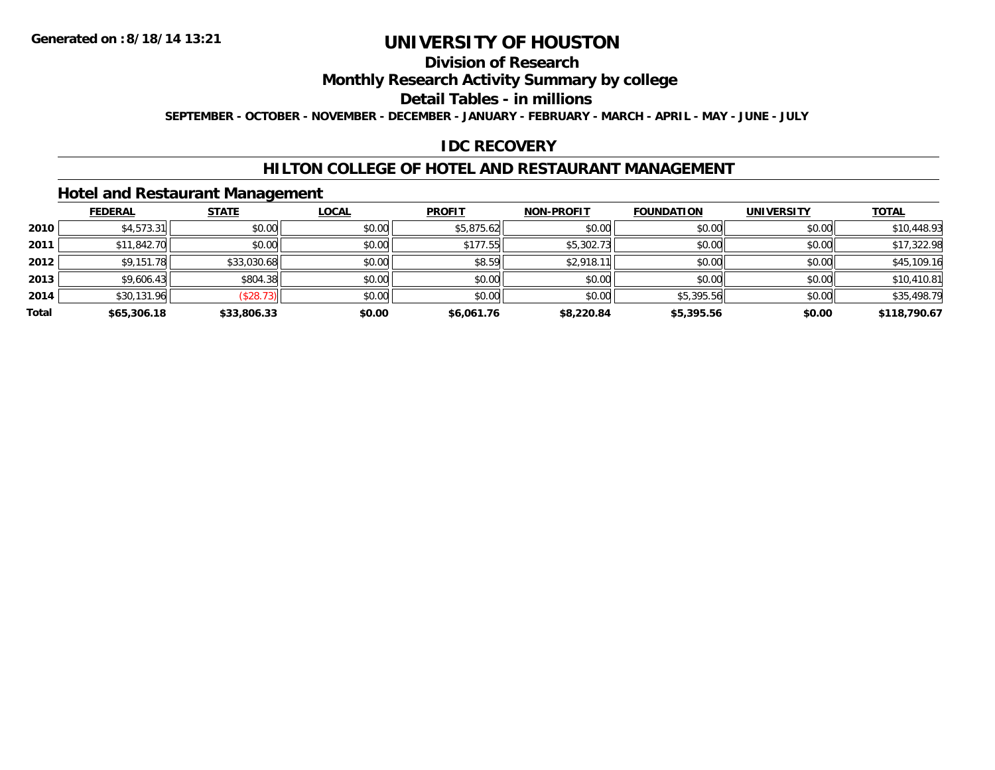# **Division of Research**

**Monthly Research Activity Summary by college**

**Detail Tables - in millions**

**SEPTEMBER - OCTOBER - NOVEMBER - DECEMBER - JANUARY - FEBRUARY - MARCH - APRIL - MAY - JUNE - JULY**

### **IDC RECOVERY**

### **HILTON COLLEGE OF HOTEL AND RESTAURANT MANAGEMENT**

### **Hotel and Restaurant Management**

|       | <b>FEDERAL</b> | <b>STATE</b> | <b>LOCAL</b> | <b>PROFIT</b> | <b>NON-PROFIT</b> | <b>FOUNDATION</b> | <b>UNIVERSITY</b> | <b>TOTAL</b> |
|-------|----------------|--------------|--------------|---------------|-------------------|-------------------|-------------------|--------------|
| 2010  | \$4,573.31     | \$0.00       | \$0.00       | \$5,875.62    | \$0.00            | \$0.00            | \$0.00            | \$10,448.93  |
| 2011  | \$11,842.70    | \$0.00       | \$0.00       | \$177.55      | \$5,302.73        | \$0.00            | \$0.00            | \$17,322.98  |
| 2012  | \$9,151.78     | \$33,030.68  | \$0.00       | \$8.59        | \$2,918.11        | \$0.00            | \$0.00            | \$45,109.16  |
| 2013  | \$9,606.43     | \$804.38     | \$0.00       | \$0.00        | \$0.00            | \$0.00            | \$0.00            | \$10,410.81  |
| 2014  | \$30,131.96    | (\$28.73)    | \$0.00       | \$0.00        | \$0.00            | \$5,395.56        | \$0.00            | \$35,498.79  |
| Total | \$65,306.18    | \$33,806.33  | \$0.00       | \$6,061.76    | \$8,220.84        | \$5,395.56        | \$0.00            | \$118,790.67 |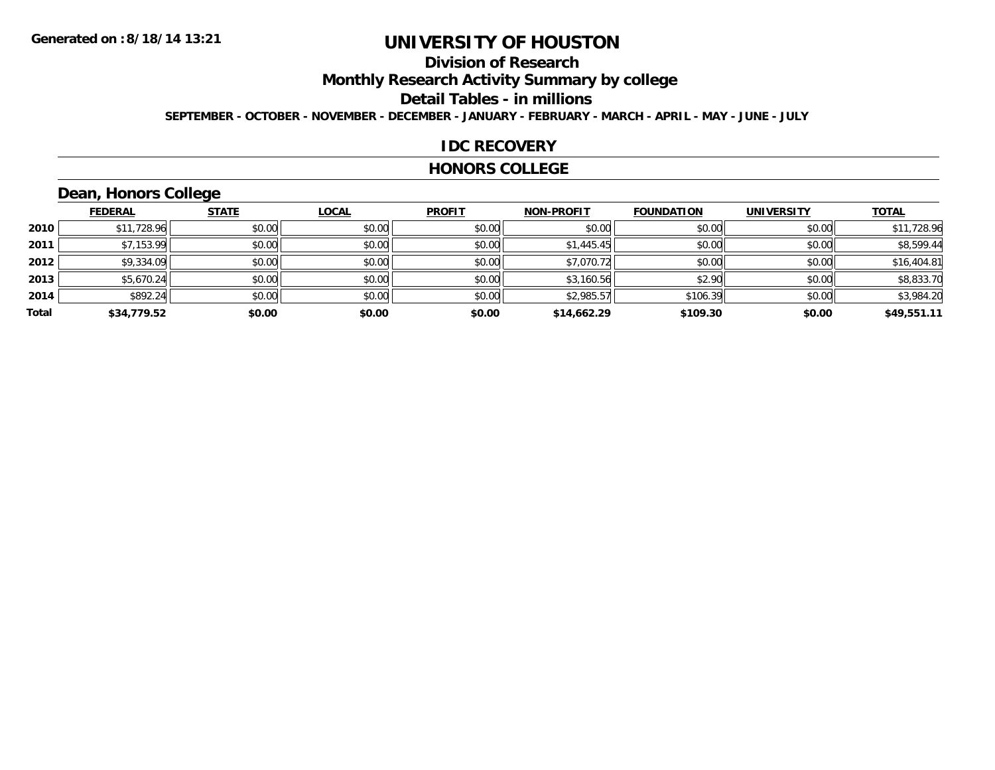# **Division of Research**

**Monthly Research Activity Summary by college**

**Detail Tables - in millions**

**SEPTEMBER - OCTOBER - NOVEMBER - DECEMBER - JANUARY - FEBRUARY - MARCH - APRIL - MAY - JUNE - JULY**

#### **IDC RECOVERY**

#### **HONORS COLLEGE**

# **Dean, Honors College**

|       | <b>FEDERAL</b> | <b>STATE</b> | <b>LOCAL</b> | <b>PROFIT</b> | <b>NON-PROFIT</b> | <b>FOUNDATION</b> | <b>UNIVERSITY</b> | <b>TOTAL</b> |
|-------|----------------|--------------|--------------|---------------|-------------------|-------------------|-------------------|--------------|
| 2010  | \$11,728.96    | \$0.00       | \$0.00       | \$0.00        | \$0.00            | \$0.00            | \$0.00            | \$11,728.96  |
| 2011  | \$7,153.99     | \$0.00       | \$0.00       | \$0.00        | \$1,445.45        | \$0.00            | \$0.00            | \$8,599.44   |
| 2012  | \$9,334.09     | \$0.00       | \$0.00       | \$0.00        | \$7,070.72        | \$0.00            | \$0.00            | \$16,404.81  |
| 2013  | \$5,670.24     | \$0.00       | \$0.00       | \$0.00        | \$3,160.56        | \$2.90            | \$0.00            | \$8,833.70   |
| 2014  | \$892.24       | \$0.00       | \$0.00       | \$0.00        | \$2,985.57        | \$106.39          | \$0.00            | \$3,984.20   |
| Total | \$34,779.52    | \$0.00       | \$0.00       | \$0.00        | \$14,662.29       | \$109.30          | \$0.00            | \$49,551.11  |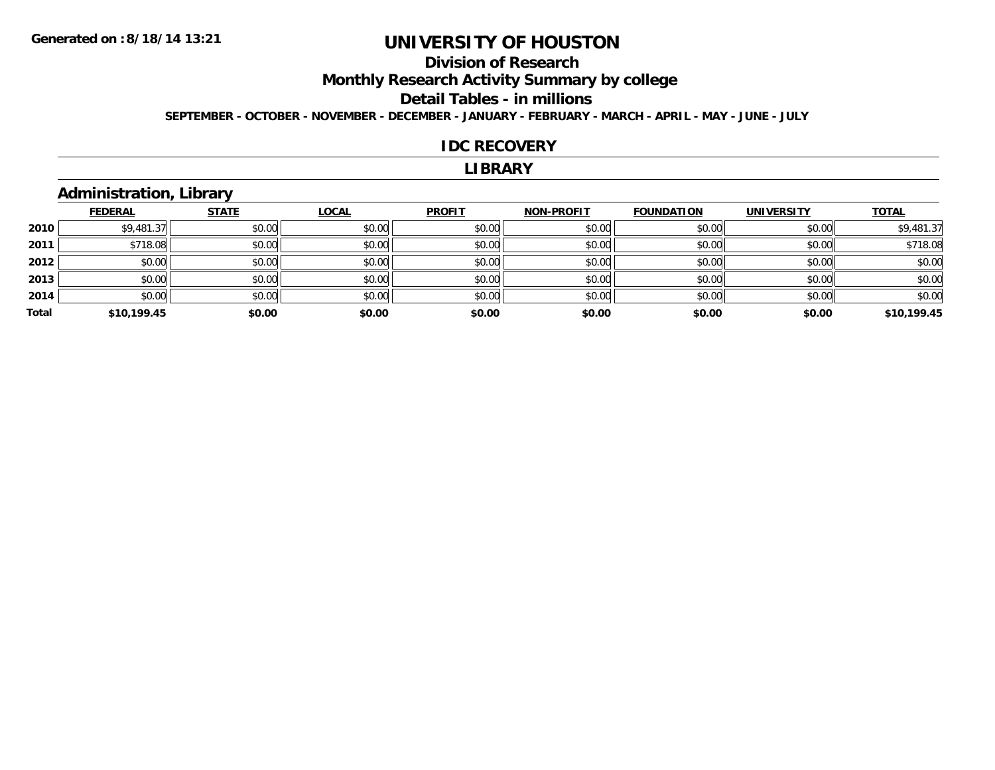# **Division of Research**

**Monthly Research Activity Summary by college**

#### **Detail Tables - in millions**

**SEPTEMBER - OCTOBER - NOVEMBER - DECEMBER - JANUARY - FEBRUARY - MARCH - APRIL - MAY - JUNE - JULY**

#### **IDC RECOVERY**

#### **LIBRARY**

# **Administration, Library**

|       | <b>FEDERAL</b> | <b>STATE</b> | <b>LOCAL</b> | <b>PROFIT</b> | <b>NON-PROFIT</b> | <b>FOUNDATION</b> | <b>UNIVERSITY</b> | <b>TOTAL</b> |
|-------|----------------|--------------|--------------|---------------|-------------------|-------------------|-------------------|--------------|
| 2010  | \$9,481.37     | \$0.00       | \$0.00       | \$0.00        | \$0.00            | \$0.00            | \$0.00            | \$9,481.37   |
| 2011  | \$718.08       | \$0.00       | \$0.00       | \$0.00        | \$0.00            | \$0.00            | \$0.00            | \$718.08     |
| 2012  | \$0.00         | \$0.00       | \$0.00       | \$0.00        | \$0.00            | \$0.00            | \$0.00            | \$0.00       |
| 2013  | \$0.00         | \$0.00       | \$0.00       | \$0.00        | \$0.00            | \$0.00            | \$0.00            | \$0.00       |
| 2014  | \$0.00         | \$0.00       | \$0.00       | \$0.00        | \$0.00            | \$0.00            | \$0.00            | \$0.00       |
| Total | \$10,199.45    | \$0.00       | \$0.00       | \$0.00        | \$0.00            | \$0.00            | \$0.00            | \$10,199.45  |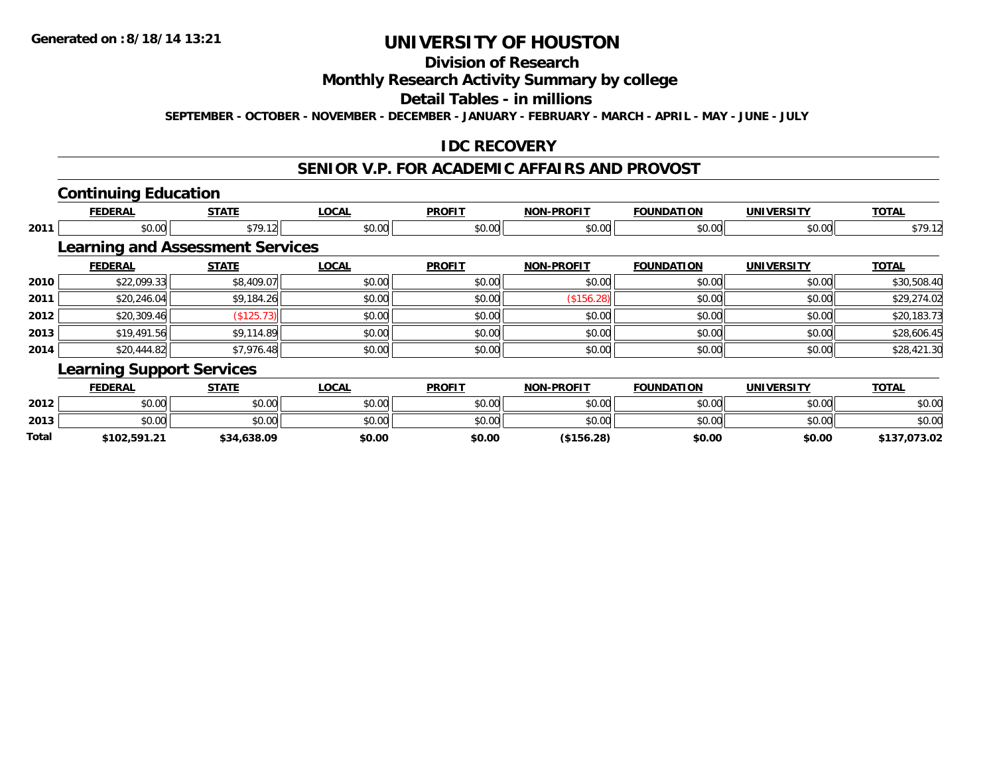### **Division of Research**

### **Monthly Research Activity Summary by college**

#### **Detail Tables - in millions**

**SEPTEMBER - OCTOBER - NOVEMBER - DECEMBER - JANUARY - FEBRUARY - MARCH - APRIL - MAY - JUNE - JULY**

### **IDC RECOVERY**

#### **SENIOR V.P. FOR ACADEMIC AFFAIRS AND PROVOST**

### **Continuing Education**

**2013**

**Total**

|      | <b>FEDERAL</b>                   | <b>STATE</b>                            | <b>LOCAL</b> | <b>PROFIT</b> | <b>NON-PROFIT</b> | <b>FOUNDATION</b> | <b>UNIVERSITY</b> | <b>TOTAL</b> |
|------|----------------------------------|-----------------------------------------|--------------|---------------|-------------------|-------------------|-------------------|--------------|
| 2011 | \$0.00                           | \$79.12                                 | \$0.00       | \$0.00        | \$0.00            | \$0.00            | \$0.00            | \$79.12      |
|      |                                  | <b>Learning and Assessment Services</b> |              |               |                   |                   |                   |              |
|      | <b>FEDERAL</b>                   | <b>STATE</b>                            | <b>LOCAL</b> | <b>PROFIT</b> | <b>NON-PROFIT</b> | <b>FOUNDATION</b> | <b>UNIVERSITY</b> | <b>TOTAL</b> |
| 2010 | \$22,099.33                      | \$8,409.07                              | \$0.00       | \$0.00        | \$0.00            | \$0.00            | \$0.00            | \$30,508.40  |
| 2011 | \$20,246.04                      | \$9,184.26                              | \$0.00       | \$0.00        | (\$156.28)        | \$0.00            | \$0.00            | \$29,274.02  |
| 2012 | \$20,309.46                      | (\$125.73)                              | \$0.00       | \$0.00        | \$0.00            | \$0.00            | \$0.00            | \$20,183.73  |
| 2013 | \$19,491.56                      | \$9,114.89                              | \$0.00       | \$0.00        | \$0.00            | \$0.00            | \$0.00            | \$28,606.45  |
| 2014 | \$20,444.82                      | \$7,976.48                              | \$0.00       | \$0.00        | \$0.00            | \$0.00            | \$0.00            | \$28,421.30  |
|      | <b>Learning Support Services</b> |                                         |              |               |                   |                   |                   |              |
|      | <b>FEDERAL</b>                   | <b>STATE</b>                            | <b>LOCAL</b> | <b>PROFIT</b> | <b>NON-PROFIT</b> | <b>FOUNDATION</b> | <b>UNIVERSITY</b> | <b>TOTAL</b> |
| 2012 | \$0.00                           | \$0.00                                  | \$0.00       | \$0.00        | \$0.00            | \$0.00            | \$0.00            | \$0.00       |

\$0.00 \$0.00 \$0.00 \$0.00 \$0.00 \$0.00 \$0.00 \$0.00

**\$102,591.21 \$34,638.09 \$0.00 \$0.00 (\$156.28) \$0.00 \$0.00 \$137,073.02**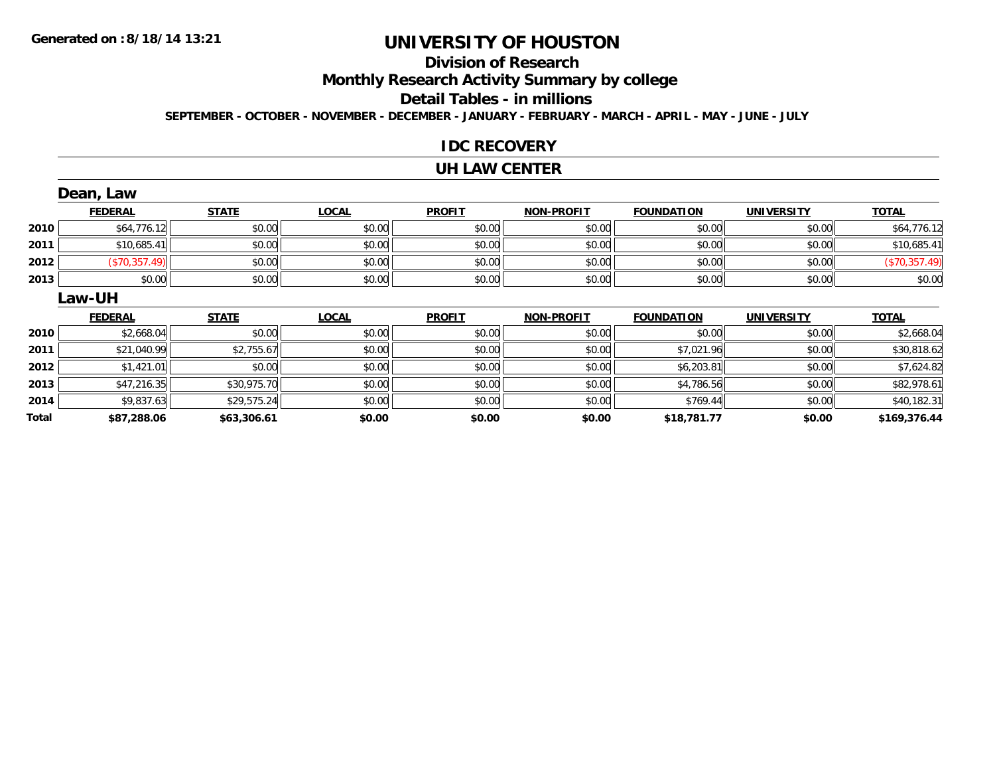# **Division of Research**

**Monthly Research Activity Summary by college**

**Detail Tables - in millions**

**SEPTEMBER - OCTOBER - NOVEMBER - DECEMBER - JANUARY - FEBRUARY - MARCH - APRIL - MAY - JUNE - JULY**

### **IDC RECOVERY**

#### **UH LAW CENTER**

|      | Dean, Law      |              |              |               |                   |                   |                   |               |
|------|----------------|--------------|--------------|---------------|-------------------|-------------------|-------------------|---------------|
|      | <b>FEDERAL</b> | <b>STATE</b> | <b>LOCAL</b> | <b>PROFIT</b> | <b>NON-PROFIT</b> | <b>FOUNDATION</b> | <b>UNIVERSITY</b> | <b>TOTAL</b>  |
| 2010 | \$64,776.12    | \$0.00       | \$0.00       | \$0.00        | \$0.00            | \$0.00            | \$0.00            | \$64,776.12   |
| 2011 | \$10,685.41    | \$0.00       | \$0.00       | \$0.00        | \$0.00            | \$0.00            | \$0.00            | \$10,685.41   |
| 2012 | (\$70,357.49)  | \$0.00       | \$0.00       | \$0.00        | \$0.00            | \$0.00            | \$0.00            | (\$70,357.49) |
| 2013 | \$0.00         | \$0.00       | \$0.00       | \$0.00        | \$0.00            | \$0.00            | \$0.00            | \$0.00        |
|      | Law-UH         |              |              |               |                   |                   |                   |               |
|      | <b>FEDERAL</b> | <b>STATE</b> | <b>LOCAL</b> | <b>PROFIT</b> | <b>NON-PROFIT</b> | <b>FOUNDATION</b> | <b>UNIVERSITY</b> | <b>TOTAL</b>  |
|      |                |              |              |               |                   |                   |                   |               |
| 2010 | \$2,668.04     | \$0.00       | \$0.00       | \$0.00        | \$0.00            | \$0.00            | \$0.00            | \$2,668.04    |
| 2011 | \$21,040.99    | \$2,755.67   | \$0.00       | \$0.00        | \$0.00            | \$7,021.96        | \$0.00            | \$30,818.62   |
| 2012 | \$1,421.01     | \$0.00       | \$0.00       | \$0.00        | \$0.00            | \$6,203.81        | \$0.00            | \$7,624.82    |
| 2013 | \$47,216.35    | \$30,975.70  | \$0.00       | \$0.00        | \$0.00            | \$4,786.56        | \$0.00            | \$82,978.61   |
| 2014 | \$9,837.63     | \$29,575.24  | \$0.00       | \$0.00        | \$0.00            | \$769.44          | \$0.00            | \$40,182.31   |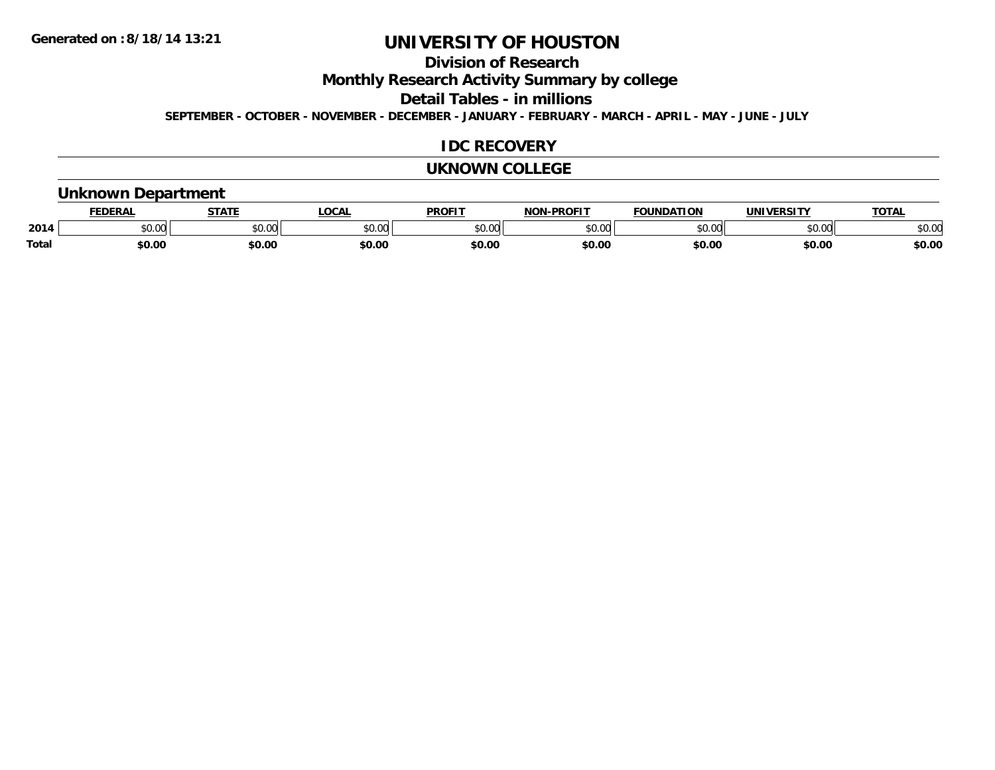## **Division of Research**

**Monthly Research Activity Summary by college**

**Detail Tables - in millions**

**SEPTEMBER - OCTOBER - NOVEMBER - DECEMBER - JANUARY - FEBRUARY - MARCH - APRIL - MAY - JUNE - JULY**

#### **IDC RECOVERY**

#### **UKNOWN COLLEGE**

### **Unknown Department**

|              |        | <b>STAT</b> | LOCA                    | DDOCI <sup>-</sup>           | <b>DDAFIT</b><br><b>NION</b> | חחו<br>nд | <u>urneitu</u> | TOTA.          |
|--------------|--------|-------------|-------------------------|------------------------------|------------------------------|-----------|----------------|----------------|
| 2014         | JU.UU  | \$0.00      | 0 <sub>n</sub><br>JU.UU | 0 <sup>n</sup><br>, J        | 0000<br>v.vu                 | ልስ ስስ     | 0000<br>טט.טע  | ልስ ስስ<br>DU.UU |
| <b>Total</b> | \$0.00 | \$0.00      | \$0.00                  | $\mathbf{c} \cap \mathbf{c}$ | \$0.00                       | \$0.00    | \$0.00         | \$0.00         |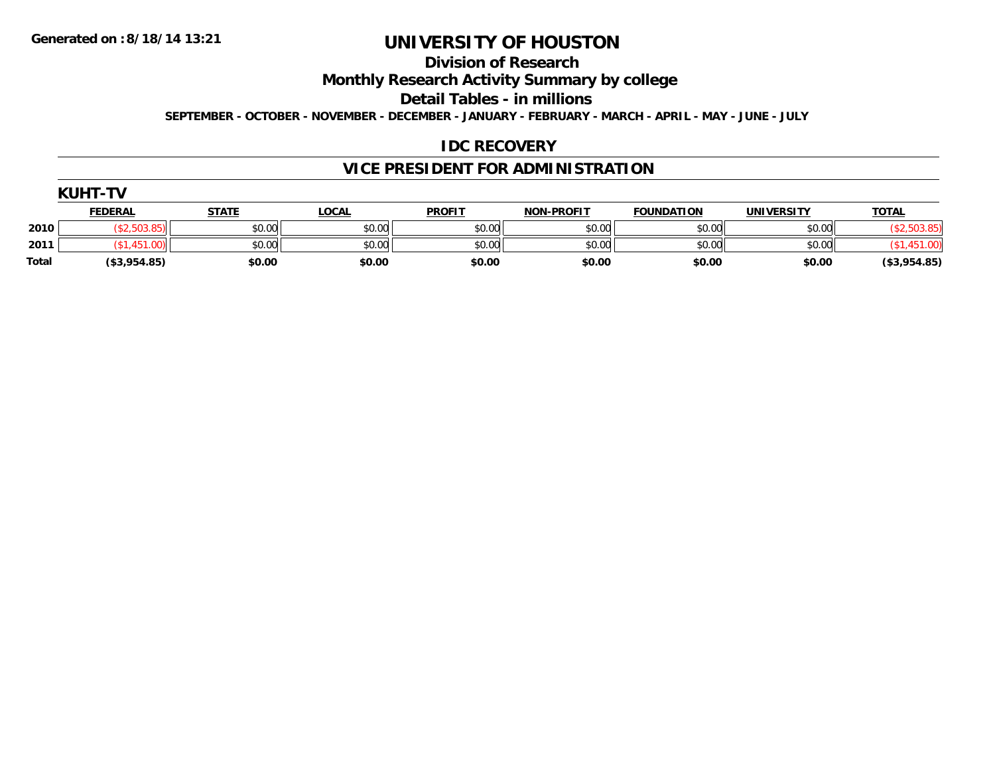## **Division of Research**

**Monthly Research Activity Summary by college**

**Detail Tables - in millions**

**SEPTEMBER - OCTOBER - NOVEMBER - DECEMBER - JANUARY - FEBRUARY - MARCH - APRIL - MAY - JUNE - JULY**

### **IDC RECOVERY**

## **VICE PRESIDENT FOR ADMINISTRATION**

|       | <b>KUHT-TV</b> |              |              |               |                   |                   |                   |              |  |  |  |
|-------|----------------|--------------|--------------|---------------|-------------------|-------------------|-------------------|--------------|--|--|--|
|       | <b>FEDERAL</b> | <u>STATE</u> | <u>LOCAL</u> | <b>PROFIT</b> | <b>NON-PROFIT</b> | <b>FOUNDATION</b> | <b>UNIVERSITY</b> | <b>TOTAL</b> |  |  |  |
| 2010  | (\$2,503.85)   | \$0.00       | \$0.00       | \$0.00        | \$0.00            | \$0.00            | \$0.00            | \$2,503.85   |  |  |  |
| 2011  | \$1,451.00     | \$0.00       | \$0.00       | \$0.00        | \$0.00            | \$0.00            | \$0.00            | \$1,451.00   |  |  |  |
| Total | (\$3,954.85)   | \$0.00       | \$0.00       | \$0.00        | \$0.00            | \$0.00            | \$0.00            | (\$3,954.85) |  |  |  |